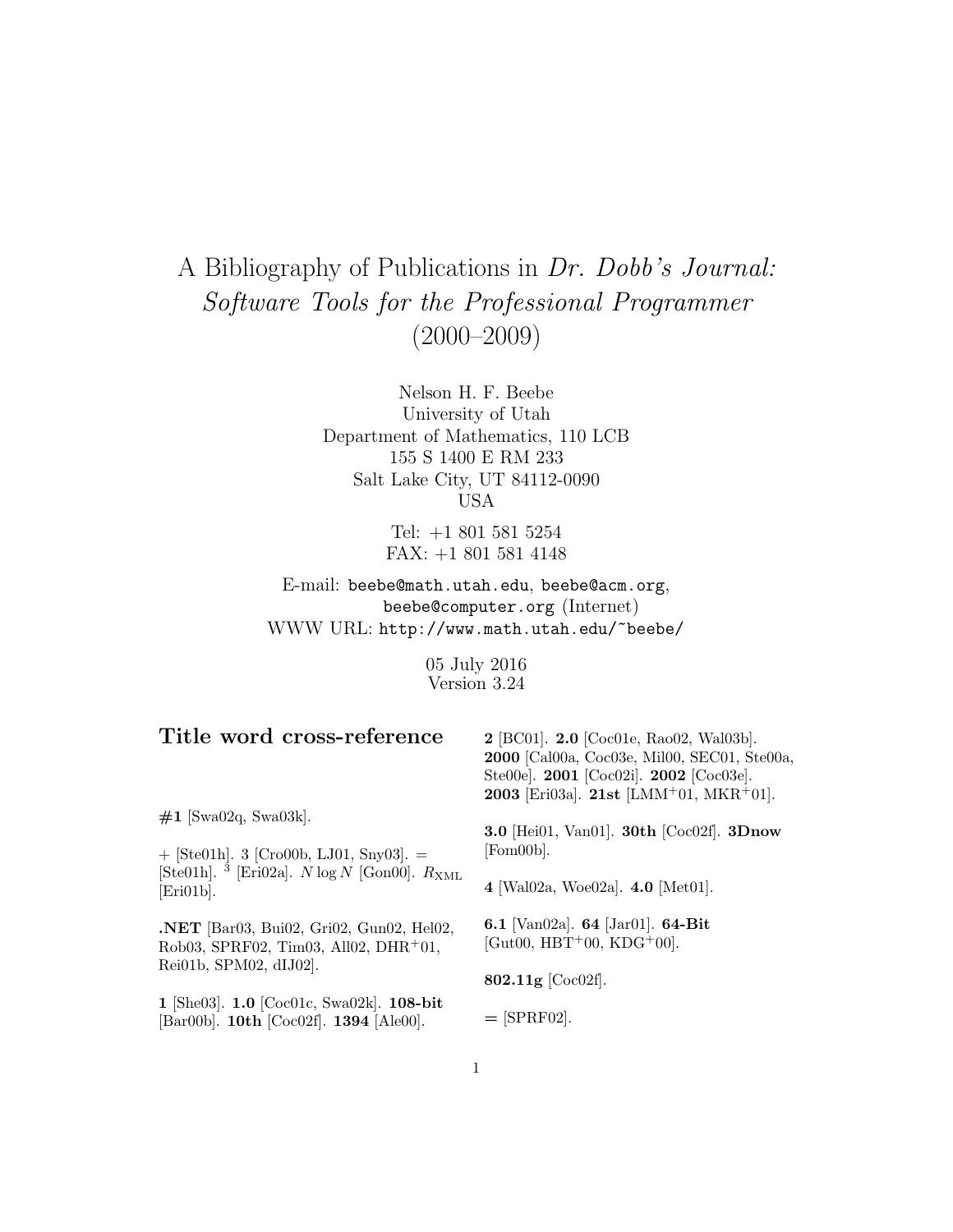# A Bibliography of Publications in Dr. Dobb's Journal: Software Tools for the Professional Programmer (2000–2009)

Nelson H. F. Beebe University of Utah Department of Mathematics, 110 LCB 155 S 1400 E RM 233 Salt Lake City, UT 84112-0090 USA

> Tel: +1 801 581 5254 FAX: +1 801 581 4148

E-mail: beebe@math.utah.edu, beebe@acm.org, beebe@computer.org (Internet) WWW URL: http://www.math.utah.edu/~beebe/

> 05 July 2016 Version 3.24

| Title word cross-reference                                                                                       | $2$ [BC01]. $2.0$ [Coc01e, Rao02, Wal03b].<br>2000 [Cal00a, Coc03e, Mil00, SEC01, Ste00a,<br>Ste00e]. 2001 [Coc02i]. 2002 [Coc03e].<br>2003 [Eri03a]. 21st [LMM+01, MKR+01]. |
|------------------------------------------------------------------------------------------------------------------|------------------------------------------------------------------------------------------------------------------------------------------------------------------------------|
| $\#1$ [Swa02q, Swa03k].<br>$+$ [Ste01h]. 3 [Cro00b, LJ01, Sny03]. =                                              | <b>3.0</b> [Hei01, Van01]. <b>30th</b> [Coc02f]. <b>3Dnow</b><br>[Fom00b].                                                                                                   |
| [Ste01h]. <sup>3</sup> [Eri02a]. <i>N</i> log <i>N</i> [Gon00]. $R_{\text{XML}}$<br>[Eri01b].                    | 4 [Wal02a, Woe02a]. $4.0$ [Met01].                                                                                                                                           |
| <b>.NET</b> [Bar03, Bui02, Gri02, Gun02, Hel02,<br>Rob03, SPRF02, Tim03, All02, DHR+01,<br>Rei01b, SPM02, dIJ02. | 6.1 [Van02a]. 64 [Jar01]. 64-Bit<br>[Gut00, HBT+00, KDG+00].                                                                                                                 |
|                                                                                                                  | 802.11g $[Coc02f]$ .                                                                                                                                                         |
| 1 [She03]. $1.0$ [Coc01c, Swa02k]. $108$ -bit<br>[Bar00b]. $10th$ [Coc02f]. $1394$ [Ale00].                      | $=$ [SPRF02].                                                                                                                                                                |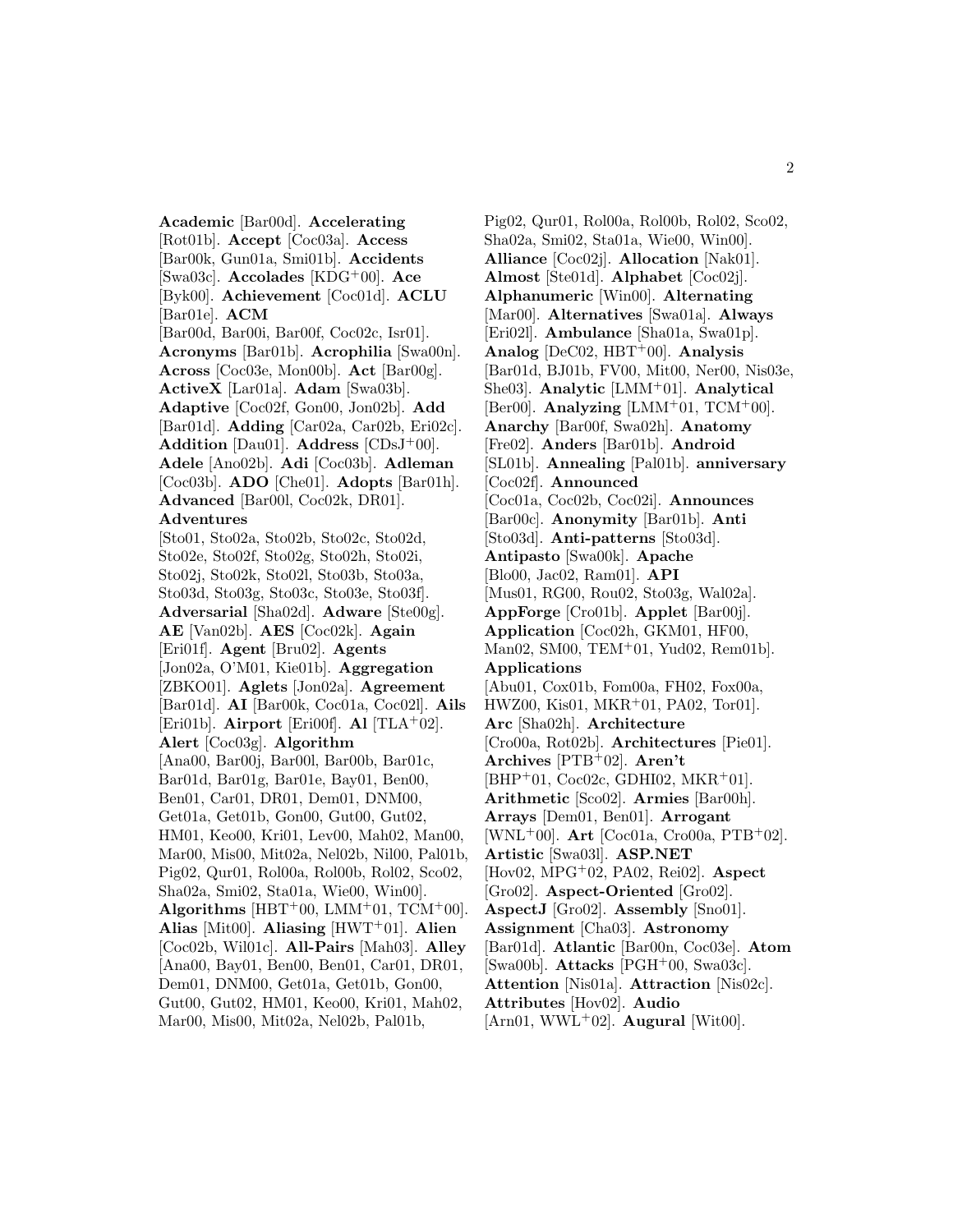**Academic** [Bar00d]. **Accelerating** [Rot01b]. **Accept** [Coc03a]. **Access** [Bar00k, Gun01a, Smi01b]. **Accidents** [Swa03c]. **Accolades** [KDG<sup>+</sup>00]. **Ace** [Byk00]. **Achievement** [Coc01d]. **ACLU** [Bar01e]. **ACM** [Bar00d, Bar00i, Bar00f, Coc02c, Isr01]. **Acronyms** [Bar01b]. **Acrophilia** [Swa00n]. **Across** [Coc03e, Mon00b]. **Act** [Bar00g]. **ActiveX** [Lar01a]. **Adam** [Swa03b]. **Adaptive** [Coc02f, Gon00, Jon02b]. **Add** [Bar01d]. **Adding** [Car02a, Car02b, Eri02c]. **Addition** [Dau01]. **Address** [CDsJ<sup>+</sup>00]. **Adele** [Ano02b]. **Adi** [Coc03b]. **Adleman** [Coc03b]. **ADO** [Che01]. **Adopts** [Bar01h]. **Advanced** [Bar00l, Coc02k, DR01]. **Adventures** [Sto01, Sto02a, Sto02b, Sto02c, Sto02d, Sto02e, Sto02f, Sto02g, Sto02h, Sto02i, Sto02j, Sto02k, Sto02l, Sto03b, Sto03a, Sto03d, Sto03g, Sto03c, Sto03e, Sto03f]. **Adversarial** [Sha02d]. **Adware** [Ste00g]. **AE** [Van02b]. **AES** [Coc02k]. **Again** [Eri01f]. **Agent** [Bru02]. **Agents** [Jon02a, O'M01, Kie01b]. **Aggregation** [ZBKO01]. **Aglets** [Jon02a]. **Agreement** [Bar01d]. **AI** [Bar00k, Coc01a, Coc02l]. **Ails** [Eri01b]. **Airport** [Eri00f]. **Al** [TLA<sup>+</sup>02]. **Alert** [Coc03g]. **Algorithm** [Ana00, Bar00j, Bar00l, Bar00b, Bar01c, Bar01d, Bar01g, Bar01e, Bay01, Ben00, Ben01, Car01, DR01, Dem01, DNM00, Get01a, Get01b, Gon00, Gut00, Gut02, HM01, Keo00, Kri01, Lev00, Mah02, Man00, Mar00, Mis00, Mit02a, Nel02b, Nil00, Pal01b, Pig02, Qur01, Rol00a, Rol00b, Rol02, Sco02, Sha02a, Smi02, Sta01a, Wie00, Win00]. Algorithms [HBT+00, LMM+01, TCM+00]. **Alias** [Mit00]. **Aliasing** [HWT<sup>+</sup>01]. **Alien** [Coc02b, Wil01c]. **All-Pairs** [Mah03]. **Alley** [Ana00, Bay01, Ben00, Ben01, Car01, DR01, Dem01, DNM00, Get01a, Get01b, Gon00, Gut00, Gut02, HM01, Keo00, Kri01, Mah02, Mar00, Mis00, Mit02a, Nel02b, Pal01b,

Pig02, Qur01, Rol00a, Rol00b, Rol02, Sco02, Sha02a, Smi02, Sta01a, Wie00, Win00]. **Alliance** [Coc02j]. **Allocation** [Nak01]. **Almost** [Ste01d]. **Alphabet** [Coc02j]. **Alphanumeric** [Win00]. **Alternating** [Mar00]. **Alternatives** [Swa01a]. **Always** [Eri02l]. **Ambulance** [Sha01a, Swa01p]. **Analog** [DeC02, HBT<sup>+</sup>00]. **Analysis** [Bar01d, BJ01b, FV00, Mit00, Ner00, Nis03e, She03]. **Analytic** [LMM<sup>+</sup>01]. **Analytical** [Ber00]. **Analyzing** [LMM<sup>+</sup>01, TCM<sup>+</sup>00]. **Anarchy** [Bar00f, Swa02h]. **Anatomy** [Fre02]. **Anders** [Bar01b]. **Android** [SL01b]. **Annealing** [Pal01b]. **anniversary** [Coc02f]. **Announced** [Coc01a, Coc02b, Coc02i]. **Announces** [Bar00c]. **Anonymity** [Bar01b]. **Anti** [Sto03d]. **Anti-patterns** [Sto03d]. **Antipasto** [Swa00k]. **Apache** [Blo00, Jac02, Ram01]. **API** [Mus01, RG00, Rou02, Sto03g, Wal02a]. **AppForge** [Cro01b]. **Applet** [Bar00j]. **Application** [Coc02h, GKM01, HF00, Man02, SM00, TEM<sup>+</sup>01, Yud02, Rem01b]. **Applications** [Abu01, Cox01b, Fom00a, FH02, Fox00a, HWZ00, Kis01, MKR<sup>+</sup>01, PA02, Tor01]. **Arc** [Sha02h]. **Architecture** [Cro00a, Rot02b]. **Architectures** [Pie01]. **Archives** [PTB<sup>+</sup>02]. **Aren't**  $[BHP+01, Coc02c, GDHI02, MKR+01].$ **Arithmetic** [Sco02]. **Armies** [Bar00h]. **Arrays** [Dem01, Ben01]. **Arrogant** [WNL<sup>+</sup>00]. **Art** [Coc01a, Cro00a, PTB<sup>+</sup>02]. **Artistic** [Swa03l]. **ASP.NET** [Hov02, MPG<sup>+</sup>02, PA02, Rei02]. **Aspect** [Gro02]. **Aspect-Oriented** [Gro02]. **AspectJ** [Gro02]. **Assembly** [Sno01]. **Assignment** [Cha03]. **Astronomy** [Bar01d]. **Atlantic** [Bar00n, Coc03e]. **Atom** [Swa00b]. **Attacks** [PGH<sup>+</sup>00, Swa03c]. **Attention** [Nis01a]. **Attraction** [Nis02c]. **Attributes** [Hov02]. **Audio** [Arn01, WWL<sup>+</sup>02]. **Augural** [Wit00].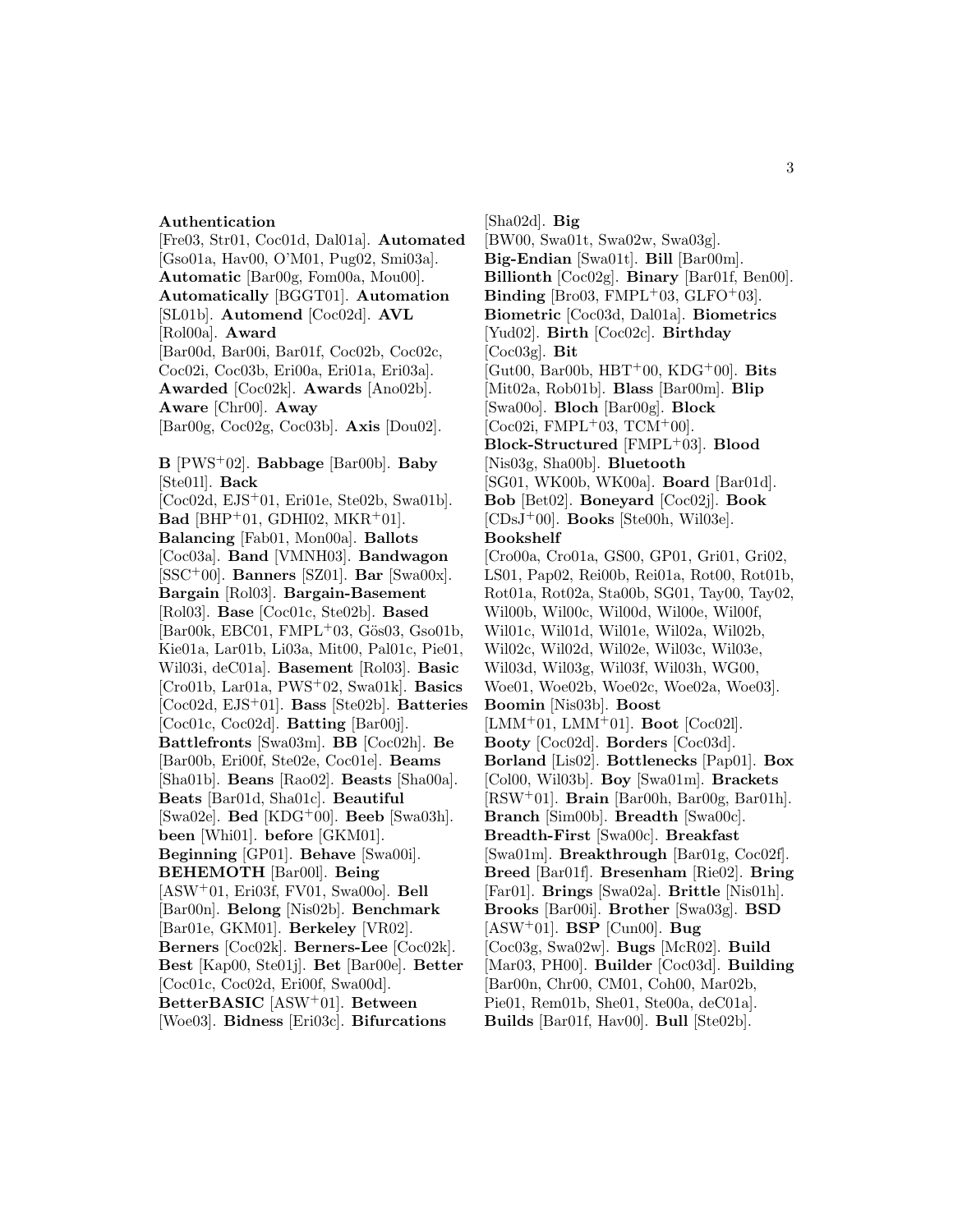#### **Authentication**

[Fre03, Str01, Coc01d, Dal01a]. **Automated** [Gso01a, Hav00, O'M01, Pug02, Smi03a]. **Automatic** [Bar00g, Fom00a, Mou00]. **Automatically** [BGGT01]. **Automation** [SL01b]. **Automend** [Coc02d]. **AVL** [Rol00a]. **Award** [Bar00d, Bar00i, Bar01f, Coc02b, Coc02c, Coc02i, Coc03b, Eri00a, Eri01a, Eri03a]. **Awarded** [Coc02k]. **Awards** [Ano02b]. **Aware** [Chr00]. **Away** [Bar00g, Coc02g, Coc03b]. **Axis** [Dou02]. **B** [PWS<sup>+</sup>02]. **Babbage** [Bar00b]. **Baby** [Ste01l]. **Back** [Coc02d, EJS<sup>+</sup>01, Eri01e, Ste02b, Swa01b]. **Bad** [BHP<sup>+</sup>01, GDHI02, MKR<sup>+</sup>01]. **Balancing** [Fab01, Mon00a]. **Ballots** [Coc03a]. **Band** [VMNH03]. **Bandwagon** [SSC<sup>+</sup>00]. **Banners** [SZ01]. **Bar** [Swa00x]. **Bargain** [Rol03]. **Bargain-Basement** [Rol03]. **Base** [Coc01c, Ste02b]. **Based**  $[Bar00k, EBC01, FMPL+03, G\ddot{o}s03, Gso01b,$ Kie01a, Lar01b, Li03a, Mit00, Pal01c, Pie01, Wil03i, deC01a]. **Basement** [Rol03]. **Basic** [Cro01b, Lar01a, PWS<sup>+</sup>02, Swa01k]. **Basics** [Coc02d, EJS<sup>+</sup>01]. **Bass** [Ste02b]. **Batteries** [Coc01c, Coc02d]. **Batting** [Bar00j]. **Battlefronts** [Swa03m]. **BB** [Coc02h]. **Be** [Bar00b, Eri00f, Ste02e, Coc01e]. **Beams** [Sha01b]. **Beans** [Rao02]. **Beasts** [Sha00a]. **Beats** [Bar01d, Sha01c]. **Beautiful** [Swa02e]. **Bed** [KDG<sup>+</sup>00]. **Beeb** [Swa03h]. **been** [Whi01]. **before** [GKM01]. **Beginning** [GP01]. **Behave** [Swa00i]. **BEHEMOTH** [Bar00l]. **Being** [ASW<sup>+</sup>01, Eri03f, FV01, Swa00o]. **Bell** [Bar00n]. **Belong** [Nis02b]. **Benchmark** [Bar01e, GKM01]. **Berkeley** [VR02]. **Berners** [Coc02k]. **Berners-Lee** [Coc02k]. **Best** [Kap00, Ste01j]. **Bet** [Bar00e]. **Better** [Coc01c, Coc02d, Eri00f, Swa00d]. **BetterBASIC** [ASW<sup>+</sup>01]. **Between** [Woe03]. **Bidness** [Eri03c]. **Bifurcations**

[Sha02d]. **Big** [BW00, Swa01t, Swa02w, Swa03g]. **Big-Endian** [Swa01t]. **Bill** [Bar00m]. **Billionth** [Coc02g]. **Binary** [Bar01f, Ben00]. **Binding** [Bro03, FMPL<sup>+</sup>03, GLFO<sup>+</sup>03]. **Biometric** [Coc03d, Dal01a]. **Biometrics** [Yud02]. **Birth** [Coc02c]. **Birthday** [Coc03g]. **Bit** [Gut00, Bar00b, HBT<sup>+</sup>00, KDG<sup>+</sup>00]. **Bits** [Mit02a, Rob01b]. **Blass** [Bar00m]. **Blip** [Swa00o]. **Bloch** [Bar00g]. **Block**  $[Coc02i, FMPL+03, TCM+00].$ **Block-Structured** [FMPL<sup>+</sup>03]. **Blood** [Nis03g, Sha00b]. **Bluetooth** [SG01, WK00b, WK00a]. **Board** [Bar01d]. **Bob** [Bet02]. **Boneyard** [Coc02j]. **Book** [CDsJ<sup>+</sup>00]. **Books** [Ste00h, Wil03e]. **Bookshelf** [Cro00a, Cro01a, GS00, GP01, Gri01, Gri02, LS01, Pap02, Rei00b, Rei01a, Rot00, Rot01b, Rot01a, Rot02a, Sta00b, SG01, Tay00, Tay02, Wil00b, Wil00c, Wil00d, Wil00e, Wil00f, Wil01c, Wil01d, Wil01e, Wil02a, Wil02b, Wil02c, Wil02d, Wil02e, Wil03c, Wil03e, Wil03d, Wil03g, Wil03f, Wil03h, WG00, Woe01, Woe02b, Woe02c, Woe02a, Woe03]. **Boomin** [Nis03b]. **Boost** [LMM<sup>+</sup>01, LMM<sup>+</sup>01]. **Boot** [Coc02l]. **Booty** [Coc02d]. **Borders** [Coc03d]. **Borland** [Lis02]. **Bottlenecks** [Pap01]. **Box** [Col00, Wil03b]. **Boy** [Swa01m]. **Brackets** [RSW<sup>+</sup>01]. **Brain** [Bar00h, Bar00g, Bar01h]. **Branch** [Sim00b]. **Breadth** [Swa00c]. **Breadth-First** [Swa00c]. **Breakfast** [Swa01m]. **Breakthrough** [Bar01g, Coc02f]. **Breed** [Bar01f]. **Bresenham** [Rie02]. **Bring** [Far01]. **Brings** [Swa02a]. **Brittle** [Nis01h]. **Brooks** [Bar00i]. **Brother** [Swa03g]. **BSD** [ASW<sup>+</sup>01]. **BSP** [Cun00]. **Bug** [Coc03g, Swa02w]. **Bugs** [McR02]. **Build** [Mar03, PH00]. **Builder** [Coc03d]. **Building** [Bar00n, Chr00, CM01, Coh00, Mar02b, Pie01, Rem01b, She01, Ste00a, deC01a]. **Builds** [Bar01f, Hav00]. **Bull** [Ste02b].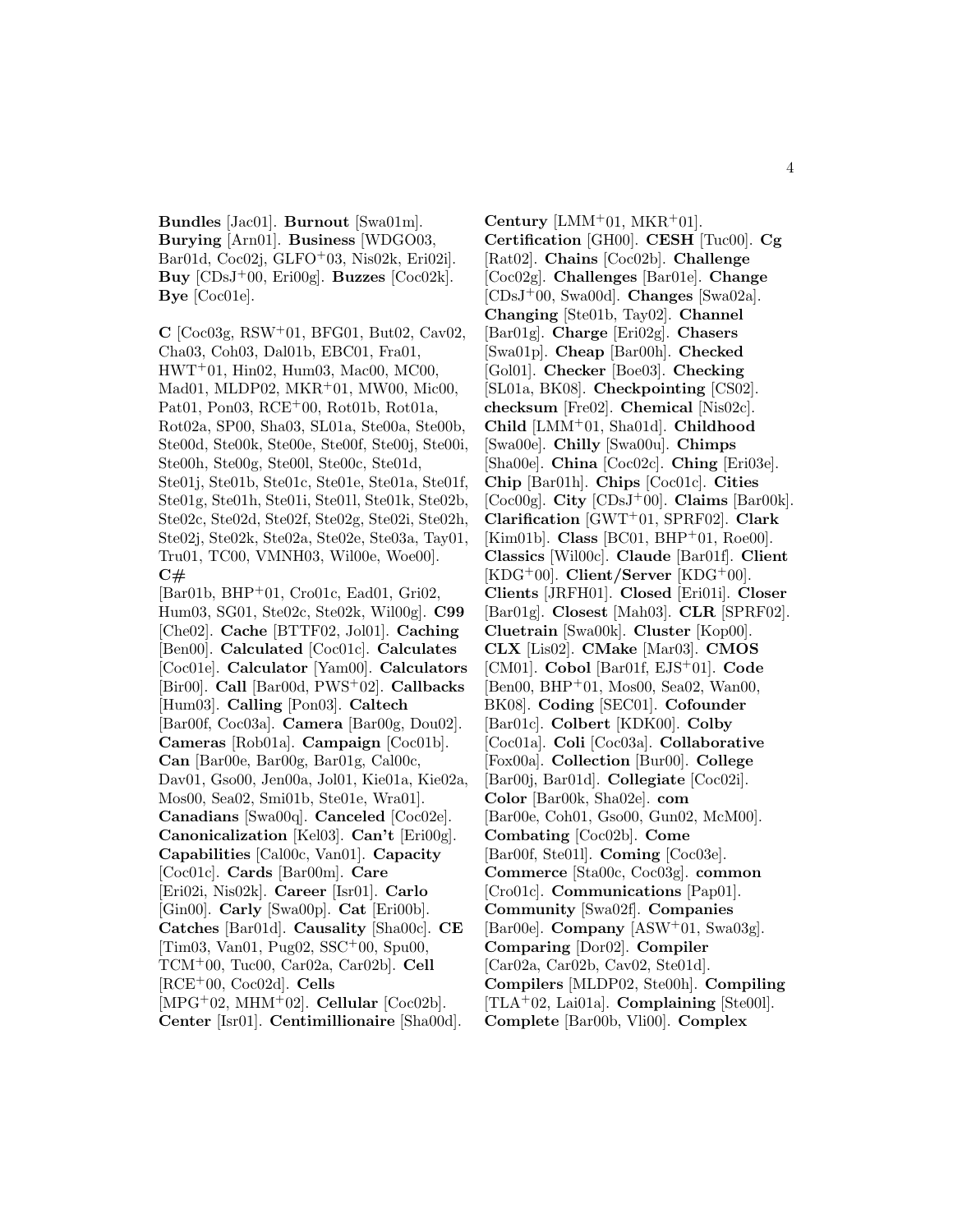**Bundles** [Jac01]. **Burnout** [Swa01m]. **Burying** [Arn01]. **Business** [WDGO03, Bar01d, Coc02j, GLFO<sup>+</sup>03, Nis02k, Eri02i]. **Buy** [CDsJ<sup>+</sup>00, Eri00g]. **Buzzes** [Coc02k]. **Bye** [Coc01e].

**C** [Coc03g, RSW<sup>+</sup>01, BFG01, But02, Cav02, Cha03, Coh03, Dal01b, EBC01, Fra01, HWT<sup>+</sup>01, Hin02, Hum03, Mac00, MC00, Mad01, MLDP02, MKR<sup>+</sup>01, MW00, Mic00, Pat01, Pon03, RCE<sup>+</sup>00, Rot01b, Rot01a, Rot02a, SP00, Sha03, SL01a, Ste00a, Ste00b, Ste00d, Ste00k, Ste00e, Ste00f, Ste00j, Ste00i, Ste00h, Ste00g, Ste00l, Ste00c, Ste01d, Ste01j, Ste01b, Ste01c, Ste01e, Ste01a, Ste01f, Ste01g, Ste01h, Ste01i, Ste01l, Ste01k, Ste02b, Ste02c, Ste02d, Ste02f, Ste02g, Ste02i, Ste02h, Ste02j, Ste02k, Ste02a, Ste02e, Ste03a, Tay01, Tru01, TC00, VMNH03, Wil00e, Woe00]. **C#**

[Bar01b, BHP<sup>+</sup>01, Cro01c, Ead01, Gri02, Hum03, SG01, Ste02c, Ste02k, Wil00g]. **C99** [Che02]. **Cache** [BTTF02, Jol01]. **Caching** [Ben00]. **Calculated** [Coc01c]. **Calculates** [Coc01e]. **Calculator** [Yam00]. **Calculators** [Bir00]. **Call** [Bar00d, PWS<sup>+</sup>02]. **Callbacks** [Hum03]. **Calling** [Pon03]. **Caltech** [Bar00f, Coc03a]. **Camera** [Bar00g, Dou02]. **Cameras** [Rob01a]. **Campaign** [Coc01b]. **Can** [Bar00e, Bar00g, Bar01g, Cal00c, Dav01, Gso00, Jen00a, Jol01, Kie01a, Kie02a, Mos00, Sea02, Smi01b, Ste01e, Wra01]. **Canadians** [Swa00q]. **Canceled** [Coc02e]. **Canonicalization** [Kel03]. **Can't** [Eri00g]. **Capabilities** [Cal00c, Van01]. **Capacity** [Coc01c]. **Cards** [Bar00m]. **Care** [Eri02i, Nis02k]. **Career** [Isr01]. **Carlo** [Gin00]. **Carly** [Swa00p]. **Cat** [Eri00b]. **Catches** [Bar01d]. **Causality** [Sha00c]. **CE** [Tim03, Van01, Pug02, SSC<sup>+</sup>00, Spu00, TCM<sup>+</sup>00, Tuc00, Car02a, Car02b]. **Cell** [RCE<sup>+</sup>00, Coc02d]. **Cells** [MPG<sup>+</sup>02, MHM<sup>+</sup>02]. **Cellular** [Coc02b]. **Center** [Isr01]. **Centimillionaire** [Sha00d].

**Century** [LMM<sup>+</sup>01, MKR<sup>+</sup>01]. **Certification** [GH00]. **CESH** [Tuc00]. **Cg** [Rat02]. **Chains** [Coc02b]. **Challenge** [Coc02g]. **Challenges** [Bar01e]. **Change** [CDsJ<sup>+</sup>00, Swa00d]. **Changes** [Swa02a]. **Changing** [Ste01b, Tay02]. **Channel** [Bar01g]. **Charge** [Eri02g]. **Chasers** [Swa01p]. **Cheap** [Bar00h]. **Checked** [Gol01]. **Checker** [Boe03]. **Checking** [SL01a, BK08]. **Checkpointing** [CS02]. **checksum** [Fre02]. **Chemical** [Nis02c]. **Child** [LMM<sup>+</sup>01, Sha01d]. **Childhood** [Swa00e]. **Chilly** [Swa00u]. **Chimps** [Sha00e]. **China** [Coc02c]. **Ching** [Eri03e]. **Chip** [Bar01h]. **Chips** [Coc01c]. **Cities** [Coc00g]. **City** [CDsJ<sup>+</sup>00]. **Claims** [Bar00k]. **Clarification** [GWT<sup>+</sup>01, SPRF02]. **Clark** [Kim01b]. **Class** [BC01, BHP<sup>+</sup>01, Roe00]. **Classics** [Wil00c]. **Claude** [Bar01f]. **Client**  $[KDG^+00]$ . **Client/Server**  $[KDG^+00]$ . **Clients** [JRFH01]. **Closed** [Eri01i]. **Closer** [Bar01g]. **Closest** [Mah03]. **CLR** [SPRF02]. **Cluetrain** [Swa00k]. **Cluster** [Kop00]. **CLX** [Lis02]. **CMake** [Mar03]. **CMOS** [CM01]. **Cobol** [Bar01f, EJS<sup>+</sup>01]. **Code** [Ben00, BHP<sup>+</sup>01, Mos00, Sea02, Wan00, BK08]. **Coding** [SEC01]. **Cofounder** [Bar01c]. **Colbert** [KDK00]. **Colby** [Coc01a]. **Coli** [Coc03a]. **Collaborative** [Fox00a]. **Collection** [Bur00]. **College** [Bar00j, Bar01d]. **Collegiate** [Coc02i]. **Color** [Bar00k, Sha02e]. **com** [Bar00e, Coh01, Gso00, Gun02, McM00]. **Combating** [Coc02b]. **Come** [Bar00f, Ste01l]. **Coming** [Coc03e]. **Commerce** [Sta00c, Coc03g]. **common** [Cro01c]. **Communications** [Pap01]. **Community** [Swa02f]. **Companies** [Bar00e]. **Company** [ASW<sup>+</sup>01, Swa03g]. **Comparing** [Dor02]. **Compiler** [Car02a, Car02b, Cav02, Ste01d]. **Compilers** [MLDP02, Ste00h]. **Compiling** [TLA<sup>+</sup>02, Lai01a]. **Complaining** [Ste00l]. **Complete** [Bar00b, Vli00]. **Complex**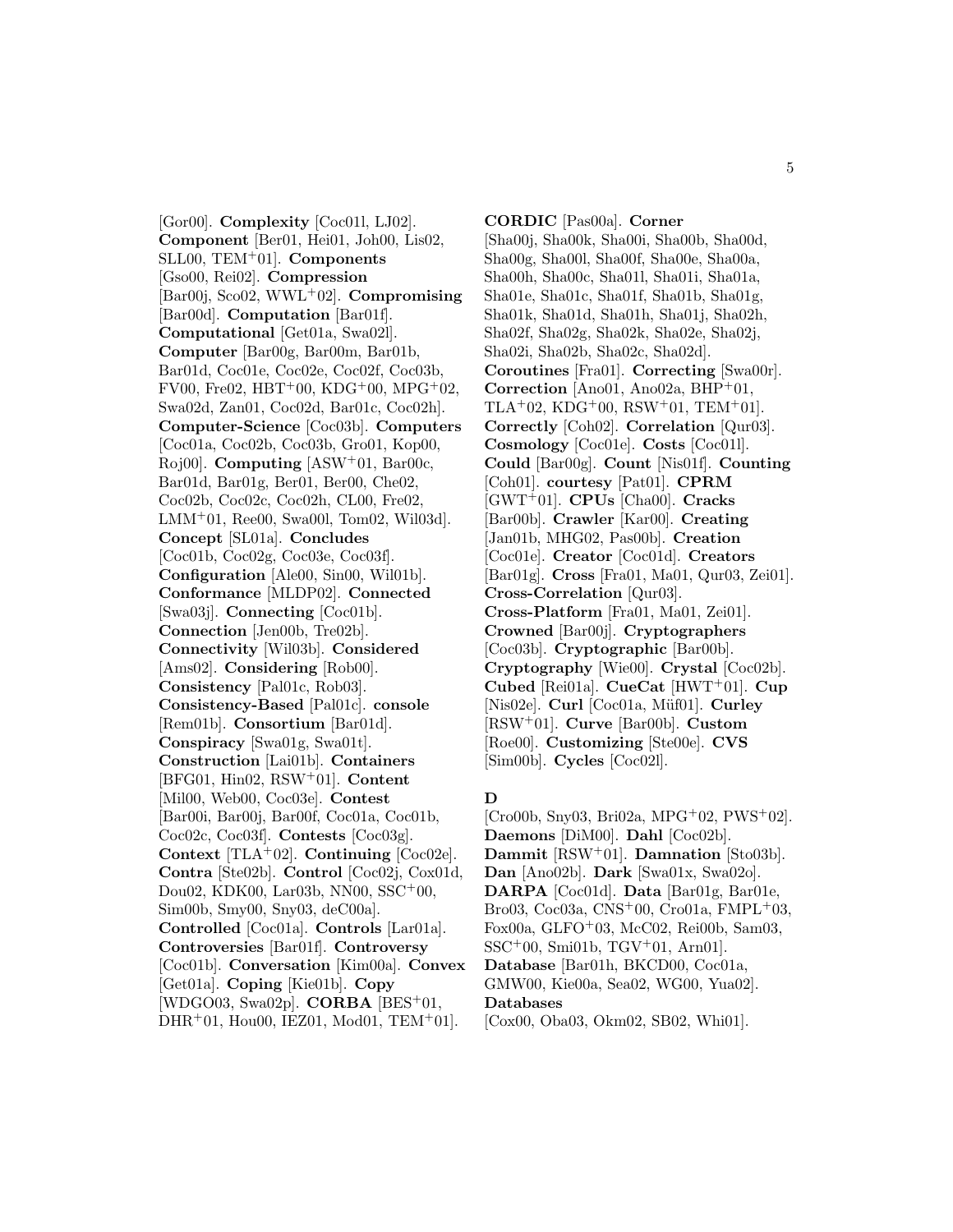[Gor00]. **Complexity** [Coc01l, LJ02]. **Component** [Ber01, Hei01, Joh00, Lis02, SLL00, TEM<sup>+</sup>01]. **Components** [Gso00, Rei02]. **Compression** [Bar00j, Sco02, WWL<sup>+</sup>02]. **Compromising** [Bar00d]. **Computation** [Bar01f]. **Computational** [Get01a, Swa02l]. **Computer** [Bar00g, Bar00m, Bar01b, Bar01d, Coc01e, Coc02e, Coc02f, Coc03b, FV00, Fre02, HBT<sup>+</sup>00, KDG<sup>+</sup>00, MPG<sup>+</sup>02, Swa02d, Zan01, Coc02d, Bar01c, Coc02h]. **Computer-Science** [Coc03b]. **Computers** [Coc01a, Coc02b, Coc03b, Gro01, Kop00, Roj00]. **Computing** [ASW<sup>+</sup>01, Bar00c, Bar01d, Bar01g, Ber01, Ber00, Che02, Coc02b, Coc02c, Coc02h, CL00, Fre02, LMM<sup>+</sup>01, Ree00, Swa00l, Tom02, Wil03d]. **Concept** [SL01a]. **Concludes** [Coc01b, Coc02g, Coc03e, Coc03f]. **Configuration** [Ale00, Sin00, Wil01b]. **Conformance** [MLDP02]. **Connected** [Swa03j]. **Connecting** [Coc01b]. **Connection** [Jen00b, Tre02b]. **Connectivity** [Wil03b]. **Considered** [Ams02]. **Considering** [Rob00]. **Consistency** [Pal01c, Rob03]. **Consistency-Based** [Pal01c]. **console** [Rem01b]. **Consortium** [Bar01d]. **Conspiracy** [Swa01g, Swa01t]. **Construction** [Lai01b]. **Containers** [BFG01, Hin02, RSW<sup>+</sup>01]. **Content** [Mil00, Web00, Coc03e]. **Contest** [Bar00i, Bar00j, Bar00f, Coc01a, Coc01b, Coc02c, Coc03f]. **Contests** [Coc03g]. **Context** [TLA<sup>+</sup>02]. **Continuing** [Coc02e]. **Contra** [Ste02b]. **Control** [Coc02j, Cox01d, Dou02, KDK00, Lar03b, NN00, SSC<sup>+</sup>00, Sim00b, Smy00, Sny03, deC00a]. **Controlled** [Coc01a]. **Controls** [Lar01a]. **Controversies** [Bar01f]. **Controversy** [Coc01b]. **Conversation** [Kim00a]. **Convex** [Get01a]. **Coping** [Kie01b]. **Copy** [WDGO03, Swa02p]. **CORBA** [BES<sup>+</sup>01,  $DHR<sup>+</sup>01, Hou00, IEZ01, Mod01, TEM<sup>+</sup>01.$ 

**CORDIC** [Pas00a]. **Corner** [Sha00j, Sha00k, Sha00i, Sha00b, Sha00d, Sha00g, Sha00l, Sha00f, Sha00e, Sha00a, Sha00h, Sha00c, Sha01l, Sha01i, Sha01a, Sha01e, Sha01c, Sha01f, Sha01b, Sha01g, Sha01k, Sha01d, Sha01h, Sha01j, Sha02h, Sha02f, Sha02g, Sha02k, Sha02e, Sha02j, Sha02i, Sha02b, Sha02c, Sha02d]. **Coroutines** [Fra01]. **Correcting** [Swa00r]. **Correction** [Ano01, Ano02a, BHP<sup>+</sup>01, TLA+02, KDG+00, RSW+01, TEM+01. **Correctly** [Coh02]. **Correlation** [Qur03]. **Cosmology** [Coc01e]. **Costs** [Coc01l]. **Could** [Bar00g]. **Count** [Nis01f]. **Counting** [Coh01]. **courtesy** [Pat01]. **CPRM** [GWT<sup>+</sup>01]. **CPUs** [Cha00]. **Cracks** [Bar00b]. **Crawler** [Kar00]. **Creating** [Jan01b, MHG02, Pas00b]. **Creation** [Coc01e]. **Creator** [Coc01d]. **Creators** [Bar01g]. **Cross** [Fra01, Ma01, Qur03, Zei01]. **Cross-Correlation** [Qur03]. **Cross-Platform** [Fra01, Ma01, Zei01]. **Crowned** [Bar00j]. **Cryptographers** [Coc03b]. **Cryptographic** [Bar00b]. **Cryptography** [Wie00]. **Crystal** [Coc02b]. **Cubed** [Rei01a]. **CueCat** [HWT<sup>+</sup>01]. **Cup** [Nis02e]. **Curl** [Coc01a, Müf01]. **Curley** [RSW<sup>+</sup>01]. **Curve** [Bar00b]. **Custom** [Roe00]. **Customizing** [Ste00e]. **CVS** [Sim00b]. **Cycles** [Coc02l].

#### **D**

[Cro00b, Sny03, Bri02a, MPG<sup>+</sup>02, PWS<sup>+</sup>02]. **Daemons** [DiM00]. **Dahl** [Coc02b]. **Dammit** [RSW<sup>+</sup>01]. **Damnation** [Sto03b]. **Dan** [Ano02b]. **Dark** [Swa01x, Swa02o]. **DARPA** [Coc01d]. **Data** [Bar01g, Bar01e, Bro03, Coc03a, CNS<sup>+</sup>00, Cro01a, FMPL<sup>+</sup>03, Fox00a, GLFO<sup>+</sup>03, McC02, Rei00b, Sam03, SSC<sup>+</sup>00, Smi01b, TGV<sup>+</sup>01, Arn01]. **Database** [Bar01h, BKCD00, Coc01a, GMW00, Kie00a, Sea02, WG00, Yua02]. **Databases**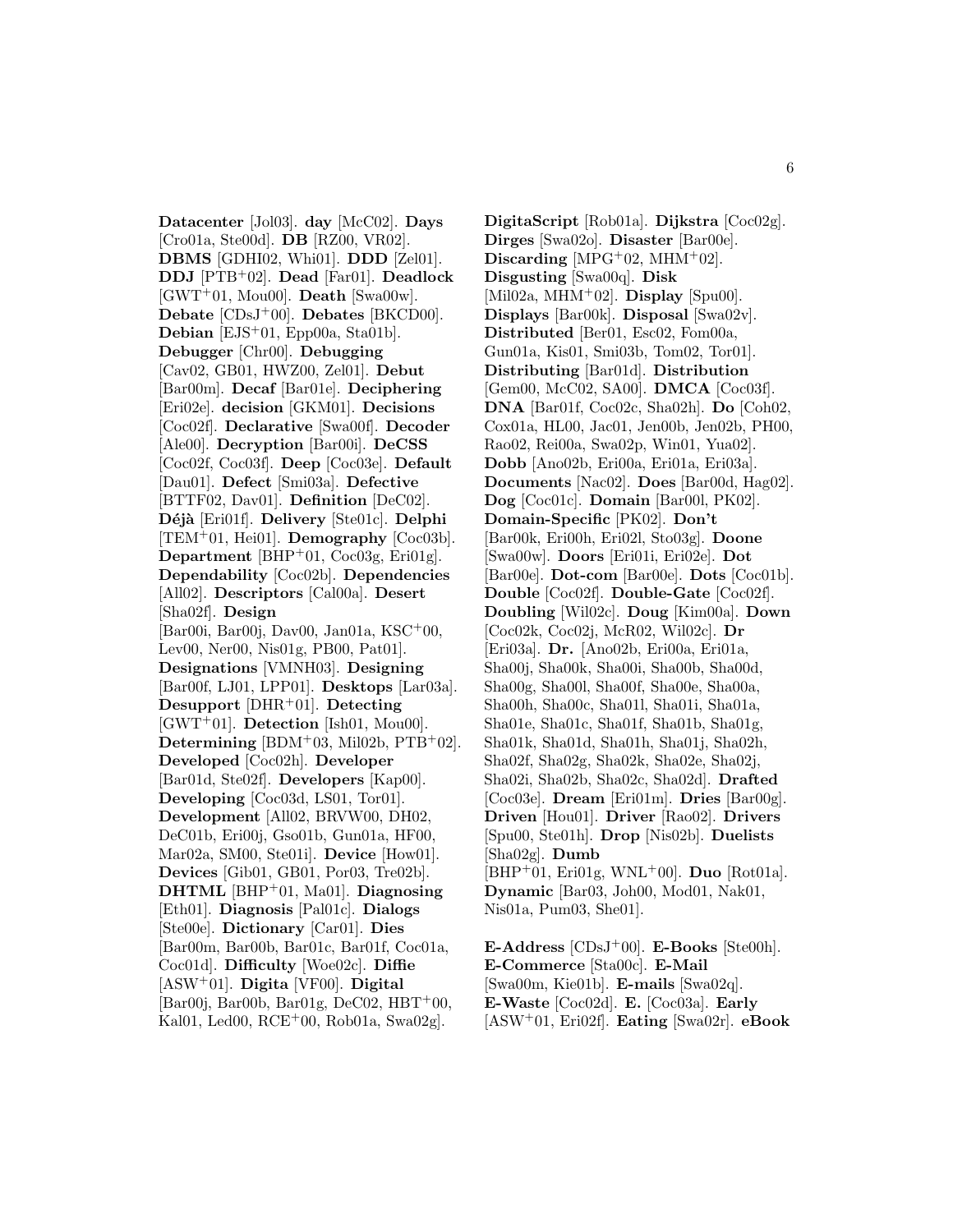**Datacenter** [Jol03]. **day** [McC02]. **Days** [Cro01a, Ste00d]. **DB** [RZ00, VR02]. **DBMS** [GDHI02, Whi01]. **DDD** [Zel01]. **DDJ** [PTB<sup>+</sup>02]. **Dead** [Far01]. **Deadlock** [GWT<sup>+</sup>01, Mou00]. **Death** [Swa00w]. **Debate** [CDsJ<sup>+</sup>00]. **Debates** [BKCD00]. **Debian** [EJS<sup>+</sup>01, Epp00a, Sta01b]. **Debugger** [Chr00]. **Debugging** [Cav02, GB01, HWZ00, Zel01]. **Debut** [Bar00m]. **Decaf** [Bar01e]. **Deciphering** [Eri02e]. **decision** [GKM01]. **Decisions** [Coc02f]. **Declarative** [Swa00f]. **Decoder** [Ale00]. **Decryption** [Bar00i]. **DeCSS** [Coc02f, Coc03f]. **Deep** [Coc03e]. **Default** [Dau01]. **Defect** [Smi03a]. **Defective** [BTTF02, Dav01]. **Definition** [DeC02]. **D´ej`a** [Eri01f]. **Delivery** [Ste01c]. **Delphi** [TEM<sup>+</sup>01, Hei01]. **Demography** [Coc03b]. **Department** [BHP<sup>+</sup>01, Coc03g, Eri01g]. **Dependability** [Coc02b]. **Dependencies** [All02]. **Descriptors** [Cal00a]. **Desert** [Sha02f]. **Design** [Bar00i, Bar00j, Dav00, Jan01a, KSC<sup>+</sup>00, Lev00, Ner00, Nis01g, PB00, Pat01]. **Designations** [VMNH03]. **Designing** [Bar00f, LJ01, LPP01]. **Desktops** [Lar03a]. **Desupport** [DHR<sup>+</sup>01]. **Detecting** [GWT<sup>+</sup>01]. **Detection** [Ish01, Mou00]. **Determining** [BDM<sup>+</sup>03, Mil02b, PTB<sup>+</sup>02]. **Developed** [Coc02h]. **Developer** [Bar01d, Ste02f]. **Developers** [Kap00]. **Developing** [Coc03d, LS01, Tor01]. **Development** [All02, BRVW00, DH02, DeC01b, Eri00j, Gso01b, Gun01a, HF00, Mar02a, SM00, Ste01i]. **Device** [How01]. **Devices** [Gib01, GB01, Por03, Tre02b]. **DHTML** [BHP<sup>+</sup>01, Ma01]. **Diagnosing** [Eth01]. **Diagnosis** [Pal01c]. **Dialogs** [Ste00e]. **Dictionary** [Car01]. **Dies** [Bar00m, Bar00b, Bar01c, Bar01f, Coc01a, Coc01d]. **Difficulty** [Woe02c]. **Diffie** [ASW<sup>+</sup>01]. **Digita** [VF00]. **Digital**  $\left[\text{Bar00i}, \text{Bar00b}, \text{Bar01g}, \text{DeC02}, \text{HBT}^+00, \right]$ Kal01, Led00, RCE<sup>+</sup>00, Rob01a, Swa02g].

**DigitaScript** [Rob01a]. **Dijkstra** [Coc02g]. **Dirges** [Swa02o]. **Disaster** [Bar00e]. **Discarding** [MPG<sup>+</sup>02, MHM<sup>+</sup>02]. **Disgusting** [Swa00q]. **Disk** [Mil02a, MHM<sup>+</sup>02]. **Display** [Spu00]. **Displays** [Bar00k]. **Disposal** [Swa02v]. **Distributed** [Ber01, Esc02, Fom00a, Gun01a, Kis01, Smi03b, Tom02, Tor01]. **Distributing** [Bar01d]. **Distribution** [Gem00, McC02, SA00]. **DMCA** [Coc03f]. **DNA** [Bar01f, Coc02c, Sha02h]. **Do** [Coh02, Cox01a, HL00, Jac01, Jen00b, Jen02b, PH00, Rao02, Rei00a, Swa02p, Win01, Yua02]. **Dobb** [Ano02b, Eri00a, Eri01a, Eri03a]. **Documents** [Nac02]. **Does** [Bar00d, Hag02]. **Dog** [Coc01c]. **Domain** [Bar00l, PK02]. **Domain-Specific** [PK02]. **Don't** [Bar00k, Eri00h, Eri02l, Sto03g]. **Doone** [Swa00w]. **Doors** [Eri01i, Eri02e]. **Dot** [Bar00e]. **Dot-com** [Bar00e]. **Dots** [Coc01b]. **Double** [Coc02f]. **Double-Gate** [Coc02f]. **Doubling** [Wil02c]. **Doug** [Kim00a]. **Down** [Coc02k, Coc02j, McR02, Wil02c]. **Dr** [Eri03a]. **Dr.** [Ano02b, Eri00a, Eri01a, Sha00j, Sha00k, Sha00i, Sha00b, Sha00d, Sha00g, Sha00l, Sha00f, Sha00e, Sha00a, Sha00h, Sha00c, Sha01l, Sha01i, Sha01a, Sha01e, Sha01c, Sha01f, Sha01b, Sha01g, Sha01k, Sha01d, Sha01h, Sha01j, Sha02h, Sha02f, Sha02g, Sha02k, Sha02e, Sha02j, Sha02i, Sha02b, Sha02c, Sha02d]. **Drafted** [Coc03e]. **Dream** [Eri01m]. **Dries** [Bar00g]. **Driven** [Hou01]. **Driver** [Rao02]. **Drivers** [Spu00, Ste01h]. **Drop** [Nis02b]. **Duelists** [Sha02g]. **Dumb** [BHP<sup>+</sup>01, Eri01g, WNL<sup>+</sup>00]. **Duo** [Rot01a]. **Dynamic** [Bar03, Joh00, Mod01, Nak01, Nis01a, Pum03, She01].

**E-Address** [CDsJ<sup>+</sup>00]. **E-Books** [Ste00h]. **E-Commerce** [Sta00c]. **E-Mail** [Swa00m, Kie01b]. **E-mails** [Swa02q]. **E-Waste** [Coc02d]. **E.** [Coc03a]. **Early** [ASW<sup>+</sup>01, Eri02f]. **Eating** [Swa02r]. **eBook**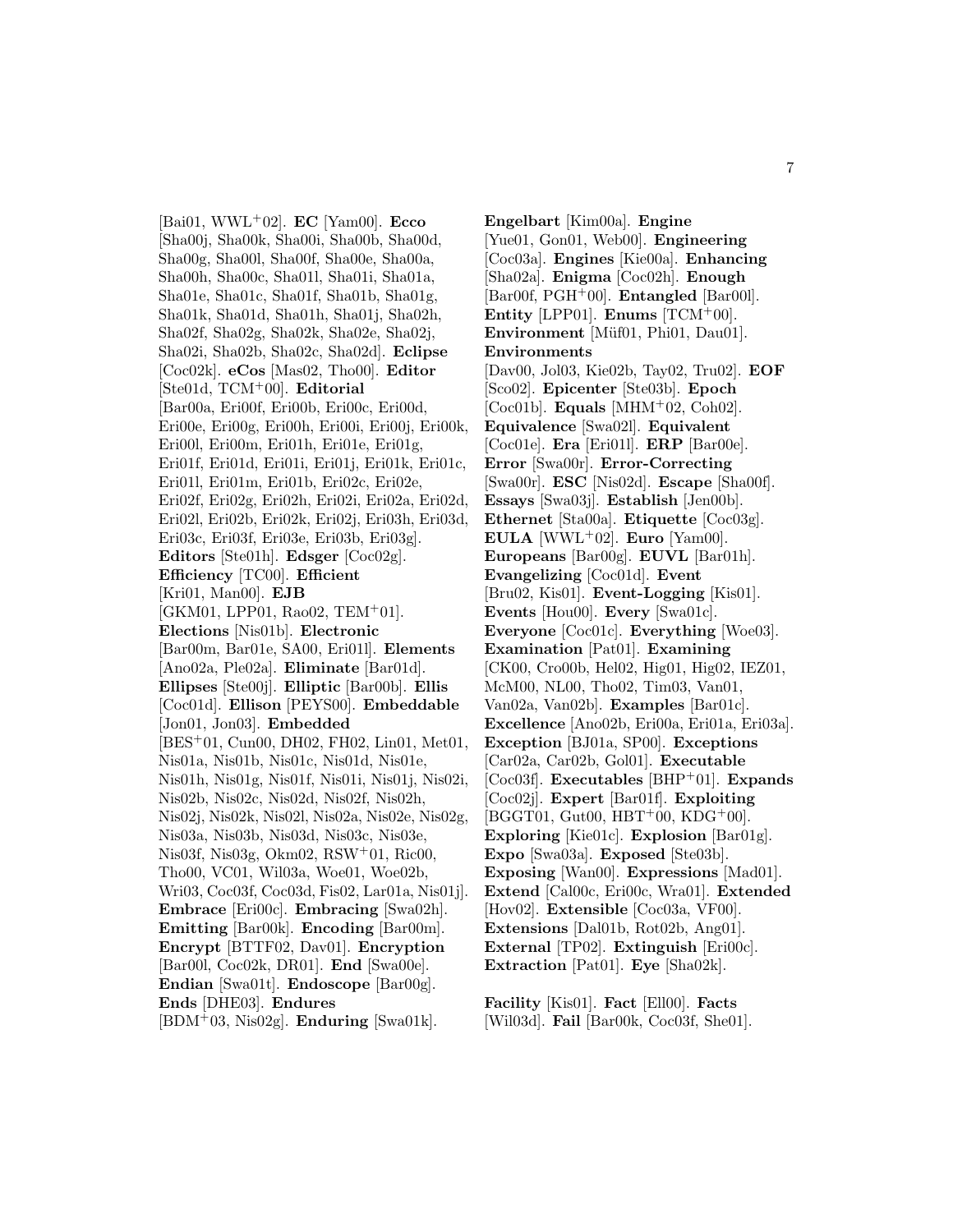[Bai01, WWL<sup>+</sup>02]. **EC** [Yam00]. **Ecco** [Sha00j, Sha00k, Sha00i, Sha00b, Sha00d, Sha00g, Sha00l, Sha00f, Sha00e, Sha00a, Sha00h, Sha00c, Sha01l, Sha01i, Sha01a, Sha01e, Sha01c, Sha01f, Sha01b, Sha01g, Sha01k, Sha01d, Sha01h, Sha01j, Sha02h, Sha02f, Sha02g, Sha02k, Sha02e, Sha02j, Sha02i, Sha02b, Sha02c, Sha02d]. **Eclipse** [Coc02k]. **eCos** [Mas02, Tho00]. **Editor** [Ste01d, TCM<sup>+</sup>00]. **Editorial** [Bar00a, Eri00f, Eri00b, Eri00c, Eri00d, Eri00e, Eri00g, Eri00h, Eri00i, Eri00j, Eri00k, Eri00l, Eri00m, Eri01h, Eri01e, Eri01g, Eri01f, Eri01d, Eri01i, Eri01j, Eri01k, Eri01c, Eri01l, Eri01m, Eri01b, Eri02c, Eri02e, Eri02f, Eri02g, Eri02h, Eri02i, Eri02a, Eri02d, Eri02l, Eri02b, Eri02k, Eri02j, Eri03h, Eri03d, Eri03c, Eri03f, Eri03e, Eri03b, Eri03g]. **Editors** [Ste01h]. **Edsger** [Coc02g]. **Efficiency** [TC00]. **Efficient** [Kri01, Man00]. **EJB**  $[GKM01, LPP01, Rao02, TEM<sup>+</sup>01].$ **Elections** [Nis01b]. **Electronic** [Bar00m, Bar01e, SA00, Eri01l]. **Elements** [Ano02a, Ple02a]. **Eliminate** [Bar01d]. **Ellipses** [Ste00j]. **Elliptic** [Bar00b]. **Ellis** [Coc01d]. **Ellison** [PEYS00]. **Embeddable** [Jon01, Jon03]. **Embedded** [BES<sup>+</sup>01, Cun00, DH02, FH02, Lin01, Met01, Nis01a, Nis01b, Nis01c, Nis01d, Nis01e, Nis01h, Nis01g, Nis01f, Nis01i, Nis01j, Nis02i, Nis02b, Nis02c, Nis02d, Nis02f, Nis02h, Nis02j, Nis02k, Nis02l, Nis02a, Nis02e, Nis02g, Nis03a, Nis03b, Nis03d, Nis03c, Nis03e, Nis03f, Nis03g, Okm02, RSW<sup>+</sup>01, Ric00, Tho00, VC01, Wil03a, Woe01, Woe02b, Wri03, Coc03f, Coc03d, Fis02, Lar01a, Nis01j]. **Embrace** [Eri00c]. **Embracing** [Swa02h]. **Emitting** [Bar00k]. **Encoding** [Bar00m]. **Encrypt** [BTTF02, Dav01]. **Encryption** [Bar00l, Coc02k, DR01]. **End** [Swa00e]. **Endian** [Swa01t]. **Endoscope** [Bar00g]. **Ends** [DHE03]. **Endures**

[BDM<sup>+</sup>03, Nis02g]. **Enduring** [Swa01k].

**Engelbart** [Kim00a]. **Engine** [Yue01, Gon01, Web00]. **Engineering** [Coc03a]. **Engines** [Kie00a]. **Enhancing** [Sha02a]. **Enigma** [Coc02h]. **Enough** [Bar00f, PGH<sup>+</sup>00]. **Entangled** [Bar00l]. **Entity** [LPP01]. **Enums**  $[TCM^+00]$ . **Environment** [Müf01, Phi01, Dau01]. **Environments** [Dav00, Jol03, Kie02b, Tay02, Tru02]. **EOF** [Sco02]. **Epicenter** [Ste03b]. **Epoch** [Coc01b]. **Equals** [MHM<sup>+</sup>02, Coh02]. **Equivalence** [Swa02l]. **Equivalent** [Coc01e]. **Era** [Eri01l]. **ERP** [Bar00e]. **Error** [Swa00r]. **Error-Correcting** [Swa00r]. **ESC** [Nis02d]. **Escape** [Sha00f]. **Essays** [Swa03j]. **Establish** [Jen00b]. **Ethernet** [Sta00a]. **Etiquette** [Coc03g]. **EULA** [WWL<sup>+</sup>02]. **Euro** [Yam00]. **Europeans** [Bar00g]. **EUVL** [Bar01h]. **Evangelizing** [Coc01d]. **Event** [Bru02, Kis01]. **Event-Logging** [Kis01]. **Events** [Hou00]. **Every** [Swa01c]. **Everyone** [Coc01c]. **Everything** [Woe03]. **Examination** [Pat01]. **Examining** [CK00, Cro00b, Hel02, Hig01, Hig02, IEZ01, McM00, NL00, Tho02, Tim03, Van01, Van02a, Van02b]. **Examples** [Bar01c]. **Excellence** [Ano02b, Eri00a, Eri01a, Eri03a]. **Exception** [BJ01a, SP00]. **Exceptions** [Car02a, Car02b, Gol01]. **Executable** [Coc03f]. **Executables** [BHP<sup>+</sup>01]. **Expands** [Coc02j]. **Expert** [Bar01f]. **Exploiting**  $[\text{BGGT01},\, \text{Gut00},\, \text{HBT}^+00,\, \text{KDG^+00}].$ **Exploring** [Kie01c]. **Explosion** [Bar01g]. **Expo** [Swa03a]. **Exposed** [Ste03b]. **Exposing** [Wan00]. **Expressions** [Mad01]. **Extend** [Cal00c, Eri00c, Wra01]. **Extended** [Hov02]. **Extensible** [Coc03a, VF00]. **Extensions** [Dal01b, Rot02b, Ang01]. **External** [TP02]. **Extinguish** [Eri00c]. **Extraction** [Pat01]. **Eye** [Sha02k].

**Facility** [Kis01]. **Fact** [Ell00]. **Facts** [Wil03d]. **Fail** [Bar00k, Coc03f, She01].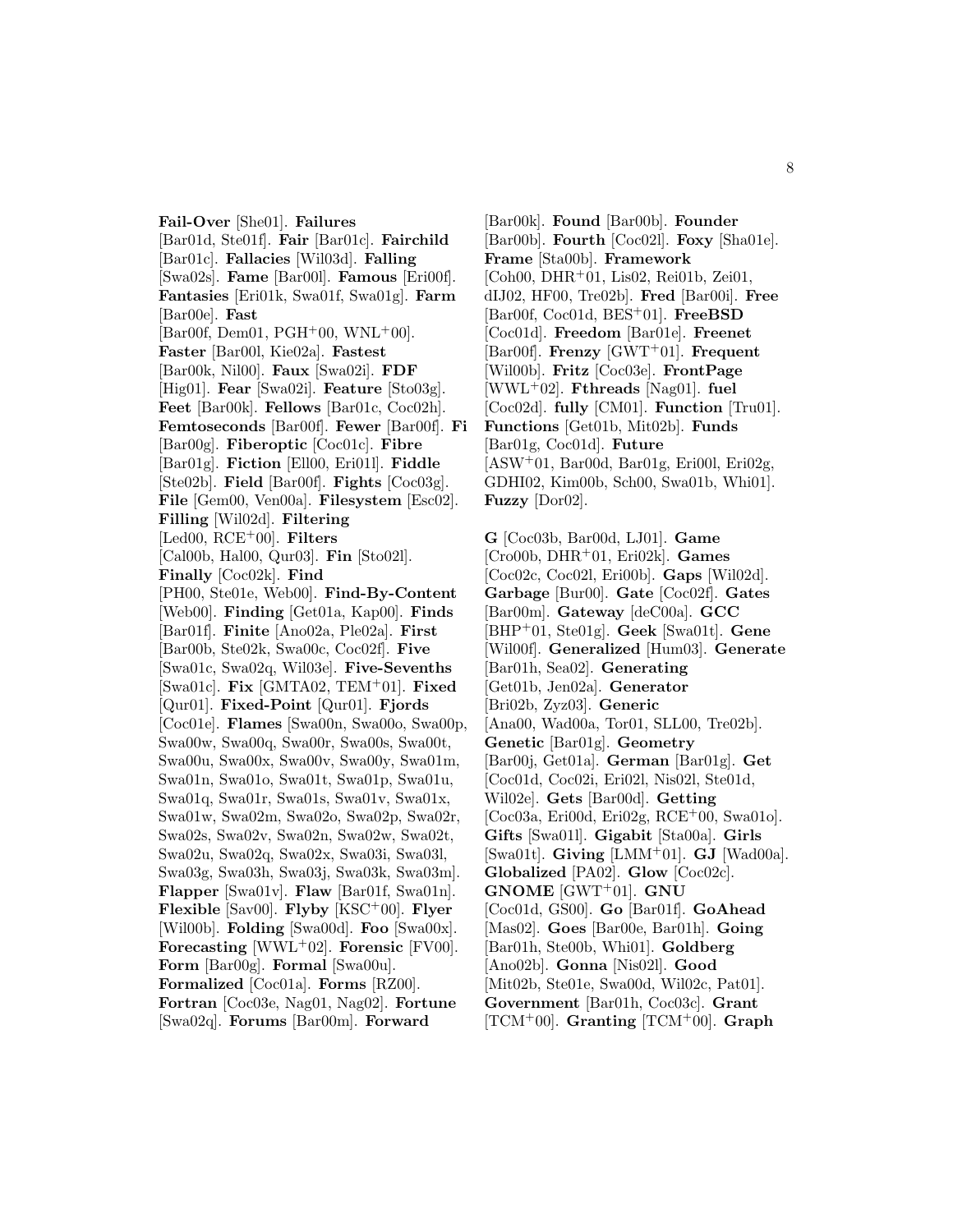**Fail-Over** [She01]. **Failures** [Bar01d, Ste01f]. **Fair** [Bar01c]. **Fairchild** [Bar01c]. **Fallacies** [Wil03d]. **Falling** [Swa02s]. **Fame** [Bar00l]. **Famous** [Eri00f]. **Fantasies** [Eri01k, Swa01f, Swa01g]. **Farm** [Bar00e]. **Fast**  $[Bar00f, Dem01, PGH<sup>+</sup>00, WNL<sup>+</sup>00].$ **Faster** [Bar00l, Kie02a]. **Fastest** [Bar00k, Nil00]. **Faux** [Swa02i]. **FDF** [Hig01]. **Fear** [Swa02i]. **Feature** [Sto03g]. **Feet** [Bar00k]. **Fellows** [Bar01c, Coc02h]. **Femtoseconds** [Bar00f]. **Fewer** [Bar00f]. **Fi** [Bar00g]. **Fiberoptic** [Coc01c]. **Fibre** [Bar01g]. **Fiction** [Ell00, Eri01l]. **Fiddle** [Ste02b]. **Field** [Bar00f]. **Fights** [Coc03g]. **File** [Gem00, Ven00a]. **Filesystem** [Esc02]. **Filling** [Wil02d]. **Filtering** [Led00, RCE<sup>+</sup>00]. **Filters** [Cal00b, Hal00, Qur03]. **Fin** [Sto02l]. **Finally** [Coc02k]. **Find** [PH00, Ste01e, Web00]. **Find-By-Content** [Web00]. **Finding** [Get01a, Kap00]. **Finds** [Bar01f]. **Finite** [Ano02a, Ple02a]. **First** [Bar00b, Ste02k, Swa00c, Coc02f]. **Five** [Swa01c, Swa02q, Wil03e]. **Five-Sevenths** [Swa01c]. **Fix** [GMTA02, TEM<sup>+</sup>01]. **Fixed** [Qur01]. **Fixed-Point** [Qur01]. **Fjords** [Coc01e]. **Flames** [Swa00n, Swa00o, Swa00p, Swa00w, Swa00q, Swa00r, Swa00s, Swa00t, Swa00u, Swa00x, Swa00v, Swa00y, Swa01m, Swa01n, Swa01o, Swa01t, Swa01p, Swa01u, Swa01q, Swa01r, Swa01s, Swa01v, Swa01x, Swa01w, Swa02m, Swa02o, Swa02p, Swa02r, Swa02s, Swa02v, Swa02n, Swa02w, Swa02t, Swa02u, Swa02q, Swa02x, Swa03i, Swa03l, Swa03g, Swa03h, Swa03j, Swa03k, Swa03m]. **Flapper** [Swa01v]. **Flaw** [Bar01f, Swa01n]. **Flexible** [Sav00]. **Flyby** [KSC<sup>+</sup>00]. **Flyer** [Wil00b]. **Folding** [Swa00d]. **Foo** [Swa00x]. **Forecasting** [WWL<sup>+</sup>02]. **Forensic** [FV00]. **Form** [Bar00g]. **Formal** [Swa00u]. **Formalized** [Coc01a]. **Forms** [RZ00]. **Fortran** [Coc03e, Nag01, Nag02]. **Fortune** [Swa02q]. **Forums** [Bar00m]. **Forward**

[Bar00k]. **Found** [Bar00b]. **Founder** [Bar00b]. **Fourth** [Coc02l]. **Foxy** [Sha01e]. **Frame** [Sta00b]. **Framework** [Coh00, DHR<sup>+</sup>01, Lis02, Rei01b, Zei01, dIJ02, HF00, Tre02b]. **Fred** [Bar00i]. **Free** [Bar00f, Coc01d, BES<sup>+</sup>01]. **FreeBSD** [Coc01d]. **Freedom** [Bar01e]. **Freenet** [Bar00f]. **Frenzy** [GWT<sup>+</sup>01]. **Frequent** [Wil00b]. **Fritz** [Coc03e]. **FrontPage** [WWL<sup>+</sup>02]. **Fthreads** [Nag01]. **fuel** [Coc02d]. **fully** [CM01]. **Function** [Tru01]. **Functions** [Get01b, Mit02b]. **Funds** [Bar01g, Coc01d]. **Future**  $[ASW^+01, Bar00d, Bar01g, Eri00l, Eri02g,$ GDHI02, Kim00b, Sch00, Swa01b, Whi01]. **Fuzzy** [Dor02].

**G** [Coc03b, Bar00d, LJ01]. **Game** [Cro00b, DHR<sup>+</sup>01, Eri02k]. **Games** [Coc02c, Coc02l, Eri00b]. **Gaps** [Wil02d]. **Garbage** [Bur00]. **Gate** [Coc02f]. **Gates** [Bar00m]. **Gateway** [deC00a]. **GCC** [BHP<sup>+</sup>01, Ste01g]. **Geek** [Swa01t]. **Gene** [Wil00f]. **Generalized** [Hum03]. **Generate** [Bar01h, Sea02]. **Generating** [Get01b, Jen02a]. **Generator** [Bri02b, Zyz03]. **Generic** [Ana00, Wad00a, Tor01, SLL00, Tre02b]. **Genetic** [Bar01g]. **Geometry** [Bar00j, Get01a]. **German** [Bar01g]. **Get** [Coc01d, Coc02i, Eri02l, Nis02l, Ste01d, Wil02e]. **Gets** [Bar00d]. **Getting**  $[Coc03a, Eri00d, Eri02g, RCE<sup>+</sup>00, Swa01o].$ **Gifts** [Swa01l]. **Gigabit** [Sta00a]. **Girls** [Swa01t]. **Giving** [LMM<sup>+</sup>01]. **GJ** [Wad00a]. **Globalized** [PA02]. **Glow** [Coc02c]. **GNOME** [GWT<sup>+</sup>01]. **GNU** [Coc01d, GS00]. **Go** [Bar01f]. **GoAhead** [Mas02]. **Goes** [Bar00e, Bar01h]. **Going** [Bar01h, Ste00b, Whi01]. **Goldberg** [Ano02b]. **Gonna** [Nis02l]. **Good** [Mit02b, Ste01e, Swa00d, Wil02c, Pat01]. **Government** [Bar01h, Coc03c]. **Grant** [TCM<sup>+</sup>00]. **Granting** [TCM<sup>+</sup>00]. **Graph**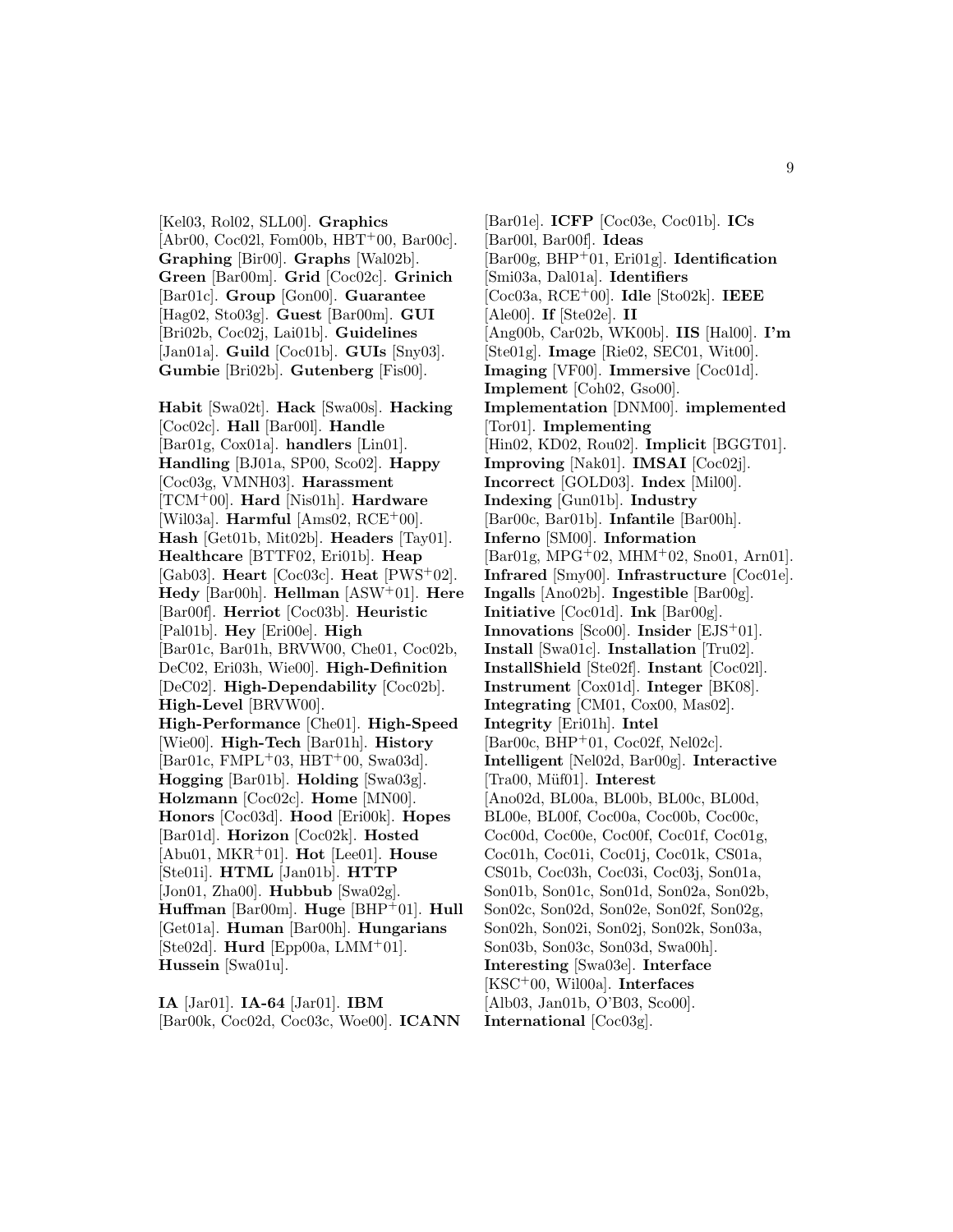[Kel03, Rol02, SLL00]. **Graphics**  $[Abr00, Coc02l, Fom00b, HBT<sup>+</sup>00, Bar00c].$ **Graphing** [Bir00]. **Graphs** [Wal02b]. **Green** [Bar00m]. **Grid** [Coc02c]. **Grinich** [Bar01c]. **Group** [Gon00]. **Guarantee** [Hag02, Sto03g]. **Guest** [Bar00m]. **GUI** [Bri02b, Coc02j, Lai01b]. **Guidelines** [Jan01a]. **Guild** [Coc01b]. **GUIs** [Sny03]. **Gumbie** [Bri02b]. **Gutenberg** [Fis00].

**Habit** [Swa02t]. **Hack** [Swa00s]. **Hacking** [Coc02c]. **Hall** [Bar00l]. **Handle** [Bar01g, Cox01a]. **handlers** [Lin01]. **Handling** [BJ01a, SP00, Sco02]. **Happy** [Coc03g, VMNH03]. **Harassment** [TCM<sup>+</sup>00]. **Hard** [Nis01h]. **Hardware** [Wil03a]. **Harmful** [Ams02, RCE<sup>+</sup>00]. **Hash** [Get01b, Mit02b]. **Headers** [Tay01]. **Healthcare** [BTTF02, Eri01b]. **Heap** [Gab03]. **Heart** [Coc03c]. **Heat** [PWS<sup>+</sup>02]. **Hedy** [Bar00h]. **Hellman** [ASW<sup>+</sup>01]. **Here** [Bar00f]. **Herriot** [Coc03b]. **Heuristic** [Pal01b]. **Hey** [Eri00e]. **High** [Bar01c, Bar01h, BRVW00, Che01, Coc02b, DeC02, Eri03h, Wie00]. **High-Definition** [DeC02]. **High-Dependability** [Coc02b]. **High-Level** [BRVW00]. **High-Performance** [Che01]. **High-Speed** [Wie00]. **High-Tech** [Bar01h]. **History** [Bar01c, FMPL+03, HBT+00, Swa03d]. **Hogging** [Bar01b]. **Holding** [Swa03g]. **Holzmann** [Coc02c]. **Home** [MN00]. **Honors** [Coc03d]. **Hood** [Eri00k]. **Hopes** [Bar01d]. **Horizon** [Coc02k]. **Hosted** [Abu01, MKR<sup>+</sup>01]. **Hot** [Lee01]. **House** [Ste01i]. **HTML** [Jan01b]. **HTTP** [Jon01, Zha00]. **Hubbub** [Swa02g]. **Huffman** [Bar00m]. **Huge** [BHP<sup>+</sup>01]. **Hull** [Get01a]. **Human** [Bar00h]. **Hungarians** [Ste02d]. **Hurd** [Epp00a, LMM<sup>+</sup>01]. **Hussein** [Swa01u].

**IA** [Jar01]. **IA-64** [Jar01]. **IBM** [Bar00k, Coc02d, Coc03c, Woe00]. **ICANN**

[Bar01e]. **ICFP** [Coc03e, Coc01b]. **ICs** [Bar00l, Bar00f]. **Ideas** [Bar00g, BHP<sup>+</sup>01, Eri01g]. **Identification** [Smi03a, Dal01a]. **Identifiers** [Coc03a, RCE<sup>+</sup>00]. **Idle** [Sto02k]. **IEEE** [Ale00]. **If** [Ste02e]. **II** [Ang00b, Car02b, WK00b]. **IIS** [Hal00]. **I'm** [Ste01g]. **Image** [Rie02, SEC01, Wit00]. **Imaging** [VF00]. **Immersive** [Coc01d]. **Implement** [Coh02, Gso00]. **Implementation** [DNM00]. **implemented** [Tor01]. **Implementing** [Hin02, KD02, Rou02]. **Implicit** [BGGT01]. **Improving** [Nak01]. **IMSAI** [Coc02j]. **Incorrect** [GOLD03]. **Index** [Mil00]. **Indexing** [Gun01b]. **Industry** [Bar00c, Bar01b]. **Infantile** [Bar00h]. **Inferno** [SM00]. **Information** [Bar01g, MPG<sup>+</sup>02, MHM<sup>+</sup>02, Sno01, Arn01]. **Infrared** [Smy00]. **Infrastructure** [Coc01e]. **Ingalls** [Ano02b]. **Ingestible** [Bar00g]. **Initiative** [Coc01d]. **Ink** [Bar00g]. **Innovations** [Sco00]. **Insider** [EJS<sup>+</sup>01]. **Install** [Swa01c]. **Installation** [Tru02]. **InstallShield** [Ste02f]. **Instant** [Coc02l]. **Instrument** [Cox01d]. **Integer** [BK08]. **Integrating** [CM01, Cox00, Mas02]. **Integrity** [Eri01h]. **Intel** [Bar00c, BHP+01, Coc02f, Nel02c]. **Intelligent** [Nel02d, Bar00g]. **Interactive** [Tra00, Müf01]. **Interest** [Ano02d, BL00a, BL00b, BL00c, BL00d, BL00e, BL00f, Coc00a, Coc00b, Coc00c, Coc00d, Coc00e, Coc00f, Coc01f, Coc01g, Coc01h, Coc01i, Coc01j, Coc01k, CS01a, CS01b, Coc03h, Coc03i, Coc03j, Son01a, Son01b, Son01c, Son01d, Son02a, Son02b, Son02c, Son02d, Son02e, Son02f, Son02g, Son02h, Son02i, Son02j, Son02k, Son03a, Son03b, Son03c, Son03d, Swa00h]. **Interesting** [Swa03e]. **Interface** [KSC<sup>+</sup>00, Wil00a]. **Interfaces** [Alb03, Jan01b, O'B03, Sco00]. **International** [Coc03g].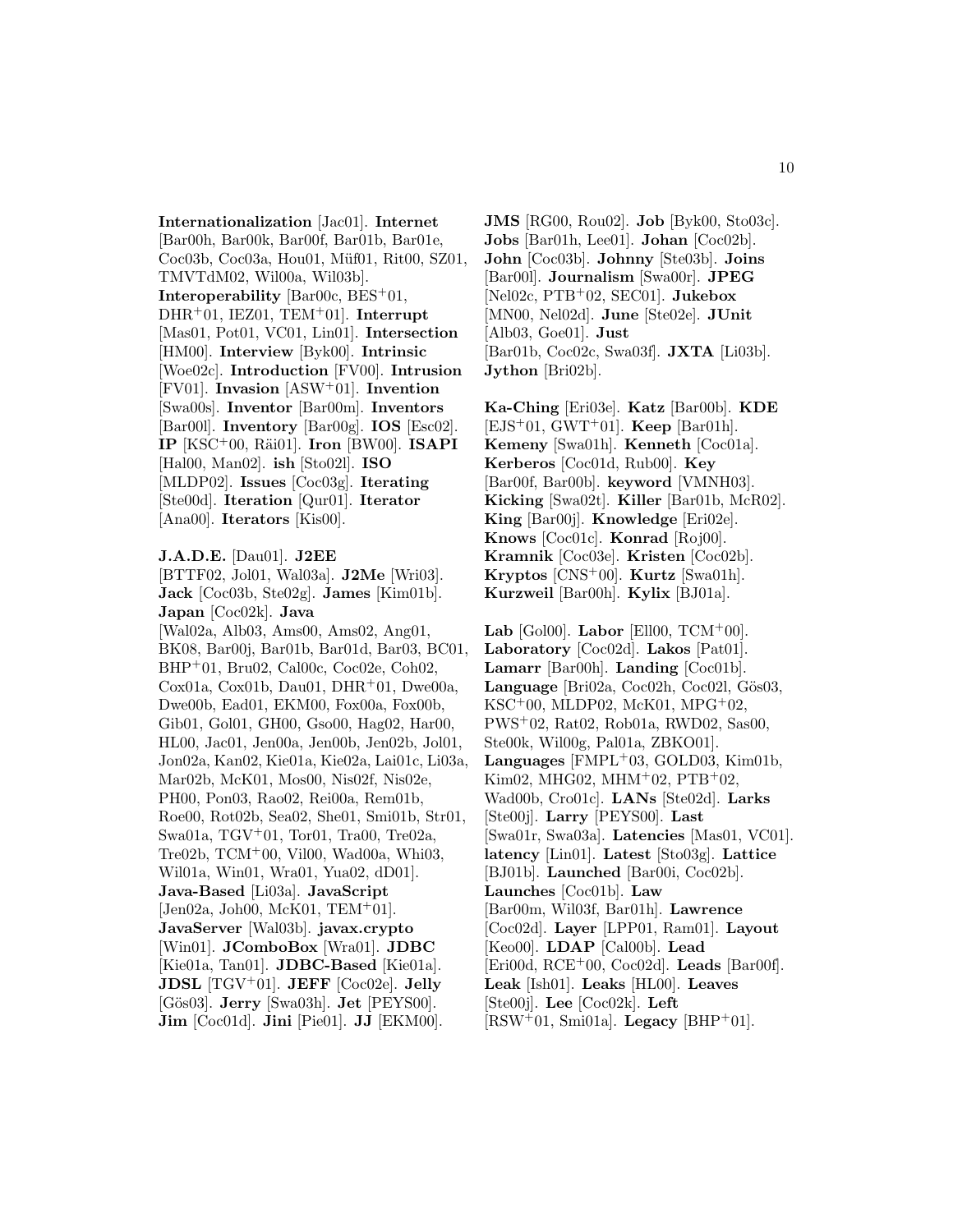**Internationalization** [Jac01]. **Internet** [Bar00h, Bar00k, Bar00f, Bar01b, Bar01e, Coc03b, Coc03a, Hou01, Müf01, Rit00, SZ01, TMVTdM02, Wil00a, Wil03b]. **Interoperability** [Bar00c, BES<sup>+</sup>01, DHR<sup>+</sup>01, IEZ01, TEM<sup>+</sup>01]. **Interrupt** [Mas01, Pot01, VC01, Lin01]. **Intersection** [HM00]. **Interview** [Byk00]. **Intrinsic** [Woe02c]. **Introduction** [FV00]. **Intrusion** [FV01]. **Invasion** [ASW<sup>+</sup>01]. **Invention** [Swa00s]. **Inventor** [Bar00m]. **Inventors** [Bar00l]. **Inventory** [Bar00g]. **IOS** [Esc02]. **IP** [KSC<sup>+</sup>00, R¨ai01]. **Iron** [BW00]. **ISAPI** [Hal00, Man02]. **ish** [Sto02l]. **ISO** [MLDP02]. **Issues** [Coc03g]. **Iterating** [Ste00d]. **Iteration** [Qur01]. **Iterator** [Ana00]. **Iterators** [Kis00].

#### **J.A.D.E.** [Dau01]. **J2EE**

[BTTF02, Jol01, Wal03a]. **J2Me** [Wri03]. **Jack** [Coc03b, Ste02g]. **James** [Kim01b]. **Japan** [Coc02k]. **Java** [Wal02a, Alb03, Ams00, Ams02, Ang01, BK08, Bar00j, Bar01b, Bar01d, Bar03, BC01, BHP<sup>+</sup>01, Bru02, Cal00c, Coc02e, Coh02, Cox01a, Cox01b, Dau01, DHR<sup>+</sup>01, Dwe00a, Dwe00b, Ead01, EKM00, Fox00a, Fox00b, Gib01, Gol01, GH00, Gso00, Hag02, Har00, HL00, Jac01, Jen00a, Jen00b, Jen02b, Jol01, Jon02a, Kan02, Kie01a, Kie02a, Lai01c, Li03a, Mar02b, McK01, Mos00, Nis02f, Nis02e, PH00, Pon03, Rao02, Rei00a, Rem01b, Roe00, Rot02b, Sea02, She01, Smi01b, Str01, Swa01a, TGV<sup>+</sup>01, Tor01, Tra00, Tre02a, Tre02b, TCM<sup>+</sup>00, Vil00, Wad00a, Whi03, Wil01a, Win01, Wra01, Yua02, dD01]. **Java-Based** [Li03a]. **JavaScript** [Jen02a, Joh00, McK01, TEM<sup>+</sup>01]. **JavaServer** [Wal03b]. **javax.crypto** [Win01]. **JComboBox** [Wra01]. **JDBC** [Kie01a, Tan01]. **JDBC-Based** [Kie01a]. **JDSL** [TGV<sup>+</sup>01]. **JEFF** [Coc02e]. **Jelly** [G¨os03]. **Jerry** [Swa03h]. **Jet** [PEYS00]. **Jim** [Coc01d]. **Jini** [Pie01]. **JJ** [EKM00].

**JMS** [RG00, Rou02]. **Job** [Byk00, Sto03c]. **Jobs** [Bar01h, Lee01]. **Johan** [Coc02b]. **John** [Coc03b]. **Johnny** [Ste03b]. **Joins** [Bar00l]. **Journalism** [Swa00r]. **JPEG** [Nel02c, PTB<sup>+</sup>02, SEC01]. **Jukebox** [MN00, Nel02d]. **June** [Ste02e]. **JUnit** [Alb03, Goe01]. **Just** [Bar01b, Coc02c, Swa03f]. **JXTA** [Li03b]. **Jython** [Bri02b].

**Ka-Ching** [Eri03e]. **Katz** [Bar00b]. **KDE** [EJS<sup>+</sup>01, GWT<sup>+</sup>01]. **Keep** [Bar01h]. **Kemeny** [Swa01h]. **Kenneth** [Coc01a]. **Kerberos** [Coc01d, Rub00]. **Key** [Bar00f, Bar00b]. **keyword** [VMNH03]. **Kicking** [Swa02t]. **Killer** [Bar01b, McR02]. **King** [Bar00j]. **Knowledge** [Eri02e]. **Knows** [Coc01c]. **Konrad** [Roj00]. **Kramnik** [Coc03e]. **Kristen** [Coc02b]. **Kryptos** [CNS<sup>+</sup>00]. **Kurtz** [Swa01h]. **Kurzweil** [Bar00h]. **Kylix** [BJ01a].

**Lab** [Gol00]. **Labor** [Ell00, TCM<sup>+</sup>00]. **Laboratory** [Coc02d]. **Lakos** [Pat01]. **Lamarr** [Bar00h]. **Landing** [Coc01b]. Language<sup>[Bri02a, Coc02h, Coc02l, Gös03,</sup> KSC<sup>+</sup>00, MLDP02, McK01, MPG<sup>+</sup>02, PWS<sup>+</sup>02, Rat02, Rob01a, RWD02, Sas00, Ste00k, Wil00g, Pal01a, ZBKO01]. **Languages** [FMPL<sup>+</sup>03, GOLD03, Kim01b, Kim02, MHG02, MHM<sup>+</sup>02, PTB<sup>+</sup>02, Wad00b, Cro01c]. **LANs** [Ste02d]. **Larks** [Ste00j]. **Larry** [PEYS00]. **Last** [Swa01r, Swa03a]. **Latencies** [Mas01, VC01]. **latency** [Lin01]. **Latest** [Sto03g]. **Lattice** [BJ01b]. **Launched** [Bar00i, Coc02b]. **Launches** [Coc01b]. **Law** [Bar00m, Wil03f, Bar01h]. **Lawrence** [Coc02d]. **Layer** [LPP01, Ram01]. **Layout** [Keo00]. **LDAP** [Cal00b]. **Lead** [Eri00d, RCE<sup>+</sup>00, Coc02d]. **Leads** [Bar00f]. **Leak** [Ish01]. **Leaks** [HL00]. **Leaves** [Ste00j]. **Lee** [Coc02k]. **Left**  $[RSW^+01, Smi01a]$ . **Legacy**  $[BHP^+01]$ .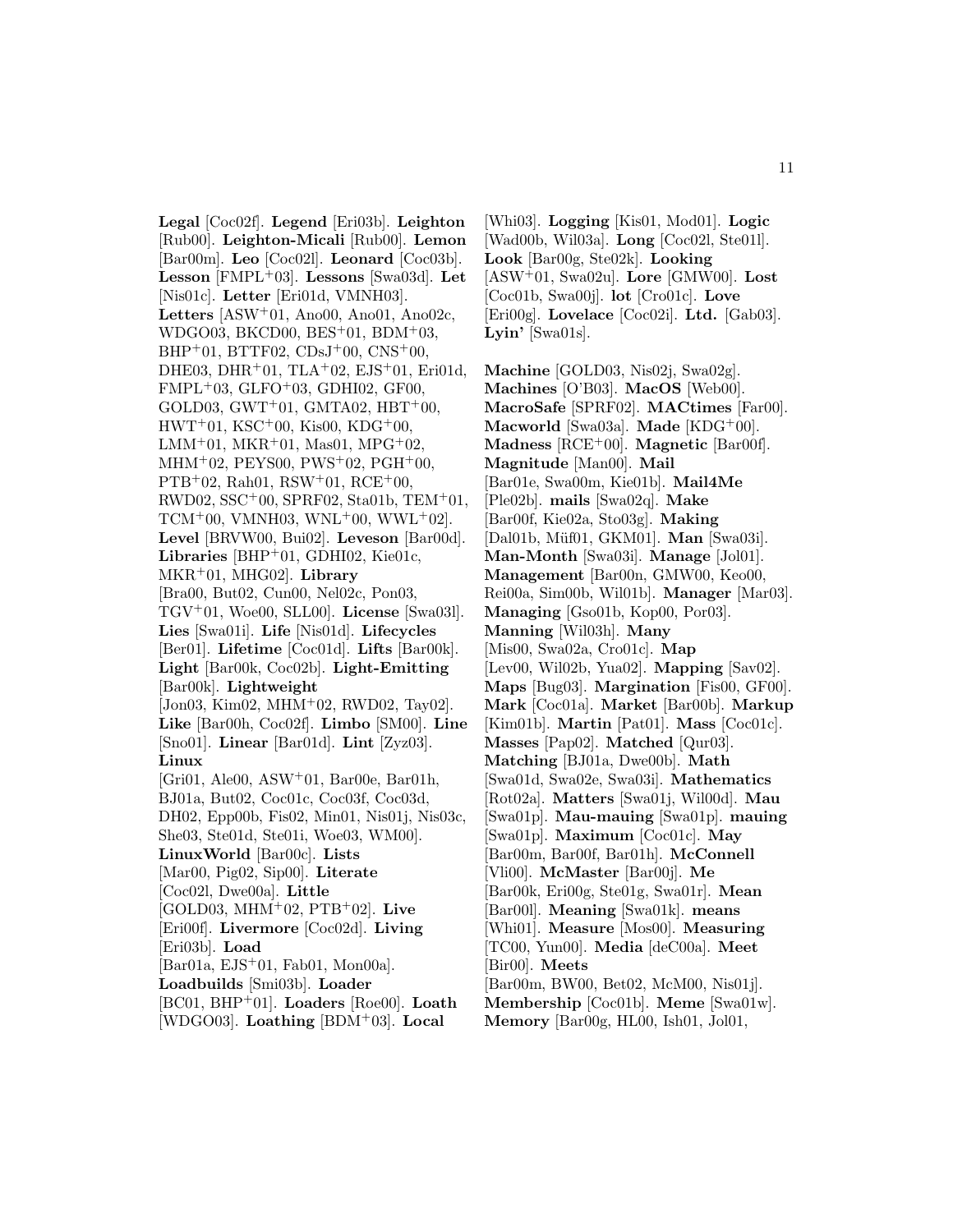**Legal** [Coc02f]. **Legend** [Eri03b]. **Leighton** [Rub00]. **Leighton-Micali** [Rub00]. **Lemon** [Bar00m]. **Leo** [Coc02l]. **Leonard** [Coc03b]. **Lesson** [FMPL<sup>+</sup>03]. **Lessons** [Swa03d]. **Let** [Nis01c]. **Letter** [Eri01d, VMNH03]. **Letters** [ASW<sup>+</sup>01, Ano00, Ano01, Ano02c, WDGO03, BKCD00, BES<sup>+</sup>01, BDM<sup>+</sup>03,  $BHP+01$ ,  $BTTF02$ ,  $CDsJ+00$ ,  $CNS+00$ , DHE03, DHR<sup>+</sup>01, TLA<sup>+</sup>02, EJS<sup>+</sup>01, Eri01d, FMPL<sup>+</sup>03, GLFO<sup>+</sup>03, GDHI02, GF00, GOLD03, GWT<sup>+</sup>01, GMTA02, HBT<sup>+</sup>00, HWT<sup>+</sup>01, KSC<sup>+</sup>00, Kis00, KDG<sup>+</sup>00, LMM<sup>+</sup>01, MKR<sup>+</sup>01, Mas01, MPG<sup>+</sup>02, MHM<sup>+</sup>02, PEYS00, PWS<sup>+</sup>02, PGH<sup>+</sup>00,  $PTB+02$ , Rah01, RSW $+01$ , RCE $+00$ , RWD02, SSC<sup>+</sup>00, SPRF02, Sta01b, TEM<sup>+</sup>01,  $TCM<sup>+</sup>00, VMNH03, WNL<sup>+</sup>00, WWL<sup>+</sup>02$ . **Level** [BRVW00, Bui02]. **Leveson** [Bar00d]. **Libraries** [BHP<sup>+</sup>01, GDHI02, Kie01c, MKR<sup>+</sup>01, MHG02]. **Library** [Bra00, But02, Cun00, Nel02c, Pon03, TGV<sup>+</sup>01, Woe00, SLL00]. **License** [Swa03l]. **Lies** [Swa01i]. **Life** [Nis01d]. **Lifecycles** [Ber01]. **Lifetime** [Coc01d]. **Lifts** [Bar00k]. **Light** [Bar00k, Coc02b]. **Light-Emitting** [Bar00k]. **Lightweight** [Jon03, Kim02, MHM<sup>+</sup>02, RWD02, Tay02]. **Like** [Bar00h, Coc02f]. **Limbo** [SM00]. **Line** [Sno01]. **Linear** [Bar01d]. **Lint** [Zyz03]. **Linux** [Gri01, Ale00, ASW<sup>+</sup>01, Bar00e, Bar01h, BJ01a, But02, Coc01c, Coc03f, Coc03d, DH02, Epp00b, Fis02, Min01, Nis01j, Nis03c, She03, Ste01d, Ste01i, Woe03, WM00]. **LinuxWorld** [Bar00c]. **Lists** [Mar00, Pig02, Sip00]. **Literate** [Coc02l, Dwe00a]. **Little** [GOLD03, MHM<sup>+</sup>02, PTB<sup>+</sup>02]. **Live** [Eri00f]. **Livermore** [Coc02d]. **Living** [Eri03b]. **Load** [Bar01a, EJS<sup>+</sup>01, Fab01, Mon00a]. **Loadbuilds** [Smi03b]. **Loader** [BC01, BHP<sup>+</sup>01]. **Loaders** [Roe00]. **Loath** [WDGO03]. **Loathing** [BDM<sup>+</sup>03]. **Local**

[Whi03]. **Logging** [Kis01, Mod01]. **Logic** [Wad00b, Wil03a]. **Long** [Coc02l, Ste01l]. **Look** [Bar00g, Ste02k]. **Looking** [ASW<sup>+</sup>01, Swa02u]. **Lore** [GMW00]. **Lost** [Coc01b, Swa00j]. **lot** [Cro01c]. **Love** [Eri00g]. **Lovelace** [Coc02i]. **Ltd.** [Gab03]. **Lyin'** [Swa01s].

**Machine** [GOLD03, Nis02j, Swa02g]. **Machines** [O'B03]. **MacOS** [Web00]. **MacroSafe** [SPRF02]. **MACtimes** [Far00]. **Macworld** [Swa03a]. **Made** [KDG<sup>+</sup>00]. **Madness** [RCE<sup>+</sup>00]. **Magnetic** [Bar00f]. **Magnitude** [Man00]. **Mail** [Bar01e, Swa00m, Kie01b]. **Mail4Me** [Ple02b]. **mails** [Swa02q]. **Make** [Bar00f, Kie02a, Sto03g]. **Making** [Dal01b, M¨uf01, GKM01]. **Man** [Swa03i]. **Man-Month** [Swa03i]. **Manage** [Jol01]. **Management** [Bar00n, GMW00, Keo00, Rei00a, Sim00b, Wil01b]. **Manager** [Mar03]. **Managing** [Gso01b, Kop00, Por03]. **Manning** [Wil03h]. **Many** [Mis00, Swa02a, Cro01c]. **Map** [Lev00, Wil02b, Yua02]. **Mapping** [Sav02]. **Maps** [Bug03]. **Margination** [Fis00, GF00]. **Mark** [Coc01a]. **Market** [Bar00b]. **Markup** [Kim01b]. **Martin** [Pat01]. **Mass** [Coc01c]. **Masses** [Pap02]. **Matched** [Qur03]. **Matching** [BJ01a, Dwe00b]. **Math** [Swa01d, Swa02e, Swa03i]. **Mathematics** [Rot02a]. **Matters** [Swa01j, Wil00d]. **Mau** [Swa01p]. **Mau-mauing** [Swa01p]. **mauing** [Swa01p]. **Maximum** [Coc01c]. **May** [Bar00m, Bar00f, Bar01h]. **McConnell** [Vli00]. **McMaster** [Bar00j]. **Me** [Bar00k, Eri00g, Ste01g, Swa01r]. **Mean** [Bar00l]. **Meaning** [Swa01k]. **means** [Whi01]. **Measure** [Mos00]. **Measuring** [TC00, Yun00]. **Media** [deC00a]. **Meet** [Bir00]. **Meets** [Bar00m, BW00, Bet02, McM00, Nis01j]. **Membership** [Coc01b]. **Meme** [Swa01w]. **Memory** [Bar00g, HL00, Ish01, Jol01,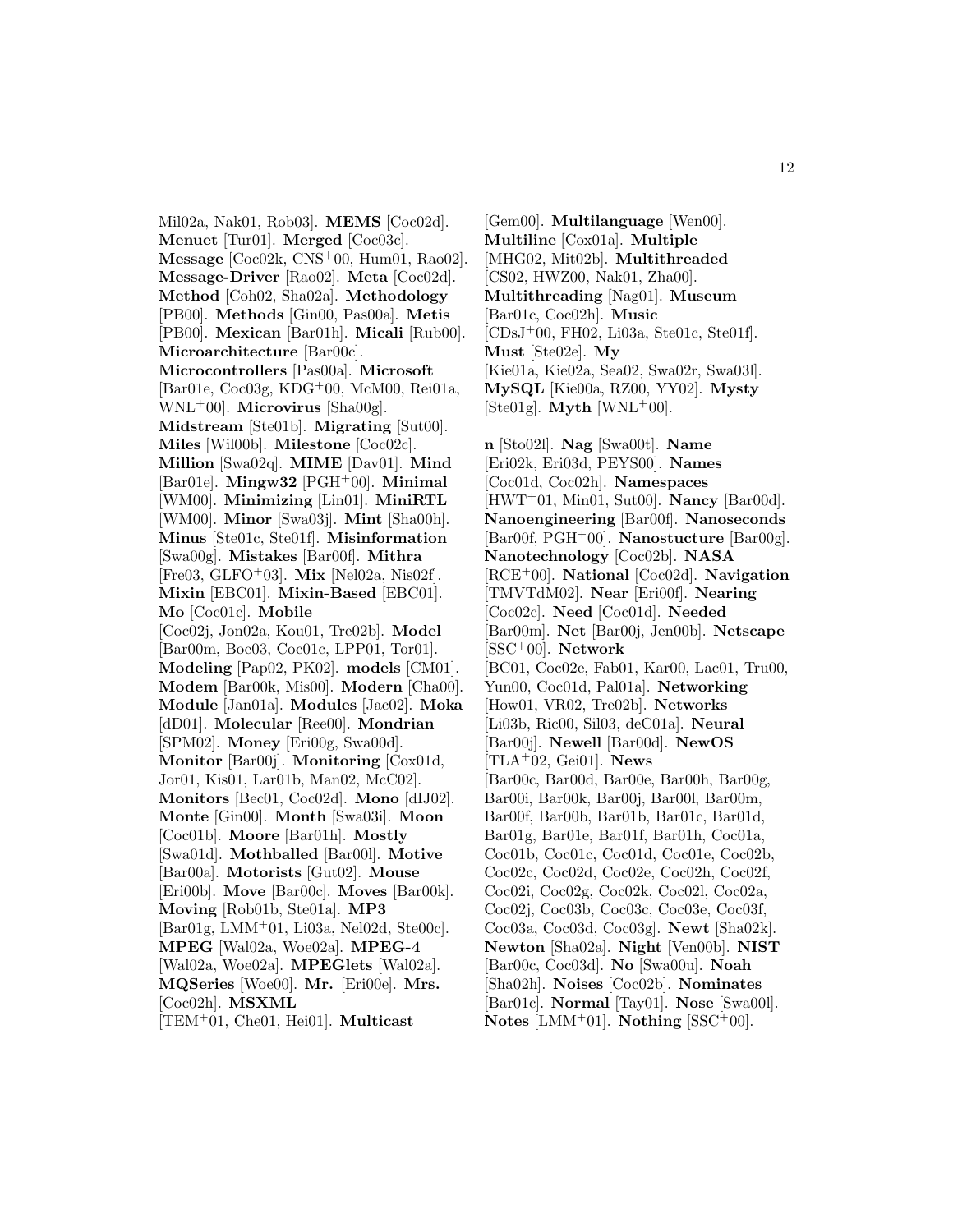Mil02a, Nak01, Rob03]. **MEMS** [Coc02d]. **Menuet** [Tur01]. **Merged** [Coc03c]. **Message** [Coc02k, CNS<sup>+</sup>00, Hum01, Rao02]. **Message-Driver** [Rao02]. **Meta** [Coc02d]. **Method** [Coh02, Sha02a]. **Methodology** [PB00]. **Methods** [Gin00, Pas00a]. **Metis** [PB00]. **Mexican** [Bar01h]. **Micali** [Rub00]. **Microarchitecture** [Bar00c]. **Microcontrollers** [Pas00a]. **Microsoft** [Bar01e, Coc03g, KDG<sup>+</sup>00, McM00, Rei01a, WNL<sup>+</sup>00]. **Microvirus** [Sha00g]. **Midstream** [Ste01b]. **Migrating** [Sut00]. **Miles** [Wil00b]. **Milestone** [Coc02c]. **Million** [Swa02q]. **MIME** [Dav01]. **Mind** [Bar01e]. **Mingw32** [PGH<sup>+</sup>00]. **Minimal** [WM00]. **Minimizing** [Lin01]. **MiniRTL** [WM00]. **Minor** [Swa03j]. **Mint** [Sha00h]. **Minus** [Ste01c, Ste01f]. **Misinformation** [Swa00g]. **Mistakes** [Bar00f]. **Mithra** [Fre03, GLFO<sup>+</sup>03]. **Mix** [Nel02a, Nis02f]. **Mixin** [EBC01]. **Mixin-Based** [EBC01]. **Mo** [Coc01c]. **Mobile** [Coc02j, Jon02a, Kou01, Tre02b]. **Model** [Bar00m, Boe03, Coc01c, LPP01, Tor01]. **Modeling** [Pap02, PK02]. **models** [CM01]. **Modem** [Bar00k, Mis00]. **Modern** [Cha00]. **Module** [Jan01a]. **Modules** [Jac02]. **Moka** [dD01]. **Molecular** [Ree00]. **Mondrian** [SPM02]. **Money** [Eri00g, Swa00d]. **Monitor** [Bar00j]. **Monitoring** [Cox01d, Jor01, Kis01, Lar01b, Man02, McC02]. **Monitors** [Bec01, Coc02d]. **Mono** [dIJ02]. **Monte** [Gin00]. **Month** [Swa03i]. **Moon** [Coc01b]. **Moore** [Bar01h]. **Mostly** [Swa01d]. **Mothballed** [Bar00l]. **Motive** [Bar00a]. **Motorists** [Gut02]. **Mouse** [Eri00b]. **Move** [Bar00c]. **Moves** [Bar00k]. **Moving** [Rob01b, Ste01a]. **MP3** [Bar01g, LMM<sup>+</sup>01, Li03a, Nel02d, Ste00c]. **MPEG** [Wal02a, Woe02a]. **MPEG-4** [Wal02a, Woe02a]. **MPEGlets** [Wal02a]. **MQSeries** [Woe00]. **Mr.** [Eri00e]. **Mrs.** [Coc02h]. **MSXML** [TEM<sup>+</sup>01, Che01, Hei01]. **Multicast**

[Gem00]. **Multilanguage** [Wen00]. **Multiline** [Cox01a]. **Multiple** [MHG02, Mit02b]. **Multithreaded** [CS02, HWZ00, Nak01, Zha00]. **Multithreading** [Nag01]. **Museum** [Bar01c, Coc02h]. **Music** [CDsJ<sup>+</sup>00, FH02, Li03a, Ste01c, Ste01f]. **Must** [Ste02e]. **My** [Kie01a, Kie02a, Sea02, Swa02r, Swa03l]. **MySQL** [Kie00a, RZ00, YY02]. **Mysty**  $[Ste01g]$ . **Myth**  $[WNL^+00]$ .

**n** [Sto02l]. **Nag** [Swa00t]. **Name** [Eri02k, Eri03d, PEYS00]. **Names** [Coc01d, Coc02h]. **Namespaces** [HWT<sup>+</sup>01, Min01, Sut00]. **Nancy** [Bar00d]. **Nanoengineering** [Bar00f]. **Nanoseconds** [Bar00f, PGH<sup>+</sup>00]. **Nanostucture** [Bar00g]. **Nanotechnology** [Coc02b]. **NASA** [RCE<sup>+</sup>00]. **National** [Coc02d]. **Navigation** [TMVTdM02]. **Near** [Eri00f]. **Nearing** [Coc02c]. **Need** [Coc01d]. **Needed** [Bar00m]. **Net** [Bar00j, Jen00b]. **Netscape** [SSC<sup>+</sup>00]. **Network** [BC01, Coc02e, Fab01, Kar00, Lac01, Tru00, Yun00, Coc01d, Pal01a]. **Networking** [How01, VR02, Tre02b]. **Networks** [Li03b, Ric00, Sil03, deC01a]. **Neural** [Bar00j]. **Newell** [Bar00d]. **NewOS** [TLA<sup>+</sup>02, Gei01]. **News** [Bar00c, Bar00d, Bar00e, Bar00h, Bar00g, Bar00i, Bar00k, Bar00j, Bar00l, Bar00m, Bar00f, Bar00b, Bar01b, Bar01c, Bar01d, Bar01g, Bar01e, Bar01f, Bar01h, Coc01a, Coc01b, Coc01c, Coc01d, Coc01e, Coc02b, Coc02c, Coc02d, Coc02e, Coc02h, Coc02f, Coc02i, Coc02g, Coc02k, Coc02l, Coc02a, Coc02j, Coc03b, Coc03c, Coc03e, Coc03f, Coc03a, Coc03d, Coc03g]. **Newt** [Sha02k]. **Newton** [Sha02a]. **Night** [Ven00b]. **NIST** [Bar00c, Coc03d]. **No** [Swa00u]. **Noah** [Sha02h]. **Noises** [Coc02b]. **Nominates** [Bar01c]. **Normal** [Tay01]. **Nose** [Swa00l]. **Notes** [LMM<sup>+</sup>01]. **Nothing** [SSC<sup>+</sup>00].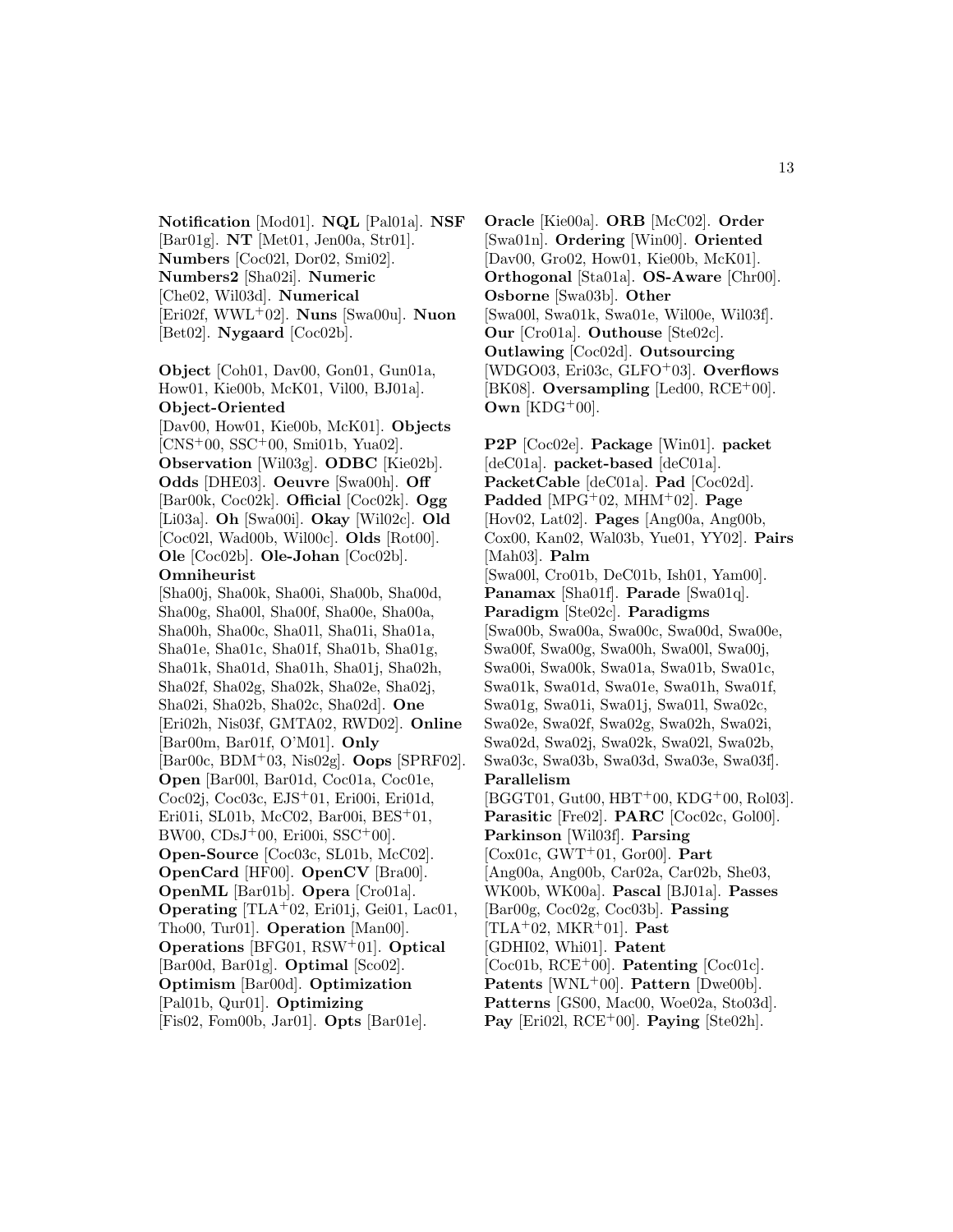**Notification** [Mod01]. **NQL** [Pal01a]. **NSF** [Bar01g]. **NT** [Met01, Jen00a, Str01]. **Numbers** [Coc02l, Dor02, Smi02]. **Numbers2** [Sha02i]. **Numeric** [Che02, Wil03d]. **Numerical** [Eri02f, WWL<sup>+</sup>02]. **Nuns** [Swa00u]. **Nuon** [Bet02]. **Nygaard** [Coc02b].

**Object** [Coh01, Dav00, Gon01, Gun01a, How01, Kie00b, McK01, Vil00, BJ01a]. **Object-Oriented** [Dav00, How01, Kie00b, McK01]. **Objects** [CNS<sup>+</sup>00, SSC<sup>+</sup>00, Smi01b, Yua02]. **Observation** [Wil03g]. **ODBC** [Kie02b]. **Odds** [DHE03]. **Oeuvre** [Swa00h]. **Off** [Bar00k, Coc02k]. **Official** [Coc02k]. **Ogg** [Li03a]. **Oh** [Swa00i]. **Okay** [Wil02c]. **Old** [Coc02l, Wad00b, Wil00c]. **Olds** [Rot00]. **Ole** [Coc02b]. **Ole-Johan** [Coc02b]. **Omniheurist** [Sha00j, Sha00k, Sha00i, Sha00b, Sha00d, Sha00g, Sha00l, Sha00f, Sha00e, Sha00a, Sha00h, Sha00c, Sha01l, Sha01i, Sha01a, Sha01e, Sha01c, Sha01f, Sha01b, Sha01g, Sha01k, Sha01d, Sha01h, Sha01j, Sha02h, Sha02f, Sha02g, Sha02k, Sha02e, Sha02j, Sha02i, Sha02b, Sha02c, Sha02d]. **One** [Eri02h, Nis03f, GMTA02, RWD02]. **Online** [Bar00m, Bar01f, O'M01]. **Only** [Bar00c, BDM<sup>+</sup>03, Nis02g]. **Oops** [SPRF02]. **Open** [Bar00l, Bar01d, Coc01a, Coc01e, Coc02j, Coc03c, EJS<sup>+</sup>01, Eri00i, Eri01d, Eri01i, SL01b, McC02, Bar00i, BES<sup>+</sup>01,  $BW00, CDsJ<sup>+</sup>00, Eri00i, SSC<sup>+</sup>00].$ **Open-Source** [Coc03c, SL01b, McC02]. **OpenCard** [HF00]. **OpenCV** [Bra00]. **OpenML** [Bar01b]. **Opera** [Cro01a]. **Operating** [TLA<sup>+</sup>02, Eri01j, Gei01, Lac01, Tho00, Tur01]. **Operation** [Man00]. **Operations** [BFG01, RSW<sup>+</sup>01]. **Optical** [Bar00d, Bar01g]. **Optimal** [Sco02]. **Optimism** [Bar00d]. **Optimization** [Pal01b, Qur01]. **Optimizing**

[Fis02, Fom00b, Jar01]. **Opts** [Bar01e].

**Oracle** [Kie00a]. **ORB** [McC02]. **Order** [Swa01n]. **Ordering** [Win00]. **Oriented** [Dav00, Gro02, How01, Kie00b, McK01]. **Orthogonal** [Sta01a]. **OS-Aware** [Chr00]. **Osborne** [Swa03b]. **Other** [Swa00l, Swa01k, Swa01e, Wil00e, Wil03f]. **Our** [Cro01a]. **Outhouse** [Ste02c]. **Outlawing** [Coc02d]. **Outsourcing** [WDGO03, Eri03c, GLFO<sup>+</sup>03]. **Overflows** [BK08]. **Oversampling** [Led00, RCE<sup>+</sup>00]. **Own** [KDG<sup>+</sup>00].

**P2P** [Coc02e]. **Package** [Win01]. **packet** [deC01a]. **packet-based** [deC01a]. **PacketCable** [deC01a]. **Pad** [Coc02d]. **Padded** [MPG<sup>+</sup>02, MHM<sup>+</sup>02]. **Page** [Hov02, Lat02]. **Pages** [Ang00a, Ang00b, Cox00, Kan02, Wal03b, Yue01, YY02]. **Pairs** [Mah03]. **Palm** [Swa00l, Cro01b, DeC01b, Ish01, Yam00]. **Panamax** [Sha01f]. **Parade** [Swa01q]. **Paradigm** [Ste02c]. **Paradigms** [Swa00b, Swa00a, Swa00c, Swa00d, Swa00e, Swa00f, Swa00g, Swa00h, Swa00l, Swa00j, Swa00i, Swa00k, Swa01a, Swa01b, Swa01c, Swa01k, Swa01d, Swa01e, Swa01h, Swa01f, Swa01g, Swa01i, Swa01j, Swa01l, Swa02c, Swa02e, Swa02f, Swa02g, Swa02h, Swa02i, Swa02d, Swa02j, Swa02k, Swa02l, Swa02b, Swa03c, Swa03b, Swa03d, Swa03e, Swa03f]. **Parallelism** [BGGT01, Gut00, HBT<sup>+</sup>00, KDG<sup>+</sup>00, Rol03]. **Parasitic** [Fre02]. **PARC** [Coc02c, Gol00]. **Parkinson** [Wil03f]. **Parsing** [Cox01c, GWT<sup>+</sup>01, Gor00]. **Part** [Ang00a, Ang00b, Car02a, Car02b, She03, WK00b, WK00a]. **Pascal** [BJ01a]. **Passes** [Bar00g, Coc02g, Coc03b]. **Passing** [TLA<sup>+</sup>02, MKR<sup>+</sup>01]. **Past** [GDHI02, Whi01]. **Patent** [Coc01b, RCE<sup>+</sup>00]. **Patenting** [Coc01c]. **Patents** [WNL<sup>+</sup>00]. **Pattern** [Dwe00b]. **Patterns** [GS00, Mac00, Woe02a, Sto03d].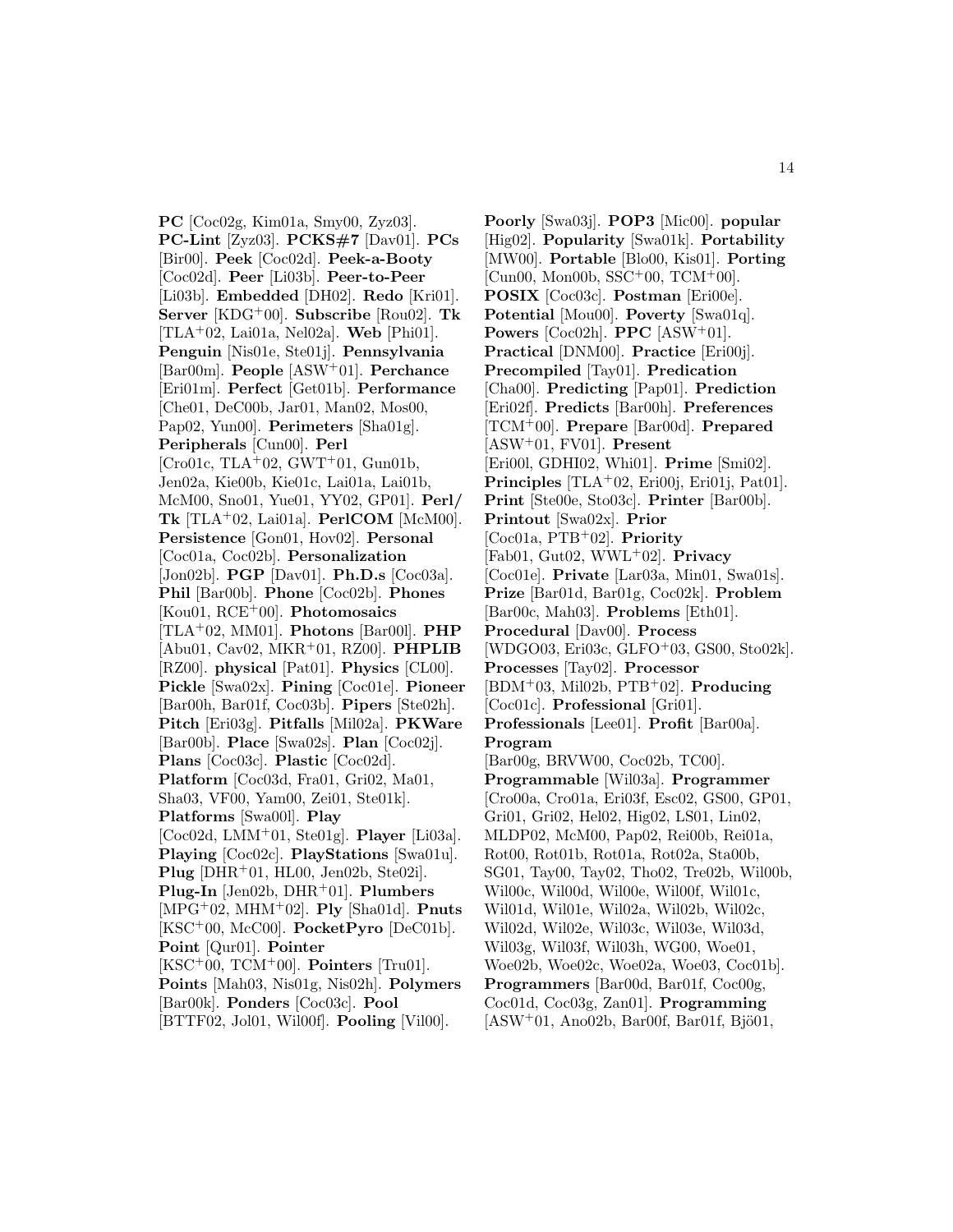**PC** [Coc02g, Kim01a, Smy00, Zyz03]. **PC-Lint** [Zyz03]. **PCKS#7** [Dav01]. **PCs** [Bir00]. **Peek** [Coc02d]. **Peek-a-Booty** [Coc02d]. **Peer** [Li03b]. **Peer-to-Peer** [Li03b]. **Embedded** [DH02]. **Redo** [Kri01]. **Server** [KDG<sup>+</sup>00]. **Subscribe** [Rou02]. **Tk** [TLA<sup>+</sup>02, Lai01a, Nel02a]. **Web** [Phi01]. **Penguin** [Nis01e, Ste01j]. **Pennsylvania** [Bar00m]. **People** [ASW<sup>+</sup>01]. **Perchance** [Eri01m]. **Perfect** [Get01b]. **Performance** [Che01, DeC00b, Jar01, Man02, Mos00, Pap02, Yun00]. **Perimeters** [Sha01g]. **Peripherals** [Cun00]. **Perl** [Cro01c, TLA+02, GWT+01, Gun01b, Jen02a, Kie00b, Kie01c, Lai01a, Lai01b, McM00, Sno01, Yue01, YY02, GP01]. **Perl/ Tk** [TLA<sup>+</sup>02, Lai01a]. **PerlCOM** [McM00]. **Persistence** [Gon01, Hov02]. **Personal** [Coc01a, Coc02b]. **Personalization** [Jon02b]. **PGP** [Dav01]. **Ph.D.s** [Coc03a]. **Phil** [Bar00b]. **Phone** [Coc02b]. **Phones** [Kou01, RCE<sup>+</sup>00]. **Photomosaics** [TLA<sup>+</sup>02, MM01]. **Photons** [Bar00l]. **PHP** [Abu01, Cav02, MKR<sup>+</sup>01, RZ00]. **PHPLIB** [RZ00]. **physical** [Pat01]. **Physics** [CL00]. **Pickle** [Swa02x]. **Pining** [Coc01e]. **Pioneer** [Bar00h, Bar01f, Coc03b]. **Pipers** [Ste02h]. **Pitch** [Eri03g]. **Pitfalls** [Mil02a]. **PKWare** [Bar00b]. **Place** [Swa02s]. **Plan** [Coc02j]. **Plans** [Coc03c]. **Plastic** [Coc02d]. **Platform** [Coc03d, Fra01, Gri02, Ma01, Sha03, VF00, Yam00, Zei01, Ste01k]. **Platforms** [Swa00l]. **Play** [Coc02d, LMM<sup>+</sup>01, Ste01g]. **Player** [Li03a]. **Playing** [Coc02c]. **PlayStations** [Swa01u]. **Plug** [DHR<sup>+</sup>01, HL00, Jen02b, Ste02i]. **Plug-In** [Jen02b, DHR<sup>+</sup>01]. **Plumbers** [MPG<sup>+</sup>02, MHM<sup>+</sup>02]. **Ply** [Sha01d]. **Pnuts** [KSC<sup>+</sup>00, McC00]. **PocketPyro** [DeC01b]. **Point** [Qur01]. **Pointer** [KSC<sup>+</sup>00, TCM<sup>+</sup>00]. **Pointers** [Tru01]. **Points** [Mah03, Nis01g, Nis02h]. **Polymers** [Bar00k]. **Ponders** [Coc03c]. **Pool** [BTTF02, Jol01, Wil00f]. **Pooling** [Vil00].

**Poorly** [Swa03j]. **POP3** [Mic00]. **popular** [Hig02]. **Popularity** [Swa01k]. **Portability** [MW00]. **Portable** [Blo00, Kis01]. **Porting** [Cun00, Mon00b, SSC<sup>+</sup>00, TCM<sup>+</sup>00]. **POSIX** [Coc03c]. **Postman** [Eri00e]. **Potential** [Mou00]. **Poverty** [Swa01q]. **Powers** [Coc02h]. **PPC** [ASW<sup>+</sup>01]. **Practical** [DNM00]. **Practice** [Eri00j]. **Precompiled** [Tay01]. **Predication** [Cha00]. **Predicting** [Pap01]. **Prediction** [Eri02f]. **Predicts** [Bar00h]. **Preferences** [TCM<sup>+</sup>00]. **Prepare** [Bar00d]. **Prepared** [ASW<sup>+</sup>01, FV01]. **Present** [Eri00l, GDHI02, Whi01]. **Prime** [Smi02]. **Principles** [TLA<sup>+</sup>02, Eri00j, Eri01j, Pat01]. **Print** [Ste00e, Sto03c]. **Printer** [Bar00b]. **Printout** [Swa02x]. **Prior** [Coc01a, PTB<sup>+</sup>02]. **Priority** [Fab01, Gut02, WWL<sup>+</sup>02]. **Privacy** [Coc01e]. **Private** [Lar03a, Min01, Swa01s]. **Prize** [Bar01d, Bar01g, Coc02k]. **Problem** [Bar00c, Mah03]. **Problems** [Eth01]. **Procedural** [Dav00]. **Process** [WDGO03, Eri03c, GLFO<sup>+</sup>03, GS00, Sto02k]. **Processes** [Tay02]. **Processor** [BDM<sup>+</sup>03, Mil02b, PTB<sup>+</sup>02]. **Producing** [Coc01c]. **Professional** [Gri01]. **Professionals** [Lee01]. **Profit** [Bar00a]. **Program** [Bar00g, BRVW00, Coc02b, TC00]. **Programmable** [Wil03a]. **Programmer** [Cro00a, Cro01a, Eri03f, Esc02, GS00, GP01, Gri01, Gri02, Hel02, Hig02, LS01, Lin02, MLDP02, McM00, Pap02, Rei00b, Rei01a, Rot00, Rot01b, Rot01a, Rot02a, Sta00b, SG01, Tay00, Tay02, Tho02, Tre02b, Wil00b, Wil00c, Wil00d, Wil00e, Wil00f, Wil01c, Wil01d, Wil01e, Wil02a, Wil02b, Wil02c, Wil02d, Wil02e, Wil03c, Wil03e, Wil03d, Wil03g, Wil03f, Wil03h, WG00, Woe01, Woe02b, Woe02c, Woe02a, Woe03, Coc01b]. **Programmers** [Bar00d, Bar01f, Coc00g, Coc01d, Coc03g, Zan01]. **Programming**  $[ASW<sup>+</sup>01, Ano02b, Bar00f, Bar01f, Bjö01,$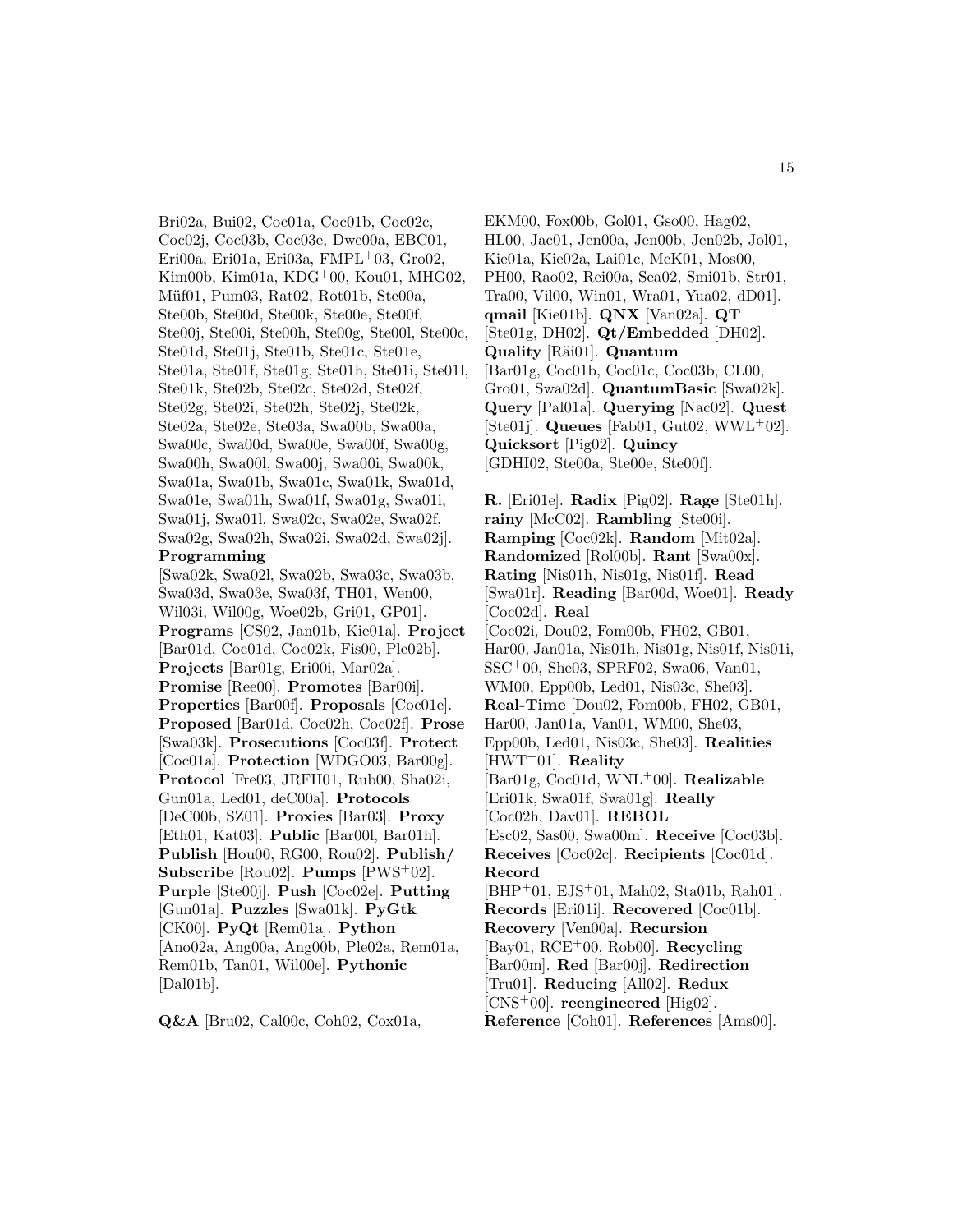Bri02a, Bui02, Coc01a, Coc01b, Coc02c, Coc02j, Coc03b, Coc03e, Dwe00a, EBC01, Eri $00a$ , Eri $01a$ , Eri $03a$ , FMPL<sup>+</sup> $03$ , Gro $02$ , Kim00b, Kim01a, KDG<sup>+</sup>00, Kou01, MHG02, Müf01, Pum03, Rat02, Rot01b, Ste00a, Ste00b, Ste00d, Ste00k, Ste00e, Ste00f, Ste00j, Ste00i, Ste00h, Ste00g, Ste00l, Ste00c, Ste01d, Ste01j, Ste01b, Ste01c, Ste01e, Ste01a, Ste01f, Ste01g, Ste01h, Ste01i, Ste01l, Ste01k, Ste02b, Ste02c, Ste02d, Ste02f, Ste02g, Ste02i, Ste02h, Ste02j, Ste02k, Ste02a, Ste02e, Ste03a, Swa00b, Swa00a, Swa00c, Swa00d, Swa00e, Swa00f, Swa00g, Swa00h, Swa00l, Swa00j, Swa00i, Swa00k, Swa01a, Swa01b, Swa01c, Swa01k, Swa01d, Swa01e, Swa01h, Swa01f, Swa01g, Swa01i, Swa01j, Swa01l, Swa02c, Swa02e, Swa02f, Swa02g, Swa02h, Swa02i, Swa02d, Swa02j]. **Programming**

[Swa02k, Swa02l, Swa02b, Swa03c, Swa03b, Swa03d, Swa03e, Swa03f, TH01, Wen00, Wil03i, Wil00g, Woe02b, Gri01, GP01]. **Programs** [CS02, Jan01b, Kie01a]. **Project** [Bar01d, Coc01d, Coc02k, Fis00, Ple02b]. **Projects** [Bar01g, Eri00i, Mar02a]. **Promise** [Ree00]. **Promotes** [Bar00i]. **Properties** [Bar00f]. **Proposals** [Coc01e]. **Proposed** [Bar01d, Coc02h, Coc02f]. **Prose** [Swa03k]. **Prosecutions** [Coc03f]. **Protect** [Coc01a]. **Protection** [WDGO03, Bar00g]. **Protocol** [Fre03, JRFH01, Rub00, Sha02i, Gun01a, Led01, deC00a]. **Protocols** [DeC00b, SZ01]. **Proxies** [Bar03]. **Proxy** [Eth01, Kat03]. **Public** [Bar00l, Bar01h]. **Publish** [Hou00, RG00, Rou02]. **Publish/ Subscribe** [Rou02]. **Pumps** [PWS<sup>+</sup>02]. **Purple** [Ste00j]. **Push** [Coc02e]. **Putting** [Gun01a]. **Puzzles** [Swa01k]. **PyGtk** [CK00]. **PyQt** [Rem01a]. **Python** [Ano02a, Ang00a, Ang00b, Ple02a, Rem01a, Rem01b, Tan01, Wil00e]. **Pythonic**  $[Da101b]$ .

**Q&A** [Bru02, Cal00c, Coh02, Cox01a,

EKM00, Fox00b, Gol01, Gso00, Hag02, HL00, Jac01, Jen00a, Jen00b, Jen02b, Jol01, Kie01a, Kie02a, Lai01c, McK01, Mos00, PH00, Rao02, Rei00a, Sea02, Smi01b, Str01, Tra00, Vil00, Win01, Wra01, Yua02, dD01]. **qmail** [Kie01b]. **QNX** [Van02a]. **QT** [Ste01g, DH02]. **Qt/Embedded** [DH02]. **Quality** [Räi01]. **Quantum** [Bar01g, Coc01b, Coc01c, Coc03b, CL00, Gro01, Swa02d]. **QuantumBasic** [Swa02k]. **Query** [Pal01a]. **Querying** [Nac02]. **Quest** [Ste01j]. **Queues** [Fab01, Gut02, WWL<sup>+</sup>02]. **Quicksort** [Pig02]. **Quincy** [GDHI02, Ste00a, Ste00e, Ste00f].

**R.** [Eri01e]. **Radix** [Pig02]. **Rage** [Ste01h]. **rainy** [McC02]. **Rambling** [Ste00i]. **Ramping** [Coc02k]. **Random** [Mit02a]. **Randomized** [Rol00b]. **Rant** [Swa00x]. **Rating** [Nis01h, Nis01g, Nis01f]. **Read** [Swa01r]. **Reading** [Bar00d, Woe01]. **Ready** [Coc02d]. **Real** [Coc02i, Dou02, Fom00b, FH02, GB01, Har00, Jan01a, Nis01h, Nis01g, Nis01f, Nis01i, SSC<sup>+</sup>00, She03, SPRF02, Swa06, Van01, WM00, Epp00b, Led01, Nis03c, She03]. **Real-Time** [Dou02, Fom00b, FH02, GB01, Har00, Jan01a, Van01, WM00, She03, Epp00b, Led01, Nis03c, She03]. **Realities** [HWT<sup>+</sup>01]. **Reality** [Bar01g, Coc01d, WNL<sup>+</sup>00]. **Realizable** [Eri01k, Swa01f, Swa01g]. **Really** [Coc02h, Dav01]. **REBOL** [Esc02, Sas00, Swa00m]. **Receive** [Coc03b]. **Receives** [Coc02c]. **Recipients** [Coc01d]. **Record** [BHP<sup>+</sup>01, EJS<sup>+</sup>01, Mah02, Sta01b, Rah01]. **Records** [Eri01i]. **Recovered** [Coc01b]. **Recovery** [Ven00a]. **Recursion** [Bay01, RCE<sup>+</sup>00, Rob00]. **Recycling** [Bar00m]. **Red** [Bar00j]. **Redirection** [Tru01]. **Reducing** [All02]. **Redux** [CNS<sup>+</sup>00]. **reengineered** [Hig02]. **Reference** [Coh01]. **References** [Ams00].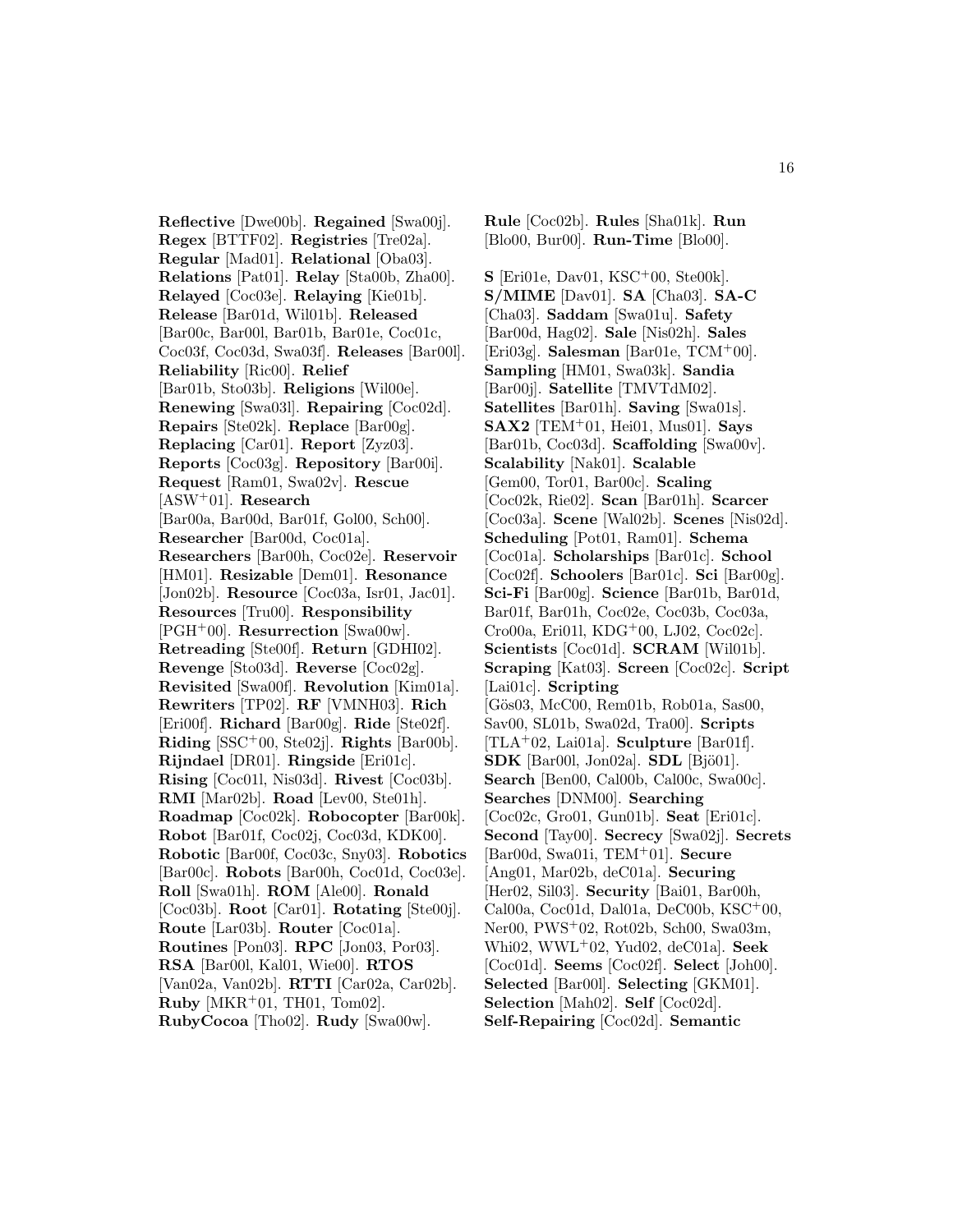**Reflective** [Dwe00b]. **Regained** [Swa00j]. **Regex** [BTTF02]. **Registries** [Tre02a]. **Regular** [Mad01]. **Relational** [Oba03]. **Relations** [Pat01]. **Relay** [Sta00b, Zha00]. **Relayed** [Coc03e]. **Relaying** [Kie01b]. **Release** [Bar01d, Wil01b]. **Released** [Bar00c, Bar00l, Bar01b, Bar01e, Coc01c, Coc03f, Coc03d, Swa03f]. **Releases** [Bar00l]. **Reliability** [Ric00]. **Relief** [Bar01b, Sto03b]. **Religions** [Wil00e]. **Renewing** [Swa03l]. **Repairing** [Coc02d]. **Repairs** [Ste02k]. **Replace** [Bar00g]. **Replacing** [Car01]. **Report** [Zyz03]. **Reports** [Coc03g]. **Repository** [Bar00i]. **Request** [Ram01, Swa02v]. **Rescue** [ASW<sup>+</sup>01]. **Research** [Bar00a, Bar00d, Bar01f, Gol00, Sch00]. **Researcher** [Bar00d, Coc01a]. **Researchers** [Bar00h, Coc02e]. **Reservoir** [HM01]. **Resizable** [Dem01]. **Resonance** [Jon02b]. **Resource** [Coc03a, Isr01, Jac01]. **Resources** [Tru00]. **Responsibility** [PGH<sup>+</sup>00]. **Resurrection** [Swa00w]. **Retreading** [Ste00f]. **Return** [GDHI02]. **Revenge** [Sto03d]. **Reverse** [Coc02g]. **Revisited** [Swa00f]. **Revolution** [Kim01a]. **Rewriters** [TP02]. **RF** [VMNH03]. **Rich** [Eri00f]. **Richard** [Bar00g]. **Ride** [Ste02f]. **Riding** [SSC<sup>+</sup>00, Ste02j]. **Rights** [Bar00b]. **Rijndael** [DR01]. **Ringside** [Eri01c]. **Rising** [Coc01l, Nis03d]. **Rivest** [Coc03b]. **RMI** [Mar02b]. **Road** [Lev00, Ste01h]. **Roadmap** [Coc02k]. **Robocopter** [Bar00k]. **Robot** [Bar01f, Coc02j, Coc03d, KDK00]. **Robotic** [Bar00f, Coc03c, Sny03]. **Robotics** [Bar00c]. **Robots** [Bar00h, Coc01d, Coc03e]. **Roll** [Swa01h]. **ROM** [Ale00]. **Ronald** [Coc03b]. **Root** [Car01]. **Rotating** [Ste00j]. **Route** [Lar03b]. **Router** [Coc01a]. **Routines** [Pon03]. **RPC** [Jon03, Por03]. **RSA** [Bar00l, Kal01, Wie00]. **RTOS** [Van02a, Van02b]. **RTTI** [Car02a, Car02b]. **Ruby** [MKR<sup>+</sup>01, TH01, Tom02]. **RubyCocoa** [Tho02]. **Rudy** [Swa00w].

**Rule** [Coc02b]. **Rules** [Sha01k]. **Run** [Blo00, Bur00]. **Run-Time** [Blo00].

**S** [Eri01e, Dav01, KSC<sup>+</sup>00, Ste00k]. **S/MIME** [Dav01]. **SA** [Cha03]. **SA-C** [Cha03]. **Saddam** [Swa01u]. **Safety** [Bar00d, Hag02]. **Sale** [Nis02h]. **Sales** [Eri03g]. **Salesman** [Bar01e, TCM<sup>+</sup>00]. **Sampling** [HM01, Swa03k]. **Sandia** [Bar00j]. **Satellite** [TMVTdM02]. **Satellites** [Bar01h]. **Saving** [Swa01s]. **SAX2** [TEM<sup>+</sup>01, Hei01, Mus01]. **Says** [Bar01b, Coc03d]. **Scaffolding** [Swa00v]. **Scalability** [Nak01]. **Scalable** [Gem00, Tor01, Bar00c]. **Scaling** [Coc02k, Rie02]. **Scan** [Bar01h]. **Scarcer** [Coc03a]. **Scene** [Wal02b]. **Scenes** [Nis02d]. **Scheduling** [Pot01, Ram01]. **Schema** [Coc01a]. **Scholarships** [Bar01c]. **School** [Coc02f]. **Schoolers** [Bar01c]. **Sci** [Bar00g]. **Sci-Fi** [Bar00g]. **Science** [Bar01b, Bar01d, Bar01f, Bar01h, Coc02e, Coc03b, Coc03a, Cro00a, Eri01l, KDG<sup>+</sup>00, LJ02, Coc02c]. **Scientists** [Coc01d]. **SCRAM** [Wil01b]. **Scraping** [Kat03]. **Screen** [Coc02c]. **Script** [Lai01c]. **Scripting** [Gös03, McC00, Rem01b, Rob01a, Sas00, Sav00, SL01b, Swa02d, Tra00]. **Scripts** [TLA<sup>+</sup>02, Lai01a]. **Sculpture** [Bar01f]. **SDK** [Bar00l, Jon02a]. **SDL** [Bjö01]. **Search** [Ben00, Cal00b, Cal00c, Swa00c]. **Searches** [DNM00]. **Searching** [Coc02c, Gro01, Gun01b]. **Seat** [Eri01c]. **Second** [Tay00]. **Secrecy** [Swa02j]. **Secrets** [Bar00d, Swa01i, TEM<sup>+</sup>01]. **Secure** [Ang01, Mar02b, deC01a]. **Securing** [Her02, Sil03]. **Security** [Bai01, Bar00h, Cal00a, Coc01d, Dal01a, DeC00b, KSC<sup>+</sup>00, Ner00, PWS<sup>+</sup>02, Rot02b, Sch00, Swa03m, Whi02, WWL<sup>+</sup>02, Yud02, deC01a]. **Seek** [Coc01d]. **Seems** [Coc02f]. **Select** [Joh00]. **Selected** [Bar00l]. **Selecting** [GKM01]. **Selection** [Mah02]. **Self** [Coc02d]. **Self-Repairing** [Coc02d]. **Semantic**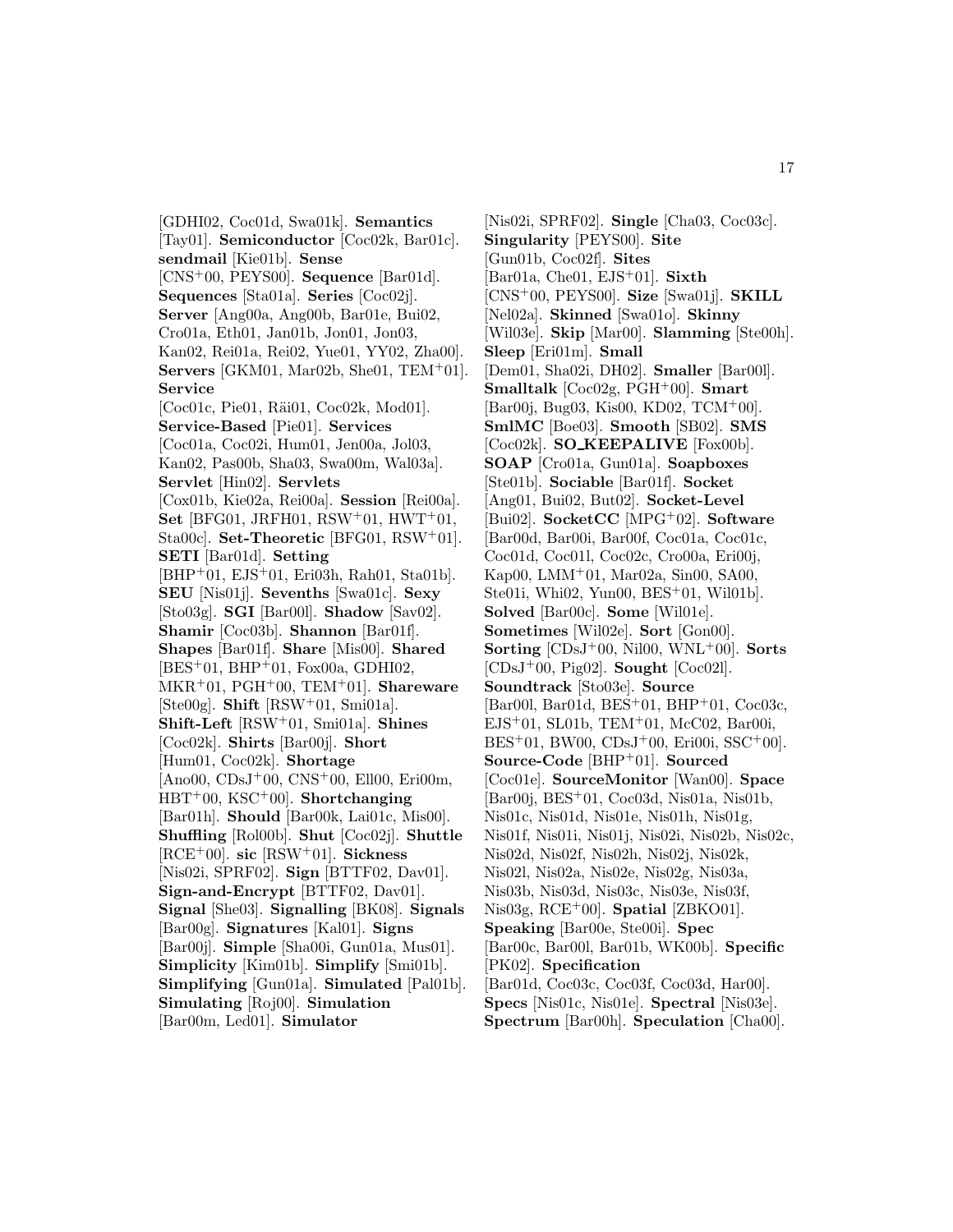[GDHI02, Coc01d, Swa01k]. **Semantics** [Tay01]. **Semiconductor** [Coc02k, Bar01c]. **sendmail** [Kie01b]. **Sense** [CNS<sup>+</sup>00, PEYS00]. **Sequence** [Bar01d]. **Sequences** [Sta01a]. **Series** [Coc02j]. **Server** [Ang00a, Ang00b, Bar01e, Bui02, Cro01a, Eth01, Jan01b, Jon01, Jon03, Kan02, Rei01a, Rei02, Yue01, YY02, Zha00]. **Servers** [GKM01, Mar02b, She01, TEM<sup>+</sup>01]. **Service** [Coc01c, Pie01, Räi01, Coc02k, Mod01]. **Service-Based** [Pie01]. **Services** [Coc01a, Coc02i, Hum01, Jen00a, Jol03, Kan02, Pas00b, Sha03, Swa00m, Wal03a]. **Servlet** [Hin02]. **Servlets** [Cox01b, Kie02a, Rei00a]. **Session** [Rei00a]. **Set** [BFG01, JRFH01, RSW<sup>+</sup>01, HWT<sup>+</sup>01, Sta00c]. **Set-Theoretic** [BFG01, RSW<sup>+</sup>01]. **SETI** [Bar01d]. **Setting** [BHP<sup>+</sup>01, EJS<sup>+</sup>01, Eri03h, Rah01, Sta01b]. **SEU** [Nis01j]. **Sevenths** [Swa01c]. **Sexy** [Sto03g]. **SGI** [Bar00l]. **Shadow** [Sav02]. **Shamir** [Coc03b]. **Shannon** [Bar01f]. **Shapes** [Bar01f]. **Share** [Mis00]. **Shared**  $[BES<sup>+</sup>01, BHP<sup>+</sup>01, Fox00a, GDHI02,$ MKR<sup>+</sup>01, PGH<sup>+</sup>00, TEM<sup>+</sup>01]. **Shareware** [Ste00g]. **Shift** [RSW<sup>+</sup>01, Smi01a]. **Shift-Left** [RSW<sup>+</sup>01, Smi01a]. **Shines** [Coc02k]. **Shirts** [Bar00j]. **Short** [Hum01, Coc02k]. **Shortage** [Ano00, CDsJ<sup>+</sup>00, CNS<sup>+</sup>00, Ell00, Eri00m, HBT<sup>+</sup>00, KSC<sup>+</sup>00]. **Shortchanging** [Bar01h]. **Should** [Bar00k, Lai01c, Mis00]. **Shuffling** [Rol00b]. **Shut** [Coc02j]. **Shuttle** [RCE<sup>+</sup>00]. **sic** [RSW<sup>+</sup>01]. **Sickness** [Nis02i, SPRF02]. **Sign** [BTTF02, Dav01]. **Sign-and-Encrypt** [BTTF02, Dav01]. **Signal** [She03]. **Signalling** [BK08]. **Signals** [Bar00g]. **Signatures** [Kal01]. **Signs** [Bar00j]. **Simple** [Sha00i, Gun01a, Mus01]. **Simplicity** [Kim01b]. **Simplify** [Smi01b]. **Simplifying** [Gun01a]. **Simulated** [Pal01b]. **Simulating** [Roj00]. **Simulation** [Bar00m, Led01]. **Simulator**

[Nis02i, SPRF02]. **Single** [Cha03, Coc03c]. **Singularity** [PEYS00]. **Site** [Gun01b, Coc02f]. **Sites** [Bar01a, Che01, EJS<sup>+</sup>01]. **Sixth** [CNS<sup>+</sup>00, PEYS00]. **Size** [Swa01j]. **SKILL** [Nel02a]. **Skinned** [Swa01o]. **Skinny** [Wil03e]. **Skip** [Mar00]. **Slamming** [Ste00h]. **Sleep** [Eri01m]. **Small** [Dem01, Sha02i, DH02]. **Smaller** [Bar00l]. **Smalltalk** [Coc02g, PGH<sup>+</sup>00]. **Smart** [Bar00j, Bug03, Kis00, KD02, TCM<sup>+</sup>00]. **SmlMC** [Boe03]. **Smooth** [SB02]. **SMS** [Coc02k]. **SO KEEPALIVE** [Fox00b]. **SOAP** [Cro01a, Gun01a]. **Soapboxes** [Ste01b]. **Sociable** [Bar01f]. **Socket** [Ang01, Bui02, But02]. **Socket-Level** [Bui02]. **SocketCC** [MPG<sup>+</sup>02]. **Software** [Bar00d, Bar00i, Bar00f, Coc01a, Coc01c, Coc01d, Coc01l, Coc02c, Cro00a, Eri00j, Kap00, LMM<sup>+</sup>01, Mar02a, Sin00, SA00, Ste01i, Whi02, Yun00, BES<sup>+</sup>01, Wil01b]. **Solved** [Bar00c]. **Some** [Wil01e]. **Sometimes** [Wil02e]. **Sort** [Gon00]. **Sorting** [CDsJ<sup>+</sup>00, Nil00, WNL<sup>+</sup>00]. **Sorts** [CDsJ<sup>+</sup>00, Pig02]. **Sought** [Coc02l]. **Soundtrack** [Sto03e]. **Source**  $[Bar00l, Bar01d, BES<sup>+</sup>01, BHP<sup>+</sup>01, Coc03c,$ EJS<sup>+</sup>01, SL01b, TEM<sup>+</sup>01, McC02, Bar00i,  $BES+01$ , BW00,  $CDsJ+00$ , Eri00i,  $SSC+00$ . **Source-Code** [BHP<sup>+</sup>01]. **Sourced** [Coc01e]. **SourceMonitor** [Wan00]. **Space** [Bar00j, BES<sup>+</sup>01, Coc03d, Nis01a, Nis01b, Nis01c, Nis01d, Nis01e, Nis01h, Nis01g, Nis01f, Nis01i, Nis01j, Nis02i, Nis02b, Nis02c, Nis02d, Nis02f, Nis02h, Nis02j, Nis02k, Nis02l, Nis02a, Nis02e, Nis02g, Nis03a, Nis03b, Nis03d, Nis03c, Nis03e, Nis03f, Nis03g, RCE<sup>+</sup>00]. **Spatial** [ZBKO01]. **Speaking** [Bar00e, Ste00i]. **Spec** [Bar00c, Bar00l, Bar01b, WK00b]. **Specific** [PK02]. **Specification** [Bar01d, Coc03c, Coc03f, Coc03d, Har00]. **Specs** [Nis01c, Nis01e]. **Spectral** [Nis03e]. **Spectrum** [Bar00h]. **Speculation** [Cha00].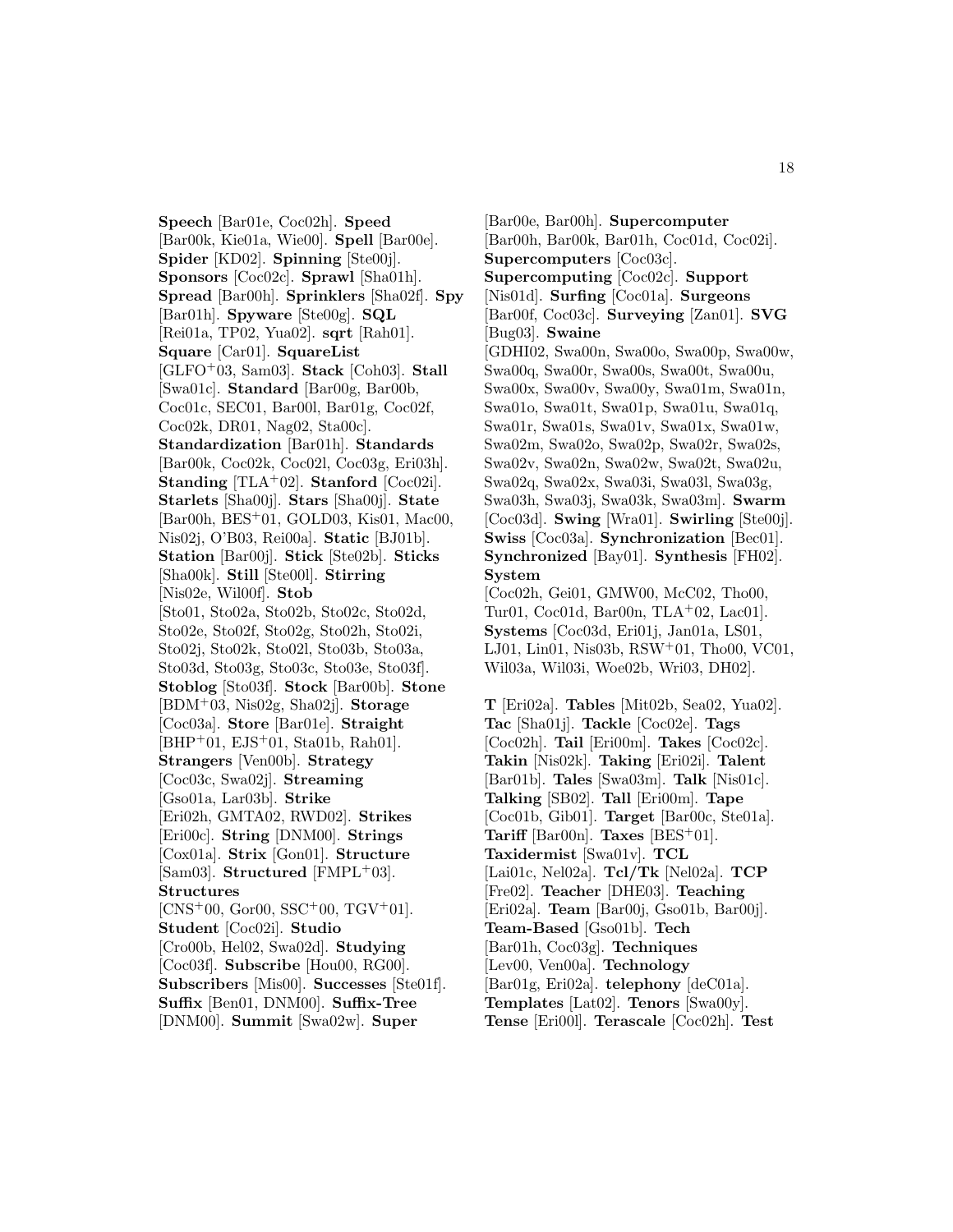**Speech** [Bar01e, Coc02h]. **Speed** [Bar00k, Kie01a, Wie00]. **Spell** [Bar00e]. **Spider** [KD02]. **Spinning** [Ste00j]. **Sponsors** [Coc02c]. **Sprawl** [Sha01h]. **Spread** [Bar00h]. **Sprinklers** [Sha02f]. **Spy** [Bar01h]. **Spyware** [Ste00g]. **SQL** [Rei01a, TP02, Yua02]. **sqrt** [Rah01]. **Square** [Car01]. **SquareList** [GLFO<sup>+</sup>03, Sam03]. **Stack** [Coh03]. **Stall** [Swa01c]. **Standard** [Bar00g, Bar00b, Coc01c, SEC01, Bar00l, Bar01g, Coc02f, Coc02k, DR01, Nag02, Sta00c]. **Standardization** [Bar01h]. **Standards** [Bar00k, Coc02k, Coc02l, Coc03g, Eri03h]. **Standing** [TLA<sup>+</sup>02]. **Stanford** [Coc02i]. **Starlets** [Sha00j]. **Stars** [Sha00j]. **State** [Bar00h, BES<sup>+</sup>01, GOLD03, Kis01, Mac00, Nis02j, O'B03, Rei00a]. **Static** [BJ01b]. **Station** [Bar00j]. **Stick** [Ste02b]. **Sticks** [Sha00k]. **Still** [Ste00l]. **Stirring** [Nis02e, Wil00f]. **Stob** [Sto01, Sto02a, Sto02b, Sto02c, Sto02d, Sto02e, Sto02f, Sto02g, Sto02h, Sto02i, Sto02j, Sto02k, Sto02l, Sto03b, Sto03a, Sto03d, Sto03g, Sto03c, Sto03e, Sto03f]. **Stoblog** [Sto03f]. **Stock** [Bar00b]. **Stone** [BDM<sup>+</sup>03, Nis02g, Sha02j]. **Storage** [Coc03a]. **Store** [Bar01e]. **Straight** [BHP<sup>+</sup>01, EJS<sup>+</sup>01, Sta01b, Rah01]. **Strangers** [Ven00b]. **Strategy** [Coc03c, Swa02j]. **Streaming** [Gso01a, Lar03b]. **Strike** [Eri02h, GMTA02, RWD02]. **Strikes** [Eri00c]. **String** [DNM00]. **Strings** [Cox01a]. **Strix** [Gon01]. **Structure** [Sam03]. **Structured** [FMPL<sup>+</sup>03]. **Structures**  $[CNS+00, Gor00, SSC+00, TGV+01].$ **Student** [Coc02i]. **Studio** [Cro00b, Hel02, Swa02d]. **Studying** [Coc03f]. **Subscribe** [Hou00, RG00]. **Subscribers** [Mis00]. **Successes** [Ste01f]. **Suffix** [Ben01, DNM00]. **Suffix-Tree** [DNM00]. **Summit** [Swa02w]. **Super**

[Bar00e, Bar00h]. **Supercomputer** [Bar00h, Bar00k, Bar01h, Coc01d, Coc02i]. **Supercomputers** [Coc03c]. **Supercomputing** [Coc02c]. **Support** [Nis01d]. **Surfing** [Coc01a]. **Surgeons** [Bar00f, Coc03c]. **Surveying** [Zan01]. **SVG** [Bug03]. **Swaine** [GDHI02, Swa00n, Swa00o, Swa00p, Swa00w, Swa00q, Swa00r, Swa00s, Swa00t, Swa00u, Swa00x, Swa00v, Swa00y, Swa01m, Swa01n, Swa01o, Swa01t, Swa01p, Swa01u, Swa01q, Swa01r, Swa01s, Swa01v, Swa01x, Swa01w, Swa02m, Swa02o, Swa02p, Swa02r, Swa02s, Swa02v, Swa02n, Swa02w, Swa02t, Swa02u, Swa02q, Swa02x, Swa03i, Swa03l, Swa03g, Swa03h, Swa03j, Swa03k, Swa03m]. **Swarm** [Coc03d]. **Swing** [Wra01]. **Swirling** [Ste00j]. **Swiss** [Coc03a]. **Synchronization** [Bec01]. **Synchronized** [Bay01]. **Synthesis** [FH02]. **System** [Coc02h, Gei01, GMW00, McC02, Tho00, Tur01, Coc01d, Bar00n, TLA<sup>+</sup>02, Lac01]. **Systems** [Coc03d, Eri01j, Jan01a, LS01, LJ01, Lin01, Nis03b, RSW<sup>+</sup>01, Tho00, VC01, Wil03a, Wil03i, Woe02b, Wri03, DH02]. **T** [Eri02a]. **Tables** [Mit02b, Sea02, Yua02].

**Tac** [Sha01j]. **Tackle** [Coc02e]. **Tags** [Coc02h]. **Tail** [Eri00m]. **Takes** [Coc02c]. **Takin** [Nis02k]. **Taking** [Eri02i]. **Talent** [Bar01b]. **Tales** [Swa03m]. **Talk** [Nis01c]. **Talking** [SB02]. **Tall** [Eri00m]. **Tape** [Coc01b, Gib01]. **Target** [Bar00c, Ste01a]. **Tariff** [Bar00n]. **Taxes** [BES<sup>+</sup>01]. **Taxidermist** [Swa01v]. **TCL** [Lai01c, Nel02a]. **Tcl/Tk** [Nel02a]. **TCP** [Fre02]. **Teacher** [DHE03]. **Teaching** [Eri02a]. **Team** [Bar00j, Gso01b, Bar00j]. **Team-Based** [Gso01b]. **Tech** [Bar01h, Coc03g]. **Techniques** [Lev00, Ven00a]. **Technology** [Bar01g, Eri02a]. **telephony** [deC01a]. **Templates** [Lat02]. **Tenors** [Swa00y]. **Tense** [Eri00l]. **Terascale** [Coc02h]. **Test**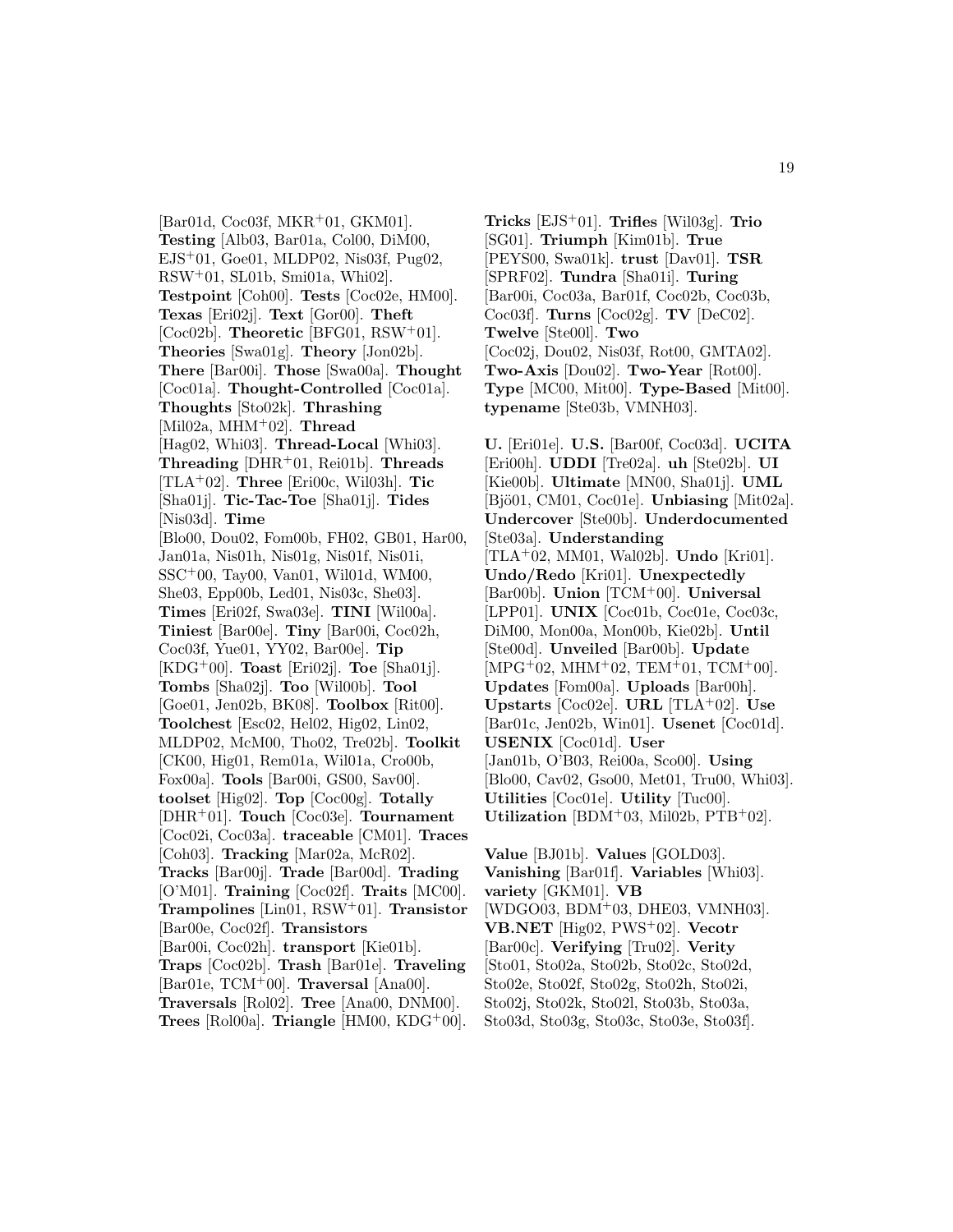[Bar01d, Coc03f, MKR<sup>+</sup>01, GKM01]. **Testing** [Alb03, Bar01a, Col00, DiM00, EJS<sup>+</sup>01, Goe01, MLDP02, Nis03f, Pug02, RSW<sup>+</sup>01, SL01b, Smi01a, Whi02]. **Testpoint** [Coh00]. **Tests** [Coc02e, HM00]. **Texas** [Eri02j]. **Text** [Gor00]. **Theft** [Coc02b]. **Theoretic** [BFG01, RSW<sup>+</sup>01]. **Theories** [Swa01g]. **Theory** [Jon02b]. **There** [Bar00i]. **Those** [Swa00a]. **Thought** [Coc01a]. **Thought-Controlled** [Coc01a]. **Thoughts** [Sto02k]. **Thrashing** [Mil02a, MHM<sup>+</sup>02]. **Thread** [Hag02, Whi03]. **Thread-Local** [Whi03]. **Threading** [DHR<sup>+</sup>01, Rei01b]. **Threads** [TLA<sup>+</sup>02]. **Three** [Eri00c, Wil03h]. **Tic** [Sha01j]. **Tic-Tac-Toe** [Sha01j]. **Tides** [Nis03d]. **Time** [Blo00, Dou02, Fom00b, FH02, GB01, Har00, Jan01a, Nis01h, Nis01g, Nis01f, Nis01i, SSC<sup>+</sup>00, Tay00, Van01, Wil01d, WM00, She03, Epp00b, Led01, Nis03c, She03]. **Times** [Eri02f, Swa03e]. **TINI** [Wil00a]. **Tiniest** [Bar00e]. **Tiny** [Bar00i, Coc02h, Coc03f, Yue01, YY02, Bar00e]. **Tip** [KDG<sup>+</sup>00]. **Toast** [Eri02j]. **Toe** [Sha01j]. **Tombs** [Sha02j]. **Too** [Wil00b]. **Tool** [Goe01, Jen02b, BK08]. **Toolbox** [Rit00]. **Toolchest** [Esc02, Hel02, Hig02, Lin02, MLDP02, McM00, Tho02, Tre02b]. **Toolkit** [CK00, Hig01, Rem01a, Wil01a, Cro00b, Fox00a]. **Tools** [Bar00i, GS00, Sav00]. **toolset** [Hig02]. **Top** [Coc00g]. **Totally** [DHR<sup>+</sup>01]. **Touch** [Coc03e]. **Tournament** [Coc02i, Coc03a]. **traceable** [CM01]. **Traces** [Coh03]. **Tracking** [Mar02a, McR02]. **Tracks** [Bar00j]. **Trade** [Bar00d]. **Trading** [O'M01]. **Training** [Coc02f]. **Traits** [MC00]. **Trampolines** [Lin01, RSW<sup>+</sup>01]. **Transistor** [Bar00e, Coc02f]. **Transistors** [Bar00i, Coc02h]. **transport** [Kie01b]. **Traps** [Coc02b]. **Trash** [Bar01e]. **Traveling** [Bar01e, TCM<sup>+</sup>00]. **Traversal** [Ana00]. **Traversals** [Rol02]. **Tree** [Ana00, DNM00]. **Trees** [Rol00a]. **Triangle** [HM00, KDG<sup>+</sup>00].

**Tricks** [EJS<sup>+</sup>01]. **Trifles** [Wil03g]. **Trio** [SG01]. **Triumph** [Kim01b]. **True** [PEYS00, Swa01k]. **trust** [Dav01]. **TSR** [SPRF02]. **Tundra** [Sha01i]. **Turing** [Bar00i, Coc03a, Bar01f, Coc02b, Coc03b, Coc03f]. **Turns** [Coc02g]. **TV** [DeC02]. **Twelve** [Ste00l]. **Two** [Coc02j, Dou02, Nis03f, Rot00, GMTA02]. **Two-Axis** [Dou02]. **Two-Year** [Rot00]. **Type** [MC00, Mit00]. **Type-Based** [Mit00]. **typename** [Ste03b, VMNH03].

**U.** [Eri01e]. **U.S.** [Bar00f, Coc03d]. **UCITA** [Eri00h]. **UDDI** [Tre02a]. **uh** [Ste02b]. **UI** [Kie00b]. **Ultimate** [MN00, Sha01j]. **UML** [Bjö01, CM01, Coc01e]. **Unbiasing** [Mit02a]. **Undercover** [Ste00b]. **Underdocumented** [Ste03a]. **Understanding** [TLA<sup>+</sup>02, MM01, Wal02b]. **Undo** [Kri01]. **Undo/Redo** [Kri01]. **Unexpectedly** [Bar00b]. **Union** [TCM<sup>+</sup>00]. **Universal** [LPP01]. **UNIX** [Coc01b, Coc01e, Coc03c, DiM00, Mon00a, Mon00b, Kie02b]. **Until** [Ste00d]. **Unveiled** [Bar00b]. **Update**  $[MPG<sup>+</sup>02, MHM<sup>+</sup>02, TEM<sup>+</sup>01, TCM<sup>+</sup>00].$ **Updates** [Fom00a]. **Uploads** [Bar00h]. **Upstarts** [Coc02e]. **URL** [TLA<sup>+</sup>02]. **Use** [Bar01c, Jen02b, Win01]. **Usenet** [Coc01d]. **USENIX** [Coc01d]. **User** [Jan01b, O'B03, Rei00a, Sco00]. **Using** [Blo00, Cav02, Gso00, Met01, Tru00, Whi03]. **Utilities** [Coc01e]. **Utility** [Tuc00]. **Utilization** [BDM<sup>+</sup>03, Mil02b, PTB<sup>+</sup>02].

**Value** [BJ01b]. **Values** [GOLD03]. **Vanishing** [Bar01f]. **Variables** [Whi03]. **variety** [GKM01]. **VB** [WDGO03, BDM<sup>+</sup>03, DHE03, VMNH03]. **VB.NET** [Hig02, PWS<sup>+</sup>02]. **Vecotr** [Bar00c]. **Verifying** [Tru02]. **Verity** [Sto01, Sto02a, Sto02b, Sto02c, Sto02d, Sto02e, Sto02f, Sto02g, Sto02h, Sto02i, Sto02j, Sto02k, Sto02l, Sto03b, Sto03a, Sto03d, Sto03g, Sto03c, Sto03e, Sto03f].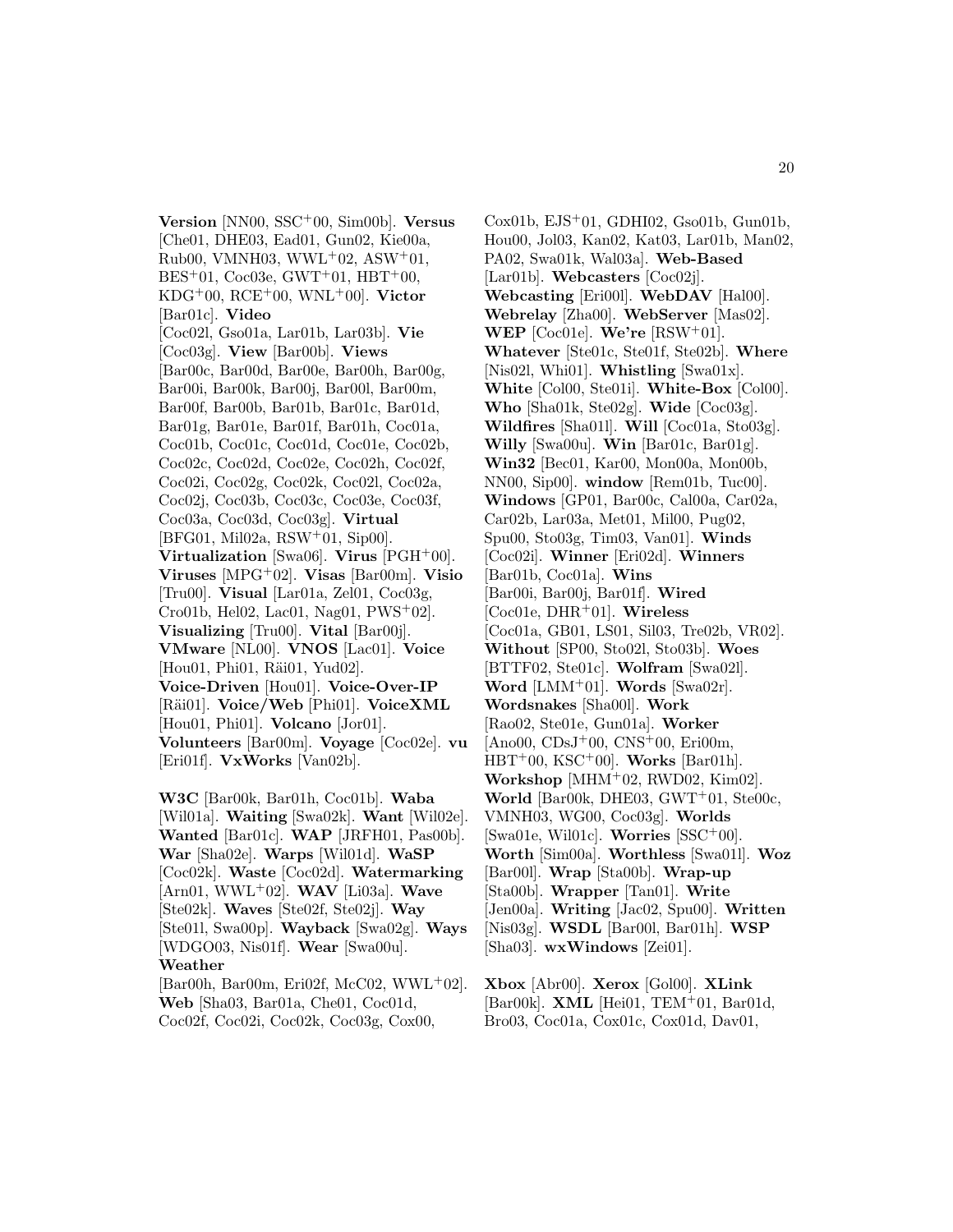**Version** [NN00, SSC<sup>+</sup>00, Sim00b]. **Versus** [Che01, DHE03, Ead01, Gun02, Kie00a,  $Rub00, VMMH03, WWL<sup>+</sup>02, ASW<sup>+</sup>01,$  $BES+01$ , Coc03e, GWT+01, HBT+00, KDG<sup>+</sup>00, RCE<sup>+</sup>00, WNL<sup>+</sup>00]. **Victor** [Bar01c]. **Video** [Coc02l, Gso01a, Lar01b, Lar03b]. **Vie** [Coc03g]. **View** [Bar00b]. **Views** [Bar00c, Bar00d, Bar00e, Bar00h, Bar00g, Bar00i, Bar00k, Bar00j, Bar00l, Bar00m, Bar00f, Bar00b, Bar01b, Bar01c, Bar01d, Bar01g, Bar01e, Bar01f, Bar01h, Coc01a, Coc01b, Coc01c, Coc01d, Coc01e, Coc02b, Coc02c, Coc02d, Coc02e, Coc02h, Coc02f, Coc02i, Coc02g, Coc02k, Coc02l, Coc02a, Coc02j, Coc03b, Coc03c, Coc03e, Coc03f, Coc03a, Coc03d, Coc03g]. **Virtual** [BFG01, Mil02a, RSW<sup>+</sup>01, Sip00]. **Virtualization** [Swa06]. **Virus** [PGH<sup>+</sup>00]. **Viruses** [MPG<sup>+</sup>02]. **Visas** [Bar00m]. **Visio** [Tru00]. **Visual** [Lar01a, Zel01, Coc03g, Cro01b, Hel02, Lac01, Nag01, PWS<sup>+</sup>02]. **Visualizing** [Tru00]. **Vital** [Bar00j]. **VMware** [NL00]. **VNOS** [Lac01]. **Voice** [Hou01, Phi01, Räi01, Yud02]. **Voice-Driven** [Hou01]. **Voice-Over-IP** [Räi01]. **Voice/Web** [Phi01]. **VoiceXML** [Hou01, Phi01]. **Volcano** [Jor01]. **Volunteers** [Bar00m]. **Voyage** [Coc02e]. **vu** [Eri01f]. **VxWorks** [Van02b].

**W3C** [Bar00k, Bar01h, Coc01b]. **Waba** [Wil01a]. **Waiting** [Swa02k]. **Want** [Wil02e]. **Wanted** [Bar01c]. **WAP** [JRFH01, Pas00b]. **War** [Sha02e]. **Warps** [Wil01d]. **WaSP** [Coc02k]. **Waste** [Coc02d]. **Watermarking** [Arn01, WWL<sup>+</sup>02]. **WAV** [Li03a]. **Wave** [Ste02k]. **Waves** [Ste02f, Ste02j]. **Way** [Ste01l, Swa00p]. **Wayback** [Swa02g]. **Ways** [WDGO03, Nis01f]. **Wear** [Swa00u]. **Weather** [Bar00h, Bar00m, Eri02f, McC02, WWL+02].

**Web** [Sha03, Bar01a, Che01, Coc01d, Coc02f, Coc02i, Coc02k, Coc03g, Cox00,

Cox01b,  $EJS<sup>+</sup>01$ , GDHI02, Gso01b, Gun01b, Hou00, Jol03, Kan02, Kat03, Lar01b, Man02, PA02, Swa01k, Wal03a]. **Web-Based** [Lar01b]. **Webcasters** [Coc02j]. **Webcasting** [Eri00l]. **WebDAV** [Hal00]. **Webrelay** [Zha00]. **WebServer** [Mas02]. **WEP** [Coc01e]. **We're** [RSW<sup>+</sup>01]. **Whatever** [Ste01c, Ste01f, Ste02b]. **Where** [Nis02l, Whi01]. **Whistling** [Swa01x]. **White** [Col00, Ste01i]. **White-Box** [Col00]. **Who** [Sha01k, Ste02g]. **Wide** [Coc03g]. **Wildfires** [Sha01l]. **Will** [Coc01a, Sto03g]. **Willy** [Swa00u]. **Win** [Bar01c, Bar01g]. **Win32** [Bec01, Kar00, Mon00a, Mon00b, NN00, Sip00]. **window** [Rem01b, Tuc00]. **Windows** [GP01, Bar00c, Cal00a, Car02a, Car02b, Lar03a, Met01, Mil00, Pug02, Spu00, Sto03g, Tim03, Van01]. **Winds** [Coc02i]. **Winner** [Eri02d]. **Winners** [Bar01b, Coc01a]. **Wins** [Bar00i, Bar00j, Bar01f]. **Wired** [Coc01e, DHR<sup>+</sup>01]. **Wireless** [Coc01a, GB01, LS01, Sil03, Tre02b, VR02]. **Without** [SP00, Sto02l, Sto03b]. **Woes** [BTTF02, Ste01c]. **Wolfram** [Swa02l]. **Word** [LMM<sup>+</sup>01]. **Words** [Swa02r]. **Wordsnakes** [Sha00l]. **Work** [Rao02, Ste01e, Gun01a]. **Worker**  $[Ano00, CDsJ<sup>+</sup>00, CNS<sup>+</sup>00, Eri00m,$ HBT<sup>+</sup>00, KSC<sup>+</sup>00]. **Works** [Bar01h]. **Workshop** [MHM<sup>+</sup>02, RWD02, Kim02]. **World** [Bar00k, DHE03, GWT<sup>+</sup>01, Ste00c, VMNH03, WG00, Coc03g]. **Worlds** [Swa01e, Wil01c]. **Worries** [SSC<sup>+</sup>00]. **Worth** [Sim00a]. **Worthless** [Swa01l]. **Woz** [Bar00l]. **Wrap** [Sta00b]. **Wrap-up** [Sta00b]. **Wrapper** [Tan01]. **Write** [Jen00a]. **Writing** [Jac02, Spu00]. **Written** [Nis03g]. **WSDL** [Bar00l, Bar01h]. **WSP** [Sha03]. **wxWindows** [Zei01].

**Xbox** [Abr00]. **Xerox** [Gol00]. **XLink** [Bar00k]. **XML** [Hei01, TEM<sup>+</sup>01, Bar01d, Bro03, Coc01a, Cox01c, Cox01d, Dav01,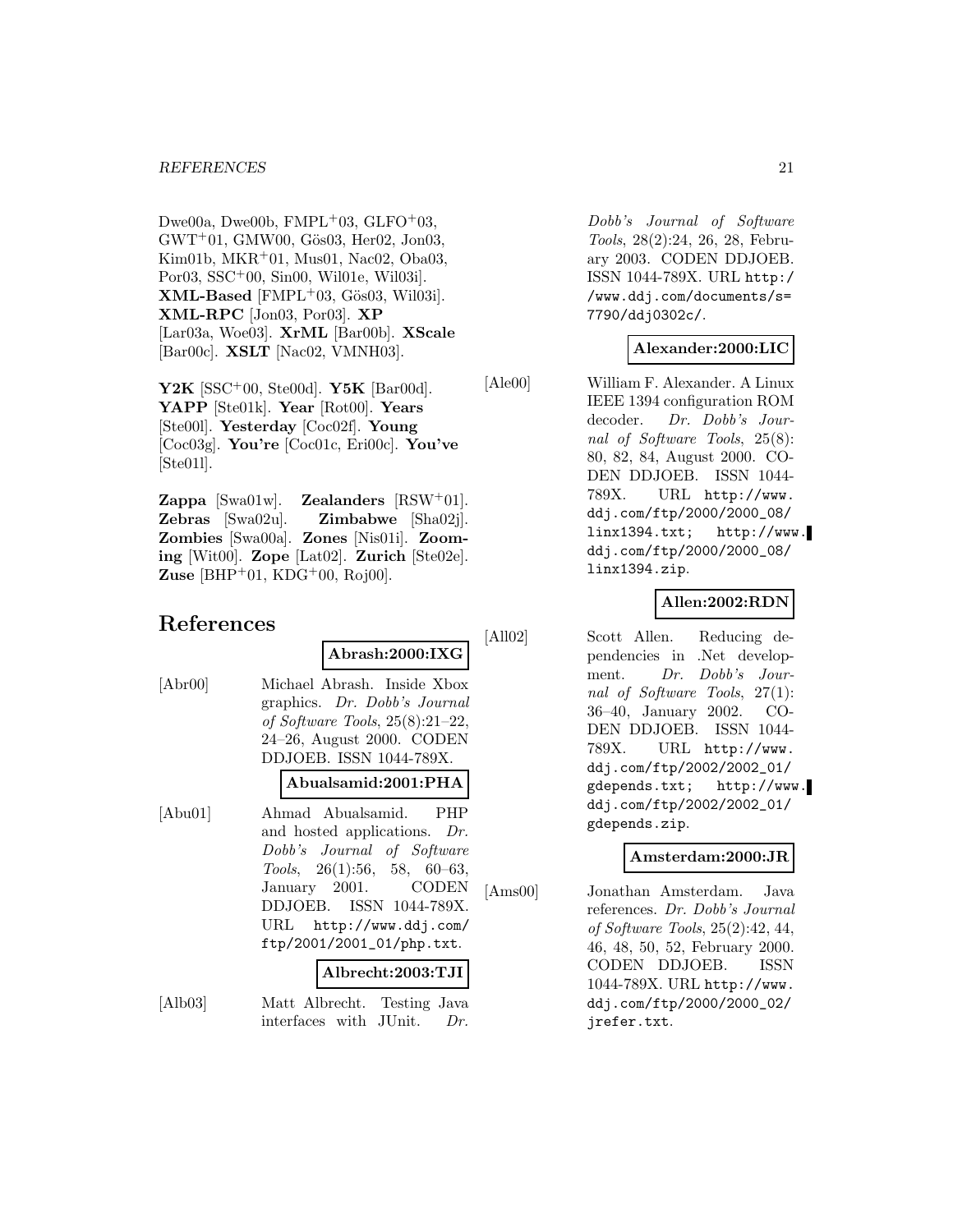Dwe00a, Dwe00b,  $FMPL+03$ ,  $GLFO+03$ ,  $GWT<sup>+</sup>01$ ,  $GMW00$ ,  $G\ddot{o}s03$ ,  $Her02$ ,  $Jon03$ , Kim01b, MKR<sup>+</sup>01, Mus01, Nac02, Oba03, Por03, SSC<sup>+</sup>00, Sin00, Wil01e, Wil03i].  $XML-Based [FMPL+03, G\ddot{o}s03, Wil03i].$ **XML-RPC** [Jon03, Por03]. **XP** [Lar03a, Woe03]. **XrML** [Bar00b]. **XScale** [Bar00c]. **XSLT** [Nac02, VMNH03].

**Y2K** [SSC<sup>+</sup>00, Ste00d]. **Y5K** [Bar00d]. **YAPP** [Ste01k]. **Year** [Rot00]. **Years** [Ste00l]. **Yesterday** [Coc02f]. **Young** [Coc03g]. **You're** [Coc01c, Eri00c]. **You've** [Ste01l].

**Zappa** [Swa01w]. **Zealanders** [RSW<sup>+</sup>01]. **Zebras** [Swa02u]. **Zimbabwe** [Sha02j]. **Zombies** [Swa00a]. **Zones** [Nis01i]. **Zooming** [Wit00]. **Zope** [Lat02]. **Zurich** [Ste02e]. **Zuse** [BHP<sup>+</sup>01, KDG<sup>+</sup>00, Roj00].

# **References**

**Abrash:2000:IXG**

[Abr00] Michael Abrash. Inside Xbox graphics. Dr. Dobb's Journal of Software Tools, 25(8):21–22, 24–26, August 2000. CODEN DDJOEB. ISSN 1044-789X.

## **Abualsamid:2001:PHA**

[Abu01] Ahmad Abualsamid. PHP and hosted applications. Dr. Dobb's Journal of Software Tools, 26(1):56, 58, 60–63, January 2001. CODEN DDJOEB. ISSN 1044-789X. URL http://www.ddj.com/ ftp/2001/2001\_01/php.txt.

#### **Albrecht:2003:TJI**

[Alb03] Matt Albrecht. Testing Java interfaces with JUnit. Dr.

Dobb's Journal of Software Tools, 28(2):24, 26, 28, February 2003. CODEN DDJOEB. ISSN 1044-789X. URL http:/ /www.ddj.com/documents/s= 7790/ddj0302c/.

# **Alexander:2000:LIC**

[Ale00] William F. Alexander. A Linux IEEE 1394 configuration ROM decoder. Dr. Dobb's Journal of Software Tools, 25(8): 80, 82, 84, August 2000. CO-DEN DDJOEB. ISSN 1044- 789X. URL http://www. ddj.com/ftp/2000/2000\_08/ linx1394.txt; http://www. ddj.com/ftp/2000/2000\_08/ linx1394.zip.

# **Allen:2002:RDN**

[All02] Scott Allen. Reducing dependencies in .Net development. Dr. Dobb's Journal of Software Tools, 27(1): 36–40, January 2002. CO-DEN DDJOEB. ISSN 1044- 789X. URL http://www. ddj.com/ftp/2002/2002\_01/ gdepends.txt; http://www. ddj.com/ftp/2002/2002\_01/ gdepends.zip.

## **Amsterdam:2000:JR**

[Ams00] Jonathan Amsterdam. Java references. Dr. Dobb's Journal of Software Tools, 25(2):42, 44, 46, 48, 50, 52, February 2000. CODEN DDJOEB. ISSN 1044-789X. URL http://www. ddj.com/ftp/2000/2000\_02/ jrefer.txt.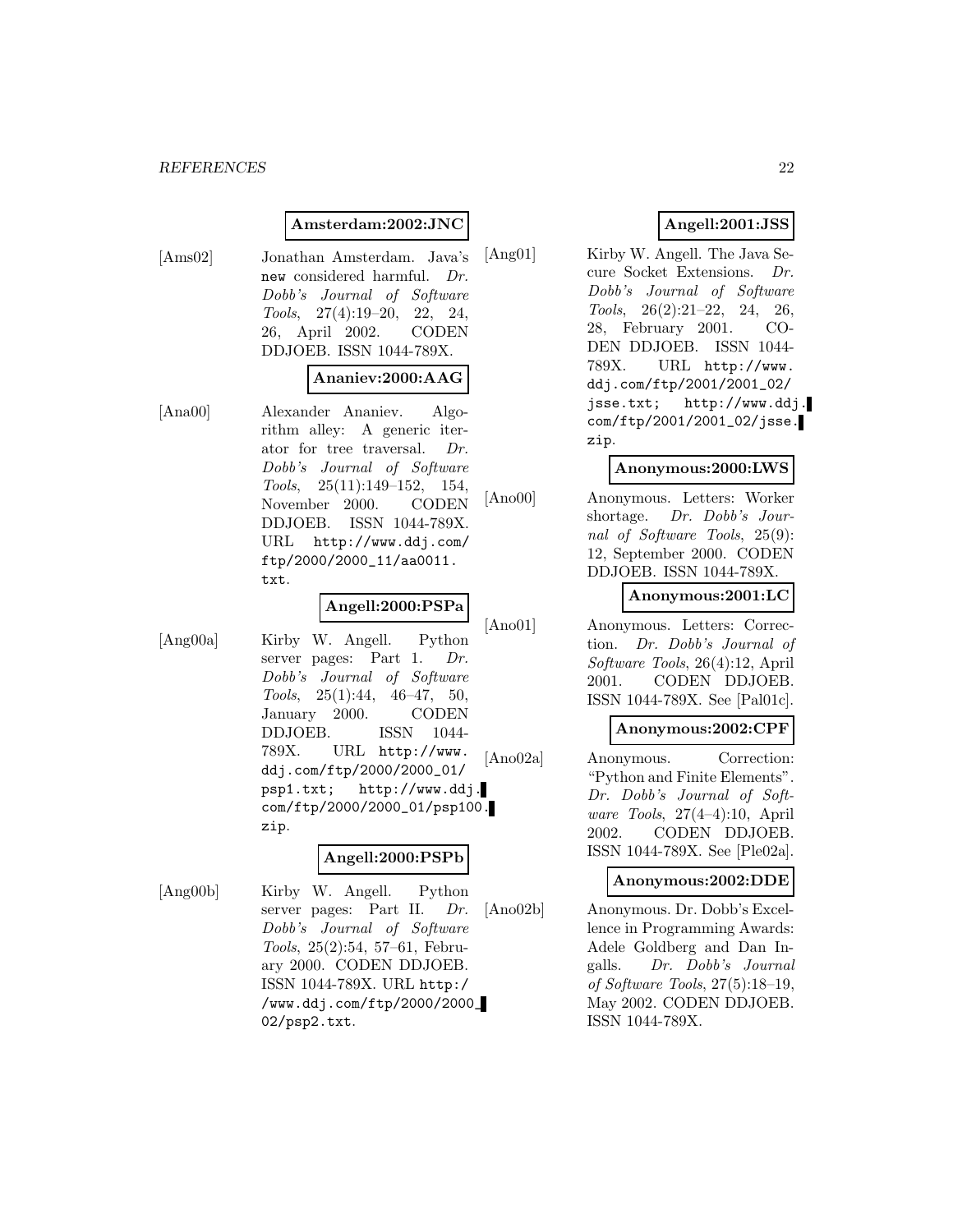#### **Amsterdam:2002:JNC**

[Ams02] Jonathan Amsterdam. Java's new considered harmful. Dr. Dobb's Journal of Software Tools, 27(4):19–20, 22, 24, 26, April 2002. CODEN DDJOEB. ISSN 1044-789X.

#### **Ananiev:2000:AAG**

[Ana00] Alexander Ananiev. Algorithm alley: A generic iterator for tree traversal. Dr. Dobb's Journal of Software Tools, 25(11):149–152, 154, November 2000. CODEN DDJOEB. ISSN 1044-789X. URL http://www.ddj.com/ ftp/2000/2000\_11/aa0011. txt.

## **Angell:2000:PSPa**

[Ang00a] Kirby W. Angell. Python server pages: Part 1. Dr. Dobb's Journal of Software Tools,  $25(1):44$ ,  $46-47$ ,  $50$ , January 2000. CODEN DDJOEB. ISSN 1044- 789X. URL http://www. ddj.com/ftp/2000/2000\_01/ psp1.txt; http://www.ddj. com/ftp/2000/2000\_01/psp100. zip.

#### **Angell:2000:PSPb**

[Ang00b] Kirby W. Angell. Python server pages: Part II. Dr. Dobb's Journal of Software Tools, 25(2):54, 57–61, February 2000. CODEN DDJOEB. ISSN 1044-789X. URL http:/ /www.ddj.com/ftp/2000/2000\_ 02/psp2.txt.

## **Angell:2001:JSS**

[Ang01] Kirby W. Angell. The Java Secure Socket Extensions. Dr. Dobb's Journal of Software Tools, 26(2):21–22, 24, 26, 28, February 2001. CO-DEN DDJOEB. ISSN 1044- 789X. URL http://www. ddj.com/ftp/2001/2001\_02/ jsse.txt; http://www.ddj. com/ftp/2001/2001\_02/jsse. zip.

### **Anonymous:2000:LWS**

[Ano00] Anonymous. Letters: Worker shortage. Dr. Dobb's Journal of Software Tools, 25(9): 12, September 2000. CODEN DDJOEB. ISSN 1044-789X.

#### **Anonymous:2001:LC**

[Ano01] Anonymous. Letters: Correction. Dr. Dobb's Journal of Software Tools, 26(4):12, April 2001. CODEN DDJOEB. ISSN 1044-789X. See [Pal01c].

## **Anonymous:2002:CPF**

[Ano02a] Anonymous. Correction: "Python and Finite Elements". Dr. Dobb's Journal of Software Tools, 27(4–4):10, April 2002. CODEN DDJOEB. ISSN 1044-789X. See [Ple02a].

#### **Anonymous:2002:DDE**

[Ano02b] Anonymous. Dr. Dobb's Excellence in Programming Awards: Adele Goldberg and Dan Ingalls. Dr. Dobb's Journal of Software Tools, 27(5):18–19, May 2002. CODEN DDJOEB. ISSN 1044-789X.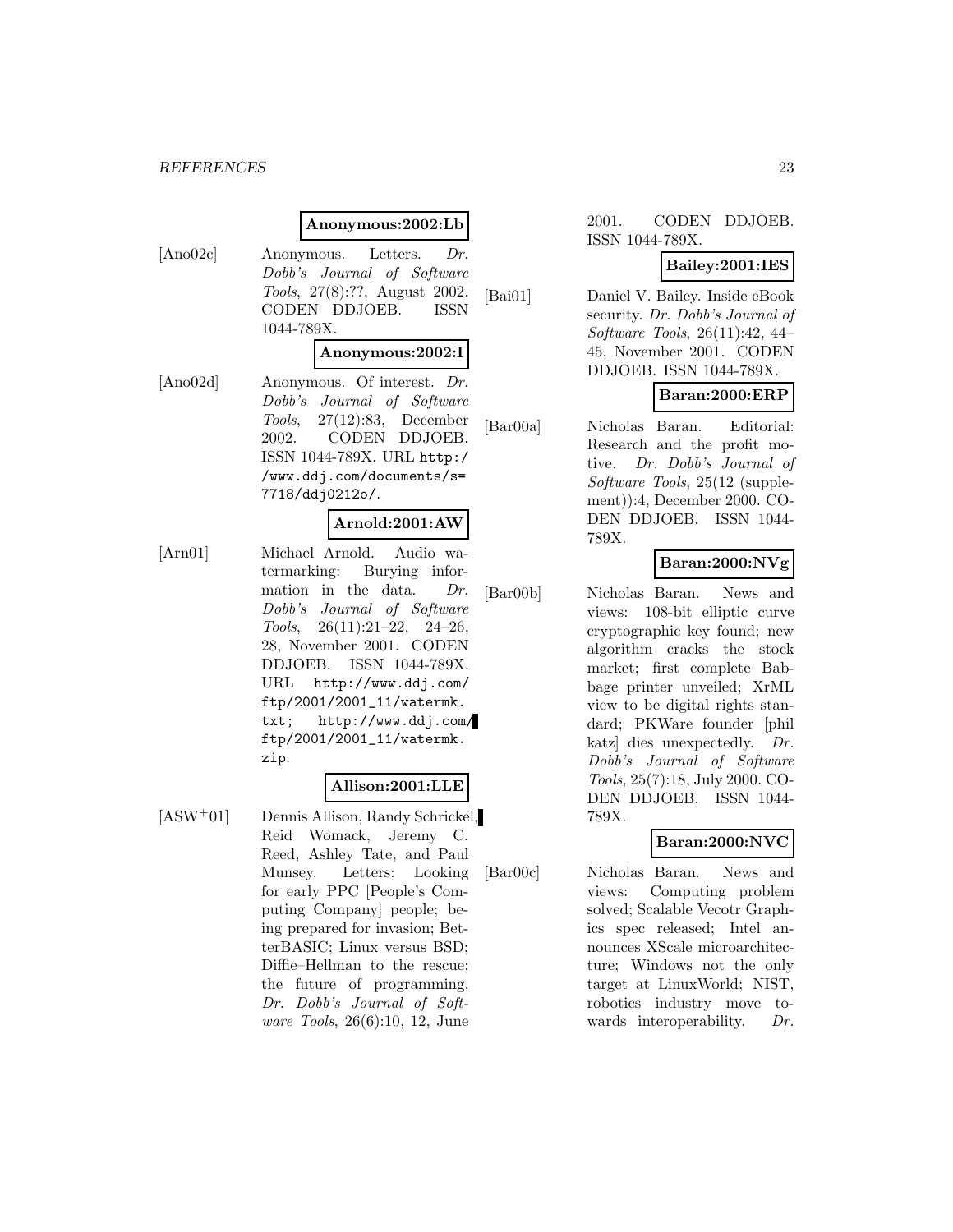#### *REFERENCES* 23

#### **Anonymous:2002:Lb**

[Ano02c] Anonymous. Letters. Dr. Dobb's Journal of Software Tools, 27(8):??, August 2002. CODEN DDJOEB. ISSN 1044-789X.

#### **Anonymous:2002:I**

[Ano02d] Anonymous. Of interest. Dr. Dobb's Journal of Software Tools, 27(12):83, December 2002. CODEN DDJOEB. ISSN 1044-789X. URL http:/ /www.ddj.com/documents/s= 7718/ddj0212o/.

#### **Arnold:2001:AW**

[Arn01] Michael Arnold. Audio watermarking: Burying information in the data. Dr. Dobb's Journal of Software Tools, 26(11):21–22, 24–26, 28, November 2001. CODEN DDJOEB. ISSN 1044-789X. URL http://www.ddj.com/ ftp/2001/2001\_11/watermk. txt; http://www.ddj.com/ ftp/2001/2001\_11/watermk. zip.

#### **Allison:2001:LLE**

[ASW<sup>+</sup>01] Dennis Allison, Randy Schrickel, Reid Womack, Jeremy C. Reed, Ashley Tate, and Paul Munsey. Letters: Looking for early PPC [People's Computing Company] people; being prepared for invasion; BetterBASIC; Linux versus BSD; Diffie–Hellman to the rescue; the future of programming. Dr. Dobb's Journal of Software Tools, 26(6):10, 12, June

#### 2001. CODEN DDJOEB. ISSN 1044-789X.

#### **Bailey:2001:IES**

[Bai01] Daniel V. Bailey. Inside eBook security. Dr. Dobb's Journal of Software Tools, 26(11):42, 44– 45, November 2001. CODEN DDJOEB. ISSN 1044-789X.

## **Baran:2000:ERP**

[Bar00a] Nicholas Baran. Editorial: Research and the profit motive. Dr. Dobb's Journal of Software Tools, 25(12 (supplement)):4, December 2000. CO-DEN DDJOEB. ISSN 1044- 789X.

# **Baran:2000:NVg**

[Bar00b] Nicholas Baran. News and views: 108-bit elliptic curve cryptographic key found; new algorithm cracks the stock market; first complete Babbage printer unveiled; XrML view to be digital rights standard; PKWare founder [phil katz] dies unexpectedly. Dr. Dobb's Journal of Software Tools, 25(7):18, July 2000. CO-DEN DDJOEB. ISSN 1044- 789X.

## **Baran:2000:NVC**

[Bar00c] Nicholas Baran. News and views: Computing problem solved; Scalable Vecotr Graphics spec released; Intel announces XScale microarchitecture; Windows not the only target at LinuxWorld; NIST, robotics industry move towards interoperability. Dr.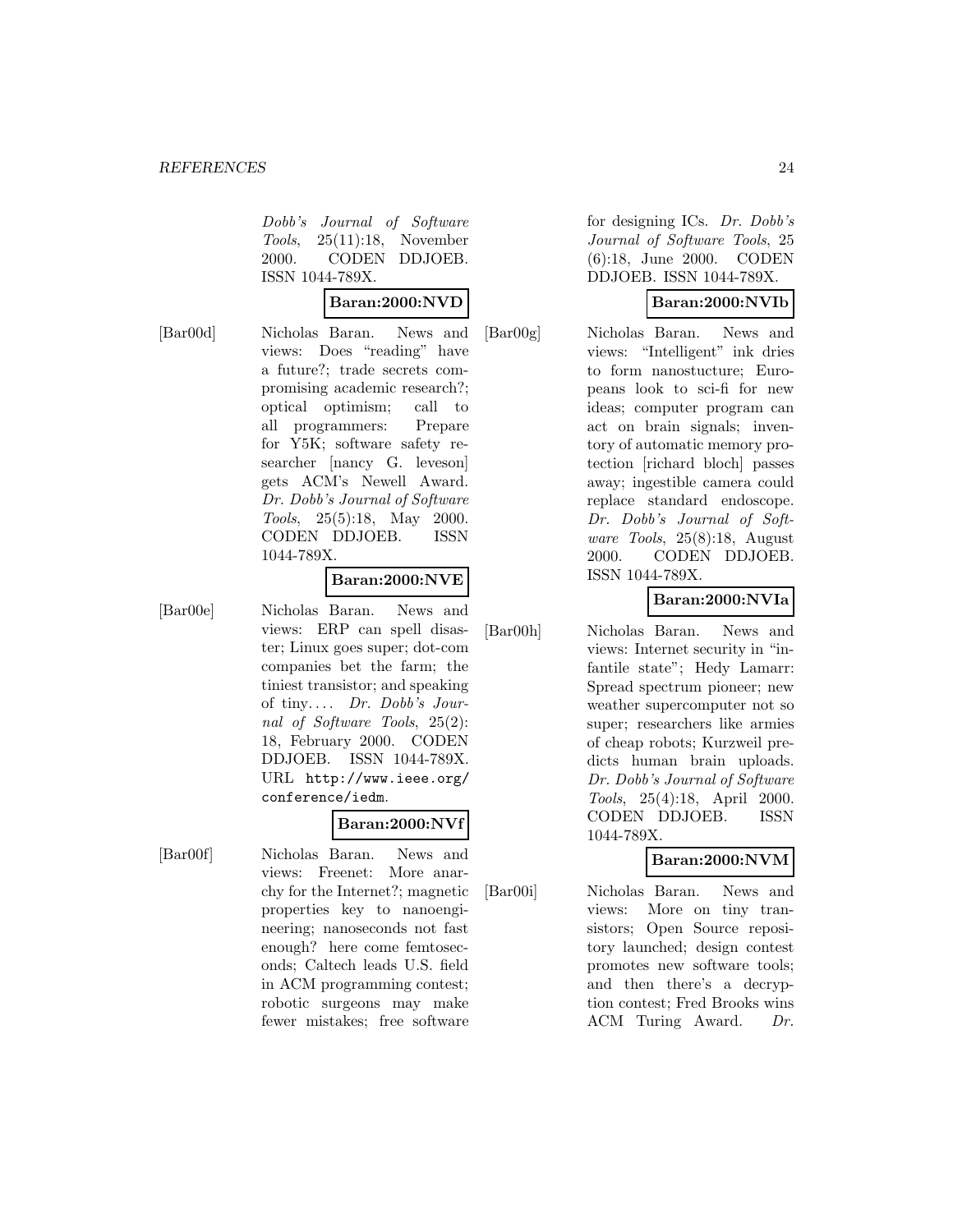Dobb's Journal of Software Tools, 25(11):18, November 2000. CODEN DDJOEB. ISSN 1044-789X.

#### **Baran:2000:NVD**

[Bar00d] Nicholas Baran. News and views: Does "reading" have a future?; trade secrets compromising academic research?; optical optimism; call to all programmers: Prepare for Y5K; software safety researcher [nancy G. leveson] gets ACM's Newell Award. Dr. Dobb's Journal of Software Tools, 25(5):18, May 2000. CODEN DDJOEB. ISSN 1044-789X.

#### **Baran:2000:NVE**

[Bar00e] Nicholas Baran. News and views: ERP can spell disaster; Linux goes super; dot-com companies bet the farm; the tiniest transistor; and speaking of tiny....  $Dr. Dobb's Jour$ nal of Software Tools, 25(2): 18, February 2000. CODEN DDJOEB. ISSN 1044-789X.

# **Baran:2000:NVf**

URL http://www.ieee.org/

[Bar00f] Nicholas Baran. News and views: Freenet: More anarchy for the Internet?; magnetic properties key to nanoengineering; nanoseconds not fast enough? here come femtoseconds; Caltech leads U.S. field in ACM programming contest; robotic surgeons may make fewer mistakes; free software

conference/iedm.

for designing ICs. Dr. Dobb's Journal of Software Tools, 25 (6):18, June 2000. CODEN DDJOEB. ISSN 1044-789X.

# **Baran:2000:NVIb**

[Bar00g] Nicholas Baran. News and views: "Intelligent" ink dries to form nanostucture; Europeans look to sci-fi for new ideas; computer program can act on brain signals; inventory of automatic memory protection [richard bloch] passes away; ingestible camera could replace standard endoscope. Dr. Dobb's Journal of Software Tools, 25(8):18, August 2000. CODEN DDJOEB. ISSN 1044-789X.

## **Baran:2000:NVIa**

[Bar00h] Nicholas Baran. News and views: Internet security in "infantile state"; Hedy Lamarr: Spread spectrum pioneer; new weather supercomputer not so super; researchers like armies

> of cheap robots; Kurzweil predicts human brain uploads. Dr. Dobb's Journal of Software Tools, 25(4):18, April 2000. CODEN DDJOEB. ISSN 1044-789X.

## **Baran:2000:NVM**

[Bar00i] Nicholas Baran. News and views: More on tiny transistors; Open Source repository launched; design contest promotes new software tools; and then there's a decryption contest; Fred Brooks wins ACM Turing Award. Dr.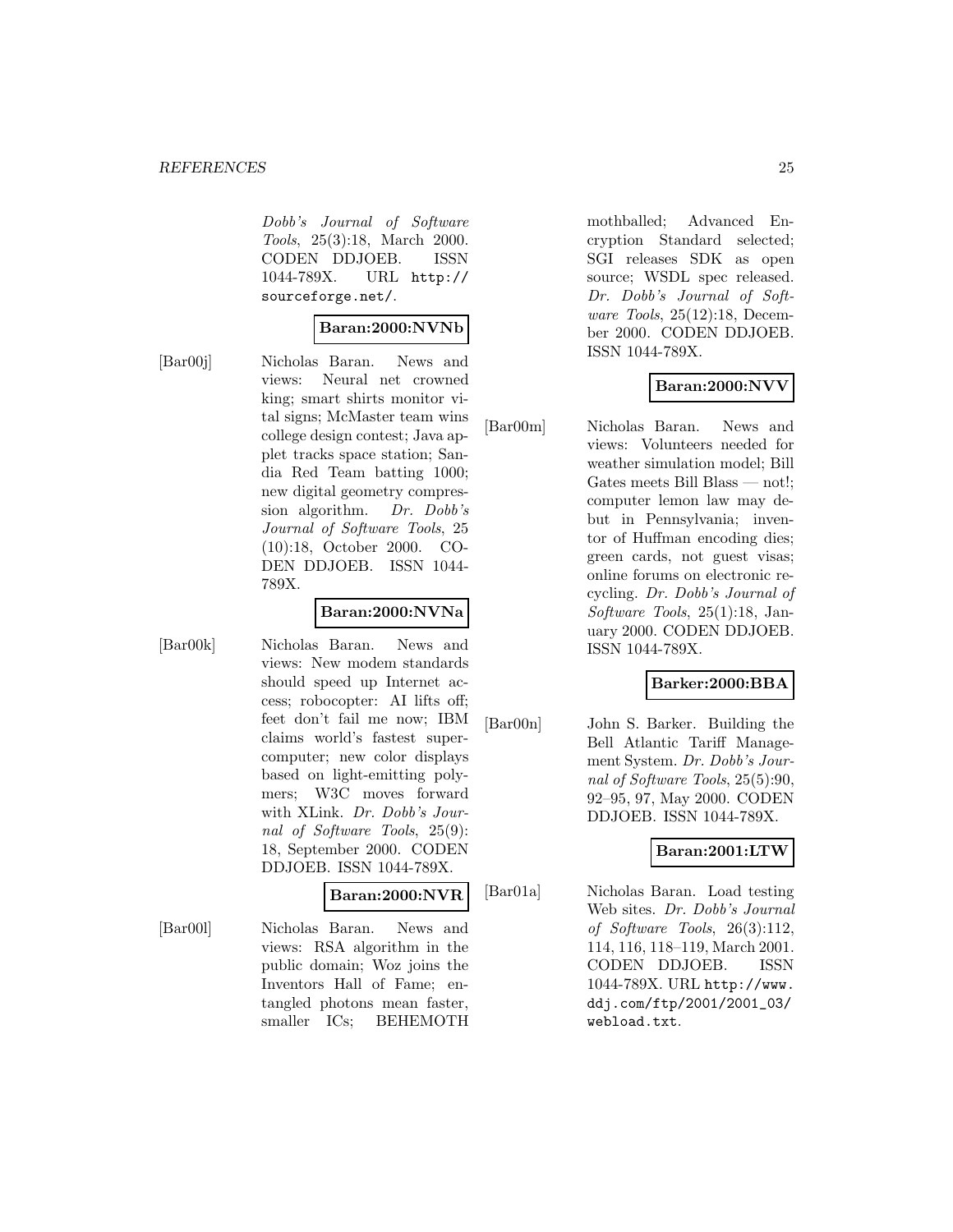Dobb's Journal of Software Tools, 25(3):18, March 2000. CODEN DDJOEB. ISSN 1044-789X. URL http:// sourceforge.net/.

#### **Baran:2000:NVNb**

[Bar00j] Nicholas Baran. News and views: Neural net crowned king; smart shirts monitor vital signs; McMaster team wins college design contest; Java applet tracks space station; Sandia Red Team batting 1000; new digital geometry compression algorithm. Dr. Dobb's Journal of Software Tools, 25 (10):18, October 2000. CO-DEN DDJOEB. ISSN 1044- 789X.

#### **Baran:2000:NVNa**

[Bar00k] Nicholas Baran. News and views: New modem standards should speed up Internet access; robocopter: AI lifts off; feet don't fail me now; IBM claims world's fastest supercomputer; new color displays based on light-emitting polymers; W3C moves forward with XLink. Dr. Dobb's Journal of Software Tools, 25(9): 18, September 2000. CODEN DDJOEB. ISSN 1044-789X.

#### **Baran:2000:NVR**

[Bar00l] Nicholas Baran. News and views: RSA algorithm in the public domain; Woz joins the Inventors Hall of Fame; entangled photons mean faster, smaller ICs; BEHEMOTH

mothballed; Advanced Encryption Standard selected; SGI releases SDK as open source; WSDL spec released. Dr. Dobb's Journal of Software Tools, 25(12):18, December 2000. CODEN DDJOEB. ISSN 1044-789X.

# **Baran:2000:NVV**

[Bar00m] Nicholas Baran. News and views: Volunteers needed for weather simulation model; Bill Gates meets Bill Blass — not!; computer lemon law may debut in Pennsylvania; inventor of Huffman encoding dies; green cards, not guest visas; online forums on electronic recycling. Dr. Dobb's Journal of Software Tools, 25(1):18, January 2000. CODEN DDJOEB. ISSN 1044-789X.

## **Barker:2000:BBA**

[Bar00n] John S. Barker. Building the Bell Atlantic Tariff Management System. Dr. Dobb's Journal of Software Tools, 25(5):90, 92–95, 97, May 2000. CODEN DDJOEB. ISSN 1044-789X.

## **Baran:2001:LTW**

[Bar01a] Nicholas Baran. Load testing Web sites. Dr. Dobb's Journal of Software Tools, 26(3):112, 114, 116, 118–119, March 2001. CODEN DDJOEB. ISSN 1044-789X. URL http://www. ddj.com/ftp/2001/2001\_03/ webload.txt.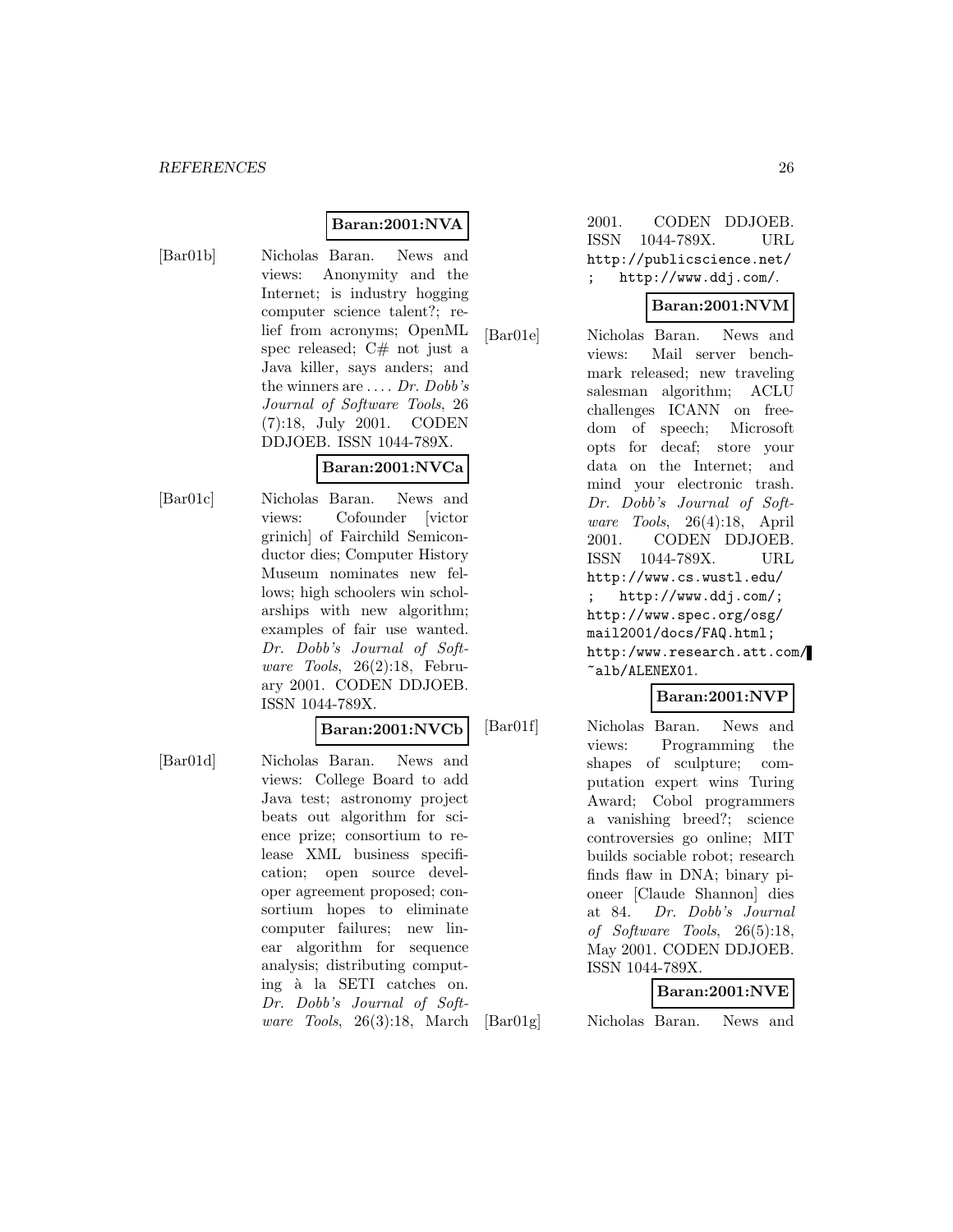# **Baran:2001:NVA**

[Bar01b] Nicholas Baran. News and views: Anonymity and the Internet; is industry hogging computer science talent?; relief from acronyms; OpenML spec released;  $C#$  not just a Java killer, says anders; and the winners are  $\dots$  Dr. Dobb's Journal of Software Tools, 26 (7):18, July 2001. CODEN DDJOEB. ISSN 1044-789X.

#### **Baran:2001:NVCa**

[Bar01c] Nicholas Baran. News and views: Cofounder [victor grinich] of Fairchild Semiconductor dies; Computer History Museum nominates new fellows; high schoolers win scholarships with new algorithm; examples of fair use wanted. Dr. Dobb's Journal of Software Tools, 26(2):18, February 2001. CODEN DDJOEB. ISSN 1044-789X.

#### **Baran:2001:NVCb**

[Bar01d] Nicholas Baran. News and views: College Board to add Java test; astronomy project beats out algorithm for science prize; consortium to release XML business specification; open source developer agreement proposed; consortium hopes to eliminate computer failures; new linear algorithm for sequence analysis; distributing computing à la SETI catches on. Dr. Dobb's Journal of Software Tools, 26(3):18, March

2001. CODEN DDJOEB. ISSN 1044-789X. URL http://publicscience.net/ http://www.ddj.com/.

# **Baran:2001:NVM**

[Bar01e] Nicholas Baran. News and views: Mail server benchmark released; new traveling salesman algorithm; ACLU challenges ICANN on freedom of speech; Microsoft opts for decaf; store your data on the Internet; and mind your electronic trash. Dr. Dobb's Journal of Software Tools, 26(4):18, April 2001. CODEN DDJOEB. ISSN 1044-789X. URL http://www.cs.wustl.edu/ ; http://www.ddj.com/; http://www.spec.org/osg/ mail2001/docs/FAQ.html; http:/www.research.att.com/ ~alb/ALENEX01.

## **Baran:2001:NVP**

[Bar01f] Nicholas Baran. News and views: Programming the shapes of sculpture; computation expert wins Turing Award; Cobol programmers a vanishing breed?; science controversies go online; MIT builds sociable robot; research finds flaw in DNA; binary pioneer [Claude Shannon] dies at 84. Dr. Dobb's Journal of Software Tools, 26(5):18, May 2001. CODEN DDJOEB. ISSN 1044-789X.

#### **Baran:2001:NVE**

[Bar01g] Nicholas Baran. News and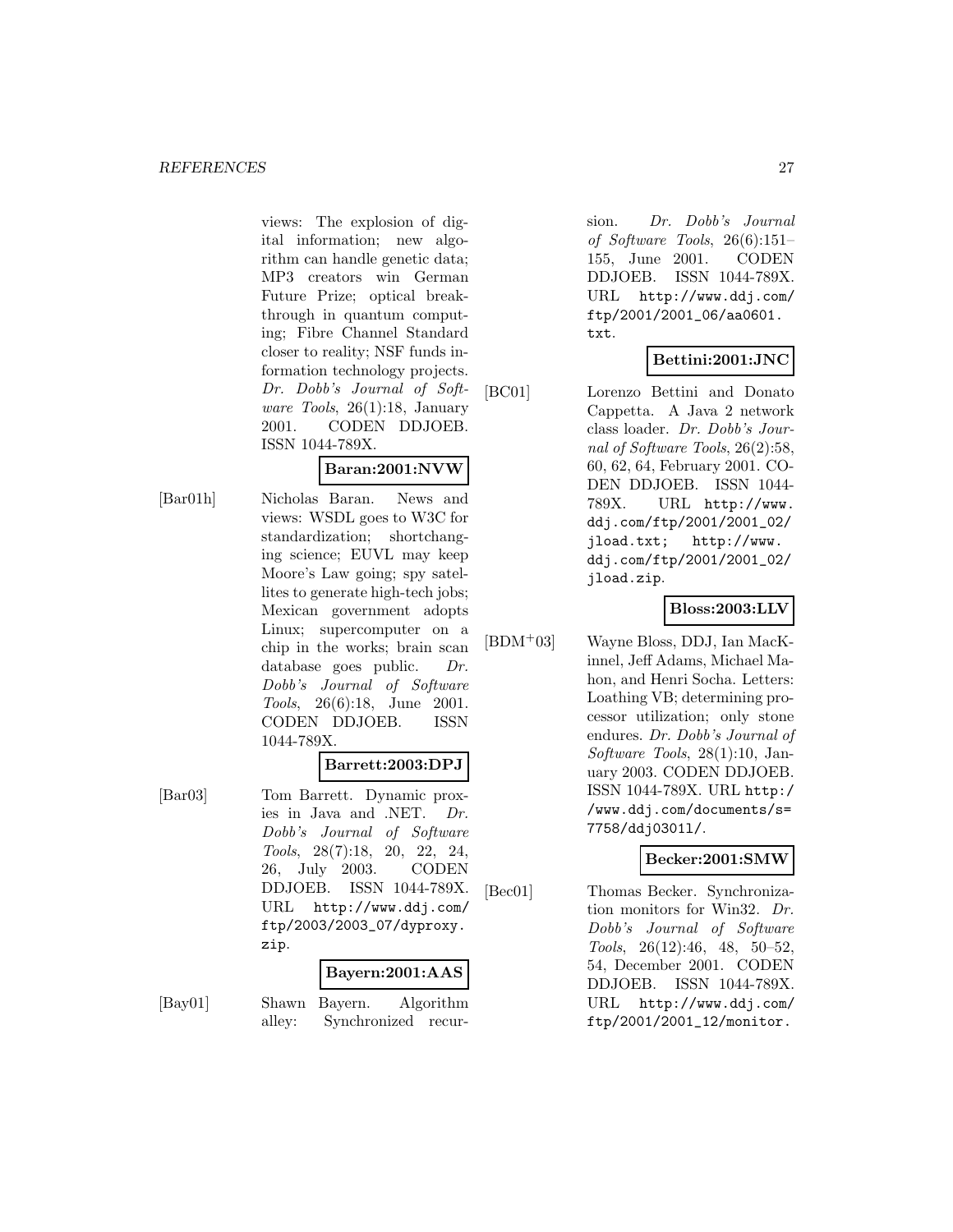views: The explosion of digital information; new algorithm can handle genetic data; MP3 creators win German Future Prize; optical breakthrough in quantum computing; Fibre Channel Standard closer to reality; NSF funds information technology projects. Dr. Dobb's Journal of Software Tools, 26(1):18, January 2001. CODEN DDJOEB. ISSN 1044-789X.

# **Baran:2001:NVW**

[Bar01h] Nicholas Baran. News and views: WSDL goes to W3C for standardization; shortchanging science; EUVL may keep Moore's Law going; spy satellites to generate high-tech jobs; Mexican government adopts Linux; supercomputer on a chip in the works; brain scan database goes public. Dr. Dobb's Journal of Software Tools, 26(6):18, June 2001. CODEN DDJOEB. ISSN 1044-789X.

# **Barrett:2003:DPJ**

[Bar03] Tom Barrett. Dynamic proxies in Java and .NET. Dr. Dobb's Journal of Software Tools, 28(7):18, 20, 22, 24, 26, July 2003. CODEN DDJOEB. ISSN 1044-789X. URL http://www.ddj.com/ ftp/2003/2003\_07/dyproxy. zip.

# **Bayern:2001:AAS**

[Bay01] Shawn Bayern. Algorithm alley: Synchronized recur-

sion. Dr. Dobb's Journal of Software Tools, 26(6):151– 155, June 2001. CODEN DDJOEB. ISSN 1044-789X. URL http://www.ddj.com/ ftp/2001/2001\_06/aa0601. txt.

# **Bettini:2001:JNC**

[BC01] Lorenzo Bettini and Donato Cappetta. A Java 2 network class loader. Dr. Dobb's Journal of Software Tools, 26(2):58, 60, 62, 64, February 2001. CO-DEN DDJOEB. ISSN 1044- 789X. URL http://www. ddj.com/ftp/2001/2001\_02/ jload.txt; http://www. ddj.com/ftp/2001/2001\_02/ jload.zip.

# **Bloss:2003:LLV**

[BDM<sup>+</sup>03] Wayne Bloss, DDJ, Ian MacKinnel, Jeff Adams, Michael Mahon, and Henri Socha. Letters: Loathing VB; determining processor utilization; only stone endures. Dr. Dobb's Journal of Software Tools, 28(1):10, January 2003. CODEN DDJOEB. ISSN 1044-789X. URL http:/ /www.ddj.com/documents/s= 7758/ddj0301l/.

# **Becker:2001:SMW**

[Bec01] Thomas Becker. Synchronization monitors for Win32. Dr. Dobb's Journal of Software Tools, 26(12):46, 48, 50–52, 54, December 2001. CODEN DDJOEB. ISSN 1044-789X. URL http://www.ddj.com/ ftp/2001/2001\_12/monitor.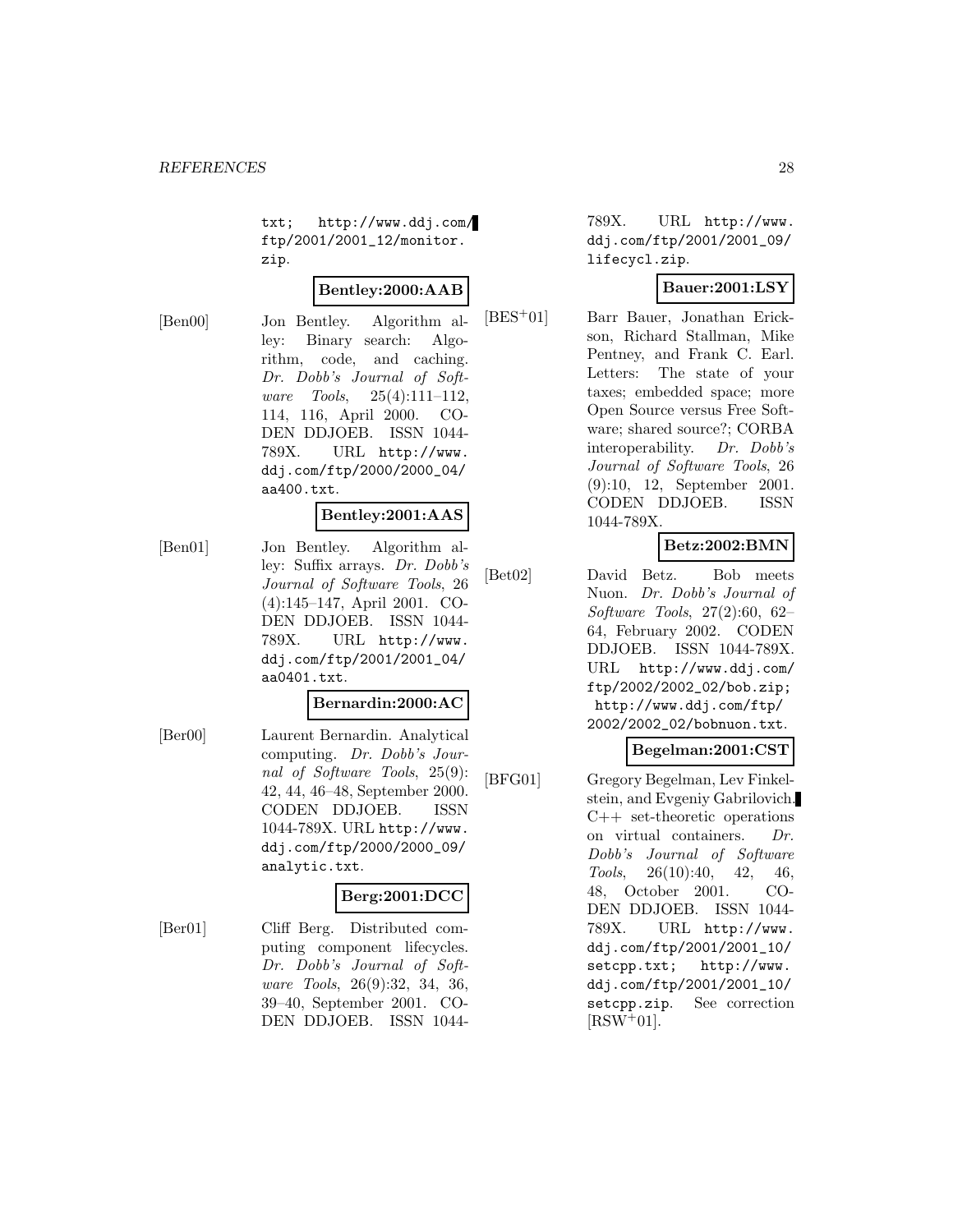txt; http://www.ddj.com/ ftp/2001/2001\_12/monitor. zip.

#### **Bentley:2000:AAB**

[Ben00] Jon Bentley. Algorithm alley: Binary search: Algorithm, code, and caching. Dr. Dobb's Journal of Software Tools, 25(4):111–112, 114, 116, April 2000. CO-DEN DDJOEB. ISSN 1044- 789X. URL http://www. ddj.com/ftp/2000/2000\_04/ aa400.txt.

# **Bentley:2001:AAS**

[Ben01] Jon Bentley. Algorithm alley: Suffix arrays. Dr. Dobb's Journal of Software Tools, 26 (4):145–147, April 2001. CO-DEN DDJOEB. ISSN 1044- 789X. URL http://www. ddj.com/ftp/2001/2001\_04/ aa0401.txt.

#### **Bernardin:2000:AC**

[Ber00] Laurent Bernardin. Analytical computing. Dr. Dobb's Journal of Software Tools, 25(9): 42, 44, 46–48, September 2000. CODEN DDJOEB. ISSN 1044-789X. URL http://www. ddj.com/ftp/2000/2000\_09/ analytic.txt.

#### **Berg:2001:DCC**

[Ber01] Cliff Berg. Distributed computing component lifecycles. Dr. Dobb's Journal of Software Tools, 26(9):32, 34, 36, 39–40, September 2001. CO-DEN DDJOEB. ISSN 1044789X. URL http://www. ddj.com/ftp/2001/2001\_09/ lifecycl.zip.

# **Bauer:2001:LSY**

[BES<sup>+</sup>01] Barr Bauer, Jonathan Erickson, Richard Stallman, Mike Pentney, and Frank C. Earl. Letters: The state of your taxes; embedded space; more Open Source versus Free Software; shared source?; CORBA interoperability. Dr. Dobb's Journal of Software Tools, 26 (9):10, 12, September 2001. CODEN DDJOEB. ISSN 1044-789X.

# **Betz:2002:BMN**

[Bet02] David Betz. Bob meets Nuon. Dr. Dobb's Journal of Software Tools, 27(2):60, 62– 64, February 2002. CODEN DDJOEB. ISSN 1044-789X. URL http://www.ddj.com/ ftp/2002/2002\_02/bob.zip; http://www.ddj.com/ftp/ 2002/2002\_02/bobnuon.txt.

# **Begelman:2001:CST**

[BFG01] Gregory Begelman, Lev Finkelstein, and Evgeniy Gabrilovich. C++ set-theoretic operations on virtual containers. Dr. Dobb's Journal of Software Tools, 26(10):40, 42, 46, 48, October 2001. CO-DEN DDJOEB. ISSN 1044- 789X. URL http://www. ddj.com/ftp/2001/2001\_10/ setcpp.txt; http://www. ddj.com/ftp/2001/2001\_10/ setcpp.zip. See correction  $[RSW^+01]$ .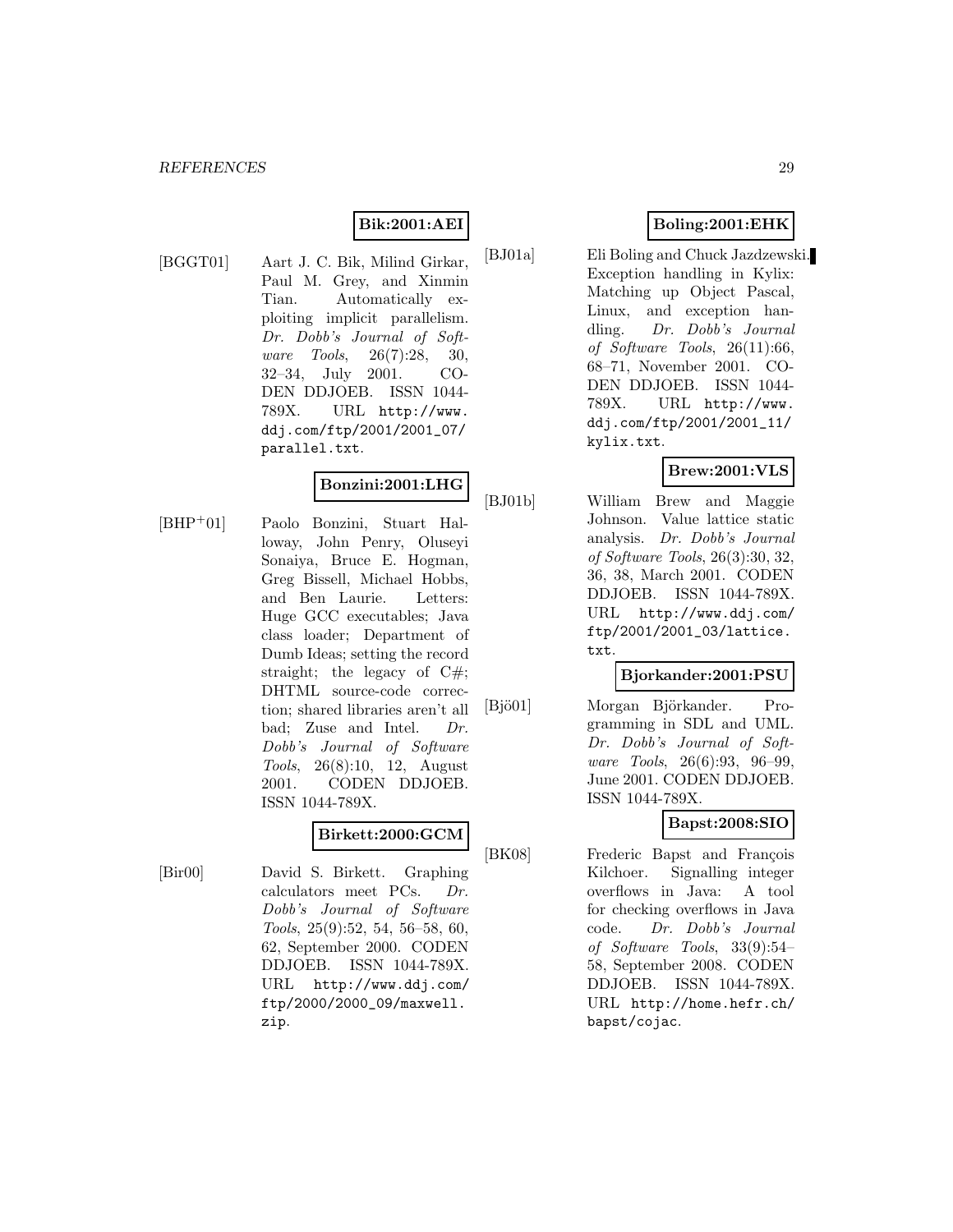# **Bik:2001:AEI**

[BGGT01] Aart J. C. Bik, Milind Girkar, Paul M. Grey, and Xinmin Tian. Automatically exploiting implicit parallelism. Dr. Dobb's Journal of Software Tools, 26(7):28, 30, 32–34, July 2001. CO-DEN DDJOEB. ISSN 1044- 789X. URL http://www. ddj.com/ftp/2001/2001\_07/ parallel.txt.

# **Bonzini:2001:LHG**

[BHP<sup>+</sup>01] Paolo Bonzini, Stuart Halloway, John Penry, Oluseyi Sonaiya, Bruce E. Hogman, Greg Bissell, Michael Hobbs, and Ben Laurie. Letters: Huge GCC executables; Java class loader; Department of Dumb Ideas; setting the record straight; the legacy of C#; DHTML source-code correction; shared libraries aren't all bad; Zuse and Intel. Dr. Dobb's Journal of Software Tools, 26(8):10, 12, August 2001. CODEN DDJOEB. ISSN 1044-789X.

### **Birkett:2000:GCM**

[Bir00] David S. Birkett. Graphing calculators meet PCs. Dr. Dobb's Journal of Software Tools, 25(9):52, 54, 56–58, 60, 62, September 2000. CODEN DDJOEB. ISSN 1044-789X. URL http://www.ddj.com/ ftp/2000/2000\_09/maxwell. zip.

# **Boling:2001:EHK**

[BJ01a] Eli Boling and Chuck Jazdzewski. Exception handling in Kylix: Matching up Object Pascal, Linux, and exception handling. Dr. Dobb's Journal of Software Tools, 26(11):66, 68–71, November 2001. CO-DEN DDJOEB. ISSN 1044- 789X. URL http://www. ddj.com/ftp/2001/2001\_11/ kylix.txt.

# **Brew:2001:VLS**

[BJ01b] William Brew and Maggie Johnson. Value lattice static analysis. Dr. Dobb's Journal of Software Tools, 26(3):30, 32, 36, 38, March 2001. CODEN DDJOEB. ISSN 1044-789X. URL http://www.ddj.com/ ftp/2001/2001\_03/lattice. txt.

#### **Bjorkander:2001:PSU**

[Bjö01] Morgan Björkander. Programming in SDL and UML. Dr. Dobb's Journal of Software Tools, 26(6):93, 96–99, June 2001. CODEN DDJOEB. ISSN 1044-789X.

# **Bapst:2008:SIO**

[BK08] Frederic Bapst and François Kilchoer. Signalling integer overflows in Java: A tool for checking overflows in Java code. Dr. Dobb's Journal of Software Tools, 33(9):54– 58, September 2008. CODEN DDJOEB. ISSN 1044-789X. URL http://home.hefr.ch/ bapst/cojac.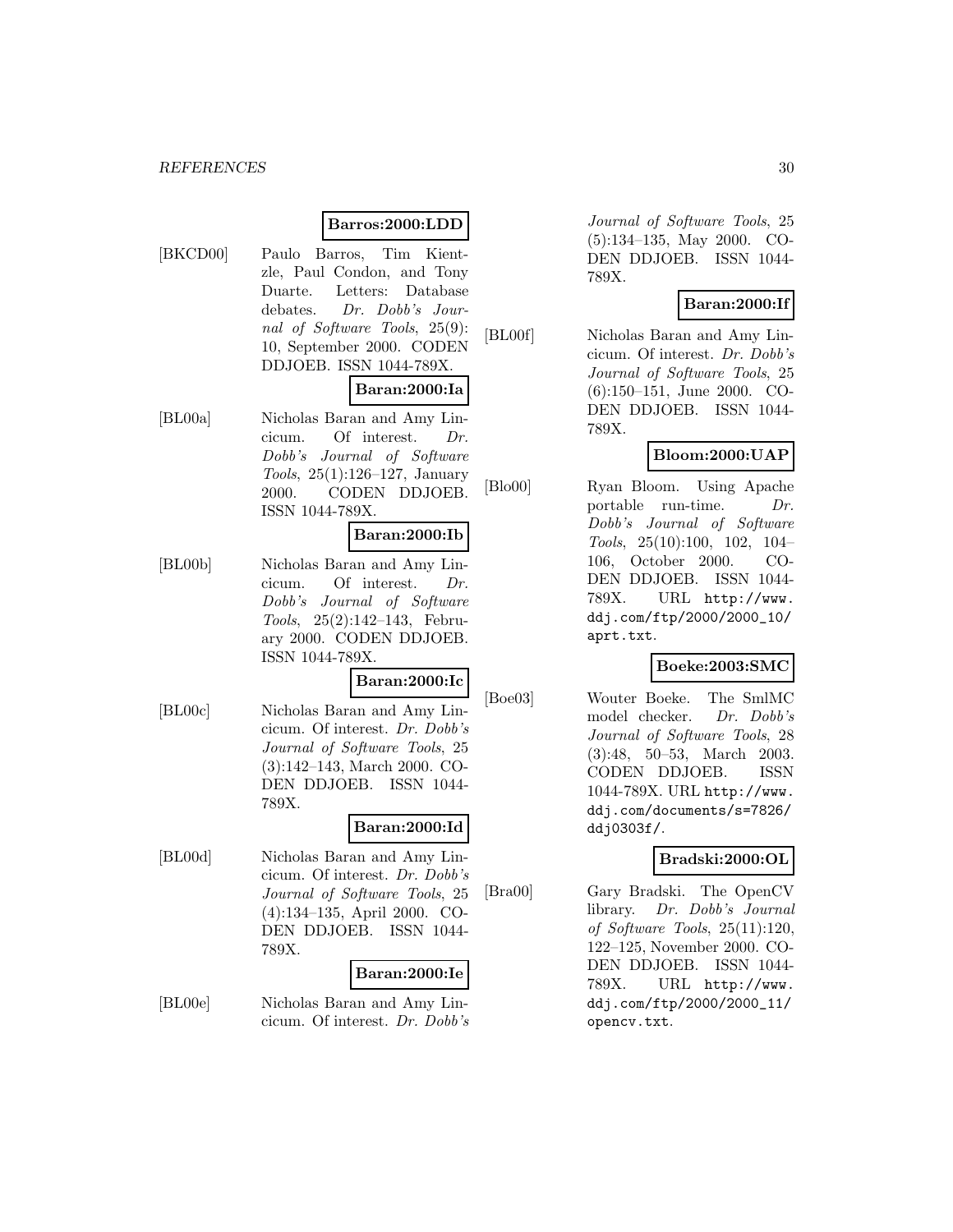#### *REFERENCES* 30

# **Barros:2000:LDD**

[BKCD00] Paulo Barros, Tim Kientzle, Paul Condon, and Tony Duarte. Letters: Database debates. Dr. Dobb's Journal of Software Tools, 25(9): 10, September 2000. CODEN DDJOEB. ISSN 1044-789X.

#### **Baran:2000:Ia**

[BL00a] Nicholas Baran and Amy Lincicum. Of interest. Dr. Dobb's Journal of Software Tools, 25(1):126–127, January 2000. CODEN DDJOEB. ISSN 1044-789X.

#### **Baran:2000:Ib**

[BL00b] Nicholas Baran and Amy Lincicum. Of interest. Dr. Dobb's Journal of Software Tools, 25(2):142–143, February 2000. CODEN DDJOEB. ISSN 1044-789X.

#### **Baran:2000:Ic**

[BL00c] Nicholas Baran and Amy Lincicum. Of interest. Dr. Dobb's Journal of Software Tools, 25 (3):142–143, March 2000. CO-DEN DDJOEB. ISSN 1044- 789X.

#### **Baran:2000:Id**

[BL00d] Nicholas Baran and Amy Lincicum. Of interest. Dr. Dobb's Journal of Software Tools, 25 (4):134–135, April 2000. CO-DEN DDJOEB. ISSN 1044- 789X.

#### **Baran:2000:Ie**

[BL00e] Nicholas Baran and Amy Lincicum. Of interest. Dr. Dobb's

Journal of Software Tools, 25 (5):134–135, May 2000. CO-DEN DDJOEB. ISSN 1044- 789X.

#### **Baran:2000:If**

[BL00f] Nicholas Baran and Amy Lincicum. Of interest. Dr. Dobb's Journal of Software Tools, 25 (6):150–151, June 2000. CO-DEN DDJOEB. ISSN 1044- 789X.

#### **Bloom:2000:UAP**

[Blo00] Ryan Bloom. Using Apache portable run-time. Dr. Dobb's Journal of Software Tools, 25(10):100, 102, 104– 106, October 2000. CO-DEN DDJOEB. ISSN 1044- 789X. URL http://www. ddj.com/ftp/2000/2000\_10/ aprt.txt.

#### **Boeke:2003:SMC**

[Boe03] Wouter Boeke. The SmlMC model checker. Dr. Dobb's Journal of Software Tools, 28 (3):48, 50–53, March 2003. CODEN DDJOEB. ISSN 1044-789X. URL http://www. ddj.com/documents/s=7826/ ddj0303f/.

#### **Bradski:2000:OL**

[Bra00] Gary Bradski. The OpenCV library. Dr. Dobb's Journal of Software Tools, 25(11):120, 122–125, November 2000. CO-DEN DDJOEB. ISSN 1044- 789X. URL http://www. ddj.com/ftp/2000/2000\_11/ opencv.txt.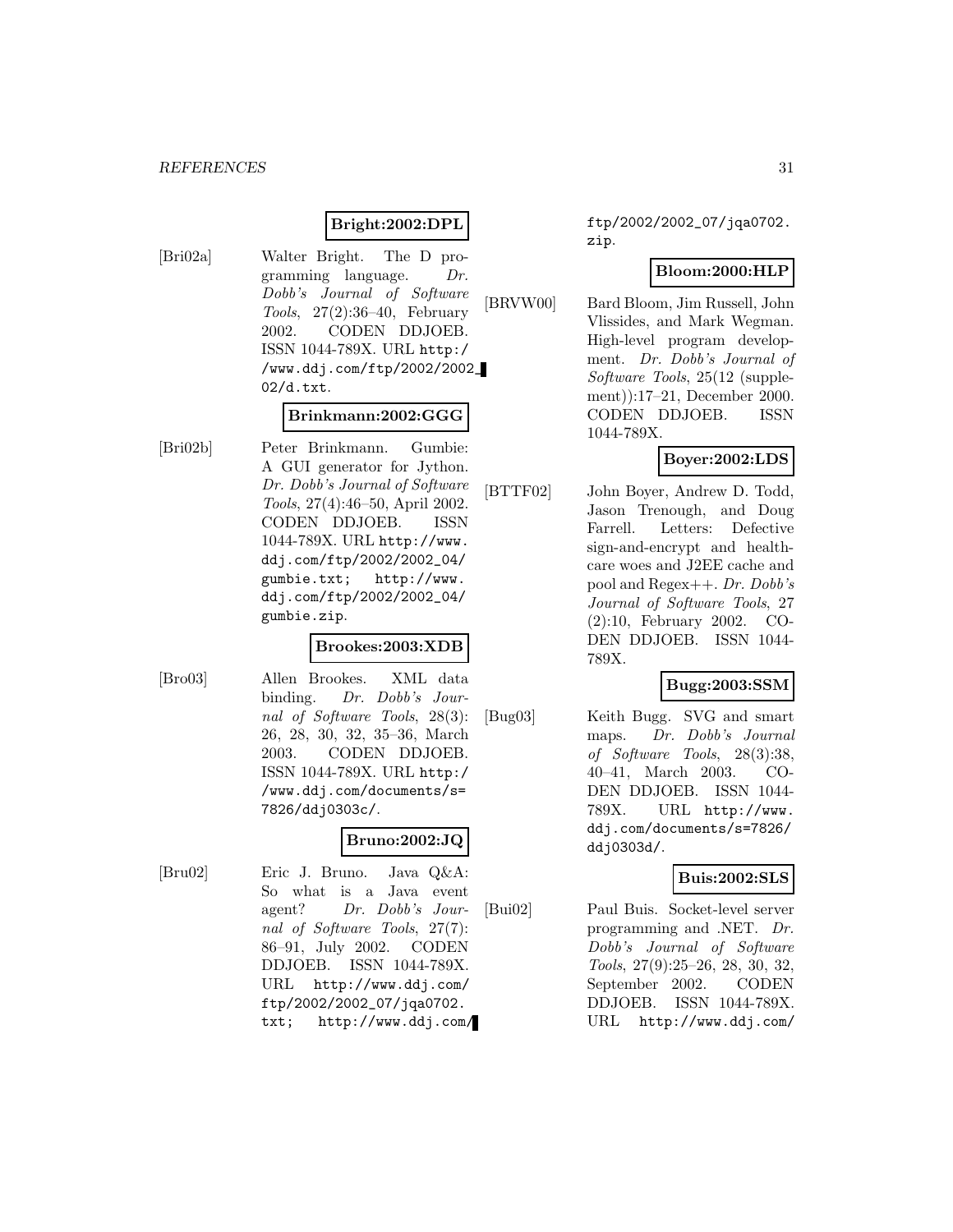#### **Bright:2002:DPL**

[Bri02a] Walter Bright. The D programming language. Dr. Dobb's Journal of Software Tools, 27(2):36–40, February 2002. CODEN DDJOEB. ISSN 1044-789X. URL http:/ /www.ddj.com/ftp/2002/2002\_ 02/d.txt.

#### **Brinkmann:2002:GGG**

[Bri02b] Peter Brinkmann. Gumbie: A GUI generator for Jython. Dr. Dobb's Journal of Software Tools, 27(4):46–50, April 2002. CODEN DDJOEB. ISSN 1044-789X. URL http://www. ddj.com/ftp/2002/2002\_04/ gumbie.txt; http://www. ddj.com/ftp/2002/2002\_04/ gumbie.zip.

#### **Brookes:2003:XDB**

[Bro03] Allen Brookes. XML data binding. Dr. Dobb's Journal of Software Tools, 28(3): 26, 28, 30, 32, 35–36, March 2003. CODEN DDJOEB. ISSN 1044-789X. URL http:/ /www.ddj.com/documents/s= 7826/ddj0303c/.

## **Bruno:2002:JQ**

[Bru02] Eric J. Bruno. Java Q&A: So what is a Java event agent? Dr. Dobb's Journal of Software Tools, 27(7): 86–91, July 2002. CODEN DDJOEB. ISSN 1044-789X. URL http://www.ddj.com/ ftp/2002/2002\_07/jqa0702. txt; http://www.ddj.com/ ftp/2002/2002\_07/jqa0702. zip.

## **Bloom:2000:HLP**

[BRVW00] Bard Bloom, Jim Russell, John Vlissides, and Mark Wegman. High-level program development. Dr. Dobb's Journal of Software Tools, 25(12 (supplement)):17–21, December 2000. CODEN DDJOEB. ISSN 1044-789X.

## **Boyer:2002:LDS**

[BTTF02] John Boyer, Andrew D. Todd, Jason Trenough, and Doug Farrell. Letters: Defective sign-and-encrypt and healthcare woes and J2EE cache and pool and Regex++. Dr. Dobb's Journal of Software Tools, 27 (2):10, February 2002. CO-DEN DDJOEB. ISSN 1044- 789X.

## **Bugg:2003:SSM**

[Bug03] Keith Bugg. SVG and smart maps. Dr. Dobb's Journal of Software Tools, 28(3):38, 40–41, March 2003. CO-DEN DDJOEB. ISSN 1044- 789X. URL http://www. ddj.com/documents/s=7826/ ddj0303d/.

## **Buis:2002:SLS**

[Bui02] Paul Buis. Socket-level server programming and .NET. Dr. Dobb's Journal of Software Tools, 27(9):25–26, 28, 30, 32, September 2002. CODEN DDJOEB. ISSN 1044-789X. URL http://www.ddj.com/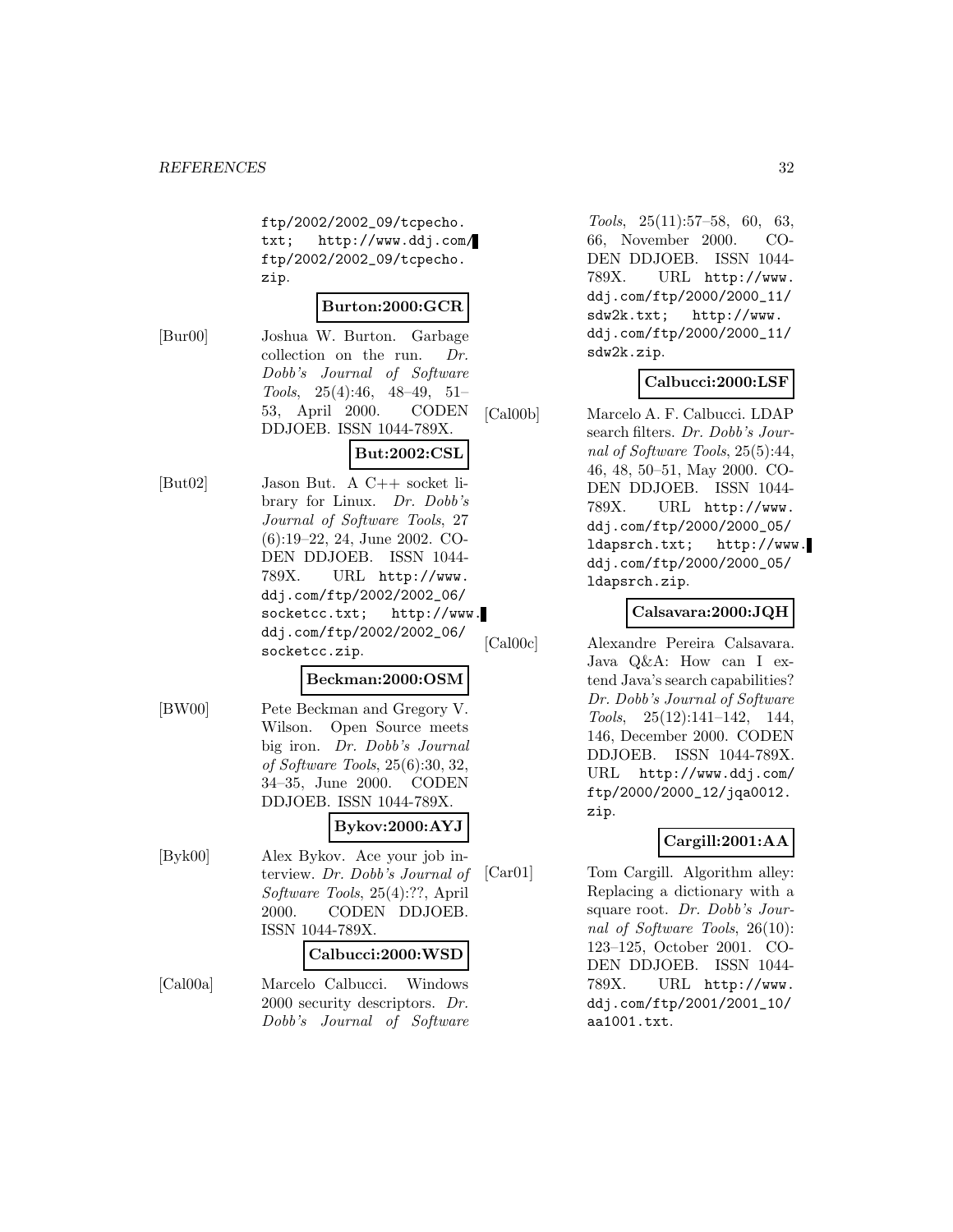ftp/2002/2002\_09/tcpecho. txt; http://www.ddj.com/ ftp/2002/2002\_09/tcpecho. zip.

#### **Burton:2000:GCR**

[Bur00] Joshua W. Burton. Garbage collection on the run. Dr. Dobb's Journal of Software Tools, 25(4):46, 48–49, 51– 53, April 2000. CODEN DDJOEB. ISSN 1044-789X.

# **But:2002:CSL**

[But02] Jason But. A C++ socket library for Linux. Dr. Dobb's Journal of Software Tools, 27 (6):19–22, 24, June 2002. CO-DEN DDJOEB. ISSN 1044- 789X. URL http://www. ddj.com/ftp/2002/2002\_06/ socketcc.txt; http://www. ddj.com/ftp/2002/2002\_06/ socketcc.zip.

#### **Beckman:2000:OSM**

[BW00] Pete Beckman and Gregory V. Wilson. Open Source meets big iron. Dr. Dobb's Journal of Software Tools, 25(6):30, 32, 34–35, June 2000. CODEN DDJOEB. ISSN 1044-789X.

# **Bykov:2000:AYJ**

[Byk00] Alex Bykov. Ace your job interview. Dr. Dobb's Journal of Software Tools, 25(4):??, April 2000. CODEN DDJOEB. ISSN 1044-789X.

#### **Calbucci:2000:WSD**

[Cal00a] Marcelo Calbucci. Windows 2000 security descriptors. Dr. Dobb's Journal of Software

Tools, 25(11):57–58, 60, 63, 66, November 2000. CO-DEN DDJOEB. ISSN 1044- 789X. URL http://www. ddj.com/ftp/2000/2000\_11/ sdw2k.txt; http://www. ddj.com/ftp/2000/2000\_11/ sdw2k.zip.

# **Calbucci:2000:LSF**

[Cal00b] Marcelo A. F. Calbucci. LDAP search filters. Dr. Dobb's Journal of Software Tools, 25(5):44, 46, 48, 50–51, May 2000. CO-DEN DDJOEB. ISSN 1044- 789X. URL http://www. ddj.com/ftp/2000/2000\_05/ ldapsrch.txt; http://www. ddj.com/ftp/2000/2000\_05/ ldapsrch.zip.

## **Calsavara:2000:JQH**

[Cal00c] Alexandre Pereira Calsavara. Java Q&A: How can I extend Java's search capabilities? Dr. Dobb's Journal of Software Tools, 25(12):141–142, 144, 146, December 2000. CODEN DDJOEB. ISSN 1044-789X. URL http://www.ddj.com/ ftp/2000/2000\_12/jqa0012. zip.

# **Cargill:2001:AA**

[Car01] Tom Cargill. Algorithm alley: Replacing a dictionary with a square root. Dr. Dobb's Journal of Software Tools, 26(10): 123–125, October 2001. CO-DEN DDJOEB. ISSN 1044- 789X. URL http://www. ddj.com/ftp/2001/2001\_10/ aa1001.txt.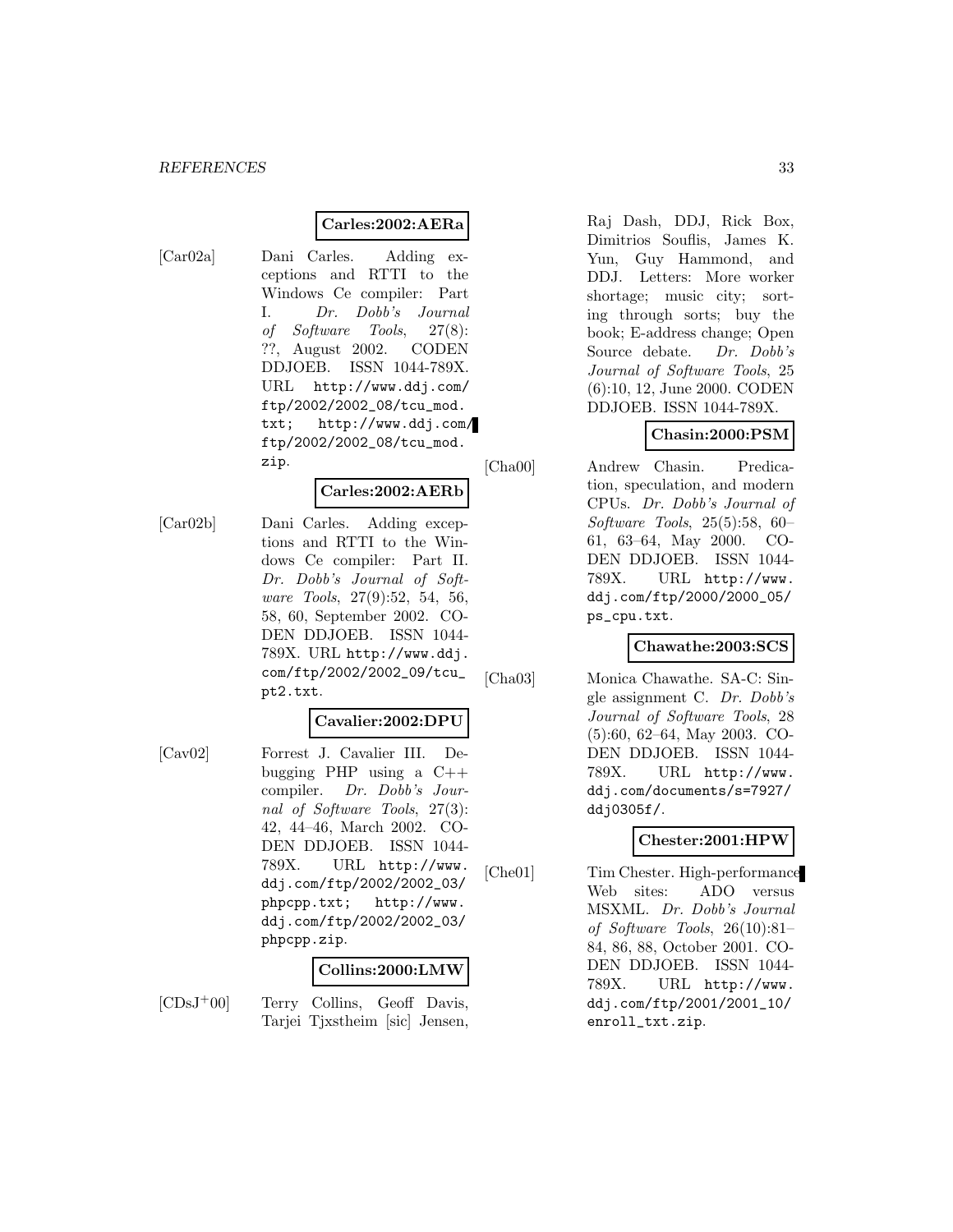#### **Carles:2002:AERa**

[Car02a] Dani Carles. Adding exceptions and RTTI to the Windows Ce compiler: Part I. Dr. Dobb's Journal of Software Tools, 27(8): ??, August 2002. CODEN DDJOEB. ISSN 1044-789X. URL http://www.ddj.com/ ftp/2002/2002\_08/tcu\_mod. txt; http://www.ddj.com/ ftp/2002/2002\_08/tcu\_mod. zip.

#### **Carles:2002:AERb**

[Car02b] Dani Carles. Adding exceptions and RTTI to the Windows Ce compiler: Part II. Dr. Dobb's Journal of Software Tools, 27(9):52, 54, 56, 58, 60, September 2002. CO-DEN DDJOEB. ISSN 1044- 789X. URL http://www.ddj. com/ftp/2002/2002\_09/tcu\_ pt2.txt.

## **Cavalier:2002:DPU**

[Cav02] Forrest J. Cavalier III. Debugging PHP using a  $C++$ compiler. Dr. Dobb's Journal of Software Tools, 27(3): 42, 44–46, March 2002. CO-DEN DDJOEB. ISSN 1044- 789X. URL http://www. ddj.com/ftp/2002/2002\_03/ phpcpp.txt; http://www. ddj.com/ftp/2002/2002\_03/ phpcpp.zip.

#### **Collins:2000:LMW**

[CDsJ<sup>+</sup>00] Terry Collins, Geoff Davis, Tarjei Tjxstheim [sic] Jensen,

Raj Dash, DDJ, Rick Box, Dimitrios Souflis, James K. Yun, Guy Hammond, and DDJ. Letters: More worker shortage; music city; sorting through sorts; buy the book; E-address change; Open Source debate. Dr. Dobb's Journal of Software Tools, 25 (6):10, 12, June 2000. CODEN DDJOEB. ISSN 1044-789X.

# **Chasin:2000:PSM**

[Cha00] Andrew Chasin. Predication, speculation, and modern CPUs. Dr. Dobb's Journal of Software Tools, 25(5):58, 60– 61, 63–64, May 2000. CO-DEN DDJOEB. ISSN 1044- 789X. URL http://www. ddj.com/ftp/2000/2000\_05/ ps\_cpu.txt.

#### **Chawathe:2003:SCS**

[Cha03] Monica Chawathe. SA-C: Single assignment C. Dr. Dobb's Journal of Software Tools, 28 (5):60, 62–64, May 2003. CO-DEN DDJOEB. ISSN 1044- 789X. URL http://www. ddj.com/documents/s=7927/ ddj0305f/.

#### **Chester:2001:HPW**

[Che01] Tim Chester. High-performance Web sites: ADO versus MSXML. Dr. Dobb's Journal of Software Tools, 26(10):81– 84, 86, 88, October 2001. CO-DEN DDJOEB. ISSN 1044- 789X. URL http://www. ddj.com/ftp/2001/2001\_10/ enroll\_txt.zip.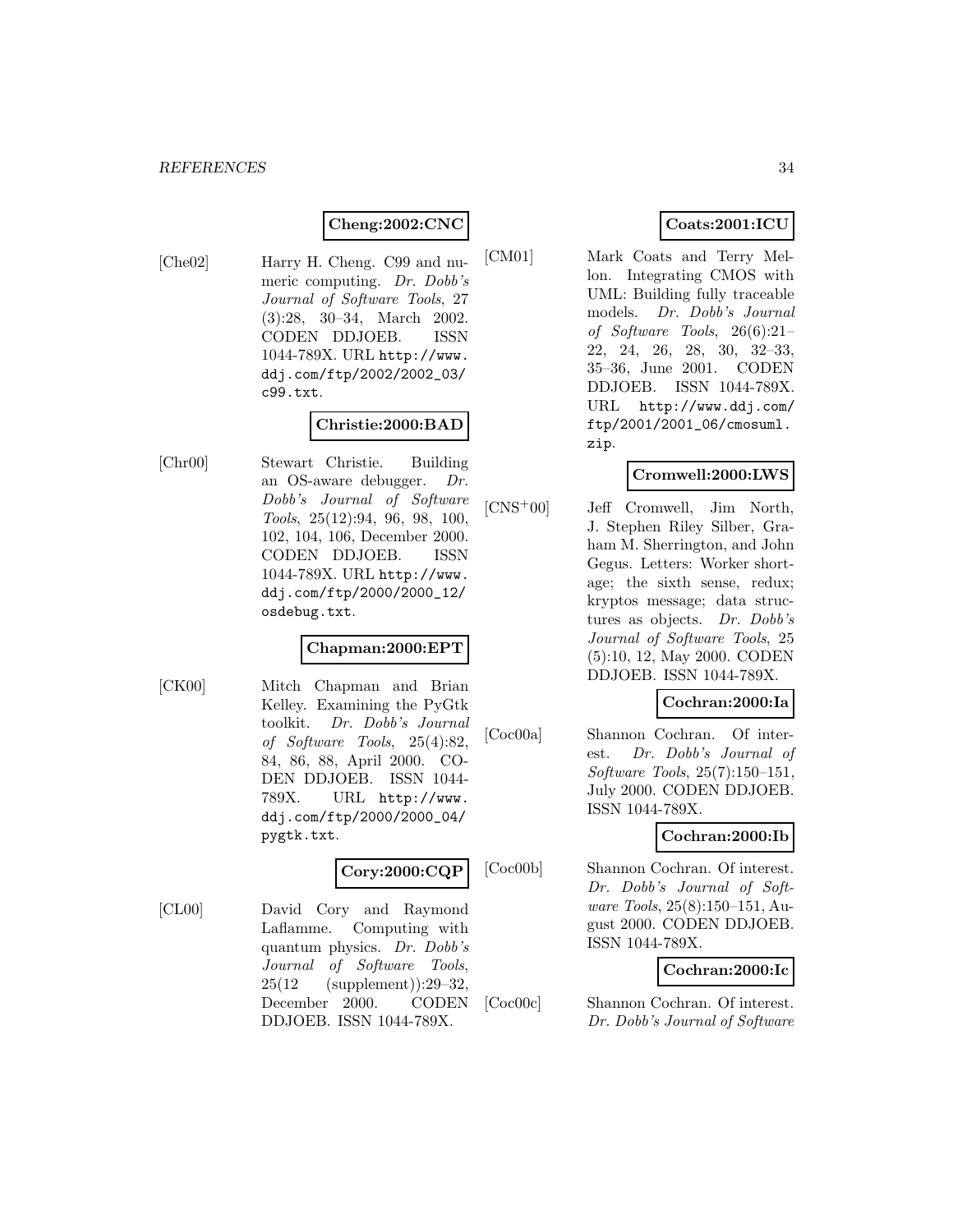# **Cheng:2002:CNC**

[Che02] Harry H. Cheng. C99 and numeric computing. Dr. Dobb's Journal of Software Tools, 27 (3):28, 30–34, March 2002. CODEN DDJOEB. ISSN 1044-789X. URL http://www. ddj.com/ftp/2002/2002\_03/ c99.txt.

## **Christie:2000:BAD**

[Chr00] Stewart Christie. Building an OS-aware debugger. Dr. Dobb's Journal of Software Tools, 25(12):94, 96, 98, 100, 102, 104, 106, December 2000. CODEN DDJOEB. ISSN 1044-789X. URL http://www. ddj.com/ftp/2000/2000\_12/ osdebug.txt.

#### **Chapman:2000:EPT**

[CK00] Mitch Chapman and Brian Kelley. Examining the PyGtk toolkit. Dr. Dobb's Journal of Software Tools, 25(4):82, 84, 86, 88, April 2000. CO-DEN DDJOEB. ISSN 1044- 789X. URL http://www. ddj.com/ftp/2000/2000\_04/ pygtk.txt.

#### **Cory:2000:CQP**

[CL00] David Cory and Raymond Laflamme. Computing with quantum physics. Dr. Dobb's Journal of Software Tools, 25(12 (supplement)):29–32, December 2000. CODEN DDJOEB. ISSN 1044-789X.

# **Coats:2001:ICU**

[CM01] Mark Coats and Terry Mellon. Integrating CMOS with UML: Building fully traceable models. Dr. Dobb's Journal of Software Tools, 26(6):21– 22, 24, 26, 28, 30, 32–33, 35–36, June 2001. CODEN DDJOEB. ISSN 1044-789X. URL http://www.ddj.com/ ftp/2001/2001\_06/cmosuml. zip.

## **Cromwell:2000:LWS**

[CNS<sup>+</sup>00] Jeff Cromwell, Jim North, J. Stephen Riley Silber, Graham M. Sherrington, and John Gegus. Letters: Worker shortage; the sixth sense, redux; kryptos message; data structures as objects. Dr. Dobb's Journal of Software Tools, 25 (5):10, 12, May 2000. CODEN DDJOEB. ISSN 1044-789X.

#### **Cochran:2000:Ia**

[Coc00a] Shannon Cochran. Of interest. Dr. Dobb's Journal of Software Tools, 25(7):150–151, July 2000. CODEN DDJOEB. ISSN 1044-789X.

## **Cochran:2000:Ib**

[Coc00b] Shannon Cochran. Of interest. Dr. Dobb's Journal of Software Tools, 25(8):150–151, August 2000. CODEN DDJOEB. ISSN 1044-789X.

#### **Cochran:2000:Ic**

[Coc00c] Shannon Cochran. Of interest. Dr. Dobb's Journal of Software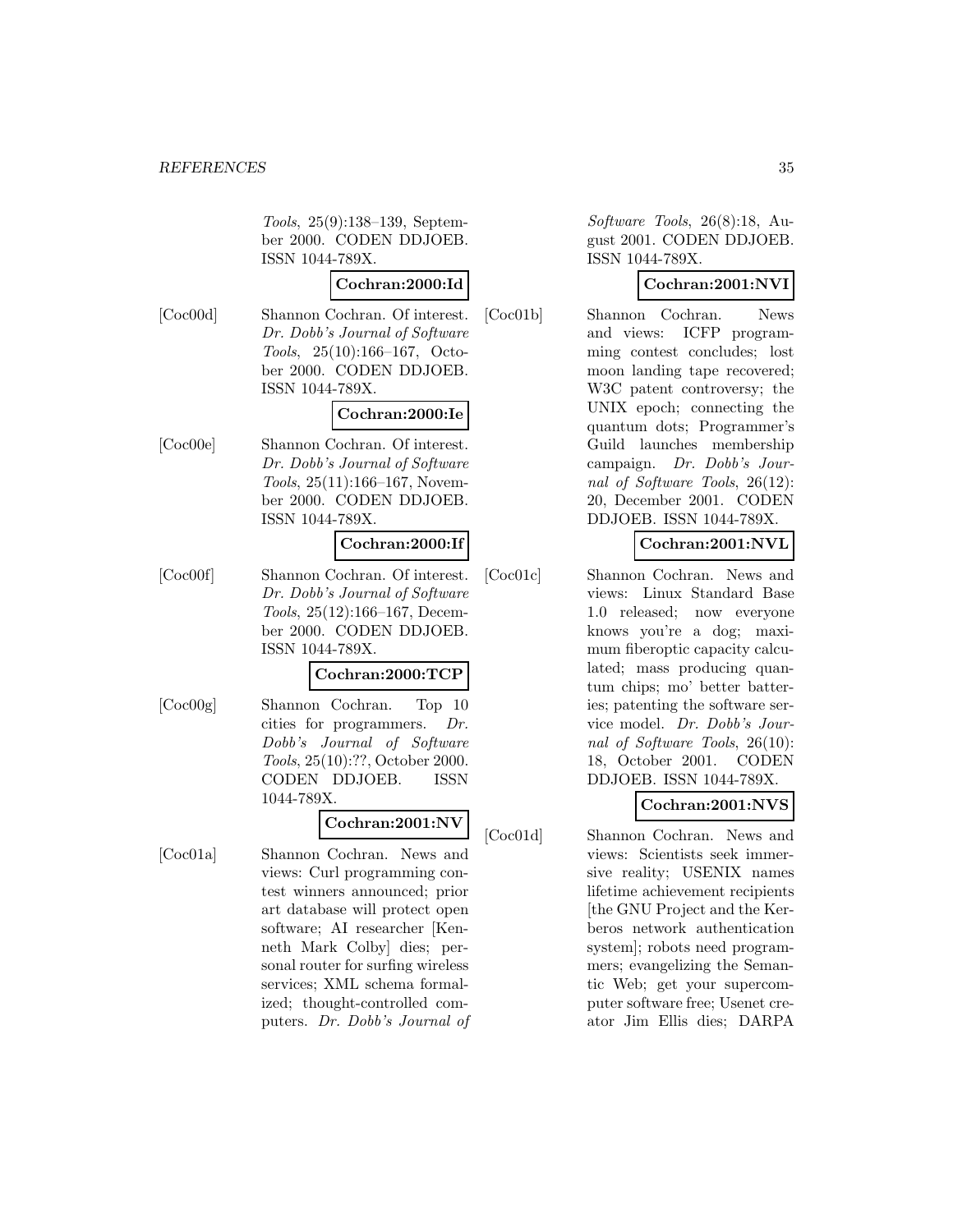Tools, 25(9):138–139, September 2000. CODEN DDJOEB. ISSN 1044-789X.

# **Cochran:2000:Id**

[Coc00d] Shannon Cochran. Of interest. Dr. Dobb's Journal of Software Tools, 25(10):166–167, October 2000. CODEN DDJOEB. ISSN 1044-789X.

#### **Cochran:2000:Ie**

[Coc00e] Shannon Cochran. Of interest. Dr. Dobb's Journal of Software Tools, 25(11):166–167, November 2000. CODEN DDJOEB. ISSN 1044-789X.

#### **Cochran:2000:If**

[Coc00f] Shannon Cochran. Of interest. Dr. Dobb's Journal of Software Tools, 25(12):166–167, December 2000. CODEN DDJOEB. ISSN 1044-789X.

#### **Cochran:2000:TCP**

[Coc00g] Shannon Cochran. Top 10 cities for programmers. Dr. Dobb's Journal of Software Tools, 25(10):??, October 2000. CODEN DDJOEB. ISSN 1044-789X.

# **Cochran:2001:NV**

[Coc01a] Shannon Cochran. News and views: Curl programming contest winners announced; prior art database will protect open software; AI researcher [Kenneth Mark Colby] dies; personal router for surfing wireless services; XML schema formalized; thought-controlled computers. Dr. Dobb's Journal of

Software Tools, 26(8):18, August 2001. CODEN DDJOEB. ISSN 1044-789X.

# **Cochran:2001:NVI**

[Coc01b] Shannon Cochran. News and views: ICFP programming contest concludes; lost moon landing tape recovered; W3C patent controversy; the UNIX epoch; connecting the quantum dots; Programmer's Guild launches membership campaign. Dr. Dobb's Journal of Software Tools, 26(12): 20, December 2001. CODEN DDJOEB. ISSN 1044-789X.

# **Cochran:2001:NVL**

[Coc01c] Shannon Cochran. News and views: Linux Standard Base 1.0 released; now everyone knows you're a dog; maximum fiberoptic capacity calculated; mass producing quantum chips; mo' better batteries; patenting the software service model. Dr. Dobb's Journal of Software Tools, 26(10): 18, October 2001. CODEN DDJOEB. ISSN 1044-789X.

# **Cochran:2001:NVS**

[Coc01d] Shannon Cochran. News and views: Scientists seek immersive reality; USENIX names lifetime achievement recipients [the GNU Project and the Kerberos network authentication system]; robots need programmers; evangelizing the Semantic Web; get your supercomputer software free; Usenet creator Jim Ellis dies; DARPA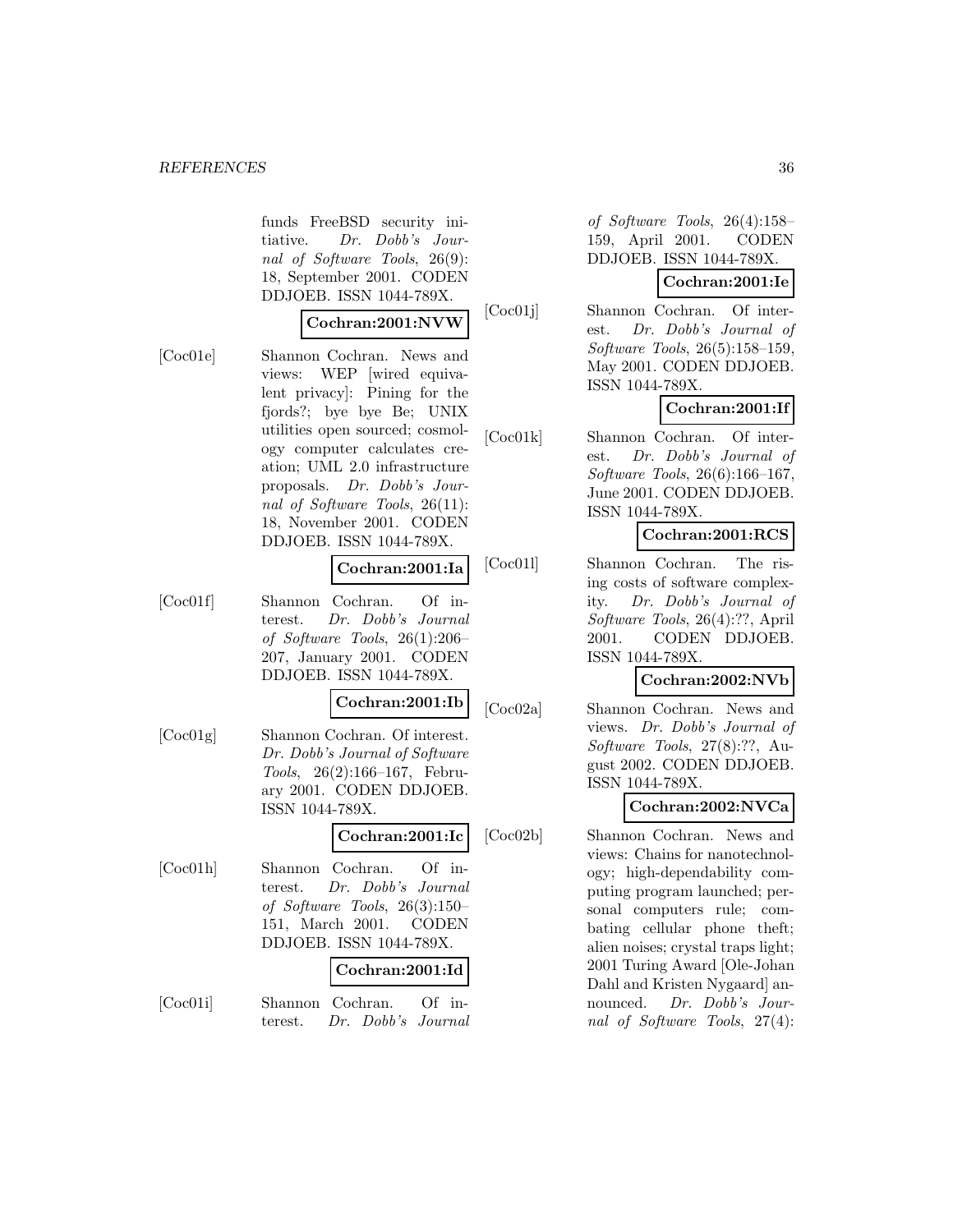#### *REFERENCES* 36

funds FreeBSD security initiative. Dr. Dobb's Journal of Software Tools, 26(9): 18, September 2001. CODEN DDJOEB. ISSN 1044-789X.

#### **Cochran:2001:NVW**

[Coc01e] Shannon Cochran. News and views: WEP [wired equivalent privacy]: Pining for the fjords?; bye bye Be; UNIX utilities open sourced; cosmology computer calculates creation; UML 2.0 infrastructure proposals. Dr. Dobb's Journal of Software Tools, 26(11): 18, November 2001. CODEN DDJOEB. ISSN 1044-789X.

#### **Cochran:2001:Ia**

[Coc01f] Shannon Cochran. Of interest. Dr. Dobb's Journal of Software Tools, 26(1):206– 207, January 2001. CODEN DDJOEB. ISSN 1044-789X.

#### **Cochran:2001:Ib**

[Coc01g] Shannon Cochran. Of interest. Dr. Dobb's Journal of Software Tools, 26(2):166–167, February 2001. CODEN DDJOEB. ISSN 1044-789X.

# **Cochran:2001:Ic**

[Coc01h] Shannon Cochran. Of interest. Dr. Dobb's Journal of Software Tools, 26(3):150– 151, March 2001. CODEN DDJOEB. ISSN 1044-789X.

#### **Cochran:2001:Id**

[Coc01i] Shannon Cochran. Of interest. Dr. Dobb's Journal

of Software Tools, 26(4):158– 159, April 2001. CODEN DDJOEB. ISSN 1044-789X.

# **Cochran:2001:Ie**

[Coc01j] Shannon Cochran. Of interest. Dr. Dobb's Journal of Software Tools, 26(5):158–159, May 2001. CODEN DDJOEB. ISSN 1044-789X.

# **Cochran:2001:If**

[Coc01k] Shannon Cochran. Of interest. Dr. Dobb's Journal of Software Tools, 26(6):166–167, June 2001. CODEN DDJOEB. ISSN 1044-789X.

#### **Cochran:2001:RCS**

[Coc01l] Shannon Cochran. The rising costs of software complexity. Dr. Dobb's Journal of Software Tools, 26(4):??, April 2001. CODEN DDJOEB. ISSN 1044-789X.

#### **Cochran:2002:NVb**

[Coc02a] Shannon Cochran. News and views. Dr. Dobb's Journal of Software Tools, 27(8):??, August 2002. CODEN DDJOEB. ISSN 1044-789X.

#### **Cochran:2002:NVCa**

[Coc02b] Shannon Cochran. News and views: Chains for nanotechnology; high-dependability computing program launched; personal computers rule; combating cellular phone theft; alien noises; crystal traps light; 2001 Turing Award [Ole-Johan Dahl and Kristen Nygaard] announced. Dr. Dobb's Journal of Software Tools, 27(4):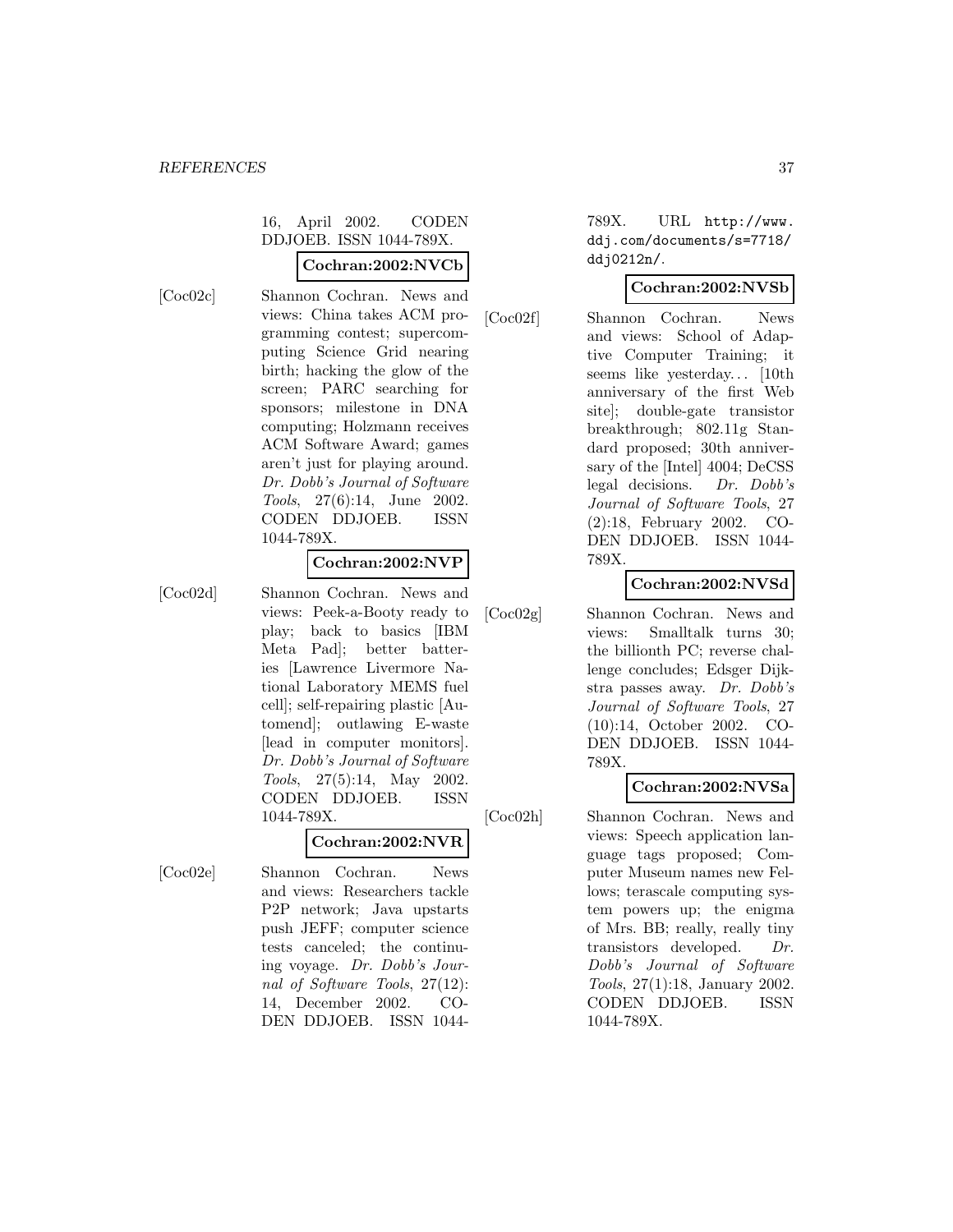# 16, April 2002. CODEN DDJOEB. ISSN 1044-789X.

## **Cochran:2002:NVCb**

[Coc02c] Shannon Cochran. News and views: China takes ACM programming contest; supercomputing Science Grid nearing birth; hacking the glow of the screen; PARC searching for sponsors; milestone in DNA computing; Holzmann receives ACM Software Award; games aren't just for playing around. Dr. Dobb's Journal of Software Tools, 27(6):14, June 2002. CODEN DDJOEB. ISSN 1044-789X.

# **Cochran:2002:NVP**

[Coc02d] Shannon Cochran. News and views: Peek-a-Booty ready to play; back to basics [IBM Meta Pad]; better batteries [Lawrence Livermore National Laboratory MEMS fuel cell]; self-repairing plastic [Automend]; outlawing E-waste [lead in computer monitors]. Dr. Dobb's Journal of Software Tools, 27(5):14, May 2002. CODEN DDJOEB. ISSN 1044-789X.

#### **Cochran:2002:NVR**

[Coc02e] Shannon Cochran. News and views: Researchers tackle P2P network; Java upstarts push JEFF; computer science tests canceled; the continuing voyage. Dr. Dobb's Journal of Software Tools, 27(12): 14, December 2002. CO-DEN DDJOEB. ISSN 1044789X. URL http://www. ddj.com/documents/s=7718/ ddj0212n/.

# **Cochran:2002:NVSb**

[Coc02f] Shannon Cochran. News and views: School of Adaptive Computer Training; it seems like yesterday... [10th anniversary of the first Web site]; double-gate transistor breakthrough; 802.11g Standard proposed; 30th anniversary of the [Intel] 4004; DeCSS legal decisions. Dr. Dobb's Journal of Software Tools, 27 (2):18, February 2002. CO-DEN DDJOEB. ISSN 1044- 789X.

# **Cochran:2002:NVSd**

[Coc02g] Shannon Cochran. News and views: Smalltalk turns 30; the billionth PC; reverse challenge concludes; Edsger Dijkstra passes away. Dr. Dobb's Journal of Software Tools, 27 (10):14, October 2002. CO-DEN DDJOEB. ISSN 1044- 789X.

# **Cochran:2002:NVSa**

[Coc02h] Shannon Cochran. News and views: Speech application language tags proposed; Computer Museum names new Fellows; terascale computing system powers up; the enigma of Mrs. BB; really, really tiny transistors developed. Dr. Dobb's Journal of Software Tools, 27(1):18, January 2002. CODEN DDJOEB. ISSN 1044-789X.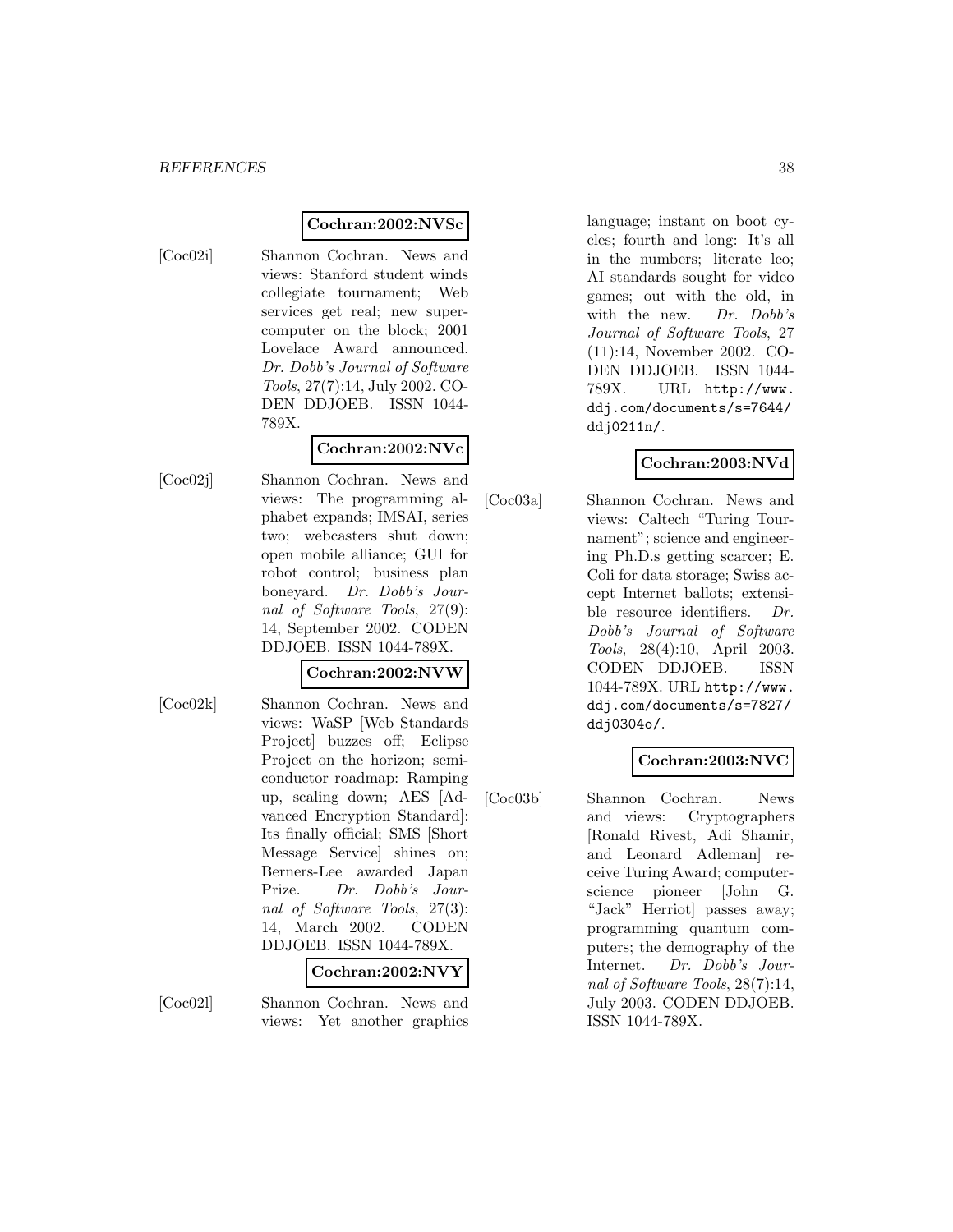## **Cochran:2002:NVSc**

- 
- [Coc02i] Shannon Cochran. News and views: Stanford student winds collegiate tournament; Web services get real; new supercomputer on the block; 2001 Lovelace Award announced. Dr. Dobb's Journal of Software Tools, 27(7):14, July 2002. CO-DEN DDJOEB. ISSN 1044- 789X.

# **Cochran:2002:NVc**

[Coc02j] Shannon Cochran. News and views: The programming alphabet expands; IMSAI, series two; webcasters shut down; open mobile alliance; GUI for robot control; business plan boneyard. Dr. Dobb's Journal of Software Tools, 27(9): 14, September 2002. CODEN DDJOEB. ISSN 1044-789X.

# **Cochran:2002:NVW**

[Coc02k] Shannon Cochran. News and views: WaSP [Web Standards Project] buzzes off; Eclipse Project on the horizon; semiconductor roadmap: Ramping up, scaling down; AES [Advanced Encryption Standard]: Its finally official; SMS [Short Message Service] shines on; Berners-Lee awarded Japan Prize. Dr. Dobb's Journal of Software Tools, 27(3): 14, March 2002. CODEN DDJOEB. ISSN 1044-789X.

**Cochran:2002:NVY**

[Coc02l] Shannon Cochran. News and views: Yet another graphics language; instant on boot cycles; fourth and long: It's all in the numbers; literate leo; AI standards sought for video games; out with the old, in with the new. Dr. Dobb's Journal of Software Tools, 27 (11):14, November 2002. CO-DEN DDJOEB. ISSN 1044- 789X. URL http://www. ddj.com/documents/s=7644/ ddj0211n/.

# **Cochran:2003:NVd**

[Coc03a] Shannon Cochran. News and views: Caltech "Turing Tournament"; science and engineering Ph.D.s getting scarcer; E. Coli for data storage; Swiss accept Internet ballots; extensible resource identifiers. Dr. Dobb's Journal of Software Tools, 28(4):10, April 2003. CODEN DDJOEB. ISSN 1044-789X. URL http://www. ddj.com/documents/s=7827/ ddj0304o/.

# **Cochran:2003:NVC**

[Coc03b] Shannon Cochran. News and views: Cryptographers [Ronald Rivest, Adi Shamir, and Leonard Adleman] receive Turing Award; computerscience pioneer [John G. "Jack" Herriot] passes away; programming quantum computers; the demography of the Internet. Dr. Dobb's Journal of Software Tools, 28(7):14, July 2003. CODEN DDJOEB. ISSN 1044-789X.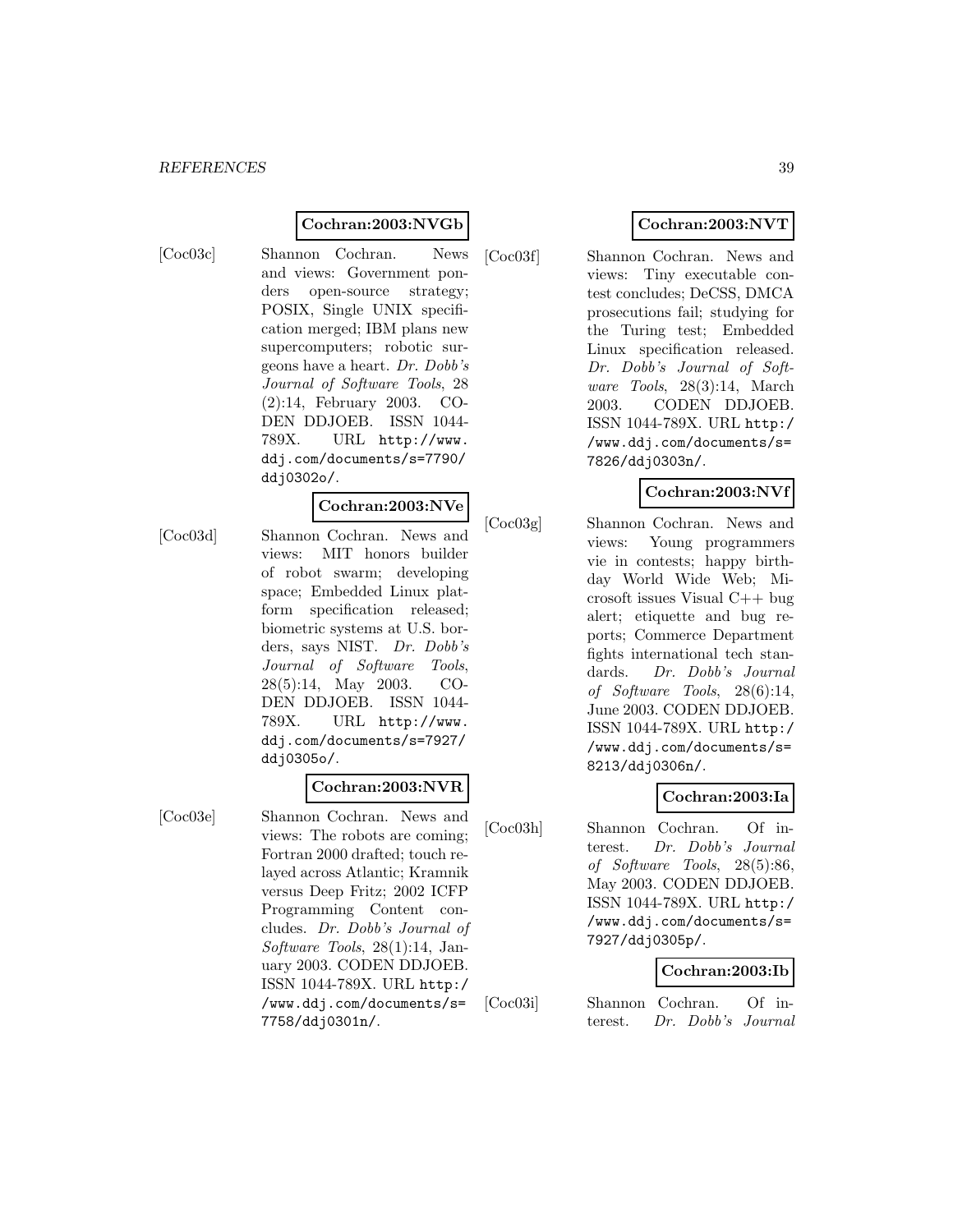#### **Cochran:2003:NVGb**

[Coc03c] Shannon Cochran. News and views: Government ponders open-source strategy; POSIX, Single UNIX specification merged; IBM plans new supercomputers; robotic surgeons have a heart. Dr. Dobb's Journal of Software Tools, 28 (2):14, February 2003. CO-DEN DDJOEB. ISSN 1044- 789X. URL http://www. ddj.com/documents/s=7790/ ddj0302o/.

#### **Cochran:2003:NVe**

[Coc03d] Shannon Cochran. News and views: MIT honors builder of robot swarm; developing space; Embedded Linux platform specification released; biometric systems at U.S. borders, says NIST. Dr. Dobb's Journal of Software Tools, 28(5):14, May 2003. CO-DEN DDJOEB. ISSN 1044- 789X. URL http://www. ddj.com/documents/s=7927/ ddj0305o/.

## **Cochran:2003:NVR**

[Coc03e] Shannon Cochran. News and views: The robots are coming; Fortran 2000 drafted; touch relayed across Atlantic; Kramnik versus Deep Fritz; 2002 ICFP Programming Content concludes. Dr. Dobb's Journal of Software Tools, 28(1):14, January 2003. CODEN DDJOEB. ISSN 1044-789X. URL http:/ /www.ddj.com/documents/s= 7758/ddj0301n/.

# **Cochran:2003:NVT**

[Coc03f] Shannon Cochran. News and views: Tiny executable contest concludes; DeCSS, DMCA prosecutions fail; studying for the Turing test; Embedded Linux specification released. Dr. Dobb's Journal of Software Tools, 28(3):14, March 2003. CODEN DDJOEB. ISSN 1044-789X. URL http:/ /www.ddj.com/documents/s= 7826/ddj0303n/.

# **Cochran:2003:NVf**

[Coc03g] Shannon Cochran. News and views: Young programmers vie in contests; happy birthday World Wide Web; Microsoft issues Visual C++ bug alert; etiquette and bug reports; Commerce Department fights international tech standards. Dr. Dobb's Journal of Software Tools, 28(6):14, June 2003. CODEN DDJOEB. ISSN 1044-789X. URL http:/ /www.ddj.com/documents/s= 8213/ddj0306n/.

# **Cochran:2003:Ia**

[Coc03h] Shannon Cochran. Of interest. Dr. Dobb's Journal of Software Tools, 28(5):86, May 2003. CODEN DDJOEB. ISSN 1044-789X. URL http:/ /www.ddj.com/documents/s= 7927/ddj0305p/.

# **Cochran:2003:Ib**

[Coc03i] Shannon Cochran. Of interest. Dr. Dobb's Journal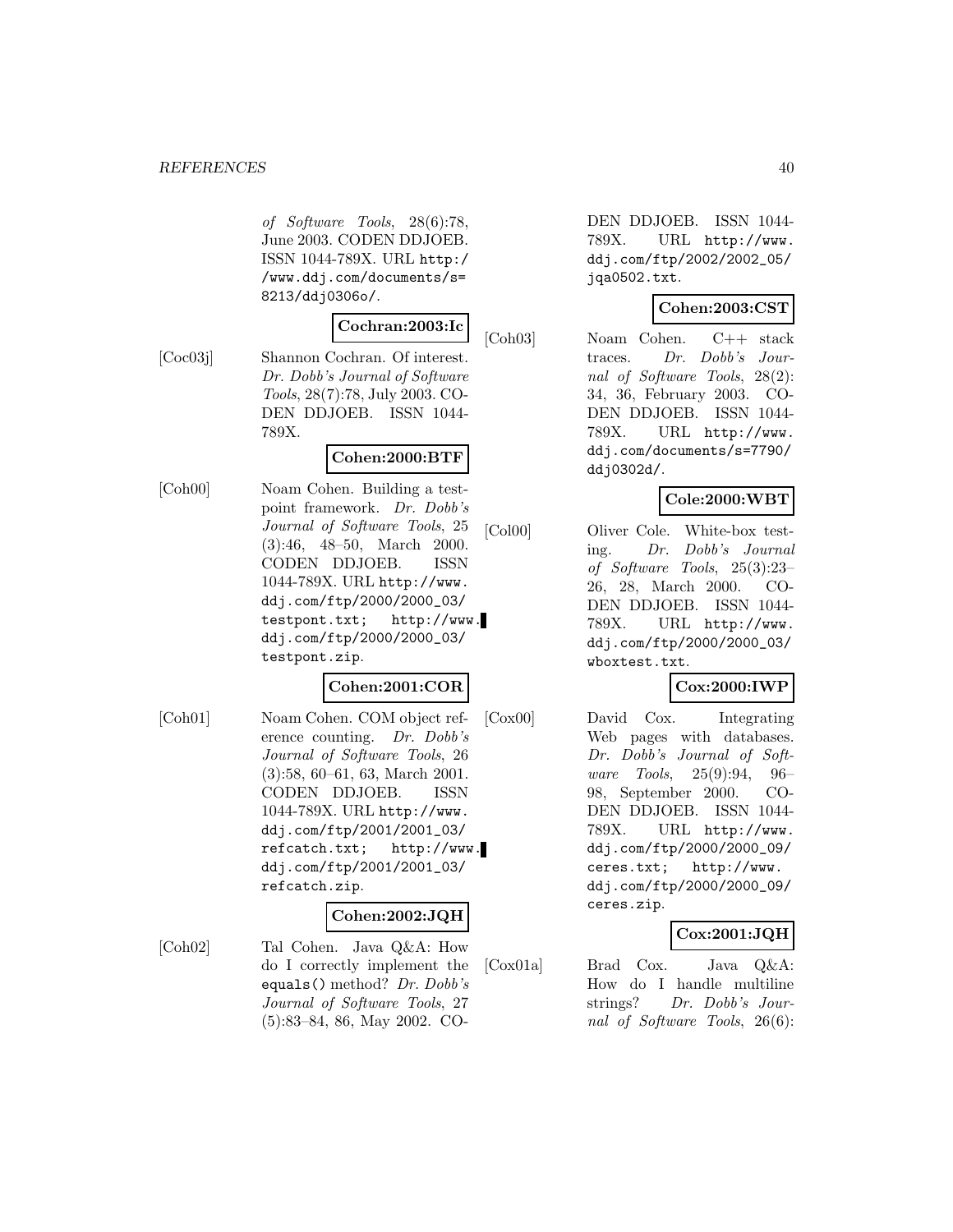of Software Tools, 28(6):78, June 2003. CODEN DDJOEB. ISSN 1044-789X. URL http:/ /www.ddj.com/documents/s= 8213/ddj0306o/.

## **Cochran:2003:Ic**

[Coc03j] Shannon Cochran. Of interest. Dr. Dobb's Journal of Software Tools, 28(7):78, July 2003. CO-DEN DDJOEB. ISSN 1044- 789X.

# **Cohen:2000:BTF**

[Coh00] Noam Cohen. Building a testpoint framework. Dr. Dobb's Journal of Software Tools, 25 (3):46, 48–50, March 2000. CODEN DDJOEB. ISSN 1044-789X. URL http://www. ddj.com/ftp/2000/2000\_03/ testpont.txt; http://www. ddj.com/ftp/2000/2000\_03/ testpont.zip.

# **Cohen:2001:COR**

[Coh01] Noam Cohen. COM object reference counting. Dr. Dobb's Journal of Software Tools, 26 (3):58, 60–61, 63, March 2001. CODEN DDJOEB. ISSN 1044-789X. URL http://www. ddj.com/ftp/2001/2001\_03/ refcatch.txt; http://www. ddj.com/ftp/2001/2001\_03/ refcatch.zip.

#### **Cohen:2002:JQH**

[Coh02] Tal Cohen. Java Q&A: How do I correctly implement the equals() method? Dr. Dobb's Journal of Software Tools, 27 (5):83–84, 86, May 2002. CO-

DEN DDJOEB. ISSN 1044- 789X. URL http://www. ddj.com/ftp/2002/2002\_05/ jqa0502.txt.

# **Cohen:2003:CST**

[Coh03] Noam Cohen. C++ stack traces. Dr. Dobb's Journal of Software Tools, 28(2): 34, 36, February 2003. CO-DEN DDJOEB. ISSN 1044- 789X. URL http://www. ddj.com/documents/s=7790/ ddj0302d/.

# **Cole:2000:WBT**

[Col00] Oliver Cole. White-box testing. Dr. Dobb's Journal of Software Tools, 25(3):23– 26, 28, March 2000. CO-DEN DDJOEB. ISSN 1044- 789X. URL http://www. ddj.com/ftp/2000/2000\_03/ wboxtest.txt.

# **Cox:2000:IWP**

[Cox00] David Cox. Integrating Web pages with databases. Dr. Dobb's Journal of Software Tools, 25(9):94, 96– 98, September 2000. CO-DEN DDJOEB. ISSN 1044- 789X. URL http://www. ddj.com/ftp/2000/2000\_09/ ceres.txt; http://www. ddj.com/ftp/2000/2000\_09/ ceres.zip.

# **Cox:2001:JQH**

[Cox01a] Brad Cox. Java Q&A: How do I handle multiline strings? Dr. Dobb's Journal of Software Tools, 26(6):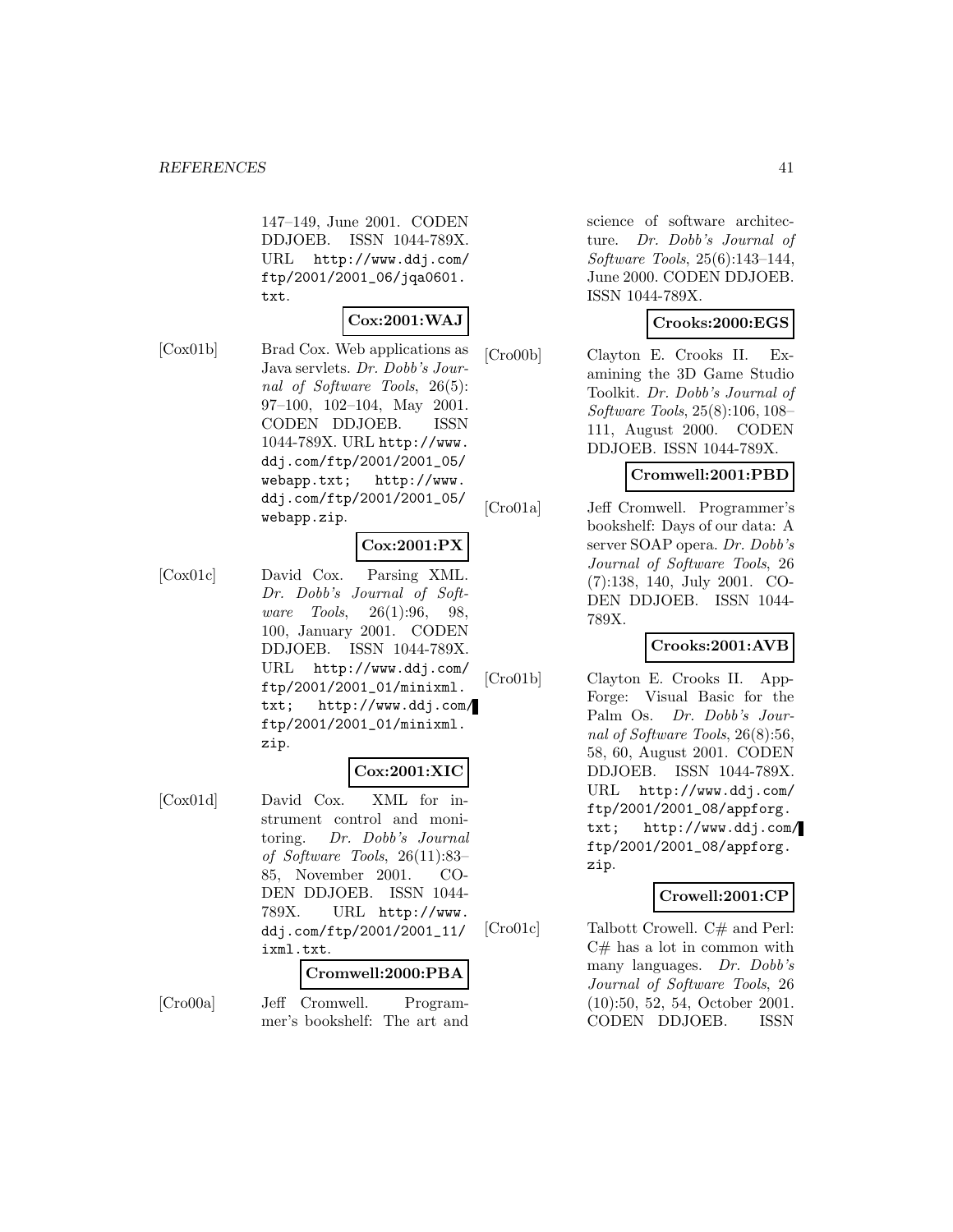147–149, June 2001. CODEN DDJOEB. ISSN 1044-789X. URL http://www.ddj.com/ ftp/2001/2001\_06/jqa0601. txt.

# **Cox:2001:WAJ**

[Cox01b] Brad Cox. Web applications as Java servlets. Dr. Dobb's Journal of Software Tools, 26(5): 97–100, 102–104, May 2001. CODEN DDJOEB. ISSN 1044-789X. URL http://www. ddj.com/ftp/2001/2001\_05/ webapp.txt; http://www. ddj.com/ftp/2001/2001\_05/ webapp.zip.

#### **Cox:2001:PX**

[Cox01c] David Cox. Parsing XML. Dr. Dobb's Journal of Software Tools, 26(1):96, 98, 100, January 2001. CODEN DDJOEB. ISSN 1044-789X. URL http://www.ddj.com/ ftp/2001/2001\_01/minixml. txt; http://www.ddj.com/ ftp/2001/2001\_01/minixml. zip.

#### **Cox:2001:XIC**

[Cox01d] David Cox. XML for instrument control and monitoring. Dr. Dobb's Journal of Software Tools, 26(11):83– 85, November 2001. CO-DEN DDJOEB. ISSN 1044- 789X. URL http://www. ddj.com/ftp/2001/2001\_11/ ixml.txt.

#### **Cromwell:2000:PBA**

[Cro00a] Jeff Cromwell. Programmer's bookshelf: The art and

science of software architecture. Dr. Dobb's Journal of Software Tools, 25(6):143–144, June 2000. CODEN DDJOEB. ISSN 1044-789X.

# **Crooks:2000:EGS**

[Cro00b] Clayton E. Crooks II. Examining the 3D Game Studio Toolkit. Dr. Dobb's Journal of Software Tools, 25(8):106, 108– 111, August 2000. CODEN DDJOEB. ISSN 1044-789X.

# **Cromwell:2001:PBD**

[Cro01a] Jeff Cromwell. Programmer's bookshelf: Days of our data: A server SOAP opera. Dr. Dobb's Journal of Software Tools, 26 (7):138, 140, July 2001. CO-DEN DDJOEB. ISSN 1044- 789X.

# **Crooks:2001:AVB**

[Cro01b] Clayton E. Crooks II. App-Forge: Visual Basic for the Palm Os. Dr. Dobb's Journal of Software Tools, 26(8):56, 58, 60, August 2001. CODEN DDJOEB. ISSN 1044-789X. URL http://www.ddj.com/ ftp/2001/2001\_08/appforg. txt; http://www.ddj.com/ ftp/2001/2001\_08/appforg. zip.

#### **Crowell:2001:CP**

[Cro01c] Talbott Crowell. C# and Perl:  $C#$  has a lot in common with many languages. Dr. Dobb's Journal of Software Tools, 26 (10):50, 52, 54, October 2001. CODEN DDJOEB. ISSN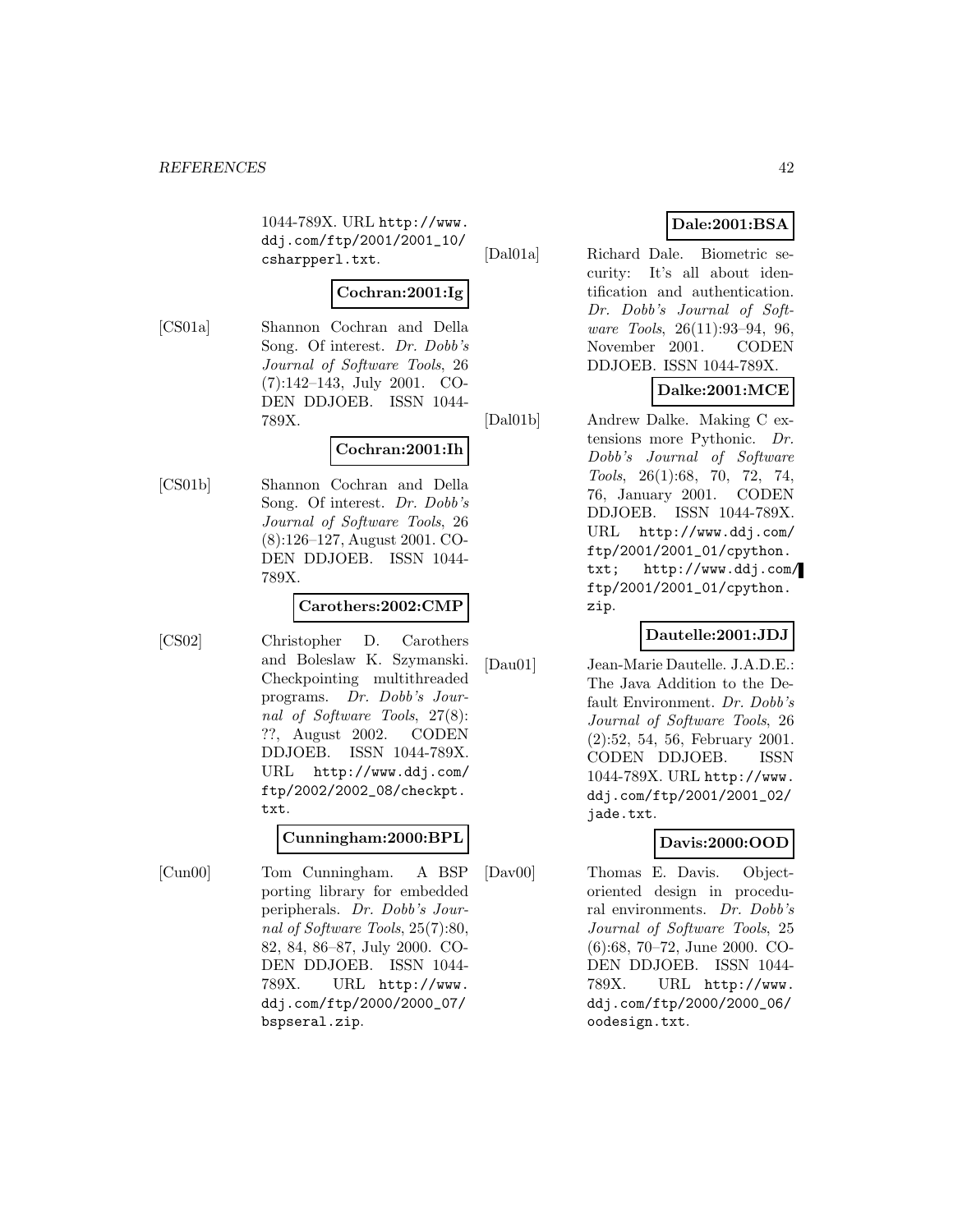1044-789X. URL http://www. ddj.com/ftp/2001/2001\_10/ csharpperl.txt.

## **Cochran:2001:Ig**

[CS01a] Shannon Cochran and Della Song. Of interest. Dr. Dobb's Journal of Software Tools, 26 (7):142–143, July 2001. CO-DEN DDJOEB. ISSN 1044- 789X.

# **Cochran:2001:Ih**

[CS01b] Shannon Cochran and Della Song. Of interest. Dr. Dobb's Journal of Software Tools, 26 (8):126–127, August 2001. CO-DEN DDJOEB. ISSN 1044- 789X.

# **Carothers:2002:CMP**

[CS02] Christopher D. Carothers and Boleslaw K. Szymanski. Checkpointing multithreaded programs. Dr. Dobb's Journal of Software Tools, 27(8): ??, August 2002. CODEN DDJOEB. ISSN 1044-789X. URL http://www.ddj.com/ ftp/2002/2002\_08/checkpt. txt.

# **Cunningham:2000:BPL**

[Cun00] Tom Cunningham. A BSP porting library for embedded peripherals. Dr. Dobb's Journal of Software Tools, 25(7):80, 82, 84, 86–87, July 2000. CO-DEN DDJOEB. ISSN 1044- 789X. URL http://www. ddj.com/ftp/2000/2000\_07/ bspseral.zip.

# **Dale:2001:BSA**

[Dal01a] Richard Dale. Biometric security: It's all about identification and authentication. Dr. Dobb's Journal of Software Tools, 26(11):93–94, 96, November 2001. CODEN DDJOEB. ISSN 1044-789X.

# **Dalke:2001:MCE**

[Dal01b] Andrew Dalke. Making C extensions more Pythonic. Dr. Dobb's Journal of Software Tools, 26(1):68, 70, 72, 74, 76, January 2001. CODEN DDJOEB. ISSN 1044-789X. URL http://www.ddj.com/ ftp/2001/2001\_01/cpython. txt; http://www.ddj.com/ ftp/2001/2001\_01/cpython. zip.

# **Dautelle:2001:JDJ**

[Dau01] Jean-Marie Dautelle. J.A.D.E.: The Java Addition to the Default Environment. Dr. Dobb's Journal of Software Tools, 26 (2):52, 54, 56, February 2001. CODEN DDJOEB. ISSN 1044-789X. URL http://www. ddj.com/ftp/2001/2001\_02/ jade.txt.

# **Davis:2000:OOD**

[Dav00] Thomas E. Davis. Objectoriented design in procedural environments. Dr. Dobb's Journal of Software Tools, 25 (6):68, 70–72, June 2000. CO-DEN DDJOEB. ISSN 1044- 789X. URL http://www. ddj.com/ftp/2000/2000\_06/ oodesign.txt.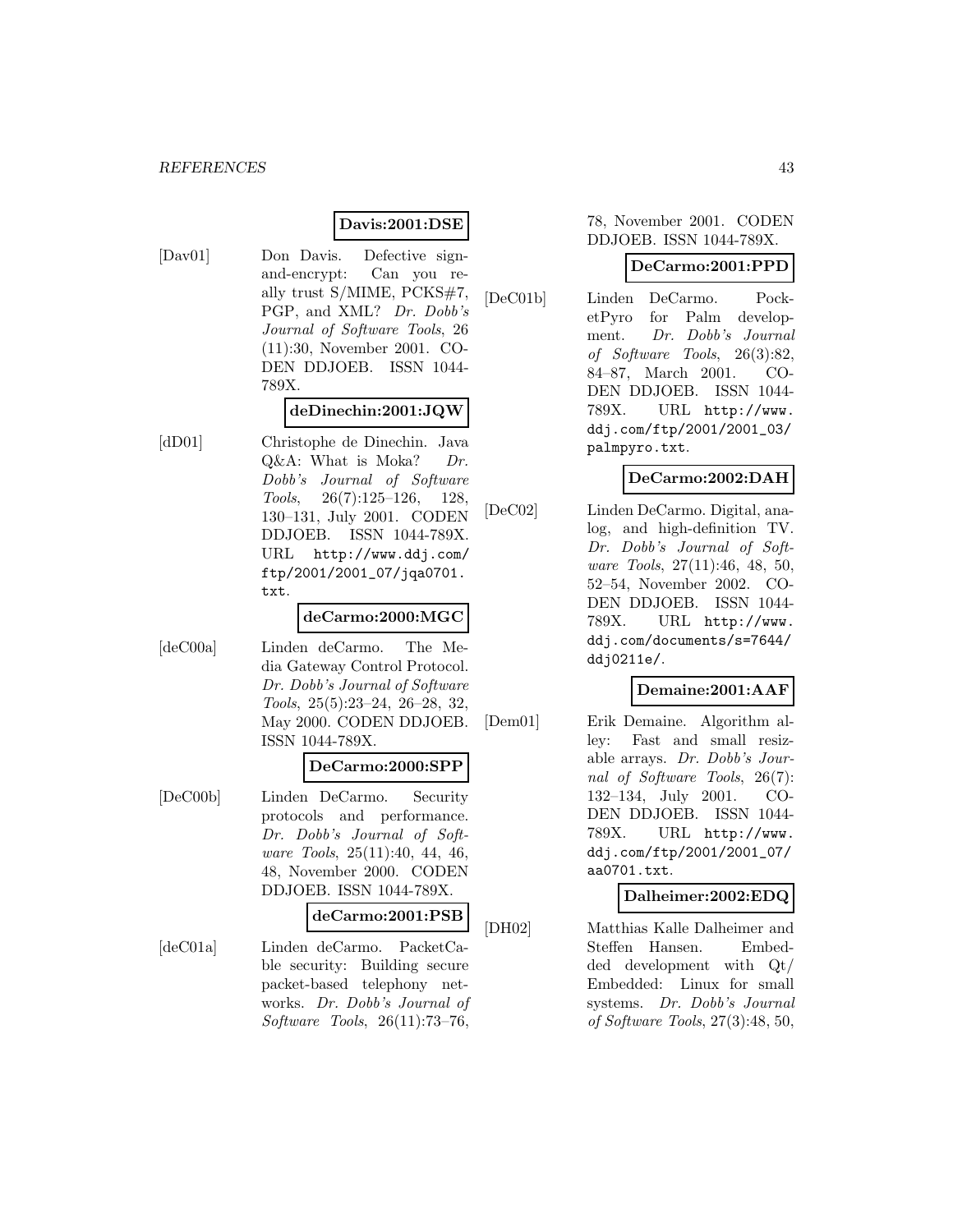#### **Davis:2001:DSE**

[Dav01] Don Davis. Defective signand-encrypt: Can you really trust S/MIME, PCKS#7, PGP, and XML? Dr. Dobb's Journal of Software Tools, 26 (11):30, November 2001. CO-DEN DDJOEB. ISSN 1044- 789X.

# **deDinechin:2001:JQW**

[dD01] Christophe de Dinechin. Java  $Q\&A$ : What is Moka? Dr. Dobb's Journal of Software Tools, 26(7):125–126, 128, 130–131, July 2001. CODEN DDJOEB. ISSN 1044-789X. URL http://www.ddj.com/ ftp/2001/2001\_07/jqa0701. txt.

### **deCarmo:2000:MGC**

[deC00a] Linden deCarmo. The Media Gateway Control Protocol. Dr. Dobb's Journal of Software Tools, 25(5):23–24, 26–28, 32, May 2000. CODEN DDJOEB. ISSN 1044-789X.

#### **DeCarmo:2000:SPP**

[DeC00b] Linden DeCarmo. Security protocols and performance. Dr. Dobb's Journal of Software Tools, 25(11):40, 44, 46, 48, November 2000. CODEN DDJOEB. ISSN 1044-789X.

#### **deCarmo:2001:PSB**

[deC01a] Linden deCarmo. PacketCable security: Building secure packet-based telephony networks. Dr. Dobb's Journal of Software Tools, 26(11):73–76,

## 78, November 2001. CODEN DDJOEB. ISSN 1044-789X.

#### **DeCarmo:2001:PPD**

[DeC01b] Linden DeCarmo. PocketPyro for Palm development. Dr. Dobb's Journal of Software Tools, 26(3):82, 84–87, March 2001. CO-DEN DDJOEB. ISSN 1044- 789X. URL http://www. ddj.com/ftp/2001/2001\_03/ palmpyro.txt.

# **DeCarmo:2002:DAH**

[DeC02] Linden DeCarmo. Digital, analog, and high-definition TV. Dr. Dobb's Journal of Software Tools, 27(11):46, 48, 50, 52–54, November 2002. CO-DEN DDJOEB. ISSN 1044- 789X. URL http://www. ddj.com/documents/s=7644/ ddj0211e/.

# **Demaine:2001:AAF**

[Dem01] Erik Demaine. Algorithm alley: Fast and small resizable arrays. Dr. Dobb's Journal of Software Tools, 26(7): 132–134, July 2001. CO-DEN DDJOEB. ISSN 1044- 789X. URL http://www. ddj.com/ftp/2001/2001\_07/ aa0701.txt.

## **Dalheimer:2002:EDQ**

[DH02] Matthias Kalle Dalheimer and Steffen Hansen. Embedded development with Qt/ Embedded: Linux for small systems. Dr. Dobb's Journal of Software Tools, 27(3):48, 50,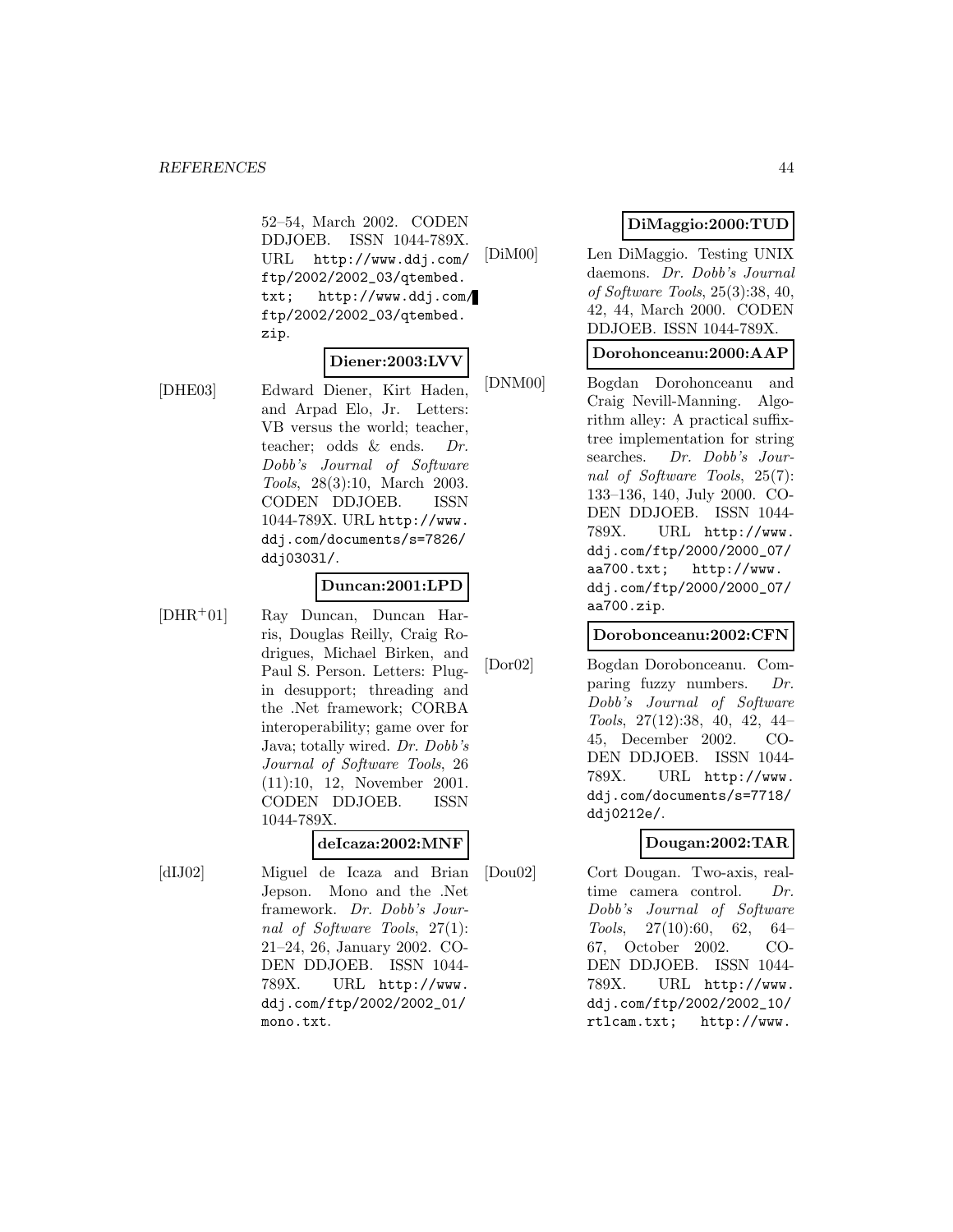52–54, March 2002. CODEN DDJOEB. ISSN 1044-789X. URL http://www.ddj.com/ ftp/2002/2002\_03/qtembed. txt; http://www.ddj.com/ ftp/2002/2002\_03/qtembed. zip.

## **Diener:2003:LVV**

[DHE03] Edward Diener, Kirt Haden, and Arpad Elo, Jr. Letters: VB versus the world; teacher, teacher; odds & ends. Dr. Dobb's Journal of Software Tools, 28(3):10, March 2003. CODEN DDJOEB. ISSN 1044-789X. URL http://www. ddj.com/documents/s=7826/ ddj0303l/.

#### **Duncan:2001:LPD**

[DHR<sup>+</sup>01] Ray Duncan, Duncan Harris, Douglas Reilly, Craig Rodrigues, Michael Birken, and Paul S. Person. Letters: Plugin desupport; threading and the .Net framework; CORBA interoperability; game over for Java; totally wired. Dr. Dobb's Journal of Software Tools, 26 (11):10, 12, November 2001. CODEN DDJOEB. ISSN 1044-789X.

#### **deIcaza:2002:MNF**

[dIJ02] Miguel de Icaza and Brian Jepson. Mono and the .Net framework. Dr. Dobb's Journal of Software Tools, 27(1): 21–24, 26, January 2002. CO-DEN DDJOEB. ISSN 1044- 789X. URL http://www. ddj.com/ftp/2002/2002\_01/ mono.txt.

# **DiMaggio:2000:TUD**

[DiM00] Len DiMaggio. Testing UNIX daemons. Dr. Dobb's Journal of Software Tools, 25(3):38, 40, 42, 44, March 2000. CODEN DDJOEB. ISSN 1044-789X.

#### **Dorohonceanu:2000:AAP**

[DNM00] Bogdan Dorohonceanu and Craig Nevill-Manning. Algorithm alley: A practical suffixtree implementation for string searches. Dr. Dobb's Journal of Software Tools, 25(7): 133–136, 140, July 2000. CO-DEN DDJOEB. ISSN 1044- 789X. URL http://www. ddj.com/ftp/2000/2000\_07/ aa700.txt; http://www. ddj.com/ftp/2000/2000\_07/ aa700.zip.

#### **Dorobonceanu:2002:CFN**

[Dor02] Bogdan Dorobonceanu. Comparing fuzzy numbers. Dr. Dobb's Journal of Software Tools, 27(12):38, 40, 42, 44– 45, December 2002. CO-DEN DDJOEB. ISSN 1044- 789X. URL http://www. ddj.com/documents/s=7718/ ddj0212e/.

# **Dougan:2002:TAR**

[Dou02] Cort Dougan. Two-axis, realtime camera control. Dr. Dobb's Journal of Software Tools, 27(10):60, 62, 64– 67, October 2002. CO-DEN DDJOEB. ISSN 1044- 789X. URL http://www. ddj.com/ftp/2002/2002\_10/ rtlcam.txt; http://www.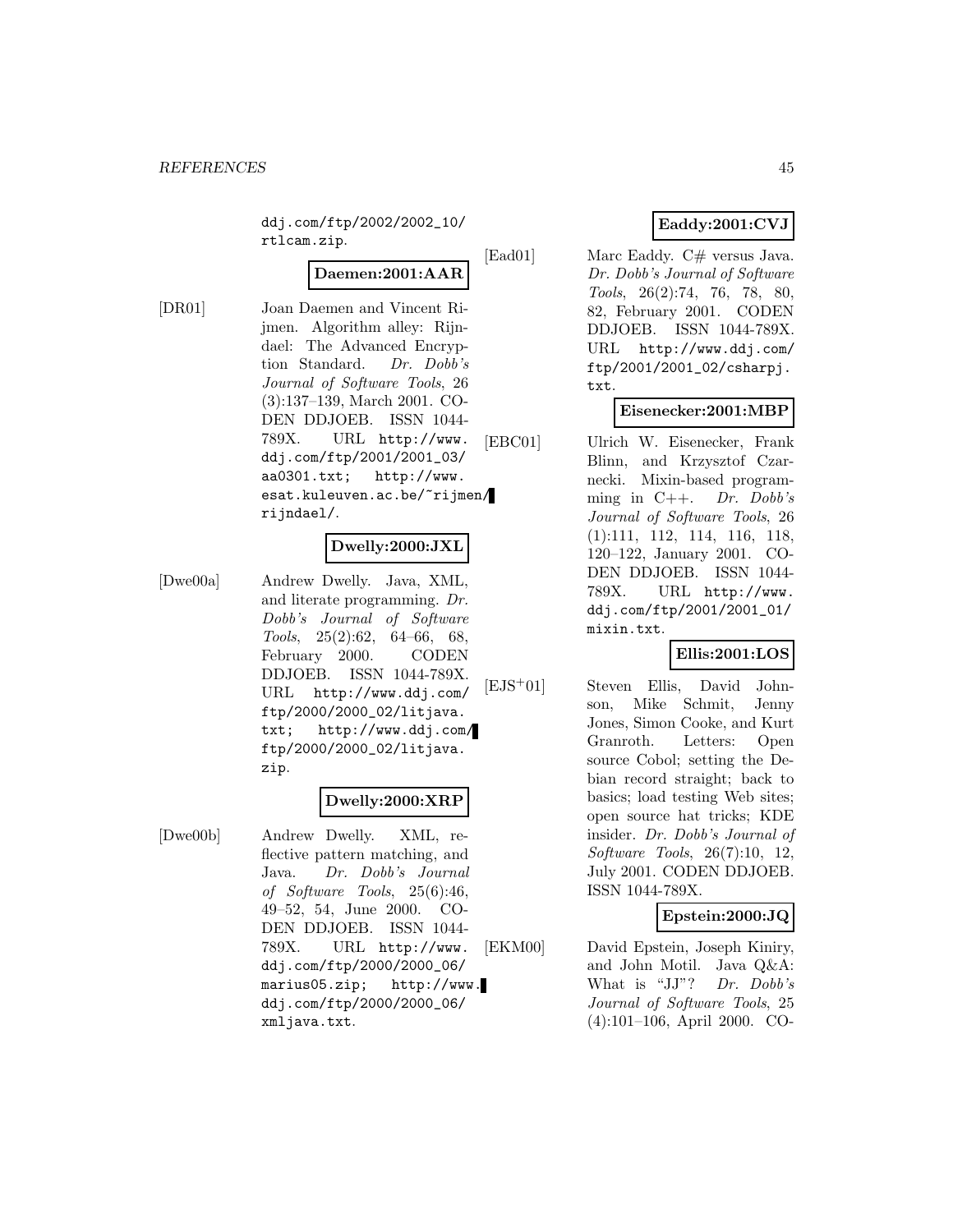ddj.com/ftp/2002/2002\_10/ rtlcam.zip.

# **Daemen:2001:AAR**

[DR01] Joan Daemen and Vincent Rijmen. Algorithm alley: Rijndael: The Advanced Encryption Standard. Dr. Dobb's Journal of Software Tools, 26 (3):137–139, March 2001. CO-DEN DDJOEB. ISSN 1044- 789X. URL http://www. ddj.com/ftp/2001/2001\_03/ aa0301.txt; http://www. esat.kuleuven.ac.be/~rijmen/ rijndael/.

# **Dwelly:2000:JXL**

[Dwe00a] Andrew Dwelly. Java, XML, and literate programming. Dr. Dobb's Journal of Software Tools, 25(2):62, 64–66, 68, February 2000. CODEN DDJOEB. ISSN 1044-789X. URL http://www.ddj.com/ ftp/2000/2000\_02/litjava. txt; http://www.ddj.com/ ftp/2000/2000\_02/litjava. zip.

# **Dwelly:2000:XRP**

[Dwe00b] Andrew Dwelly. XML, reflective pattern matching, and Java. Dr. Dobb's Journal of Software Tools, 25(6):46, 49–52, 54, June 2000. CO-DEN DDJOEB. ISSN 1044- 789X. URL http://www. ddj.com/ftp/2000/2000\_06/ marius05.zip; http://www. ddj.com/ftp/2000/2000\_06/ xmljava.txt.

# **Eaddy:2001:CVJ**

[Ead01] Marc Eaddy. C# versus Java. Dr. Dobb's Journal of Software Tools, 26(2):74, 76, 78, 80, 82, February 2001. CODEN DDJOEB. ISSN 1044-789X. URL http://www.ddj.com/ ftp/2001/2001\_02/csharpj. txt.

# **Eisenecker:2001:MBP**

[EBC01] Ulrich W. Eisenecker, Frank Blinn, and Krzysztof Czarnecki. Mixin-based programming in  $C++$ . Dr. Dobb's Journal of Software Tools, 26 (1):111, 112, 114, 116, 118, 120–122, January 2001. CO-DEN DDJOEB. ISSN 1044- 789X. URL http://www. ddj.com/ftp/2001/2001\_01/ mixin.txt.

# **Ellis:2001:LOS**

[EJS<sup>+</sup>01] Steven Ellis, David Johnson, Mike Schmit, Jenny Jones, Simon Cooke, and Kurt Granroth. Letters: Open source Cobol; setting the Debian record straight; back to basics; load testing Web sites; open source hat tricks; KDE insider. Dr. Dobb's Journal of Software Tools, 26(7):10, 12, July 2001. CODEN DDJOEB. ISSN 1044-789X.

# **Epstein:2000:JQ**

[EKM00] David Epstein, Joseph Kiniry, and John Motil. Java Q&A: What is "JJ"? Dr. Dobb's Journal of Software Tools, 25 (4):101–106, April 2000. CO-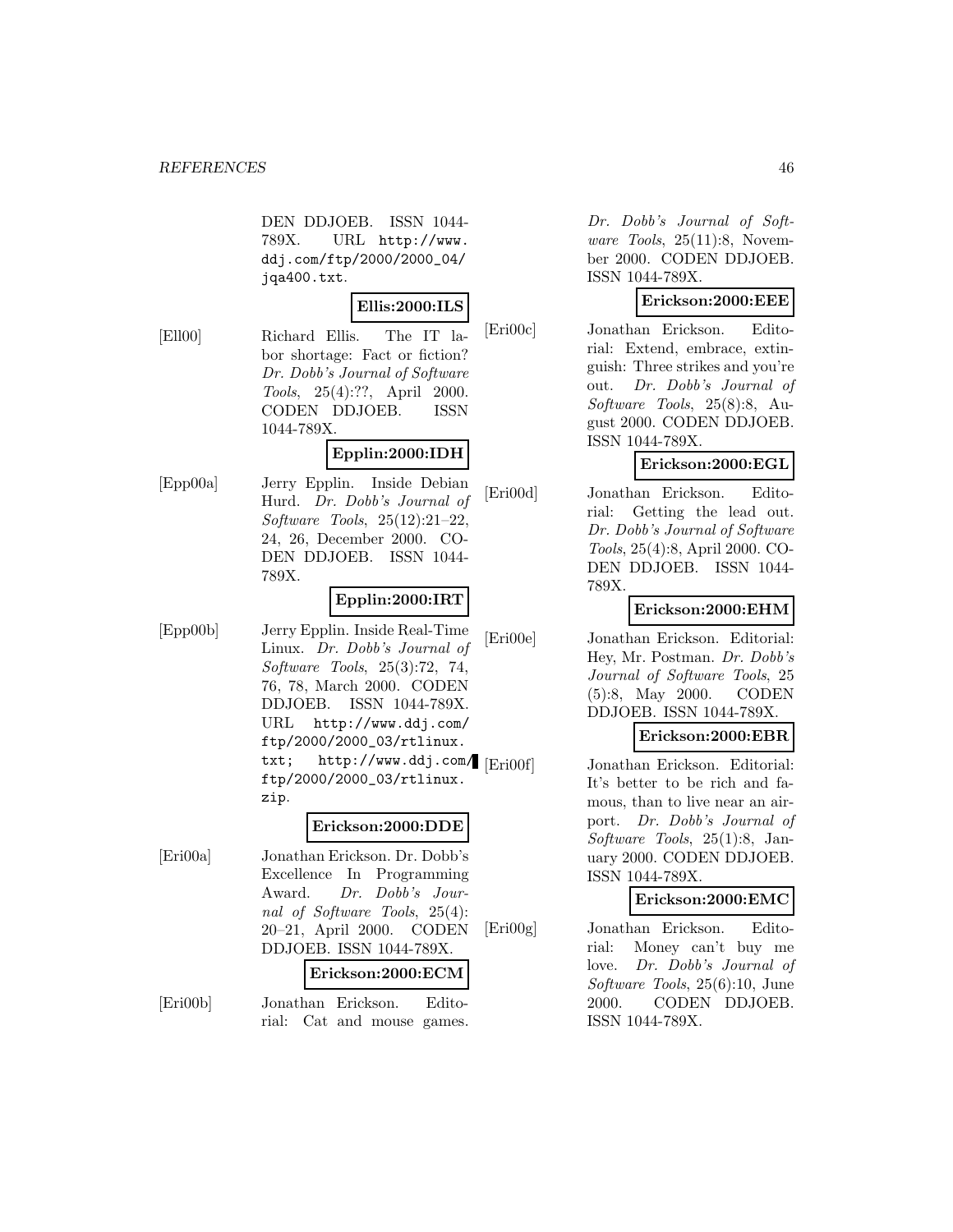DEN DDJOEB. ISSN 1044- 789X. URL http://www. ddj.com/ftp/2000/2000\_04/ jqa400.txt.

#### **Ellis:2000:ILS**

[Ell00] Richard Ellis. The IT labor shortage: Fact or fiction? Dr. Dobb's Journal of Software Tools, 25(4):??, April 2000. CODEN DDJOEB. ISSN 1044-789X.

# **Epplin:2000:IDH**

[Epp00a] Jerry Epplin. Inside Debian Hurd. Dr. Dobb's Journal of Software Tools, 25(12):21–22, 24, 26, December 2000. CO-DEN DDJOEB. ISSN 1044- 789X.

# **Epplin:2000:IRT**

[Epp00b] Jerry Epplin. Inside Real-Time Linux. Dr. Dobb's Journal of Software Tools, 25(3):72, 74, 76, 78, March 2000. CODEN DDJOEB. ISSN 1044-789X. URL http://www.ddj.com/ ftp/2000/2000\_03/rtlinux. txt; http://www.ddj.com/ [Eri00f] ftp/2000/2000\_03/rtlinux. zip.

## **Erickson:2000:DDE**

[Eri00a] Jonathan Erickson. Dr. Dobb's Excellence In Programming Award. Dr. Dobb's Journal of Software Tools, 25(4): 20–21, April 2000. CODEN DDJOEB. ISSN 1044-789X.

#### **Erickson:2000:ECM**

[Eri00b] Jonathan Erickson. Editorial: Cat and mouse games.

Dr. Dobb's Journal of Software Tools, 25(11):8, November 2000. CODEN DDJOEB. ISSN 1044-789X.

# **Erickson:2000:EEE**

[Eri00c] Jonathan Erickson. Editorial: Extend, embrace, extinguish: Three strikes and you're out. Dr. Dobb's Journal of Software Tools, 25(8):8, August 2000. CODEN DDJOEB. ISSN 1044-789X.

# **Erickson:2000:EGL**

[Eri00d] Jonathan Erickson. Editorial: Getting the lead out. Dr. Dobb's Journal of Software Tools, 25(4):8, April 2000. CO-DEN DDJOEB. ISSN 1044- 789X.

# **Erickson:2000:EHM**

[Eri00e] Jonathan Erickson. Editorial: Hey, Mr. Postman. Dr. Dobb's Journal of Software Tools, 25 (5):8, May 2000. CODEN DDJOEB. ISSN 1044-789X.

# **Erickson:2000:EBR**

Jonathan Erickson. Editorial: It's better to be rich and famous, than to live near an airport. Dr. Dobb's Journal of Software Tools, 25(1):8, January 2000. CODEN DDJOEB. ISSN 1044-789X.

#### **Erickson:2000:EMC**

[Eri00g] Jonathan Erickson. Editorial: Money can't buy me love. Dr. Dobb's Journal of Software Tools, 25(6):10, June 2000. CODEN DDJOEB. ISSN 1044-789X.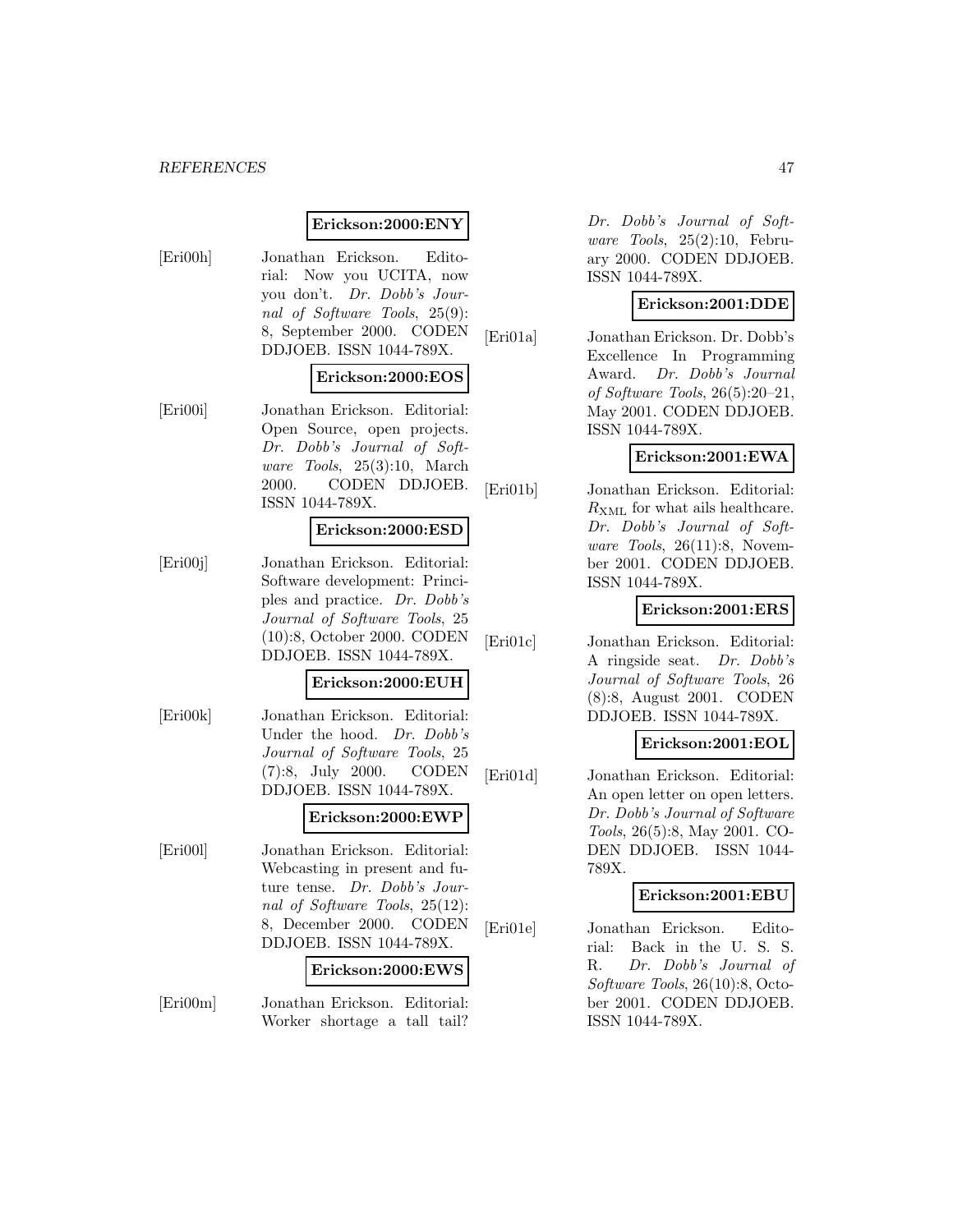## **Erickson:2000:ENY**

[Eri00h] Jonathan Erickson. Editorial: Now you UCITA, now you don't. Dr. Dobb's Journal of Software Tools, 25(9): 8, September 2000. CODEN DDJOEB. ISSN 1044-789X.

## **Erickson:2000:EOS**

[Eri00i] Jonathan Erickson. Editorial: Open Source, open projects. Dr. Dobb's Journal of Software Tools, 25(3):10, March 2000. CODEN DDJOEB. ISSN 1044-789X.

## **Erickson:2000:ESD**

[Eri00j] Jonathan Erickson. Editorial: Software development: Principles and practice. Dr. Dobb's Journal of Software Tools, 25 (10):8, October 2000. CODEN DDJOEB. ISSN 1044-789X.

#### **Erickson:2000:EUH**

[Eri00k] Jonathan Erickson. Editorial: Under the hood. Dr. Dobb's Journal of Software Tools, 25 (7):8, July 2000. CODEN DDJOEB. ISSN 1044-789X.

#### **Erickson:2000:EWP**

[Eri00l] Jonathan Erickson. Editorial: Webcasting in present and future tense. Dr. Dobb's Journal of Software Tools, 25(12): 8, December 2000. CODEN DDJOEB. ISSN 1044-789X.

## **Erickson:2000:EWS**

[Eri00m] Jonathan Erickson. Editorial: Worker shortage a tall tail?

Dr. Dobb's Journal of Software Tools, 25(2):10, February 2000. CODEN DDJOEB. ISSN 1044-789X.

## **Erickson:2001:DDE**

[Eri01a] Jonathan Erickson. Dr. Dobb's Excellence In Programming Award. Dr. Dobb's Journal of Software Tools, 26(5):20–21, May 2001. CODEN DDJOEB. ISSN 1044-789X.

# **Erickson:2001:EWA**

[Eri01b] Jonathan Erickson. Editorial:  $R_{\text{XMI}}$  for what ails healthcare. Dr. Dobb's Journal of Software Tools,  $26(11):8$ , November 2001. CODEN DDJOEB. ISSN 1044-789X.

# **Erickson:2001:ERS**

[Eri01c] Jonathan Erickson. Editorial: A ringside seat. Dr. Dobb's Journal of Software Tools, 26 (8):8, August 2001. CODEN DDJOEB. ISSN 1044-789X.

# **Erickson:2001:EOL**

[Eri01d] Jonathan Erickson. Editorial: An open letter on open letters. Dr. Dobb's Journal of Software Tools, 26(5):8, May 2001. CO-DEN DDJOEB. ISSN 1044- 789X.

#### **Erickson:2001:EBU**

[Eri01e] Jonathan Erickson. Editorial: Back in the U. S. S. R. Dr. Dobb's Journal of Software Tools, 26(10):8, October 2001. CODEN DDJOEB. ISSN 1044-789X.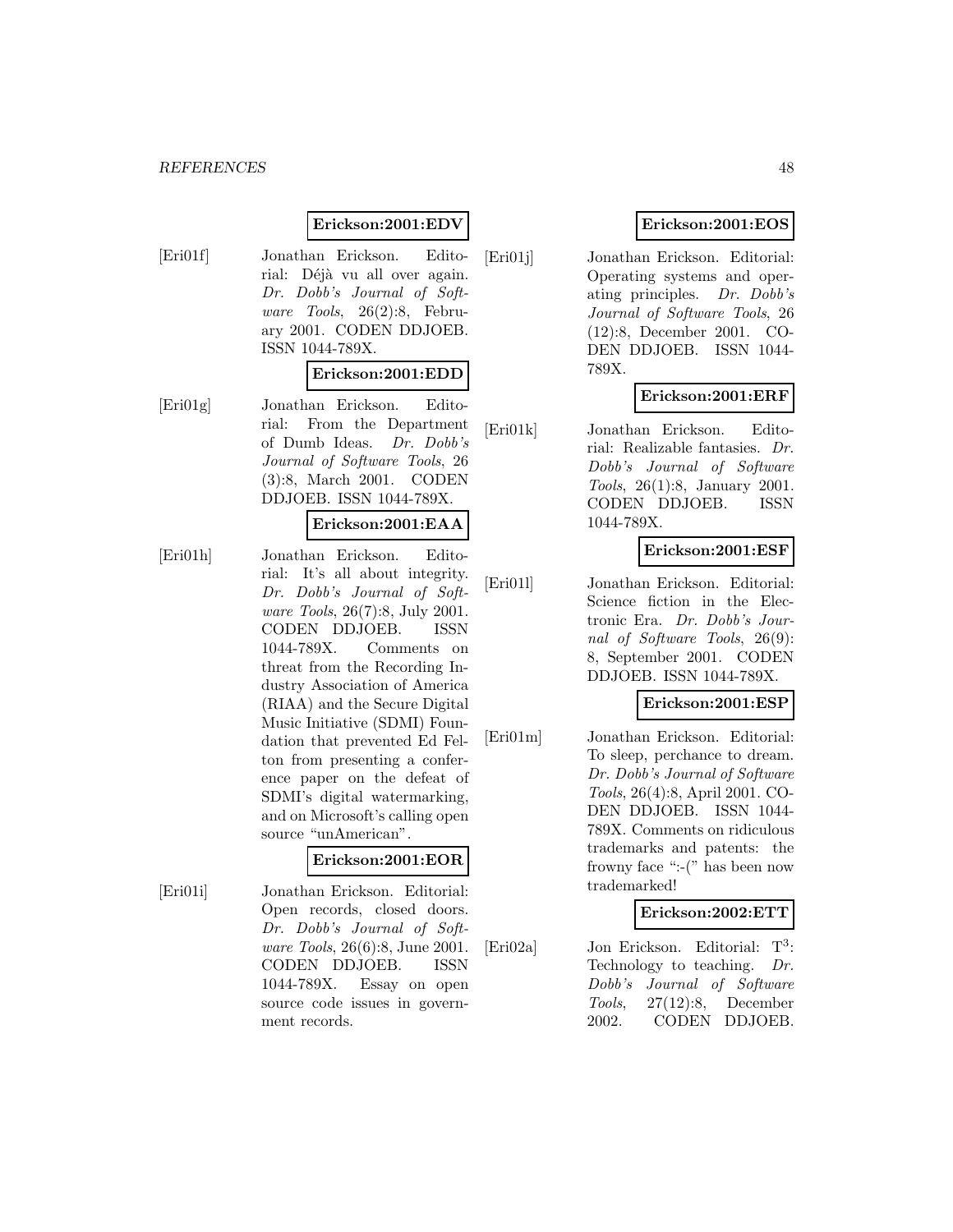# **Erickson:2001:EDV**

[Eri01f] Jonathan Erickson. Editorial: Déjà vu all over again. Dr. Dobb's Journal of Software Tools, 26(2):8, February 2001. CODEN DDJOEB. ISSN 1044-789X.

#### **Erickson:2001:EDD**

[Eri01g] Jonathan Erickson. Editorial: From the Department of Dumb Ideas. Dr. Dobb's Journal of Software Tools, 26 (3):8, March 2001. CODEN DDJOEB. ISSN 1044-789X.

#### **Erickson:2001:EAA**

[Eri01h] Jonathan Erickson. Editorial: It's all about integrity. Dr. Dobb's Journal of Software Tools, 26(7):8, July 2001. CODEN DDJOEB. ISSN 1044-789X. Comments on threat from the Recording Industry Association of America (RIAA) and the Secure Digital Music Initiative (SDMI) Foundation that prevented Ed Felton from presenting a conference paper on the defeat of SDMI's digital watermarking, and on Microsoft's calling open source "unAmerican".

# **Erickson:2001:EOR**

[Eri01i] Jonathan Erickson. Editorial: Open records, closed doors. Dr. Dobb's Journal of Software Tools, 26(6):8, June 2001. CODEN DDJOEB. ISSN 1044-789X. Essay on open source code issues in government records.

# **Erickson:2001:EOS**

[Eri01j] Jonathan Erickson. Editorial: Operating systems and operating principles. Dr. Dobb's Journal of Software Tools, 26 (12):8, December 2001. CO-DEN DDJOEB. ISSN 1044- 789X.

## **Erickson:2001:ERF**

[Eri01k] Jonathan Erickson. Editorial: Realizable fantasies. Dr. Dobb's Journal of Software Tools, 26(1):8, January 2001. CODEN DDJOEB. ISSN 1044-789X.

#### **Erickson:2001:ESF**

[Eri01l] Jonathan Erickson. Editorial: Science fiction in the Electronic Era. Dr. Dobb's Journal of Software Tools, 26(9): 8, September 2001. CODEN DDJOEB. ISSN 1044-789X.

## **Erickson:2001:ESP**

[Eri01m] Jonathan Erickson. Editorial: To sleep, perchance to dream. Dr. Dobb's Journal of Software Tools, 26(4):8, April 2001. CO-DEN DDJOEB. ISSN 1044- 789X. Comments on ridiculous trademarks and patents: the frowny face ":-(" has been now trademarked!

#### **Erickson:2002:ETT**

[Eri02a] Jon Erickson. Editorial: T<sup>3</sup>: Technology to teaching. Dr. Dobb's Journal of Software Tools, 27(12):8, December 2002. CODEN DDJOEB.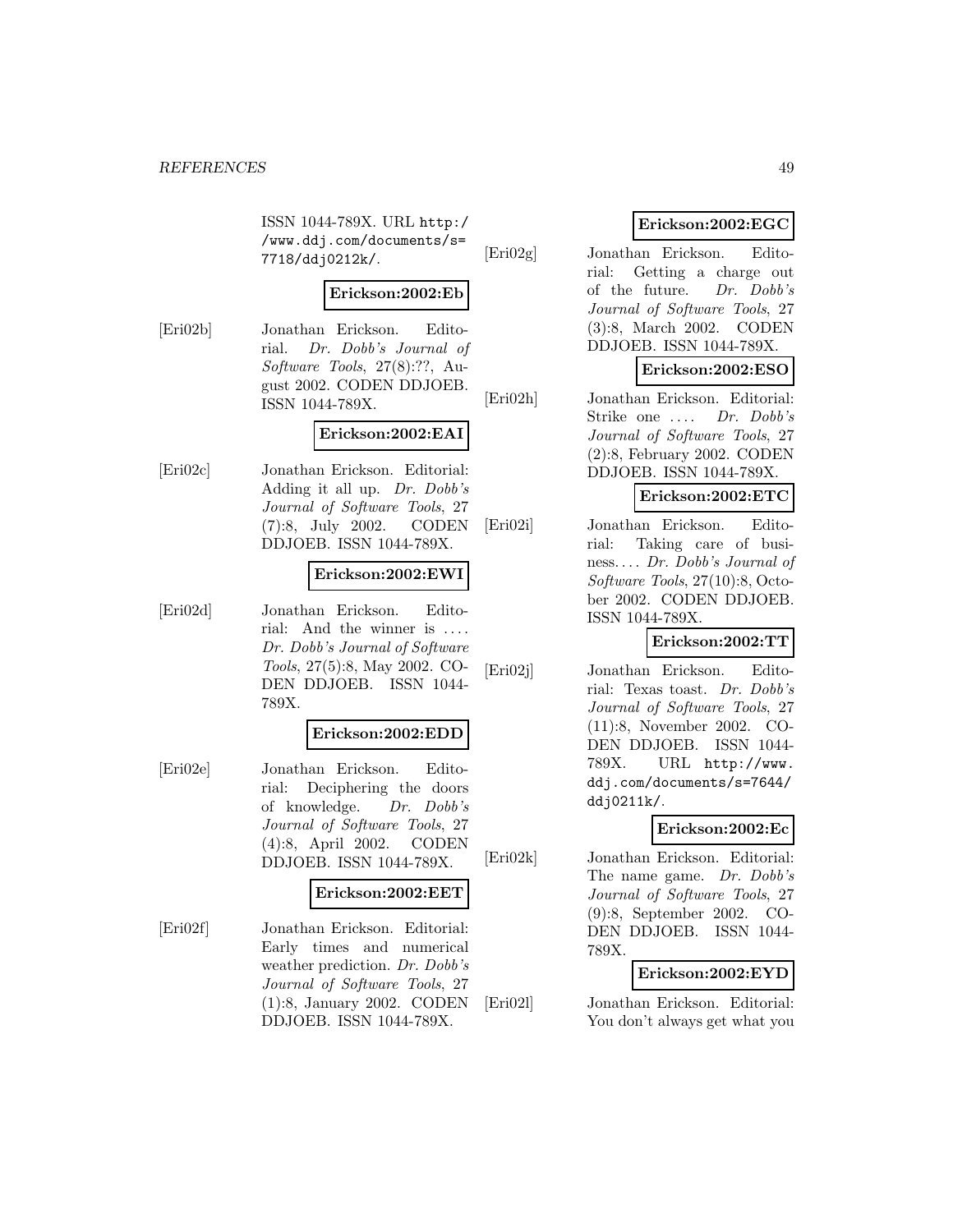ISSN 1044-789X. URL http:/ /www.ddj.com/documents/s= 7718/ddj0212k/.

# **Erickson:2002:Eb**

[Eri02b] Jonathan Erickson. Editorial. Dr. Dobb's Journal of Software Tools, 27(8):??, August 2002. CODEN DDJOEB. ISSN 1044-789X.

## **Erickson:2002:EAI**

[Eri02c] Jonathan Erickson. Editorial: Adding it all up. Dr. Dobb's Journal of Software Tools, 27 (7):8, July 2002. CODEN DDJOEB. ISSN 1044-789X.

# **Erickson:2002:EWI**

[Eri02d] Jonathan Erickson. Editorial: And the winner is  $\dots$ Dr. Dobb's Journal of Software Tools, 27(5):8, May 2002. CO-DEN DDJOEB. ISSN 1044- 789X.

## **Erickson:2002:EDD**

[Eri02e] Jonathan Erickson. Editorial: Deciphering the doors of knowledge. Dr. Dobb's Journal of Software Tools, 27 (4):8, April 2002. CODEN DDJOEB. ISSN 1044-789X.

#### **Erickson:2002:EET**

[Eri02f] Jonathan Erickson. Editorial: Early times and numerical weather prediction. Dr. Dobb's Journal of Software Tools, 27 (1):8, January 2002. CODEN DDJOEB. ISSN 1044-789X.

# **Erickson:2002:EGC**

[Eri02g] Jonathan Erickson. Editorial: Getting a charge out of the future. Dr. Dobb's Journal of Software Tools, 27 (3):8, March 2002. CODEN DDJOEB. ISSN 1044-789X.

# **Erickson:2002:ESO**

[Eri02h] Jonathan Erickson. Editorial: Strike one .... Dr. Dobb's Journal of Software Tools, 27 (2):8, February 2002. CODEN DDJOEB. ISSN 1044-789X.

# **Erickson:2002:ETC**

[Eri02i] Jonathan Erickson. Editorial: Taking care of business. . . . Dr. Dobb's Journal of Software Tools, 27(10):8, October 2002. CODEN DDJOEB. ISSN 1044-789X.

# **Erickson:2002:TT**

[Eri02j] Jonathan Erickson. Editorial: Texas toast. Dr. Dobb's Journal of Software Tools, 27 (11):8, November 2002. CO-DEN DDJOEB. ISSN 1044- 789X. URL http://www. ddj.com/documents/s=7644/ ddj0211k/.

# **Erickson:2002:Ec**

[Eri02k] Jonathan Erickson. Editorial: The name game. Dr. Dobb's Journal of Software Tools, 27 (9):8, September 2002. CO-DEN DDJOEB. ISSN 1044- 789X.

# **Erickson:2002:EYD**

[Eri02l] Jonathan Erickson. Editorial: You don't always get what you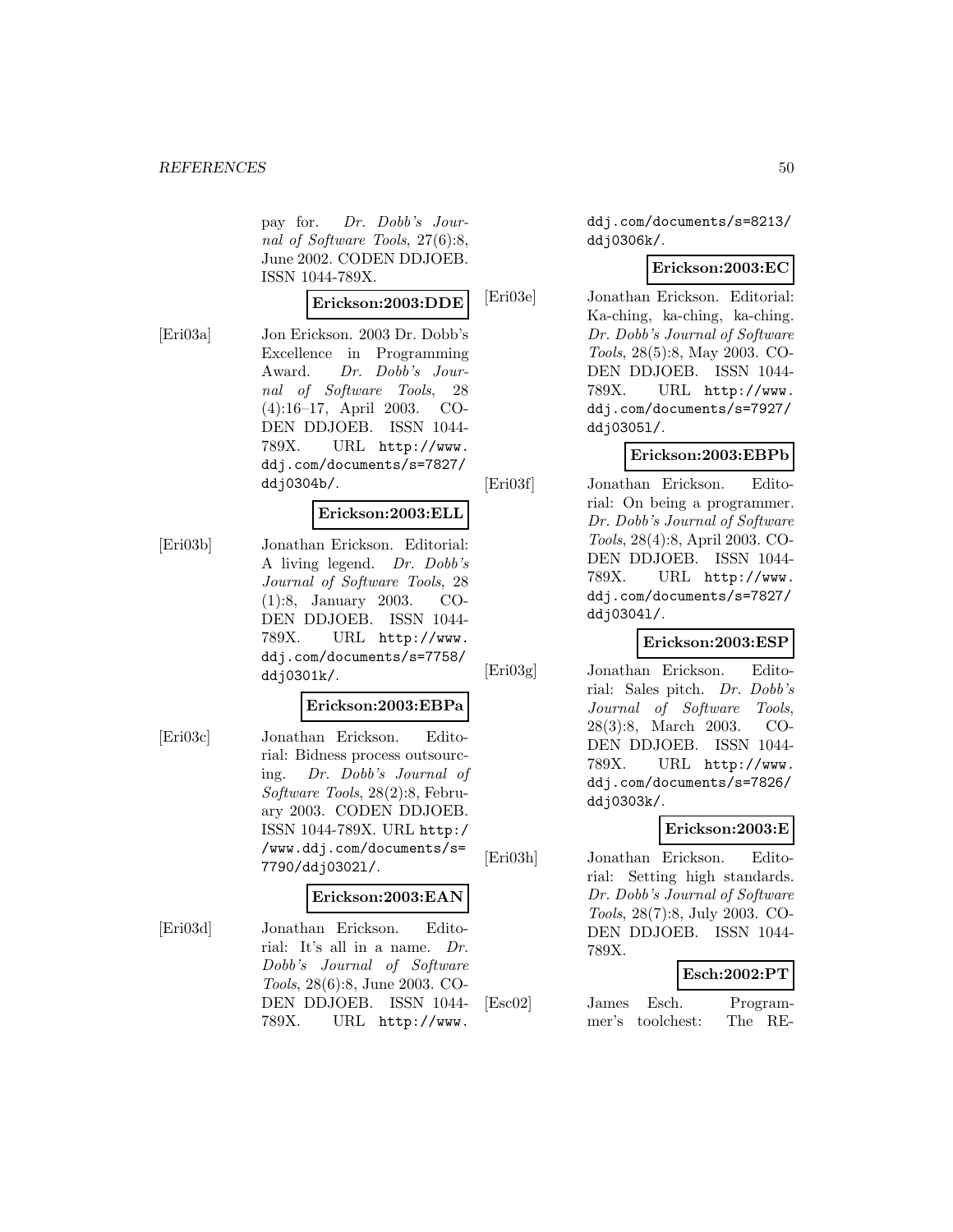pay for. Dr. Dobb's Journal of Software Tools, 27(6):8, June 2002. CODEN DDJOEB. ISSN 1044-789X.

#### **Erickson:2003:DDE**

[Eri03a] Jon Erickson. 2003 Dr. Dobb's Excellence in Programming Award. Dr. Dobb's Journal of Software Tools, 28 (4):16–17, April 2003. CO-DEN DDJOEB. ISSN 1044- 789X. URL http://www. ddj.com/documents/s=7827/ ddj0304b/.

## **Erickson:2003:ELL**

[Eri03b] Jonathan Erickson. Editorial: A living legend. Dr. Dobb's Journal of Software Tools, 28 (1):8, January 2003. CO-DEN DDJOEB. ISSN 1044- 789X. URL http://www. ddj.com/documents/s=7758/ ddj0301k/.

#### **Erickson:2003:EBPa**

[Eri03c] Jonathan Erickson. Editorial: Bidness process outsourcing. Dr. Dobb's Journal of Software Tools, 28(2):8, February 2003. CODEN DDJOEB. ISSN 1044-789X. URL http:/ /www.ddj.com/documents/s= 7790/ddj0302l/.

# **Erickson:2003:EAN**

[Eri03d] Jonathan Erickson. Editorial: It's all in a name. Dr. Dobb's Journal of Software Tools, 28(6):8, June 2003. CO-DEN DDJOEB. ISSN 1044- 789X. URL http://www.

ddj.com/documents/s=8213/ ddj0306k/.

## **Erickson:2003:EC**

[Eri03e] Jonathan Erickson. Editorial: Ka-ching, ka-ching, ka-ching. Dr. Dobb's Journal of Software Tools, 28(5):8, May 2003. CO-DEN DDJOEB. ISSN 1044- 789X. URL http://www. ddj.com/documents/s=7927/ ddj0305l/.

# **Erickson:2003:EBPb**

[Eri03f] Jonathan Erickson. Editorial: On being a programmer. Dr. Dobb's Journal of Software Tools, 28(4):8, April 2003. CO-DEN DDJOEB. ISSN 1044- 789X. URL http://www. ddj.com/documents/s=7827/ ddj0304l/.

# **Erickson:2003:ESP**

[Eri03g] Jonathan Erickson. Editorial: Sales pitch. Dr. Dobb's Journal of Software Tools, 28(3):8, March 2003. CO-DEN DDJOEB. ISSN 1044- 789X. URL http://www. ddj.com/documents/s=7826/ ddj0303k/.

#### **Erickson:2003:E**

[Eri03h] Jonathan Erickson. Editorial: Setting high standards. Dr. Dobb's Journal of Software Tools, 28(7):8, July 2003. CO-DEN DDJOEB. ISSN 1044- 789X.

## **Esch:2002:PT**

[Esc02] James Esch. Programmer's toolchest: The RE-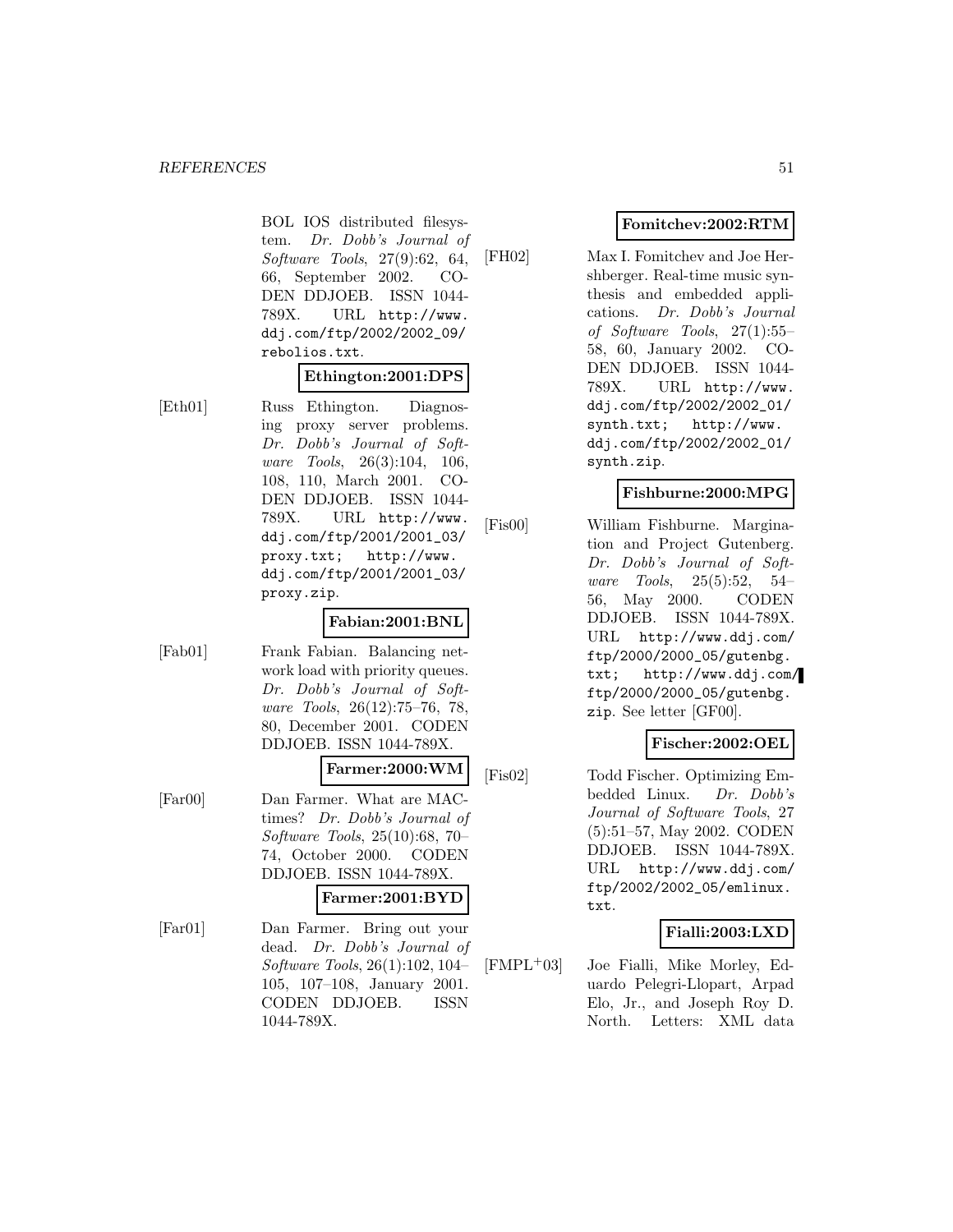BOL IOS distributed filesystem. Dr. Dobb's Journal of Software Tools, 27(9):62, 64, 66, September 2002. CO-DEN DDJOEB. ISSN 1044- 789X. URL http://www. ddj.com/ftp/2002/2002\_09/ rebolios.txt.

## **Ethington:2001:DPS**

[Eth01] Russ Ethington. Diagnosing proxy server problems. Dr. Dobb's Journal of Software Tools, 26(3):104, 106, 108, 110, March 2001. CO-DEN DDJOEB. ISSN 1044- 789X. URL http://www. ddj.com/ftp/2001/2001\_03/ proxy.txt; http://www. ddj.com/ftp/2001/2001\_03/ proxy.zip.

#### **Fabian:2001:BNL**

[Fab01] Frank Fabian. Balancing network load with priority queues. Dr. Dobb's Journal of Software Tools, 26(12):75–76, 78, 80, December 2001. CODEN DDJOEB. ISSN 1044-789X.

#### **Farmer:2000:WM**

[Far00] Dan Farmer. What are MACtimes? Dr. Dobb's Journal of Software Tools, 25(10):68, 70– 74, October 2000. CODEN DDJOEB. ISSN 1044-789X.

#### **Farmer:2001:BYD**

[Far01] Dan Farmer. Bring out your dead. Dr. Dobb's Journal of Software Tools, 26(1):102, 104– 105, 107–108, January 2001. CODEN DDJOEB. ISSN 1044-789X.

## **Fomitchev:2002:RTM**

[FH02] Max I. Fomitchev and Joe Hershberger. Real-time music synthesis and embedded applications. Dr. Dobb's Journal of Software Tools, 27(1):55– 58, 60, January 2002. CO-DEN DDJOEB. ISSN 1044- 789X. URL http://www. ddj.com/ftp/2002/2002\_01/ synth.txt; http://www. ddj.com/ftp/2002/2002\_01/ synth.zip.

# **Fishburne:2000:MPG**

[Fis00] William Fishburne. Margination and Project Gutenberg. Dr. Dobb's Journal of Software Tools, 25(5):52, 54– 56, May 2000. CODEN DDJOEB. ISSN 1044-789X. URL http://www.ddj.com/ ftp/2000/2000\_05/gutenbg. txt; http://www.ddj.com/ ftp/2000/2000\_05/gutenbg. zip. See letter [GF00].

# **Fischer:2002:OEL**

[Fis02] Todd Fischer. Optimizing Embedded Linux. Dr. Dobb's Journal of Software Tools, 27 (5):51–57, May 2002. CODEN DDJOEB. ISSN 1044-789X. URL http://www.ddj.com/ ftp/2002/2002\_05/emlinux. txt.

# **Fialli:2003:LXD**

[FMPL<sup>+</sup>03] Joe Fialli, Mike Morley, Eduardo Pelegri-Llopart, Arpad Elo, Jr., and Joseph Roy D. North. Letters: XML data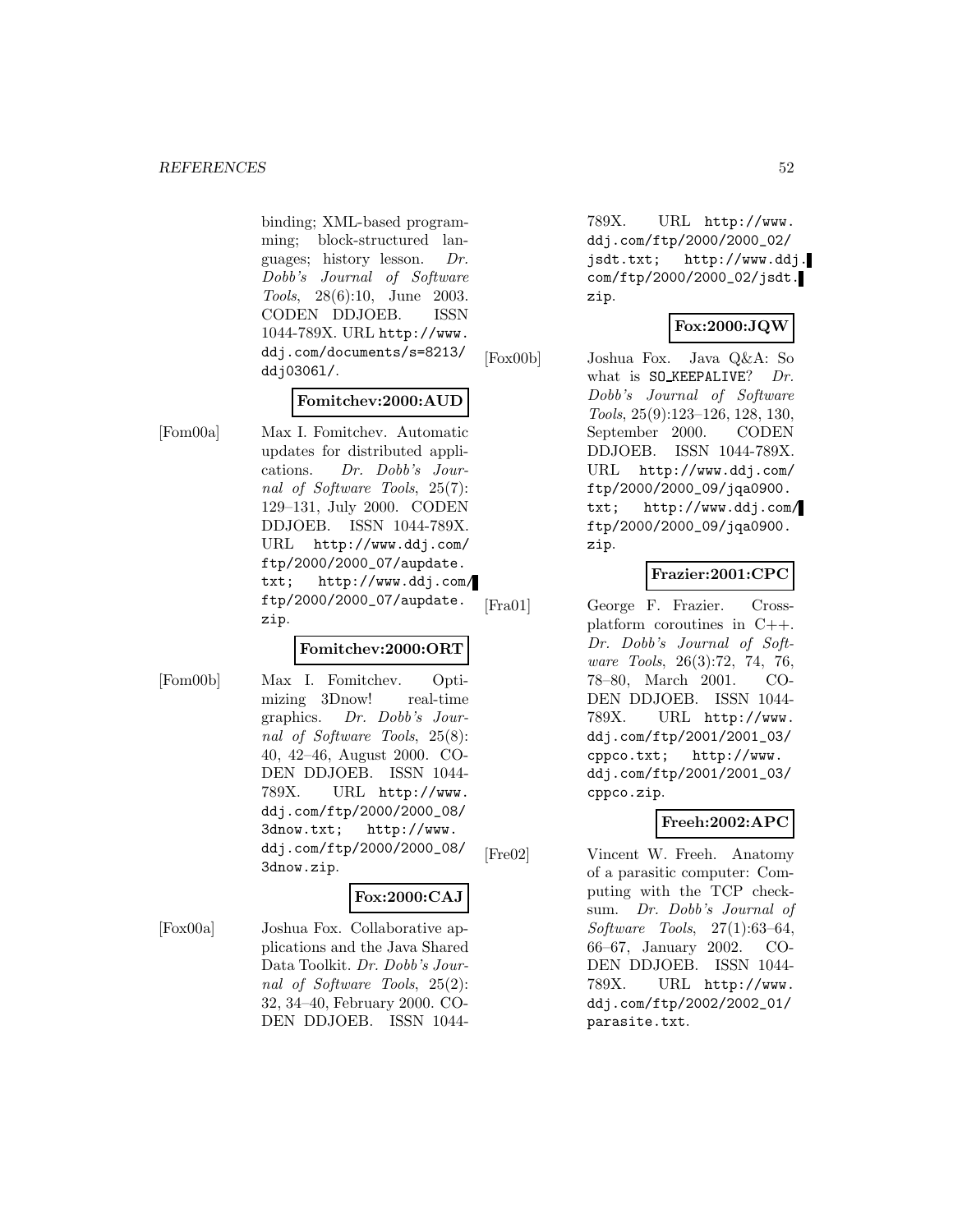binding; XML-based programming; block-structured languages; history lesson. Dr. Dobb's Journal of Software Tools, 28(6):10, June 2003. CODEN DDJOEB. ISSN 1044-789X. URL http://www. ddj.com/documents/s=8213/ ddj0306l/.

# **Fomitchev:2000:AUD**

[Fom00a] Max I. Fomitchev. Automatic updates for distributed applications. Dr. Dobb's Journal of Software Tools, 25(7): 129–131, July 2000. CODEN DDJOEB. ISSN 1044-789X. URL http://www.ddj.com/ ftp/2000/2000\_07/aupdate. txt; http://www.ddj.com/ ftp/2000/2000\_07/aupdate. zip.

# **Fomitchev:2000:ORT**

[Fom00b] Max I. Fomitchev. Optimizing 3Dnow! real-time graphics. Dr. Dobb's Journal of Software Tools, 25(8): 40, 42–46, August 2000. CO-DEN DDJOEB. ISSN 1044- 789X. URL http://www. ddj.com/ftp/2000/2000\_08/ 3dnow.txt; http://www. ddj.com/ftp/2000/2000\_08/ 3dnow.zip.

# **Fox:2000:CAJ**

[Fox00a] Joshua Fox. Collaborative applications and the Java Shared Data Toolkit. Dr. Dobb's Journal of Software Tools, 25(2): 32, 34–40, February 2000. CO-DEN DDJOEB. ISSN 1044-

789X. URL http://www. ddj.com/ftp/2000/2000\_02/ jsdt.txt; http://www.ddj. com/ftp/2000/2000\_02/jsdt. zip.

# **Fox:2000:JQW**

[Fox00b] Joshua Fox. Java Q&A: So what is  $SO$ *KEEPALIVE?* Dr. Dobb's Journal of Software Tools, 25(9):123–126, 128, 130, September 2000. CODEN DDJOEB. ISSN 1044-789X. URL http://www.ddj.com/ ftp/2000/2000\_09/jqa0900. txt; http://www.ddj.com/ ftp/2000/2000\_09/jqa0900. zip.

# **Frazier:2001:CPC**

[Fra01] George F. Frazier. Crossplatform coroutines in C++. Dr. Dobb's Journal of Software Tools, 26(3):72, 74, 76, 78–80, March 2001. CO-DEN DDJOEB. ISSN 1044- 789X. URL http://www. ddj.com/ftp/2001/2001\_03/ cppco.txt; http://www. ddj.com/ftp/2001/2001\_03/ cppco.zip.

# **Freeh:2002:APC**

[Fre02] Vincent W. Freeh. Anatomy of a parasitic computer: Computing with the TCP checksum. Dr. Dobb's Journal of Software Tools, 27(1):63–64, 66–67, January 2002. CO-DEN DDJOEB. ISSN 1044- 789X. URL http://www. ddj.com/ftp/2002/2002\_01/ parasite.txt.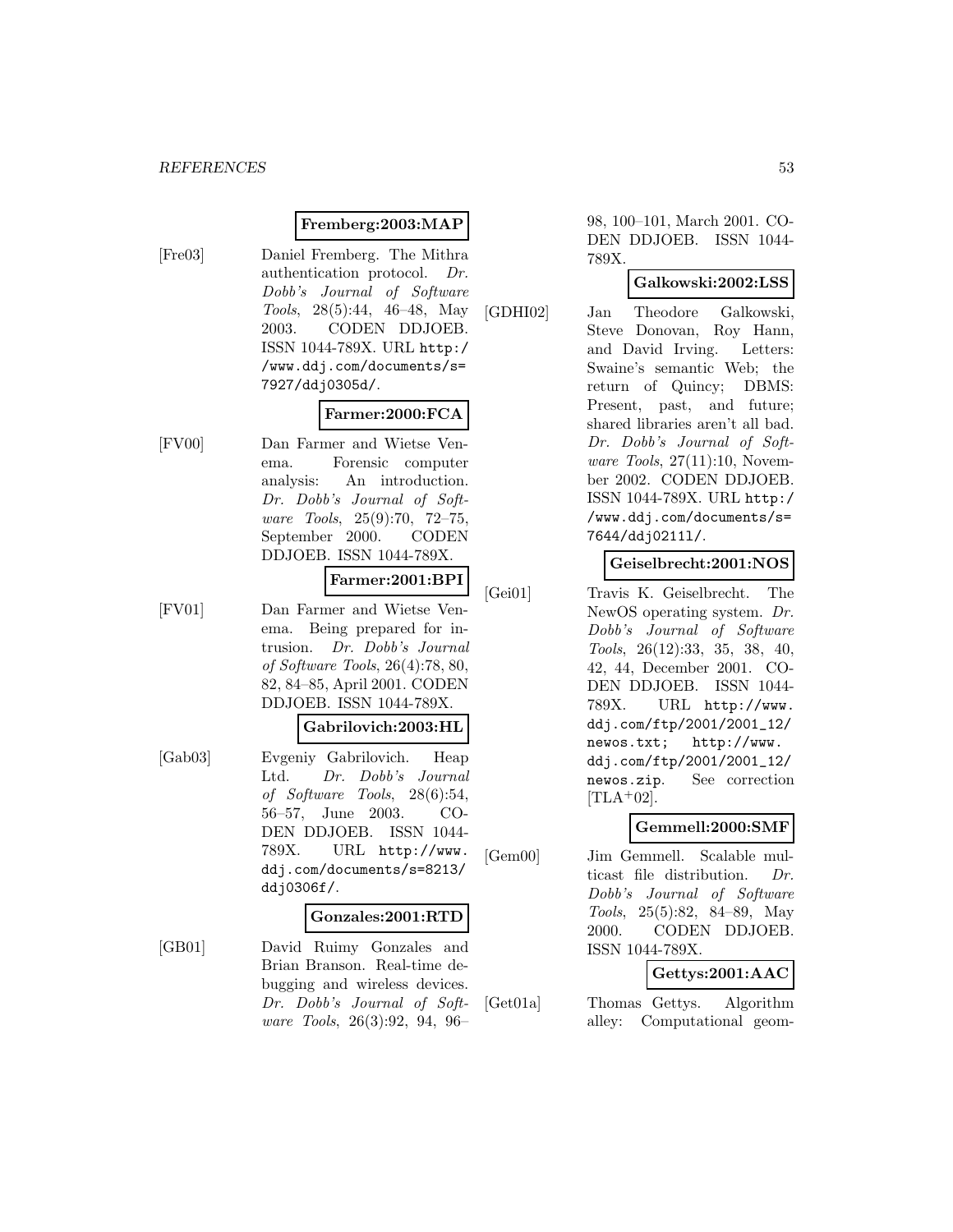## **Fremberg:2003:MAP**

[Fre03] Daniel Fremberg. The Mithra authentication protocol. Dr. Dobb's Journal of Software Tools, 28(5):44, 46–48, May 2003. CODEN DDJOEB. ISSN 1044-789X. URL http:/ /www.ddj.com/documents/s= 7927/ddj0305d/.

# **Farmer:2000:FCA**

[FV00] Dan Farmer and Wietse Venema. Forensic computer analysis: An introduction. Dr. Dobb's Journal of Software Tools, 25(9):70, 72–75, September 2000. CODEN DDJOEB. ISSN 1044-789X.

# **Farmer:2001:BPI**

[FV01] Dan Farmer and Wietse Venema. Being prepared for intrusion. Dr. Dobb's Journal of Software Tools, 26(4):78, 80, 82, 84–85, April 2001. CODEN DDJOEB. ISSN 1044-789X.

## **Gabrilovich:2003:HL**

[Gab03] Evgeniy Gabrilovich. Heap Ltd. Dr. Dobb's Journal of Software Tools, 28(6):54, 56–57, June 2003. CO-DEN DDJOEB. ISSN 1044- 789X. URL http://www. ddj.com/documents/s=8213/ ddj0306f/.

#### **Gonzales:2001:RTD**

[GB01] David Ruimy Gonzales and Brian Branson. Real-time debugging and wireless devices. Dr. Dobb's Journal of Software Tools, 26(3):92, 94, 96–

98, 100–101, March 2001. CO-DEN DDJOEB. ISSN 1044- 789X.

## **Galkowski:2002:LSS**

[GDHI02] Jan Theodore Galkowski, Steve Donovan, Roy Hann, and David Irving. Letters: Swaine's semantic Web; the return of Quincy; DBMS: Present, past, and future; shared libraries aren't all bad. Dr. Dobb's Journal of Software Tools, 27(11):10, November 2002. CODEN DDJOEB. ISSN 1044-789X. URL http:/ /www.ddj.com/documents/s= 7644/ddj0211l/.

# **Geiselbrecht:2001:NOS**

[Gei01] Travis K. Geiselbrecht. The NewOS operating system. Dr. Dobb's Journal of Software Tools, 26(12):33, 35, 38, 40, 42, 44, December 2001. CO-DEN DDJOEB. ISSN 1044- 789X. URL http://www. ddj.com/ftp/2001/2001\_12/ newos.txt; http://www. ddj.com/ftp/2001/2001\_12/ newos.zip. See correction  $[TLA+02]$ .

# **Gemmell:2000:SMF**

[Gem00] Jim Gemmell. Scalable multicast file distribution. Dr. Dobb's Journal of Software Tools, 25(5):82, 84–89, May 2000. CODEN DDJOEB. ISSN 1044-789X.

# **Gettys:2001:AAC**

[Get01a] Thomas Gettys. Algorithm alley: Computational geom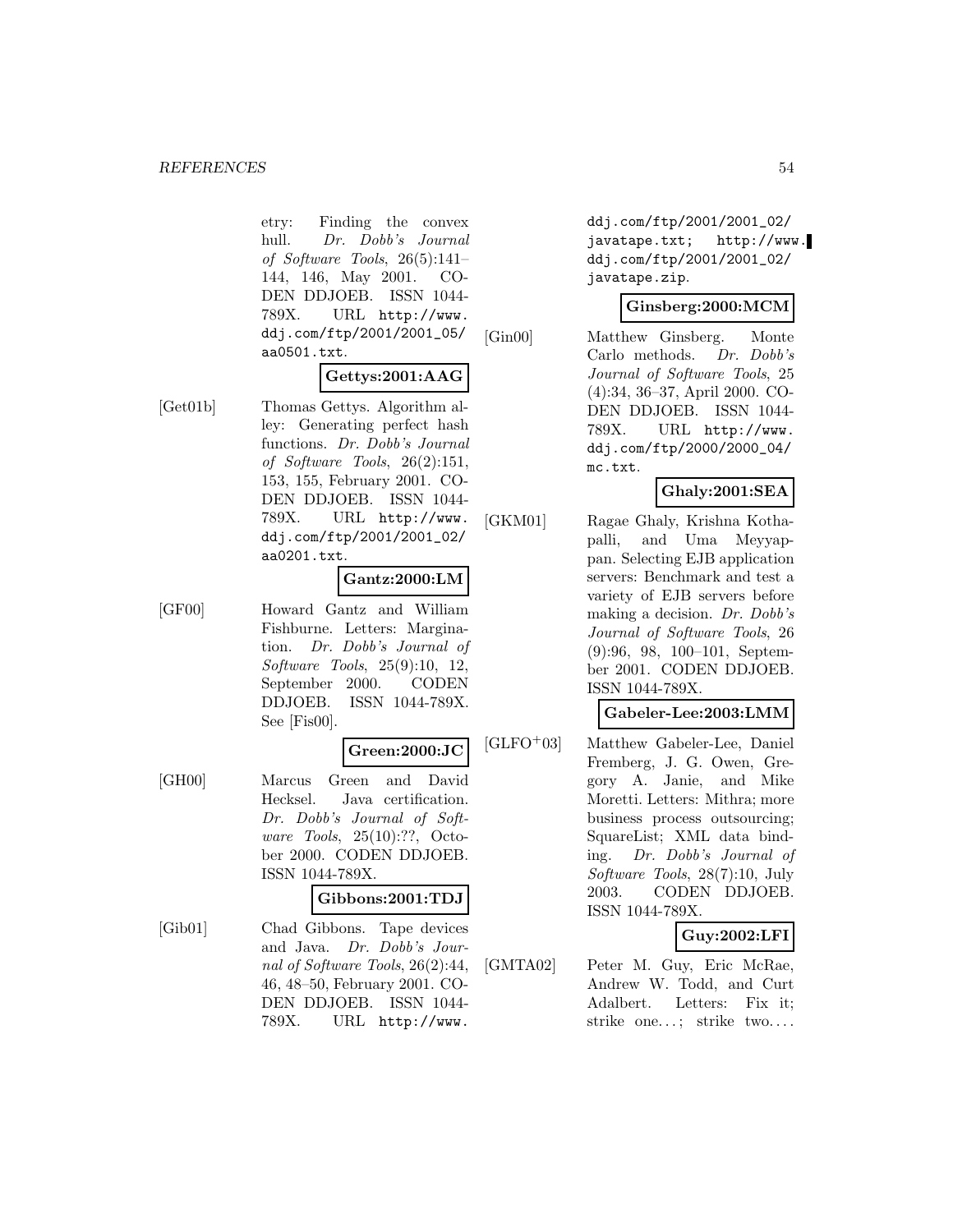etry: Finding the convex hull. Dr. Dobb's Journal of Software Tools, 26(5):141– 144, 146, May 2001. CO-DEN DDJOEB. ISSN 1044- 789X. URL http://www. ddj.com/ftp/2001/2001\_05/ aa0501.txt.

# **Gettys:2001:AAG**

[Get01b] Thomas Gettys. Algorithm alley: Generating perfect hash functions. Dr. Dobb's Journal of Software Tools, 26(2):151, 153, 155, February 2001. CO-DEN DDJOEB. ISSN 1044- 789X. URL http://www. ddj.com/ftp/2001/2001\_02/ aa0201.txt.

# **Gantz:2000:LM**

[GF00] Howard Gantz and William Fishburne. Letters: Margination. Dr. Dobb's Journal of Software Tools, 25(9):10, 12, September 2000. CODEN DDJOEB. ISSN 1044-789X. See [Fis00].

#### **Green:2000:JC**

[GH00] Marcus Green and David Hecksel. Java certification. Dr. Dobb's Journal of Software Tools, 25(10):??, October 2000. CODEN DDJOEB. ISSN 1044-789X.

#### **Gibbons:2001:TDJ**

[Gib01] Chad Gibbons. Tape devices and Java. Dr. Dobb's Journal of Software Tools, 26(2):44, 46, 48–50, February 2001. CO-DEN DDJOEB. ISSN 1044- 789X. URL http://www.

ddj.com/ftp/2001/2001\_02/ javatape.txt; http://www. ddj.com/ftp/2001/2001\_02/ javatape.zip.

# **Ginsberg:2000:MCM**

[Gin00] Matthew Ginsberg. Monte Carlo methods. Dr. Dobb's Journal of Software Tools, 25 (4):34, 36–37, April 2000. CO-DEN DDJOEB. ISSN 1044- 789X. URL http://www. ddj.com/ftp/2000/2000\_04/ mc.txt.

# **Ghaly:2001:SEA**

[GKM01] Ragae Ghaly, Krishna Kothapalli, and Uma Meyyappan. Selecting EJB application servers: Benchmark and test a variety of EJB servers before making a decision. Dr. Dobb's Journal of Software Tools, 26 (9):96, 98, 100–101, September 2001. CODEN DDJOEB. ISSN 1044-789X.

# **Gabeler-Lee:2003:LMM**

[GLFO<sup>+</sup>03] Matthew Gabeler-Lee, Daniel Fremberg, J. G. Owen, Gregory A. Janie, and Mike Moretti. Letters: Mithra; more business process outsourcing; SquareList; XML data binding. Dr. Dobb's Journal of Software Tools, 28(7):10, July 2003. CODEN DDJOEB. ISSN 1044-789X.

# **Guy:2002:LFI**

[GMTA02] Peter M. Guy, Eric McRae, Andrew W. Todd, and Curt Adalbert. Letters: Fix it; strike one...; strike two....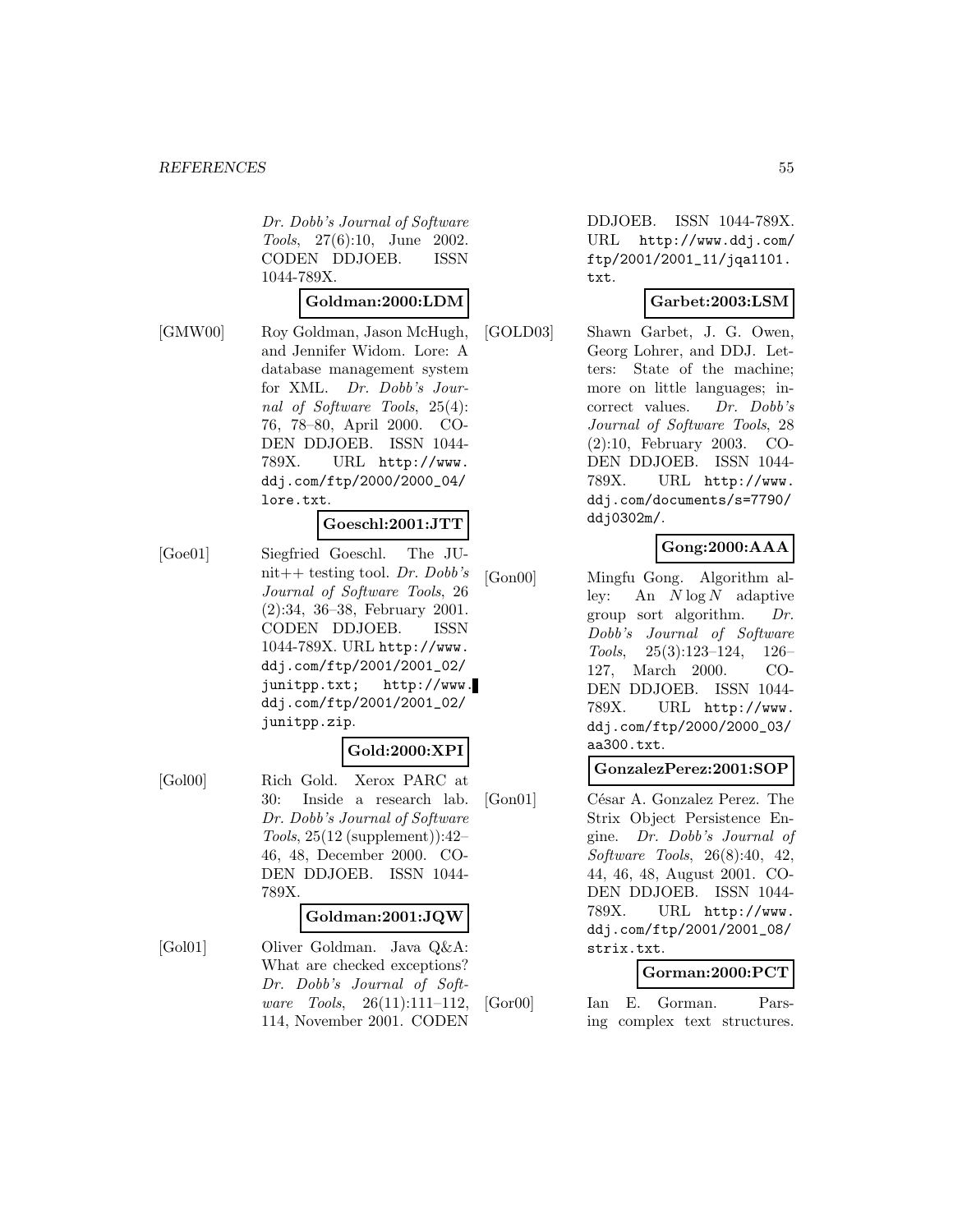Dr. Dobb's Journal of Software Tools, 27(6):10, June 2002. CODEN DDJOEB. ISSN 1044-789X.

#### **Goldman:2000:LDM**

[GMW00] Roy Goldman, Jason McHugh, and Jennifer Widom. Lore: A database management system for XML. Dr. Dobb's Journal of Software Tools, 25(4): 76, 78–80, April 2000. CO-DEN DDJOEB. ISSN 1044- 789X. URL http://www. ddj.com/ftp/2000/2000\_04/ lore.txt.

#### **Goeschl:2001:JTT**

[Goe01] Siegfried Goeschl. The JUnit++ testing tool. Dr. Dobb's Journal of Software Tools, 26 (2):34, 36–38, February 2001. CODEN DDJOEB. ISSN 1044-789X. URL http://www. ddj.com/ftp/2001/2001\_02/ junitpp.txt; http://www. ddj.com/ftp/2001/2001\_02/ junitpp.zip.

#### **Gold:2000:XPI**

[Gol00] Rich Gold. Xerox PARC at 30: Inside a research lab. Dr. Dobb's Journal of Software Tools, 25(12 (supplement)):42– 46, 48, December 2000. CO-DEN DDJOEB. ISSN 1044- 789X.

#### **Goldman:2001:JQW**

[Gol01] Oliver Goldman. Java Q&A: What are checked exceptions? Dr. Dobb's Journal of Software Tools, 26(11):111–112, 114, November 2001. CODEN

DDJOEB. ISSN 1044-789X. URL http://www.ddj.com/ ftp/2001/2001\_11/jqa1101. txt.

# **Garbet:2003:LSM**

[GOLD03] Shawn Garbet, J. G. Owen, Georg Lohrer, and DDJ. Letters: State of the machine; more on little languages; incorrect values. Dr. Dobb's Journal of Software Tools, 28 (2):10, February 2003. CO-DEN DDJOEB. ISSN 1044- 789X. URL http://www. ddj.com/documents/s=7790/ ddj0302m/.

# **Gong:2000:AAA**

[Gon00] Mingfu Gong. Algorithm alley: An  $N \log N$  adaptive group sort algorithm. Dr. Dobb's Journal of Software Tools, 25(3):123–124, 126– 127, March 2000. CO-DEN DDJOEB. ISSN 1044- 789X. URL http://www. ddj.com/ftp/2000/2000\_03/ aa300.txt.

# **GonzalezPerez:2001:SOP**

[Gon01] César A. Gonzalez Perez. The Strix Object Persistence Engine. Dr. Dobb's Journal of Software Tools, 26(8):40, 42, 44, 46, 48, August 2001. CO-DEN DDJOEB. ISSN 1044- 789X. URL http://www. ddj.com/ftp/2001/2001\_08/ strix.txt.

# **Gorman:2000:PCT**

[Gor00] Ian E. Gorman. Parsing complex text structures.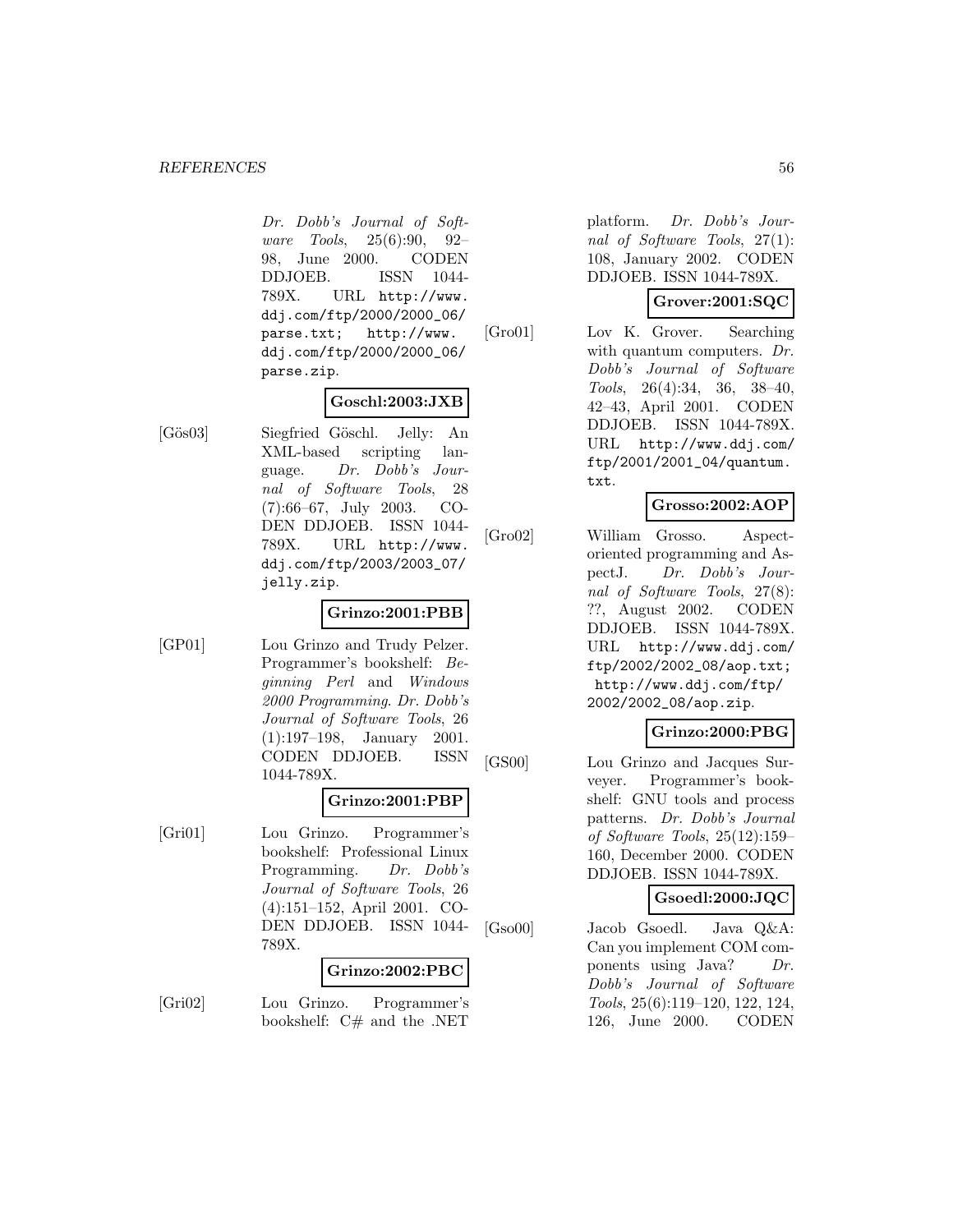#### *REFERENCES* 56

Dr. Dobb's Journal of Software Tools, 25(6):90, 92– 98, June 2000. CODEN DDJOEB. ISSN 1044- 789X. URL http://www. ddj.com/ftp/2000/2000\_06/ parse.txt; http://www. ddj.com/ftp/2000/2000\_06/ parse.zip.

# **Goschl:2003:JXB**

[Gös03] Siegfried Göschl. Jelly: An XML-based scripting language. Dr. Dobb's Journal of Software Tools, 28 (7):66–67, July 2003. CO-DEN DDJOEB. ISSN 1044- 789X. URL http://www. ddj.com/ftp/2003/2003\_07/ jelly.zip.

# **Grinzo:2001:PBB**

[GP01] Lou Grinzo and Trudy Pelzer. Programmer's bookshelf: Beginning Perl and Windows 2000 Programming. Dr. Dobb's Journal of Software Tools, 26 (1):197–198, January 2001. CODEN DDJOEB. ISSN 1044-789X.

#### **Grinzo:2001:PBP**

[Gri01] Lou Grinzo. Programmer's bookshelf: Professional Linux Programming. Dr. Dobb's Journal of Software Tools, 26 (4):151–152, April 2001. CO-DEN DDJOEB. ISSN 1044- 789X.

#### **Grinzo:2002:PBC**

[Gri02] Lou Grinzo. Programmer's bookshelf: C# and the .NET

platform. Dr. Dobb's Journal of Software Tools, 27(1): 108, January 2002. CODEN DDJOEB. ISSN 1044-789X.

# **Grover:2001:SQC**

[Gro01] Lov K. Grover. Searching with quantum computers. Dr. Dobb's Journal of Software Tools, 26(4):34, 36, 38–40, 42–43, April 2001. CODEN DDJOEB. ISSN 1044-789X. URL http://www.ddj.com/ ftp/2001/2001\_04/quantum. txt.

# **Grosso:2002:AOP**

[Gro02] William Grosso. Aspectoriented programming and AspectJ. Dr. Dobb's Journal of Software Tools, 27(8): ??, August 2002. CODEN DDJOEB. ISSN 1044-789X. URL http://www.ddj.com/ ftp/2002/2002\_08/aop.txt; http://www.ddj.com/ftp/ 2002/2002\_08/aop.zip.

# **Grinzo:2000:PBG**

[GS00] Lou Grinzo and Jacques Surveyer. Programmer's bookshelf: GNU tools and process patterns. Dr. Dobb's Journal of Software Tools, 25(12):159– 160, December 2000. CODEN DDJOEB. ISSN 1044-789X.

# **Gsoedl:2000:JQC**

[Gso00] Jacob Gsoedl. Java Q&A: Can you implement COM components using Java? Dr. Dobb's Journal of Software Tools, 25(6):119–120, 122, 124, 126, June 2000. CODEN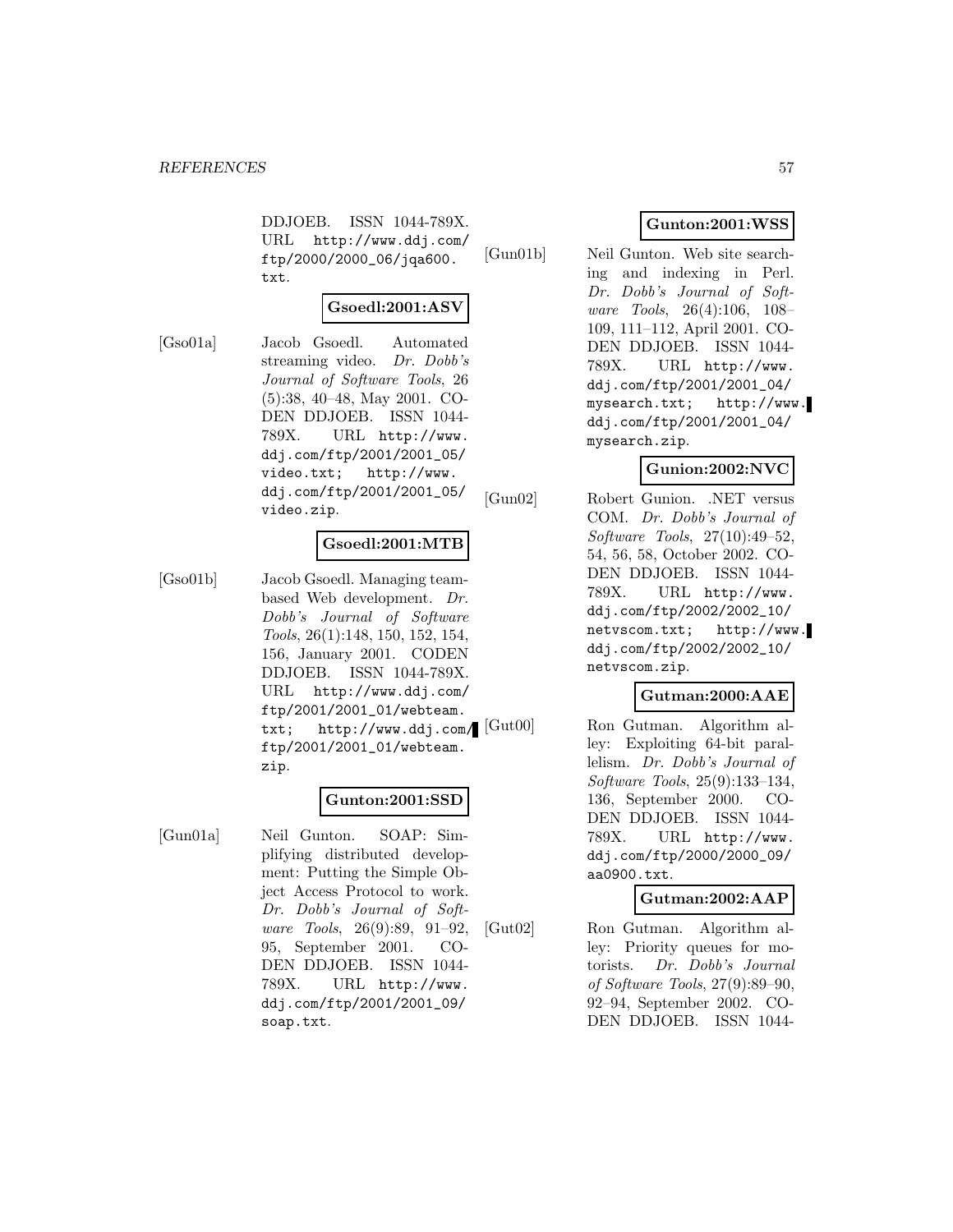DDJOEB. ISSN 1044-789X. URL http://www.ddj.com/ ftp/2000/2000\_06/jqa600. txt.

# **Gsoedl:2001:ASV**

[Gso01a] Jacob Gsoedl. Automated streaming video. Dr. Dobb's Journal of Software Tools, 26 (5):38, 40–48, May 2001. CO-DEN DDJOEB. ISSN 1044- 789X. URL http://www. ddj.com/ftp/2001/2001\_05/ video.txt; http://www. ddj.com/ftp/2001/2001\_05/ video.zip.

# **Gsoedl:2001:MTB**

[Gso01b] Jacob Gsoedl. Managing teambased Web development. Dr. Dobb's Journal of Software Tools, 26(1):148, 150, 152, 154, 156, January 2001. CODEN DDJOEB. ISSN 1044-789X. URL http://www.ddj.com/ ftp/2001/2001\_01/webteam. txt;  $http://www.ddj.com/[Gut00]$ ftp/2001/2001\_01/webteam. zip.

# **Gunton:2001:SSD**

[Gun01a] Neil Gunton. SOAP: Simplifying distributed development: Putting the Simple Object Access Protocol to work. Dr. Dobb's Journal of Software Tools, 26(9):89, 91–92, 95, September 2001. CO-DEN DDJOEB. ISSN 1044- 789X. URL http://www. ddj.com/ftp/2001/2001\_09/ soap.txt.

# **Gunton:2001:WSS**

[Gun01b] Neil Gunton. Web site searching and indexing in Perl. Dr. Dobb's Journal of Software Tools, 26(4):106, 108– 109, 111–112, April 2001. CO-DEN DDJOEB. ISSN 1044- 789X. URL http://www. ddj.com/ftp/2001/2001\_04/ mysearch.txt; http://www. ddj.com/ftp/2001/2001\_04/ mysearch.zip.

# **Gunion:2002:NVC**

[Gun02] Robert Gunion. .NET versus COM. Dr. Dobb's Journal of Software Tools, 27(10):49–52, 54, 56, 58, October 2002. CO-DEN DDJOEB. ISSN 1044- 789X. URL http://www. ddj.com/ftp/2002/2002\_10/ netvscom.txt; http://www. ddj.com/ftp/2002/2002\_10/ netvscom.zip.

# **Gutman:2000:AAE**

Ron Gutman. Algorithm alley: Exploiting 64-bit parallelism. Dr. Dobb's Journal of Software Tools, 25(9):133–134, 136, September 2000. CO-DEN DDJOEB. ISSN 1044- 789X. URL http://www. ddj.com/ftp/2000/2000\_09/ aa0900.txt.

# **Gutman:2002:AAP**

[Gut02] Ron Gutman. Algorithm alley: Priority queues for motorists. Dr. Dobb's Journal of Software Tools, 27(9):89–90, 92–94, September 2002. CO-DEN DDJOEB. ISSN 1044-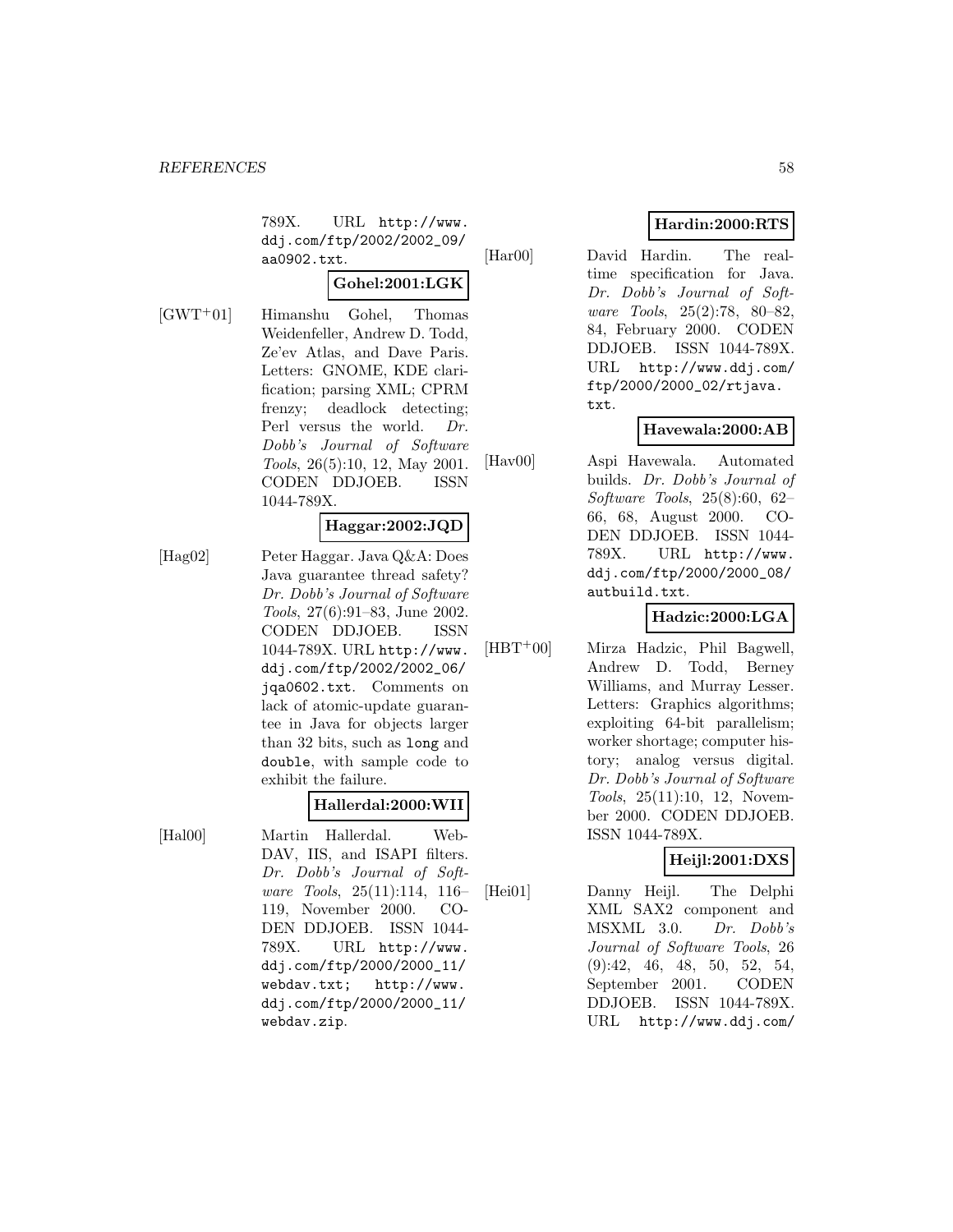789X. URL http://www. ddj.com/ftp/2002/2002\_09/ aa0902.txt.

# **Gohel:2001:LGK**

[GWT<sup>+</sup>01] Himanshu Gohel, Thomas Weidenfeller, Andrew D. Todd, Ze'ev Atlas, and Dave Paris. Letters: GNOME, KDE clarification; parsing XML; CPRM frenzy; deadlock detecting; Perl versus the world. Dr. Dobb's Journal of Software Tools, 26(5):10, 12, May 2001. CODEN DDJOEB. ISSN 1044-789X.

# **Haggar:2002:JQD**

[Hag02] Peter Haggar. Java Q&A: Does Java guarantee thread safety? Dr. Dobb's Journal of Software Tools, 27(6):91–83, June 2002. CODEN DDJOEB. ISSN 1044-789X. URL http://www. ddj.com/ftp/2002/2002\_06/ jqa0602.txt. Comments on lack of atomic-update guarantee in Java for objects larger than 32 bits, such as long and double, with sample code to exhibit the failure.

# **Hallerdal:2000:WII**

[Hal00] Martin Hallerdal. Web-DAV, IIS, and ISAPI filters. Dr. Dobb's Journal of Software Tools, 25(11):114, 116– 119, November 2000. CO-DEN DDJOEB. ISSN 1044- 789X. URL http://www. ddj.com/ftp/2000/2000\_11/ webdav.txt; http://www. ddj.com/ftp/2000/2000\_11/ webdav.zip.

# **Hardin:2000:RTS**

[Har00] David Hardin. The realtime specification for Java. Dr. Dobb's Journal of Software Tools, 25(2):78, 80–82, 84, February 2000. CODEN DDJOEB. ISSN 1044-789X. URL http://www.ddj.com/ ftp/2000/2000\_02/rtjava. txt.

# **Havewala:2000:AB**

[Hav00] Aspi Havewala. Automated builds. Dr. Dobb's Journal of Software Tools, 25(8):60, 62– 66, 68, August 2000. CO-DEN DDJOEB. ISSN 1044- 789X. URL http://www. ddj.com/ftp/2000/2000\_08/ autbuild.txt.

# **Hadzic:2000:LGA**

[HBT<sup>+</sup>00] Mirza Hadzic, Phil Bagwell, Andrew D. Todd, Berney Williams, and Murray Lesser. Letters: Graphics algorithms; exploiting 64-bit parallelism; worker shortage; computer history; analog versus digital. Dr. Dobb's Journal of Software Tools, 25(11):10, 12, November 2000. CODEN DDJOEB. ISSN 1044-789X.

# **Heijl:2001:DXS**

[Hei01] Danny Heijl. The Delphi XML SAX2 component and MSXML 3.0. Dr. Dobb's Journal of Software Tools, 26 (9):42, 46, 48, 50, 52, 54, September 2001. CODEN DDJOEB. ISSN 1044-789X. URL http://www.ddj.com/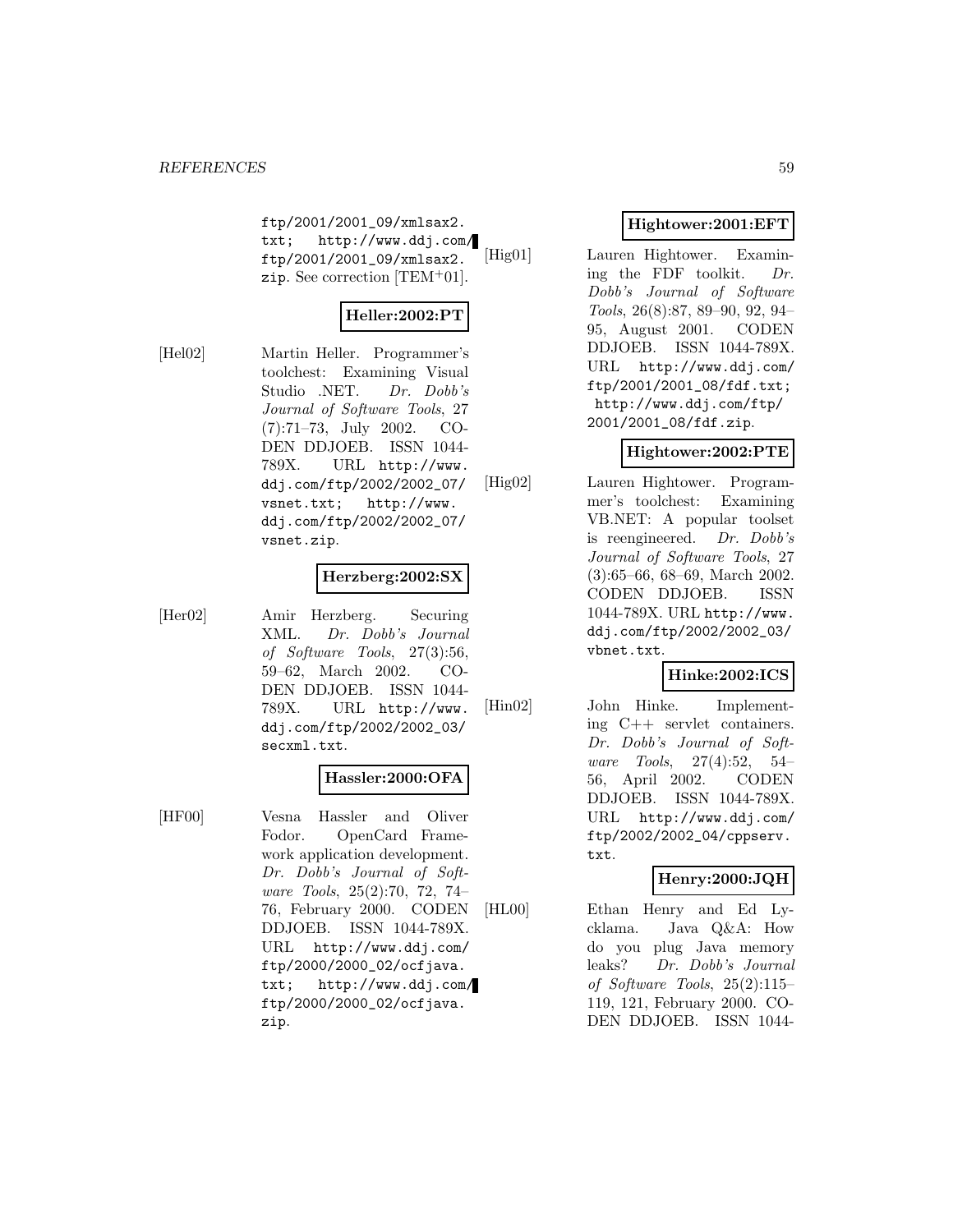ftp/2001/2001\_09/xmlsax2. txt; http://www.ddj.com/ ftp/2001/2001\_09/xmlsax2. zip. See correction [TEM<sup>+</sup>01].

# **Heller:2002:PT**

[Hel02] Martin Heller. Programmer's toolchest: Examining Visual Studio .NET. Dr. Dobb's Journal of Software Tools, 27 (7):71–73, July 2002. CO-DEN DDJOEB. ISSN 1044- 789X. URL http://www. ddj.com/ftp/2002/2002\_07/ vsnet.txt; http://www. ddj.com/ftp/2002/2002\_07/ vsnet.zip.

# **Herzberg:2002:SX**

[Her02] Amir Herzberg. Securing XML. Dr. Dobb's Journal of Software Tools, 27(3):56, 59–62, March 2002. CO-DEN DDJOEB. ISSN 1044- 789X. URL http://www. ddj.com/ftp/2002/2002\_03/ secxml.txt.

# **Hassler:2000:OFA**

[HF00] Vesna Hassler and Oliver Fodor. OpenCard Framework application development. Dr. Dobb's Journal of Software Tools, 25(2):70, 72, 74– 76, February 2000. CODEN DDJOEB. ISSN 1044-789X. URL http://www.ddj.com/ ftp/2000/2000\_02/ocfjava. txt; http://www.ddj.com/ ftp/2000/2000\_02/ocfjava. zip.

# **Hightower:2001:EFT**

[Hig01] Lauren Hightower. Examining the FDF toolkit. Dr. Dobb's Journal of Software Tools, 26(8):87, 89–90, 92, 94– 95, August 2001. CODEN DDJOEB. ISSN 1044-789X. URL http://www.ddj.com/ ftp/2001/2001\_08/fdf.txt; http://www.ddj.com/ftp/ 2001/2001\_08/fdf.zip.

# **Hightower:2002:PTE**

[Hig02] Lauren Hightower. Programmer's toolchest: Examining VB.NET: A popular toolset is reengineered. Dr. Dobb's Journal of Software Tools, 27 (3):65–66, 68–69, March 2002. CODEN DDJOEB. ISSN 1044-789X. URL http://www. ddj.com/ftp/2002/2002\_03/ vbnet.txt.

# **Hinke:2002:ICS**

[Hin02] John Hinke. Implementing C++ servlet containers. Dr. Dobb's Journal of Software Tools, 27(4):52, 54– 56, April 2002. CODEN DDJOEB. ISSN 1044-789X. URL http://www.ddj.com/ ftp/2002/2002\_04/cppserv. txt.

# **Henry:2000:JQH**

[HL00] Ethan Henry and Ed Lycklama. Java Q&A: How do you plug Java memory leaks? Dr. Dobb's Journal of Software Tools, 25(2):115– 119, 121, February 2000. CO-DEN DDJOEB. ISSN 1044-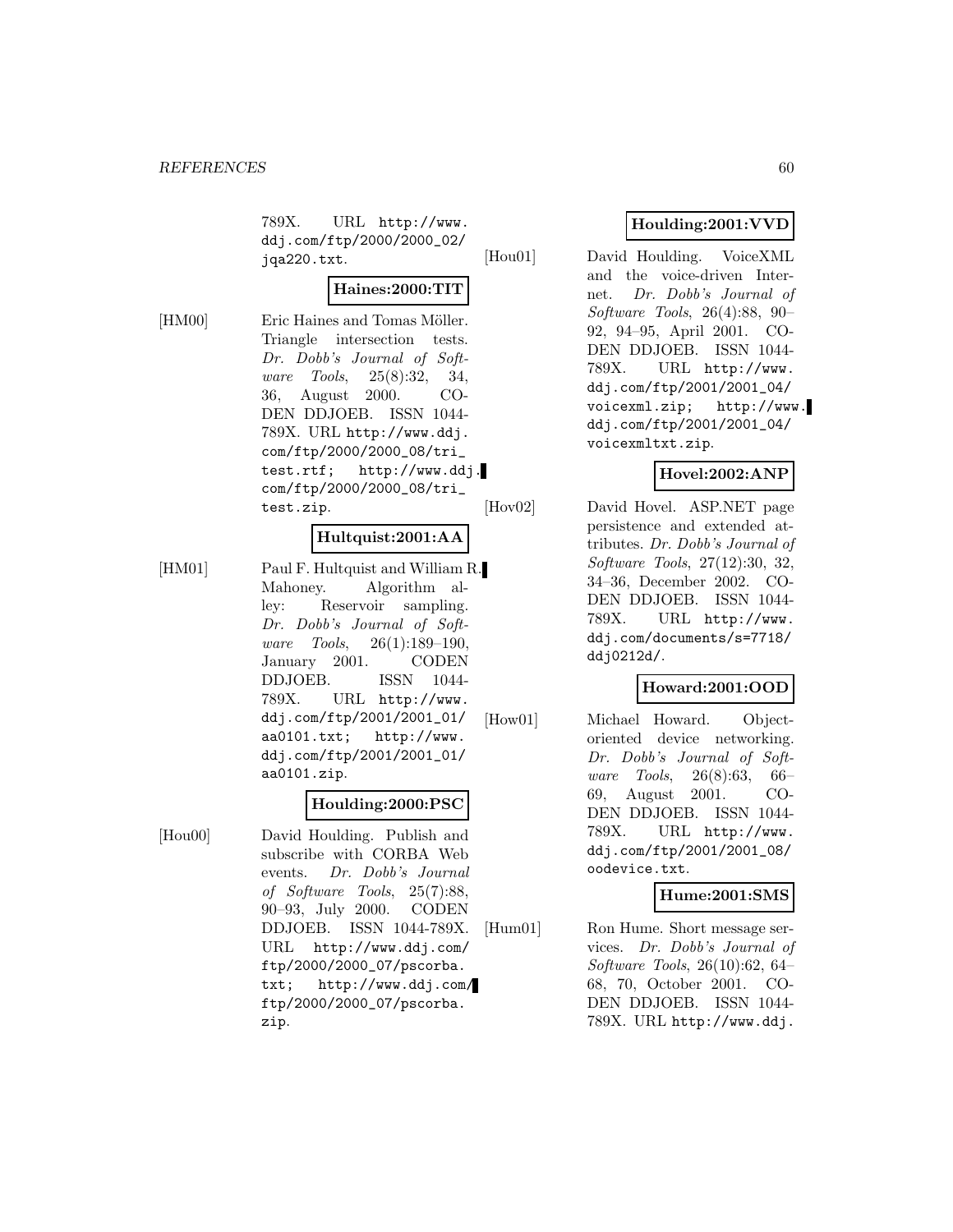789X. URL http://www. ddj.com/ftp/2000/2000\_02/ jqa220.txt.

# **Haines:2000:TIT**

[HM00] Eric Haines and Tomas Möller. Triangle intersection tests. Dr. Dobb's Journal of Software Tools, 25(8):32, 34, 36, August 2000. CO-DEN DDJOEB. ISSN 1044- 789X. URL http://www.ddj. com/ftp/2000/2000\_08/tri\_ test.rtf; http://www.ddj. com/ftp/2000/2000\_08/tri\_ test.zip.

# **Hultquist:2001:AA**

[HM01] Paul F. Hultquist and William R. Mahoney. Algorithm alley: Reservoir sampling. Dr. Dobb's Journal of Software Tools, 26(1):189–190, January 2001. CODEN DDJOEB. ISSN 1044- 789X. URL http://www. ddj.com/ftp/2001/2001\_01/ aa0101.txt; http://www. ddj.com/ftp/2001/2001\_01/ aa0101.zip.

#### **Houlding:2000:PSC**

[Hou00] David Houlding. Publish and subscribe with CORBA Web events. Dr. Dobb's Journal of Software Tools, 25(7):88, 90–93, July 2000. CODEN DDJOEB. ISSN 1044-789X. URL http://www.ddj.com/ ftp/2000/2000\_07/pscorba. txt; http://www.ddj.com/ ftp/2000/2000\_07/pscorba. zip.

# **Houlding:2001:VVD**

[Hou01] David Houlding. VoiceXML and the voice-driven Internet. Dr. Dobb's Journal of Software Tools, 26(4):88, 90– 92, 94–95, April 2001. CO-DEN DDJOEB. ISSN 1044- 789X. URL http://www. ddj.com/ftp/2001/2001\_04/ voicexml.zip; http://www. ddj.com/ftp/2001/2001\_04/ voicexmltxt.zip.

# **Hovel:2002:ANP**

[Hov02] David Hovel. ASP.NET page persistence and extended attributes. Dr. Dobb's Journal of Software Tools, 27(12):30, 32, 34–36, December 2002. CO-DEN DDJOEB. ISSN 1044- 789X. URL http://www. ddj.com/documents/s=7718/ ddj0212d/.

# **Howard:2001:OOD**

[How01] Michael Howard. Objectoriented device networking. Dr. Dobb's Journal of Software Tools, 26(8):63, 66– 69, August 2001. CO-DEN DDJOEB. ISSN 1044- 789X. URL http://www. ddj.com/ftp/2001/2001\_08/ oodevice.txt.

# **Hume:2001:SMS**

[Hum01] Ron Hume. Short message services. Dr. Dobb's Journal of Software Tools, 26(10):62, 64– 68, 70, October 2001. CO-DEN DDJOEB. ISSN 1044- 789X. URL http://www.ddj.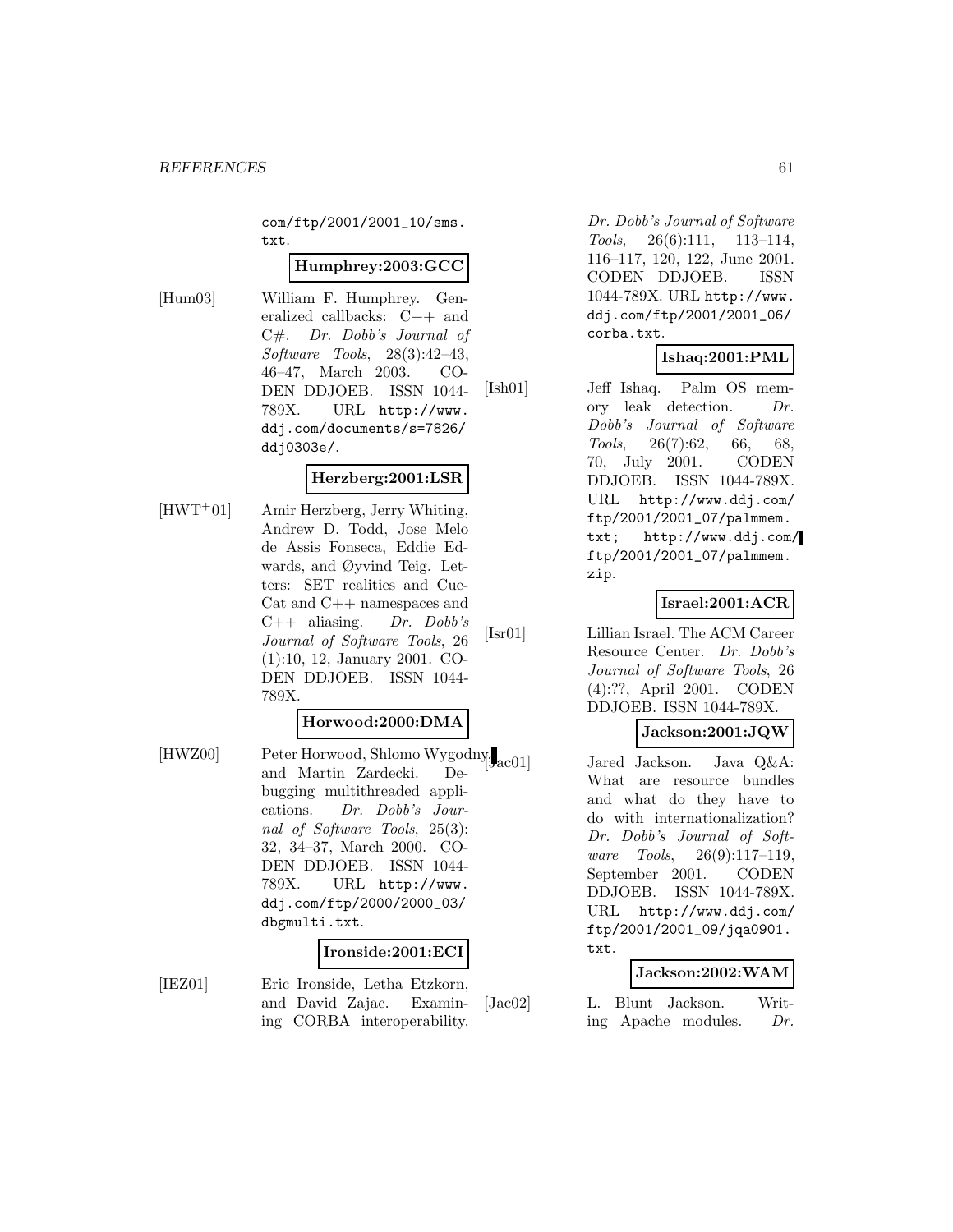com/ftp/2001/2001\_10/sms. txt.

#### **Humphrey:2003:GCC**

[Hum03] William F. Humphrey. Generalized callbacks: C++ and C#. Dr. Dobb's Journal of Software Tools, 28(3):42–43, 46–47, March 2003. CO-DEN DDJOEB. ISSN 1044- 789X. URL http://www. ddj.com/documents/s=7826/ ddj0303e/.

## **Herzberg:2001:LSR**

[HWT<sup>+</sup>01] Amir Herzberg, Jerry Whiting, Andrew D. Todd, Jose Melo de Assis Fonseca, Eddie Edwards, and Øyvind Teig. Letters: SET realities and Cue-Cat and C++ namespaces and  $C++$  aliasing. Dr. Dobb's Journal of Software Tools, 26 (1):10, 12, January 2001. CO-DEN DDJOEB. ISSN 1044- 789X.

# **Horwood:2000:DMA**

[HWZ00] Peter Horwood, Shlomo Wygodny<sub>[3ac01]</sub> and Martin Zardecki. Debugging multithreaded applications. Dr. Dobb's Journal of Software Tools, 25(3): 32, 34–37, March 2000. CO-DEN DDJOEB. ISSN 1044- 789X. URL http://www. ddj.com/ftp/2000/2000\_03/ dbgmulti.txt.

#### **Ironside:2001:ECI**

[IEZ01] Eric Ironside, Letha Etzkorn, and David Zajac. Examining CORBA interoperability.

Dr. Dobb's Journal of Software Tools, 26(6):111, 113–114, 116–117, 120, 122, June 2001. CODEN DDJOEB. ISSN 1044-789X. URL http://www. ddj.com/ftp/2001/2001\_06/ corba.txt.

# **Ishaq:2001:PML**

[Ish01] Jeff Ishaq. Palm OS memory leak detection. Dr. Dobb's Journal of Software Tools, 26(7):62, 66, 68, 70, July 2001. CODEN DDJOEB. ISSN 1044-789X. URL http://www.ddj.com/ ftp/2001/2001\_07/palmmem. txt; http://www.ddj.com/ ftp/2001/2001\_07/palmmem. zip.

#### **Israel:2001:ACR**

[Isr01] Lillian Israel. The ACM Career Resource Center. Dr. Dobb's Journal of Software Tools, 26 (4):??, April 2001. CODEN DDJOEB. ISSN 1044-789X.

# **Jackson:2001:JQW**

Jared Jackson. Java Q&A: What are resource bundles and what do they have to do with internationalization? Dr. Dobb's Journal of Software Tools, 26(9):117–119, September 2001. CODEN DDJOEB. ISSN 1044-789X. URL http://www.ddj.com/ ftp/2001/2001\_09/jqa0901. txt.

#### **Jackson:2002:WAM**

[Jac02] L. Blunt Jackson. Writing Apache modules. Dr.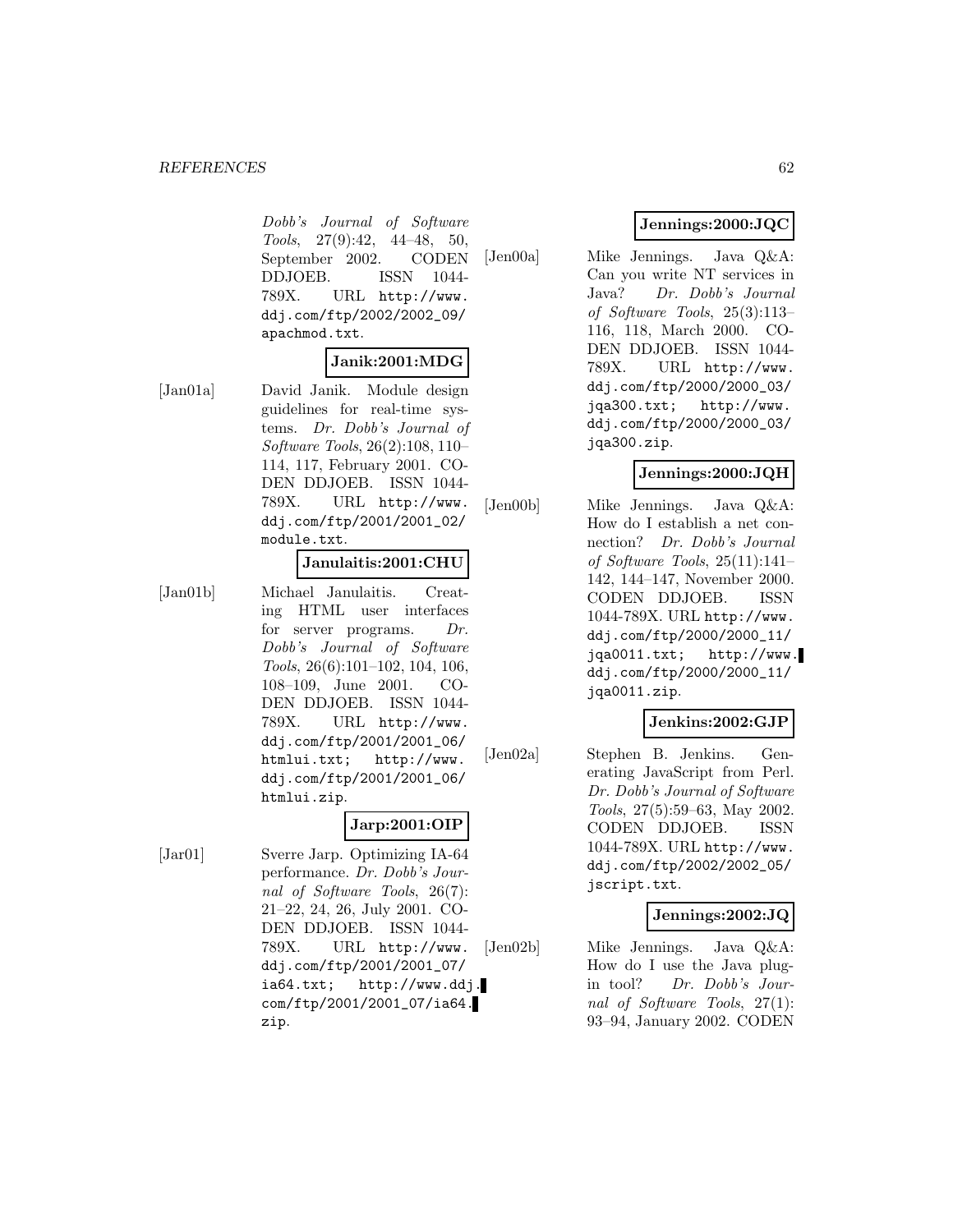#### *REFERENCES* 62

Dobb's Journal of Software Tools, 27(9):42, 44–48, 50, September 2002. CODEN DDJOEB. ISSN 1044- 789X. URL http://www. ddj.com/ftp/2002/2002\_09/ apachmod.txt.

# **Janik:2001:MDG**

[Jan01a] David Janik. Module design guidelines for real-time systems. Dr. Dobb's Journal of Software Tools, 26(2):108, 110– 114, 117, February 2001. CO-DEN DDJOEB. ISSN 1044- 789X. URL http://www. ddj.com/ftp/2001/2001\_02/ module.txt.

## **Janulaitis:2001:CHU**

[Jan01b] Michael Janulaitis. Creating HTML user interfaces for server programs. Dr. Dobb's Journal of Software Tools, 26(6):101–102, 104, 106, 108–109, June 2001. CO-DEN DDJOEB. ISSN 1044- 789X. URL http://www. ddj.com/ftp/2001/2001\_06/ htmlui.txt; http://www. ddj.com/ftp/2001/2001\_06/ htmlui.zip.

# **Jarp:2001:OIP**

[Jar01] Sverre Jarp. Optimizing IA-64 performance. Dr. Dobb's Journal of Software Tools, 26(7): 21–22, 24, 26, July 2001. CO-DEN DDJOEB. ISSN 1044- 789X. URL http://www. ddj.com/ftp/2001/2001\_07/ ia64.txt; http://www.ddj. com/ftp/2001/2001\_07/ia64. zip.

# **Jennings:2000:JQC**

[Jen00a] Mike Jennings. Java Q&A: Can you write NT services in Java? Dr. Dobb's Journal of Software Tools, 25(3):113– 116, 118, March 2000. CO-DEN DDJOEB. ISSN 1044- 789X. URL http://www. ddj.com/ftp/2000/2000\_03/ jqa300.txt; http://www. ddj.com/ftp/2000/2000\_03/ jqa300.zip.

## **Jennings:2000:JQH**

[Jen00b] Mike Jennings. Java Q&A: How do I establish a net connection? Dr. Dobb's Journal of Software Tools, 25(11):141– 142, 144–147, November 2000. CODEN DDJOEB. ISSN 1044-789X. URL http://www. ddj.com/ftp/2000/2000\_11/ jqa0011.txt; http://www. ddj.com/ftp/2000/2000\_11/ jqa0011.zip.

# **Jenkins:2002:GJP**

[Jen02a] Stephen B. Jenkins. Generating JavaScript from Perl. Dr. Dobb's Journal of Software Tools, 27(5):59–63, May 2002. CODEN DDJOEB. ISSN 1044-789X. URL http://www. ddj.com/ftp/2002/2002\_05/ jscript.txt.

# **Jennings:2002:JQ**

[Jen02b] Mike Jennings. Java Q&A: How do I use the Java plugin tool? Dr. Dobb's Journal of Software Tools, 27(1): 93–94, January 2002. CODEN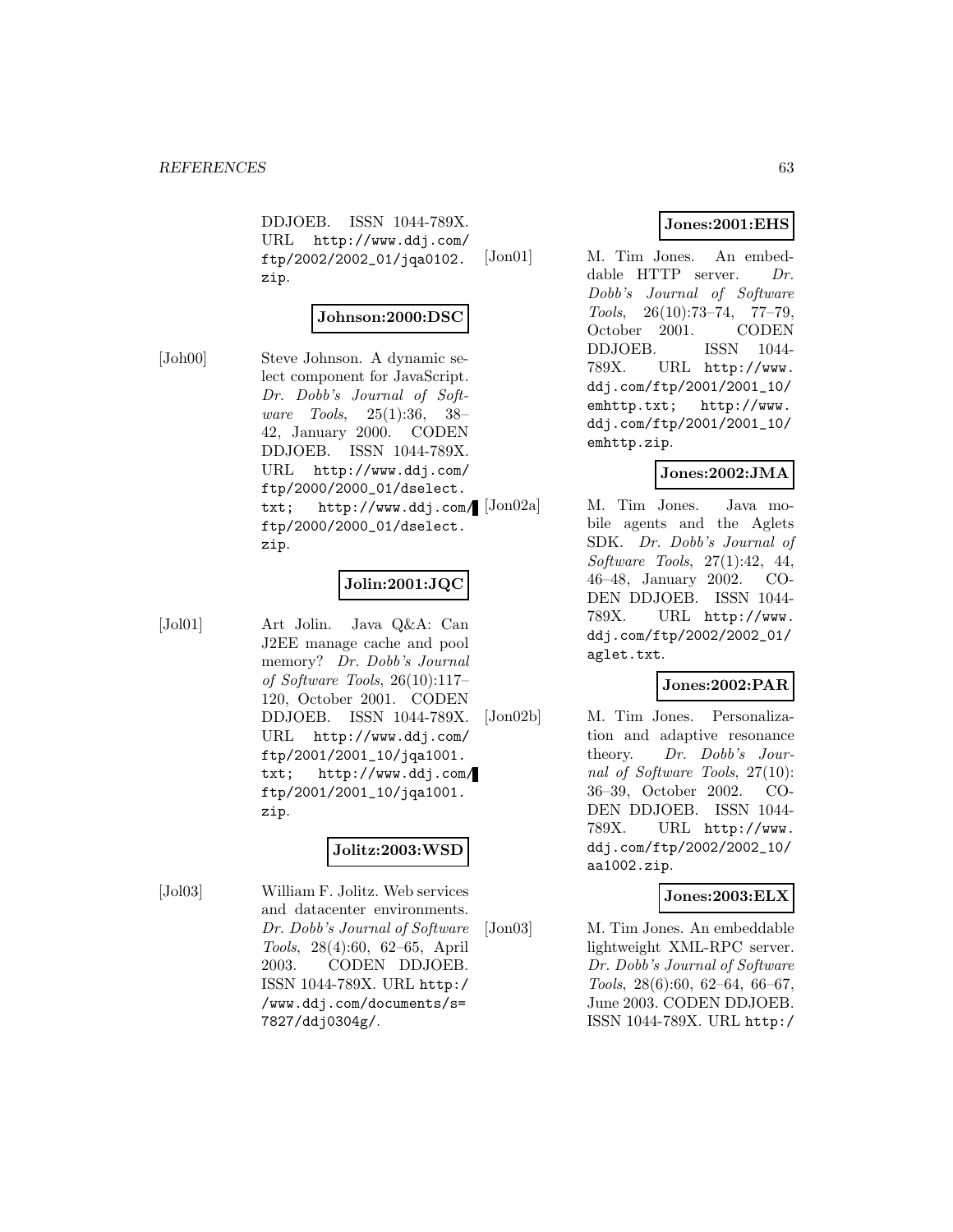DDJOEB. ISSN 1044-789X. URL http://www.ddj.com/ ftp/2002/2002\_01/jqa0102. zip.

## **Johnson:2000:DSC**

[Joh00] Steve Johnson. A dynamic select component for JavaScript. Dr. Dobb's Journal of Software Tools, 25(1):36, 38– 42, January 2000. CODEN DDJOEB. ISSN 1044-789X. URL http://www.ddj.com/ ftp/2000/2000\_01/dselect. txt; http://www.ddj.com/ [Jon02a] ftp/2000/2000\_01/dselect. zip.

# **Jolin:2001:JQC**

[Jol01] Art Jolin. Java Q&A: Can J2EE manage cache and pool memory? Dr. Dobb's Journal of Software Tools, 26(10):117– 120, October 2001. CODEN DDJOEB. ISSN 1044-789X. URL http://www.ddj.com/ ftp/2001/2001\_10/jqa1001. txt; http://www.ddj.com/ ftp/2001/2001\_10/jqa1001. zip.

# **Jolitz:2003:WSD**

[Jol03] William F. Jolitz. Web services and datacenter environments. Dr. Dobb's Journal of Software Tools, 28(4):60, 62–65, April 2003. CODEN DDJOEB. ISSN 1044-789X. URL http:/ /www.ddj.com/documents/s= 7827/ddj0304g/.

# **Jones:2001:EHS**

[Jon01] M. Tim Jones. An embeddable HTTP server. Dr. Dobb's Journal of Software Tools, 26(10):73–74, 77–79, October 2001. CODEN DDJOEB. ISSN 1044- 789X. URL http://www. ddj.com/ftp/2001/2001\_10/ emhttp.txt; http://www. ddj.com/ftp/2001/2001\_10/ emhttp.zip.

# **Jones:2002:JMA**

M. Tim Jones. Java mobile agents and the Aglets SDK. Dr. Dobb's Journal of Software Tools, 27(1):42, 44, 46–48, January 2002. CO-DEN DDJOEB. ISSN 1044- 789X. URL http://www. ddj.com/ftp/2002/2002\_01/ aglet.txt.

# **Jones:2002:PAR**

[Jon02b] M. Tim Jones. Personalization and adaptive resonance theory. Dr. Dobb's Journal of Software Tools, 27(10): 36–39, October 2002. CO-DEN DDJOEB. ISSN 1044- 789X. URL http://www. ddj.com/ftp/2002/2002\_10/ aa1002.zip.

# **Jones:2003:ELX**

[Jon03] M. Tim Jones. An embeddable lightweight XML-RPC server. Dr. Dobb's Journal of Software Tools, 28(6):60, 62–64, 66–67, June 2003. CODEN DDJOEB. ISSN 1044-789X. URL http:/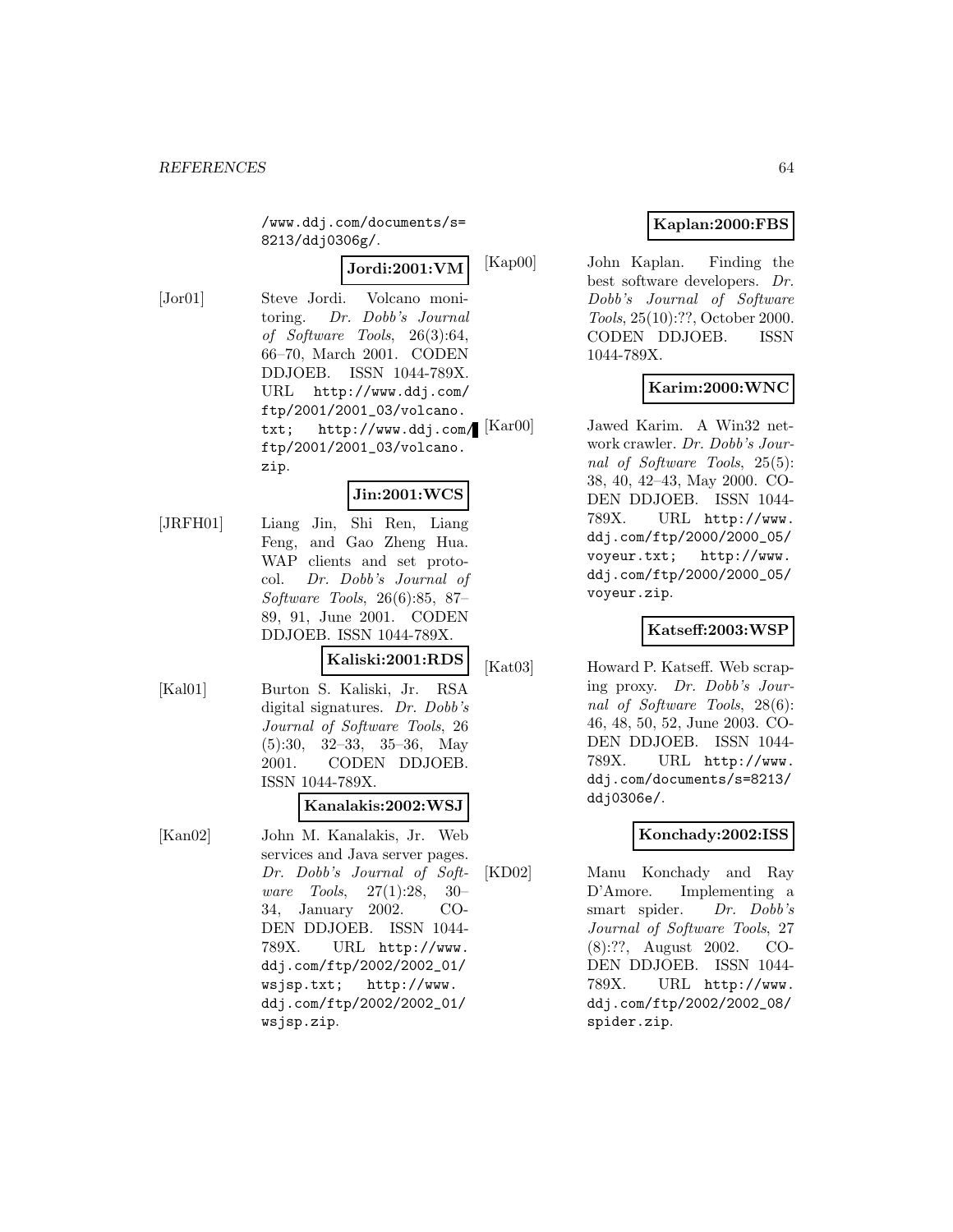/www.ddj.com/documents/s= 8213/ddj0306g/.

# **Jordi:2001:VM**

[Jor01] Steve Jordi. Volcano monitoring. Dr. Dobb's Journal of Software Tools, 26(3):64, 66–70, March 2001. CODEN DDJOEB. ISSN 1044-789X. URL http://www.ddj.com/ ftp/2001/2001\_03/volcano. txt;  $http://www.ddj.com/[Kar00]$ ftp/2001/2001\_03/volcano. zip.

# **Jin:2001:WCS**

[JRFH01] Liang Jin, Shi Ren, Liang Feng, and Gao Zheng Hua. WAP clients and set protocol. Dr. Dobb's Journal of Software Tools, 26(6):85, 87– 89, 91, June 2001. CODEN DDJOEB. ISSN 1044-789X.

# **Kaliski:2001:RDS**

[Kal01] Burton S. Kaliski, Jr. RSA digital signatures. Dr. Dobb's Journal of Software Tools, 26 (5):30, 32–33, 35–36, May 2001. CODEN DDJOEB. ISSN 1044-789X.

# **Kanalakis:2002:WSJ**

[Kan02] John M. Kanalakis, Jr. Web services and Java server pages. Dr. Dobb's Journal of Software Tools, 27(1):28, 30– 34, January 2002. CO-DEN DDJOEB. ISSN 1044- 789X. URL http://www. ddj.com/ftp/2002/2002\_01/ wsjsp.txt; http://www. ddj.com/ftp/2002/2002\_01/ wsjsp.zip.

# **Kaplan:2000:FBS**

[Kap00] John Kaplan. Finding the best software developers. Dr. Dobb's Journal of Software Tools, 25(10):??, October 2000. CODEN DDJOEB. ISSN 1044-789X.

# **Karim:2000:WNC**

Jawed Karim. A Win32 network crawler. Dr. Dobb's Journal of Software Tools, 25(5): 38, 40, 42–43, May 2000. CO-DEN DDJOEB. ISSN 1044- 789X. URL http://www. ddj.com/ftp/2000/2000\_05/ voyeur.txt; http://www. ddj.com/ftp/2000/2000\_05/ voyeur.zip.

# **Katseff:2003:WSP**

[Kat03] Howard P. Katseff. Web scraping proxy. Dr. Dobb's Journal of Software Tools, 28(6): 46, 48, 50, 52, June 2003. CO-DEN DDJOEB. ISSN 1044- 789X. URL http://www. ddj.com/documents/s=8213/ ddj0306e/.

# **Konchady:2002:ISS**

[KD02] Manu Konchady and Ray D'Amore. Implementing a smart spider. Dr. Dobb's Journal of Software Tools, 27 (8):??, August 2002. CO-DEN DDJOEB. ISSN 1044- 789X. URL http://www. ddj.com/ftp/2002/2002\_08/ spider.zip.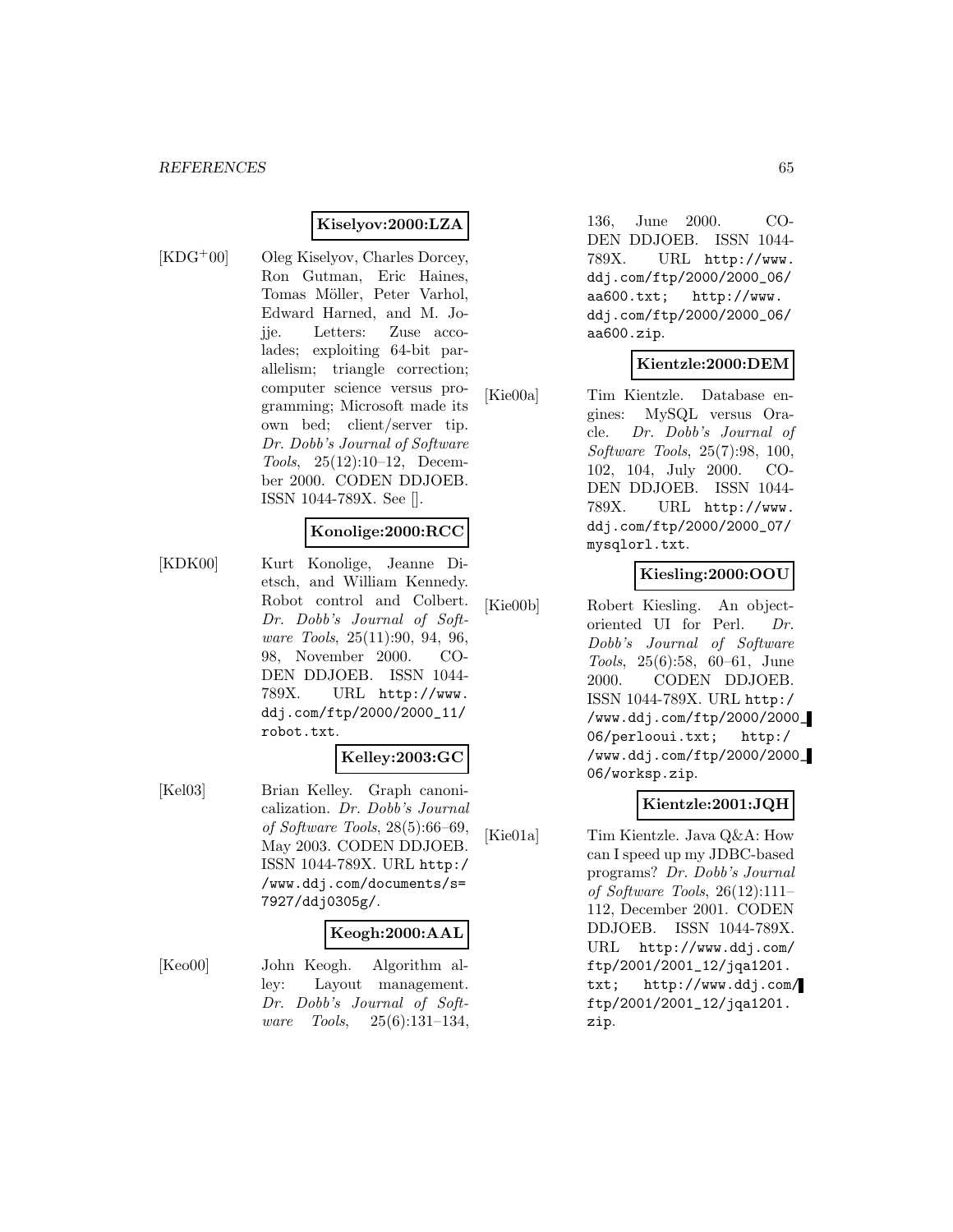## **Kiselyov:2000:LZA**

- 
- [KDG<sup>+</sup>00] Oleg Kiselyov, Charles Dorcey, Ron Gutman, Eric Haines, Tomas Möller, Peter Varhol, Edward Harned, and M. Jojje. Letters: Zuse accolades; exploiting 64-bit parallelism; triangle correction; computer science versus programming; Microsoft made its own bed; client/server tip. Dr. Dobb's Journal of Software Tools, 25(12):10–12, December 2000. CODEN DDJOEB. ISSN 1044-789X. See [].

#### **Konolige:2000:RCC**

[KDK00] Kurt Konolige, Jeanne Dietsch, and William Kennedy. Robot control and Colbert. Dr. Dobb's Journal of Software Tools, 25(11):90, 94, 96, 98, November 2000. CO-DEN DDJOEB. ISSN 1044- 789X. URL http://www. ddj.com/ftp/2000/2000\_11/ robot.txt.

## **Kelley:2003:GC**

[Kel03] Brian Kelley. Graph canonicalization. Dr. Dobb's Journal of Software Tools, 28(5):66–69, May 2003. CODEN DDJOEB. ISSN 1044-789X. URL http:/ /www.ddj.com/documents/s= 7927/ddj0305g/.

#### **Keogh:2000:AAL**

[Keo00] John Keogh. Algorithm alley: Layout management. Dr. Dobb's Journal of Software Tools, 25(6):131–134,

136, June 2000. CO-DEN DDJOEB. ISSN 1044- 789X. URL http://www. ddj.com/ftp/2000/2000\_06/ aa600.txt; http://www. ddj.com/ftp/2000/2000\_06/ aa600.zip.

# **Kientzle:2000:DEM**

[Kie00a] Tim Kientzle. Database engines: MySQL versus Oracle. Dr. Dobb's Journal of Software Tools, 25(7):98, 100, 102, 104, July 2000. CO-DEN DDJOEB. ISSN 1044- 789X. URL http://www. ddj.com/ftp/2000/2000\_07/ mysqlorl.txt.

# **Kiesling:2000:OOU**

[Kie00b] Robert Kiesling. An objectoriented UI for Perl. Dr. Dobb's Journal of Software Tools, 25(6):58, 60–61, June 2000. CODEN DDJOEB. ISSN 1044-789X. URL http:/ /www.ddj.com/ftp/2000/2000\_ 06/perlooui.txt; http:/ /www.ddj.com/ftp/2000/2000\_ 06/worksp.zip.

# **Kientzle:2001:JQH**

[Kie01a] Tim Kientzle. Java Q&A: How can I speed up my JDBC-based programs? Dr. Dobb's Journal of Software Tools, 26(12):111– 112, December 2001. CODEN DDJOEB. ISSN 1044-789X. URL http://www.ddj.com/ ftp/2001/2001\_12/jqa1201. txt; http://www.ddj.com/ ftp/2001/2001\_12/jqa1201. zip.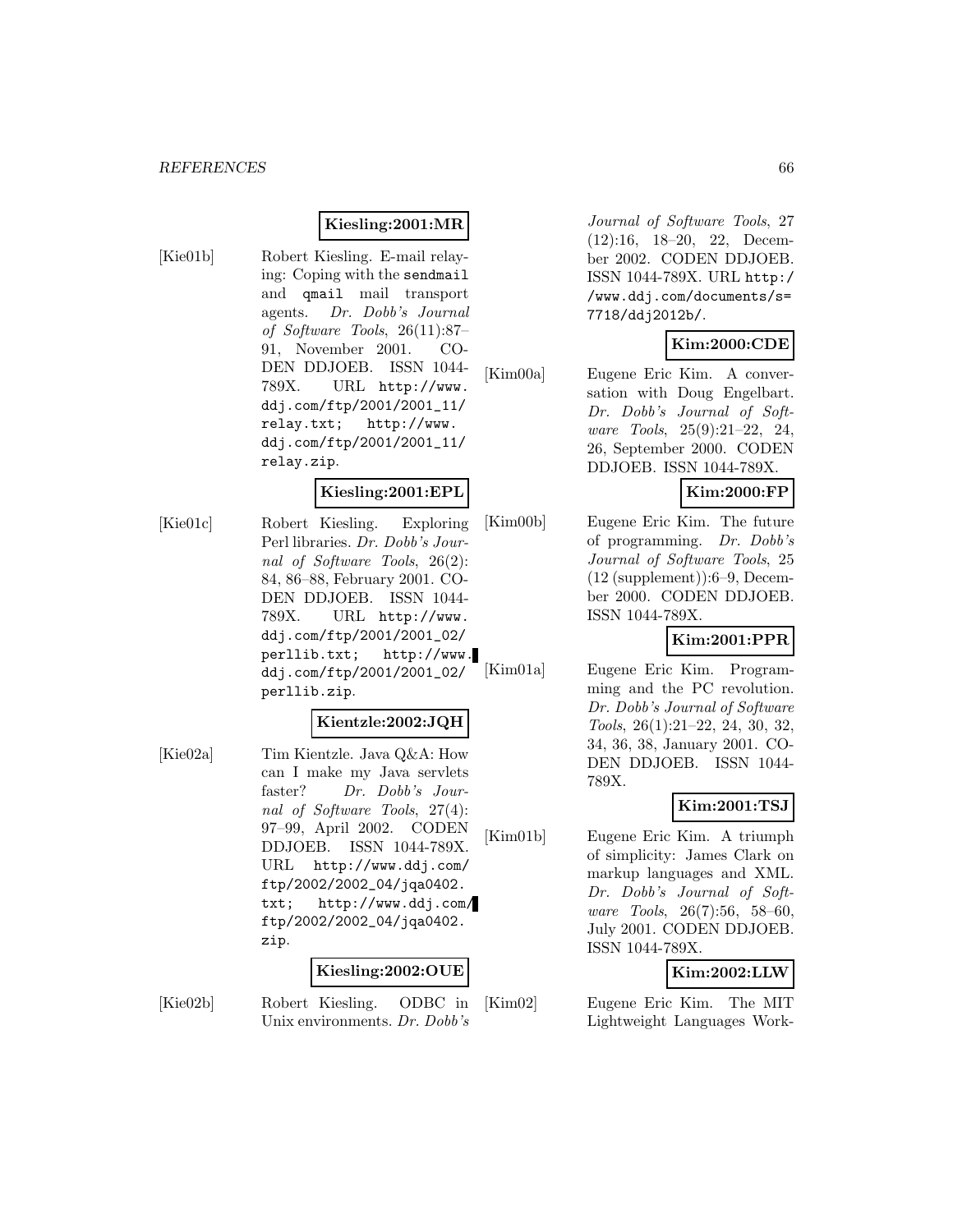# **Kiesling:2001:MR**

[Kie01b] Robert Kiesling. E-mail relaying: Coping with the sendmail and qmail mail transport agents. Dr. Dobb's Journal of Software Tools, 26(11):87– 91, November 2001. CO-DEN DDJOEB. ISSN 1044- 789X. URL http://www. ddj.com/ftp/2001/2001\_11/ relay.txt; http://www. ddj.com/ftp/2001/2001\_11/ relay.zip.

# **Kiesling:2001:EPL**

[Kie01c] Robert Kiesling. Exploring Perl libraries. Dr. Dobb's Journal of Software Tools, 26(2): 84, 86–88, February 2001. CO-DEN DDJOEB. ISSN 1044- 789X. URL http://www. ddj.com/ftp/2001/2001\_02/ perllib.txt; http://www. ddj.com/ftp/2001/2001\_02/ perllib.zip.

#### **Kientzle:2002:JQH**

[Kie02a] Tim Kientzle. Java Q&A: How can I make my Java servlets faster? Dr. Dobb's Journal of Software Tools, 27(4): 97–99, April 2002. CODEN DDJOEB. ISSN 1044-789X. URL http://www.ddj.com/ ftp/2002/2002\_04/jqa0402. txt; http://www.ddj.com/ ftp/2002/2002\_04/jqa0402. zip.

#### **Kiesling:2002:OUE**

[Kie02b] Robert Kiesling. ODBC in Unix environments. Dr. Dobb's

Journal of Software Tools, 27 (12):16, 18–20, 22, December 2002. CODEN DDJOEB. ISSN 1044-789X. URL http:/ /www.ddj.com/documents/s= 7718/ddj2012b/.

# **Kim:2000:CDE**

[Kim00a] Eugene Eric Kim. A conversation with Doug Engelbart. Dr. Dobb's Journal of Software Tools, 25(9):21–22, 24, 26, September 2000. CODEN DDJOEB. ISSN 1044-789X.

# **Kim:2000:FP**

[Kim00b] Eugene Eric Kim. The future of programming. Dr. Dobb's Journal of Software Tools, 25 (12 (supplement)):6–9, December 2000. CODEN DDJOEB. ISSN 1044-789X.

# **Kim:2001:PPR**

[Kim01a] Eugene Eric Kim. Programming and the PC revolution. Dr. Dobb's Journal of Software Tools, 26(1):21–22, 24, 30, 32, 34, 36, 38, January 2001. CO-DEN DDJOEB. ISSN 1044- 789X.

# **Kim:2001:TSJ**

[Kim01b] Eugene Eric Kim. A triumph of simplicity: James Clark on markup languages and XML. Dr. Dobb's Journal of Software Tools, 26(7):56, 58–60, July 2001. CODEN DDJOEB. ISSN 1044-789X.

# **Kim:2002:LLW**

[Kim02] Eugene Eric Kim. The MIT Lightweight Languages Work-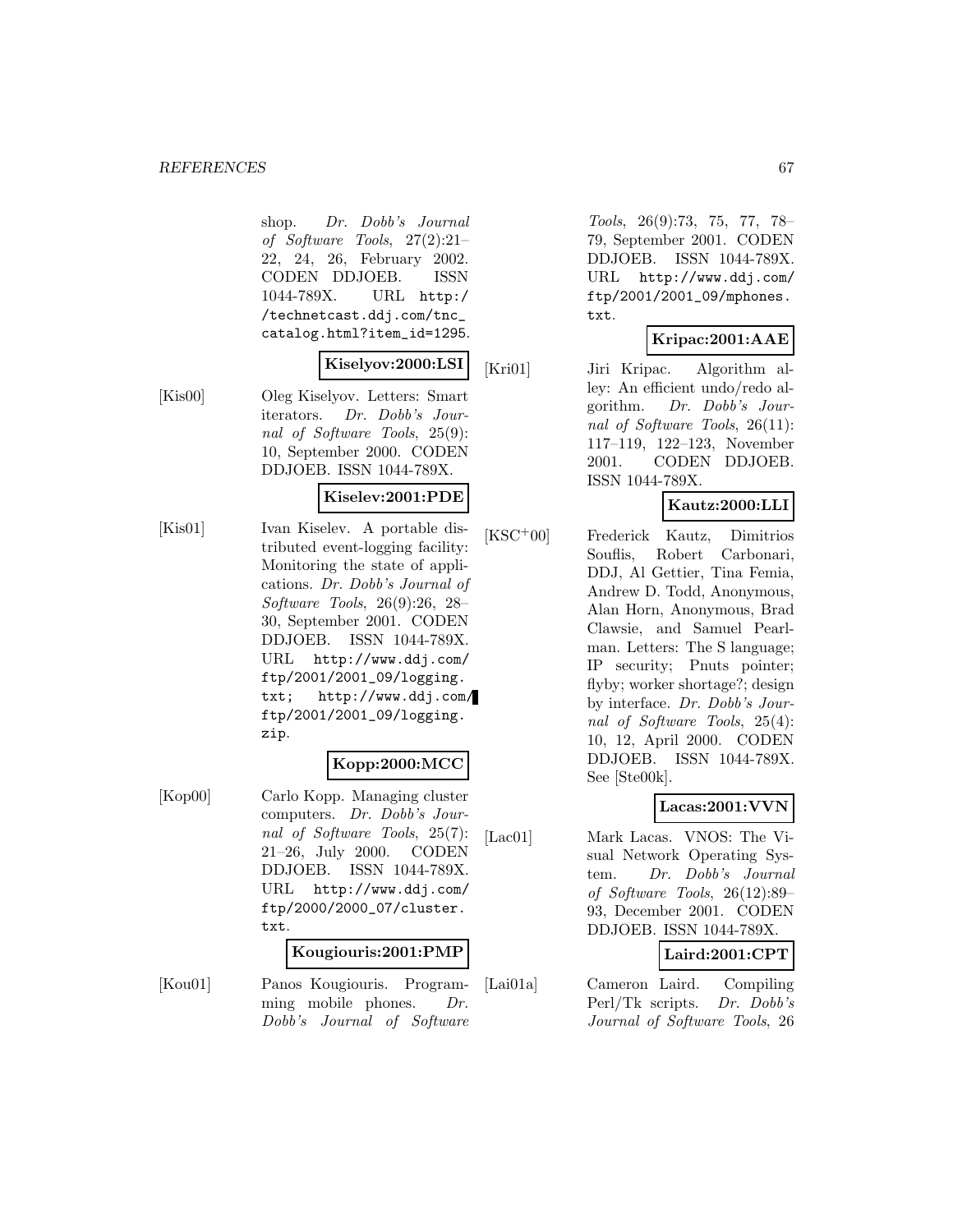#### *REFERENCES* 67

shop. Dr. Dobb's Journal of Software Tools, 27(2):21– 22, 24, 26, February 2002. CODEN DDJOEB. ISSN 1044-789X. URL http:/ /technetcast.ddj.com/tnc\_ catalog.html?item\_id=1295.

## **Kiselyov:2000:LSI**

[Kis00] Oleg Kiselyov. Letters: Smart iterators. Dr. Dobb's Journal of Software Tools, 25(9): 10, September 2000. CODEN DDJOEB. ISSN 1044-789X.

#### **Kiselev:2001:PDE**

[Kis01] Ivan Kiselev. A portable distributed event-logging facility: Monitoring the state of applications. Dr. Dobb's Journal of Software Tools, 26(9):26, 28– 30, September 2001. CODEN DDJOEB. ISSN 1044-789X. URL http://www.ddj.com/ ftp/2001/2001\_09/logging. txt; http://www.ddj.com/ ftp/2001/2001\_09/logging. zip.

# **Kopp:2000:MCC**

[Kop00] Carlo Kopp. Managing cluster computers. Dr. Dobb's Journal of Software Tools, 25(7): 21–26, July 2000. CODEN DDJOEB. ISSN 1044-789X. URL http://www.ddj.com/ ftp/2000/2000\_07/cluster. txt.

#### **Kougiouris:2001:PMP**

[Kou01] Panos Kougiouris. Programming mobile phones. Dr. Dobb's Journal of Software

Tools, 26(9):73, 75, 77, 78– 79, September 2001. CODEN DDJOEB. ISSN 1044-789X. URL http://www.ddj.com/ ftp/2001/2001\_09/mphones. txt.

# **Kripac:2001:AAE**

[Kri01] Jiri Kripac. Algorithm alley: An efficient undo/redo algorithm. Dr. Dobb's Journal of Software Tools, 26(11): 117–119, 122–123, November 2001. CODEN DDJOEB. ISSN 1044-789X.

# **Kautz:2000:LLI**

[KSC<sup>+</sup>00] Frederick Kautz, Dimitrios Souflis, Robert Carbonari, DDJ, Al Gettier, Tina Femia, Andrew D. Todd, Anonymous, Alan Horn, Anonymous, Brad Clawsie, and Samuel Pearlman. Letters: The S language; IP security; Pnuts pointer; flyby; worker shortage?; design by interface. Dr. Dobb's Journal of Software Tools, 25(4): 10, 12, April 2000. CODEN DDJOEB. ISSN 1044-789X. See [Ste00k].

# **Lacas:2001:VVN**

[Lac01] Mark Lacas. VNOS: The Visual Network Operating System. Dr. Dobb's Journal of Software Tools, 26(12):89– 93, December 2001. CODEN DDJOEB. ISSN 1044-789X.

# **Laird:2001:CPT**

[Lai01a] Cameron Laird. Compiling Perl/Tk scripts. Dr. Dobb's Journal of Software Tools, 26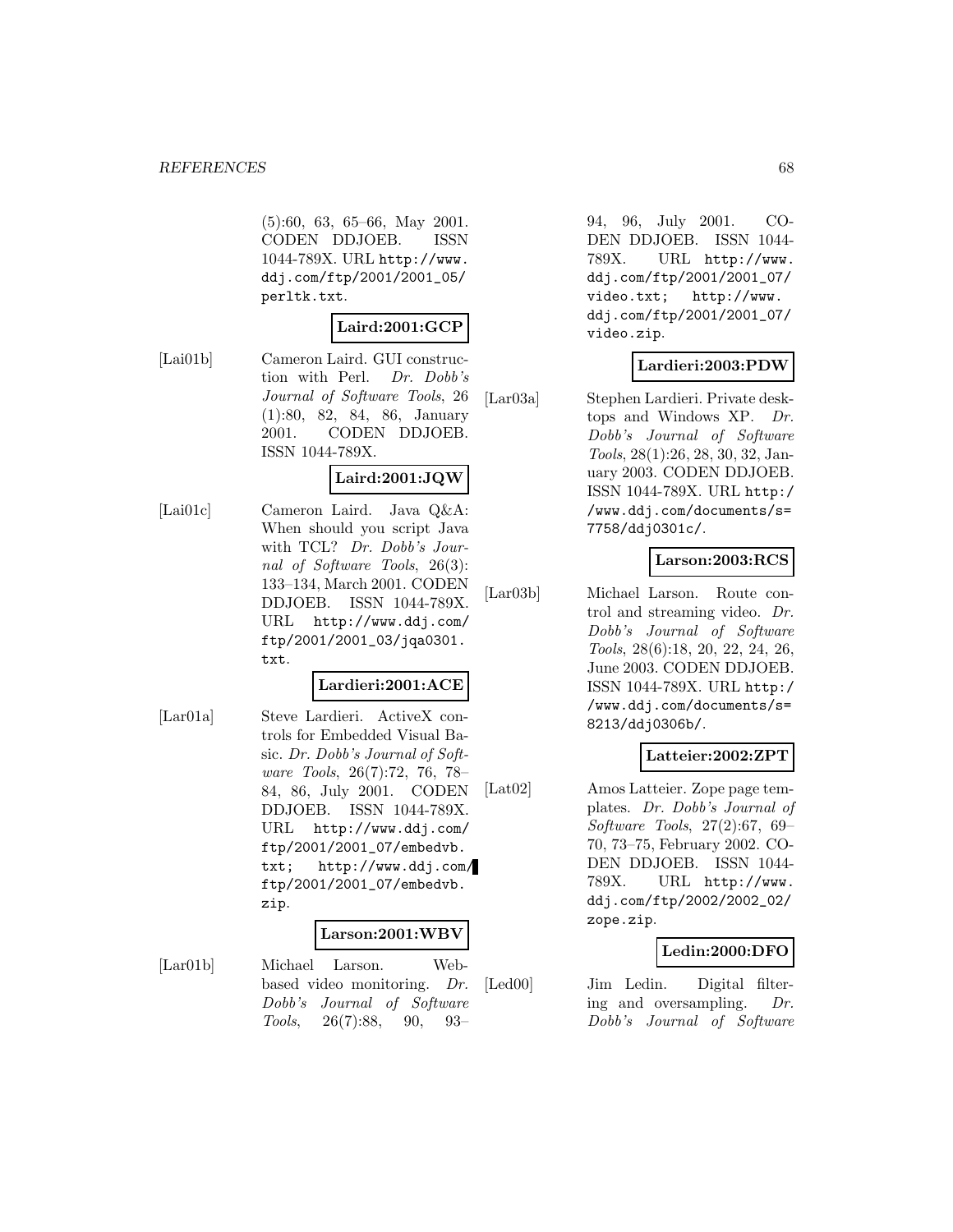#### *REFERENCES* 68

(5):60, 63, 65–66, May 2001. CODEN DDJOEB. ISSN 1044-789X. URL http://www. ddj.com/ftp/2001/2001\_05/ perltk.txt.

## **Laird:2001:GCP**

[Lai01b] Cameron Laird. GUI construction with Perl. Dr. Dobb's Journal of Software Tools, 26 (1):80, 82, 84, 86, January 2001. CODEN DDJOEB. ISSN 1044-789X.

# **Laird:2001:JQW**

[Lai01c] Cameron Laird. Java Q&A: When should you script Java with TCL? Dr. Dobb's Journal of Software Tools, 26(3): 133–134, March 2001. CODEN DDJOEB. ISSN 1044-789X. URL http://www.ddj.com/ ftp/2001/2001\_03/jqa0301. txt.

#### **Lardieri:2001:ACE**

[Lar01a] Steve Lardieri. ActiveX controls for Embedded Visual Basic. Dr. Dobb's Journal of Software Tools, 26(7):72, 76, 78– 84, 86, July 2001. CODEN DDJOEB. ISSN 1044-789X. URL http://www.ddj.com/ ftp/2001/2001\_07/embedvb. txt; http://www.ddj.com/ ftp/2001/2001\_07/embedvb. zip.

#### **Larson:2001:WBV**

[Lar01b] Michael Larson. Webbased video monitoring. Dr. Dobb's Journal of Software Tools, 26(7):88, 90, 93–

94, 96, July 2001. CO-DEN DDJOEB. ISSN 1044- 789X. URL http://www. ddj.com/ftp/2001/2001\_07/ video.txt; http://www. ddj.com/ftp/2001/2001\_07/ video.zip.

# **Lardieri:2003:PDW**

[Lar03a] Stephen Lardieri. Private desktops and Windows XP. Dr. Dobb's Journal of Software Tools, 28(1):26, 28, 30, 32, January 2003. CODEN DDJOEB. ISSN 1044-789X. URL http:/ /www.ddj.com/documents/s= 7758/ddj0301c/.

# **Larson:2003:RCS**

[Lar03b] Michael Larson. Route control and streaming video. Dr. Dobb's Journal of Software Tools, 28(6):18, 20, 22, 24, 26, June 2003. CODEN DDJOEB. ISSN 1044-789X. URL http:/ /www.ddj.com/documents/s= 8213/ddj0306b/.

## **Latteier:2002:ZPT**

[Lat02] Amos Latteier. Zope page templates. Dr. Dobb's Journal of Software Tools, 27(2):67, 69– 70, 73–75, February 2002. CO-DEN DDJOEB. ISSN 1044- 789X. URL http://www. ddj.com/ftp/2002/2002\_02/ zope.zip.

# **Ledin:2000:DFO**

[Led00] Jim Ledin. Digital filtering and oversampling. Dr. Dobb's Journal of Software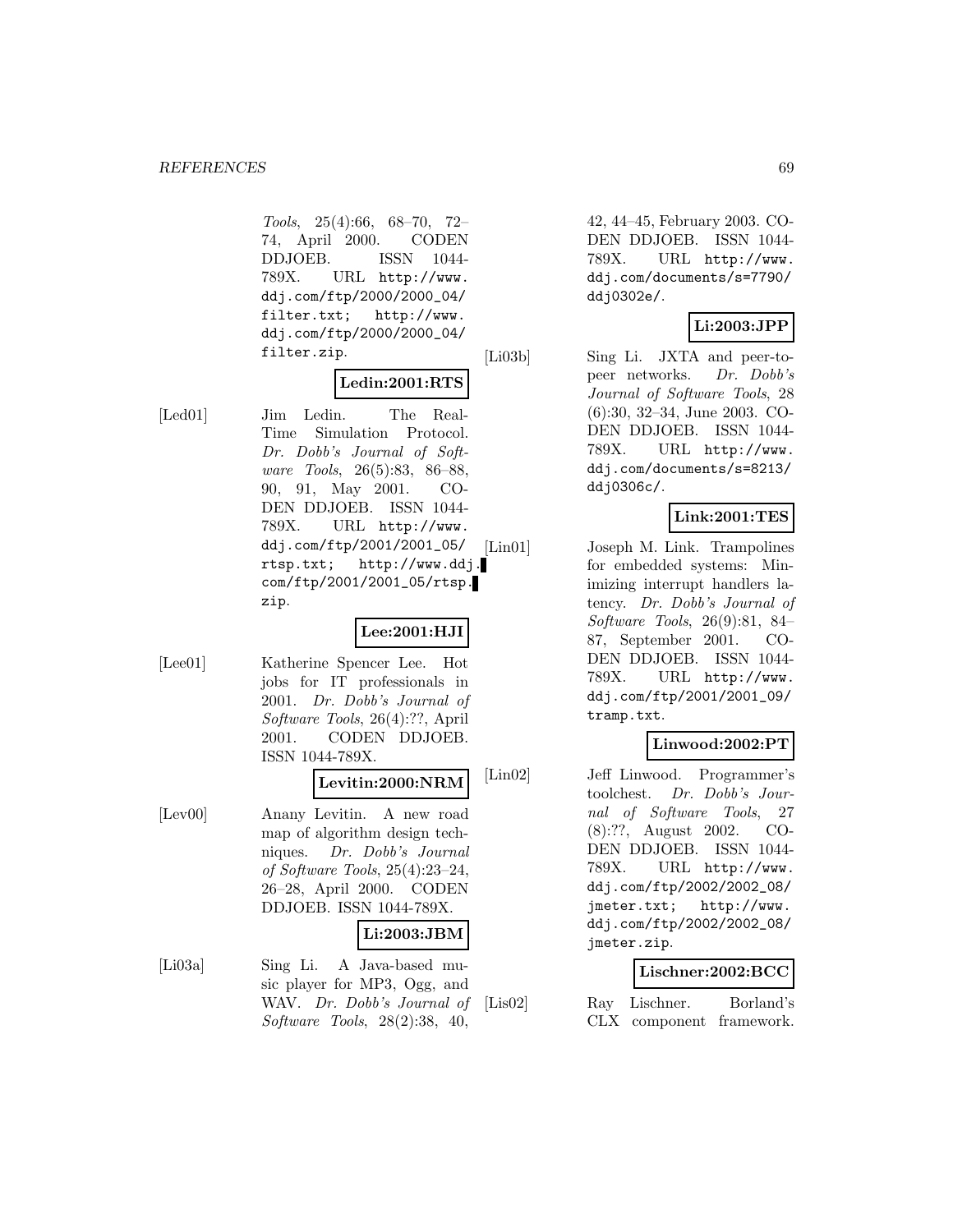Tools, 25(4):66, 68–70, 72– 74, April 2000. CODEN DDJOEB. ISSN 1044- 789X. URL http://www. ddj.com/ftp/2000/2000\_04/ filter.txt; http://www. ddj.com/ftp/2000/2000\_04/ filter.zip.

# **Ledin:2001:RTS**

[Led01] Jim Ledin. The Real-Time Simulation Protocol. Dr. Dobb's Journal of Software Tools, 26(5):83, 86–88, 90, 91, May 2001. CO-DEN DDJOEB. ISSN 1044- 789X. URL http://www. ddj.com/ftp/2001/2001\_05/ rtsp.txt; http://www.ddj. com/ftp/2001/2001\_05/rtsp. zip.

# **Lee:2001:HJI**

[Lee01] Katherine Spencer Lee. Hot jobs for IT professionals in 2001. Dr. Dobb's Journal of Software Tools, 26(4):??, April 2001. CODEN DDJOEB. ISSN 1044-789X.

#### **Levitin:2000:NRM**

[Lev00] Anany Levitin. A new road map of algorithm design techniques. Dr. Dobb's Journal of Software Tools, 25(4):23–24, 26–28, April 2000. CODEN DDJOEB. ISSN 1044-789X.

# **Li:2003:JBM**

[Li03a] Sing Li. A Java-based music player for MP3, Ogg, and WAV. Dr. Dobb's Journal of Software Tools, 28(2):38, 40,

42, 44–45, February 2003. CO-DEN DDJOEB. ISSN 1044- 789X. URL http://www. ddj.com/documents/s=7790/ ddj0302e/.

# **Li:2003:JPP**

[Li03b] Sing Li. JXTA and peer-topeer networks. Dr. Dobb's Journal of Software Tools, 28 (6):30, 32–34, June 2003. CO-DEN DDJOEB. ISSN 1044- 789X. URL http://www. ddj.com/documents/s=8213/ ddj0306c/.

# **Link:2001:TES**

[Lin01] Joseph M. Link. Trampolines for embedded systems: Minimizing interrupt handlers latency. Dr. Dobb's Journal of Software Tools, 26(9):81, 84– 87, September 2001. CO-DEN DDJOEB. ISSN 1044- 789X. URL http://www. ddj.com/ftp/2001/2001\_09/ tramp.txt.

# **Linwood:2002:PT**

[Lin02] Jeff Linwood. Programmer's toolchest. Dr. Dobb's Journal of Software Tools, 27 (8):??, August 2002. CO-DEN DDJOEB. ISSN 1044- 789X. URL http://www. ddj.com/ftp/2002/2002\_08/ jmeter.txt; http://www. ddj.com/ftp/2002/2002\_08/ jmeter.zip.

#### **Lischner:2002:BCC**

[Lis02] Ray Lischner. Borland's CLX component framework.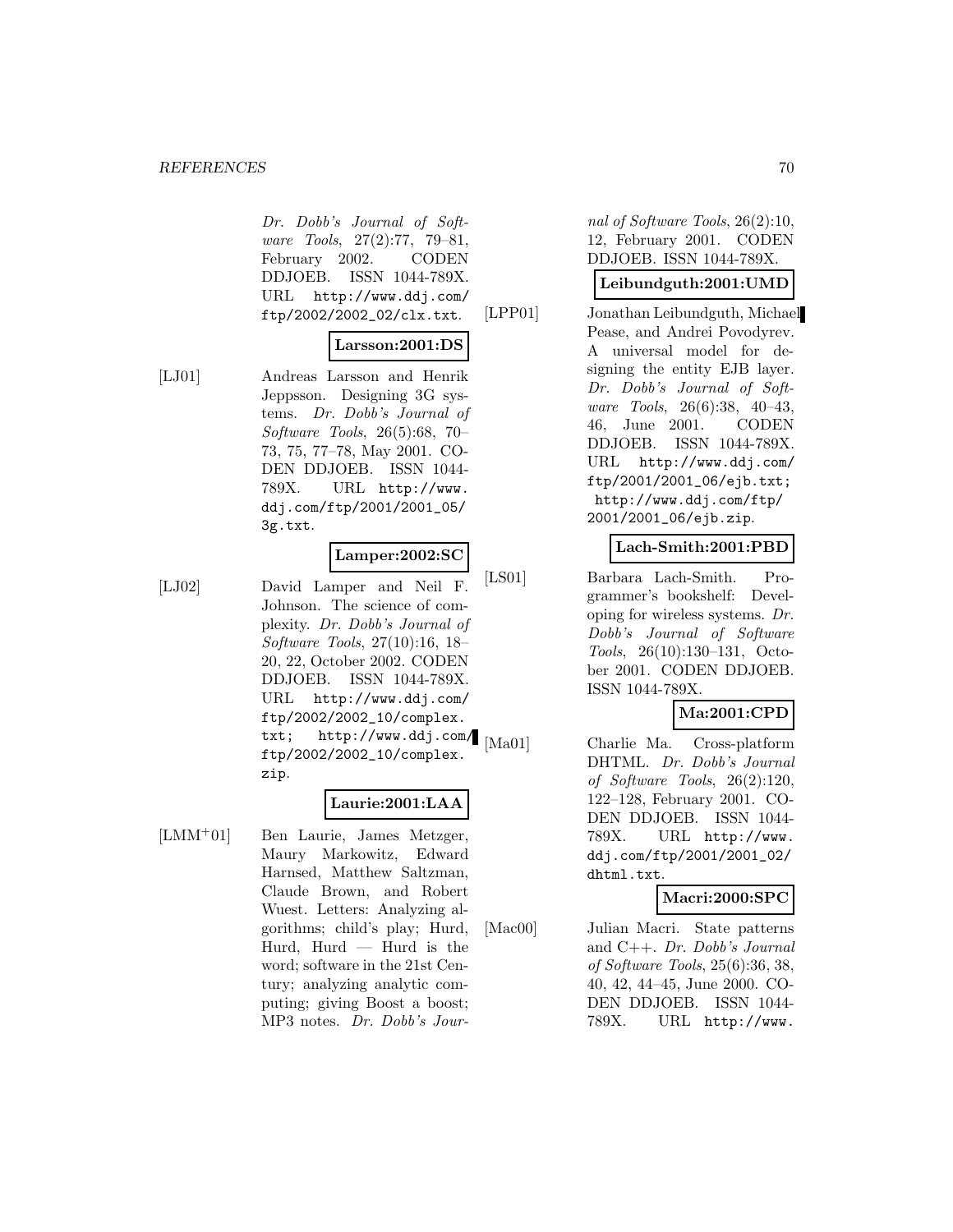#### **REFERENCES** 70

Dr. Dobb's Journal of Software Tools, 27(2):77, 79–81, February 2002. CODEN DDJOEB. ISSN 1044-789X. URL http://www.ddj.com/ ftp/2002/2002\_02/clx.txt.

# **Larsson:2001:DS**

[LJ01] Andreas Larsson and Henrik Jeppsson. Designing 3G systems. Dr. Dobb's Journal of Software Tools, 26(5):68, 70– 73, 75, 77–78, May 2001. CO-DEN DDJOEB. ISSN 1044- 789X. URL http://www. ddj.com/ftp/2001/2001\_05/ 3g.txt.

# **Lamper:2002:SC**

[LJ02] David Lamper and Neil F. Johnson. The science of complexity. Dr. Dobb's Journal of Software Tools, 27(10):16, 18– 20, 22, October 2002. CODEN DDJOEB. ISSN 1044-789X. URL http://www.ddj.com/ ftp/2002/2002\_10/complex. txt; http://www.ddj.com/ ftp/2002/2002\_10/complex. zip.

#### **Laurie:2001:LAA**

[LMM<sup>+</sup>01] Ben Laurie, James Metzger, Maury Markowitz, Edward Harnsed, Matthew Saltzman, Claude Brown, and Robert Wuest. Letters: Analyzing algorithms; child's play; Hurd, Hurd, Hurd  $-$  Hurd is the word; software in the 21st Century; analyzing analytic computing; giving Boost a boost; MP3 notes. Dr. Dobb's Journal of Software Tools, 26(2):10, 12, February 2001. CODEN DDJOEB. ISSN 1044-789X.

#### **Leibundguth:2001:UMD**

[LPP01] Jonathan Leibundguth, Michael Pease, and Andrei Povodyrev. A universal model for designing the entity EJB layer. Dr. Dobb's Journal of Software Tools, 26(6):38, 40–43, 46, June 2001. CODEN DDJOEB. ISSN 1044-789X. URL http://www.ddj.com/ ftp/2001/2001\_06/ejb.txt; http://www.ddj.com/ftp/ 2001/2001\_06/ejb.zip.

## **Lach-Smith:2001:PBD**

[LS01] Barbara Lach-Smith. Programmer's bookshelf: Developing for wireless systems. Dr. Dobb's Journal of Software Tools, 26(10):130–131, October 2001. CODEN DDJOEB. ISSN 1044-789X.

# **Ma:2001:CPD**

[Ma01] Charlie Ma. Cross-platform DHTML. Dr. Dobb's Journal of Software Tools, 26(2):120, 122–128, February 2001. CO-DEN DDJOEB. ISSN 1044- 789X. URL http://www. ddj.com/ftp/2001/2001\_02/ dhtml.txt.

# **Macri:2000:SPC**

[Mac00] Julian Macri. State patterns and C++. Dr. Dobb's Journal of Software Tools, 25(6):36, 38, 40, 42, 44–45, June 2000. CO-DEN DDJOEB. ISSN 1044- 789X. URL http://www.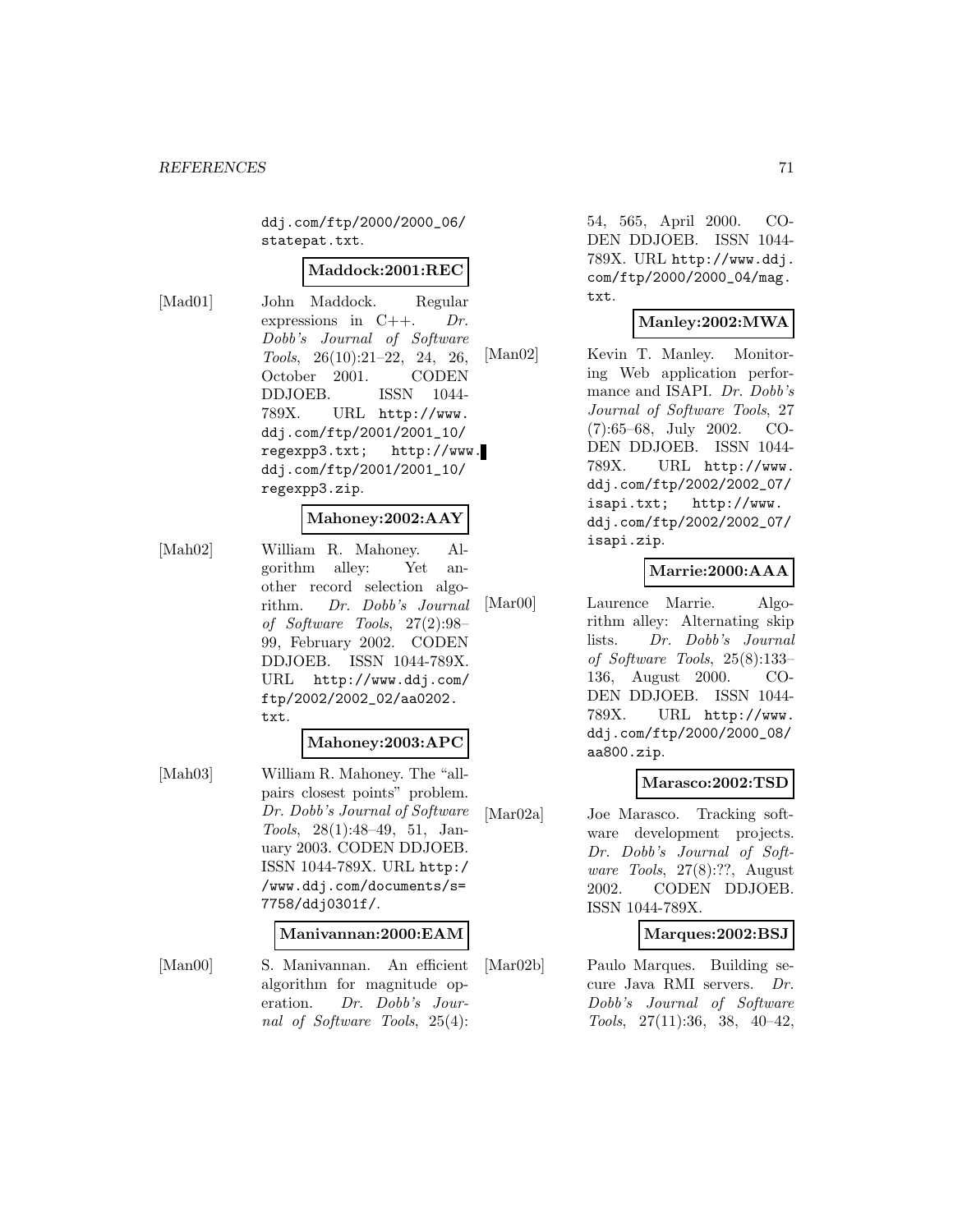ddj.com/ftp/2000/2000\_06/ statepat.txt.

#### **Maddock:2001:REC**

[Mad01] John Maddock. Regular expressions in  $C_{++}$ . Dr. Dobb's Journal of Software Tools, 26(10):21–22, 24, 26, October 2001. CODEN DDJOEB. ISSN 1044- 789X. URL http://www. ddj.com/ftp/2001/2001\_10/ regexpp3.txt; http://www. ddj.com/ftp/2001/2001\_10/ regexpp3.zip.

## **Mahoney:2002:AAY**

[Mah02] William R. Mahoney. Algorithm alley: Yet another record selection algorithm. Dr. Dobb's Journal of Software Tools, 27(2):98– 99, February 2002. CODEN DDJOEB. ISSN 1044-789X. URL http://www.ddj.com/ ftp/2002/2002\_02/aa0202. txt.

#### **Mahoney:2003:APC**

[Mah03] William R. Mahoney. The "allpairs closest points" problem. Dr. Dobb's Journal of Software Tools, 28(1):48–49, 51, January 2003. CODEN DDJOEB. ISSN 1044-789X. URL http:/ /www.ddj.com/documents/s= 7758/ddj0301f/.

#### **Manivannan:2000:EAM**

[Man00] S. Manivannan. An efficient algorithm for magnitude operation. Dr. Dobb's Journal of Software Tools, 25(4):

54, 565, April 2000. CO-DEN DDJOEB. ISSN 1044- 789X. URL http://www.ddj. com/ftp/2000/2000\_04/mag. txt.

## **Manley:2002:MWA**

[Man02] Kevin T. Manley. Monitoring Web application performance and ISAPI. Dr. Dobb's Journal of Software Tools, 27 (7):65–68, July 2002. CO-DEN DDJOEB. ISSN 1044- 789X. URL http://www. ddj.com/ftp/2002/2002\_07/ isapi.txt; http://www. ddj.com/ftp/2002/2002\_07/ isapi.zip.

# **Marrie:2000:AAA**

[Mar00] Laurence Marrie. Algorithm alley: Alternating skip lists. Dr. Dobb's Journal of Software Tools, 25(8):133– 136, August 2000. CO-DEN DDJOEB. ISSN 1044- 789X. URL http://www. ddj.com/ftp/2000/2000\_08/ aa800.zip.

# **Marasco:2002:TSD**

[Mar02a] Joe Marasco. Tracking software development projects. Dr. Dobb's Journal of Software Tools, 27(8):??, August 2002. CODEN DDJOEB. ISSN 1044-789X.

# **Marques:2002:BSJ**

[Mar02b] Paulo Marques. Building secure Java RMI servers. Dr. Dobb's Journal of Software Tools, 27(11):36, 38, 40–42,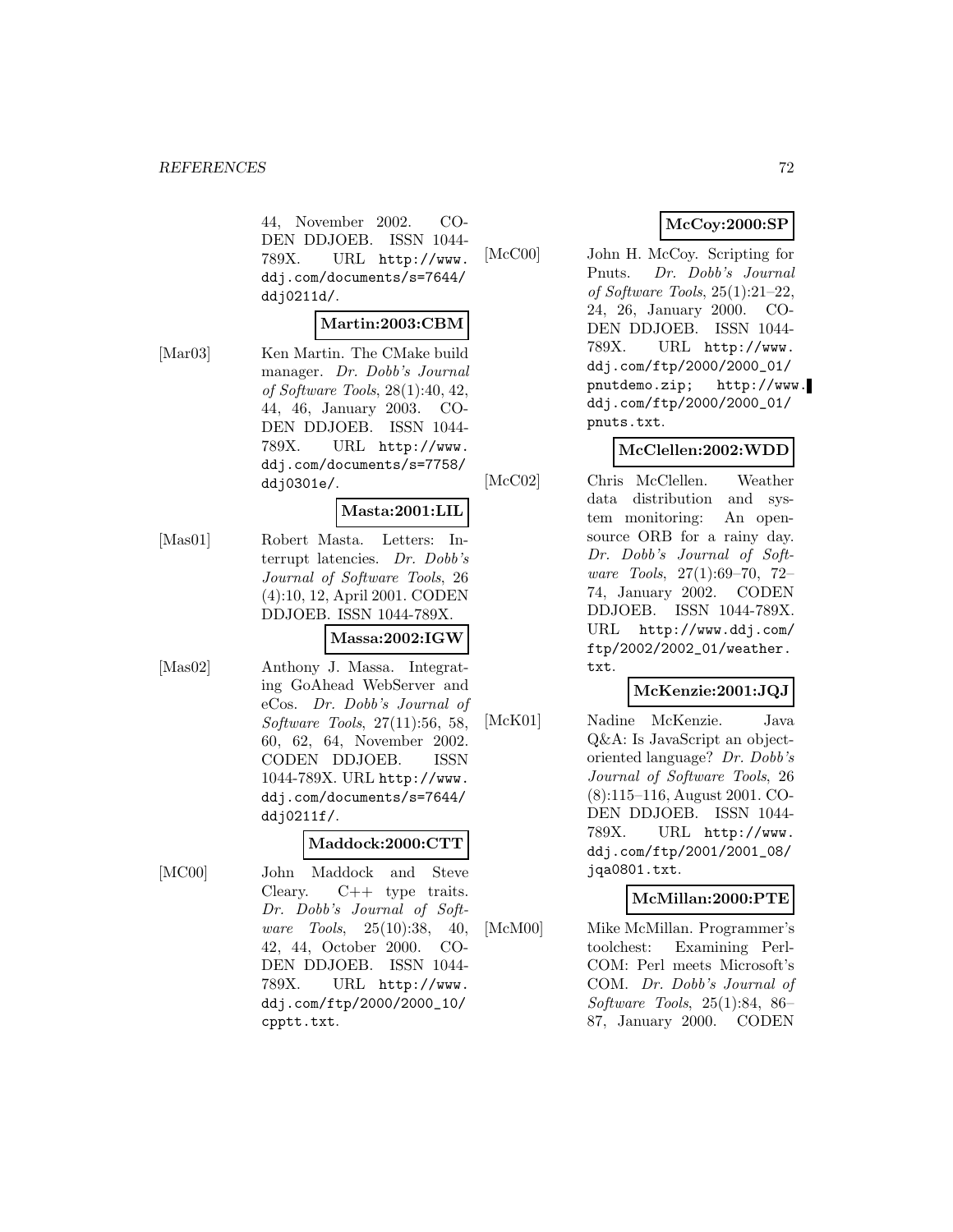44, November 2002. CO-DEN DDJOEB. ISSN 1044- 789X. URL http://www. ddj.com/documents/s=7644/ ddj0211d/.

#### **Martin:2003:CBM**

[Mar03] Ken Martin. The CMake build manager. Dr. Dobb's Journal of Software Tools, 28(1):40, 42, 44, 46, January 2003. CO-DEN DDJOEB. ISSN 1044- 789X. URL http://www. ddj.com/documents/s=7758/ ddj0301e/.

#### **Masta:2001:LIL**

[Mas01] Robert Masta. Letters: Interrupt latencies. Dr. Dobb's Journal of Software Tools, 26 (4):10, 12, April 2001. CODEN DDJOEB. ISSN 1044-789X.

#### **Massa:2002:IGW**

[Mas02] Anthony J. Massa. Integrating GoAhead WebServer and eCos. Dr. Dobb's Journal of Software Tools, 27(11):56, 58, 60, 62, 64, November 2002. CODEN DDJOEB. ISSN 1044-789X. URL http://www. ddj.com/documents/s=7644/ ddj0211f/.

#### **Maddock:2000:CTT**

[MC00] John Maddock and Steve Cleary.  $C++$  type traits. Dr. Dobb's Journal of Software Tools, 25(10):38, 40, 42, 44, October 2000. CO-DEN DDJOEB. ISSN 1044- 789X. URL http://www. ddj.com/ftp/2000/2000\_10/ cpptt.txt.

# **McCoy:2000:SP**

[McC00] John H. McCoy. Scripting for Pnuts. Dr. Dobb's Journal of Software Tools, 25(1):21–22, 24, 26, January 2000. CO-DEN DDJOEB. ISSN 1044- 789X. URL http://www. ddj.com/ftp/2000/2000\_01/ pnutdemo.zip; http://www. ddj.com/ftp/2000/2000\_01/ pnuts.txt.

# **McClellen:2002:WDD**

[McC02] Chris McClellen. Weather data distribution and system monitoring: An opensource ORB for a rainy day. Dr. Dobb's Journal of Software Tools, 27(1):69–70, 72– 74, January 2002. CODEN DDJOEB. ISSN 1044-789X. URL http://www.ddj.com/ ftp/2002/2002\_01/weather. txt.

# **McKenzie:2001:JQJ**

[McK01] Nadine McKenzie. Java Q&A: Is JavaScript an objectoriented language? Dr. Dobb's Journal of Software Tools, 26 (8):115–116, August 2001. CO-DEN DDJOEB. ISSN 1044- 789X. URL http://www. ddj.com/ftp/2001/2001\_08/ jqa0801.txt.

# **McMillan:2000:PTE**

[McM00] Mike McMillan. Programmer's toolchest: Examining Perl-COM: Perl meets Microsoft's COM. Dr. Dobb's Journal of Software Tools, 25(1):84, 86– 87, January 2000. CODEN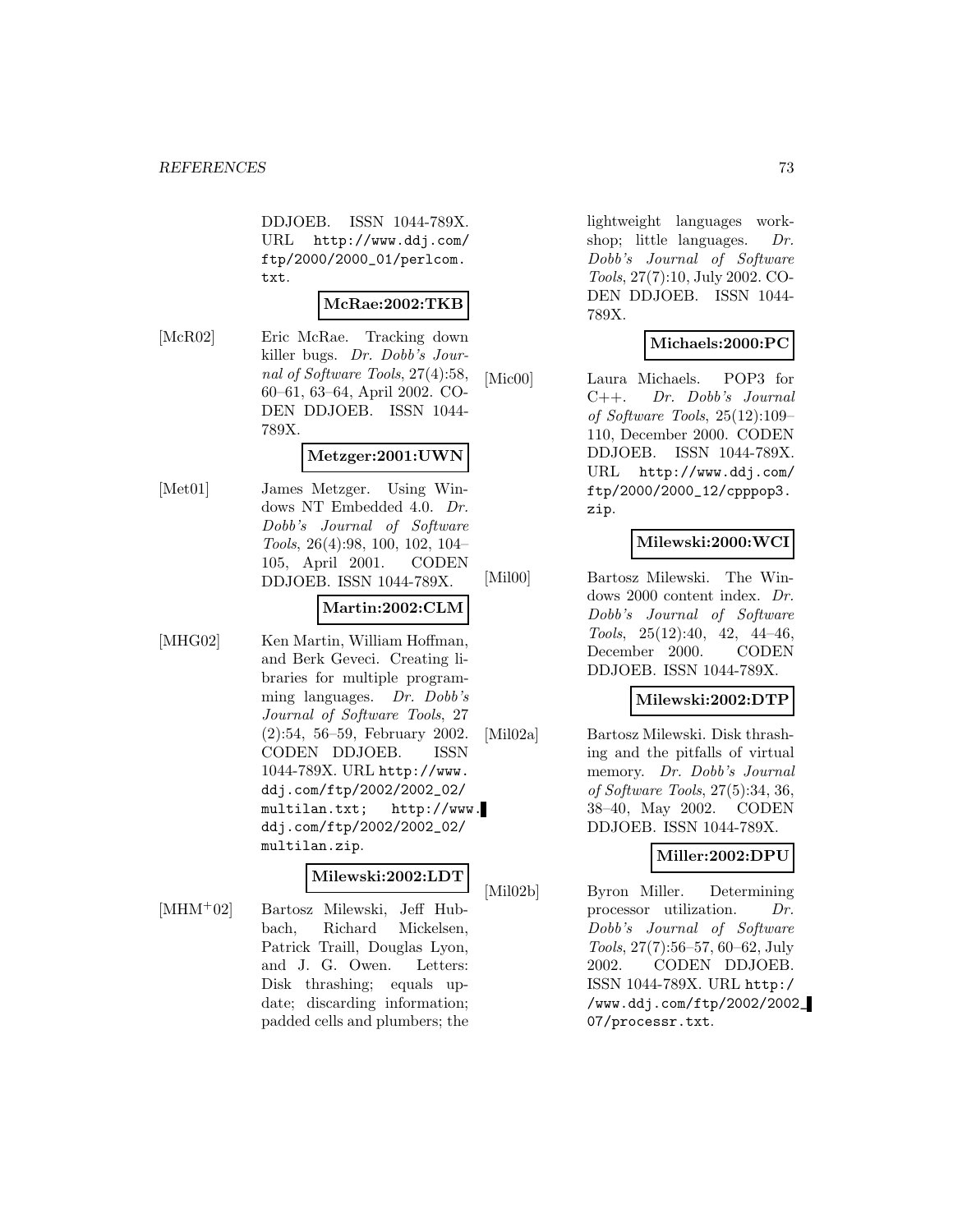DDJOEB. ISSN 1044-789X. URL http://www.ddj.com/ ftp/2000/2000\_01/perlcom. txt.

### **McRae:2002:TKB**

[McR02] Eric McRae. Tracking down killer bugs. Dr. Dobb's Journal of Software Tools, 27(4):58, 60–61, 63–64, April 2002. CO-DEN DDJOEB. ISSN 1044- 789X.

## **Metzger:2001:UWN**

[Met01] James Metzger. Using Windows NT Embedded 4.0. Dr. Dobb's Journal of Software Tools, 26(4):98, 100, 102, 104– 105, April 2001. CODEN DDJOEB. ISSN 1044-789X.

## **Martin:2002:CLM**

[MHG02] Ken Martin, William Hoffman, and Berk Geveci. Creating libraries for multiple programming languages. Dr. Dobb's Journal of Software Tools, 27 (2):54, 56–59, February 2002. CODEN DDJOEB. ISSN 1044-789X. URL http://www. ddj.com/ftp/2002/2002\_02/ multilan.txt; http://www. ddj.com/ftp/2002/2002\_02/ multilan.zip.

## **Milewski:2002:LDT**

[MHM<sup>+</sup>02] Bartosz Milewski, Jeff Hubbach, Richard Mickelsen, Patrick Traill, Douglas Lyon, and J. G. Owen. Letters: Disk thrashing; equals update; discarding information; padded cells and plumbers; the

lightweight languages workshop; little languages. Dr. Dobb's Journal of Software Tools, 27(7):10, July 2002. CO-DEN DDJOEB. ISSN 1044- 789X.

# **Michaels:2000:PC**

[Mic00] Laura Michaels. POP3 for C++. Dr. Dobb's Journal of Software Tools, 25(12):109– 110, December 2000. CODEN DDJOEB. ISSN 1044-789X. URL http://www.ddj.com/ ftp/2000/2000\_12/cpppop3. zip.

# **Milewski:2000:WCI**

[Mil00] Bartosz Milewski. The Windows 2000 content index. Dr. Dobb's Journal of Software Tools, 25(12):40, 42, 44–46, December 2000. CODEN DDJOEB. ISSN 1044-789X.

## **Milewski:2002:DTP**

[Mil02a] Bartosz Milewski. Disk thrashing and the pitfalls of virtual memory. Dr. Dobb's Journal of Software Tools, 27(5):34, 36, 38–40, May 2002. CODEN DDJOEB. ISSN 1044-789X.

# **Miller:2002:DPU**

[Mil02b] Byron Miller. Determining processor utilization. Dr. Dobb's Journal of Software Tools, 27(7):56–57, 60–62, July 2002. CODEN DDJOEB. ISSN 1044-789X. URL http:/ /www.ddj.com/ftp/2002/2002\_ 07/processr.txt.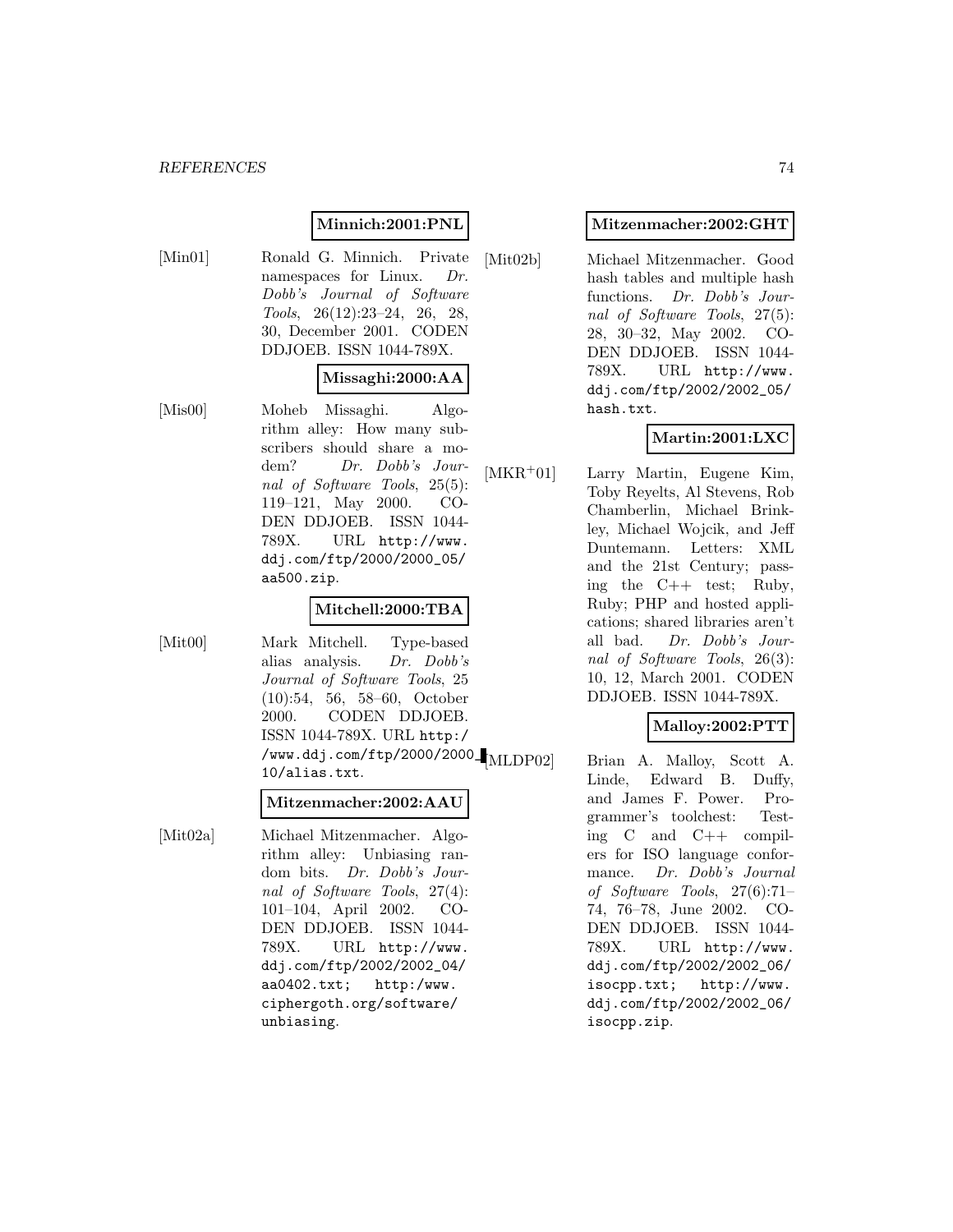## **Minnich:2001:PNL**

[Min01] Ronald G. Minnich. Private namespaces for Linux. Dr. Dobb's Journal of Software Tools, 26(12):23–24, 26, 28, 30, December 2001. CODEN DDJOEB. ISSN 1044-789X.

## **Missaghi:2000:AA**

[Mis00] Moheb Missaghi. Algorithm alley: How many subscribers should share a modem? Dr. Dobb's Journal of Software Tools, 25(5): 119–121, May 2000. CO-DEN DDJOEB. ISSN 1044- 789X. URL http://www. ddj.com/ftp/2000/2000\_05/ aa500.zip.

## **Mitchell:2000:TBA**

[Mit00] Mark Mitchell. Type-based alias analysis. Dr. Dobb's Journal of Software Tools, 25 (10):54, 56, 58–60, October 2000. CODEN DDJOEB. ISSN 1044-789X. URL http:/ /www.ddj.com/ftp/2000/2000\_ 10/alias.txt.

### **Mitzenmacher:2002:AAU**

[Mit02a] Michael Mitzenmacher. Algorithm alley: Unbiasing random bits. Dr. Dobb's Journal of Software Tools, 27(4): 101–104, April 2002. CO-DEN DDJOEB. ISSN 1044- 789X. URL http://www. ddj.com/ftp/2002/2002\_04/ aa0402.txt; http:/www. ciphergoth.org/software/ unbiasing.

## **Mitzenmacher:2002:GHT**

[Mit02b] Michael Mitzenmacher. Good hash tables and multiple hash functions. Dr. Dobb's Journal of Software Tools, 27(5): 28, 30–32, May 2002. CO-DEN DDJOEB. ISSN 1044- 789X. URL http://www. ddj.com/ftp/2002/2002\_05/ hash.txt.

# **Martin:2001:LXC**

[MKR<sup>+</sup>01] Larry Martin, Eugene Kim, Toby Reyelts, Al Stevens, Rob Chamberlin, Michael Brinkley, Michael Wojcik, and Jeff Duntemann. Letters: XML and the 21st Century; passing the C++ test; Ruby, Ruby; PHP and hosted applications; shared libraries aren't all bad. Dr. Dobb's Journal of Software Tools, 26(3): 10, 12, March 2001. CODEN DDJOEB. ISSN 1044-789X.

## **Malloy:2002:PTT**

Brian A. Malloy, Scott A. Linde, Edward B. Duffy, and James F. Power. Programmer's toolchest: Testing C and C++ compilers for ISO language conformance. Dr. Dobb's Journal of Software Tools, 27(6):71– 74, 76–78, June 2002. CO-DEN DDJOEB. ISSN 1044- 789X. URL http://www. ddj.com/ftp/2002/2002\_06/ isocpp.txt; http://www. ddj.com/ftp/2002/2002\_06/ isocpp.zip.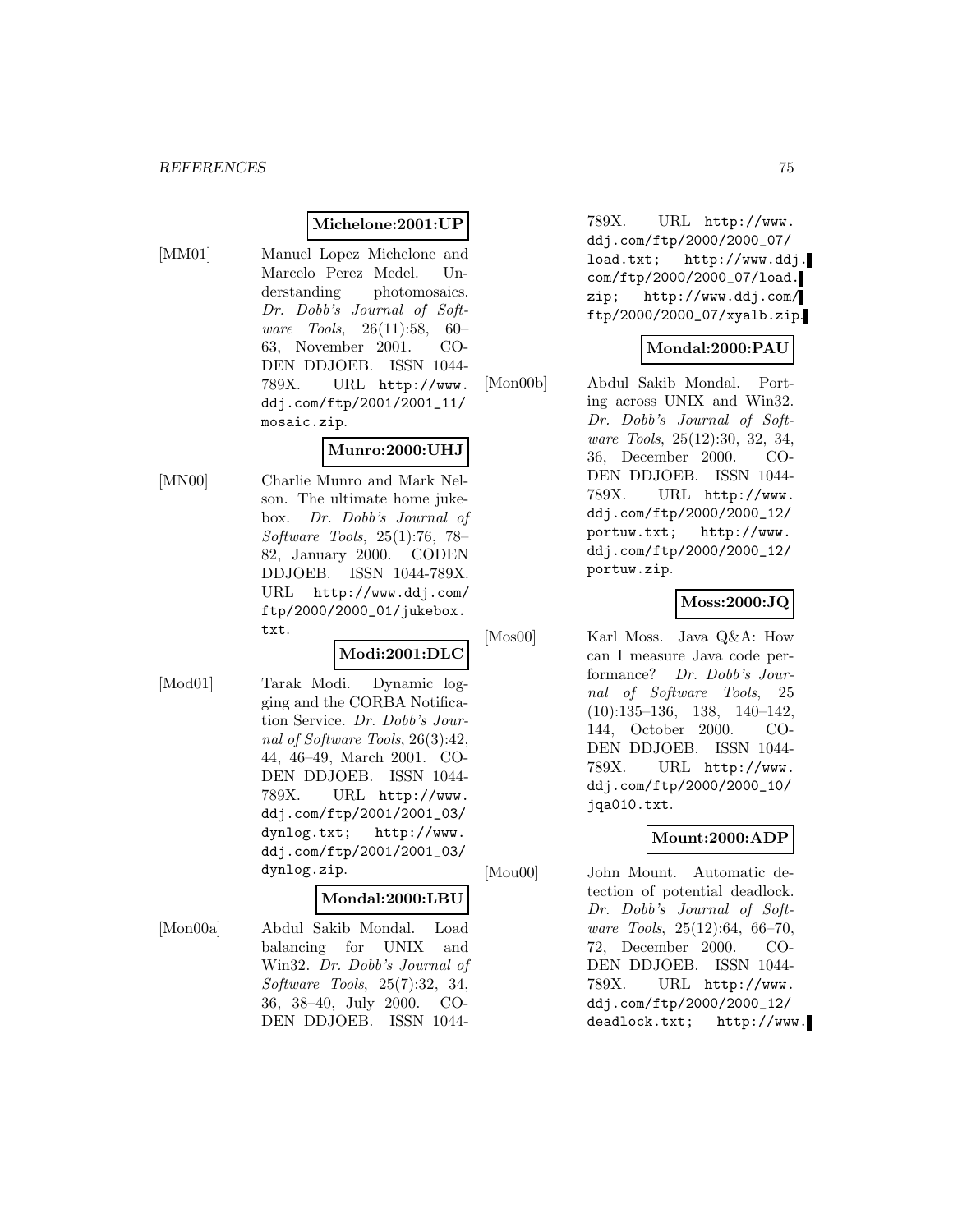## **Michelone:2001:UP**

- 
- [MM01] Manuel Lopez Michelone and Marcelo Perez Medel. Understanding photomosaics. Dr. Dobb's Journal of Software Tools, 26(11):58, 60– 63, November 2001. CO-DEN DDJOEB. ISSN 1044- 789X. URL http://www. ddj.com/ftp/2001/2001\_11/ mosaic.zip.

# **Munro:2000:UHJ**

[MN00] Charlie Munro and Mark Nelson. The ultimate home jukebox. Dr. Dobb's Journal of Software Tools, 25(1):76, 78– 82, January 2000. CODEN DDJOEB. ISSN 1044-789X. URL http://www.ddj.com/ ftp/2000/2000\_01/jukebox. txt.

## **Modi:2001:DLC**

[Mod01] Tarak Modi. Dynamic logging and the CORBA Notification Service. Dr. Dobb's Journal of Software Tools, 26(3):42, 44, 46–49, March 2001. CO-DEN DDJOEB. ISSN 1044- 789X. URL http://www. ddj.com/ftp/2001/2001\_03/ dynlog.txt; http://www. ddj.com/ftp/2001/2001\_03/ dynlog.zip.

### **Mondal:2000:LBU**

[Mon00a] Abdul Sakib Mondal. Load balancing for UNIX and Win32. Dr. Dobb's Journal of Software Tools, 25(7):32, 34, 36, 38–40, July 2000. CO-DEN DDJOEB. ISSN 1044-

789X. URL http://www. ddj.com/ftp/2000/2000\_07/ load.txt; http://www.ddj. com/ftp/2000/2000\_07/load. zip; http://www.ddj.com/ ftp/2000/2000\_07/xyalb.zip.

## **Mondal:2000:PAU**

[Mon00b] Abdul Sakib Mondal. Porting across UNIX and Win32. Dr. Dobb's Journal of Software Tools, 25(12):30, 32, 34, 36, December 2000. CO-DEN DDJOEB. ISSN 1044- 789X. URL http://www. ddj.com/ftp/2000/2000\_12/ portuw.txt; http://www. ddj.com/ftp/2000/2000\_12/ portuw.zip.

## **Moss:2000:JQ**

[Mos00] Karl Moss. Java Q&A: How can I measure Java code performance? Dr. Dobb's Journal of Software Tools, 25 (10):135–136, 138, 140–142, 144, October 2000. CO-DEN DDJOEB. ISSN 1044- 789X. URL http://www. ddj.com/ftp/2000/2000\_10/ jqa010.txt.

## **Mount:2000:ADP**

[Mou00] John Mount. Automatic detection of potential deadlock. Dr. Dobb's Journal of Software Tools, 25(12):64, 66–70, 72, December 2000. CO-DEN DDJOEB. ISSN 1044- 789X. URL http://www. ddj.com/ftp/2000/2000\_12/ deadlock.txt; http://www.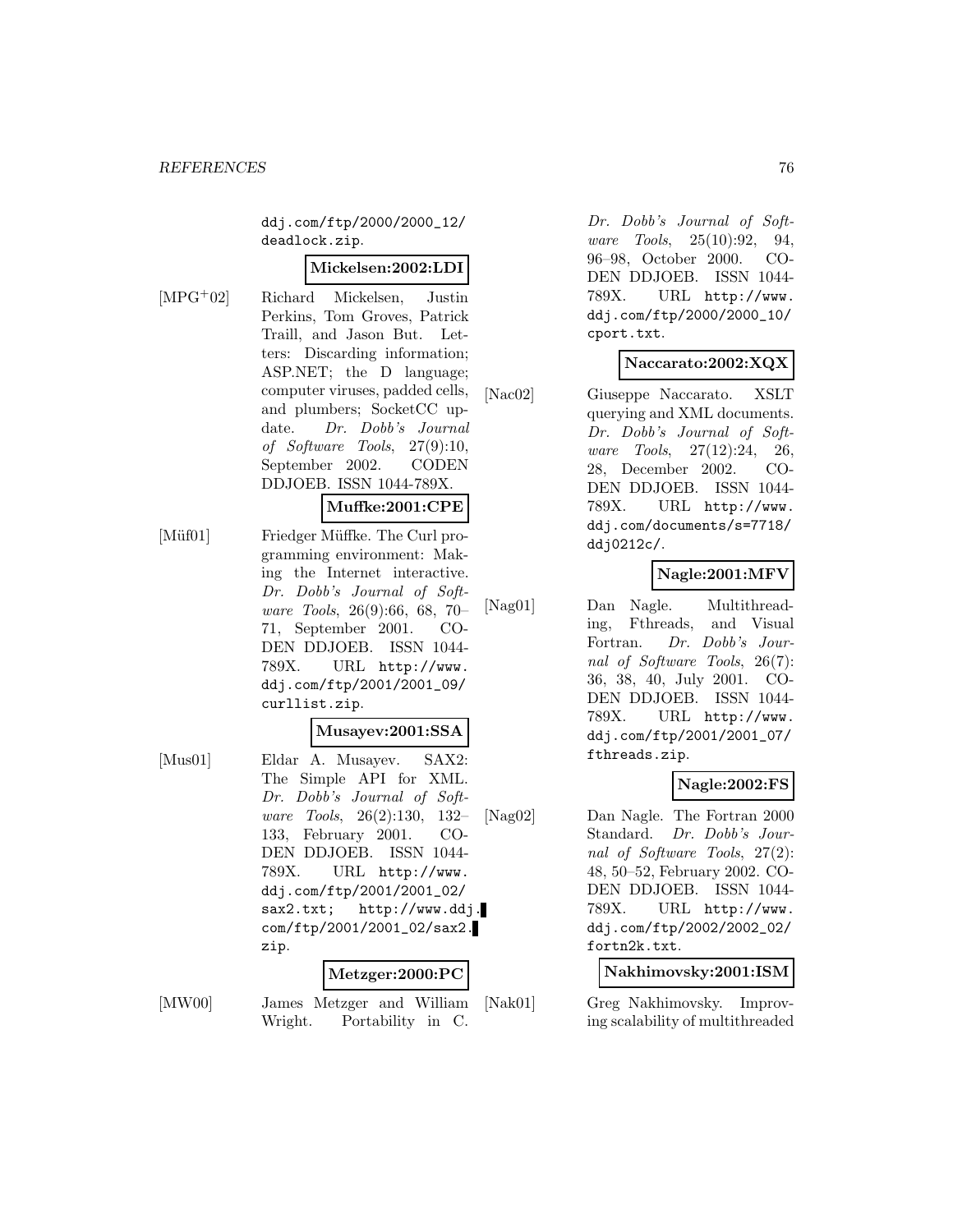ddj.com/ftp/2000/2000\_12/ deadlock.zip.

### **Mickelsen:2002:LDI**

[MPG<sup>+</sup>02] Richard Mickelsen, Justin Perkins, Tom Groves, Patrick Traill, and Jason But. Letters: Discarding information; ASP.NET; the D language; computer viruses, padded cells, and plumbers; SocketCC update. Dr. Dobb's Journal of Software Tools, 27(9):10, September 2002. CODEN DDJOEB. ISSN 1044-789X.

## **Muffke:2001:CPE**

[Müf01] Friedger Müffke. The Curl programming environment: Making the Internet interactive. Dr. Dobb's Journal of Software Tools, 26(9):66, 68, 70– 71, September 2001. CO-DEN DDJOEB. ISSN 1044- 789X. URL http://www. ddj.com/ftp/2001/2001\_09/ curllist.zip.

#### **Musayev:2001:SSA**

[Mus01] Eldar A. Musayev. SAX2: The Simple API for XML. Dr. Dobb's Journal of Software Tools, 26(2):130, 132– 133, February 2001. CO-DEN DDJOEB. ISSN 1044- 789X. URL http://www. ddj.com/ftp/2001/2001\_02/ sax2.txt; http://www.ddj. com/ftp/2001/2001\_02/sax2. zip.

### **Metzger:2000:PC**

[MW00] James Metzger and William Wright. Portability in C.

Dr. Dobb's Journal of Software Tools, 25(10):92, 94, 96–98, October 2000. CO-DEN DDJOEB. ISSN 1044- 789X. URL http://www. ddj.com/ftp/2000/2000\_10/ cport.txt.

## **Naccarato:2002:XQX**

[Nac02] Giuseppe Naccarato. XSLT querying and XML documents. Dr. Dobb's Journal of Software Tools, 27(12):24, 26, 28, December 2002. CO-DEN DDJOEB. ISSN 1044- 789X. URL http://www. ddj.com/documents/s=7718/ ddj0212c/.

## **Nagle:2001:MFV**

[Nag01] Dan Nagle. Multithreading, Fthreads, and Visual Fortran. Dr. Dobb's Journal of Software Tools, 26(7): 36, 38, 40, July 2001. CO-DEN DDJOEB. ISSN 1044- 789X. URL http://www. ddj.com/ftp/2001/2001\_07/ fthreads.zip.

## **Nagle:2002:FS**

[Nag02] Dan Nagle. The Fortran 2000 Standard. Dr. Dobb's Journal of Software Tools, 27(2): 48, 50–52, February 2002. CO-DEN DDJOEB. ISSN 1044- 789X. URL http://www. ddj.com/ftp/2002/2002\_02/ fortn2k.txt.

## **Nakhimovsky:2001:ISM**

[Nak01] Greg Nakhimovsky. Improving scalability of multithreaded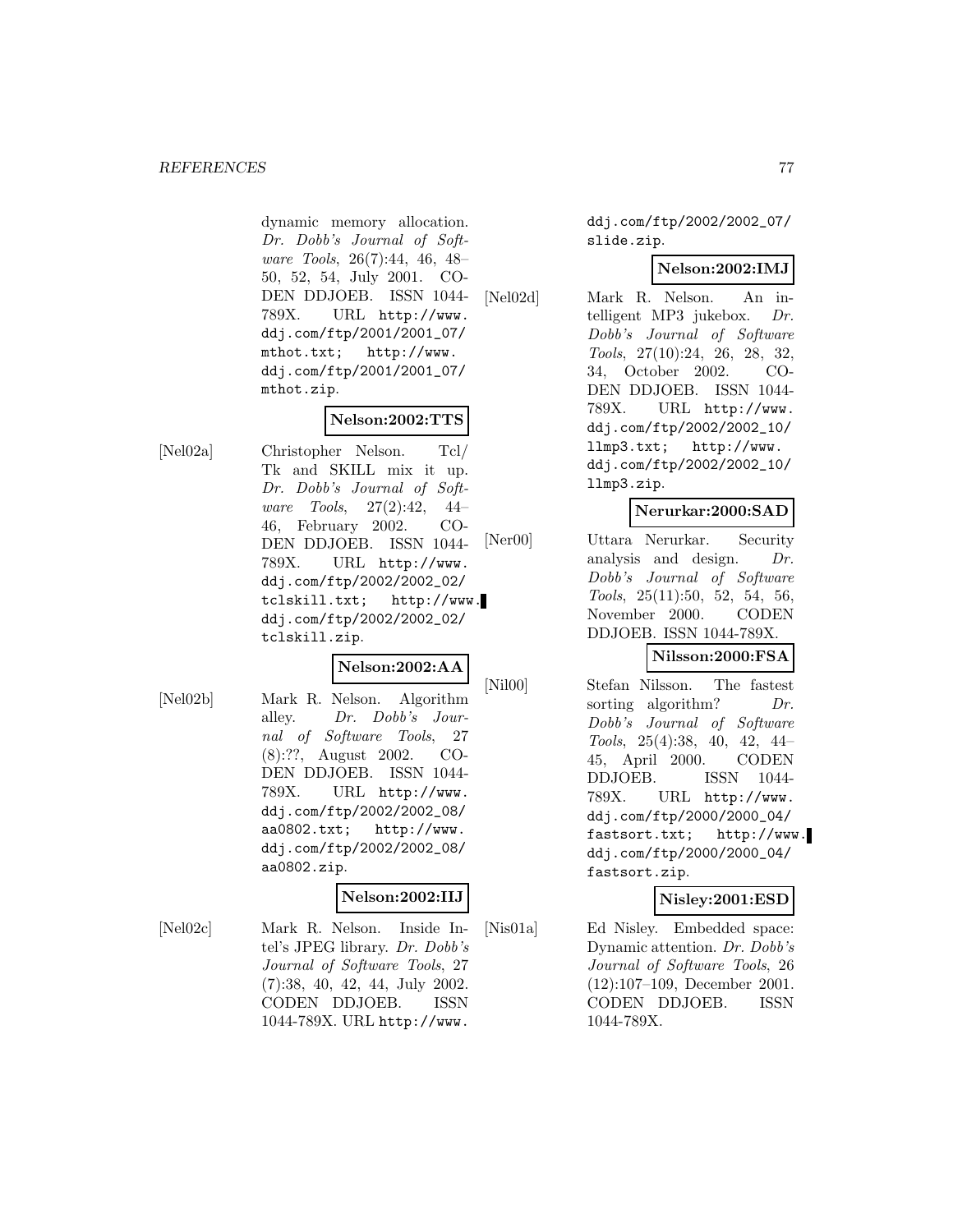#### *REFERENCES* 77

dynamic memory allocation. Dr. Dobb's Journal of Software Tools, 26(7):44, 46, 48– 50, 52, 54, July 2001. CO-DEN DDJOEB. ISSN 1044- 789X. URL http://www. ddj.com/ftp/2001/2001\_07/ mthot.txt; http://www. ddj.com/ftp/2001/2001\_07/ mthot.zip.

## **Nelson:2002:TTS**

[Nel02a] Christopher Nelson. Tcl/ Tk and SKILL mix it up. Dr. Dobb's Journal of Software Tools, 27(2):42, 44– 46, February 2002. CO-DEN DDJOEB. ISSN 1044- 789X. URL http://www. ddj.com/ftp/2002/2002\_02/ tclskill.txt; http://www. ddj.com/ftp/2002/2002\_02/ tclskill.zip.

## **Nelson:2002:AA**

[Nel02b] Mark R. Nelson. Algorithm alley. Dr. Dobb's Journal of Software Tools, 27 (8):??, August 2002. CO-DEN DDJOEB. ISSN 1044- 789X. URL http://www. ddj.com/ftp/2002/2002\_08/ aa0802.txt; http://www. ddj.com/ftp/2002/2002\_08/ aa0802.zip.

## **Nelson:2002:IIJ**

[Nel02c] Mark R. Nelson. Inside Intel's JPEG library. Dr. Dobb's Journal of Software Tools, 27 (7):38, 40, 42, 44, July 2002. CODEN DDJOEB. ISSN 1044-789X. URL http://www.

ddj.com/ftp/2002/2002\_07/ slide.zip.

## **Nelson:2002:IMJ**

[Nel02d] Mark R. Nelson. An intelligent MP3 jukebox. Dr. Dobb's Journal of Software Tools, 27(10):24, 26, 28, 32, 34, October 2002. CO-DEN DDJOEB. ISSN 1044- 789X. URL http://www. ddj.com/ftp/2002/2002\_10/ llmp3.txt; http://www. ddj.com/ftp/2002/2002\_10/ llmp3.zip.

## **Nerurkar:2000:SAD**

[Ner00] Uttara Nerurkar. Security analysis and design. Dr. Dobb's Journal of Software Tools, 25(11):50, 52, 54, 56, November 2000. CODEN DDJOEB. ISSN 1044-789X.

# **Nilsson:2000:FSA**

[Nil00] Stefan Nilsson. The fastest sorting algorithm?  $Dr.$ Dobb's Journal of Software Tools, 25(4):38, 40, 42, 44– 45, April 2000. CODEN DDJOEB. ISSN 1044- 789X. URL http://www. ddj.com/ftp/2000/2000\_04/ fastsort.txt; http://www. ddj.com/ftp/2000/2000\_04/ fastsort.zip.

### **Nisley:2001:ESD**

[Nis01a] Ed Nisley. Embedded space: Dynamic attention. Dr. Dobb's Journal of Software Tools, 26 (12):107–109, December 2001. CODEN DDJOEB. ISSN 1044-789X.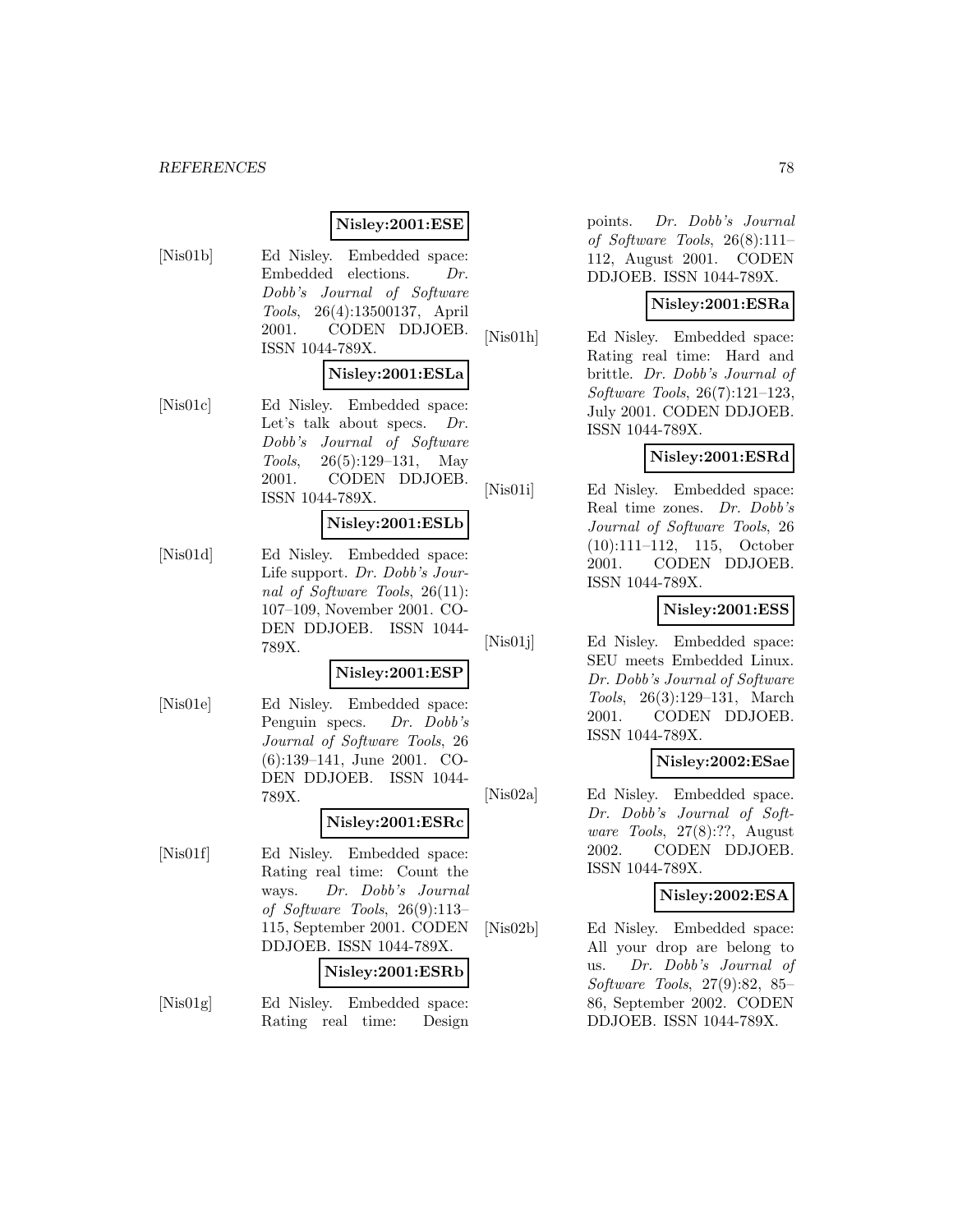## **Nisley:2001:ESE**

[Nis01b] Ed Nisley. Embedded space: Embedded elections. Dr. Dobb's Journal of Software Tools, 26(4):13500137, April 2001. CODEN DDJOEB. ISSN 1044-789X.

## **Nisley:2001:ESLa**

[Nis01c] Ed Nisley. Embedded space: Let's talk about specs. Dr. Dobb's Journal of Software Tools, 26(5):129–131, May 2001. CODEN DDJOEB. ISSN 1044-789X.

### **Nisley:2001:ESLb**

[Nis01d] Ed Nisley. Embedded space: Life support. Dr. Dobb's Journal of Software Tools, 26(11): 107–109, November 2001. CO-DEN DDJOEB. ISSN 1044- 789X.

### **Nisley:2001:ESP**

[Nis01e] Ed Nisley. Embedded space: Penguin specs. Dr. Dobb's Journal of Software Tools, 26 (6):139–141, June 2001. CO-DEN DDJOEB. ISSN 1044- 789X.

## **Nisley:2001:ESRc**

[Nis01f] Ed Nisley. Embedded space: Rating real time: Count the ways. Dr. Dobb's Journal of Software Tools, 26(9):113– 115, September 2001. CODEN DDJOEB. ISSN 1044-789X.

# **Nisley:2001:ESRb**

[Nis01g] Ed Nisley. Embedded space: Rating real time: Design

points. Dr. Dobb's Journal of Software Tools, 26(8):111– 112, August 2001. CODEN DDJOEB. ISSN 1044-789X.

## **Nisley:2001:ESRa**

[Nis01h] Ed Nisley. Embedded space: Rating real time: Hard and brittle. Dr. Dobb's Journal of Software Tools, 26(7):121–123, July 2001. CODEN DDJOEB. ISSN 1044-789X.

## **Nisley:2001:ESRd**

[Nis01i] Ed Nisley. Embedded space: Real time zones. Dr. Dobb's Journal of Software Tools, 26 (10):111–112, 115, October 2001. CODEN DDJOEB. ISSN 1044-789X.

## **Nisley:2001:ESS**

[Nis01j] Ed Nisley. Embedded space: SEU meets Embedded Linux. Dr. Dobb's Journal of Software Tools, 26(3):129–131, March 2001. CODEN DDJOEB. ISSN 1044-789X.

### **Nisley:2002:ESae**

[Nis02a] Ed Nisley. Embedded space. Dr. Dobb's Journal of Software Tools, 27(8):??, August 2002. CODEN DDJOEB. ISSN 1044-789X.

## **Nisley:2002:ESA**

[Nis02b] Ed Nisley. Embedded space: All your drop are belong to us. Dr. Dobb's Journal of Software Tools, 27(9):82, 85– 86, September 2002. CODEN DDJOEB. ISSN 1044-789X.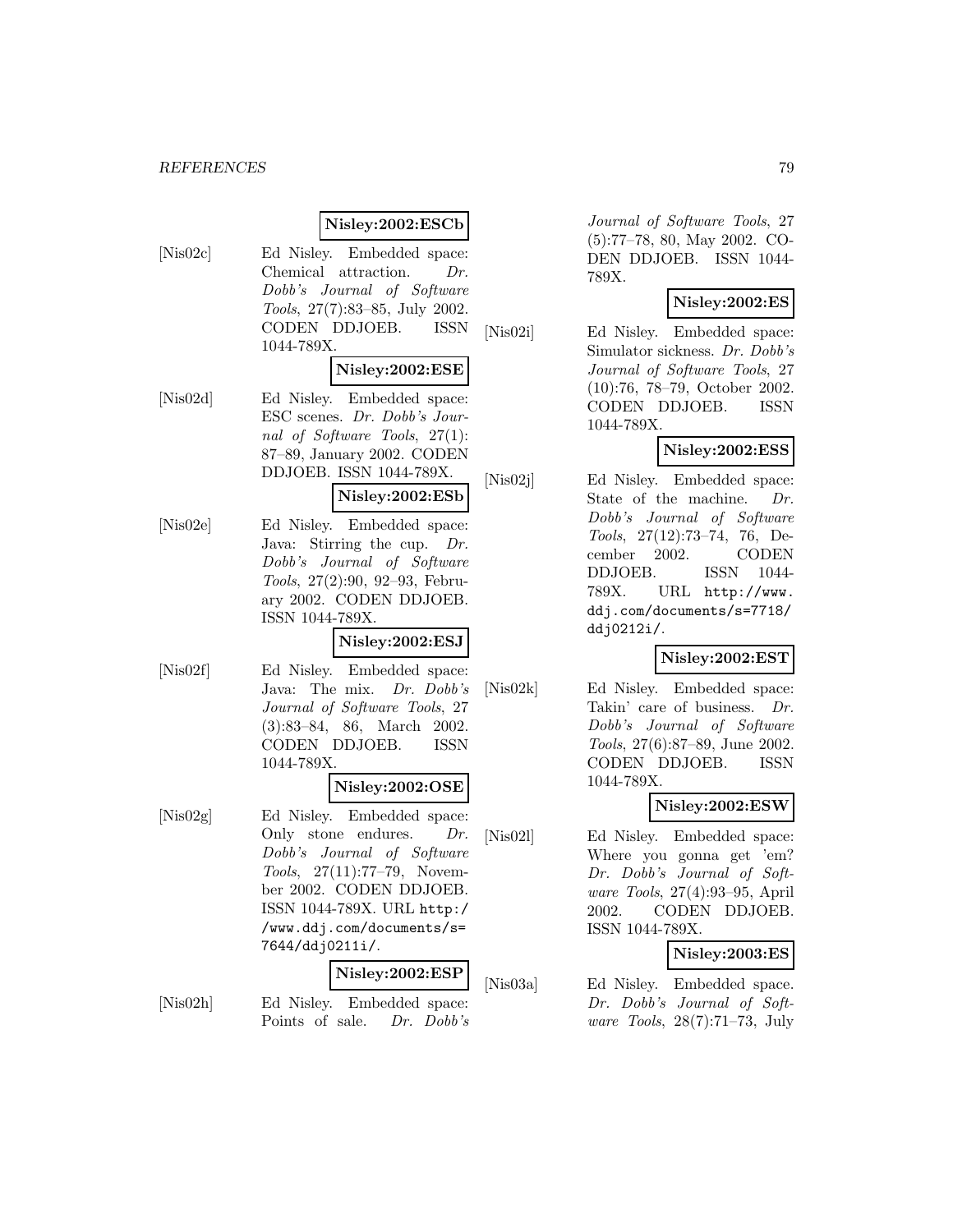## **Nisley:2002:ESCb**

[Nis02c] Ed Nisley. Embedded space: Chemical attraction. Dr. Dobb's Journal of Software Tools, 27(7):83–85, July 2002. CODEN DDJOEB. ISSN 1044-789X.

### **Nisley:2002:ESE**

[Nis02d] Ed Nisley. Embedded space: ESC scenes. Dr. Dobb's Journal of Software Tools, 27(1): 87–89, January 2002. CODEN DDJOEB. ISSN 1044-789X.

# **Nisley:2002:ESb**

[Nis02e] Ed Nisley. Embedded space: Java: Stirring the cup. Dr. Dobb's Journal of Software Tools, 27(2):90, 92–93, February 2002. CODEN DDJOEB. ISSN 1044-789X.

## **Nisley:2002:ESJ**

[Nis02f] Ed Nisley. Embedded space: Java: The mix. Dr. Dobb's Journal of Software Tools, 27 (3):83–84, 86, March 2002. CODEN DDJOEB. ISSN 1044-789X.

## **Nisley:2002:OSE**

[Nis02g] Ed Nisley. Embedded space: Only stone endures. Dr. Dobb's Journal of Software Tools, 27(11):77–79, November 2002. CODEN DDJOEB. ISSN 1044-789X. URL http:/ /www.ddj.com/documents/s= 7644/ddj0211i/.

## **Nisley:2002:ESP**

[Nis02h] Ed Nisley. Embedded space: Points of sale. Dr. Dobb's

Journal of Software Tools, 27 (5):77–78, 80, May 2002. CO-DEN DDJOEB. ISSN 1044- 789X.

## **Nisley:2002:ES**

[Nis02i] Ed Nisley. Embedded space: Simulator sickness. Dr. Dobb's Journal of Software Tools, 27 (10):76, 78–79, October 2002. CODEN DDJOEB. ISSN 1044-789X.

## **Nisley:2002:ESS**

[Nis02j] Ed Nisley. Embedded space: State of the machine. Dr. Dobb's Journal of Software Tools, 27(12):73–74, 76, December 2002. CODEN DDJOEB. ISSN 1044- 789X. URL http://www. ddj.com/documents/s=7718/ ddj0212i/.

## **Nisley:2002:EST**

[Nis02k] Ed Nisley. Embedded space: Takin' care of business. Dr. Dobb's Journal of Software Tools, 27(6):87–89, June 2002. CODEN DDJOEB. ISSN 1044-789X.

### **Nisley:2002:ESW**

[Nis02l] Ed Nisley. Embedded space: Where you gonna get 'em? Dr. Dobb's Journal of Software Tools, 27(4):93–95, April 2002. CODEN DDJOEB. ISSN 1044-789X.

## **Nisley:2003:ES**

[Nis03a] Ed Nisley. Embedded space. Dr. Dobb's Journal of Software Tools, 28(7):71–73, July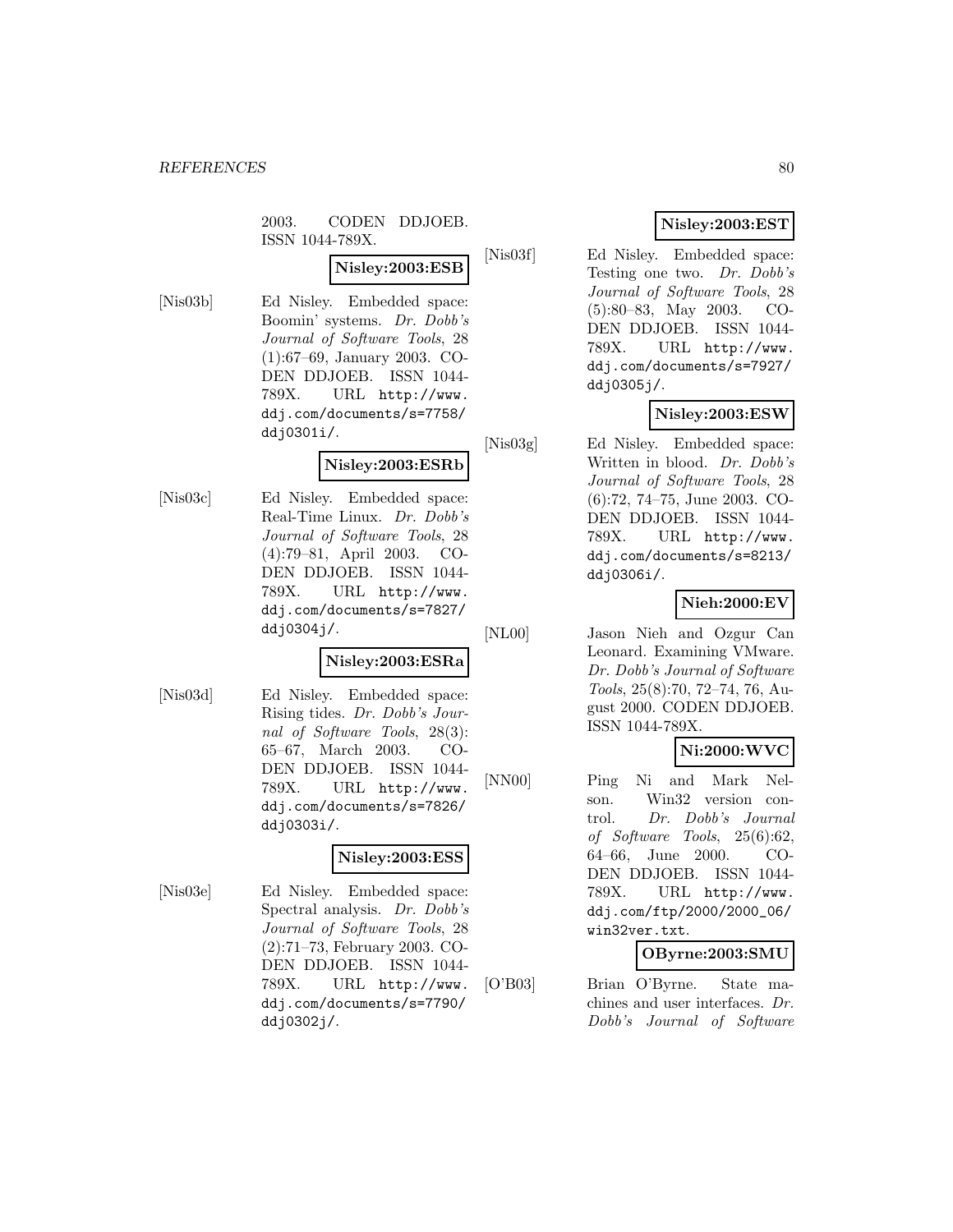## 2003. CODEN DDJOEB. ISSN 1044-789X.

# **Nisley:2003:ESB**

[Nis03b] Ed Nisley. Embedded space: Boomin' systems. Dr. Dobb's Journal of Software Tools, 28 (1):67–69, January 2003. CO-DEN DDJOEB. ISSN 1044- 789X. URL http://www. ddj.com/documents/s=7758/ ddj0301i/.

## **Nisley:2003:ESRb**

[Nis03c] Ed Nisley. Embedded space: Real-Time Linux. Dr. Dobb's Journal of Software Tools, 28 (4):79–81, April 2003. CO-DEN DDJOEB. ISSN 1044- 789X. URL http://www. ddj.com/documents/s=7827/ ddj0304j/.

### **Nisley:2003:ESRa**

[Nis03d] Ed Nisley. Embedded space: Rising tides. Dr. Dobb's Journal of Software Tools, 28(3): 65–67, March 2003. CO-DEN DDJOEB. ISSN 1044- 789X. URL http://www. ddj.com/documents/s=7826/ ddj0303i/.

## **Nisley:2003:ESS**

[Nis03e] Ed Nisley. Embedded space: Spectral analysis. Dr. Dobb's Journal of Software Tools, 28 (2):71–73, February 2003. CO-DEN DDJOEB. ISSN 1044- 789X. URL http://www. ddj.com/documents/s=7790/ ddj0302j/.

# **Nisley:2003:EST**

[Nis03f] Ed Nisley. Embedded space: Testing one two. Dr. Dobb's Journal of Software Tools, 28 (5):80–83, May 2003. CO-DEN DDJOEB. ISSN 1044- 789X. URL http://www. ddj.com/documents/s=7927/ ddj0305j/.

# **Nisley:2003:ESW**

[Nis03g] Ed Nisley. Embedded space: Written in blood. Dr. Dobb's Journal of Software Tools, 28 (6):72, 74–75, June 2003. CO-DEN DDJOEB. ISSN 1044- 789X. URL http://www. ddj.com/documents/s=8213/ ddj0306i/.

# **Nieh:2000:EV**

[NL00] Jason Nieh and Ozgur Can Leonard. Examining VMware. Dr. Dobb's Journal of Software Tools, 25(8):70, 72–74, 76, August 2000. CODEN DDJOEB. ISSN 1044-789X.

## **Ni:2000:WVC**

[NN00] Ping Ni and Mark Nelson. Win32 version control. Dr. Dobb's Journal of Software Tools, 25(6):62, 64–66, June 2000. CO-DEN DDJOEB. ISSN 1044- 789X. URL http://www. ddj.com/ftp/2000/2000\_06/ win32ver.txt.

## **OByrne:2003:SMU**

[O'B03] Brian O'Byrne. State machines and user interfaces. Dr. Dobb's Journal of Software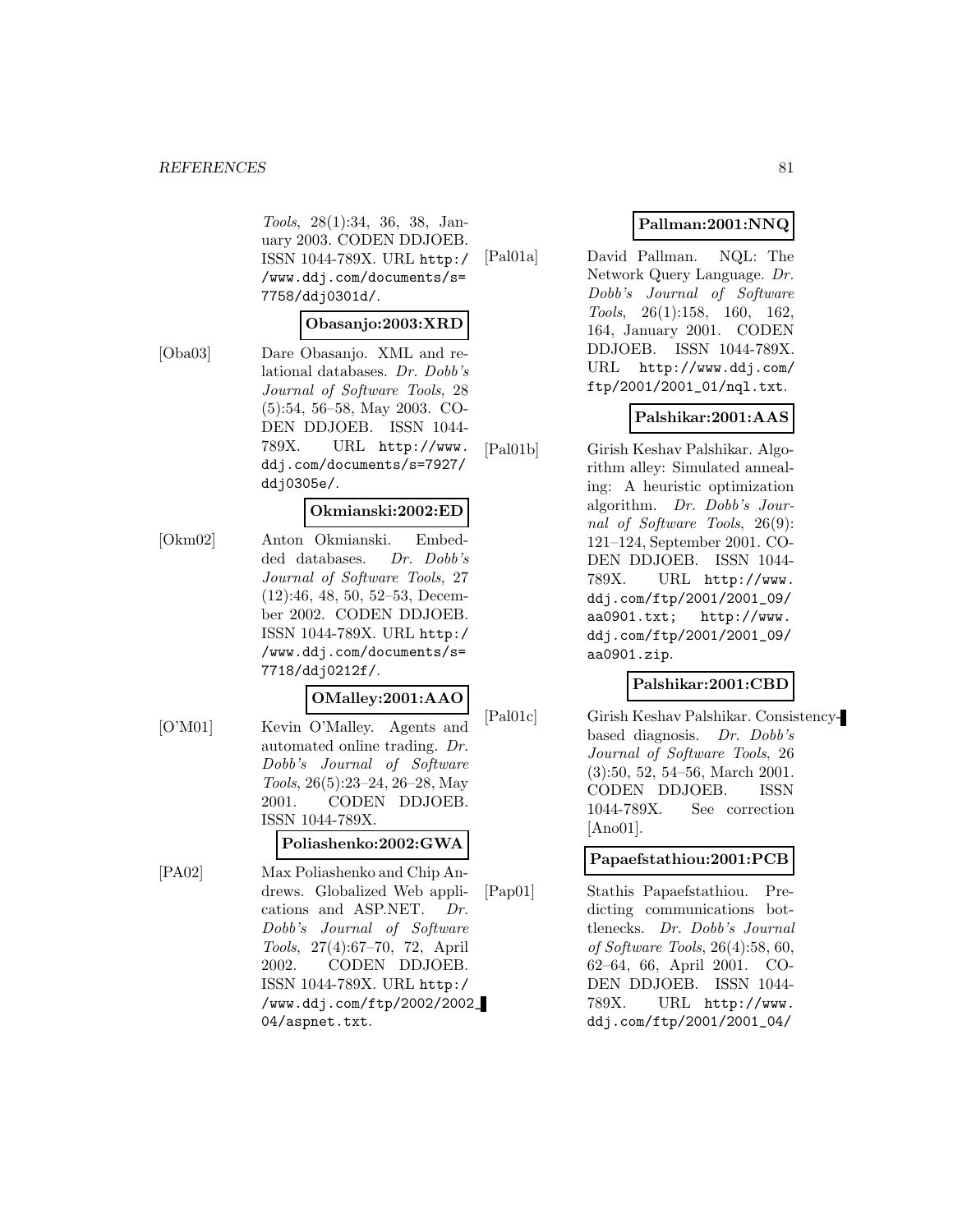Tools, 28(1):34, 36, 38, January 2003. CODEN DDJOEB. ISSN 1044-789X. URL http:/ /www.ddj.com/documents/s= 7758/ddj0301d/.

### **Obasanjo:2003:XRD**

[Oba03] Dare Obasanjo. XML and relational databases. Dr. Dobb's Journal of Software Tools, 28 (5):54, 56–58, May 2003. CO-DEN DDJOEB. ISSN 1044- 789X. URL http://www. ddj.com/documents/s=7927/ ddj0305e/.

## **Okmianski:2002:ED**

[Okm02] Anton Okmianski. Embedded databases. Dr. Dobb's Journal of Software Tools, 27 (12):46, 48, 50, 52–53, December 2002. CODEN DDJOEB. ISSN 1044-789X. URL http:/ /www.ddj.com/documents/s= 7718/ddj0212f/.

### **OMalley:2001:AAO**

[O'M01] Kevin O'Malley. Agents and automated online trading. Dr. Dobb's Journal of Software Tools, 26(5):23–24, 26–28, May 2001. CODEN DDJOEB. ISSN 1044-789X.

## **Poliashenko:2002:GWA**

[PA02] Max Poliashenko and Chip Andrews. Globalized Web applications and ASP.NET. Dr. Dobb's Journal of Software Tools, 27(4):67–70, 72, April 2002. CODEN DDJOEB. ISSN 1044-789X. URL http:/ /www.ddj.com/ftp/2002/2002\_ 04/aspnet.txt.

## **Pallman:2001:NNQ**

[Pal01a] David Pallman. NQL: The Network Query Language. Dr. Dobb's Journal of Software Tools, 26(1):158, 160, 162, 164, January 2001. CODEN DDJOEB. ISSN 1044-789X. URL http://www.ddj.com/ ftp/2001/2001\_01/nql.txt.

## **Palshikar:2001:AAS**

[Pal01b] Girish Keshav Palshikar. Algorithm alley: Simulated annealing: A heuristic optimization algorithm. Dr. Dobb's Journal of Software Tools, 26(9): 121–124, September 2001. CO-DEN DDJOEB. ISSN 1044- 789X. URL http://www. ddj.com/ftp/2001/2001\_09/ aa0901.txt; http://www. ddj.com/ftp/2001/2001\_09/ aa0901.zip.

# **Palshikar:2001:CBD**

[Pal01c] Girish Keshav Palshikar. Consistencybased diagnosis. Dr. Dobb's Journal of Software Tools, 26 (3):50, 52, 54–56, March 2001. CODEN DDJOEB. ISSN 1044-789X. See correction [Ano01].

## **Papaefstathiou:2001:PCB**

[Pap01] Stathis Papaefstathiou. Predicting communications bottlenecks. Dr. Dobb's Journal of Software Tools, 26(4):58, 60, 62–64, 66, April 2001. CO-DEN DDJOEB. ISSN 1044- 789X. URL http://www. ddj.com/ftp/2001/2001\_04/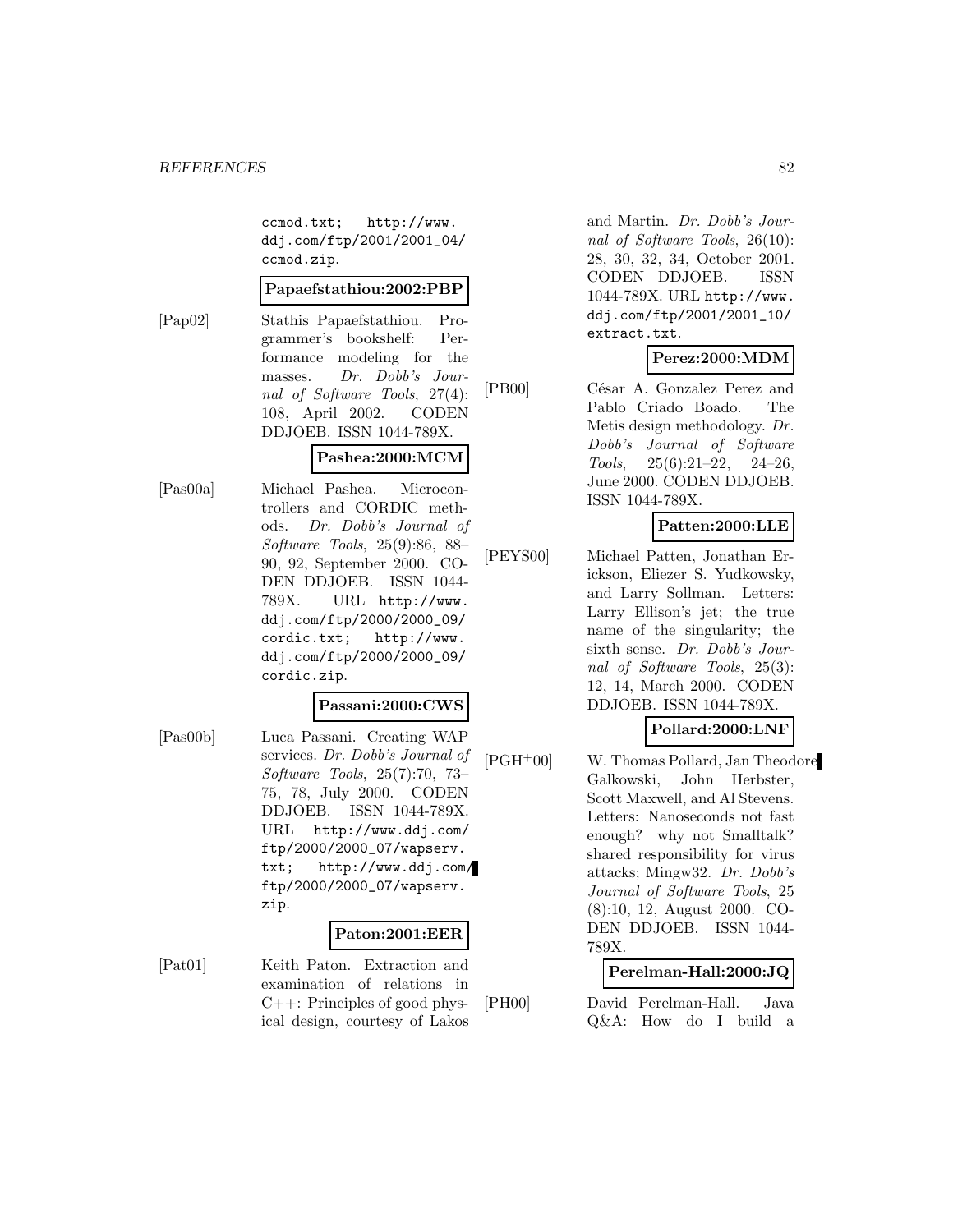ccmod.txt; http://www. ddj.com/ftp/2001/2001\_04/ ccmod.zip.

### **Papaefstathiou:2002:PBP**

[Pap02] Stathis Papaefstathiou. Programmer's bookshelf: Performance modeling for the masses. Dr. Dobb's Journal of Software Tools, 27(4): 108, April 2002. CODEN DDJOEB. ISSN 1044-789X.

## **Pashea:2000:MCM**

[Pas00a] Michael Pashea. Microcontrollers and CORDIC methods. Dr. Dobb's Journal of Software Tools, 25(9):86, 88– 90, 92, September 2000. CO-DEN DDJOEB. ISSN 1044- 789X. URL http://www. ddj.com/ftp/2000/2000\_09/ cordic.txt; http://www. ddj.com/ftp/2000/2000\_09/ cordic.zip.

### **Passani:2000:CWS**

[Pas00b] Luca Passani. Creating WAP services. Dr. Dobb's Journal of Software Tools, 25(7):70, 73– 75, 78, July 2000. CODEN DDJOEB. ISSN 1044-789X. URL http://www.ddj.com/ ftp/2000/2000\_07/wapserv. txt; http://www.ddj.com/ ftp/2000/2000\_07/wapserv. zip.

### **Paton:2001:EER**

[Pat01] Keith Paton. Extraction and examination of relations in C++: Principles of good physical design, courtesy of Lakos and Martin. Dr. Dobb's Journal of Software Tools, 26(10): 28, 30, 32, 34, October 2001. CODEN DDJOEB. ISSN 1044-789X. URL http://www. ddj.com/ftp/2001/2001\_10/ extract.txt.

## **Perez:2000:MDM**

[PB00] César A. Gonzalez Perez and Pablo Criado Boado. The Metis design methodology. Dr. Dobb's Journal of Software  $Tools, \quad 25(6):21-22, \quad 24-26,$ June 2000. CODEN DDJOEB. ISSN 1044-789X.

## **Patten:2000:LLE**

[PEYS00] Michael Patten, Jonathan Erickson, Eliezer S. Yudkowsky, and Larry Sollman. Letters: Larry Ellison's jet; the true name of the singularity; the sixth sense. Dr. Dobb's Journal of Software Tools, 25(3): 12, 14, March 2000. CODEN DDJOEB. ISSN 1044-789X.

## **Pollard:2000:LNF**

[PGH<sup>+</sup>00] W. Thomas Pollard, Jan Theodore Galkowski, John Herbster, Scott Maxwell, and Al Stevens. Letters: Nanoseconds not fast enough? why not Smalltalk? shared responsibility for virus attacks; Mingw32. Dr. Dobb's Journal of Software Tools, 25 (8):10, 12, August 2000. CO-DEN DDJOEB. ISSN 1044- 789X.

### **Perelman-Hall:2000:JQ**

[PH00] David Perelman-Hall. Java Q&A: How do I build a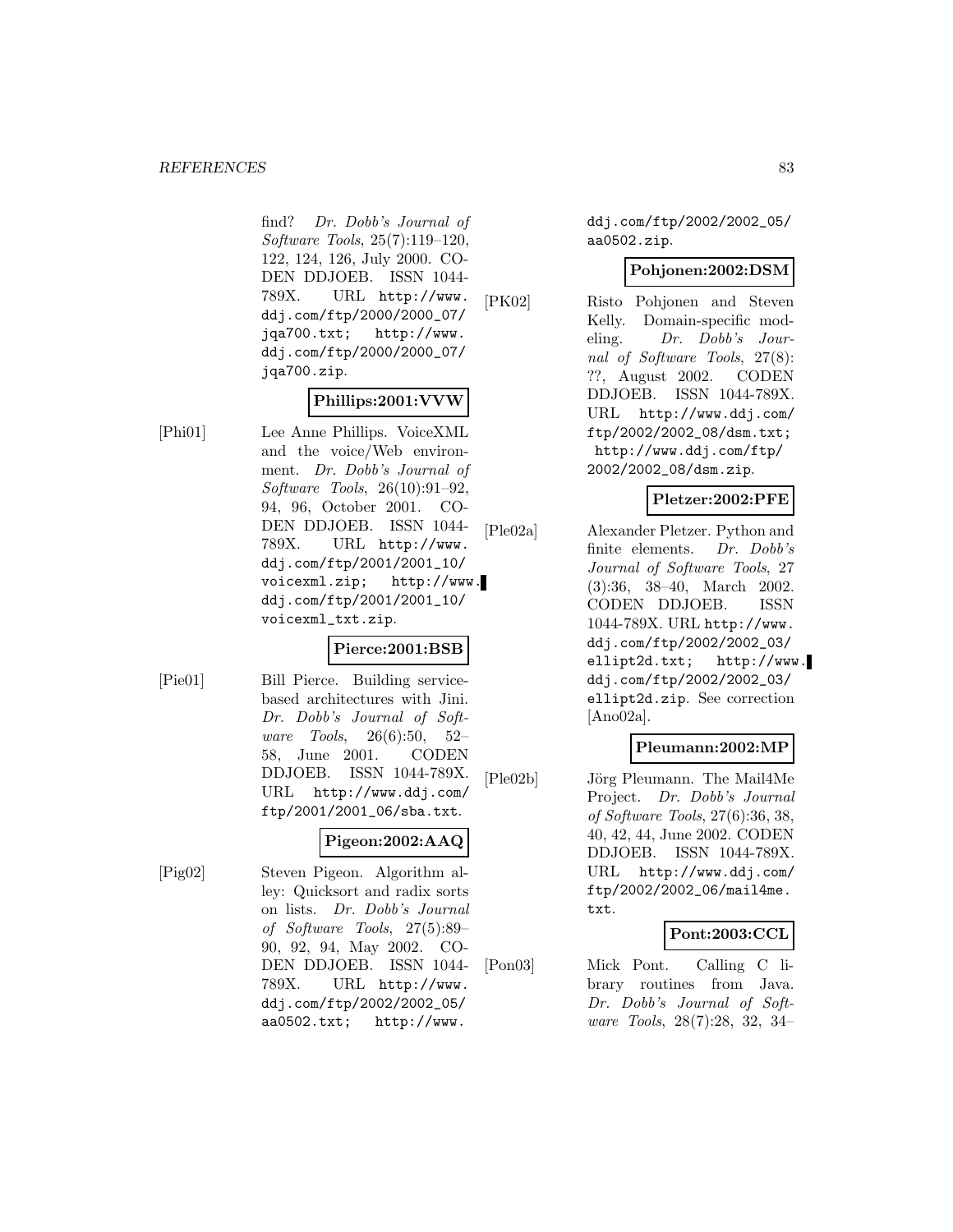find? Dr. Dobb's Journal of Software Tools, 25(7):119–120, 122, 124, 126, July 2000. CO-DEN DDJOEB. ISSN 1044- 789X. URL http://www. ddj.com/ftp/2000/2000\_07/ jqa700.txt; http://www. ddj.com/ftp/2000/2000\_07/ jqa700.zip.

## **Phillips:2001:VVW**

[Phi01] Lee Anne Phillips. VoiceXML and the voice/Web environment. Dr. Dobb's Journal of Software Tools, 26(10):91–92, 94, 96, October 2001. CO-DEN DDJOEB. ISSN 1044- 789X. URL http://www. ddj.com/ftp/2001/2001\_10/ voicexml.zip; http://www. ddj.com/ftp/2001/2001\_10/ voicexml\_txt.zip.

## **Pierce:2001:BSB**

[Pie01] Bill Pierce. Building servicebased architectures with Jini. Dr. Dobb's Journal of Software Tools, 26(6):50, 52– 58, June 2001. CODEN DDJOEB. ISSN 1044-789X. URL http://www.ddj.com/ ftp/2001/2001\_06/sba.txt.

# **Pigeon:2002:AAQ**

[Pig02] Steven Pigeon. Algorithm alley: Quicksort and radix sorts on lists. Dr. Dobb's Journal of Software Tools, 27(5):89– 90, 92, 94, May 2002. CO-DEN DDJOEB. ISSN 1044- 789X. URL http://www. ddj.com/ftp/2002/2002\_05/ aa0502.txt; http://www.

ddj.com/ftp/2002/2002\_05/ aa0502.zip.

## **Pohjonen:2002:DSM**

[PK02] Risto Pohjonen and Steven Kelly. Domain-specific modeling. Dr. Dobb's Journal of Software Tools, 27(8): ??, August 2002. CODEN DDJOEB. ISSN 1044-789X. URL http://www.ddj.com/ ftp/2002/2002\_08/dsm.txt; http://www.ddj.com/ftp/ 2002/2002\_08/dsm.zip.

## **Pletzer:2002:PFE**

[Ple02a] Alexander Pletzer. Python and finite elements. Dr. Dobb's Journal of Software Tools, 27 (3):36, 38–40, March 2002. CODEN DDJOEB. ISSN 1044-789X. URL http://www. ddj.com/ftp/2002/2002\_03/ ellipt2d.txt; http://www. ddj.com/ftp/2002/2002\_03/ ellipt2d.zip. See correction [Ano02a].

## **Pleumann:2002:MP**

[Ple02b] Jörg Pleumann. The Mail4Me Project. Dr. Dobb's Journal of Software Tools, 27(6):36, 38, 40, 42, 44, June 2002. CODEN DDJOEB. ISSN 1044-789X. URL http://www.ddj.com/ ftp/2002/2002\_06/mail4me. txt.

# **Pont:2003:CCL**

[Pon03] Mick Pont. Calling C library routines from Java. Dr. Dobb's Journal of Software Tools, 28(7):28, 32, 34–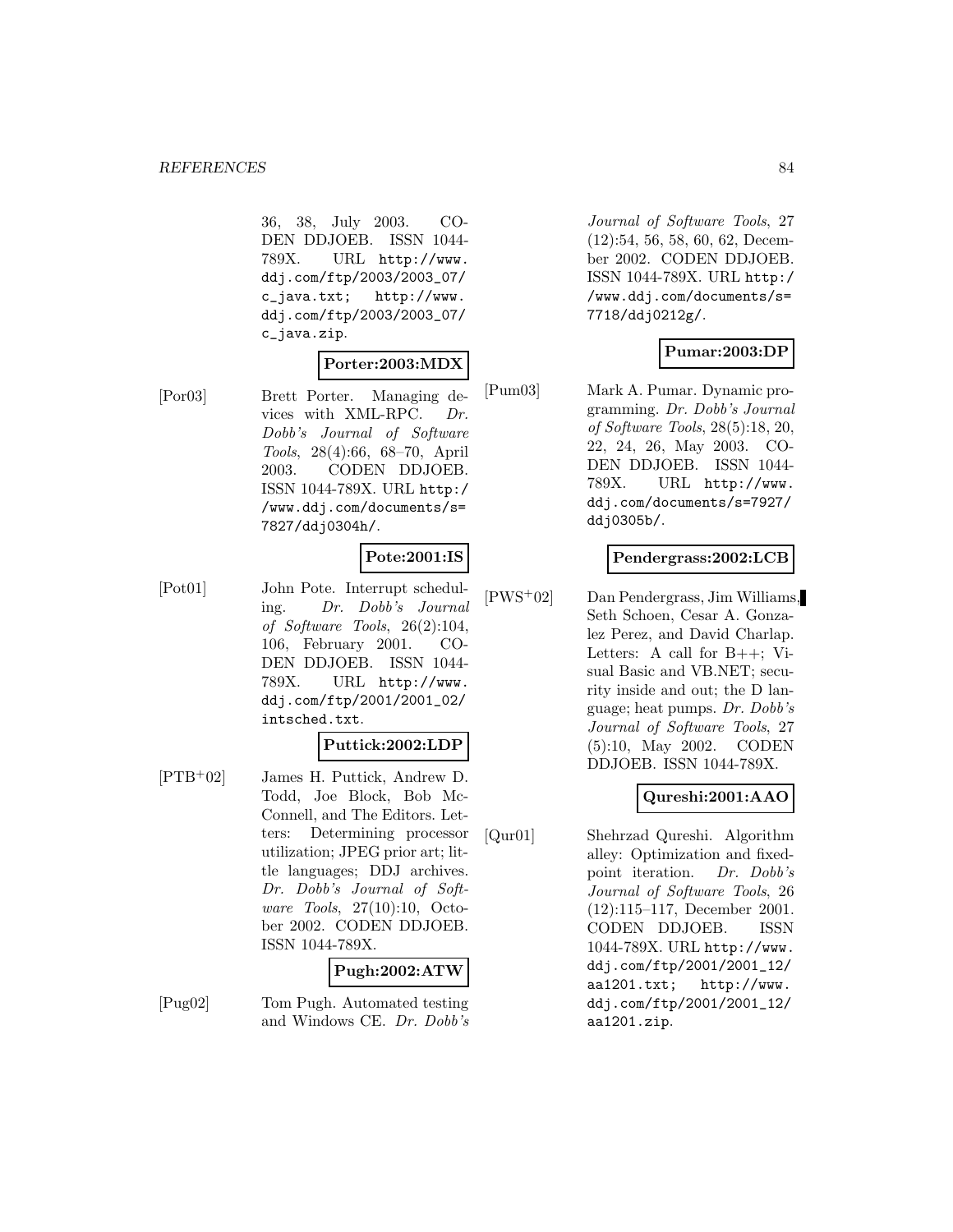36, 38, July 2003. CO-DEN DDJOEB. ISSN 1044- 789X. URL http://www. ddj.com/ftp/2003/2003\_07/ c\_java.txt; http://www. ddj.com/ftp/2003/2003\_07/ c\_java.zip.

## **Porter:2003:MDX**

[Por03] Brett Porter. Managing devices with XML-RPC. Dr. Dobb's Journal of Software Tools, 28(4):66, 68–70, April 2003. CODEN DDJOEB. ISSN 1044-789X. URL http:/ /www.ddj.com/documents/s= 7827/ddj0304h/.

# **Pote:2001:IS**

[Pot01] John Pote. Interrupt scheduling. Dr. Dobb's Journal of Software Tools, 26(2):104, 106, February 2001. CO-DEN DDJOEB. ISSN 1044- 789X. URL http://www. ddj.com/ftp/2001/2001\_02/ intsched.txt.

## **Puttick:2002:LDP**

[PTB<sup>+</sup>02] James H. Puttick, Andrew D. Todd, Joe Block, Bob Mc-Connell, and The Editors. Letters: Determining processor utilization; JPEG prior art; little languages; DDJ archives. Dr. Dobb's Journal of Software Tools, 27(10):10, October 2002. CODEN DDJOEB. ISSN 1044-789X.

# **Pugh:2002:ATW**

[Pug02] Tom Pugh. Automated testing and Windows CE. Dr. Dobb's

Journal of Software Tools, 27 (12):54, 56, 58, 60, 62, December 2002. CODEN DDJOEB. ISSN 1044-789X. URL http:/ /www.ddj.com/documents/s= 7718/ddj0212g/.

## **Pumar:2003:DP**

[Pum03] Mark A. Pumar. Dynamic programming. Dr. Dobb's Journal of Software Tools, 28(5):18, 20, 22, 24, 26, May 2003. CO-DEN DDJOEB. ISSN 1044- 789X. URL http://www. ddj.com/documents/s=7927/ ddj0305b/.

## **Pendergrass:2002:LCB**

[PWS<sup>+</sup>02] Dan Pendergrass, Jim Williams, Seth Schoen, Cesar A. Gonzalez Perez, and David Charlap. Letters: A call for B++; Visual Basic and VB.NET; security inside and out; the D language; heat pumps. Dr. Dobb's Journal of Software Tools, 27 (5):10, May 2002. CODEN DDJOEB. ISSN 1044-789X.

## **Qureshi:2001:AAO**

[Qur01] Shehrzad Qureshi. Algorithm alley: Optimization and fixedpoint iteration. Dr. Dobb's Journal of Software Tools, 26 (12):115–117, December 2001. CODEN DDJOEB. ISSN 1044-789X. URL http://www. ddj.com/ftp/2001/2001\_12/ aa1201.txt; http://www. ddj.com/ftp/2001/2001\_12/ aa1201.zip.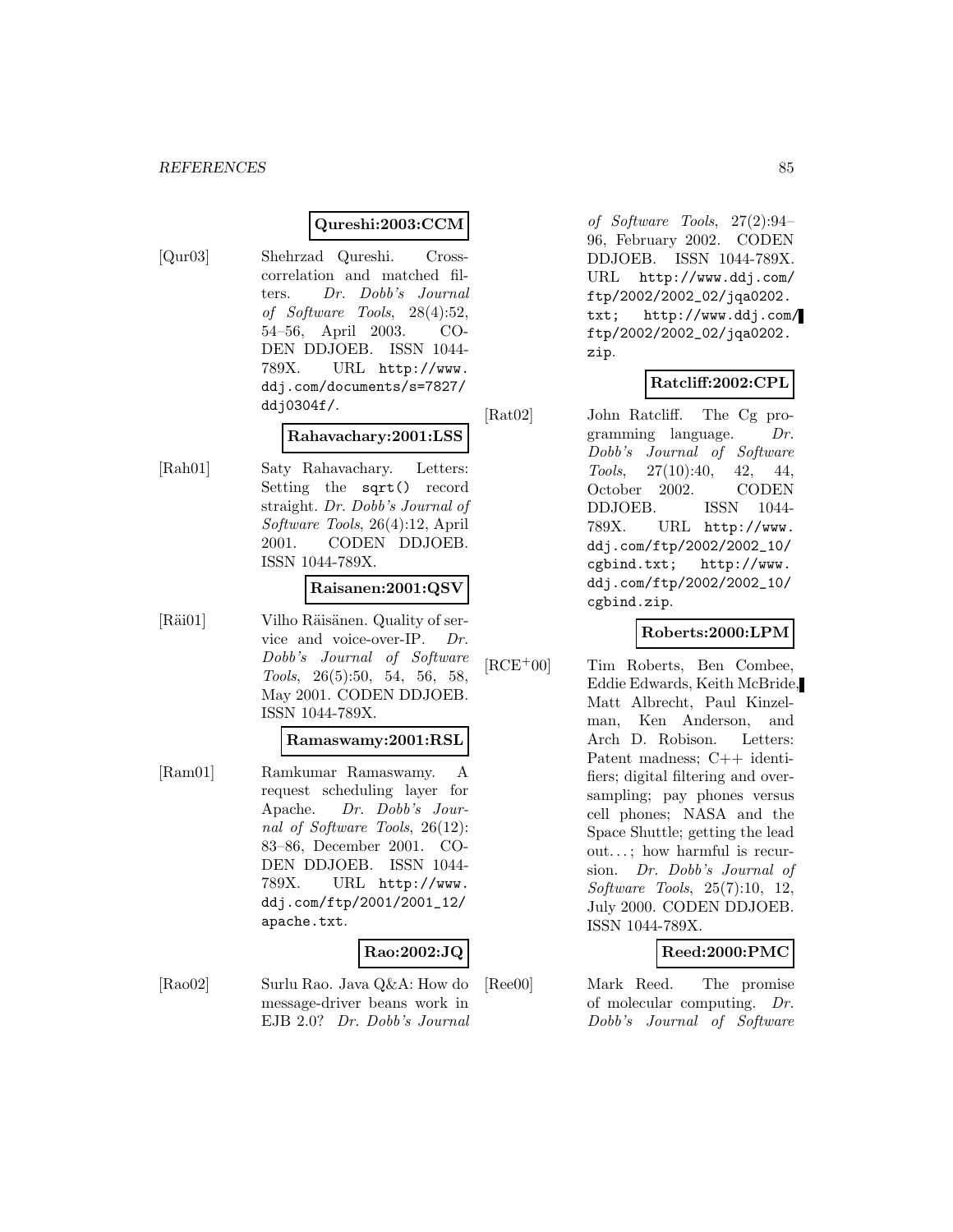## **Qureshi:2003:CCM**

[Qur03] Shehrzad Qureshi. Crosscorrelation and matched filters. Dr. Dobb's Journal of Software Tools, 28(4):52, 54–56, April 2003. CO-DEN DDJOEB. ISSN 1044- 789X. URL http://www. ddj.com/documents/s=7827/ ddj0304f/.

## **Rahavachary:2001:LSS**

[Rah01] Saty Rahavachary. Letters: Setting the sqrt() record straight. Dr. Dobb's Journal of Software Tools, 26(4):12, April 2001. CODEN DDJOEB. ISSN 1044-789X.

### **Raisanen:2001:QSV**

[Räi01] Vilho Räisänen. Quality of service and voice-over-IP. Dr. Dobb's Journal of Software Tools, 26(5):50, 54, 56, 58, May 2001. CODEN DDJOEB. ISSN 1044-789X.

#### **Ramaswamy:2001:RSL**

[Ram01] Ramkumar Ramaswamy. A request scheduling layer for Apache. Dr. Dobb's Journal of Software Tools, 26(12): 83–86, December 2001. CO-DEN DDJOEB. ISSN 1044- 789X. URL http://www. ddj.com/ftp/2001/2001\_12/ apache.txt.

## **Rao:2002:JQ**

[Rao02] Surlu Rao. Java Q&A: How do message-driver beans work in EJB 2.0? Dr. Dobb's Journal

of Software Tools, 27(2):94– 96, February 2002. CODEN DDJOEB. ISSN 1044-789X. URL http://www.ddj.com/ ftp/2002/2002\_02/jqa0202. txt; http://www.ddj.com/ ftp/2002/2002\_02/jqa0202. zip.

## **Ratcliff:2002:CPL**

[Rat02] John Ratcliff. The Cg programming language. Dr. Dobb's Journal of Software Tools, 27(10):40, 42, 44, October 2002. CODEN DDJOEB. ISSN 1044- 789X. URL http://www. ddj.com/ftp/2002/2002\_10/ cgbind.txt; http://www. ddj.com/ftp/2002/2002\_10/ cgbind.zip.

## **Roberts:2000:LPM**

[RCE<sup>+</sup>00] Tim Roberts, Ben Combee, Eddie Edwards, Keith McBride, Matt Albrecht, Paul Kinzelman, Ken Anderson, and Arch D. Robison. Letters: Patent madness; C++ identifiers; digital filtering and oversampling; pay phones versus cell phones; NASA and the Space Shuttle; getting the lead out. . . ; how harmful is recursion. Dr. Dobb's Journal of Software Tools, 25(7):10, 12, July 2000. CODEN DDJOEB. ISSN 1044-789X.

## **Reed:2000:PMC**

[Ree00] Mark Reed. The promise of molecular computing. Dr. Dobb's Journal of Software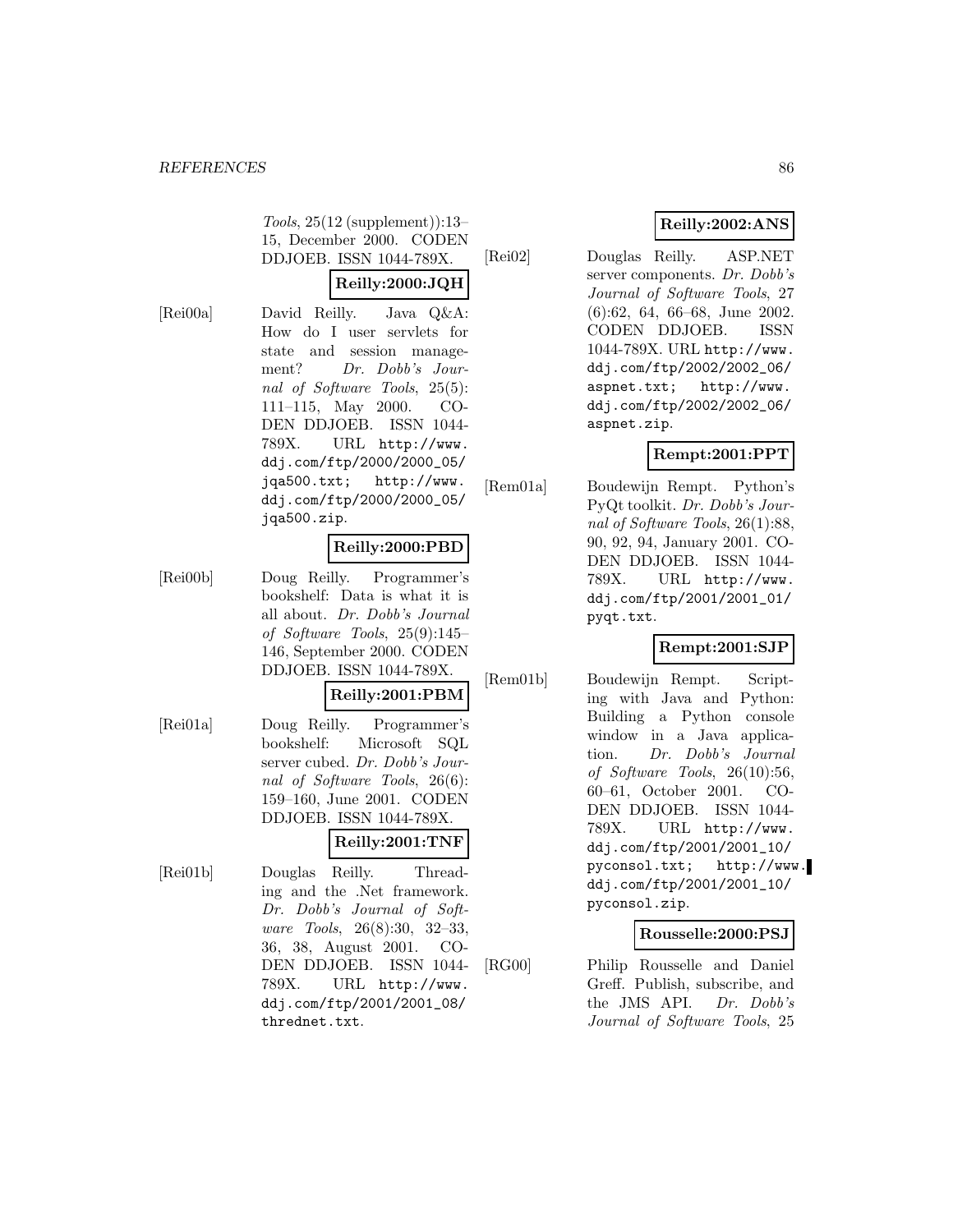Tools, 25(12 (supplement)):13– 15, December 2000. CODEN DDJOEB. ISSN 1044-789X.

## **Reilly:2000:JQH**

[Rei00a] David Reilly. Java Q&A: How do I user servlets for state and session management? Dr. Dobb's Journal of Software Tools, 25(5): 111–115, May 2000. CO-DEN DDJOEB. ISSN 1044- 789X. URL http://www. ddj.com/ftp/2000/2000\_05/ jqa500.txt; http://www. ddj.com/ftp/2000/2000\_05/ jqa500.zip.

## **Reilly:2000:PBD**

[Rei00b] Doug Reilly. Programmer's bookshelf: Data is what it is all about. Dr. Dobb's Journal of Software Tools, 25(9):145– 146, September 2000. CODEN DDJOEB. ISSN 1044-789X.

### **Reilly:2001:PBM**

[Rei01a] Doug Reilly. Programmer's bookshelf: Microsoft SQL server cubed. Dr. Dobb's Journal of Software Tools, 26(6): 159–160, June 2001. CODEN DDJOEB. ISSN 1044-789X.

### **Reilly:2001:TNF**

[Rei01b] Douglas Reilly. Threading and the .Net framework. Dr. Dobb's Journal of Software Tools, 26(8):30, 32–33, 36, 38, August 2001. CO-DEN DDJOEB. ISSN 1044- 789X. URL http://www. ddj.com/ftp/2001/2001\_08/ thrednet.txt.

# **Reilly:2002:ANS**

[Rei02] Douglas Reilly. ASP.NET server components. Dr. Dobb's Journal of Software Tools, 27 (6):62, 64, 66–68, June 2002. CODEN DDJOEB. ISSN 1044-789X. URL http://www. ddj.com/ftp/2002/2002\_06/ aspnet.txt; http://www. ddj.com/ftp/2002/2002\_06/ aspnet.zip.

# **Rempt:2001:PPT**

[Rem01a] Boudewijn Rempt. Python's PyQt toolkit. Dr. Dobb's Journal of Software Tools, 26(1):88, 90, 92, 94, January 2001. CO-DEN DDJOEB. ISSN 1044- 789X. URL http://www. ddj.com/ftp/2001/2001\_01/ pyqt.txt.

### **Rempt:2001:SJP**

[Rem01b] Boudewijn Rempt. Scripting with Java and Python: Building a Python console window in a Java application. Dr. Dobb's Journal of Software Tools, 26(10):56, 60–61, October 2001. CO-DEN DDJOEB. ISSN 1044- 789X. URL http://www. ddj.com/ftp/2001/2001\_10/ pyconsol.txt; http://www. ddj.com/ftp/2001/2001\_10/ pyconsol.zip.

## **Rousselle:2000:PSJ**

[RG00] Philip Rousselle and Daniel Greff. Publish, subscribe, and the JMS API. Dr. Dobb's Journal of Software Tools, 25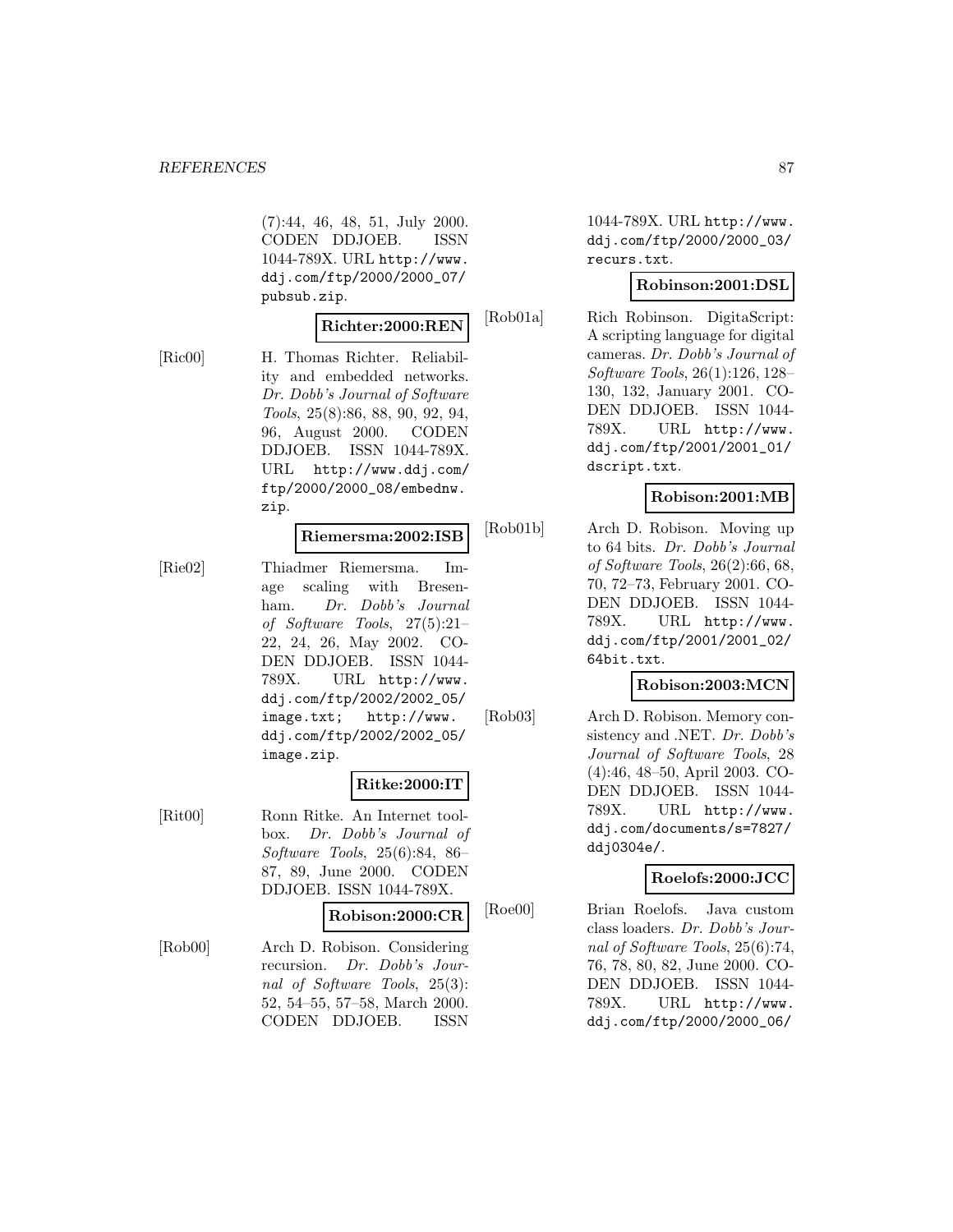(7):44, 46, 48, 51, July 2000. CODEN DDJOEB. ISSN 1044-789X. URL http://www. ddj.com/ftp/2000/2000\_07/ pubsub.zip.

### **Richter:2000:REN**

[Ric00] H. Thomas Richter. Reliability and embedded networks. Dr. Dobb's Journal of Software Tools, 25(8):86, 88, 90, 92, 94, 96, August 2000. CODEN DDJOEB. ISSN 1044-789X. URL http://www.ddj.com/ ftp/2000/2000\_08/embednw. zip.

#### **Riemersma:2002:ISB**

[Rie02] Thiadmer Riemersma. Image scaling with Bresenham. Dr. Dobb's Journal of Software Tools, 27(5):21– 22, 24, 26, May 2002. CO-DEN DDJOEB. ISSN 1044- 789X. URL http://www. ddj.com/ftp/2002/2002\_05/ image.txt; http://www. ddj.com/ftp/2002/2002\_05/ image.zip.

## **Ritke:2000:IT**

[Rit00] Ronn Ritke. An Internet toolbox. Dr. Dobb's Journal of Software Tools, 25(6):84, 86– 87, 89, June 2000. CODEN DDJOEB. ISSN 1044-789X.

## **Robison:2000:CR**

[Rob00] Arch D. Robison. Considering recursion. Dr. Dobb's Journal of Software Tools, 25(3): 52, 54–55, 57–58, March 2000. CODEN DDJOEB. ISSN

1044-789X. URL http://www. ddj.com/ftp/2000/2000\_03/ recurs.txt.

### **Robinson:2001:DSL**

[Rob01a] Rich Robinson. DigitaScript: A scripting language for digital cameras. Dr. Dobb's Journal of Software Tools, 26(1):126, 128– 130, 132, January 2001. CO-DEN DDJOEB. ISSN 1044- 789X. URL http://www. ddj.com/ftp/2001/2001\_01/ dscript.txt.

## **Robison:2001:MB**

[Rob01b] Arch D. Robison. Moving up to 64 bits. Dr. Dobb's Journal of Software Tools, 26(2):66, 68, 70, 72–73, February 2001. CO-DEN DDJOEB. ISSN 1044- 789X. URL http://www. ddj.com/ftp/2001/2001\_02/ 64bit.txt.

## **Robison:2003:MCN**

[Rob03] Arch D. Robison. Memory consistency and .NET. Dr. Dobb's Journal of Software Tools, 28 (4):46, 48–50, April 2003. CO-DEN DDJOEB. ISSN 1044- 789X. URL http://www. ddj.com/documents/s=7827/ ddj0304e/.

## **Roelofs:2000:JCC**

[Roe00] Brian Roelofs. Java custom class loaders. Dr. Dobb's Journal of Software Tools, 25(6):74, 76, 78, 80, 82, June 2000. CO-DEN DDJOEB. ISSN 1044- 789X. URL http://www. ddj.com/ftp/2000/2000\_06/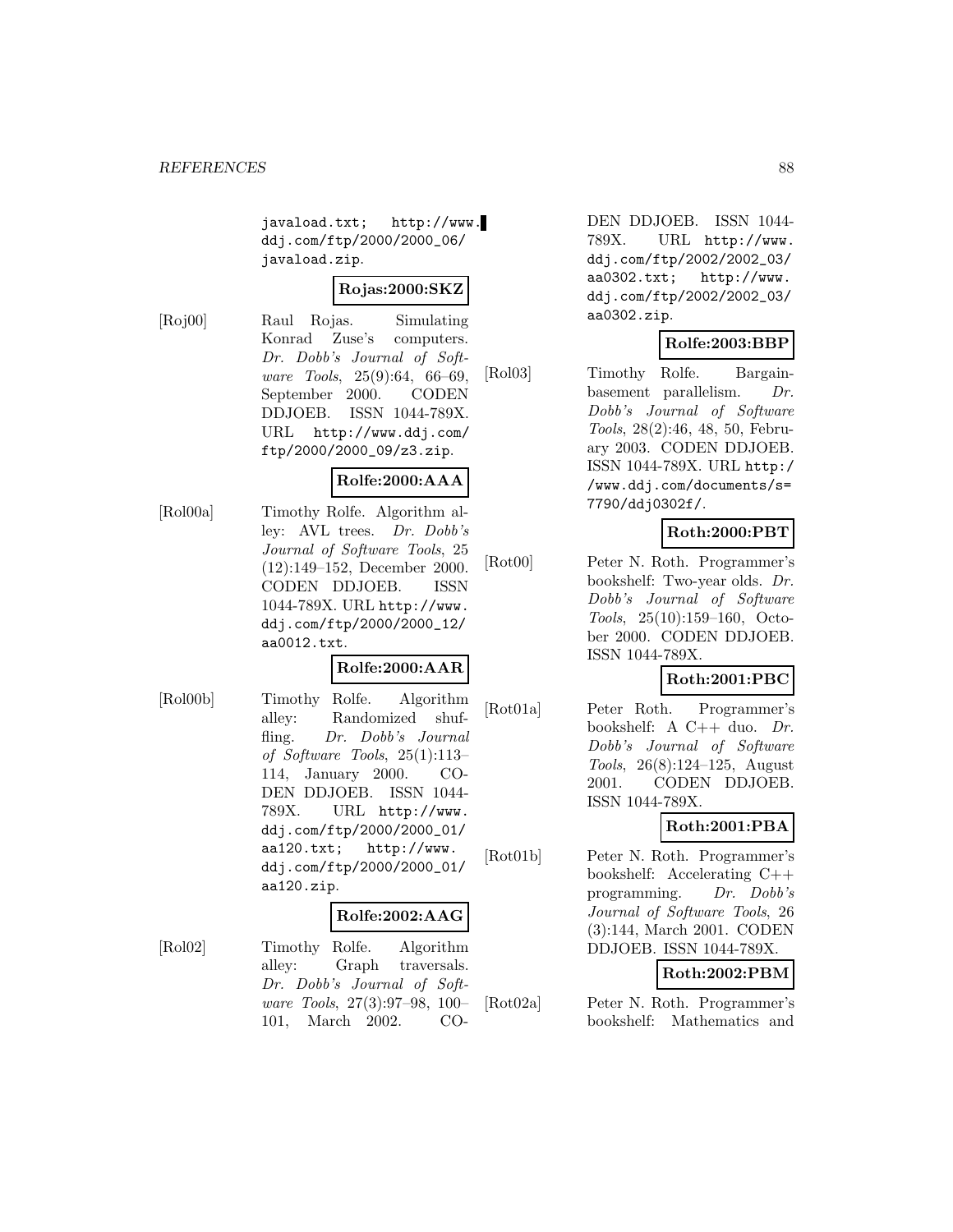javaload.txt; http://www. ddj.com/ftp/2000/2000\_06/ javaload.zip.

## **Rojas:2000:SKZ**

[Roj00] Raul Rojas. Simulating Konrad Zuse's computers. Dr. Dobb's Journal of Software Tools, 25(9):64, 66–69, September 2000. CODEN DDJOEB. ISSN 1044-789X. URL http://www.ddj.com/ ftp/2000/2000\_09/z3.zip.

## **Rolfe:2000:AAA**

[Rol00a] Timothy Rolfe. Algorithm alley: AVL trees. Dr. Dobb's Journal of Software Tools, 25 (12):149–152, December 2000. CODEN DDJOEB. ISSN 1044-789X. URL http://www. ddj.com/ftp/2000/2000\_12/ aa0012.txt.

### **Rolfe:2000:AAR**

[Rol00b] Timothy Rolfe. Algorithm alley: Randomized shuffling. Dr. Dobb's Journal of Software Tools, 25(1):113– 114, January 2000. CO-DEN DDJOEB. ISSN 1044- 789X. URL http://www. ddj.com/ftp/2000/2000\_01/ aa120.txt; http://www. ddj.com/ftp/2000/2000\_01/ aa120.zip.

### **Rolfe:2002:AAG**

[Rol02] Timothy Rolfe. Algorithm alley: Graph traversals. Dr. Dobb's Journal of Software Tools, 27(3):97–98, 100– 101, March 2002. CO-

DEN DDJOEB. ISSN 1044- 789X. URL http://www. ddj.com/ftp/2002/2002\_03/ aa0302.txt; http://www. ddj.com/ftp/2002/2002\_03/ aa0302.zip.

# **Rolfe:2003:BBP**

[Rol03] Timothy Rolfe. Bargainbasement parallelism. Dr. Dobb's Journal of Software Tools, 28(2):46, 48, 50, February 2003. CODEN DDJOEB. ISSN 1044-789X. URL http:/ /www.ddj.com/documents/s= 7790/ddj0302f/.

# **Roth:2000:PBT**

[Rot00] Peter N. Roth. Programmer's bookshelf: Two-year olds. Dr. Dobb's Journal of Software Tools, 25(10):159–160, October 2000. CODEN DDJOEB. ISSN 1044-789X.

## **Roth:2001:PBC**

[Rot01a] Peter Roth. Programmer's bookshelf: A C++ duo. Dr. Dobb's Journal of Software Tools, 26(8):124–125, August 2001. CODEN DDJOEB. ISSN 1044-789X.

# **Roth:2001:PBA**

[Rot01b] Peter N. Roth. Programmer's bookshelf: Accelerating C++ programming. Dr. Dobb's Journal of Software Tools, 26 (3):144, March 2001. CODEN DDJOEB. ISSN 1044-789X.

# **Roth:2002:PBM**

[Rot02a] Peter N. Roth. Programmer's bookshelf: Mathematics and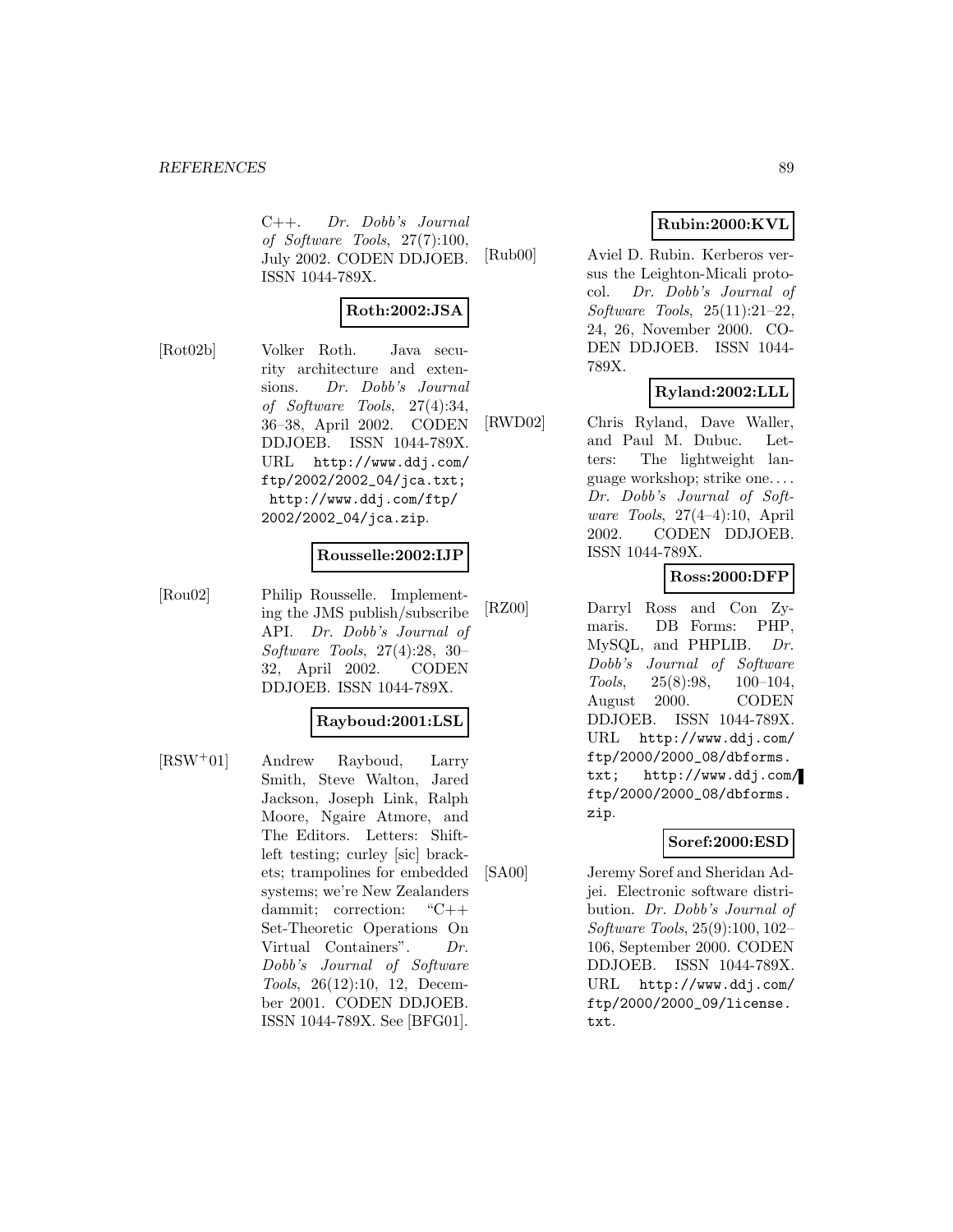C++. Dr. Dobb's Journal of Software Tools, 27(7):100, July 2002. CODEN DDJOEB. ISSN 1044-789X.

$$
{\bf Roth:} 2002{:}JSA
$$

[Rot02b] Volker Roth. Java security architecture and extensions. Dr. Dobb's Journal of Software Tools, 27(4):34, 36–38, April 2002. CODEN DDJOEB. ISSN 1044-789X. URL http://www.ddj.com/ ftp/2002/2002\_04/jca.txt; http://www.ddj.com/ftp/ 2002/2002\_04/jca.zip.

## **Rousselle:2002:IJP**

[Rou02] Philip Rousselle. Implementing the JMS publish/subscribe API. Dr. Dobb's Journal of Software Tools, 27(4):28, 30– 32, April 2002. CODEN DDJOEB. ISSN 1044-789X.

## **Rayboud:2001:LSL**

[RSW<sup>+</sup>01] Andrew Rayboud, Larry Smith, Steve Walton, Jared Jackson, Joseph Link, Ralph Moore, Ngaire Atmore, and The Editors. Letters: Shiftleft testing; curley [sic] brackets; trampolines for embedded systems; we're New Zealanders dammit; correction: "C++ Set-Theoretic Operations On Virtual Containers". Dr. Dobb's Journal of Software Tools, 26(12):10, 12, December 2001. CODEN DDJOEB. ISSN 1044-789X. See [BFG01].

# **Rubin:2000:KVL**

[Rub00] Aviel D. Rubin. Kerberos versus the Leighton-Micali protocol. Dr. Dobb's Journal of Software Tools, 25(11):21–22, 24, 26, November 2000. CO-DEN DDJOEB. ISSN 1044- 789X.

# **Ryland:2002:LLL**

[RWD02] Chris Ryland, Dave Waller, and Paul M. Dubuc. Letters: The lightweight language workshop; strike one. . . . Dr. Dobb's Journal of Software Tools, 27(4–4):10, April 2002. CODEN DDJOEB. ISSN 1044-789X.

## **Ross:2000:DFP**

[RZ00] Darryl Ross and Con Zymaris. DB Forms: PHP, MySQL, and PHPLIB. Dr. Dobb's Journal of Software Tools, 25(8):98, 100–104, August 2000. CODEN DDJOEB. ISSN 1044-789X. URL http://www.ddj.com/ ftp/2000/2000\_08/dbforms. txt; http://www.ddj.com/ ftp/2000/2000\_08/dbforms. zip.

## **Soref:2000:ESD**

[SA00] Jeremy Soref and Sheridan Adjei. Electronic software distribution. Dr. Dobb's Journal of Software Tools, 25(9):100, 102– 106, September 2000. CODEN DDJOEB. ISSN 1044-789X. URL http://www.ddj.com/ ftp/2000/2000\_09/license. txt.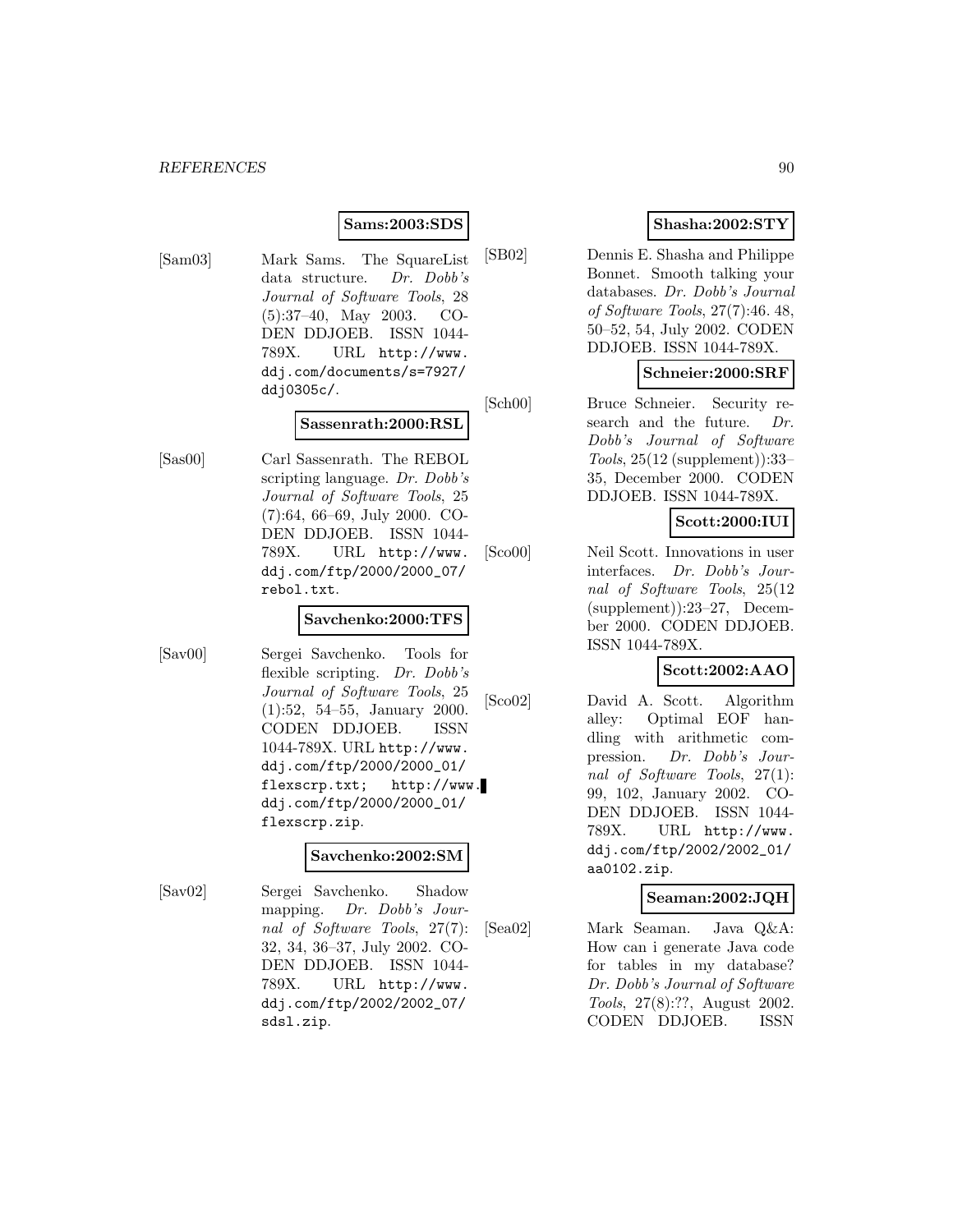## **Sams:2003:SDS**

[Sam03] Mark Sams. The SquareList data structure. Dr. Dobb's Journal of Software Tools, 28 (5):37–40, May 2003. CO-DEN DDJOEB. ISSN 1044- 789X. URL http://www. ddj.com/documents/s=7927/ ddj0305c/.

# **Sassenrath:2000:RSL**

[Sas00] Carl Sassenrath. The REBOL scripting language. Dr. Dobb's Journal of Software Tools, 25 (7):64, 66–69, July 2000. CO-DEN DDJOEB. ISSN 1044- 789X. URL http://www. ddj.com/ftp/2000/2000\_07/ rebol.txt.

### **Savchenko:2000:TFS**

[Sav00] Sergei Savchenko. Tools for flexible scripting. Dr. Dobb's Journal of Software Tools, 25 (1):52, 54–55, January 2000. CODEN DDJOEB. ISSN 1044-789X. URL http://www. ddj.com/ftp/2000/2000\_01/ flexscrp.txt; http://www. ddj.com/ftp/2000/2000\_01/ flexscrp.zip.

### **Savchenko:2002:SM**

[Sav02] Sergei Savchenko. Shadow mapping. Dr. Dobb's Journal of Software Tools, 27(7): 32, 34, 36–37, July 2002. CO-DEN DDJOEB. ISSN 1044- 789X. URL http://www. ddj.com/ftp/2002/2002\_07/ sdsl.zip.

# **Shasha:2002:STY**

[SB02] Dennis E. Shasha and Philippe Bonnet. Smooth talking your databases. Dr. Dobb's Journal of Software Tools, 27(7):46. 48, 50–52, 54, July 2002. CODEN DDJOEB. ISSN 1044-789X.

## **Schneier:2000:SRF**

[Sch00] Bruce Schneier. Security research and the future. Dr. Dobb's Journal of Software Tools, 25(12 (supplement)):33– 35, December 2000. CODEN DDJOEB. ISSN 1044-789X.

# **Scott:2000:IUI**

[Sco00] Neil Scott. Innovations in user interfaces. Dr. Dobb's Journal of Software Tools, 25(12 (supplement)):23–27, December 2000. CODEN DDJOEB. ISSN 1044-789X.

## **Scott:2002:AAO**

[Sco02] David A. Scott. Algorithm alley: Optimal EOF handling with arithmetic compression. Dr. Dobb's Journal of Software Tools, 27(1): 99, 102, January 2002. CO-DEN DDJOEB. ISSN 1044- 789X. URL http://www. ddj.com/ftp/2002/2002\_01/ aa0102.zip.

## **Seaman:2002:JQH**

[Sea02] Mark Seaman. Java Q&A: How can i generate Java code for tables in my database? Dr. Dobb's Journal of Software Tools, 27(8):??, August 2002. CODEN DDJOEB. ISSN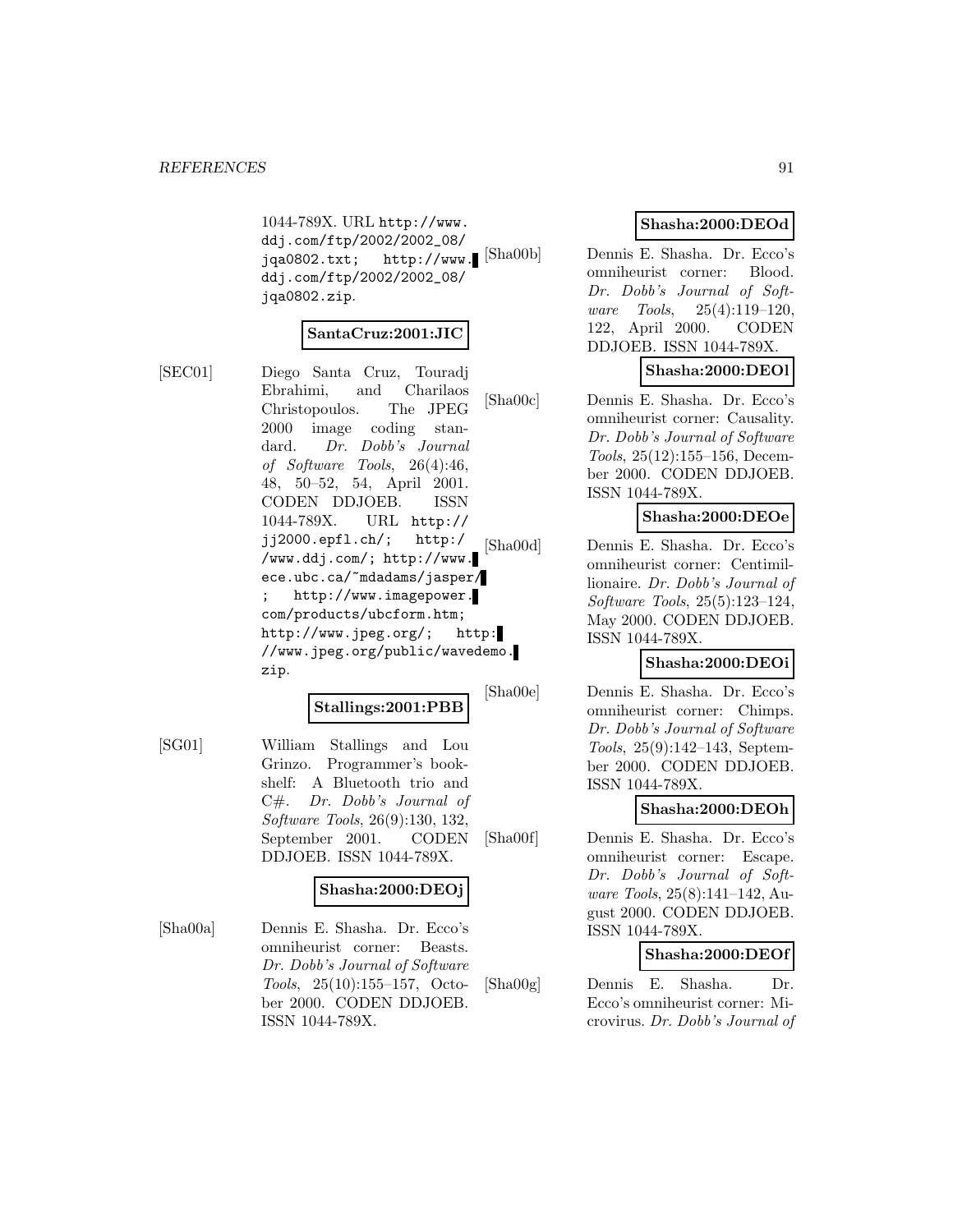1044-789X. URL http://www. ddj.com/ftp/2002/2002\_08/ jqa0802.txt; http://www. [Sha00b] ddj.com/ftp/2002/2002\_08/ jqa0802.zip.

# **SantaCruz:2001:JIC**

[SEC01] Diego Santa Cruz, Touradj Ebrahimi, and Charilaos Christopoulos. The JPEG 2000 image coding standard. Dr. Dobb's Journal of Software Tools, 26(4):46, 48, 50–52, 54, April 2001. CODEN DDJOEB. ISSN 1044-789X. URL http:// jj2000.epfl.ch/; http:/ /www.ddj.com/; http://www. ece.ubc.ca/~mdadams/jasper/ http://www.imagepower. com/products/ubcform.htm; http://www.jpeg.org/; http: //www.jpeg.org/public/wavedemo. zip.

# **Stallings:2001:PBB**

[SG01] William Stallings and Lou Grinzo. Programmer's bookshelf: A Bluetooth trio and C#. Dr. Dobb's Journal of Software Tools, 26(9):130, 132, September 2001. CODEN

DDJOEB. ISSN 1044-789X.

## **Shasha:2000:DEOj**

[Sha00a] Dennis E. Shasha. Dr. Ecco's omniheurist corner: Beasts. Dr. Dobb's Journal of Software Tools, 25(10):155–157, October 2000. CODEN DDJOEB. ISSN 1044-789X.

## **Shasha:2000:DEOd**

Dennis E. Shasha. Dr. Ecco's omniheurist corner: Blood. Dr. Dobb's Journal of Software Tools, 25(4):119–120, 122, April 2000. CODEN DDJOEB. ISSN 1044-789X.

## **Shasha:2000:DEOl**

[Sha00c] Dennis E. Shasha. Dr. Ecco's omniheurist corner: Causality. Dr. Dobb's Journal of Software Tools, 25(12):155–156, December 2000. CODEN DDJOEB. ISSN 1044-789X.

## **Shasha:2000:DEOe**

[Sha00d] Dennis E. Shasha. Dr. Ecco's omniheurist corner: Centimillionaire. Dr. Dobb's Journal of Software Tools, 25(5):123–124, May 2000. CODEN DDJOEB. ISSN 1044-789X.

## **Shasha:2000:DEOi**

[Sha00e] Dennis E. Shasha. Dr. Ecco's omniheurist corner: Chimps. Dr. Dobb's Journal of Software Tools, 25(9):142–143, September 2000. CODEN DDJOEB. ISSN 1044-789X.

### **Shasha:2000:DEOh**

[Sha00f] Dennis E. Shasha. Dr. Ecco's omniheurist corner: Escape. Dr. Dobb's Journal of Software Tools, 25(8):141–142, August 2000. CODEN DDJOEB. ISSN 1044-789X.

## **Shasha:2000:DEOf**

[Sha00g] Dennis E. Shasha. Dr. Ecco's omniheurist corner: Microvirus. Dr. Dobb's Journal of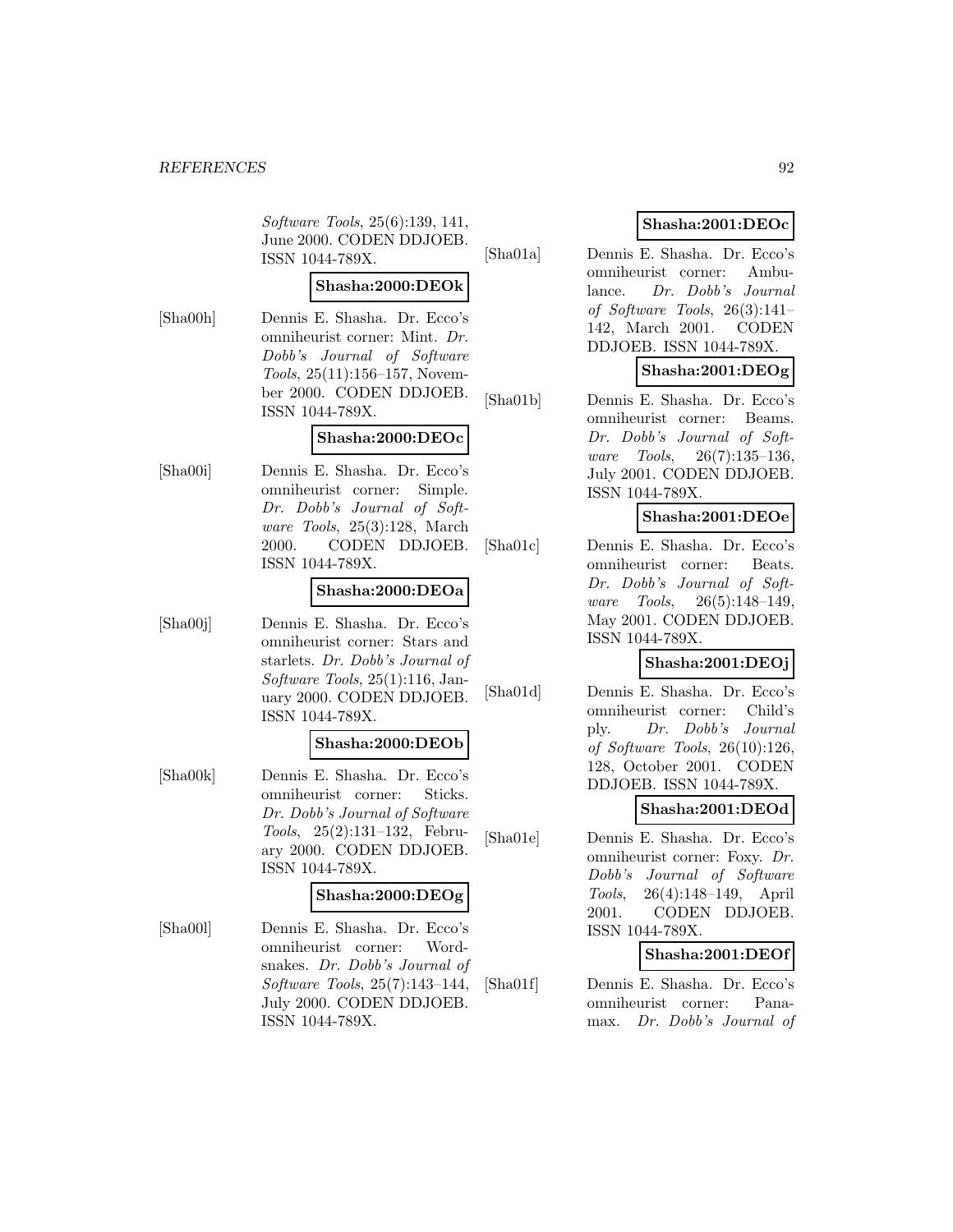Software Tools, 25(6):139, 141, June 2000. CODEN DDJOEB. ISSN 1044-789X.

# **Shasha:2000:DEOk**

[Sha00h] Dennis E. Shasha. Dr. Ecco's omniheurist corner: Mint. Dr. Dobb's Journal of Software Tools, 25(11):156–157, November 2000. CODEN DDJOEB. ISSN 1044-789X.

## **Shasha:2000:DEOc**

[Sha00i] Dennis E. Shasha. Dr. Ecco's omniheurist corner: Simple. Dr. Dobb's Journal of Software Tools, 25(3):128, March 2000. CODEN DDJOEB. ISSN 1044-789X.

### **Shasha:2000:DEOa**

[Sha00j] Dennis E. Shasha. Dr. Ecco's omniheurist corner: Stars and starlets. Dr. Dobb's Journal of Software Tools, 25(1):116, January 2000. CODEN DDJOEB. ISSN 1044-789X.

## **Shasha:2000:DEOb**

[Sha00k] Dennis E. Shasha. Dr. Ecco's omniheurist corner: Sticks. Dr. Dobb's Journal of Software Tools, 25(2):131–132, February 2000. CODEN DDJOEB. ISSN 1044-789X.

### **Shasha:2000:DEOg**

[Sha00l] Dennis E. Shasha. Dr. Ecco's omniheurist corner: Wordsnakes. Dr. Dobb's Journal of Software Tools, 25(7):143–144, July 2000. CODEN DDJOEB. ISSN 1044-789X.

# **Shasha:2001:DEOc**

[Sha01a] Dennis E. Shasha. Dr. Ecco's omniheurist corner: Ambulance. Dr. Dobb's Journal of Software Tools, 26(3):141– 142, March 2001. CODEN DDJOEB. ISSN 1044-789X.

## **Shasha:2001:DEOg**

[Sha01b] Dennis E. Shasha. Dr. Ecco's omniheurist corner: Beams. Dr. Dobb's Journal of Software Tools, 26(7):135–136, July 2001. CODEN DDJOEB. ISSN 1044-789X.

## **Shasha:2001:DEOe**

[Sha01c] Dennis E. Shasha. Dr. Ecco's omniheurist corner: Beats. Dr. Dobb's Journal of Software Tools, 26(5):148–149, May 2001. CODEN DDJOEB. ISSN 1044-789X.

# **Shasha:2001:DEOj**

[Sha01d] Dennis E. Shasha. Dr. Ecco's omniheurist corner: Child's ply. Dr. Dobb's Journal of Software Tools, 26(10):126, 128, October 2001. CODEN DDJOEB. ISSN 1044-789X.

## **Shasha:2001:DEOd**

[Sha01e] Dennis E. Shasha. Dr. Ecco's omniheurist corner: Foxy. Dr. Dobb's Journal of Software Tools, 26(4):148–149, April 2001. CODEN DDJOEB. ISSN 1044-789X.

## **Shasha:2001:DEOf**

[Sha01f] Dennis E. Shasha. Dr. Ecco's omniheurist corner: Panamax. Dr. Dobb's Journal of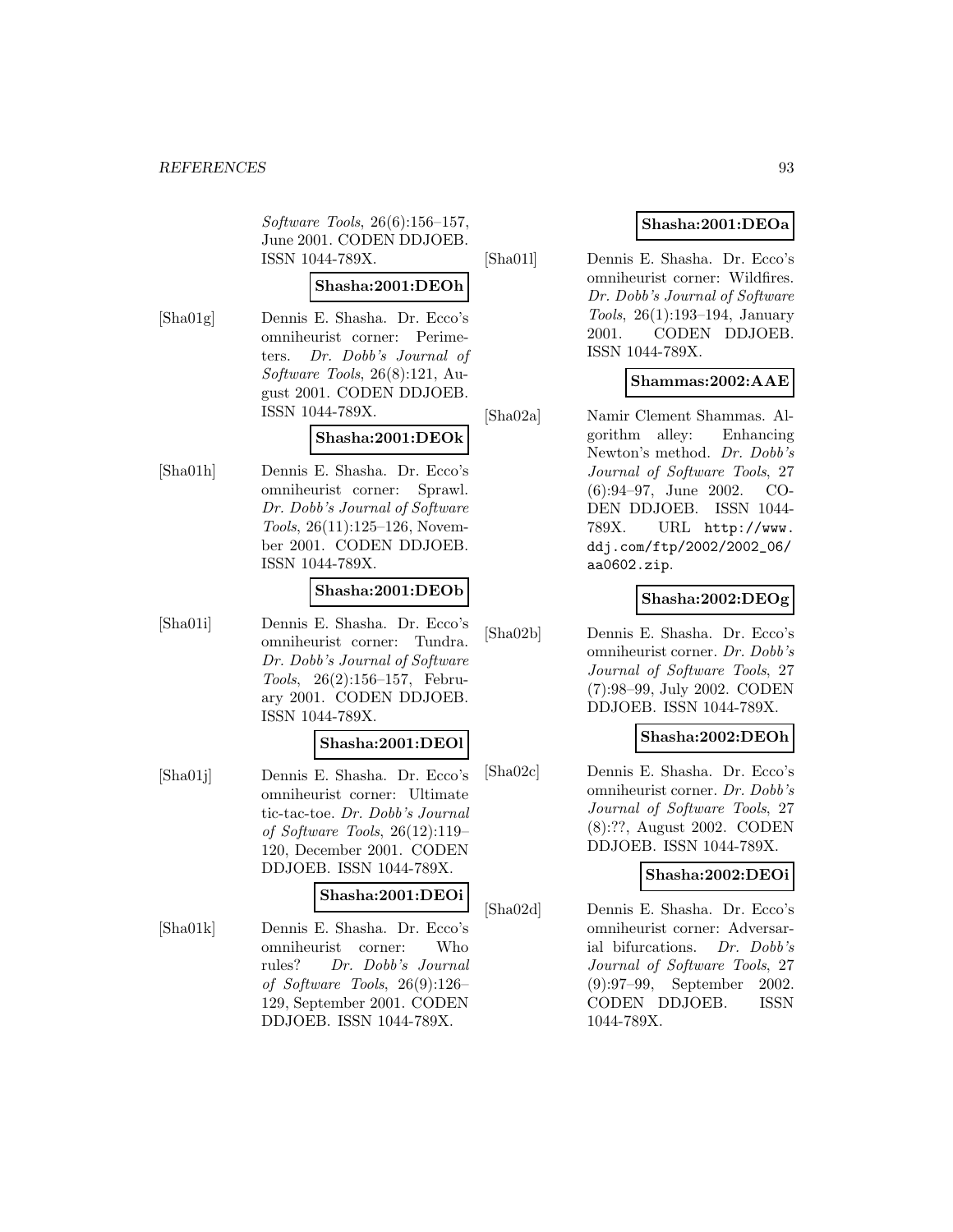Software Tools, 26(6):156–157, June 2001. CODEN DDJOEB. ISSN 1044-789X.

# **Shasha:2001:DEOh**

[Sha01g] Dennis E. Shasha. Dr. Ecco's omniheurist corner: Perimeters. Dr. Dobb's Journal of Software Tools, 26(8):121, August 2001. CODEN DDJOEB. ISSN 1044-789X.

# **Shasha:2001:DEOk**

[Sha01h] Dennis E. Shasha. Dr. Ecco's omniheurist corner: Sprawl. Dr. Dobb's Journal of Software Tools, 26(11):125–126, November 2001. CODEN DDJOEB. ISSN 1044-789X.

## **Shasha:2001:DEOb**

[Sha01i] Dennis E. Shasha. Dr. Ecco's omniheurist corner: Tundra. Dr. Dobb's Journal of Software Tools, 26(2):156–157, February 2001. CODEN DDJOEB. ISSN 1044-789X.

## **Shasha:2001:DEOl**

[Sha01j] Dennis E. Shasha. Dr. Ecco's omniheurist corner: Ultimate tic-tac-toe. Dr. Dobb's Journal of Software Tools, 26(12):119– 120, December 2001. CODEN DDJOEB. ISSN 1044-789X.

## **Shasha:2001:DEOi**

[Sha01k] Dennis E. Shasha. Dr. Ecco's omniheurist corner: Who rules? Dr. Dobb's Journal of Software Tools, 26(9):126– 129, September 2001. CODEN DDJOEB. ISSN 1044-789X.

# **Shasha:2001:DEOa**

[Sha01l] Dennis E. Shasha. Dr. Ecco's omniheurist corner: Wildfires. Dr. Dobb's Journal of Software Tools, 26(1):193–194, January 2001. CODEN DDJOEB. ISSN 1044-789X.

# **Shammas:2002:AAE**

[Sha02a] Namir Clement Shammas. Algorithm alley: Enhancing Newton's method. Dr. Dobb's Journal of Software Tools, 27 (6):94–97, June 2002. CO-DEN DDJOEB. ISSN 1044- 789X. URL http://www. ddj.com/ftp/2002/2002\_06/ aa0602.zip.

# **Shasha:2002:DEOg**

[Sha02b] Dennis E. Shasha. Dr. Ecco's omniheurist corner. Dr. Dobb's Journal of Software Tools, 27 (7):98–99, July 2002. CODEN DDJOEB. ISSN 1044-789X.

# **Shasha:2002:DEOh**

[Sha02c] Dennis E. Shasha. Dr. Ecco's omniheurist corner. Dr. Dobb's Journal of Software Tools, 27 (8):??, August 2002. CODEN DDJOEB. ISSN 1044-789X.

## **Shasha:2002:DEOi**

[Sha02d] Dennis E. Shasha. Dr. Ecco's omniheurist corner: Adversarial bifurcations. Dr. Dobb's Journal of Software Tools, 27 (9):97–99, September 2002. CODEN DDJOEB. ISSN 1044-789X.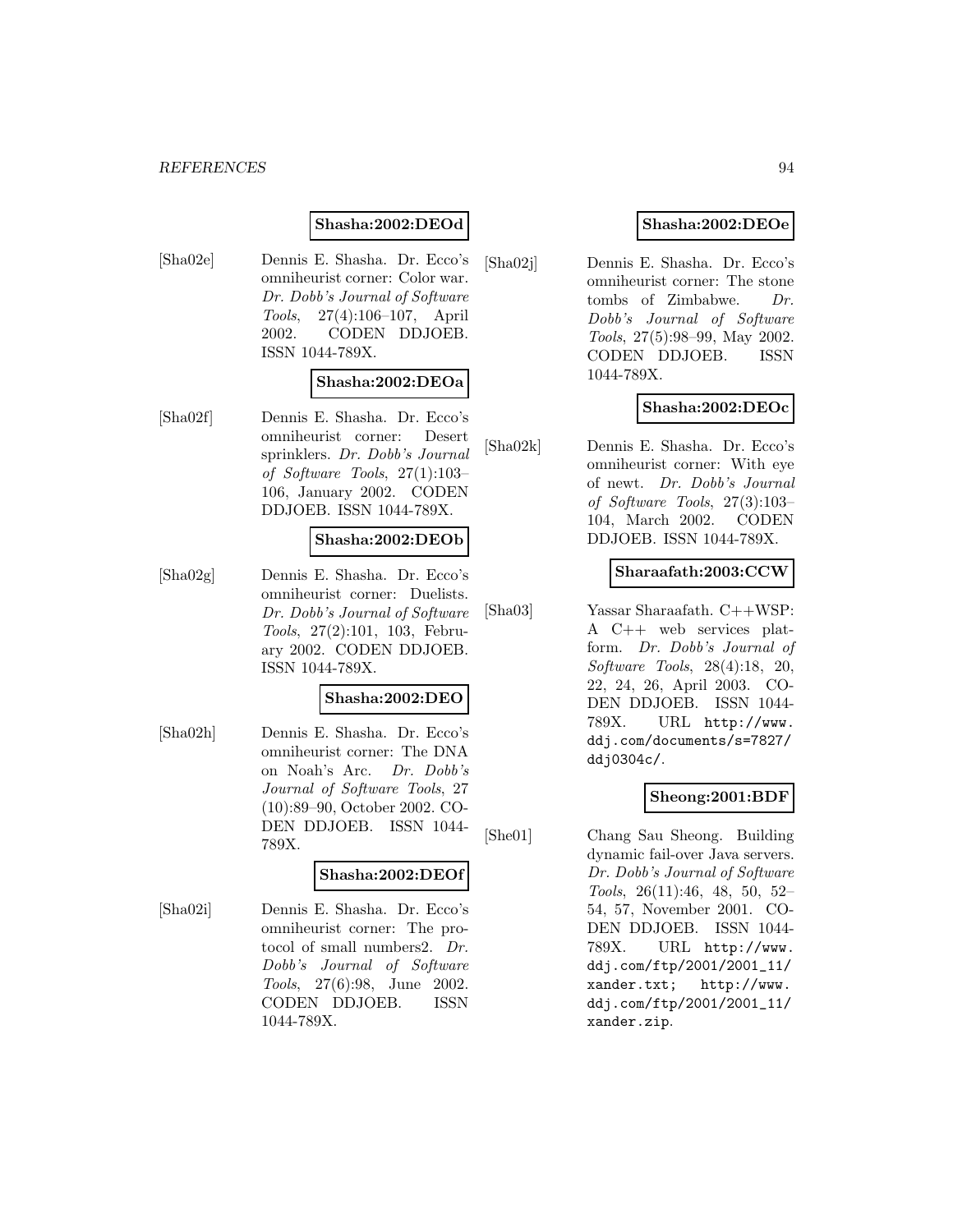## **Shasha:2002:DEOd**

[Sha02e] Dennis E. Shasha. Dr. Ecco's omniheurist corner: Color war. Dr. Dobb's Journal of Software Tools, 27(4):106–107, April 2002. CODEN DDJOEB. ISSN 1044-789X.

## **Shasha:2002:DEOa**

[Sha02f] Dennis E. Shasha. Dr. Ecco's omniheurist corner: Desert sprinklers. Dr. Dobb's Journal of Software Tools, 27(1):103– 106, January 2002. CODEN DDJOEB. ISSN 1044-789X.

## **Shasha:2002:DEOb**

[Sha02g] Dennis E. Shasha. Dr. Ecco's omniheurist corner: Duelists. Dr. Dobb's Journal of Software Tools, 27(2):101, 103, February 2002. CODEN DDJOEB. ISSN 1044-789X.

### **Shasha:2002:DEO**

[Sha02h] Dennis E. Shasha. Dr. Ecco's omniheurist corner: The DNA on Noah's Arc. Dr. Dobb's Journal of Software Tools, 27 (10):89–90, October 2002. CO-DEN DDJOEB. ISSN 1044- 789X.

#### **Shasha:2002:DEOf**

[Sha02i] Dennis E. Shasha. Dr. Ecco's omniheurist corner: The protocol of small numbers2. Dr. Dobb's Journal of Software Tools, 27(6):98, June 2002. CODEN DDJOEB. ISSN 1044-789X.

## **Shasha:2002:DEOe**

[Sha02j] Dennis E. Shasha. Dr. Ecco's omniheurist corner: The stone tombs of Zimbabwe. Dr. Dobb's Journal of Software Tools, 27(5):98–99, May 2002. CODEN DDJOEB. ISSN 1044-789X.

## **Shasha:2002:DEOc**

[Sha02k] Dennis E. Shasha. Dr. Ecco's omniheurist corner: With eye of newt. Dr. Dobb's Journal of Software Tools, 27(3):103– 104, March 2002. CODEN DDJOEB. ISSN 1044-789X.

### **Sharaafath:2003:CCW**

[Sha03] Yassar Sharaafath. C++WSP: A C++ web services platform. Dr. Dobb's Journal of Software Tools, 28(4):18, 20, 22, 24, 26, April 2003. CO-DEN DDJOEB. ISSN 1044- 789X. URL http://www. ddj.com/documents/s=7827/ ddj0304c/.

## **Sheong:2001:BDF**

[She01] Chang Sau Sheong. Building dynamic fail-over Java servers. Dr. Dobb's Journal of Software Tools, 26(11):46, 48, 50, 52– 54, 57, November 2001. CO-DEN DDJOEB. ISSN 1044- 789X. URL http://www. ddj.com/ftp/2001/2001\_11/ xander.txt; http://www. ddj.com/ftp/2001/2001\_11/ xander.zip.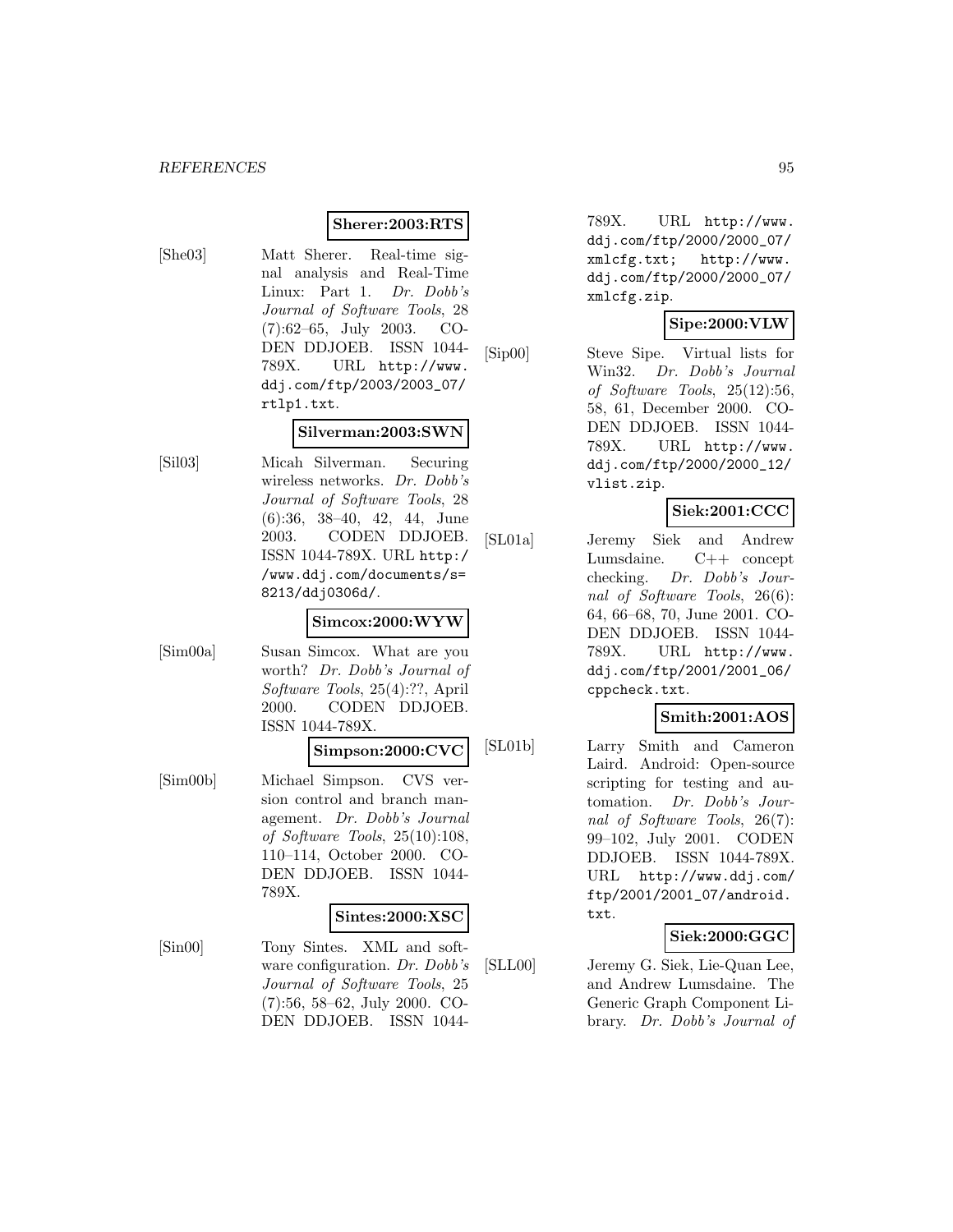## **Sherer:2003:RTS**

- 
- [She03] Matt Sherer. Real-time signal analysis and Real-Time Linux: Part 1. Dr. Dobb's Journal of Software Tools, 28 (7):62–65, July 2003. CO-DEN DDJOEB. ISSN 1044- 789X. URL http://www. ddj.com/ftp/2003/2003\_07/ rtlp1.txt.

### **Silverman:2003:SWN**

[Sil03] Micah Silverman. Securing wireless networks. Dr. Dobb's Journal of Software Tools, 28 (6):36, 38–40, 42, 44, June 2003. CODEN DDJOEB. ISSN 1044-789X. URL http:/ /www.ddj.com/documents/s= 8213/ddj0306d/.

### **Simcox:2000:WYW**

[Sim00a] Susan Simcox. What are you worth? Dr. Dobb's Journal of Software Tools, 25(4):??, April 2000. CODEN DDJOEB. ISSN 1044-789X.

### **Simpson:2000:CVC**

[Sim00b] Michael Simpson. CVS version control and branch management. Dr. Dobb's Journal of Software Tools, 25(10):108, 110–114, October 2000. CO-DEN DDJOEB. ISSN 1044- 789X.

### **Sintes:2000:XSC**

[Sin00] Tony Sintes. XML and software configuration. Dr. Dobb's Journal of Software Tools, 25 (7):56, 58–62, July 2000. CO-DEN DDJOEB. ISSN 1044-

789X. URL http://www. ddj.com/ftp/2000/2000\_07/ xmlcfg.txt; http://www. ddj.com/ftp/2000/2000\_07/ xmlcfg.zip.

## **Sipe:2000:VLW**

[Sip00] Steve Sipe. Virtual lists for Win32. Dr. Dobb's Journal of Software Tools, 25(12):56, 58, 61, December 2000. CO-DEN DDJOEB. ISSN 1044- 789X. URL http://www. ddj.com/ftp/2000/2000\_12/ vlist.zip.

# **Siek:2001:CCC**

[SL01a] Jeremy Siek and Andrew Lumsdaine. C++ concept checking. Dr. Dobb's Journal of Software Tools, 26(6): 64, 66–68, 70, June 2001. CO-DEN DDJOEB. ISSN 1044- 789X. URL http://www. ddj.com/ftp/2001/2001\_06/ cppcheck.txt.

# **Smith:2001:AOS**

[SL01b] Larry Smith and Cameron Laird. Android: Open-source scripting for testing and automation. Dr. Dobb's Journal of Software Tools, 26(7): 99–102, July 2001. CODEN DDJOEB. ISSN 1044-789X. URL http://www.ddj.com/ ftp/2001/2001\_07/android. txt.

## **Siek:2000:GGC**

[SLL00] Jeremy G. Siek, Lie-Quan Lee, and Andrew Lumsdaine. The Generic Graph Component Library. Dr. Dobb's Journal of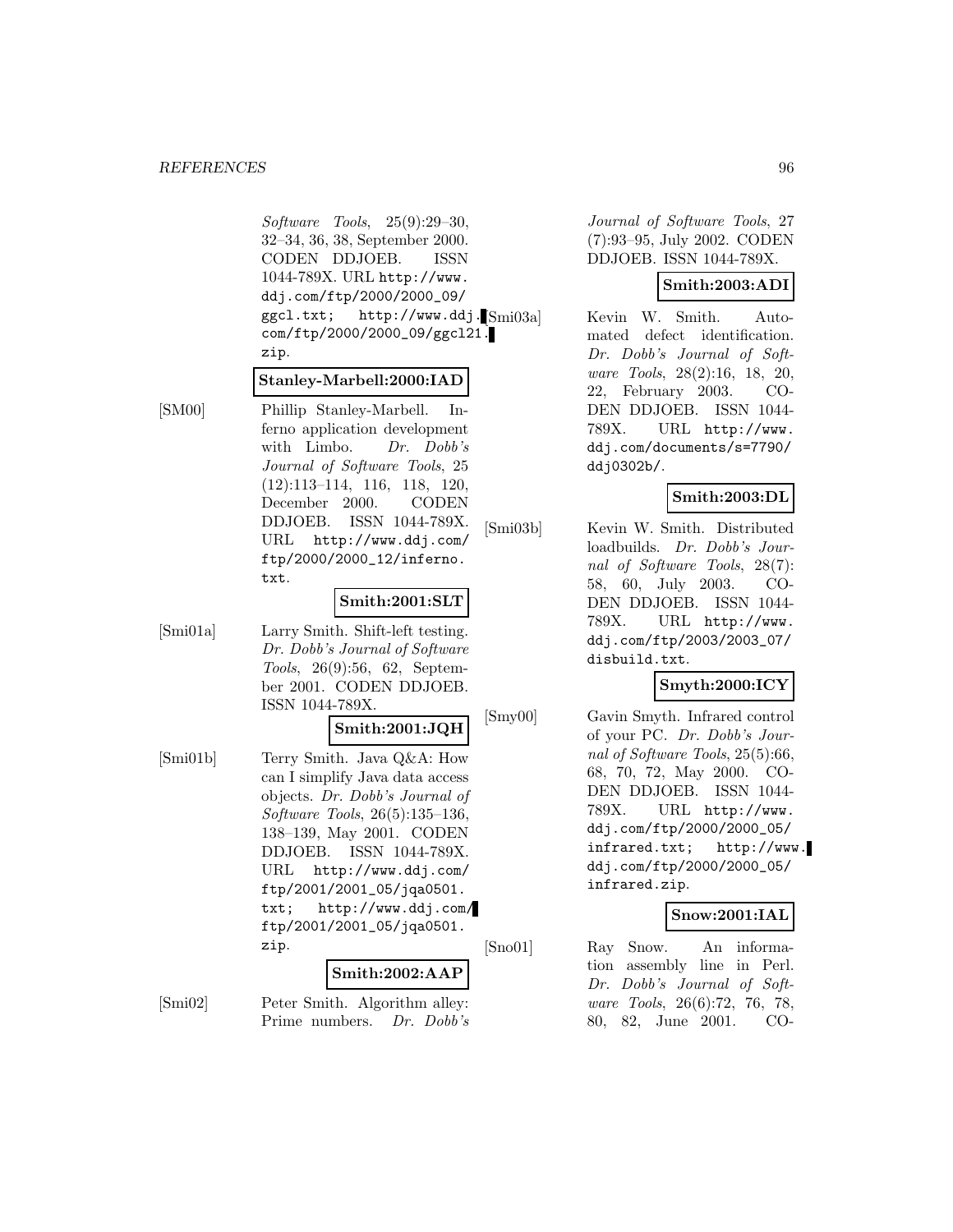Software Tools, 25(9):29–30, 32–34, 36, 38, September 2000. CODEN DDJOEB. ISSN 1044-789X. URL http://www. ddj.com/ftp/2000/2000\_09/ ggcl.txt; http://www.ddj. Smi03a com/ftp/2000/2000\_09/ggcl21. zip.

### **Stanley-Marbell:2000:IAD**

[SM00] Phillip Stanley-Marbell. Inferno application development with Limbo. Dr. Dobb's Journal of Software Tools, 25 (12):113–114, 116, 118, 120, December 2000. CODEN DDJOEB. ISSN 1044-789X. URL http://www.ddj.com/ ftp/2000/2000\_12/inferno. txt.

### **Smith:2001:SLT**

[Smi01a] Larry Smith. Shift-left testing. Dr. Dobb's Journal of Software Tools, 26(9):56, 62, September 2001. CODEN DDJOEB. ISSN 1044-789X.

# **Smith:2001:JQH**

[Smi01b] Terry Smith. Java Q&A: How can I simplify Java data access objects. Dr. Dobb's Journal of Software Tools, 26(5):135–136, 138–139, May 2001. CODEN DDJOEB. ISSN 1044-789X. URL http://www.ddj.com/ ftp/2001/2001\_05/jqa0501. txt; http://www.ddj.com/ ftp/2001/2001\_05/jqa0501. zip.

### **Smith:2002:AAP**

[Smi02] Peter Smith. Algorithm alley: Prime numbers. Dr. Dobb's Journal of Software Tools, 27 (7):93–95, July 2002. CODEN DDJOEB. ISSN 1044-789X.

## **Smith:2003:ADI**

Kevin W. Smith. Automated defect identification. Dr. Dobb's Journal of Software Tools, 28(2):16, 18, 20, 22, February 2003. CO-DEN DDJOEB. ISSN 1044- 789X. URL http://www. ddj.com/documents/s=7790/ ddj0302b/.

## **Smith:2003:DL**

[Smi03b] Kevin W. Smith. Distributed loadbuilds. Dr. Dobb's Journal of Software Tools, 28(7): 58, 60, July 2003. CO-DEN DDJOEB. ISSN 1044- 789X. URL http://www. ddj.com/ftp/2003/2003\_07/ disbuild.txt.

# **Smyth:2000:ICY**

[Smy00] Gavin Smyth. Infrared control of your PC. Dr. Dobb's Journal of Software Tools, 25(5):66, 68, 70, 72, May 2000. CO-DEN DDJOEB. ISSN 1044- 789X. URL http://www. ddj.com/ftp/2000/2000\_05/ infrared.txt; http://www. ddj.com/ftp/2000/2000\_05/ infrared.zip.

## **Snow:2001:IAL**

[Sno01] Ray Snow. An information assembly line in Perl. Dr. Dobb's Journal of Software Tools, 26(6):72, 76, 78, 80, 82, June 2001. CO-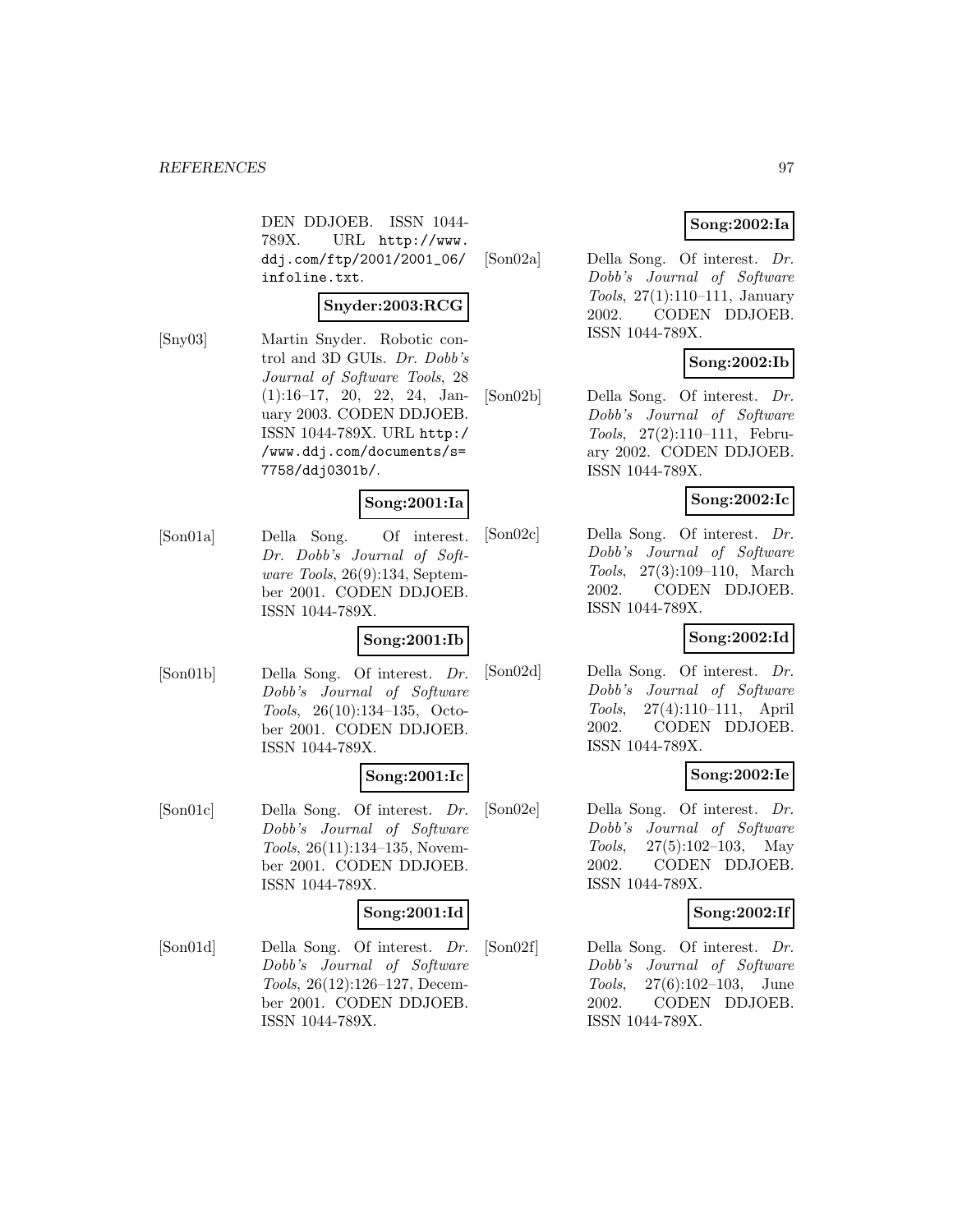DEN DDJOEB. ISSN 1044- 789X. URL http://www. ddj.com/ftp/2001/2001\_06/ infoline.txt.

## **Snyder:2003:RCG**

[Sny03] Martin Snyder. Robotic control and 3D GUIs. Dr. Dobb's Journal of Software Tools, 28 (1):16–17, 20, 22, 24, January 2003. CODEN DDJOEB. ISSN 1044-789X. URL http:/ /www.ddj.com/documents/s= 7758/ddj0301b/.

## **Song:2001:Ia**

[Son01a] Della Song. Of interest. Dr. Dobb's Journal of Software Tools, 26(9):134, September 2001. CODEN DDJOEB. ISSN 1044-789X.

## **Song:2001:Ib**

[Son01b] Della Song. Of interest. Dr. Dobb's Journal of Software Tools, 26(10):134–135, October 2001. CODEN DDJOEB. ISSN 1044-789X.

## **Song:2001:Ic**

[Son01c] Della Song. Of interest. Dr. Dobb's Journal of Software Tools, 26(11):134–135, November 2001. CODEN DDJOEB. ISSN 1044-789X.

## **Song:2001:Id**

[Son01d] Della Song. Of interest. Dr. Dobb's Journal of Software Tools, 26(12):126–127, December 2001. CODEN DDJOEB. ISSN 1044-789X.

## **Song:2002:Ia**

[Son02a] Della Song. Of interest. Dr. Dobb's Journal of Software Tools, 27(1):110–111, January 2002. CODEN DDJOEB. ISSN 1044-789X.

# **Song:2002:Ib**

[Son02b] Della Song. Of interest. Dr. Dobb's Journal of Software Tools, 27(2):110–111, February 2002. CODEN DDJOEB. ISSN 1044-789X.

## **Song:2002:Ic**

[Son02c] Della Song. Of interest. Dr. Dobb's Journal of Software Tools, 27(3):109–110, March 2002. CODEN DDJOEB. ISSN 1044-789X.

## **Song:2002:Id**

[Son02d] Della Song. Of interest. Dr. Dobb's Journal of Software Tools, 27(4):110–111, April 2002. CODEN DDJOEB. ISSN 1044-789X.

## **Song:2002:Ie**

[Son02e] Della Song. Of interest. Dr. Dobb's Journal of Software Tools, 27(5):102–103, May 2002. CODEN DDJOEB. ISSN 1044-789X.

## **Song:2002:If**

[Son02f] Della Song. Of interest. Dr. Dobb's Journal of Software Tools, 27(6):102–103, June 2002. CODEN DDJOEB. ISSN 1044-789X.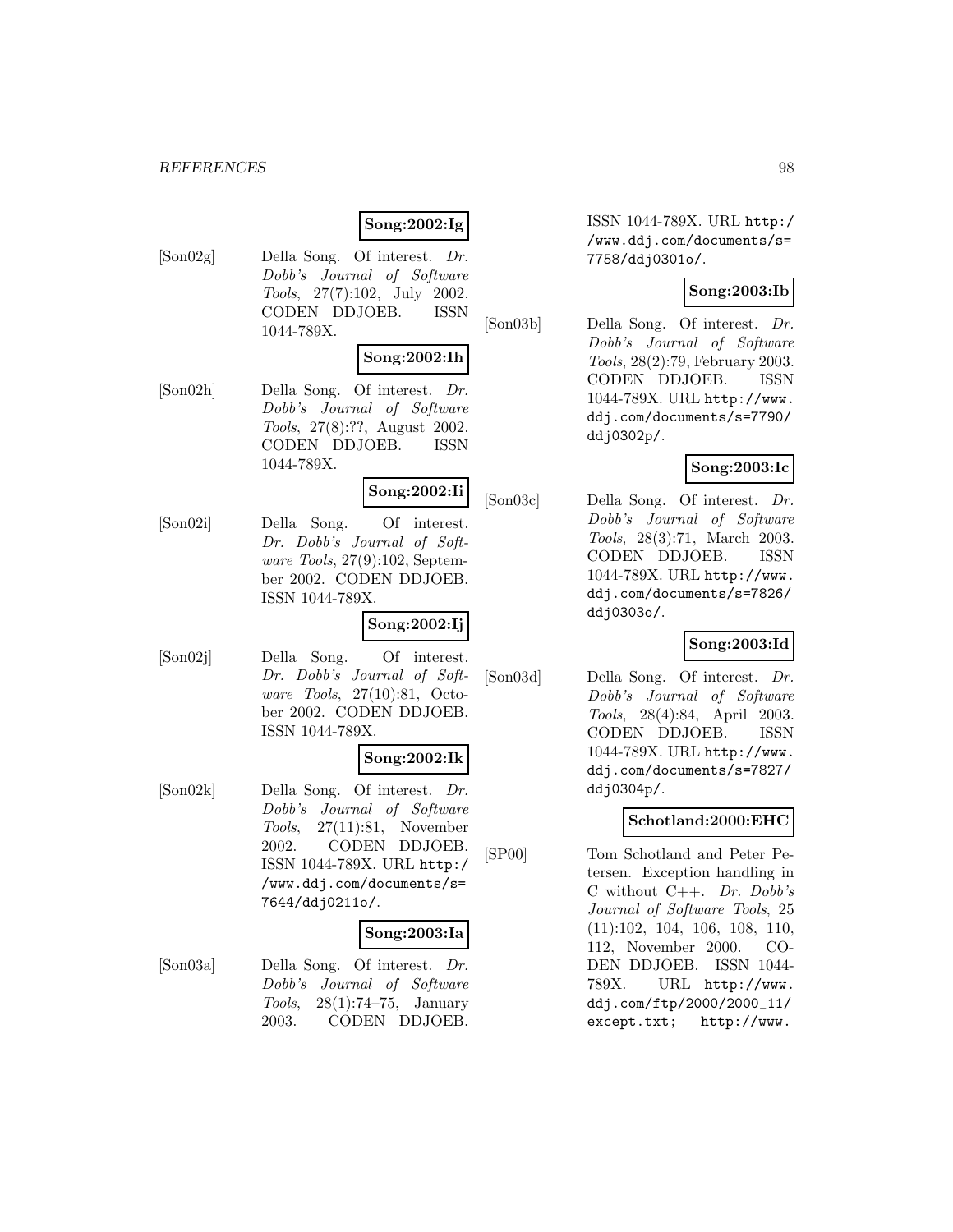# **Song:2002:Ig**

[Son02g] Della Song. Of interest. Dr. Dobb's Journal of Software Tools, 27(7):102, July 2002. CODEN DDJOEB. ISSN 1044-789X.

## **Song:2002:Ih**

[Son02h] Della Song. Of interest. Dr. Dobb's Journal of Software Tools, 27(8):??, August 2002. CODEN DDJOEB. ISSN 1044-789X.

# **Song:2002:Ii**

[Son02i] Della Song. Of interest. Dr. Dobb's Journal of Software Tools, 27(9):102, September 2002. CODEN DDJOEB. ISSN 1044-789X.

## **Song:2002:Ij**

[Son02j] Della Song. Of interest. Dr. Dobb's Journal of Software Tools, 27(10):81, October 2002. CODEN DDJOEB. ISSN 1044-789X.

## **Song:2002:Ik**

[Son02k] Della Song. Of interest. Dr. Dobb's Journal of Software Tools, 27(11):81, November 2002. CODEN DDJOEB. ISSN 1044-789X. URL http:/ /www.ddj.com/documents/s= 7644/ddj0211o/.

## **Song:2003:Ia**

[Son03a] Della Song. Of interest. Dr. Dobb's Journal of Software Tools, 28(1):74–75, January 2003. CODEN DDJOEB.

ISSN 1044-789X. URL http:/ /www.ddj.com/documents/s= 7758/ddj0301o/.

## **Song:2003:Ib**

[Son03b] Della Song. Of interest. Dr. Dobb's Journal of Software Tools, 28(2):79, February 2003. CODEN DDJOEB. ISSN 1044-789X. URL http://www. ddj.com/documents/s=7790/ ddj0302p/.

### **Song:2003:Ic**

[Son03c] Della Song. Of interest. Dr. Dobb's Journal of Software Tools, 28(3):71, March 2003. CODEN DDJOEB. ISSN 1044-789X. URL http://www. ddj.com/documents/s=7826/ ddj0303o/.

### **Song:2003:Id**

[Son03d] Della Song. Of interest. Dr. Dobb's Journal of Software Tools, 28(4):84, April 2003. CODEN DDJOEB. ISSN 1044-789X. URL http://www. ddj.com/documents/s=7827/ ddj0304p/.

# **Schotland:2000:EHC**

[SP00] Tom Schotland and Peter Petersen. Exception handling in C without C++.  $Dr. Dobb's$ Journal of Software Tools, 25 (11):102, 104, 106, 108, 110, 112, November 2000. CO-DEN DDJOEB. ISSN 1044- 789X. URL http://www. ddj.com/ftp/2000/2000\_11/ except.txt; http://www.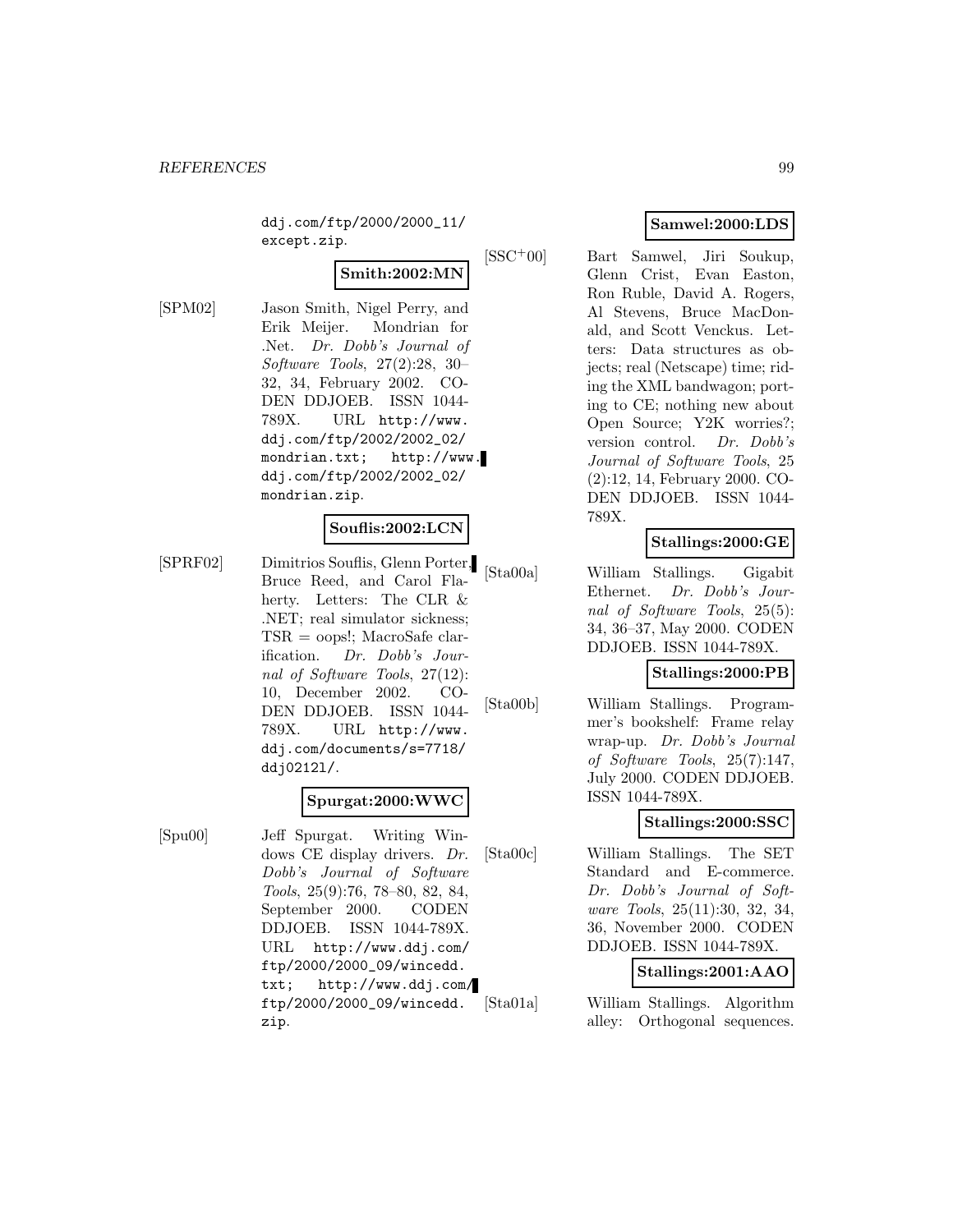ddj.com/ftp/2000/2000\_11/ except.zip.

# **Smith:2002:MN**

[SPM02] Jason Smith, Nigel Perry, and Erik Meijer. Mondrian for .Net. Dr. Dobb's Journal of Software Tools, 27(2):28, 30– 32, 34, February 2002. CO-DEN DDJOEB. ISSN 1044- 789X. URL http://www. ddj.com/ftp/2002/2002\_02/ mondrian.txt; http://www. ddj.com/ftp/2002/2002\_02/ mondrian.zip.

## **Souflis:2002:LCN**

[SPRF02] Dimitrios Souflis, Glenn Porter, Bruce Reed, and Carol Flaherty. Letters: The CLR & .NET; real simulator sickness; TSR = oops!; MacroSafe clarification. Dr. Dobb's Journal of Software Tools, 27(12): 10, December 2002. CO-DEN DDJOEB. ISSN 1044- 789X. URL http://www. ddj.com/documents/s=7718/ ddj0212l/.

### **Spurgat:2000:WWC**

[Spu00] Jeff Spurgat. Writing Windows CE display drivers. Dr. Dobb's Journal of Software Tools, 25(9):76, 78–80, 82, 84, September 2000. CODEN DDJOEB. ISSN 1044-789X. URL http://www.ddj.com/ ftp/2000/2000\_09/wincedd. txt; http://www.ddj.com/ ftp/2000/2000\_09/wincedd. zip.

# **Samwel:2000:LDS**

[SSC<sup>+</sup>00] Bart Samwel, Jiri Soukup, Glenn Crist, Evan Easton, Ron Ruble, David A. Rogers, Al Stevens, Bruce MacDonald, and Scott Venckus. Letters: Data structures as objects; real (Netscape) time; riding the XML bandwagon; porting to CE; nothing new about Open Source; Y2K worries?; version control. Dr. Dobb's Journal of Software Tools, 25 (2):12, 14, February 2000. CO-DEN DDJOEB. ISSN 1044- 789X.

## **Stallings:2000:GE**

[Sta00a] William Stallings. Gigabit Ethernet. Dr. Dobb's Journal of Software Tools, 25(5): 34, 36–37, May 2000. CODEN DDJOEB. ISSN 1044-789X.

## **Stallings:2000:PB**

[Sta00b] William Stallings. Programmer's bookshelf: Frame relay wrap-up. Dr. Dobb's Journal of Software Tools, 25(7):147, July 2000. CODEN DDJOEB. ISSN 1044-789X.

## **Stallings:2000:SSC**

[Sta00c] William Stallings. The SET Standard and E-commerce. Dr. Dobb's Journal of Software Tools, 25(11):30, 32, 34, 36, November 2000. CODEN DDJOEB. ISSN 1044-789X.

## **Stallings:2001:AAO**

[Sta01a] William Stallings. Algorithm alley: Orthogonal sequences.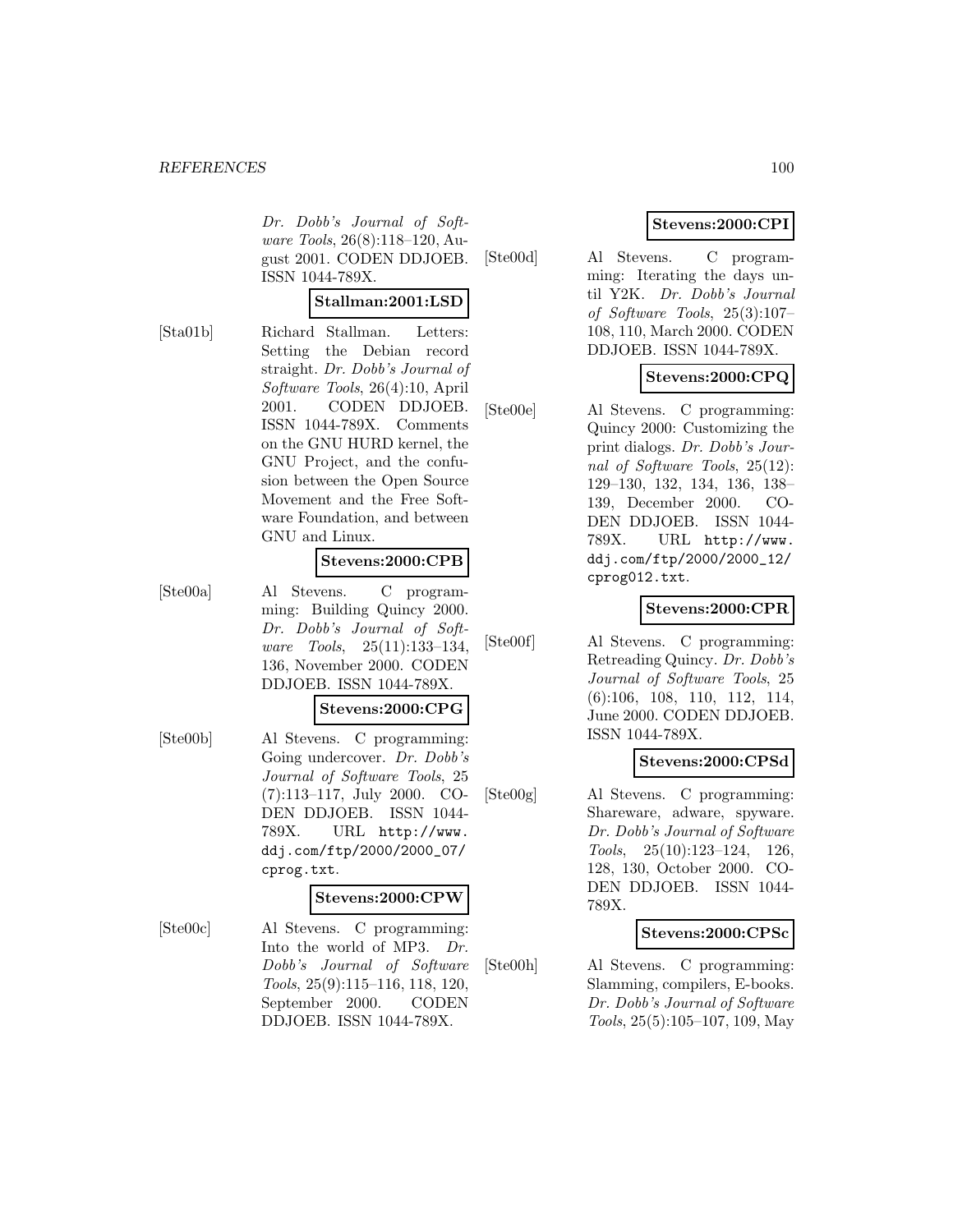Dr. Dobb's Journal of Software Tools, 26(8):118–120, August 2001. CODEN DDJOEB. ISSN 1044-789X.

## **Stallman:2001:LSD**

[Sta01b] Richard Stallman. Letters: Setting the Debian record straight. Dr. Dobb's Journal of Software Tools, 26(4):10, April 2001. CODEN DDJOEB. ISSN 1044-789X. Comments on the GNU HURD kernel, the GNU Project, and the confusion between the Open Source Movement and the Free Software Foundation, and between GNU and Linux.

### **Stevens:2000:CPB**

[Ste00a] Al Stevens. C programming: Building Quincy 2000. Dr. Dobb's Journal of Software Tools, 25(11):133–134, 136, November 2000. CODEN DDJOEB. ISSN 1044-789X.

### **Stevens:2000:CPG**

[Ste00b] Al Stevens. C programming: Going undercover. Dr. Dobb's Journal of Software Tools, 25 (7):113–117, July 2000. CO-DEN DDJOEB. ISSN 1044- 789X. URL http://www. ddj.com/ftp/2000/2000\_07/ cprog.txt.

### **Stevens:2000:CPW**

[Ste00c] Al Stevens. C programming: Into the world of MP3. Dr. Dobb's Journal of Software Tools, 25(9):115–116, 118, 120, September 2000. CODEN DDJOEB. ISSN 1044-789X.

## **Stevens:2000:CPI**

[Ste00d] Al Stevens. C programming: Iterating the days until Y2K. Dr. Dobb's Journal of Software Tools, 25(3):107– 108, 110, March 2000. CODEN DDJOEB. ISSN 1044-789X.

## **Stevens:2000:CPQ**

[Ste00e] Al Stevens. C programming: Quincy 2000: Customizing the print dialogs. Dr. Dobb's Journal of Software Tools, 25(12): 129–130, 132, 134, 136, 138– 139, December 2000. CO-DEN DDJOEB. ISSN 1044- 789X. URL http://www. ddj.com/ftp/2000/2000\_12/ cprog012.txt.

## **Stevens:2000:CPR**

[Ste00f] Al Stevens. C programming: Retreading Quincy. Dr. Dobb's Journal of Software Tools, 25 (6):106, 108, 110, 112, 114, June 2000. CODEN DDJOEB. ISSN 1044-789X.

## **Stevens:2000:CPSd**

[Ste00g] Al Stevens. C programming: Shareware, adware, spyware. Dr. Dobb's Journal of Software Tools, 25(10):123–124, 126, 128, 130, October 2000. CO-DEN DDJOEB. ISSN 1044- 789X.

## **Stevens:2000:CPSc**

[Ste00h] Al Stevens. C programming: Slamming, compilers, E-books. Dr. Dobb's Journal of Software Tools, 25(5):105–107, 109, May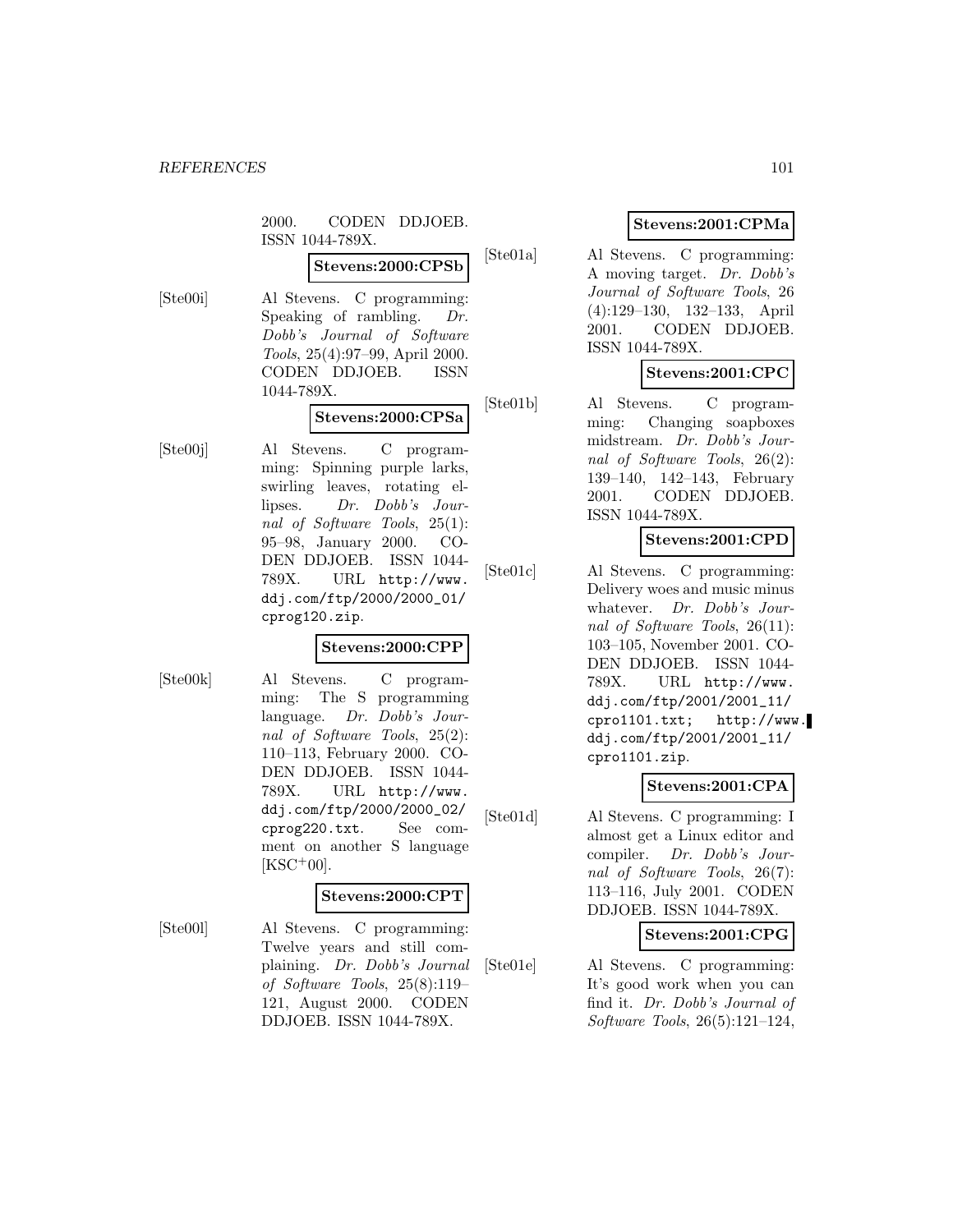2000. CODEN DDJOEB. ISSN 1044-789X.

# **Stevens:2000:CPSb**

[Ste00i] Al Stevens. C programming: Speaking of rambling. Dr. Dobb's Journal of Software Tools, 25(4):97–99, April 2000. CODEN DDJOEB. ISSN 1044-789X.

### **Stevens:2000:CPSa**

[Ste00j] Al Stevens. C programming: Spinning purple larks, swirling leaves, rotating ellipses. Dr. Dobb's Journal of Software Tools, 25(1): 95–98, January 2000. CO-DEN DDJOEB. ISSN 1044- 789X. URL http://www. ddj.com/ftp/2000/2000\_01/ cprog120.zip.

### **Stevens:2000:CPP**

[Ste00k] Al Stevens. C programming: The S programming language. Dr. Dobb's Journal of Software Tools, 25(2): 110–113, February 2000. CO-DEN DDJOEB. ISSN 1044- 789X. URL http://www. ddj.com/ftp/2000/2000\_02/ cprog220.txt. See comment on another S language  $[KSC<sup>+</sup>00].$ 

## **Stevens:2000:CPT**

[Ste00l] Al Stevens. C programming: Twelve years and still complaining. Dr. Dobb's Journal of Software Tools, 25(8):119– 121, August 2000. CODEN DDJOEB. ISSN 1044-789X.

## **Stevens:2001:CPMa**

[Ste01a] Al Stevens. C programming: A moving target. Dr. Dobb's Journal of Software Tools, 26 (4):129–130, 132–133, April 2001. CODEN DDJOEB. ISSN 1044-789X.

## **Stevens:2001:CPC**

[Ste01b] Al Stevens. C programming: Changing soapboxes midstream. Dr. Dobb's Journal of Software Tools, 26(2): 139–140, 142–143, February 2001. CODEN DDJOEB. ISSN 1044-789X.

## **Stevens:2001:CPD**

[Ste01c] Al Stevens. C programming: Delivery woes and music minus whatever. Dr. Dobb's Journal of Software Tools, 26(11): 103–105, November 2001. CO-DEN DDJOEB. ISSN 1044- 789X. URL http://www. ddj.com/ftp/2001/2001\_11/ cpro1101.txt; http://www. ddj.com/ftp/2001/2001\_11/ cpro1101.zip.

## **Stevens:2001:CPA**

[Ste01d] Al Stevens. C programming: I almost get a Linux editor and compiler. Dr. Dobb's Journal of Software Tools, 26(7): 113–116, July 2001. CODEN DDJOEB. ISSN 1044-789X.

## **Stevens:2001:CPG**

[Ste01e] Al Stevens. C programming: It's good work when you can find it. Dr. Dobb's Journal of Software Tools, 26(5):121–124,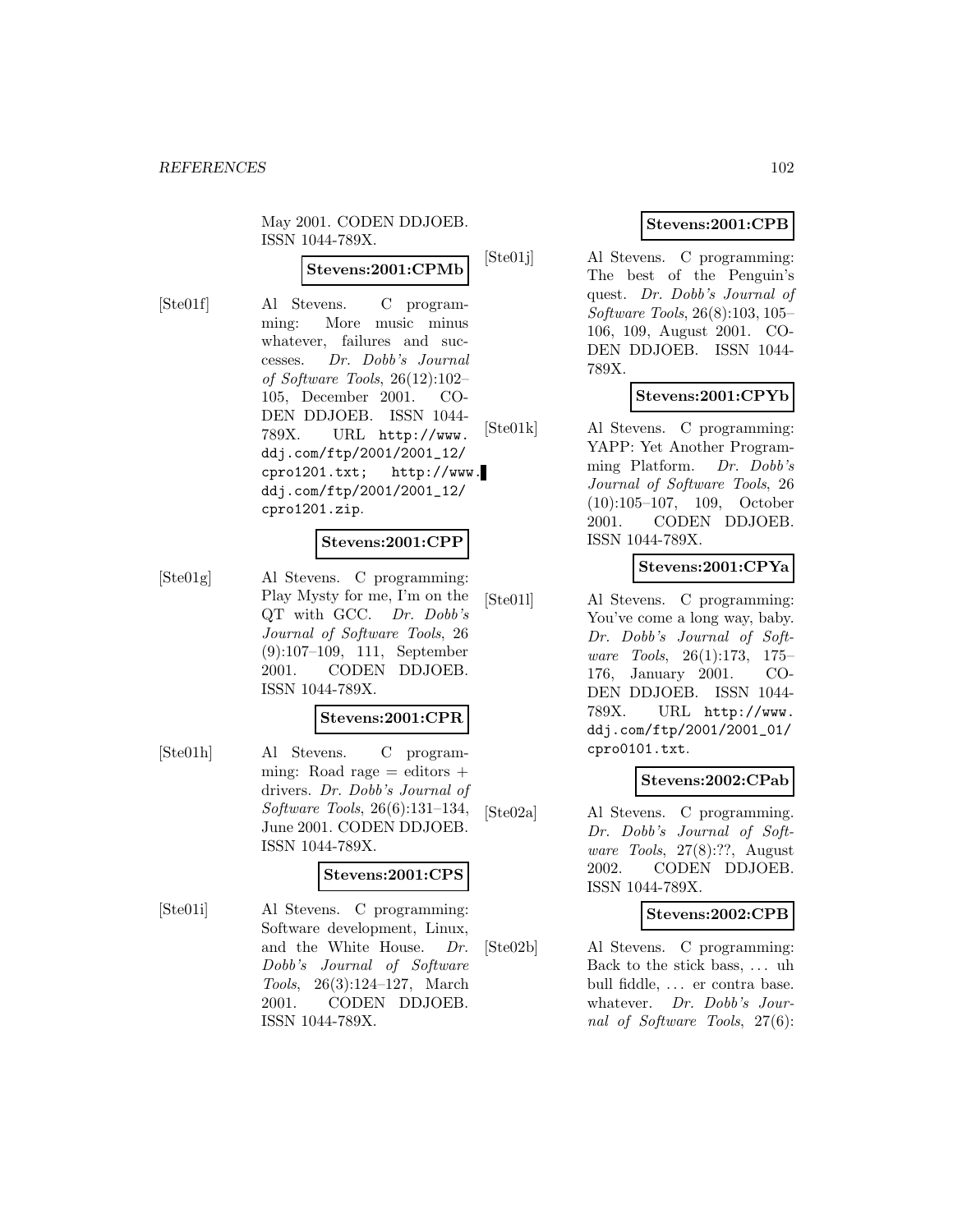May 2001. CODEN DDJOEB. ISSN 1044-789X.

## **Stevens:2001:CPMb**

[Ste01f] Al Stevens. C programming: More music minus whatever, failures and successes. Dr. Dobb's Journal of Software Tools, 26(12):102– 105, December 2001. CO-DEN DDJOEB. ISSN 1044- 789X. URL http://www. ddj.com/ftp/2001/2001\_12/ cpro1201.txt; http://www. ddj.com/ftp/2001/2001\_12/ cpro1201.zip.

## **Stevens:2001:CPP**

[Ste01g] Al Stevens. C programming: Play Mysty for me, I'm on the QT with GCC. Dr. Dobb's Journal of Software Tools, 26 (9):107–109, 111, September 2001. CODEN DDJOEB. ISSN 1044-789X.

## **Stevens:2001:CPR**

[Ste01h] Al Stevens. C programming: Road rage  $=$  editors  $+$ drivers. Dr. Dobb's Journal of Software Tools, 26(6):131–134, June 2001. CODEN DDJOEB. ISSN 1044-789X.

### **Stevens:2001:CPS**

[Ste01i] Al Stevens. C programming: Software development, Linux, and the White House. Dr. Dobb's Journal of Software Tools, 26(3):124–127, March 2001. CODEN DDJOEB. ISSN 1044-789X.

# **Stevens:2001:CPB**

[Ste01j] Al Stevens. C programming: The best of the Penguin's quest. Dr. Dobb's Journal of Software Tools, 26(8):103, 105– 106, 109, August 2001. CO-DEN DDJOEB. ISSN 1044- 789X.

## **Stevens:2001:CPYb**

[Ste01k] Al Stevens. C programming: YAPP: Yet Another Programming Platform. Dr. Dobb's Journal of Software Tools, 26 (10):105–107, 109, October 2001. CODEN DDJOEB. ISSN 1044-789X.

## **Stevens:2001:CPYa**

[Ste01l] Al Stevens. C programming: You've come a long way, baby. Dr. Dobb's Journal of Software Tools, 26(1):173, 175– 176, January 2001. CO-DEN DDJOEB. ISSN 1044- 789X. URL http://www. ddj.com/ftp/2001/2001\_01/ cpro0101.txt.

## **Stevens:2002:CPab**

[Ste02a] Al Stevens. C programming. Dr. Dobb's Journal of Software Tools, 27(8):??, August 2002. CODEN DDJOEB. ISSN 1044-789X.

## **Stevens:2002:CPB**

[Ste02b] Al Stevens. C programming: Back to the stick bass, . . . uh bull fiddle, ... er contra base. whatever. Dr. Dobb's Journal of Software Tools, 27(6):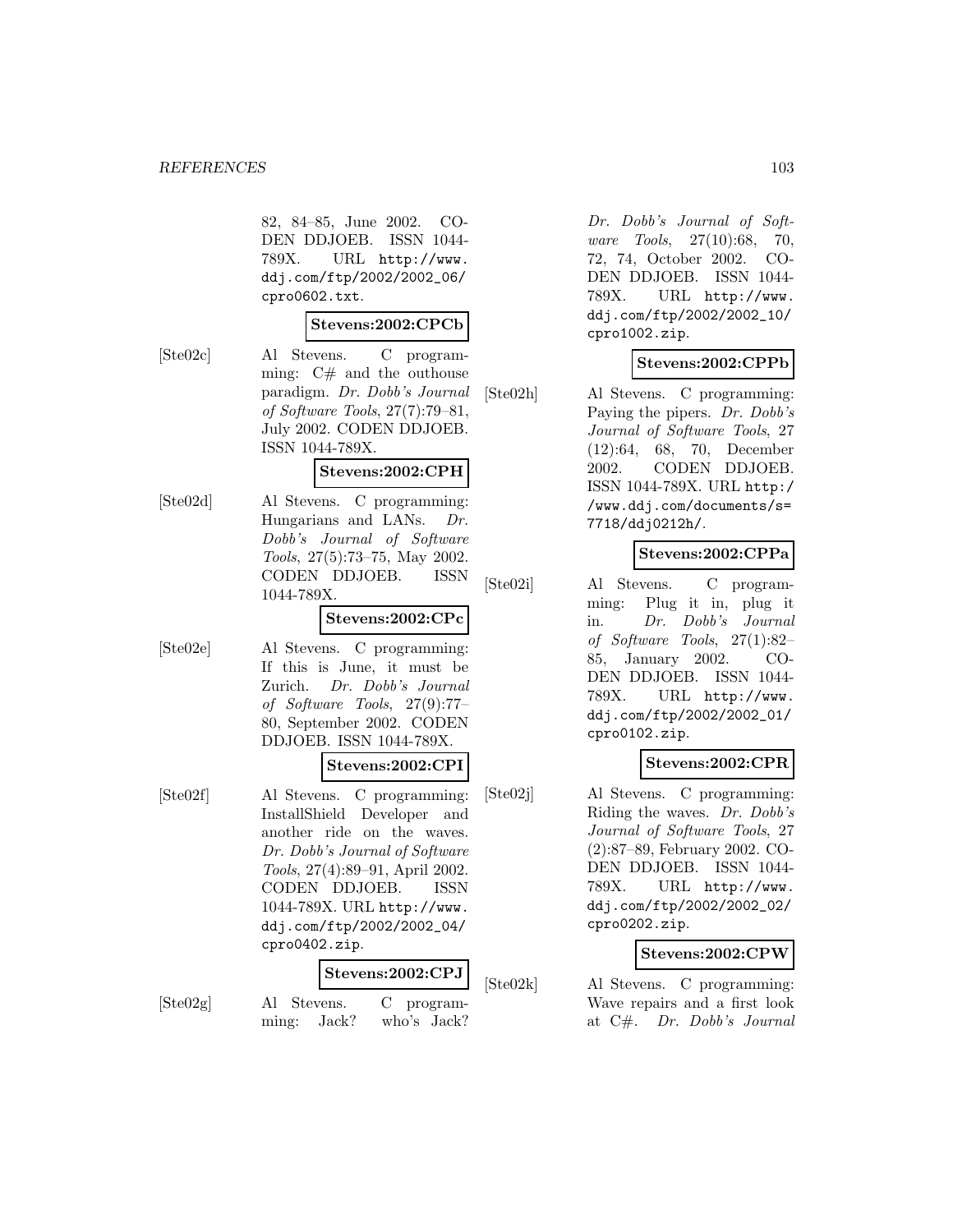82, 84–85, June 2002. CO-DEN DDJOEB. ISSN 1044- 789X. URL http://www. ddj.com/ftp/2002/2002\_06/ cpro0602.txt.

#### **Stevens:2002:CPCb**

[Ste02c] Al Stevens. C programming:  $C#$  and the outhouse paradigm. Dr. Dobb's Journal of Software Tools, 27(7):79–81, July 2002. CODEN DDJOEB. ISSN 1044-789X.

#### **Stevens:2002:CPH**

[Ste02d] Al Stevens. C programming: Hungarians and LANs. Dr. Dobb's Journal of Software Tools, 27(5):73–75, May 2002. CODEN DDJOEB. ISSN 1044-789X.

### **Stevens:2002:CPc**

[Ste02e] Al Stevens. C programming: If this is June, it must be Zurich. Dr. Dobb's Journal of Software Tools, 27(9):77– 80, September 2002. CODEN DDJOEB. ISSN 1044-789X.

## **Stevens:2002:CPI**

[Ste02f] Al Stevens. C programming: InstallShield Developer and another ride on the waves. Dr. Dobb's Journal of Software Tools, 27(4):89–91, April 2002. CODEN DDJOEB. ISSN 1044-789X. URL http://www. ddj.com/ftp/2002/2002\_04/ cpro0402.zip.

# **Stevens:2002:CPJ**

- 
- [Ste02g] Al Stevens. C programming: Jack? who's Jack?

Dr. Dobb's Journal of Software Tools, 27(10):68, 70, 72, 74, October 2002. CO-DEN DDJOEB. ISSN 1044- 789X. URL http://www. ddj.com/ftp/2002/2002\_10/ cpro1002.zip.

## **Stevens:2002:CPPb**

[Ste02h] Al Stevens. C programming: Paying the pipers. Dr. Dobb's Journal of Software Tools, 27 (12):64, 68, 70, December 2002. CODEN DDJOEB. ISSN 1044-789X. URL http:/ /www.ddj.com/documents/s= 7718/ddj0212h/.

## **Stevens:2002:CPPa**

[Ste02i] Al Stevens. C programming: Plug it in, plug it in. Dr. Dobb's Journal of Software Tools, 27(1):82– 85, January 2002. CO-DEN DDJOEB. ISSN 1044- 789X. URL http://www. ddj.com/ftp/2002/2002\_01/ cpro0102.zip.

## **Stevens:2002:CPR**

[Ste02j] Al Stevens. C programming: Riding the waves. Dr. Dobb's Journal of Software Tools, 27 (2):87–89, February 2002. CO-DEN DDJOEB. ISSN 1044- 789X. URL http://www. ddj.com/ftp/2002/2002\_02/ cpro0202.zip.

## **Stevens:2002:CPW**

[Ste02k] Al Stevens. C programming: Wave repairs and a first look at C#. Dr. Dobb's Journal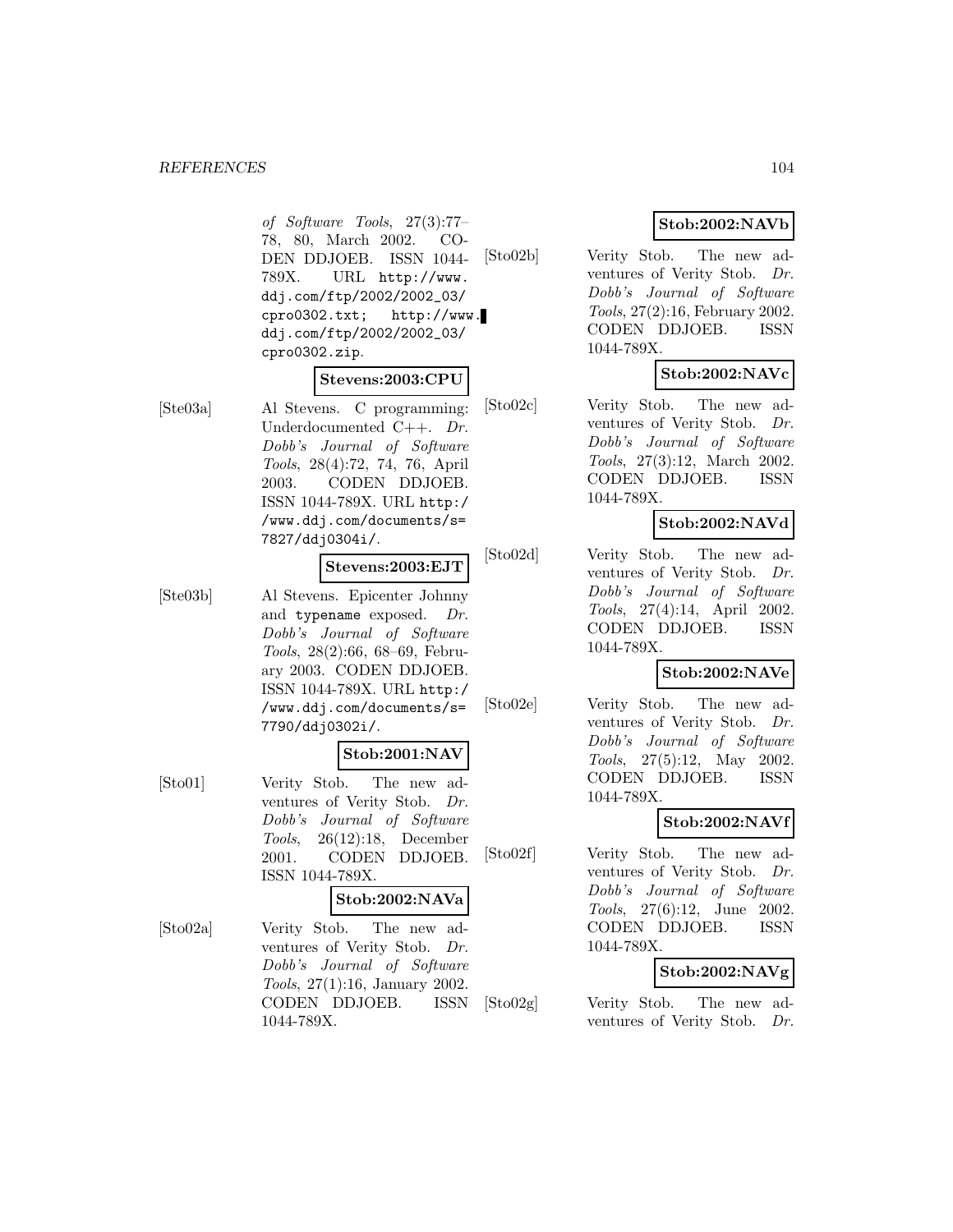#### *REFERENCES* 104

of Software Tools, 27(3):77– 78, 80, March 2002. CO-DEN DDJOEB. ISSN 1044- 789X. URL http://www. ddj.com/ftp/2002/2002\_03/ cpro0302.txt; http://www. ddj.com/ftp/2002/2002\_03/ cpro0302.zip.

### **Stevens:2003:CPU**

[Ste03a] Al Stevens. C programming: Underdocumented C++. Dr. Dobb's Journal of Software Tools, 28(4):72, 74, 76, April 2003. CODEN DDJOEB. ISSN 1044-789X. URL http:/ /www.ddj.com/documents/s= 7827/ddj0304i/.

### **Stevens:2003:EJT**

[Ste03b] Al Stevens. Epicenter Johnny and typename exposed. Dr. Dobb's Journal of Software Tools, 28(2):66, 68–69, February 2003. CODEN DDJOEB. ISSN 1044-789X. URL http:/ /www.ddj.com/documents/s= 7790/ddj0302i/.

## **Stob:2001:NAV**

[Sto01] Verity Stob. The new adventures of Verity Stob. Dr. Dobb's Journal of Software Tools, 26(12):18, December 2001. CODEN DDJOEB. ISSN 1044-789X.

#### **Stob:2002:NAVa**

[Sto02a] Verity Stob. The new adventures of Verity Stob. Dr. Dobb's Journal of Software Tools, 27(1):16, January 2002. CODEN DDJOEB. ISSN 1044-789X.

## **Stob:2002:NAVb**

[Sto02b] Verity Stob. The new adventures of Verity Stob. Dr. Dobb's Journal of Software Tools, 27(2):16, February 2002. CODEN DDJOEB. ISSN 1044-789X.

## **Stob:2002:NAVc**

[Sto02c] Verity Stob. The new adventures of Verity Stob. Dr. Dobb's Journal of Software Tools, 27(3):12, March 2002. CODEN DDJOEB. ISSN 1044-789X.

# **Stob:2002:NAVd**

[Sto02d] Verity Stob. The new adventures of Verity Stob. Dr. Dobb's Journal of Software Tools, 27(4):14, April 2002. CODEN DDJOEB. ISSN 1044-789X.

### **Stob:2002:NAVe**

[Sto02e] Verity Stob. The new adventures of Verity Stob. Dr. Dobb's Journal of Software Tools, 27(5):12, May 2002. CODEN DDJOEB. ISSN 1044-789X.

# **Stob:2002:NAVf**

[Sto02f] Verity Stob. The new adventures of Verity Stob. Dr. Dobb's Journal of Software Tools, 27(6):12, June 2002. CODEN DDJOEB. ISSN 1044-789X.

## **Stob:2002:NAVg**

[Sto02g] Verity Stob. The new adventures of Verity Stob. Dr.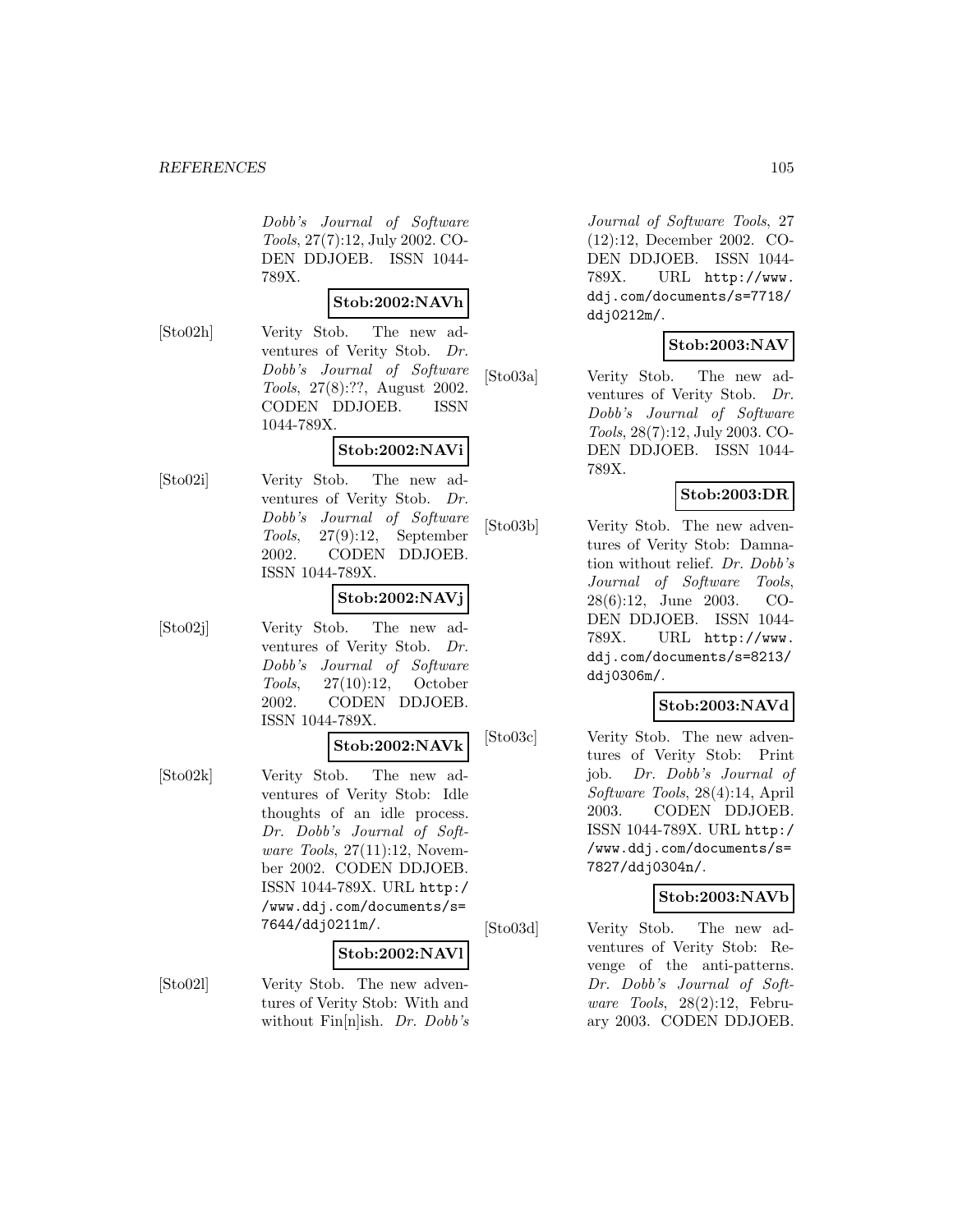Dobb's Journal of Software Tools, 27(7):12, July 2002. CO-DEN DDJOEB. ISSN 1044- 789X.

## **Stob:2002:NAVh**

[Sto02h] Verity Stob. The new adventures of Verity Stob. Dr. Dobb's Journal of Software Tools, 27(8):??, August 2002. CODEN DDJOEB. ISSN 1044-789X.

## **Stob:2002:NAVi**

[Sto02i] Verity Stob. The new adventures of Verity Stob. Dr. Dobb's Journal of Software Tools, 27(9):12, September 2002. CODEN DDJOEB. ISSN 1044-789X.

## **Stob:2002:NAVj**

- 
- [Sto02j] Verity Stob. The new adventures of Verity Stob. Dr. Dobb's Journal of Software Tools, 27(10):12, October 2002. CODEN DDJOEB. ISSN 1044-789X.

#### **Stob:2002:NAVk**

[Sto02k] Verity Stob. The new adventures of Verity Stob: Idle thoughts of an idle process. Dr. Dobb's Journal of Software Tools, 27(11):12, November 2002. CODEN DDJOEB. ISSN 1044-789X. URL http:/ /www.ddj.com/documents/s= 7644/ddj0211m/.

#### **Stob:2002:NAVl**

[Sto02l] Verity Stob. The new adventures of Verity Stob: With and without Fin<sup>[n]</sup>ish. *Dr. Dobb's* 

Journal of Software Tools, 27 (12):12, December 2002. CO-DEN DDJOEB. ISSN 1044- 789X. URL http://www. ddj.com/documents/s=7718/ ddj0212m/.

## **Stob:2003:NAV**

[Sto03a] Verity Stob. The new adventures of Verity Stob. Dr. Dobb's Journal of Software Tools, 28(7):12, July 2003. CO-DEN DDJOEB. ISSN 1044- 789X.

## **Stob:2003:DR**

[Sto03b] Verity Stob. The new adventures of Verity Stob: Damnation without relief. Dr. Dobb's Journal of Software Tools, 28(6):12, June 2003. CO-DEN DDJOEB. ISSN 1044- 789X. URL http://www. ddj.com/documents/s=8213/ ddj0306m/.

## **Stob:2003:NAVd**

[Sto03c] Verity Stob. The new adventures of Verity Stob: Print job. Dr. Dobb's Journal of Software Tools, 28(4):14, April 2003. CODEN DDJOEB. ISSN 1044-789X. URL http:/ /www.ddj.com/documents/s= 7827/ddj0304n/.

## **Stob:2003:NAVb**

[Sto03d] Verity Stob. The new adventures of Verity Stob: Revenge of the anti-patterns. Dr. Dobb's Journal of Software Tools, 28(2):12, February 2003. CODEN DDJOEB.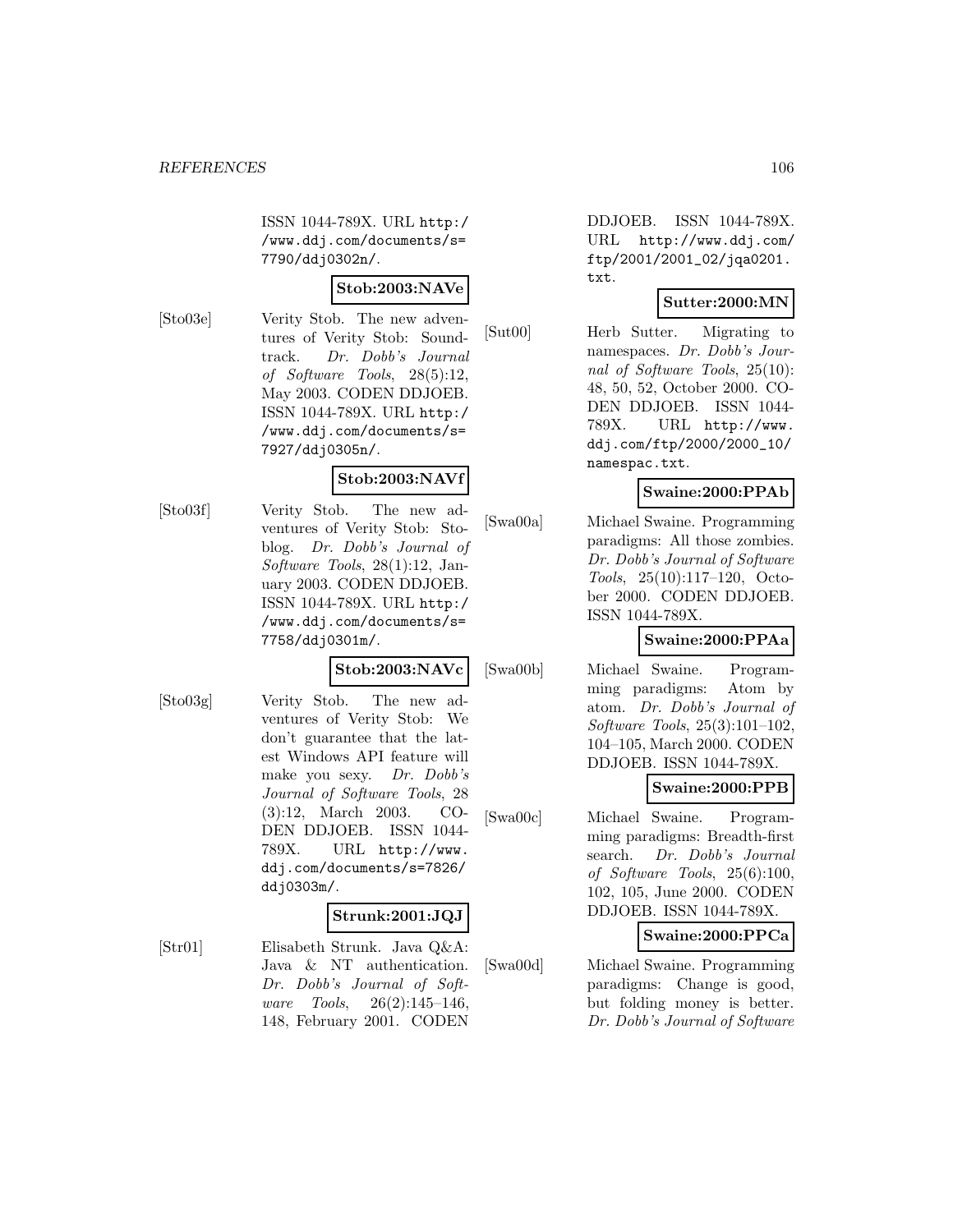ISSN 1044-789X. URL http:/ /www.ddj.com/documents/s= 7790/ddj0302n/.

## **Stob:2003:NAVe**

[Sto03e] Verity Stob. The new adventures of Verity Stob: Soundtrack. Dr. Dobb's Journal of Software Tools, 28(5):12, May 2003. CODEN DDJOEB. ISSN 1044-789X. URL http:/ /www.ddj.com/documents/s= 7927/ddj0305n/.

## **Stob:2003:NAVf**

[Sto03f] Verity Stob. The new adventures of Verity Stob: Stoblog. Dr. Dobb's Journal of Software Tools, 28(1):12, January 2003. CODEN DDJOEB. ISSN 1044-789X. URL http:/ /www.ddj.com/documents/s= 7758/ddj0301m/.

#### **Stob:2003:NAVc**

[Sto03g] Verity Stob. The new adventures of Verity Stob: We don't guarantee that the latest Windows API feature will make you sexy. Dr. Dobb's Journal of Software Tools, 28 (3):12, March 2003. CO-DEN DDJOEB. ISSN 1044- 789X. URL http://www. ddj.com/documents/s=7826/ ddj0303m/.

## **Strunk:2001:JQJ**

[Str01] Elisabeth Strunk. Java Q&A: Java & NT authentication. Dr. Dobb's Journal of Software Tools, 26(2):145–146, 148, February 2001. CODEN

DDJOEB. ISSN 1044-789X. URL http://www.ddj.com/ ftp/2001/2001\_02/jqa0201. txt.

## **Sutter:2000:MN**

[Sut00] Herb Sutter. Migrating to namespaces. Dr. Dobb's Journal of Software Tools, 25(10): 48, 50, 52, October 2000. CO-DEN DDJOEB. ISSN 1044- 789X. URL http://www. ddj.com/ftp/2000/2000\_10/ namespac.txt.

## **Swaine:2000:PPAb**

[Swa00a] Michael Swaine. Programming paradigms: All those zombies. Dr. Dobb's Journal of Software Tools, 25(10):117–120, October 2000. CODEN DDJOEB. ISSN 1044-789X.

## **Swaine:2000:PPAa**

[Swa00b] Michael Swaine. Programming paradigms: Atom by atom. Dr. Dobb's Journal of Software Tools, 25(3):101–102, 104–105, March 2000. CODEN DDJOEB. ISSN 1044-789X.

# **Swaine:2000:PPB**

[Swa00c] Michael Swaine. Programming paradigms: Breadth-first search. Dr. Dobb's Journal of Software Tools, 25(6):100, 102, 105, June 2000. CODEN DDJOEB. ISSN 1044-789X.

## **Swaine:2000:PPCa**

[Swa00d] Michael Swaine. Programming paradigms: Change is good, but folding money is better. Dr. Dobb's Journal of Software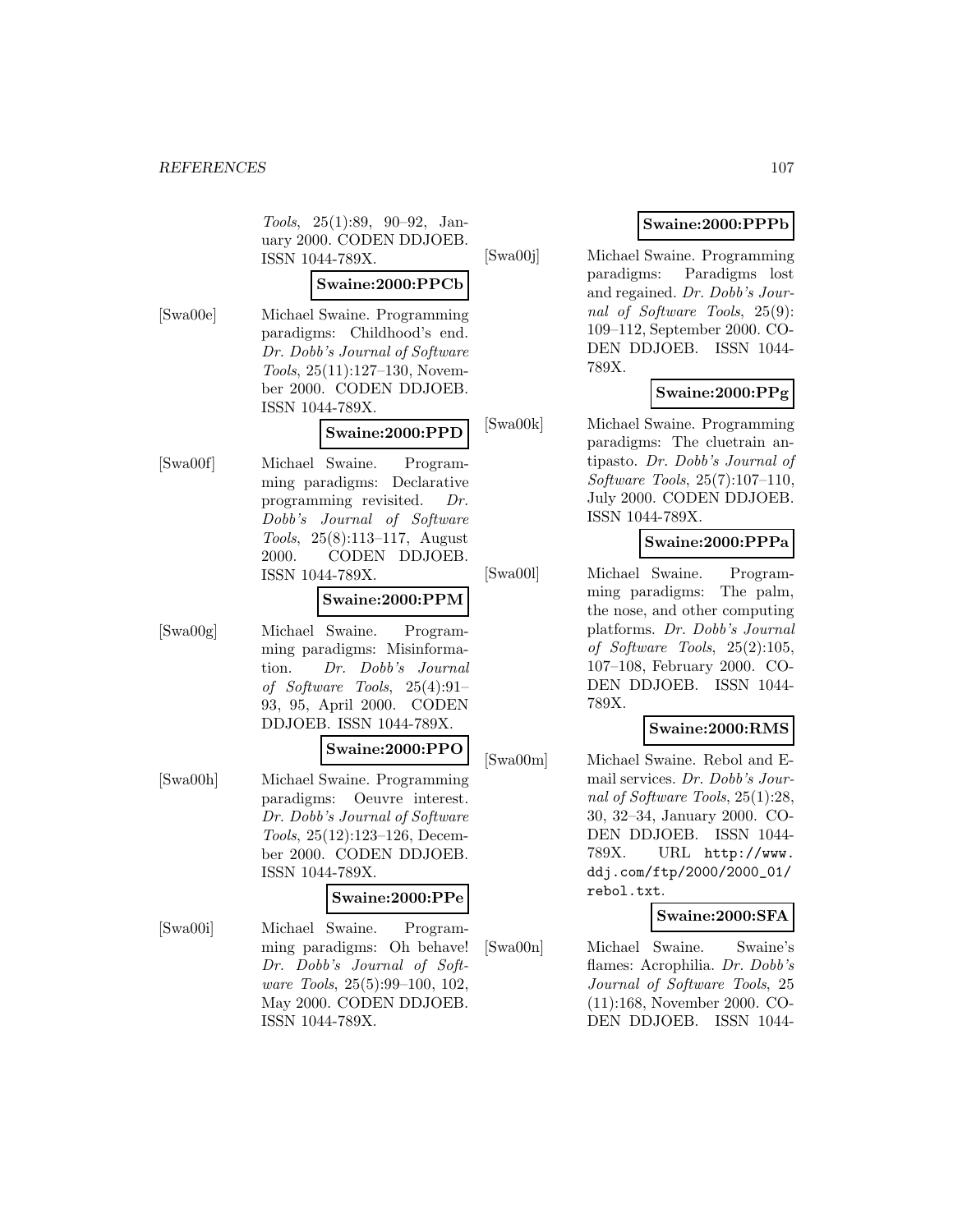Tools, 25(1):89, 90–92, January 2000. CODEN DDJOEB. ISSN 1044-789X.

## **Swaine:2000:PPCb**

[Swa00e] Michael Swaine. Programming paradigms: Childhood's end. Dr. Dobb's Journal of Software Tools, 25(11):127–130, November 2000. CODEN DDJOEB. ISSN 1044-789X.

### **Swaine:2000:PPD**

[Swa00f] Michael Swaine. Programming paradigms: Declarative programming revisited. Dr. Dobb's Journal of Software Tools, 25(8):113–117, August 2000. CODEN DDJOEB. ISSN 1044-789X.

# **Swaine:2000:PPM**

[Swa00g] Michael Swaine. Programming paradigms: Misinforma-

tion. Dr. Dobb's Journal of Software Tools, 25(4):91– 93, 95, April 2000. CODEN DDJOEB. ISSN 1044-789X.

### **Swaine:2000:PPO**

[Swa00h] Michael Swaine. Programming paradigms: Oeuvre interest. Dr. Dobb's Journal of Software Tools, 25(12):123–126, December 2000. CODEN DDJOEB. ISSN 1044-789X.

## **Swaine:2000:PPe**

[Swa00i] Michael Swaine. Programming paradigms: Oh behave! Dr. Dobb's Journal of Software Tools, 25(5):99–100, 102, May 2000. CODEN DDJOEB. ISSN 1044-789X.

# **Swaine:2000:PPPb**

[Swa00j] Michael Swaine. Programming paradigms: Paradigms lost and regained. Dr. Dobb's Journal of Software Tools, 25(9): 109–112, September 2000. CO-DEN DDJOEB. ISSN 1044- 789X.

# **Swaine:2000:PPg**

[Swa00k] Michael Swaine. Programming paradigms: The cluetrain antipasto. Dr. Dobb's Journal of Software Tools, 25(7):107–110, July 2000. CODEN DDJOEB. ISSN 1044-789X.

## **Swaine:2000:PPPa**

[Swa00l] Michael Swaine. Programming paradigms: The palm, the nose, and other computing platforms. Dr. Dobb's Journal of Software Tools, 25(2):105, 107–108, February 2000. CO-DEN DDJOEB. ISSN 1044- 789X.

# **Swaine:2000:RMS**

[Swa00m] Michael Swaine. Rebol and Email services. Dr. Dobb's Journal of Software Tools, 25(1):28, 30, 32–34, January 2000. CO-DEN DDJOEB. ISSN 1044- 789X. URL http://www. ddj.com/ftp/2000/2000\_01/ rebol.txt.

# **Swaine:2000:SFA**

[Swa00n] Michael Swaine. Swaine's flames: Acrophilia. Dr. Dobb's Journal of Software Tools, 25 (11):168, November 2000. CO-DEN DDJOEB. ISSN 1044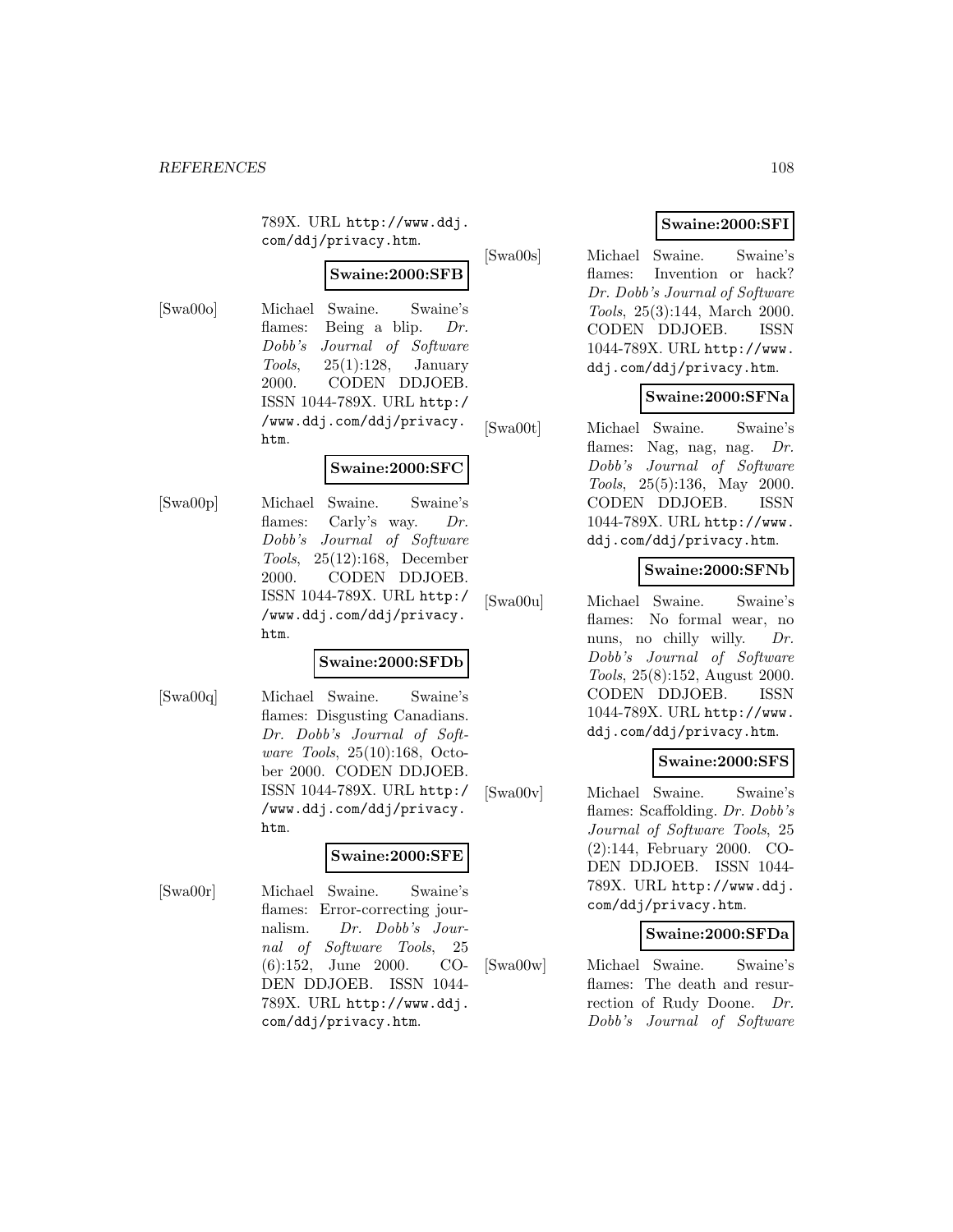789X. URL http://www.ddj. com/ddj/privacy.htm.

# **Swaine:2000:SFB**

[Swa00o] Michael Swaine. Swaine's flames: Being a blip. Dr. Dobb's Journal of Software Tools,  $25(1):128$ , January 2000. CODEN DDJOEB. ISSN 1044-789X. URL http:/ /www.ddj.com/ddj/privacy. htm.

### **Swaine:2000:SFC**

[Swa00p] Michael Swaine. Swaine's flames: Carly's way. Dr. Dobb's Journal of Software Tools, 25(12):168, December 2000. CODEN DDJOEB. ISSN 1044-789X. URL http:/ /www.ddj.com/ddj/privacy. htm.

### **Swaine:2000:SFDb**

[Swa00q] Michael Swaine. Swaine's flames: Disgusting Canadians. Dr. Dobb's Journal of Software Tools, 25(10):168, October 2000. CODEN DDJOEB. ISSN 1044-789X. URL http:/ /www.ddj.com/ddj/privacy. htm.

## **Swaine:2000:SFE**

[Swa00r] Michael Swaine. Swaine's flames: Error-correcting journalism. Dr. Dobb's Journal of Software Tools, 25 (6):152, June 2000. CO-DEN DDJOEB. ISSN 1044- 789X. URL http://www.ddj. com/ddj/privacy.htm.

# **Swaine:2000:SFI**

[Swa00s] Michael Swaine. Swaine's flames: Invention or hack? Dr. Dobb's Journal of Software Tools, 25(3):144, March 2000. CODEN DDJOEB. ISSN 1044-789X. URL http://www. ddj.com/ddj/privacy.htm.

## **Swaine:2000:SFNa**

[Swa00t] Michael Swaine. Swaine's flames: Nag, nag, nag. Dr. Dobb's Journal of Software Tools, 25(5):136, May 2000. CODEN DDJOEB. ISSN 1044-789X. URL http://www. ddj.com/ddj/privacy.htm.

## **Swaine:2000:SFNb**

[Swa00u] Michael Swaine. Swaine's flames: No formal wear, no nuns, no chilly willy. Dr. Dobb's Journal of Software Tools, 25(8):152, August 2000. CODEN DDJOEB. ISSN 1044-789X. URL http://www. ddj.com/ddj/privacy.htm.

## **Swaine:2000:SFS**

[Swa00v] Michael Swaine. Swaine's flames: Scaffolding. Dr. Dobb's Journal of Software Tools, 25 (2):144, February 2000. CO-DEN DDJOEB. ISSN 1044- 789X. URL http://www.ddj. com/ddj/privacy.htm.

### **Swaine:2000:SFDa**

[Swa00w] Michael Swaine. Swaine's flames: The death and resurrection of Rudy Doone. Dr. Dobb's Journal of Software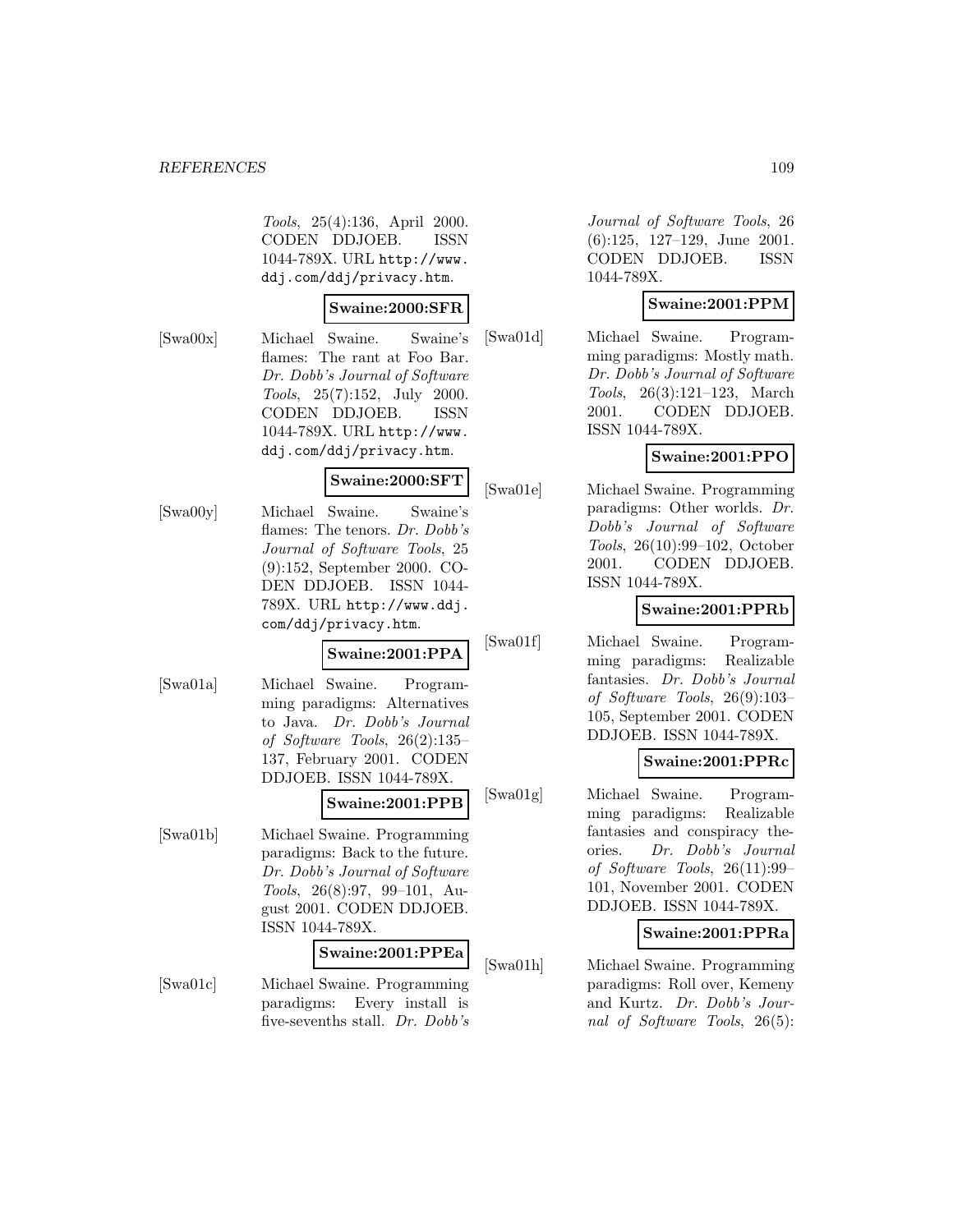Tools, 25(4):136, April 2000. CODEN DDJOEB. ISSN 1044-789X. URL http://www. ddj.com/ddj/privacy.htm.

#### **Swaine:2000:SFR**

[Swa00x] Michael Swaine. Swaine's flames: The rant at Foo Bar. Dr. Dobb's Journal of Software Tools, 25(7):152, July 2000. CODEN DDJOEB. ISSN 1044-789X. URL http://www. ddj.com/ddj/privacy.htm.

#### **Swaine:2000:SFT**

[Swa00y] Michael Swaine. Swaine's flames: The tenors. Dr. Dobb's Journal of Software Tools, 25 (9):152, September 2000. CO-DEN DDJOEB. ISSN 1044- 789X. URL http://www.ddj. com/ddj/privacy.htm.

# **Swaine:2001:PPA**

[Swa01a] Michael Swaine. Programming paradigms: Alternatives to Java. Dr. Dobb's Journal of Software Tools, 26(2):135– 137, February 2001. CODEN DDJOEB. ISSN 1044-789X.

# **Swaine:2001:PPB**

[Swa01b] Michael Swaine. Programming paradigms: Back to the future. Dr. Dobb's Journal of Software Tools, 26(8):97, 99–101, August 2001. CODEN DDJOEB. ISSN 1044-789X.

#### **Swaine:2001:PPEa**

[Swa01c] Michael Swaine. Programming paradigms: Every install is five-sevenths stall. Dr. Dobb's

Journal of Software Tools, 26 (6):125, 127–129, June 2001. CODEN DDJOEB. ISSN 1044-789X.

#### **Swaine:2001:PPM**

[Swa01d] Michael Swaine. Programming paradigms: Mostly math. Dr. Dobb's Journal of Software Tools, 26(3):121–123, March 2001. CODEN DDJOEB. ISSN 1044-789X.

# **Swaine:2001:PPO**

[Swa01e] Michael Swaine. Programming paradigms: Other worlds. Dr. Dobb's Journal of Software Tools, 26(10):99–102, October 2001. CODEN DDJOEB. ISSN 1044-789X.

# **Swaine:2001:PPRb**

[Swa01f] Michael Swaine. Programming paradigms: Realizable fantasies. Dr. Dobb's Journal of Software Tools, 26(9):103– 105, September 2001. CODEN DDJOEB. ISSN 1044-789X.

## **Swaine:2001:PPRc**

[Swa01g] Michael Swaine. Programming paradigms: Realizable fantasies and conspiracy theories. Dr. Dobb's Journal of Software Tools, 26(11):99– 101, November 2001. CODEN DDJOEB. ISSN 1044-789X.

# **Swaine:2001:PPRa**

[Swa01h] Michael Swaine. Programming paradigms: Roll over, Kemeny and Kurtz. Dr. Dobb's Journal of Software Tools, 26(5):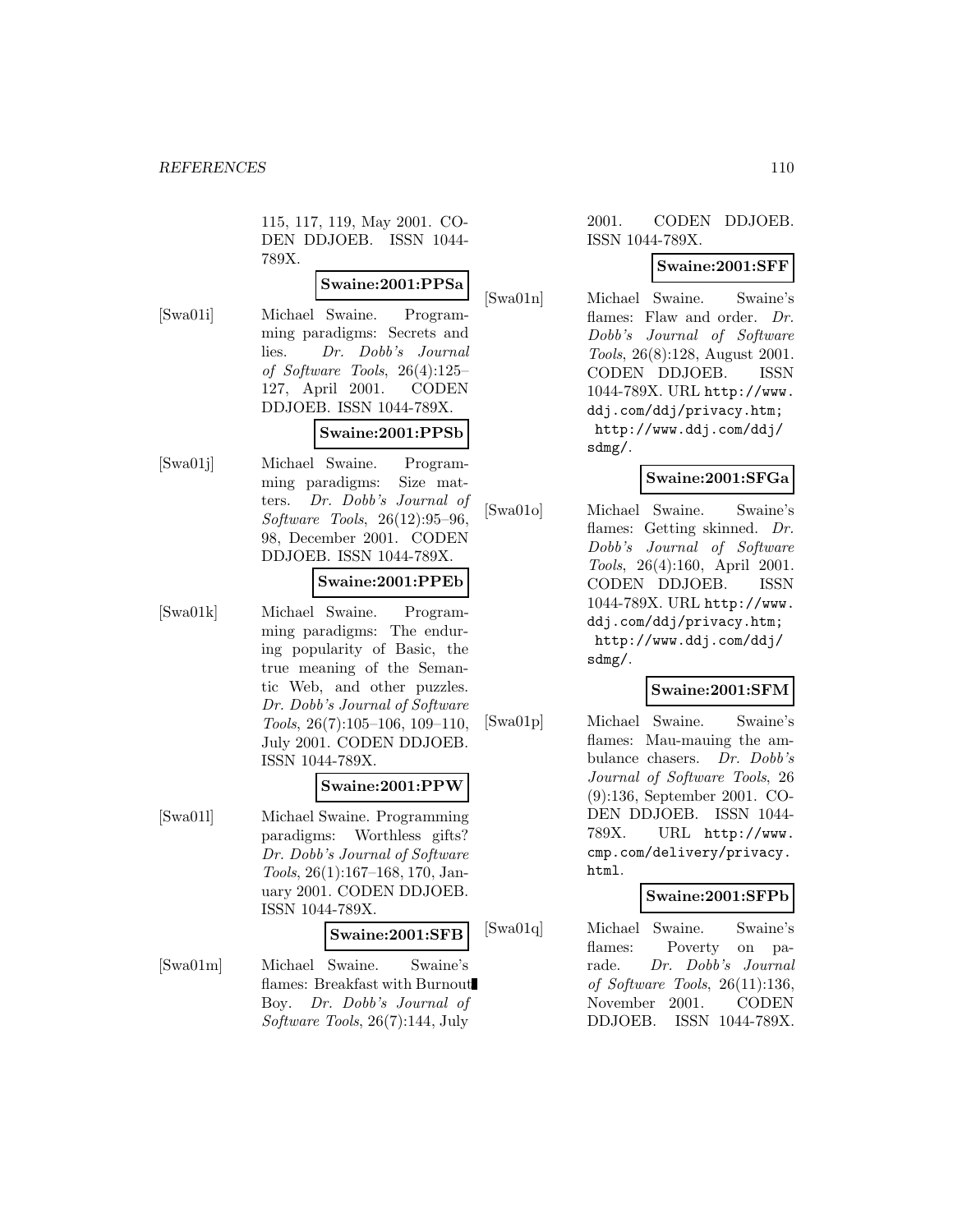115, 117, 119, May 2001. CO-DEN DDJOEB. ISSN 1044- 789X.

# **Swaine:2001:PPSa**

[Swa01i] Michael Swaine. Programming paradigms: Secrets and lies. Dr. Dobb's Journal of Software Tools, 26(4):125– 127, April 2001. CODEN DDJOEB. ISSN 1044-789X. **Swaine:2001:PPSb**

[Swa01j] Michael Swaine. Programming paradigms: Size matters. Dr. Dobb's Journal of Software Tools, 26(12):95–96, 98, December 2001. CODEN DDJOEB. ISSN 1044-789X.

#### **Swaine:2001:PPEb**

[Swa01k] Michael Swaine. Programming paradigms: The enduring popularity of Basic, the true meaning of the Semantic Web, and other puzzles. Dr. Dobb's Journal of Software Tools, 26(7):105–106, 109–110, July 2001. CODEN DDJOEB. ISSN 1044-789X.

#### **Swaine:2001:PPW**

[Swa01l] Michael Swaine. Programming paradigms: Worthless gifts? Dr. Dobb's Journal of Software Tools, 26(1):167–168, 170, January 2001. CODEN DDJOEB. ISSN 1044-789X.

#### **Swaine:2001:SFB**

[Swa01m] Michael Swaine. Swaine's flames: Breakfast with Burnout Boy. Dr. Dobb's Journal of Software Tools, 26(7):144, July

#### 2001. CODEN DDJOEB. ISSN 1044-789X.

# **Swaine:2001:SFF**

[Swa01n] Michael Swaine. Swaine's flames: Flaw and order. Dr. Dobb's Journal of Software Tools, 26(8):128, August 2001. CODEN DDJOEB. ISSN 1044-789X. URL http://www. ddj.com/ddj/privacy.htm; http://www.ddj.com/ddj/ sdmg/.

# **Swaine:2001:SFGa**

[Swa01o] Michael Swaine. Swaine's flames: Getting skinned. Dr. Dobb's Journal of Software Tools, 26(4):160, April 2001. CODEN DDJOEB. ISSN 1044-789X. URL http://www. ddj.com/ddj/privacy.htm; http://www.ddj.com/ddj/ sdmg/.

## **Swaine:2001:SFM**

[Swa01p] Michael Swaine. Swaine's flames: Mau-mauing the ambulance chasers. Dr. Dobb's Journal of Software Tools, 26 (9):136, September 2001. CO-DEN DDJOEB. ISSN 1044- 789X. URL http://www. cmp.com/delivery/privacy. html.

## **Swaine:2001:SFPb**

[Swa01q] Michael Swaine. Swaine's flames: Poverty on parade. Dr. Dobb's Journal of Software Tools, 26(11):136, November 2001. CODEN DDJOEB. ISSN 1044-789X.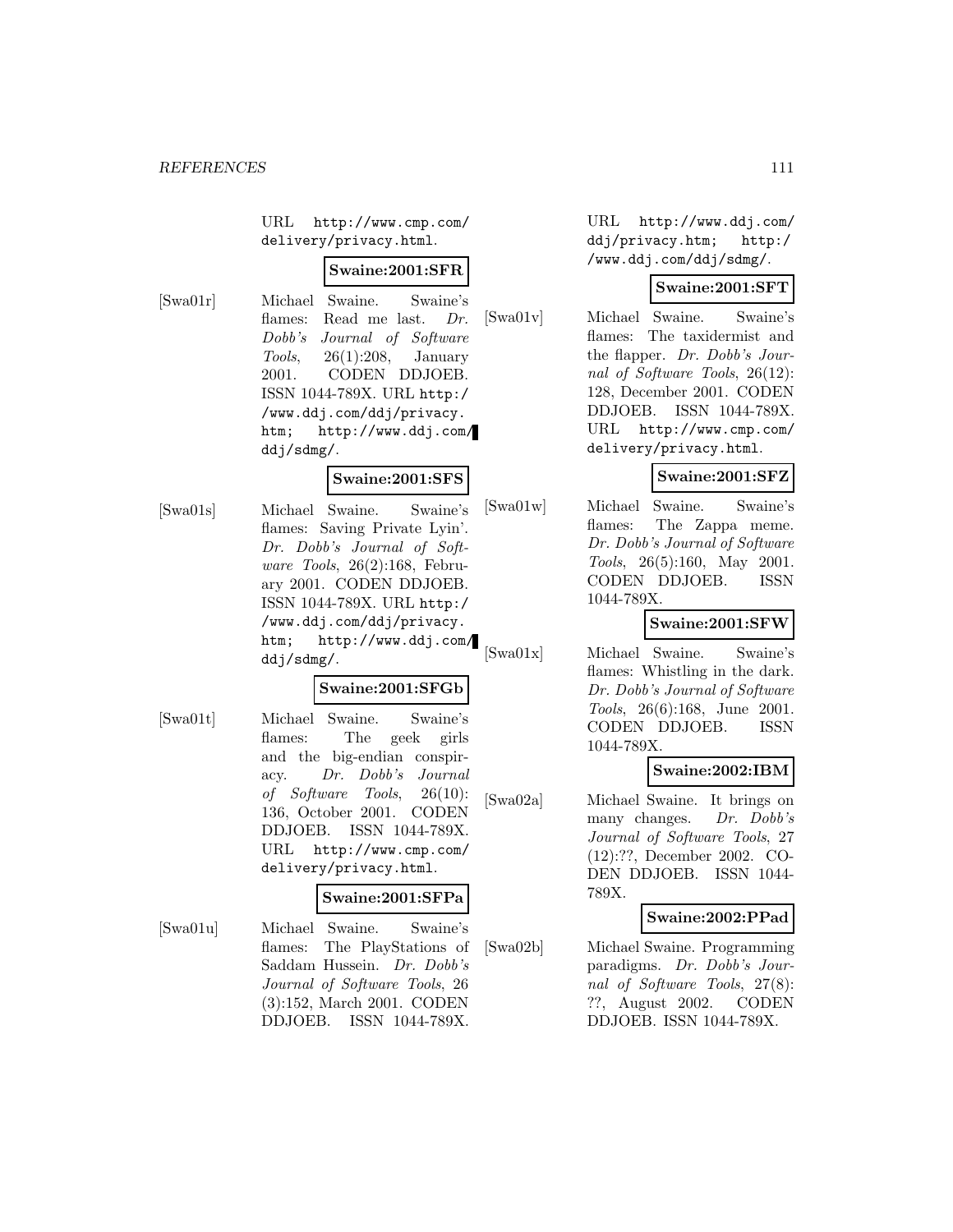URL http://www.cmp.com/ delivery/privacy.html.

#### **Swaine:2001:SFR**

[Swa01r] Michael Swaine. Swaine's flames: Read me last. Dr. Dobb's Journal of Software Tools, 26(1):208, January 2001. CODEN DDJOEB. ISSN 1044-789X. URL http:/ /www.ddj.com/ddj/privacy. htm; http://www.ddj.com/ ddj/sdmg/.

#### **Swaine:2001:SFS**

[Swa01s] Michael Swaine. Swaine's flames: Saving Private Lyin'. Dr. Dobb's Journal of Software Tools, 26(2):168, February 2001. CODEN DDJOEB. ISSN 1044-789X. URL http:/ /www.ddj.com/ddj/privacy. htm; http://www.ddj.com/ ddj/sdmg/.

#### **Swaine:2001:SFGb**

[Swa01t] Michael Swaine. Swaine's flames: The geek girls and the big-endian conspiracy. Dr. Dobb's Journal of Software Tools, 26(10): 136, October 2001. CODEN DDJOEB. ISSN 1044-789X. URL http://www.cmp.com/ delivery/privacy.html.

# **Swaine:2001:SFPa**

[Swa01u] Michael Swaine. Swaine's flames: The PlayStations of Saddam Hussein. Dr. Dobb's Journal of Software Tools, 26 (3):152, March 2001. CODEN DDJOEB. ISSN 1044-789X.

URL http://www.ddj.com/ ddj/privacy.htm; http:/ /www.ddj.com/ddj/sdmg/.

## **Swaine:2001:SFT**

[Swa01v] Michael Swaine. Swaine's flames: The taxidermist and the flapper. Dr. Dobb's Journal of Software Tools, 26(12): 128, December 2001. CODEN DDJOEB. ISSN 1044-789X. URL http://www.cmp.com/ delivery/privacy.html.

# **Swaine:2001:SFZ**

[Swa01w] Michael Swaine. Swaine's flames: The Zappa meme. Dr. Dobb's Journal of Software Tools, 26(5):160, May 2001. CODEN DDJOEB. ISSN 1044-789X.

# **Swaine:2001:SFW**

[Swa01x] Michael Swaine. Swaine's flames: Whistling in the dark. Dr. Dobb's Journal of Software Tools, 26(6):168, June 2001. CODEN DDJOEB. ISSN 1044-789X.

# **Swaine:2002:IBM**

[Swa02a] Michael Swaine. It brings on many changes. Dr. Dobb's Journal of Software Tools, 27 (12):??, December 2002. CO-DEN DDJOEB. ISSN 1044- 789X.

## **Swaine:2002:PPad**

[Swa02b] Michael Swaine. Programming paradigms. Dr. Dobb's Journal of Software Tools, 27(8): ??, August 2002. CODEN DDJOEB. ISSN 1044-789X.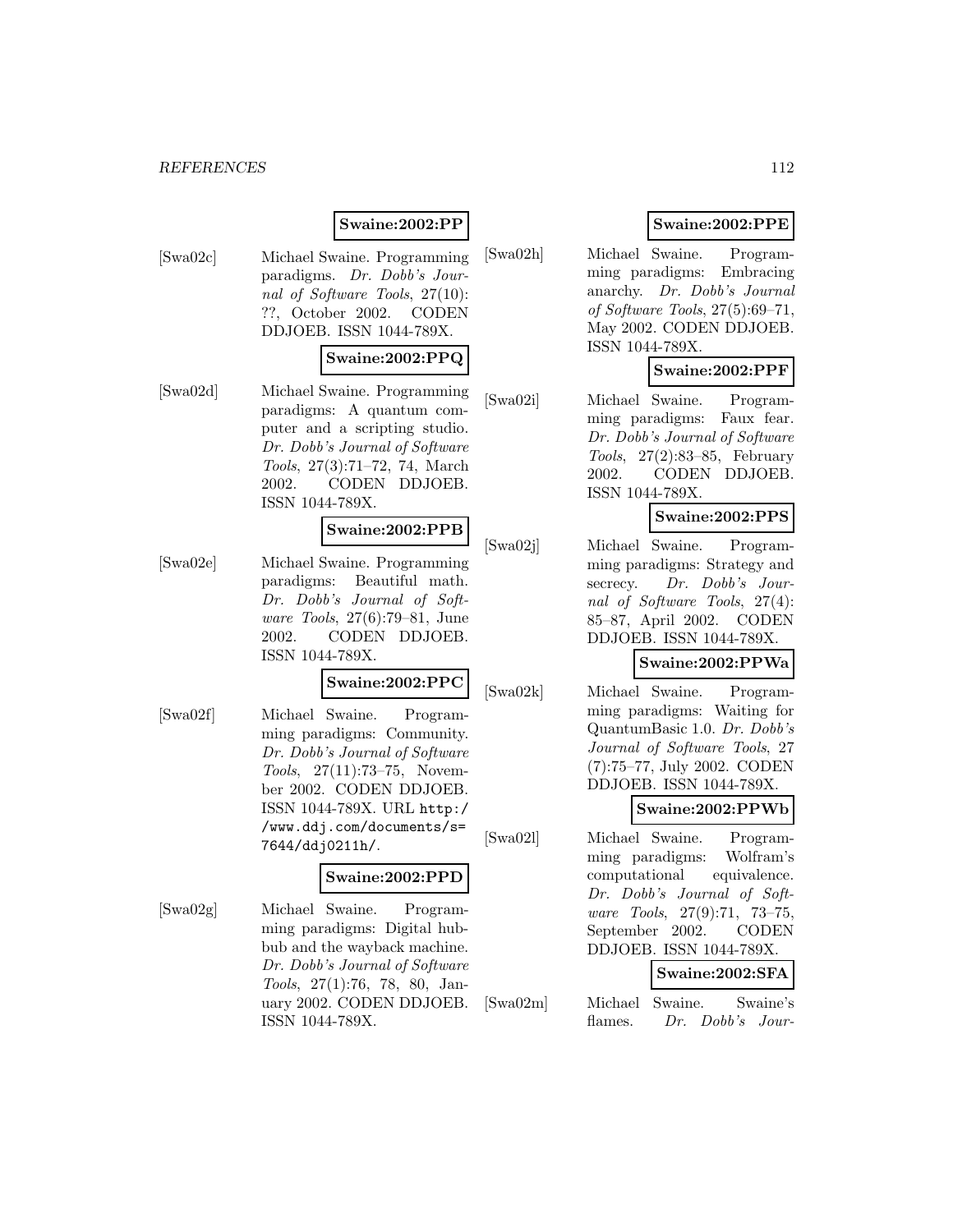#### *REFERENCES* 112

# **Swaine:2002:PP**

[Swa02c] Michael Swaine. Programming paradigms. Dr. Dobb's Journal of Software Tools, 27(10): ??, October 2002. CODEN DDJOEB. ISSN 1044-789X.

#### **Swaine:2002:PPQ**

[Swa02d] Michael Swaine. Programming paradigms: A quantum computer and a scripting studio. Dr. Dobb's Journal of Software Tools, 27(3):71–72, 74, March 2002. CODEN DDJOEB. ISSN 1044-789X.

#### **Swaine:2002:PPB**

[Swa02e] Michael Swaine. Programming paradigms: Beautiful math. Dr. Dobb's Journal of Software Tools, 27(6):79–81, June 2002. CODEN DDJOEB. ISSN 1044-789X.

#### **Swaine:2002:PPC**

[Swa02f] Michael Swaine. Programming paradigms: Community. Dr. Dobb's Journal of Software Tools, 27(11):73–75, November 2002. CODEN DDJOEB. ISSN 1044-789X. URL http:/ /www.ddj.com/documents/s= 7644/ddj0211h/.

#### **Swaine:2002:PPD**

[Swa02g] Michael Swaine. Programming paradigms: Digital hubbub and the wayback machine. Dr. Dobb's Journal of Software Tools, 27(1):76, 78, 80, January 2002. CODEN DDJOEB. ISSN 1044-789X.

# **Swaine:2002:PPE**

[Swa02h] Michael Swaine. Programming paradigms: Embracing anarchy. Dr. Dobb's Journal of Software Tools, 27(5):69–71, May 2002. CODEN DDJOEB. ISSN 1044-789X.

#### **Swaine:2002:PPF**

[Swa02i] Michael Swaine. Programming paradigms: Faux fear. Dr. Dobb's Journal of Software Tools, 27(2):83–85, February 2002. CODEN DDJOEB. ISSN 1044-789X.

# **Swaine:2002:PPS**

[Swa02j] Michael Swaine. Programming paradigms: Strategy and secrecy. Dr. Dobb's Journal of Software Tools, 27(4): 85–87, April 2002. CODEN DDJOEB. ISSN 1044-789X.

# **Swaine:2002:PPWa**

[Swa02k] Michael Swaine. Programming paradigms: Waiting for QuantumBasic 1.0. Dr. Dobb's Journal of Software Tools, 27 (7):75–77, July 2002. CODEN DDJOEB. ISSN 1044-789X.

#### **Swaine:2002:PPWb**

[Swa02l] Michael Swaine. Programming paradigms: Wolfram's computational equivalence. Dr. Dobb's Journal of Software Tools, 27(9):71, 73–75, September 2002. CODEN DDJOEB. ISSN 1044-789X.

# **Swaine:2002:SFA**

[Swa02m] Michael Swaine. Swaine's flames. Dr. Dobb's Jour-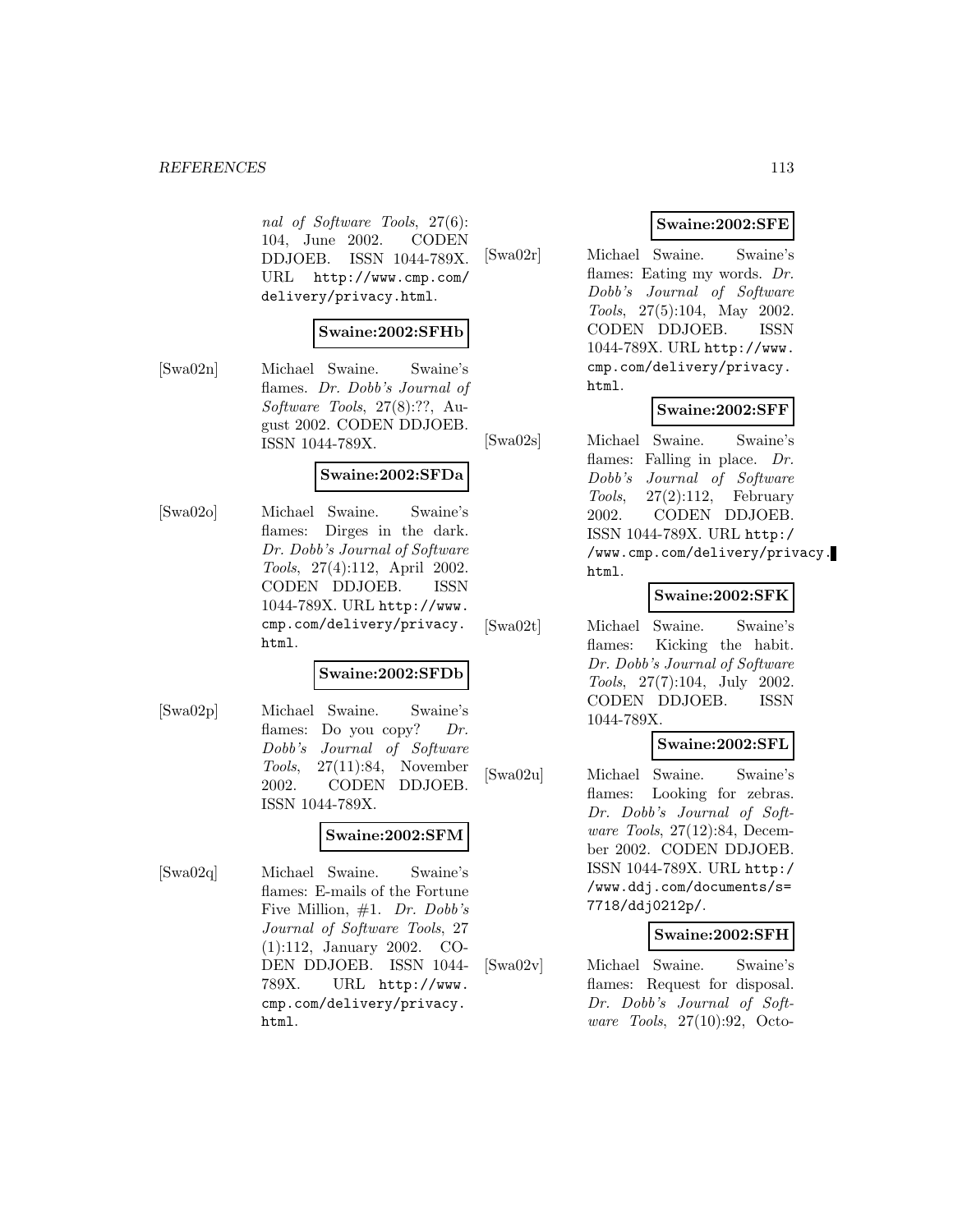#### *REFERENCES* 113

nal of Software Tools, 27(6): 104, June 2002. CODEN DDJOEB. ISSN 1044-789X. URL http://www.cmp.com/ delivery/privacy.html.

#### **Swaine:2002:SFHb**

[Swa02n] Michael Swaine. Swaine's flames. Dr. Dobb's Journal of Software Tools, 27(8):??, August 2002. CODEN DDJOEB. ISSN 1044-789X.

#### **Swaine:2002:SFDa**

[Swa02o] Michael Swaine. Swaine's flames: Dirges in the dark. Dr. Dobb's Journal of Software Tools, 27(4):112, April 2002. CODEN DDJOEB. ISSN 1044-789X. URL http://www. cmp.com/delivery/privacy. html.

#### **Swaine:2002:SFDb**

[Swa02p] Michael Swaine. Swaine's flames: Do you copy? Dr. Dobb's Journal of Software Tools, 27(11):84, November 2002. CODEN DDJOEB. ISSN 1044-789X.

## **Swaine:2002:SFM**

[Swa02q] Michael Swaine. Swaine's flames: E-mails of the Fortune Five Million, #1. Dr. Dobb's Journal of Software Tools, 27 (1):112, January 2002. CO-DEN DDJOEB. ISSN 1044- 789X. URL http://www. cmp.com/delivery/privacy. html.

#### **Swaine:2002:SFE**

[Swa02r] Michael Swaine. Swaine's flames: Eating my words. Dr. Dobb's Journal of Software Tools, 27(5):104, May 2002. CODEN DDJOEB. ISSN 1044-789X. URL http://www. cmp.com/delivery/privacy. html.

#### **Swaine:2002:SFF**

[Swa02s] Michael Swaine. Swaine's flames: Falling in place. Dr. Dobb's Journal of Software  $Tools, \quad 27(2):112, \quad \text{February}$ 2002. CODEN DDJOEB. ISSN 1044-789X. URL http:/ /www.cmp.com/delivery/privacy. html.

#### **Swaine:2002:SFK**

[Swa02t] Michael Swaine. Swaine's flames: Kicking the habit. Dr. Dobb's Journal of Software Tools, 27(7):104, July 2002. CODEN DDJOEB. ISSN 1044-789X.

#### **Swaine:2002:SFL**

[Swa02u] Michael Swaine. Swaine's flames: Looking for zebras. Dr. Dobb's Journal of Software Tools, 27(12):84, December 2002. CODEN DDJOEB. ISSN 1044-789X. URL http:/ /www.ddj.com/documents/s= 7718/ddj0212p/.

#### **Swaine:2002:SFH**

[Swa02v] Michael Swaine. Swaine's flames: Request for disposal. Dr. Dobb's Journal of Software Tools, 27(10):92, Octo-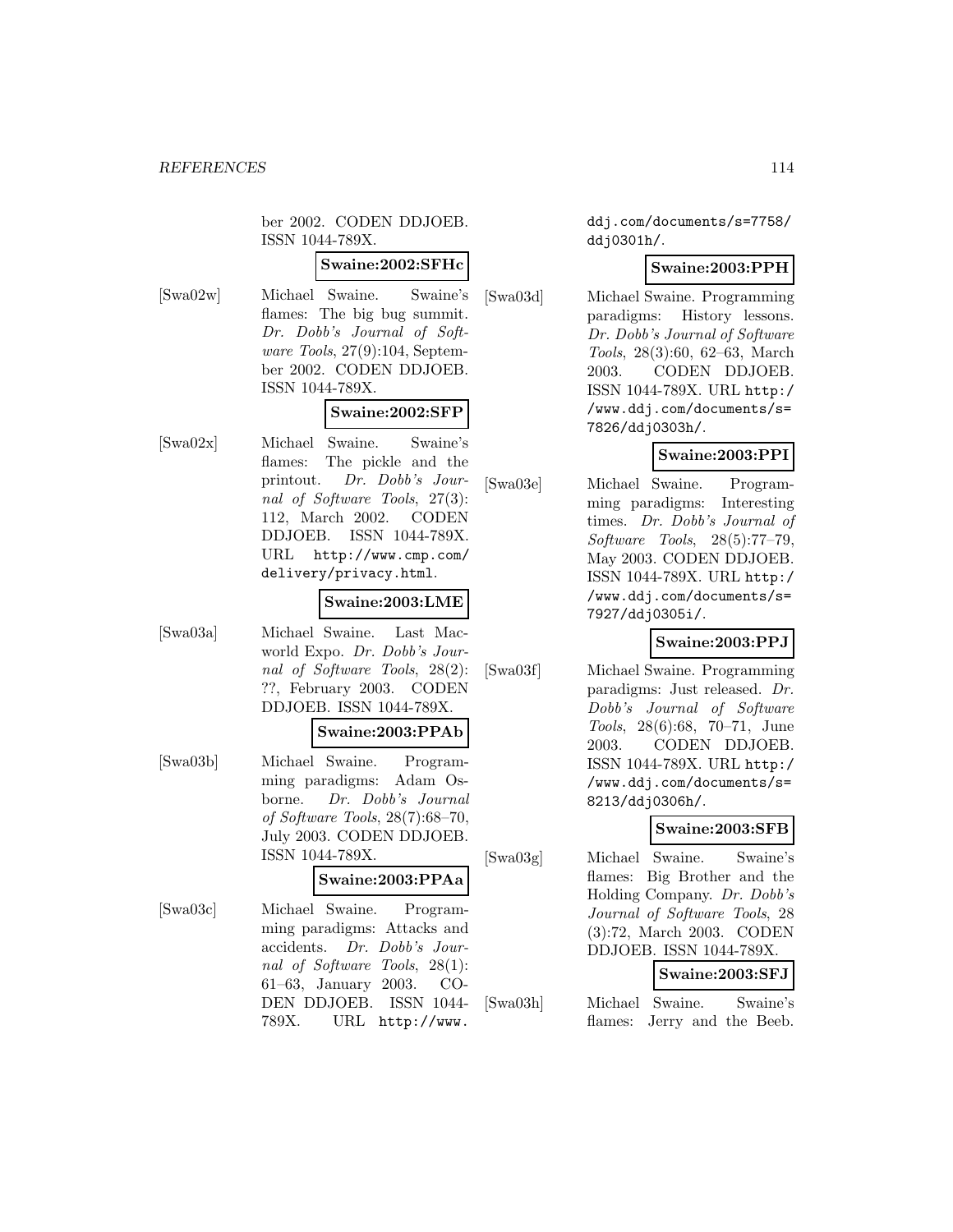ber 2002. CODEN DDJOEB. ISSN 1044-789X.

#### **Swaine:2002:SFHc**

[Swa02w] Michael Swaine. Swaine's flames: The big bug summit. Dr. Dobb's Journal of Software Tools, 27(9):104, September 2002. CODEN DDJOEB. ISSN 1044-789X.

## **Swaine:2002:SFP**

[Swa02x] Michael Swaine. Swaine's flames: The pickle and the printout. Dr. Dobb's Journal of Software Tools, 27(3): 112, March 2002. CODEN DDJOEB. ISSN 1044-789X. URL http://www.cmp.com/ delivery/privacy.html.

# **Swaine:2003:LME**

[Swa03a] Michael Swaine. Last Macworld Expo. Dr. Dobb's Journal of Software Tools, 28(2): ??, February 2003. CODEN DDJOEB. ISSN 1044-789X.

#### **Swaine:2003:PPAb**

[Swa03b] Michael Swaine. Programming paradigms: Adam Osborne. Dr. Dobb's Journal of Software Tools, 28(7):68–70, July 2003. CODEN DDJOEB. ISSN 1044-789X.

## **Swaine:2003:PPAa**

[Swa03c] Michael Swaine. Programming paradigms: Attacks and accidents. Dr. Dobb's Journal of Software Tools, 28(1): 61–63, January 2003. CO-DEN DDJOEB. ISSN 1044- 789X. URL http://www.

ddj.com/documents/s=7758/ ddj0301h/.

#### **Swaine:2003:PPH**

[Swa03d] Michael Swaine. Programming paradigms: History lessons. Dr. Dobb's Journal of Software Tools, 28(3):60, 62–63, March 2003. CODEN DDJOEB. ISSN 1044-789X. URL http:/ /www.ddj.com/documents/s= 7826/ddj0303h/.

## **Swaine:2003:PPI**

[Swa03e] Michael Swaine. Programming paradigms: Interesting times. Dr. Dobb's Journal of Software Tools, 28(5):77–79, May 2003. CODEN DDJOEB. ISSN 1044-789X. URL http:/ /www.ddj.com/documents/s= 7927/ddj0305i/.

## **Swaine:2003:PPJ**

[Swa03f] Michael Swaine. Programming paradigms: Just released. Dr. Dobb's Journal of Software Tools, 28(6):68, 70–71, June 2003. CODEN DDJOEB. ISSN 1044-789X. URL http:/ /www.ddj.com/documents/s= 8213/ddj0306h/.

## **Swaine:2003:SFB**

[Swa03g] Michael Swaine. Swaine's flames: Big Brother and the Holding Company. Dr. Dobb's Journal of Software Tools, 28 (3):72, March 2003. CODEN DDJOEB. ISSN 1044-789X.

# **Swaine:2003:SFJ**

[Swa03h] Michael Swaine. Swaine's flames: Jerry and the Beeb.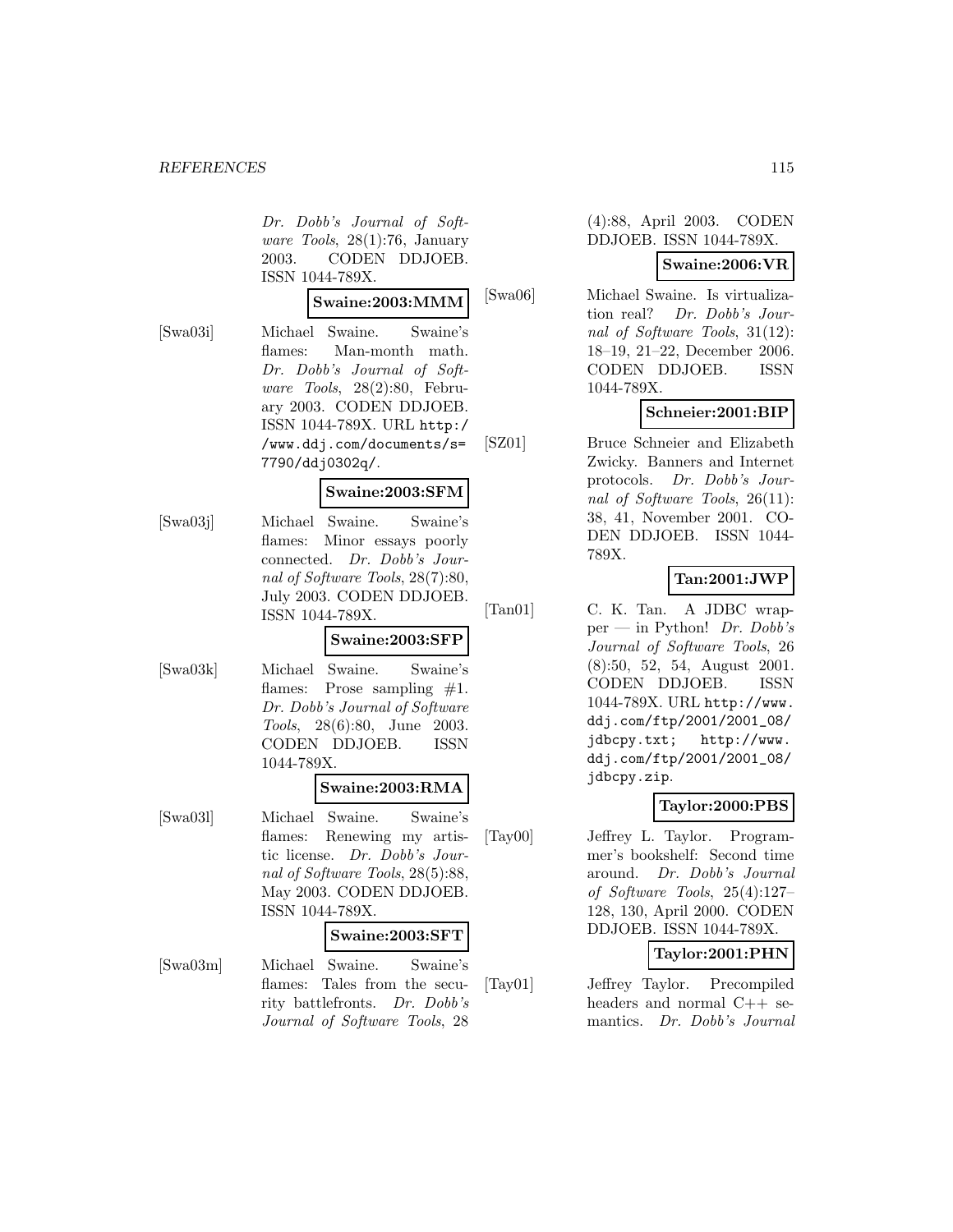Dr. Dobb's Journal of Software Tools, 28(1):76, January 2003. CODEN DDJOEB. ISSN 1044-789X.

#### **Swaine:2003:MMM**

[Swa03i] Michael Swaine. Swaine's flames: Man-month math. Dr. Dobb's Journal of Software Tools, 28(2):80, February 2003. CODEN DDJOEB. ISSN 1044-789X. URL http:/ /www.ddj.com/documents/s= 7790/ddj0302q/.

#### **Swaine:2003:SFM**

[Swa03j] Michael Swaine. Swaine's flames: Minor essays poorly connected. Dr. Dobb's Journal of Software Tools, 28(7):80, July 2003. CODEN DDJOEB. ISSN 1044-789X.

#### **Swaine:2003:SFP**

[Swa03k] Michael Swaine. Swaine's flames: Prose sampling  $#1$ . Dr. Dobb's Journal of Software Tools, 28(6):80, June 2003. CODEN DDJOEB. ISSN 1044-789X.

#### **Swaine:2003:RMA**

[Swa03l] Michael Swaine. Swaine's flames: Renewing my artistic license. Dr. Dobb's Journal of Software Tools, 28(5):88, May 2003. CODEN DDJOEB. ISSN 1044-789X.

#### **Swaine:2003:SFT**

[Swa03m] Michael Swaine. Swaine's flames: Tales from the security battlefronts. Dr. Dobb's Journal of Software Tools, 28

#### (4):88, April 2003. CODEN DDJOEB. ISSN 1044-789X.

#### **Swaine:2006:VR**

[Swa06] Michael Swaine. Is virtualization real? Dr. Dobb's Journal of Software Tools, 31(12): 18–19, 21–22, December 2006. CODEN DDJOEB. ISSN 1044-789X.

## **Schneier:2001:BIP**

[SZ01] Bruce Schneier and Elizabeth Zwicky. Banners and Internet protocols. Dr. Dobb's Journal of Software Tools, 26(11): 38, 41, November 2001. CO-DEN DDJOEB. ISSN 1044- 789X.

## **Tan:2001:JWP**

[Tan01] C. K. Tan. A JDBC wrapper — in Python! Dr. Dobb's Journal of Software Tools, 26 (8):50, 52, 54, August 2001. CODEN DDJOEB. ISSN 1044-789X. URL http://www. ddj.com/ftp/2001/2001\_08/ jdbcpy.txt; http://www. ddj.com/ftp/2001/2001\_08/ jdbcpy.zip.

#### **Taylor:2000:PBS**

[Tay00] Jeffrey L. Taylor. Programmer's bookshelf: Second time around. Dr. Dobb's Journal of Software Tools, 25(4):127– 128, 130, April 2000. CODEN DDJOEB. ISSN 1044-789X.

## **Taylor:2001:PHN**

[Tay01] Jeffrey Taylor. Precompiled headers and normal C++ semantics. Dr. Dobb's Journal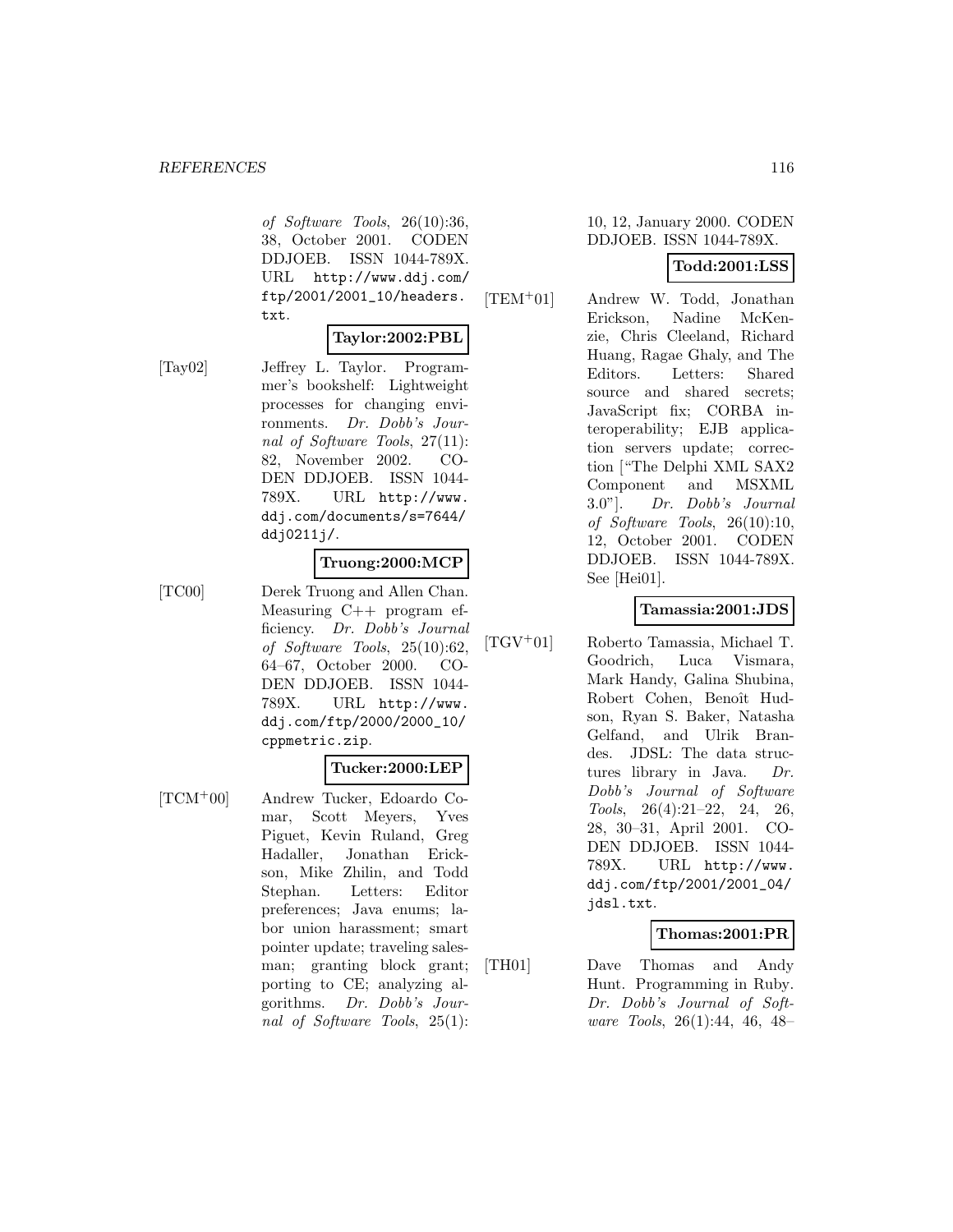of Software Tools, 26(10):36, 38, October 2001. CODEN DDJOEB. ISSN 1044-789X. URL http://www.ddj.com/ ftp/2001/2001\_10/headers. txt.

**Taylor:2002:PBL**

[Tay02] Jeffrey L. Taylor. Programmer's bookshelf: Lightweight processes for changing environments. Dr. Dobb's Journal of Software Tools, 27(11): 82, November 2002. CO-DEN DDJOEB. ISSN 1044- 789X. URL http://www. ddj.com/documents/s=7644/ ddj0211j/.

## **Truong:2000:MCP**

[TC00] Derek Truong and Allen Chan. Measuring C++ program efficiency. Dr. Dobb's Journal of Software Tools, 25(10):62, 64–67, October 2000. CO-DEN DDJOEB. ISSN 1044- 789X. URL http://www. ddj.com/ftp/2000/2000\_10/ cppmetric.zip.

#### **Tucker:2000:LEP**

[TCM<sup>+</sup>00] Andrew Tucker, Edoardo Comar, Scott Meyers, Yves Piguet, Kevin Ruland, Greg Hadaller, Jonathan Erickson, Mike Zhilin, and Todd Stephan. Letters: Editor preferences; Java enums; labor union harassment; smart pointer update; traveling salesman; granting block grant; porting to CE; analyzing algorithms. Dr. Dobb's Journal of Software Tools, 25(1):

#### 10, 12, January 2000. CODEN DDJOEB. ISSN 1044-789X.

# **Todd:2001:LSS**

[TEM<sup>+</sup>01] Andrew W. Todd, Jonathan Erickson, Nadine McKenzie, Chris Cleeland, Richard Huang, Ragae Ghaly, and The Editors. Letters: Shared source and shared secrets; JavaScript fix; CORBA interoperability; EJB application servers update; correction ["The Delphi XML SAX2 Component and MSXML 3.0"]. Dr. Dobb's Journal of Software Tools, 26(10):10, 12, October 2001. CODEN DDJOEB. ISSN 1044-789X. See [Hei01].

# **Tamassia:2001:JDS**

[TGV<sup>+</sup>01] Roberto Tamassia, Michael T. Goodrich, Luca Vismara, Mark Handy, Galina Shubina, Robert Cohen, Benoît Hudson, Ryan S. Baker, Natasha Gelfand, and Ulrik Brandes. JDSL: The data structures library in Java. Dr. Dobb's Journal of Software Tools, 26(4):21–22, 24, 26, 28, 30–31, April 2001. CO-DEN DDJOEB. ISSN 1044- 789X. URL http://www. ddj.com/ftp/2001/2001\_04/ jdsl.txt.

#### **Thomas:2001:PR**

[TH01] Dave Thomas and Andy Hunt. Programming in Ruby. Dr. Dobb's Journal of Software Tools, 26(1):44, 46, 48–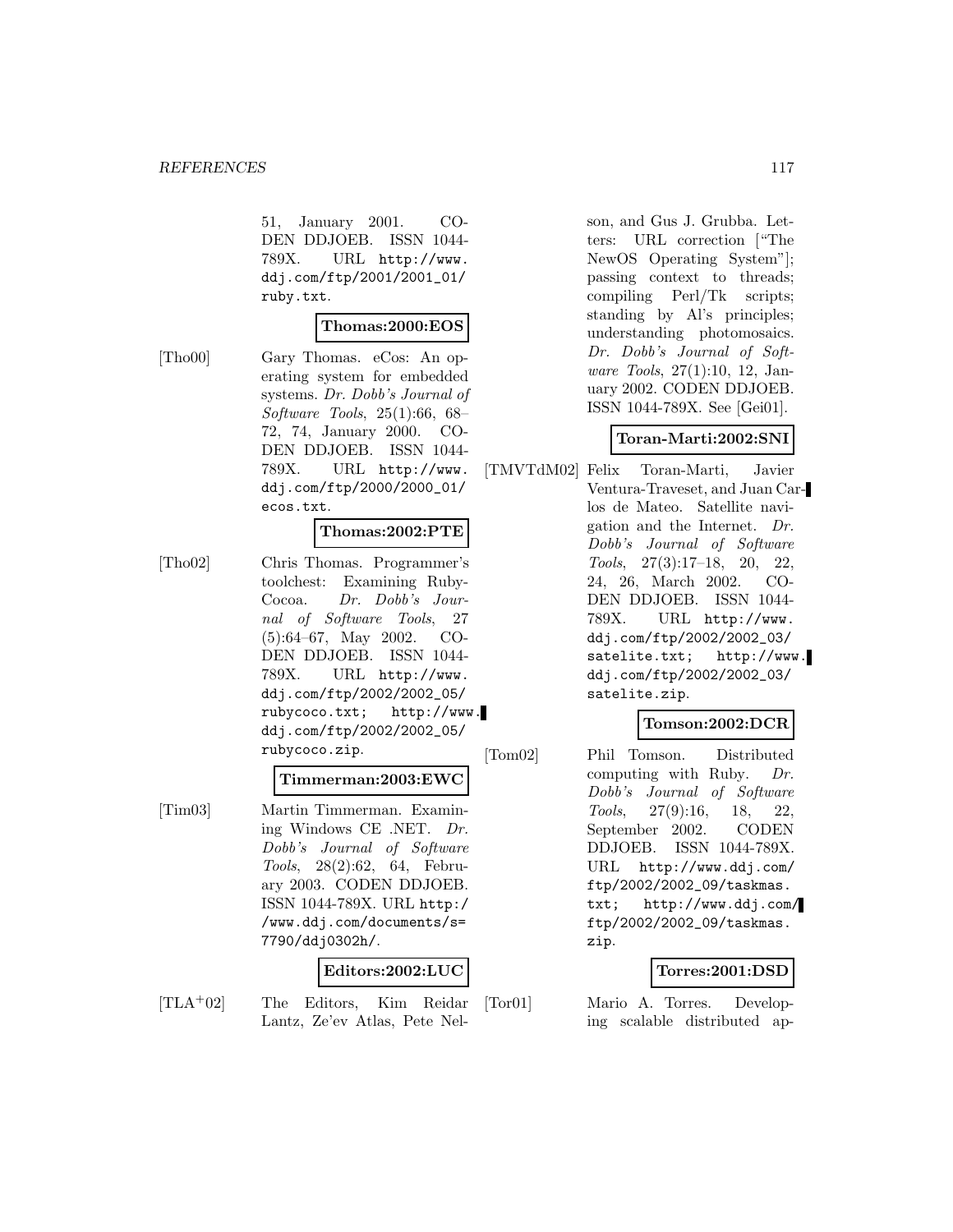51, January 2001. CO-DEN DDJOEB. ISSN 1044- 789X. URL http://www. ddj.com/ftp/2001/2001\_01/ ruby.txt.

#### **Thomas:2000:EOS**

[Tho00] Gary Thomas. eCos: An operating system for embedded systems. Dr. Dobb's Journal of Software Tools, 25(1):66, 68– 72, 74, January 2000. CO-DEN DDJOEB. ISSN 1044- 789X. URL http://www. ddj.com/ftp/2000/2000\_01/ ecos.txt.

#### **Thomas:2002:PTE**

[Tho02] Chris Thomas. Programmer's toolchest: Examining Ruby-Cocoa. Dr. Dobb's Journal of Software Tools, 27 (5):64–67, May 2002. CO-DEN DDJOEB. ISSN 1044- 789X. URL http://www. ddj.com/ftp/2002/2002\_05/ rubycoco.txt; http://www. ddj.com/ftp/2002/2002\_05/ rubycoco.zip.

#### **Timmerman:2003:EWC**

[Tim03] Martin Timmerman. Examining Windows CE .NET. Dr. Dobb's Journal of Software Tools, 28(2):62, 64, February 2003. CODEN DDJOEB. ISSN 1044-789X. URL http:/ /www.ddj.com/documents/s= 7790/ddj0302h/.

# **Editors:2002:LUC**

- 
- [TLA<sup>+</sup>02] The Editors, Kim Reidar Lantz, Ze'ev Atlas, Pete Nel-

son, and Gus J. Grubba. Letters: URL correction ["The NewOS Operating System"]; passing context to threads; compiling Perl/Tk scripts; standing by Al's principles; understanding photomosaics. Dr. Dobb's Journal of Software Tools, 27(1):10, 12, January 2002. CODEN DDJOEB. ISSN 1044-789X. See [Gei01].

## **Toran-Marti:2002:SNI**

[TMVTdM02] Felix Toran-Marti, Javier Ventura-Traveset, and Juan Carlos de Mateo. Satellite navigation and the Internet. Dr. Dobb's Journal of Software Tools, 27(3):17–18, 20, 22, 24, 26, March 2002. CO-DEN DDJOEB. ISSN 1044- 789X. URL http://www. ddj.com/ftp/2002/2002\_03/ satelite.txt; http://www. ddj.com/ftp/2002/2002\_03/ satelite.zip.

# **Tomson:2002:DCR**

[Tom02] Phil Tomson. Distributed computing with Ruby. Dr. Dobb's Journal of Software Tools, 27(9):16, 18, 22, September 2002. CODEN DDJOEB. ISSN 1044-789X. URL http://www.ddj.com/ ftp/2002/2002\_09/taskmas. txt; http://www.ddj.com/ ftp/2002/2002\_09/taskmas. zip.

#### **Torres:2001:DSD**

[Tor01] Mario A. Torres. Developing scalable distributed ap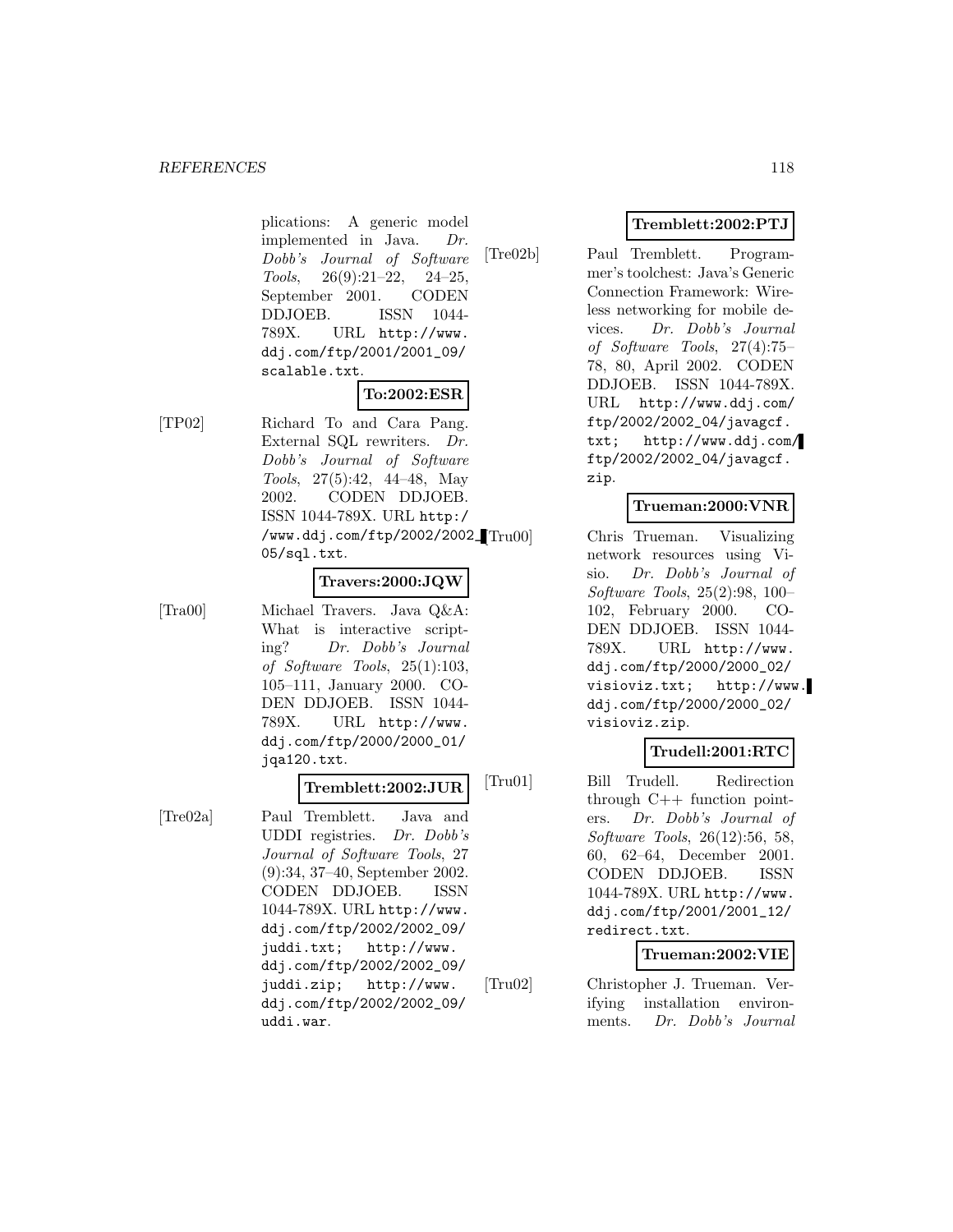plications: A generic model implemented in Java. Dr. Dobb's Journal of Software Tools,  $26(9):21-22$ ,  $24-25$ , September 2001. CODEN DDJOEB. ISSN 1044- 789X. URL http://www. ddj.com/ftp/2001/2001\_09/ scalable.txt.

# **To:2002:ESR**

[TP02] Richard To and Cara Pang. External SQL rewriters. Dr. Dobb's Journal of Software Tools, 27(5):42, 44–48, May 2002. CODEN DDJOEB. ISSN 1044-789X. URL http:/ /www.ddj.com/ftp/2002/2002\_ 05/sql.txt.

#### **Travers:2000:JQW**

[Tra00] Michael Travers. Java Q&A: What is interactive scripting? Dr. Dobb's Journal of Software Tools, 25(1):103, 105–111, January 2000. CO-DEN DDJOEB. ISSN 1044- 789X. URL http://www. ddj.com/ftp/2000/2000\_01/ jqa120.txt.

# **Tremblett:2002:JUR**

[Tre02a] Paul Tremblett. Java and UDDI registries. Dr. Dobb's Journal of Software Tools, 27 (9):34, 37–40, September 2002. CODEN DDJOEB. ISSN 1044-789X. URL http://www. ddj.com/ftp/2002/2002\_09/ juddi.txt; http://www. ddj.com/ftp/2002/2002\_09/ juddi.zip; http://www. ddj.com/ftp/2002/2002\_09/ uddi.war.

# **Tremblett:2002:PTJ**

[Tre02b] Paul Tremblett. Programmer's toolchest: Java's Generic Connection Framework: Wireless networking for mobile devices. Dr. Dobb's Journal of Software Tools, 27(4):75– 78, 80, April 2002. CODEN DDJOEB. ISSN 1044-789X. URL http://www.ddj.com/ ftp/2002/2002\_04/javagcf. txt; http://www.ddj.com/ ftp/2002/2002\_04/javagcf. zip.

# **Trueman:2000:VNR**

Chris Trueman. Visualizing network resources using Visio. Dr. Dobb's Journal of Software Tools, 25(2):98, 100– 102, February 2000. CO-DEN DDJOEB. ISSN 1044- 789X. URL http://www. ddj.com/ftp/2000/2000\_02/ visioviz.txt; http://www. ddj.com/ftp/2000/2000\_02/ visioviz.zip.

# **Trudell:2001:RTC**

[Tru01] Bill Trudell. Redirection through C++ function pointers. Dr. Dobb's Journal of Software Tools, 26(12):56, 58, 60, 62–64, December 2001. CODEN DDJOEB. ISSN 1044-789X. URL http://www. ddj.com/ftp/2001/2001\_12/ redirect.txt.

## **Trueman:2002:VIE**

[Tru02] Christopher J. Trueman. Verifying installation environments. Dr. Dobb's Journal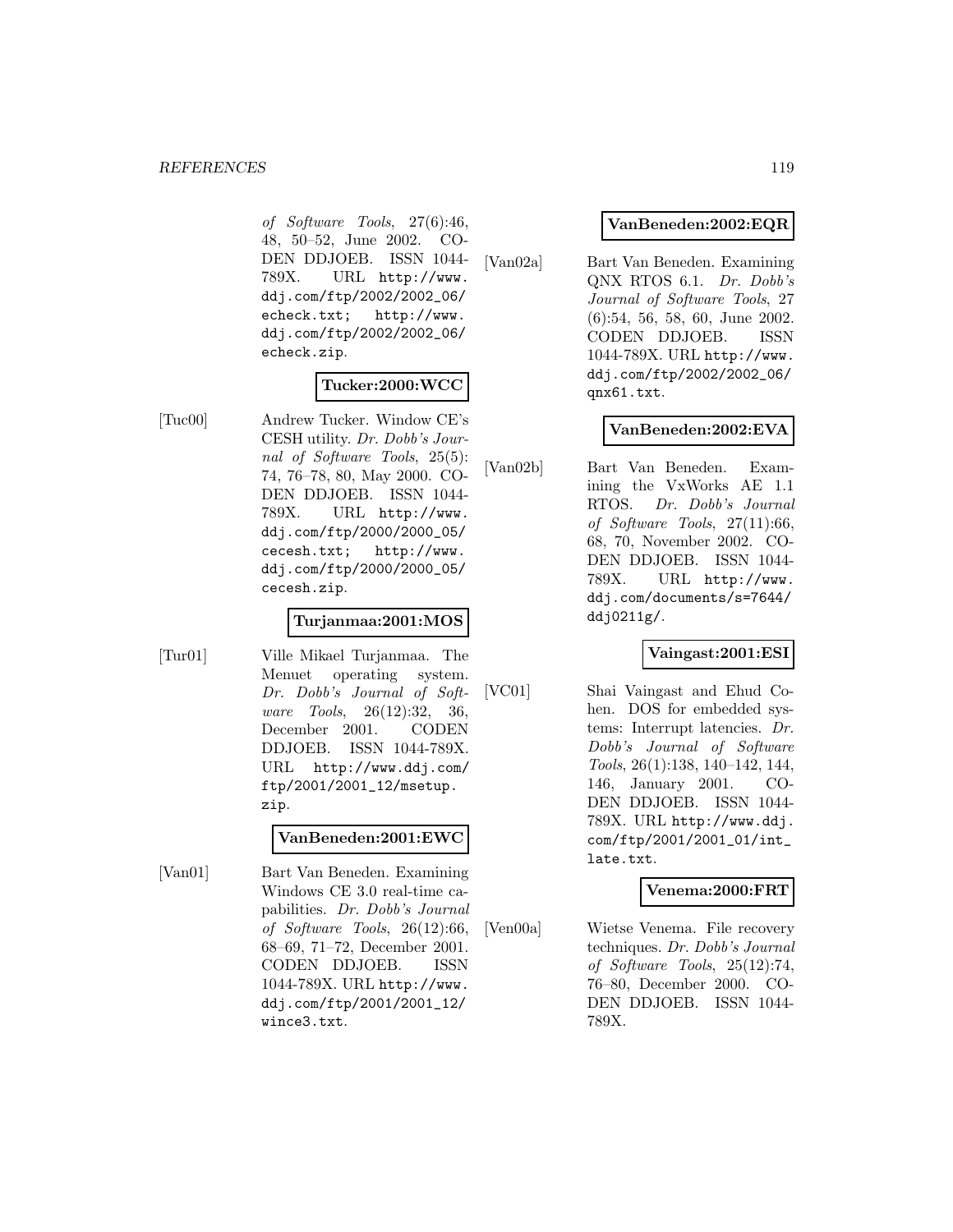of Software Tools, 27(6):46, 48, 50–52, June 2002. CO-DEN DDJOEB. ISSN 1044- 789X. URL http://www. ddj.com/ftp/2002/2002\_06/ echeck.txt; http://www. ddj.com/ftp/2002/2002\_06/ echeck.zip.

#### **Tucker:2000:WCC**

[Tuc00] Andrew Tucker. Window CE's CESH utility. Dr. Dobb's Journal of Software Tools, 25(5): 74, 76–78, 80, May 2000. CO-DEN DDJOEB. ISSN 1044- 789X. URL http://www. ddj.com/ftp/2000/2000\_05/ cecesh.txt; http://www. ddj.com/ftp/2000/2000\_05/ cecesh.zip.

## **Turjanmaa:2001:MOS**

[Tur01] Ville Mikael Turjanmaa. The Menuet operating system. Dr. Dobb's Journal of Software Tools, 26(12):32, 36, December 2001. CODEN DDJOEB. ISSN 1044-789X. URL http://www.ddj.com/ ftp/2001/2001\_12/msetup. zip.

#### **VanBeneden:2001:EWC**

[Van01] Bart Van Beneden. Examining Windows CE 3.0 real-time capabilities. Dr. Dobb's Journal of Software Tools, 26(12):66, 68–69, 71–72, December 2001. CODEN DDJOEB. ISSN 1044-789X. URL http://www. ddj.com/ftp/2001/2001\_12/ wince3.txt.

#### **VanBeneden:2002:EQR**

[Van02a] Bart Van Beneden. Examining QNX RTOS 6.1. Dr. Dobb's Journal of Software Tools, 27 (6):54, 56, 58, 60, June 2002. CODEN DDJOEB. ISSN 1044-789X. URL http://www. ddj.com/ftp/2002/2002\_06/ qnx61.txt.

#### **VanBeneden:2002:EVA**

[Van02b] Bart Van Beneden. Examining the VxWorks AE 1.1 RTOS. Dr. Dobb's Journal of Software Tools, 27(11):66, 68, 70, November 2002. CO-DEN DDJOEB. ISSN 1044- 789X. URL http://www. ddj.com/documents/s=7644/ ddj0211g/.

## **Vaingast:2001:ESI**

[VC01] Shai Vaingast and Ehud Cohen. DOS for embedded systems: Interrupt latencies. Dr. Dobb's Journal of Software Tools, 26(1):138, 140–142, 144, 146, January 2001. CO-DEN DDJOEB. ISSN 1044- 789X. URL http://www.ddj. com/ftp/2001/2001\_01/int\_ late.txt.

## **Venema:2000:FRT**

[Ven00a] Wietse Venema. File recovery techniques. Dr. Dobb's Journal of Software Tools, 25(12):74, 76–80, December 2000. CO-DEN DDJOEB. ISSN 1044- 789X.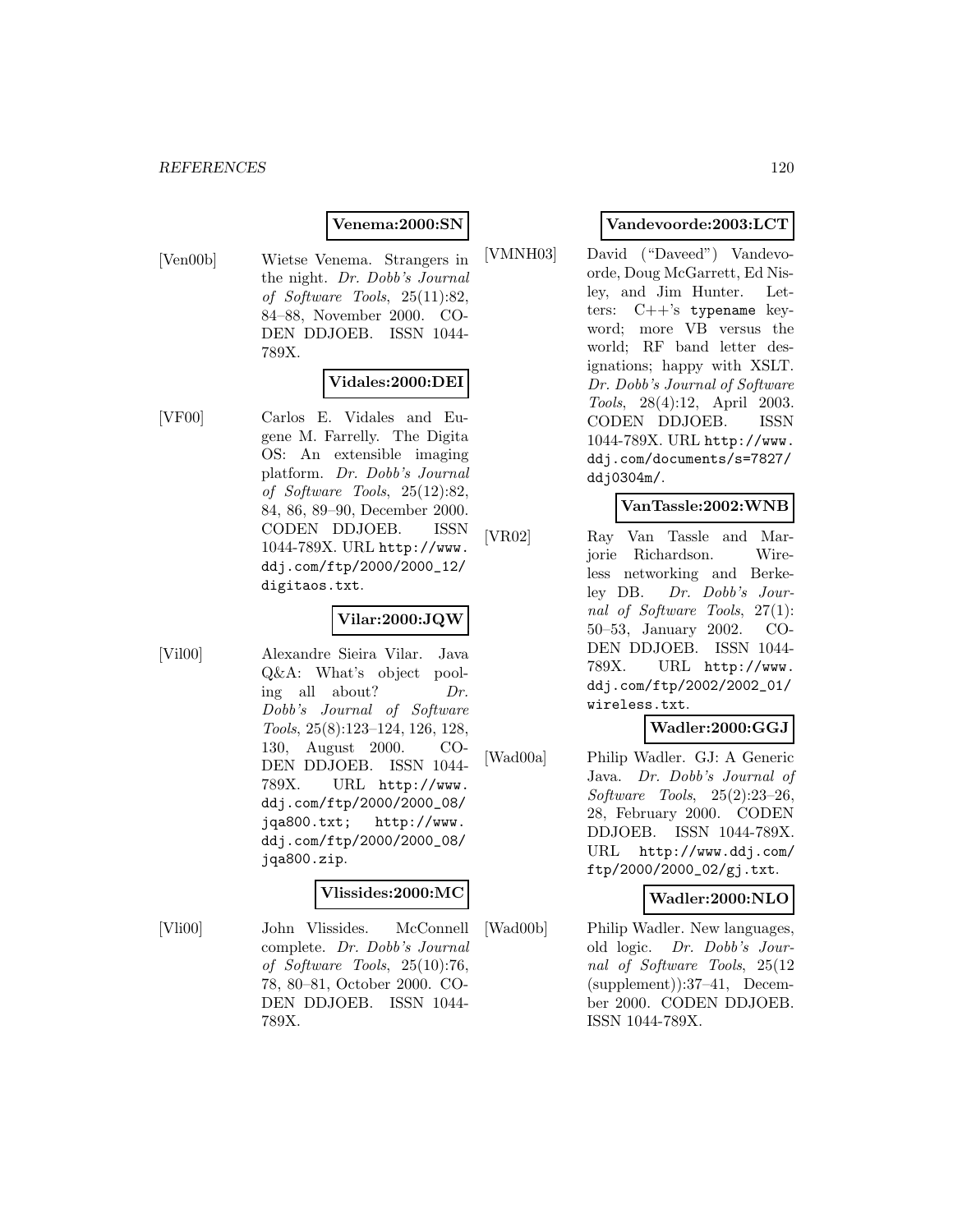## **Venema:2000:SN**

[Ven00b] Wietse Venema. Strangers in the night. Dr. Dobb's Journal of Software Tools, 25(11):82, 84–88, November 2000. CO-DEN DDJOEB. ISSN 1044- 789X.

# **Vidales:2000:DEI**

[VF00] Carlos E. Vidales and Eugene M. Farrelly. The Digita OS: An extensible imaging platform. Dr. Dobb's Journal of Software Tools, 25(12):82, 84, 86, 89–90, December 2000. CODEN DDJOEB. ISSN 1044-789X. URL http://www. ddj.com/ftp/2000/2000\_12/ digitaos.txt.

# **Vilar:2000:JQW**

[Vil00] Alexandre Sieira Vilar. Java Q&A: What's object pooling all about? Dr. Dobb's Journal of Software Tools, 25(8):123–124, 126, 128, 130, August 2000. CO-DEN DDJOEB. ISSN 1044- 789X. URL http://www. ddj.com/ftp/2000/2000\_08/ jqa800.txt; http://www. ddj.com/ftp/2000/2000\_08/ jqa800.zip.

#### **Vlissides:2000:MC**

[Vli00] John Vlissides. McConnell complete. Dr. Dobb's Journal of Software Tools, 25(10):76, 78, 80–81, October 2000. CO-DEN DDJOEB. ISSN 1044- 789X.

# **Vandevoorde:2003:LCT**

[VMNH03] David ("Daveed") Vandevoorde, Doug McGarrett, Ed Nisley, and Jim Hunter. Letters:  $C++s$  typename keyword; more VB versus the world; RF band letter designations; happy with XSLT. Dr. Dobb's Journal of Software Tools, 28(4):12, April 2003. CODEN DDJOEB. ISSN 1044-789X. URL http://www. ddj.com/documents/s=7827/ ddj0304m/.

## **VanTassle:2002:WNB**

[VR02] Ray Van Tassle and Marjorie Richardson. Wireless networking and Berkeley DB. Dr. Dobb's Journal of Software Tools, 27(1): 50–53, January 2002. CO-DEN DDJOEB. ISSN 1044- 789X. URL http://www. ddj.com/ftp/2002/2002\_01/ wireless.txt.

# **Wadler:2000:GGJ**

[Wad00a] Philip Wadler. GJ: A Generic Java. Dr. Dobb's Journal of Software Tools, 25(2):23–26, 28, February 2000. CODEN DDJOEB. ISSN 1044-789X. URL http://www.ddj.com/ ftp/2000/2000\_02/gj.txt.

# **Wadler:2000:NLO**

[Wad00b] Philip Wadler. New languages, old logic. Dr. Dobb's Journal of Software Tools, 25(12 (supplement)):37–41, December 2000. CODEN DDJOEB. ISSN 1044-789X.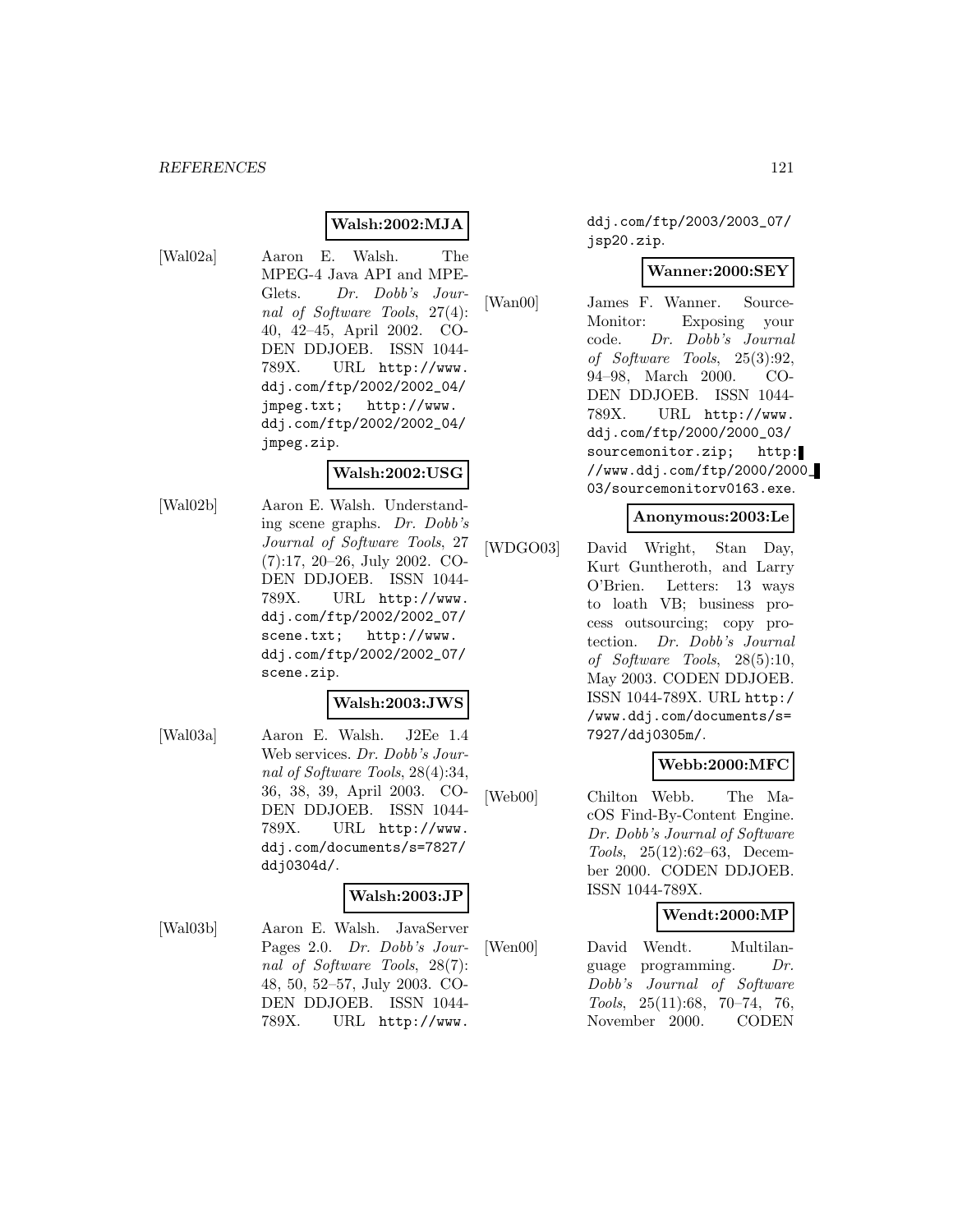#### **Walsh:2002:MJA**

[Wal02a] Aaron E. Walsh. The MPEG-4 Java API and MPE-Glets. Dr. Dobb's Journal of Software Tools, 27(4): 40, 42–45, April 2002. CO-DEN DDJOEB. ISSN 1044- 789X. URL http://www. ddj.com/ftp/2002/2002\_04/ jmpeg.txt; http://www. ddj.com/ftp/2002/2002\_04/ jmpeg.zip.

#### **Walsh:2002:USG**

[Wal02b] Aaron E. Walsh. Understanding scene graphs. Dr. Dobb's Journal of Software Tools, 27 (7):17, 20–26, July 2002. CO-DEN DDJOEB. ISSN 1044- 789X. URL http://www. ddj.com/ftp/2002/2002\_07/ scene.txt; http://www. ddj.com/ftp/2002/2002\_07/ scene.zip.

#### **Walsh:2003:JWS**

[Wal03a] Aaron E. Walsh. J2Ee 1.4 Web services. Dr. Dobb's Journal of Software Tools, 28(4):34, 36, 38, 39, April 2003. CO-DEN DDJOEB. ISSN 1044- 789X. URL http://www. ddj.com/documents/s=7827/ ddj0304d/.

# **Walsh:2003:JP**

[Wal03b] Aaron E. Walsh. JavaServer Pages 2.0. Dr. Dobb's Journal of Software Tools, 28(7): 48, 50, 52–57, July 2003. CO-DEN DDJOEB. ISSN 1044- 789X. URL http://www.

ddj.com/ftp/2003/2003\_07/ jsp20.zip.

#### **Wanner:2000:SEY**

[Wan00] James F. Wanner. Source-Monitor: Exposing your code. Dr. Dobb's Journal of Software Tools, 25(3):92, 94–98, March 2000. CO-DEN DDJOEB. ISSN 1044- 789X. URL http://www. ddj.com/ftp/2000/2000\_03/ sourcemonitor.zip; http: //www.ddj.com/ftp/2000/2000\_ 03/sourcemonitorv0163.exe.

#### **Anonymous:2003:Le**

[WDGO03] David Wright, Stan Day, Kurt Guntheroth, and Larry O'Brien. Letters: 13 ways to loath VB; business process outsourcing; copy protection. Dr. Dobb's Journal of Software Tools, 28(5):10, May 2003. CODEN DDJOEB. ISSN 1044-789X. URL http:/ /www.ddj.com/documents/s= 7927/ddj0305m/.

#### **Webb:2000:MFC**

[Web00] Chilton Webb. The MacOS Find-By-Content Engine. Dr. Dobb's Journal of Software Tools, 25(12):62–63, December 2000. CODEN DDJOEB. ISSN 1044-789X.

#### **Wendt:2000:MP**

[Wen00] David Wendt. Multilanguage programming. Dr. Dobb's Journal of Software Tools, 25(11):68, 70–74, 76, November 2000. CODEN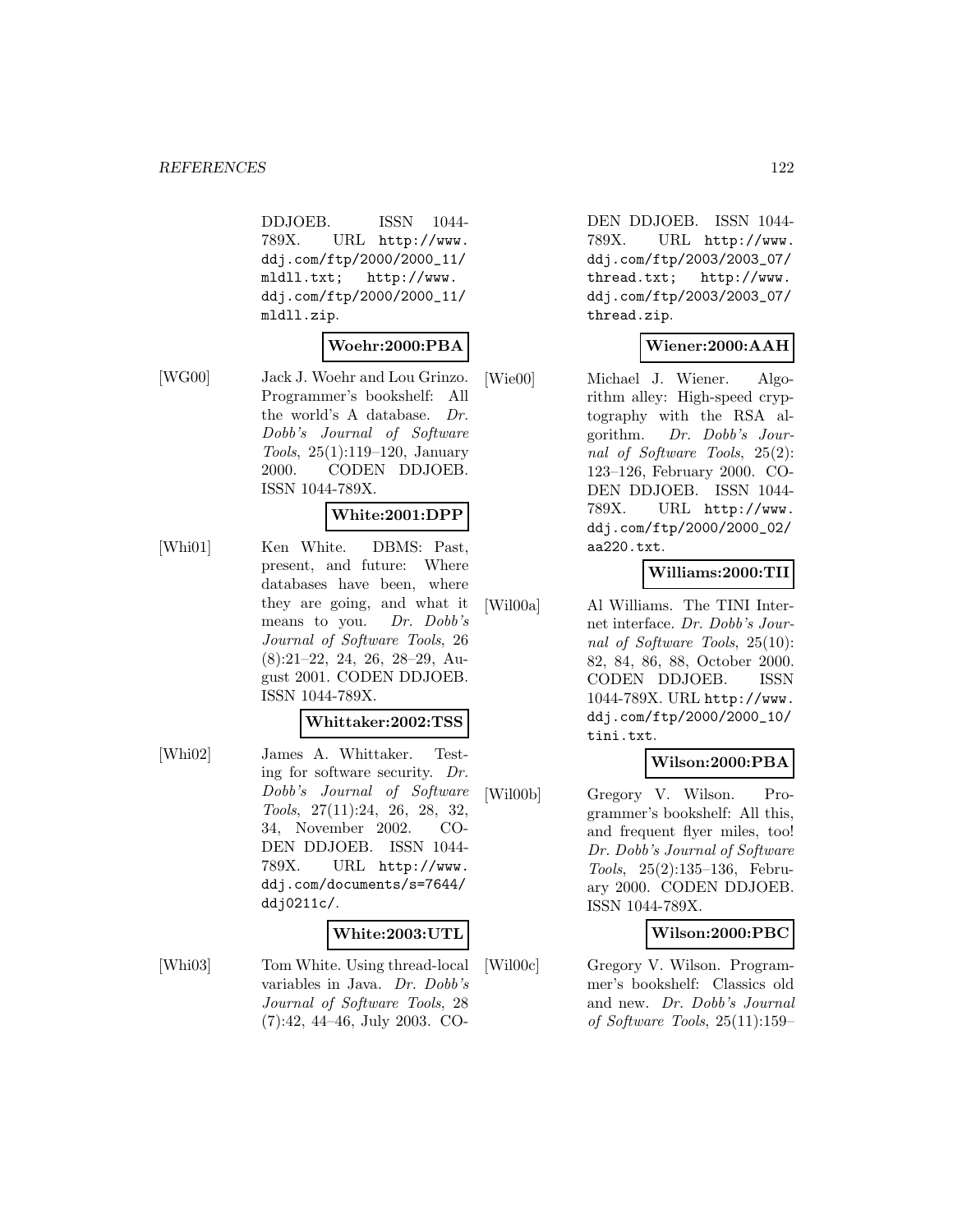DDJOEB. ISSN 1044- 789X. URL http://www. ddj.com/ftp/2000/2000\_11/ mldll.txt; http://www. ddj.com/ftp/2000/2000\_11/ mldll.zip.

#### **Woehr:2000:PBA**

[WG00] Jack J. Woehr and Lou Grinzo. Programmer's bookshelf: All the world's A database. Dr. Dobb's Journal of Software Tools, 25(1):119–120, January 2000. CODEN DDJOEB. ISSN 1044-789X.

## **White:2001:DPP**

[Whi01] Ken White. DBMS: Past, present, and future: Where databases have been, where they are going, and what it means to you. Dr. Dobb's Journal of Software Tools, 26 (8):21–22, 24, 26, 28–29, August 2001. CODEN DDJOEB. ISSN 1044-789X.

#### **Whittaker:2002:TSS**

[Whi02] James A. Whittaker. Testing for software security. Dr. Dobb's Journal of Software Tools, 27(11):24, 26, 28, 32, 34, November 2002. CO-DEN DDJOEB. ISSN 1044- 789X. URL http://www. ddj.com/documents/s=7644/ ddj0211c/.

#### **White:2003:UTL**

[Whi03] Tom White. Using thread-local variables in Java. Dr. Dobb's Journal of Software Tools, 28 (7):42, 44–46, July 2003. CO-

DEN DDJOEB. ISSN 1044- 789X. URL http://www. ddj.com/ftp/2003/2003\_07/ thread.txt; http://www. ddj.com/ftp/2003/2003\_07/ thread.zip.

# **Wiener:2000:AAH**

[Wie00] Michael J. Wiener. Algorithm alley: High-speed cryptography with the RSA algorithm. Dr. Dobb's Journal of Software Tools, 25(2): 123–126, February 2000. CO-DEN DDJOEB. ISSN 1044- 789X. URL http://www. ddj.com/ftp/2000/2000\_02/ aa220.txt.

#### **Williams:2000:TII**

[Wil00a] Al Williams. The TINI Internet interface. Dr. Dobb's Journal of Software Tools, 25(10): 82, 84, 86, 88, October 2000. CODEN DDJOEB. ISSN 1044-789X. URL http://www. ddj.com/ftp/2000/2000\_10/ tini.txt.

## **Wilson:2000:PBA**

[Wil00b] Gregory V. Wilson. Programmer's bookshelf: All this, and frequent flyer miles, too! Dr. Dobb's Journal of Software Tools, 25(2):135–136, February 2000. CODEN DDJOEB. ISSN 1044-789X.

## **Wilson:2000:PBC**

[Wil00c] Gregory V. Wilson. Programmer's bookshelf: Classics old and new. Dr. Dobb's Journal of Software Tools, 25(11):159–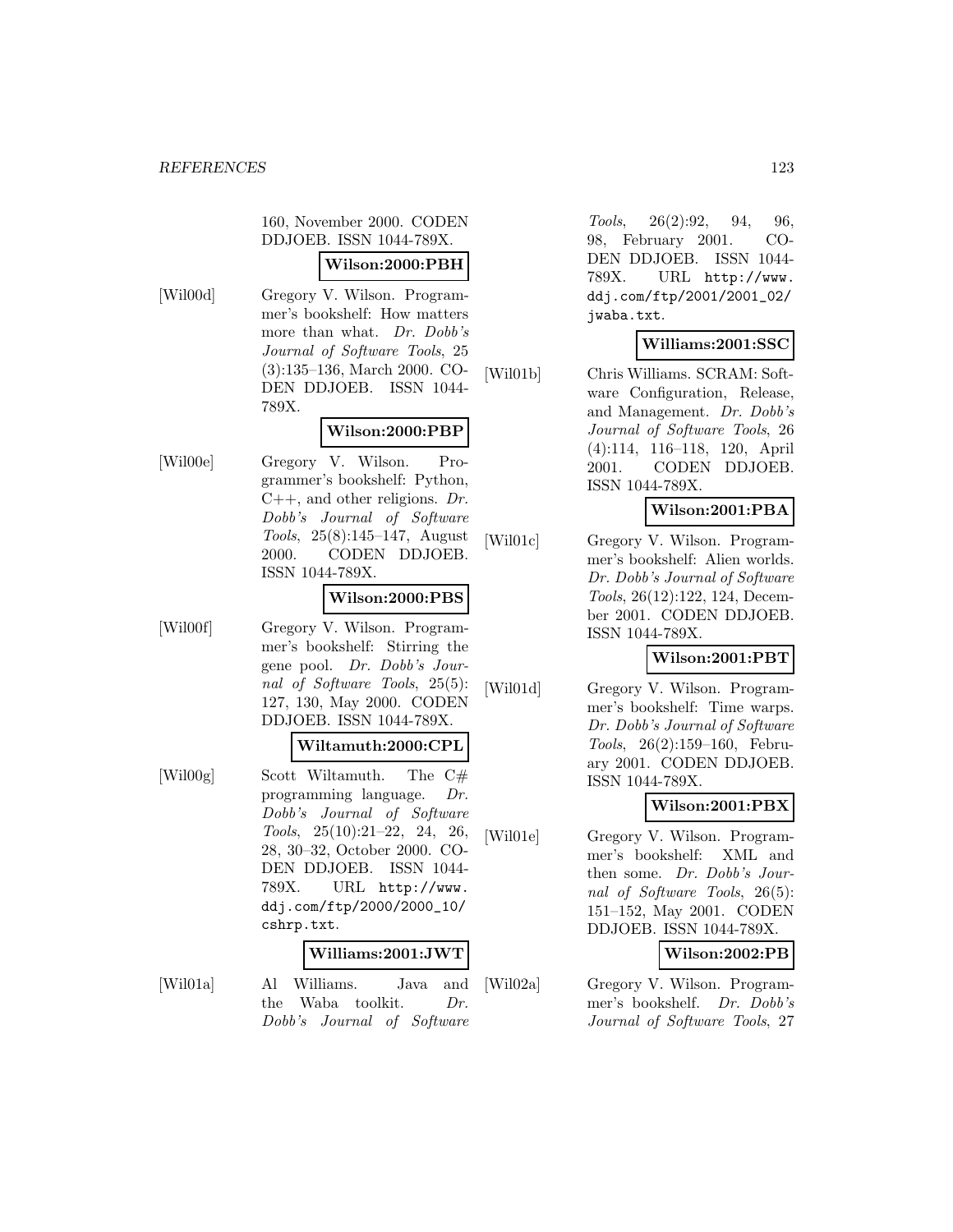160, November 2000. CODEN DDJOEB. ISSN 1044-789X.

#### **Wilson:2000:PBH**

[Wil00d] Gregory V. Wilson. Programmer's bookshelf: How matters more than what. Dr. Dobb's Journal of Software Tools, 25 (3):135–136, March 2000. CO-DEN DDJOEB. ISSN 1044- 789X.

# **Wilson:2000:PBP**

[Wil00e] Gregory V. Wilson. Programmer's bookshelf: Python,  $C_{++}$ , and other religions. Dr. Dobb's Journal of Software Tools, 25(8):145–147, August 2000. CODEN DDJOEB. ISSN 1044-789X.

#### **Wilson:2000:PBS**

[Wil00f] Gregory V. Wilson. Programmer's bookshelf: Stirring the gene pool. Dr. Dobb's Journal of Software Tools, 25(5): 127, 130, May 2000. CODEN DDJOEB. ISSN 1044-789X.

#### **Wiltamuth:2000:CPL**

[Wil00g] Scott Wiltamuth. The C# programming language. Dr. Dobb's Journal of Software Tools, 25(10):21–22, 24, 26, 28, 30–32, October 2000. CO-DEN DDJOEB. ISSN 1044- 789X. URL http://www. ddj.com/ftp/2000/2000\_10/ cshrp.txt.

#### **Williams:2001:JWT**

[Wil01a] Al Williams. Java and the Waba toolkit. Dr. Dobb's Journal of Software

Tools, 26(2):92, 94, 96, 98, February 2001. CO-DEN DDJOEB. ISSN 1044- 789X. URL http://www. ddj.com/ftp/2001/2001\_02/ jwaba.txt.

# **Williams:2001:SSC**

[Wil01b] Chris Williams. SCRAM: Software Configuration, Release, and Management. Dr. Dobb's Journal of Software Tools, 26 (4):114, 116–118, 120, April 2001. CODEN DDJOEB. ISSN 1044-789X.

# **Wilson:2001:PBA**

[Wil01c] Gregory V. Wilson. Programmer's bookshelf: Alien worlds. Dr. Dobb's Journal of Software Tools, 26(12):122, 124, December 2001. CODEN DDJOEB. ISSN 1044-789X.

# **Wilson:2001:PBT**

[Wil01d] Gregory V. Wilson. Programmer's bookshelf: Time warps. Dr. Dobb's Journal of Software Tools, 26(2):159–160, February 2001. CODEN DDJOEB. ISSN 1044-789X.

# **Wilson:2001:PBX**

[Wil01e] Gregory V. Wilson. Programmer's bookshelf: XML and then some. Dr. Dobb's Journal of Software Tools, 26(5): 151–152, May 2001. CODEN DDJOEB. ISSN 1044-789X.

## **Wilson:2002:PB**

[Wil02a] Gregory V. Wilson. Programmer's bookshelf. Dr. Dobb's Journal of Software Tools, 27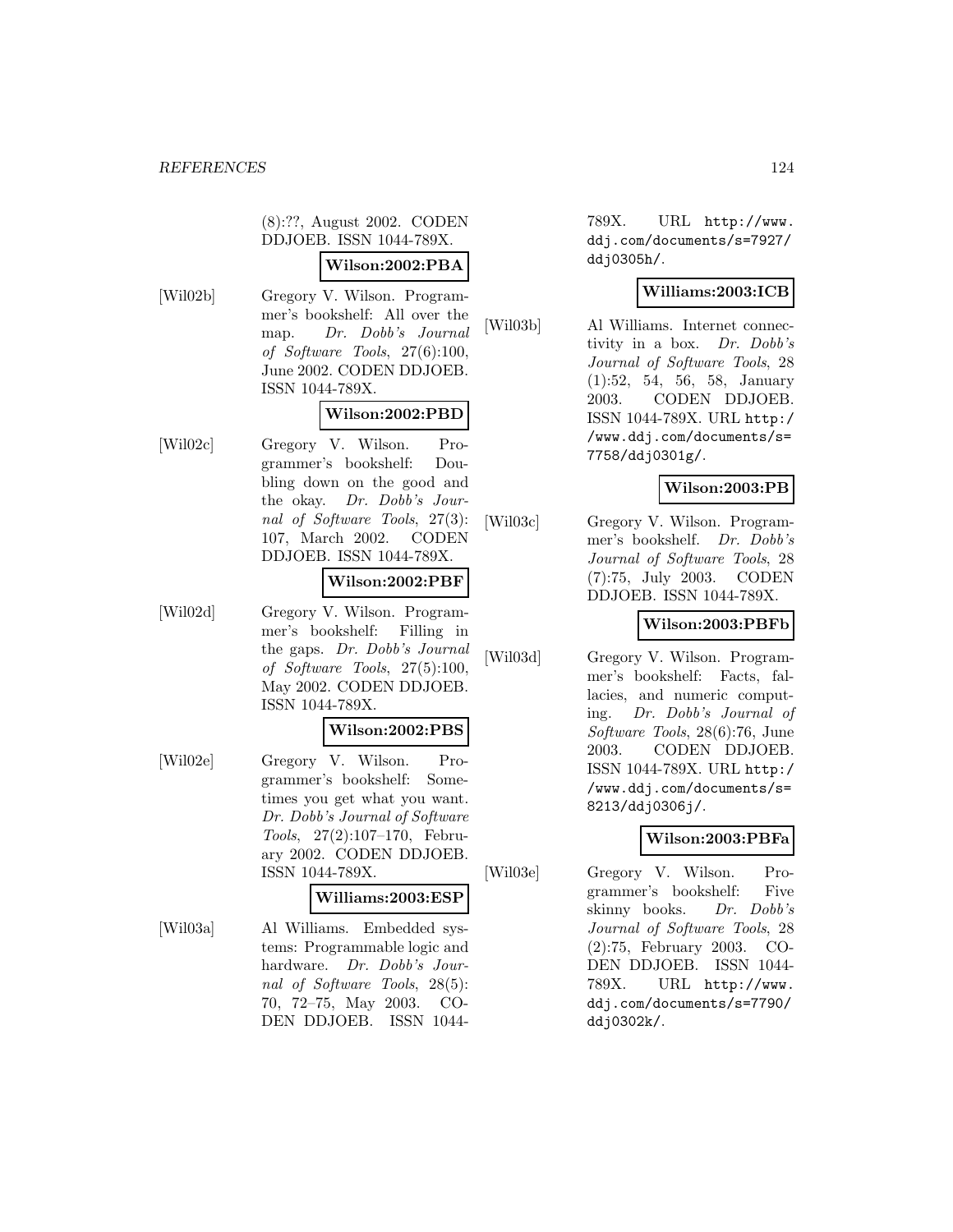(8):??, August 2002. CODEN DDJOEB. ISSN 1044-789X.

## **Wilson:2002:PBA**

[Wil02b] Gregory V. Wilson. Programmer's bookshelf: All over the map. Dr. Dobb's Journal of Software Tools, 27(6):100, June 2002. CODEN DDJOEB. ISSN 1044-789X.

# **Wilson:2002:PBD**

[Wil02c] Gregory V. Wilson. Programmer's bookshelf: Doubling down on the good and the okay. Dr. Dobb's Journal of Software Tools, 27(3): 107, March 2002. CODEN DDJOEB. ISSN 1044-789X.

## **Wilson:2002:PBF**

[Wil02d] Gregory V. Wilson. Programmer's bookshelf: Filling in the gaps. Dr. Dobb's Journal of Software Tools, 27(5):100, May 2002. CODEN DDJOEB. ISSN 1044-789X.

#### **Wilson:2002:PBS**

[Wil02e] Gregory V. Wilson. Programmer's bookshelf: Sometimes you get what you want. Dr. Dobb's Journal of Software Tools, 27(2):107–170, February 2002. CODEN DDJOEB. ISSN 1044-789X.

#### **Williams:2003:ESP**

[Wil03a] Al Williams. Embedded systems: Programmable logic and hardware. Dr. Dobb's Journal of Software Tools, 28(5): 70, 72–75, May 2003. CO-DEN DDJOEB. ISSN 1044789X. URL http://www. ddj.com/documents/s=7927/ ddj0305h/.

## **Williams:2003:ICB**

[Wil03b] Al Williams. Internet connectivity in a box. Dr. Dobb's Journal of Software Tools, 28 (1):52, 54, 56, 58, January 2003. CODEN DDJOEB. ISSN 1044-789X. URL http:/ /www.ddj.com/documents/s= 7758/ddj0301g/.

# **Wilson:2003:PB**

[Wil03c] Gregory V. Wilson. Programmer's bookshelf. Dr. Dobb's Journal of Software Tools, 28 (7):75, July 2003. CODEN DDJOEB. ISSN 1044-789X.

# **Wilson:2003:PBFb**

[Wil03d] Gregory V. Wilson. Programmer's bookshelf: Facts, fallacies, and numeric computing. Dr. Dobb's Journal of Software Tools, 28(6):76, June 2003. CODEN DDJOEB. ISSN 1044-789X. URL http:/ /www.ddj.com/documents/s= 8213/ddj0306j/.

## **Wilson:2003:PBFa**

[Wil03e] Gregory V. Wilson. Programmer's bookshelf: Five skinny books. Dr. Dobb's Journal of Software Tools, 28 (2):75, February 2003. CO-DEN DDJOEB. ISSN 1044- 789X. URL http://www. ddj.com/documents/s=7790/ ddj0302k/.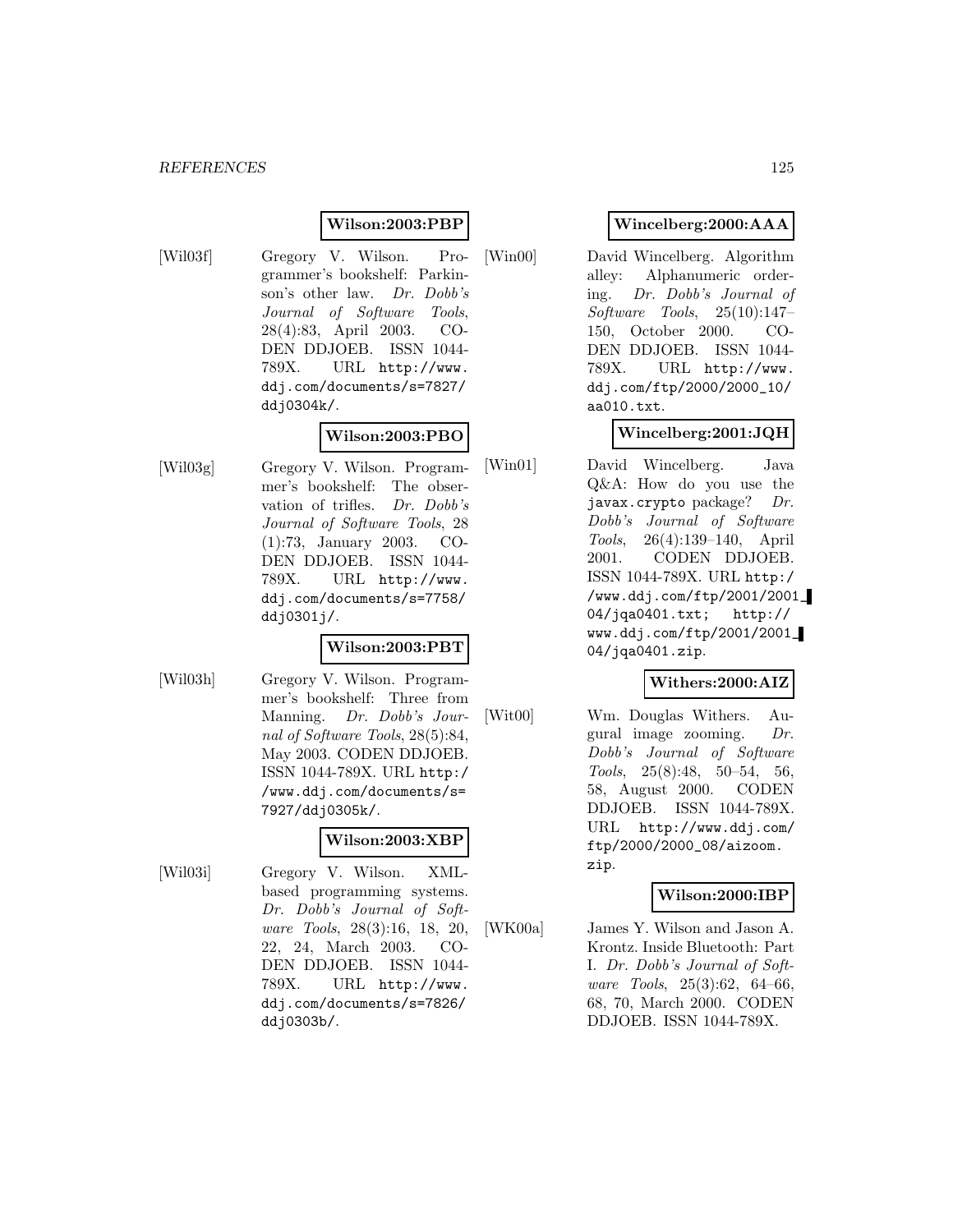## **Wilson:2003:PBP**

- 
- [Wil03f] Gregory V. Wilson. Programmer's bookshelf: Parkinson's other law. Dr. Dobb's Journal of Software Tools, 28(4):83, April 2003. CO-DEN DDJOEB. ISSN 1044- 789X. URL http://www. ddj.com/documents/s=7827/ ddj0304k/.

# **Wilson:2003:PBO**

[Wil03g] Gregory V. Wilson. Programmer's bookshelf: The observation of trifles. Dr. Dobb's Journal of Software Tools, 28 (1):73, January 2003. CO-DEN DDJOEB. ISSN 1044- 789X. URL http://www. ddj.com/documents/s=7758/ ddj0301j/.

#### **Wilson:2003:PBT**

[Wil03h] Gregory V. Wilson. Programmer's bookshelf: Three from Manning. Dr. Dobb's Journal of Software Tools, 28(5):84, May 2003. CODEN DDJOEB. ISSN 1044-789X. URL http:/ /www.ddj.com/documents/s= 7927/ddj0305k/.

## **Wilson:2003:XBP**

[Wil03i] Gregory V. Wilson. XMLbased programming systems. Dr. Dobb's Journal of Software Tools, 28(3):16, 18, 20, 22, 24, March 2003. CO-DEN DDJOEB. ISSN 1044- 789X. URL http://www. ddj.com/documents/s=7826/ ddj0303b/.

## **Wincelberg:2000:AAA**

[Win00] David Wincelberg. Algorithm alley: Alphanumeric ordering. Dr. Dobb's Journal of Software Tools, 25(10):147– 150, October 2000. CO-DEN DDJOEB. ISSN 1044- 789X. URL http://www. ddj.com/ftp/2000/2000\_10/ aa010.txt.

## **Wincelberg:2001:JQH**

[Win01] David Wincelberg. Java Q&A: How do you use the javax.crypto package?  $Dr.$ Dobb's Journal of Software Tools, 26(4):139–140, April 2001. CODEN DDJOEB. ISSN 1044-789X. URL http:/ /www.ddj.com/ftp/2001/2001\_ 04/jqa0401.txt; http:// www.ddj.com/ftp/2001/2001\_ 04/jqa0401.zip.

## **Withers:2000:AIZ**

[Wit00] Wm. Douglas Withers. Augural image zooming. Dr. Dobb's Journal of Software Tools, 25(8):48, 50–54, 56, 58, August 2000. CODEN DDJOEB. ISSN 1044-789X. URL http://www.ddj.com/ ftp/2000/2000\_08/aizoom. zip.

## **Wilson:2000:IBP**

[WK00a] James Y. Wilson and Jason A. Krontz. Inside Bluetooth: Part I. Dr. Dobb's Journal of Software Tools, 25(3):62, 64–66, 68, 70, March 2000. CODEN DDJOEB. ISSN 1044-789X.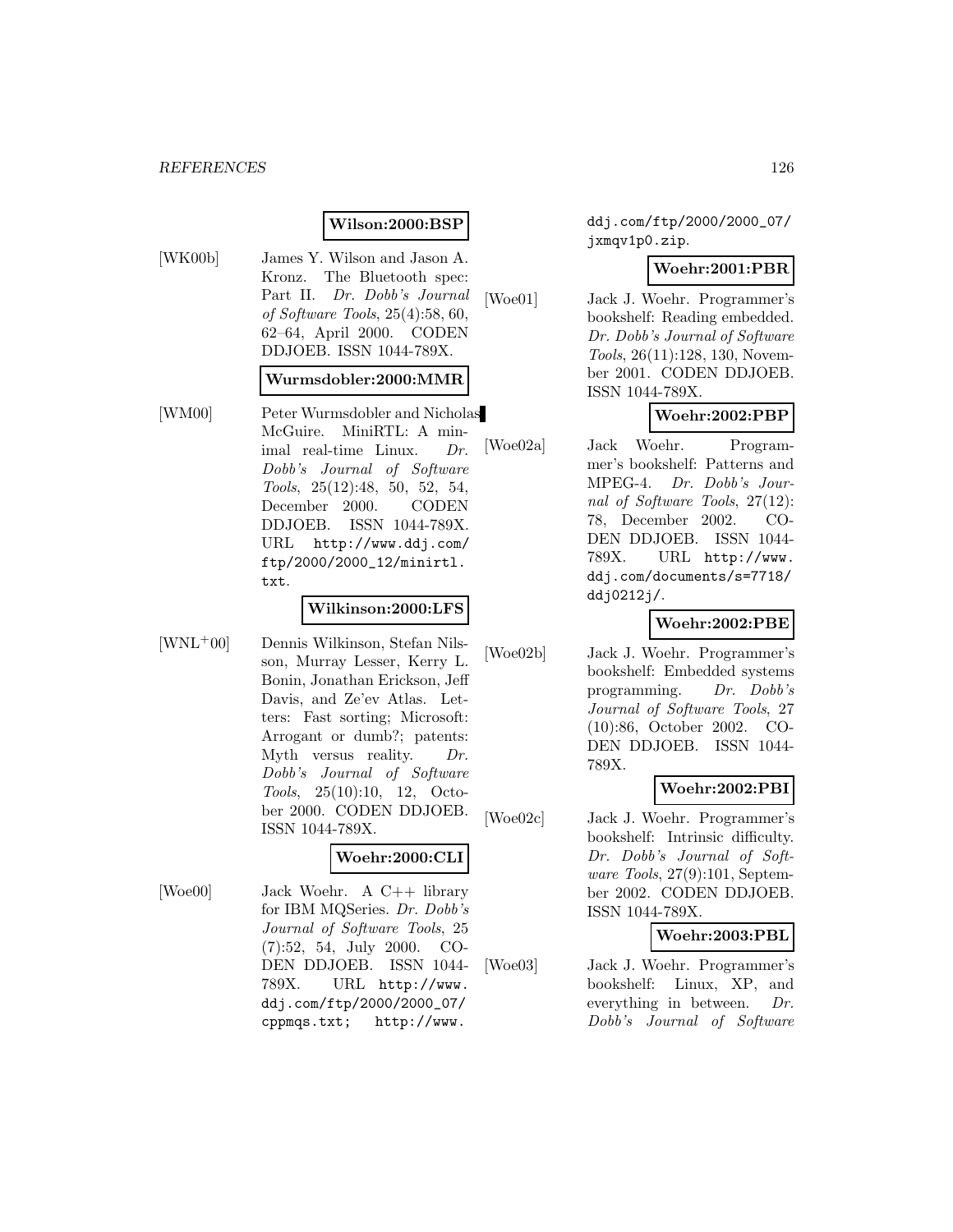# **Wilson:2000:BSP**

[WK00b] James Y. Wilson and Jason A. Kronz. The Bluetooth spec: Part II. Dr. Dobb's Journal of Software Tools, 25(4):58, 60, 62–64, April 2000. CODEN DDJOEB. ISSN 1044-789X.

#### **Wurmsdobler:2000:MMR**

[WM00] Peter Wurmsdobler and Nicholas McGuire. MiniRTL: A minimal real-time Linux. Dr. Dobb's Journal of Software Tools, 25(12):48, 50, 52, 54, December 2000. CODEN DDJOEB. ISSN 1044-789X. URL http://www.ddj.com/ ftp/2000/2000\_12/minirtl. txt.

# **Wilkinson:2000:LFS**

[WNL<sup>+</sup>00] Dennis Wilkinson, Stefan Nilsson, Murray Lesser, Kerry L. Bonin, Jonathan Erickson, Jeff Davis, and Ze'ev Atlas. Letters: Fast sorting; Microsoft: Arrogant or dumb?; patents: Myth versus reality. Dr. Dobb's Journal of Software Tools, 25(10):10, 12, October 2000. CODEN DDJOEB. ISSN 1044-789X.

#### **Woehr:2000:CLI**

[Woe00] Jack Woehr. A C++ library for IBM MQSeries. Dr. Dobb's Journal of Software Tools, 25 (7):52, 54, July 2000. CO-DEN DDJOEB. ISSN 1044- 789X. URL http://www. ddj.com/ftp/2000/2000\_07/ cppmqs.txt; http://www.

ddj.com/ftp/2000/2000\_07/ jxmqv1p0.zip.

#### **Woehr:2001:PBR**

[Woe01] Jack J. Woehr. Programmer's bookshelf: Reading embedded. Dr. Dobb's Journal of Software Tools, 26(11):128, 130, November 2001. CODEN DDJOEB. ISSN 1044-789X.

# **Woehr:2002:PBP**

[Woe02a] Jack Woehr. Programmer's bookshelf: Patterns and MPEG-4. Dr. Dobb's Journal of Software Tools, 27(12): 78, December 2002. CO-DEN DDJOEB. ISSN 1044- 789X. URL http://www. ddj.com/documents/s=7718/ ddj0212j/.

# **Woehr:2002:PBE**

[Woe02b] Jack J. Woehr. Programmer's bookshelf: Embedded systems programming. Dr. Dobb's Journal of Software Tools, 27 (10):86, October 2002. CO-DEN DDJOEB. ISSN 1044- 789X.

## **Woehr:2002:PBI**

[Woe02c] Jack J. Woehr. Programmer's bookshelf: Intrinsic difficulty. Dr. Dobb's Journal of Software Tools, 27(9):101, September 2002. CODEN DDJOEB. ISSN 1044-789X.

#### **Woehr:2003:PBL**

[Woe03] Jack J. Woehr. Programmer's bookshelf: Linux, XP, and everything in between. Dr. Dobb's Journal of Software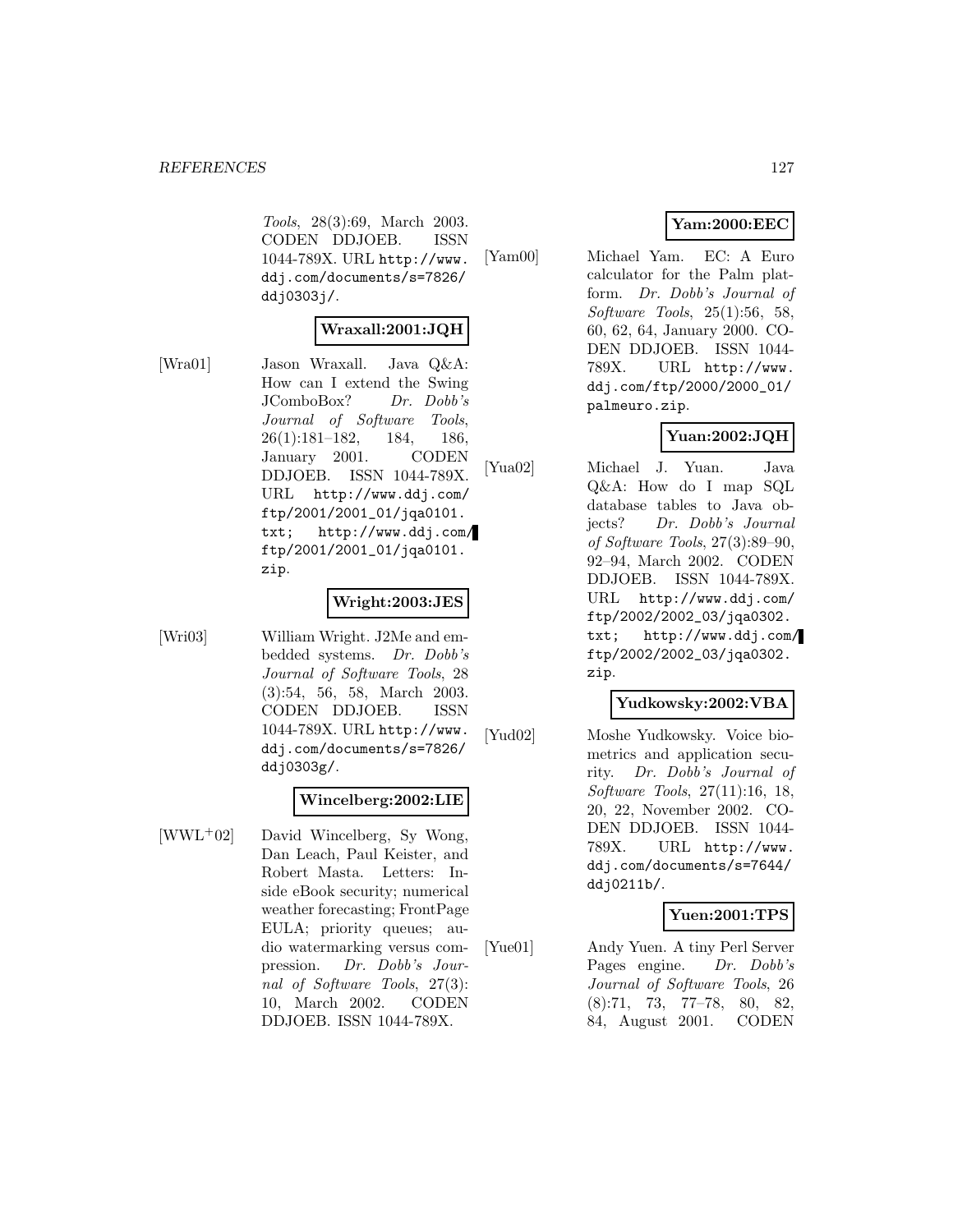Tools, 28(3):69, March 2003. CODEN DDJOEB. ISSN 1044-789X. URL http://www. ddj.com/documents/s=7826/ ddj0303j/.

#### **Wraxall:2001:JQH**

[Wra01] Jason Wraxall. Java Q&A: How can I extend the Swing JComboBox? Dr. Dobb's Journal of Software Tools, 26(1):181–182, 184, 186, January 2001. CODEN DDJOEB. ISSN 1044-789X. URL http://www.ddj.com/ ftp/2001/2001\_01/jqa0101. txt; http://www.ddj.com/ ftp/2001/2001\_01/jqa0101. zip.

#### **Wright:2003:JES**

- 
- [Wri03] William Wright. J2Me and embedded systems. Dr. Dobb's Journal of Software Tools, 28 (3):54, 56, 58, March 2003. CODEN DDJOEB. ISSN 1044-789X. URL http://www. ddj.com/documents/s=7826/ ddj0303g/.

#### **Wincelberg:2002:LIE**

[WWL<sup>+</sup>02] David Wincelberg, Sy Wong, Dan Leach, Paul Keister, and Robert Masta. Letters: Inside eBook security; numerical weather forecasting; FrontPage EULA; priority queues; audio watermarking versus compression. Dr. Dobb's Journal of Software Tools, 27(3): 10, March 2002. CODEN DDJOEB. ISSN 1044-789X.

# **Yam:2000:EEC**

[Yam00] Michael Yam. EC: A Euro calculator for the Palm platform. Dr. Dobb's Journal of Software Tools, 25(1):56, 58, 60, 62, 64, January 2000. CO-DEN DDJOEB. ISSN 1044- 789X. URL http://www. ddj.com/ftp/2000/2000\_01/ palmeuro.zip.

# **Yuan:2002:JQH**

[Yua02] Michael J. Yuan. Java Q&A: How do I map SQL database tables to Java objects? Dr. Dobb's Journal of Software Tools, 27(3):89–90, 92–94, March 2002. CODEN DDJOEB. ISSN 1044-789X. URL http://www.ddj.com/ ftp/2002/2002\_03/jqa0302. txt; http://www.ddj.com/ ftp/2002/2002\_03/jqa0302. zip.

#### **Yudkowsky:2002:VBA**

[Yud02] Moshe Yudkowsky. Voice biometrics and application security. Dr. Dobb's Journal of Software Tools, 27(11):16, 18, 20, 22, November 2002. CO-DEN DDJOEB. ISSN 1044- 789X. URL http://www. ddj.com/documents/s=7644/ ddj0211b/.

## **Yuen:2001:TPS**

[Yue01] Andy Yuen. A tiny Perl Server Pages engine. Dr. Dobb's Journal of Software Tools, 26 (8):71, 73, 77–78, 80, 82, 84, August 2001. CODEN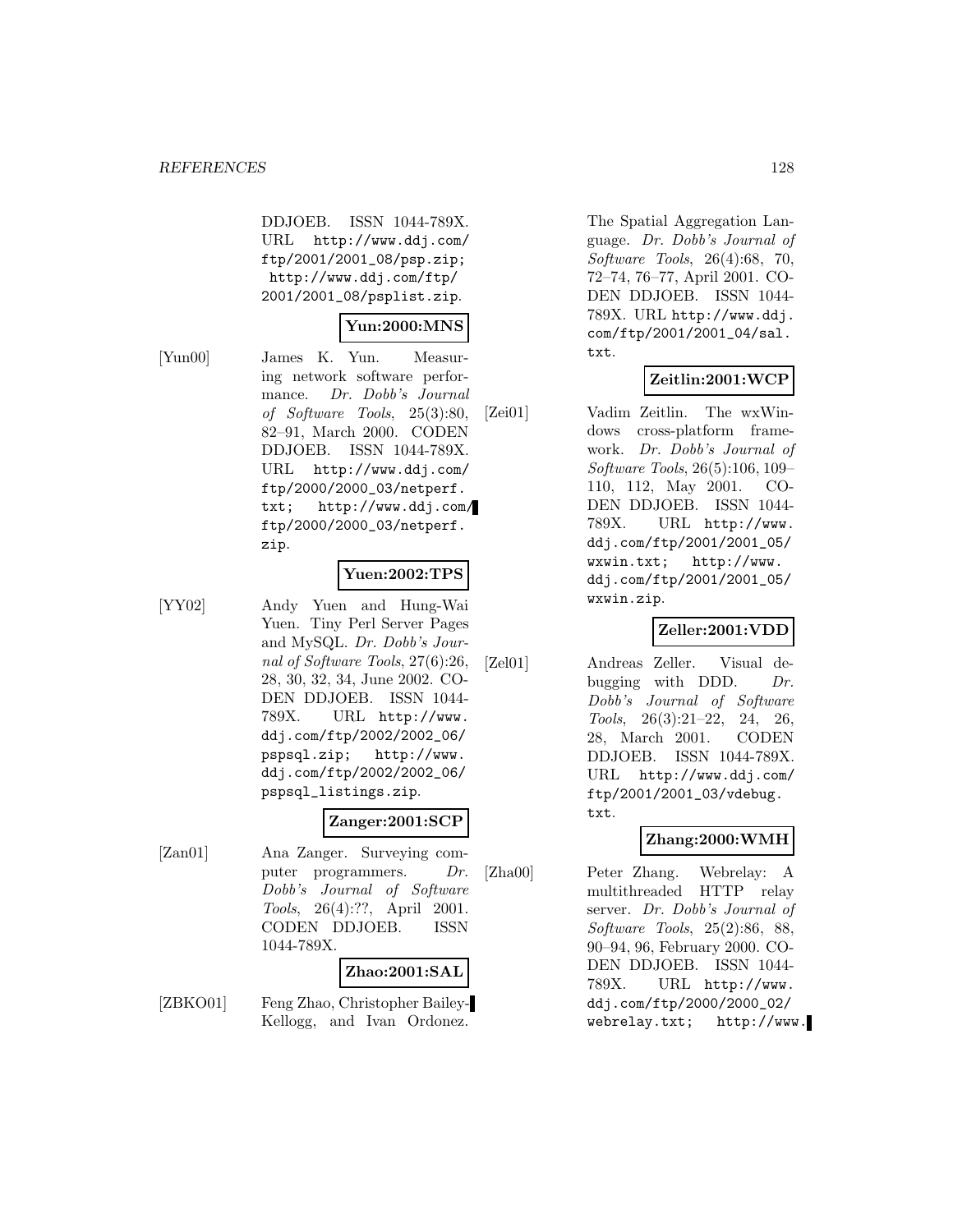DDJOEB. ISSN 1044-789X. URL http://www.ddj.com/ ftp/2001/2001\_08/psp.zip; http://www.ddj.com/ftp/ 2001/2001\_08/psplist.zip.

## **Yun:2000:MNS**

[Yun00] James K. Yun. Measuring network software performance. Dr. Dobb's Journal of Software Tools, 25(3):80, 82–91, March 2000. CODEN DDJOEB. ISSN 1044-789X. URL http://www.ddj.com/ ftp/2000/2000\_03/netperf. txt; http://www.ddj.com/ ftp/2000/2000\_03/netperf. zip.

#### **Yuen:2002:TPS**

[YY02] Andy Yuen and Hung-Wai Yuen. Tiny Perl Server Pages and MySQL. Dr. Dobb's Journal of Software Tools, 27(6):26, 28, 30, 32, 34, June 2002. CO-DEN DDJOEB. ISSN 1044- 789X. URL http://www. ddj.com/ftp/2002/2002\_06/ pspsql.zip; http://www. ddj.com/ftp/2002/2002\_06/ pspsql\_listings.zip.

# **Zanger:2001:SCP**

[Zan01] Ana Zanger. Surveying computer programmers. Dr. Dobb's Journal of Software Tools, 26(4):??, April 2001. CODEN DDJOEB. ISSN 1044-789X.

# **Zhao:2001:SAL**

[ZBKO01] Feng Zhao, Christopher Bailey-Kellogg, and Ivan Ordonez.

The Spatial Aggregation Language. Dr. Dobb's Journal of Software Tools, 26(4):68, 70, 72–74, 76–77, April 2001. CO-DEN DDJOEB. ISSN 1044- 789X. URL http://www.ddj. com/ftp/2001/2001\_04/sal. txt.

# **Zeitlin:2001:WCP**

[Zei01] Vadim Zeitlin. The wxWindows cross-platform framework. Dr. Dobb's Journal of Software Tools, 26(5):106, 109– 110, 112, May 2001. CO-DEN DDJOEB. ISSN 1044- 789X. URL http://www. ddj.com/ftp/2001/2001\_05/ wxwin.txt; http://www. ddj.com/ftp/2001/2001\_05/ wxwin.zip.

## **Zeller:2001:VDD**

[Zel01] Andreas Zeller. Visual debugging with DDD.  $Dr.$ Dobb's Journal of Software Tools, 26(3):21–22, 24, 26, 28, March 2001. CODEN DDJOEB. ISSN 1044-789X. URL http://www.ddj.com/ ftp/2001/2001\_03/vdebug. txt.

## **Zhang:2000:WMH**

[Zha00] Peter Zhang. Webrelay: A multithreaded HTTP relay server. Dr. Dobb's Journal of Software Tools, 25(2):86, 88, 90–94, 96, February 2000. CO-DEN DDJOEB. ISSN 1044- 789X. URL http://www. ddj.com/ftp/2000/2000\_02/ webrelay.txt; http://www.